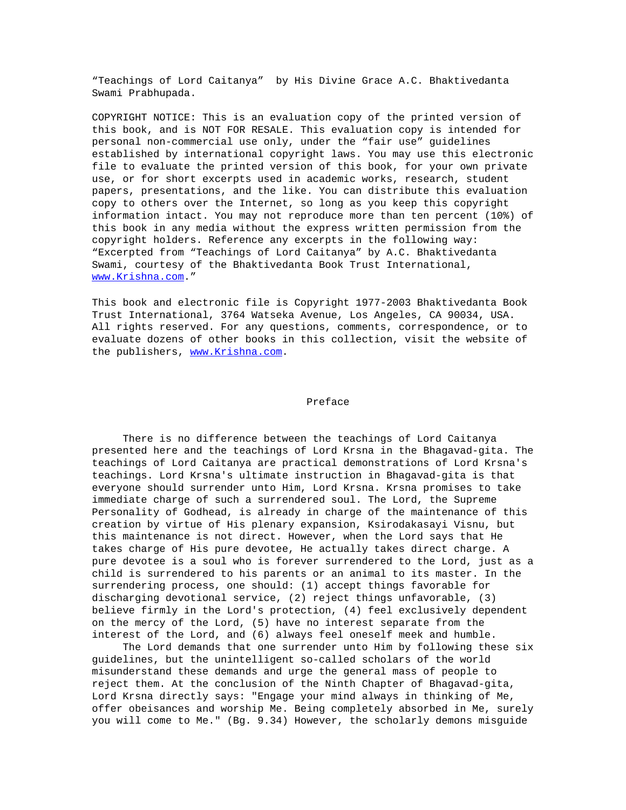"Teachings of Lord Caitanya" by His Divine Grace A.C. Bhaktivedanta Swami Prabhupada.

COPYRIGHT NOTICE: This is an evaluation copy of the printed version of this book, and is NOT FOR RESALE. This evaluation copy is intended for personal non-commercial use only, under the "fair use" guidelines established by international copyright laws. You may use this electronic file to evaluate the printed version of this book, for your own private use, or for short excerpts used in academic works, research, student papers, presentations, and the like. You can distribute this evaluation copy to others over the Internet, so long as you keep this copyright information intact. You may not reproduce more than ten percent (10%) of this book in any media without the express written permission from the copyright holders. Reference any excerpts in the following way: "Excerpted from "Teachings of Lord Caitanya" by A.C. Bhaktivedanta Swami, courtesy of the Bhaktivedanta Book Trust International, www.Krishna.com ."

This book and electronic file is Copyright 1977-2003 Bhaktivedanta Book Trust International, 3764 Watseka Avenue, Los Angeles, CA 90034, USA. All rights reserved. For any questions, comments, correspondence, or to evaluate dozens of other books in this collection, visit the website of the publishers, www.Krishna.com.

## Preface

 There is no difference between the teachings of Lord Caitanya presented here and the teachings of Lord Krsna in the Bhagavad-gita. The teachings of Lord Caitanya are practical demonstrations of Lord Krsna's teachings. Lord Krsna's ultimate instruction in Bhagavad-gita is that everyone should surrender unto Him, Lord Krsna. Krsna promises to take immediate charge of such a surrendered soul. The Lord, the Supreme Personality of Godhead, is already in charge of the maintenance of this creation by virtue of His plenary expansion, Ksirodakasayi Visnu, but this maintenance is not direct. However, when the Lord says that He takes charge of His pure devotee, He actually takes direct charge. A pure devotee is a soul who is forever surrendered to the Lord, just as a child is surrendered to his parents or an animal to its master. In the surrendering process, one should: (1) accept things favorable for discharging devotional service, (2) reject things unfavorable, (3) believe firmly in the Lord's protection, (4) feel exclusively dependent on the mercy of the Lord, (5) have no interest separate from the interest of the Lord, and (6) always feel oneself meek and humble.

 The Lord demands that one surrender unto Him by following these six guidelines, but the unintelligent so-called scholars of the world misunderstand these demands and urge the general mass of people to reject them. At the conclusion of the Ninth Chapter of Bhagavad-gita, Lord Krsna directly says: "Engage your mind always in thinking of Me, offer obeisances and worship Me. Being completely absorbed in Me, surely you will come to Me." (Bg. 9.34) However, the scholarly demons misguide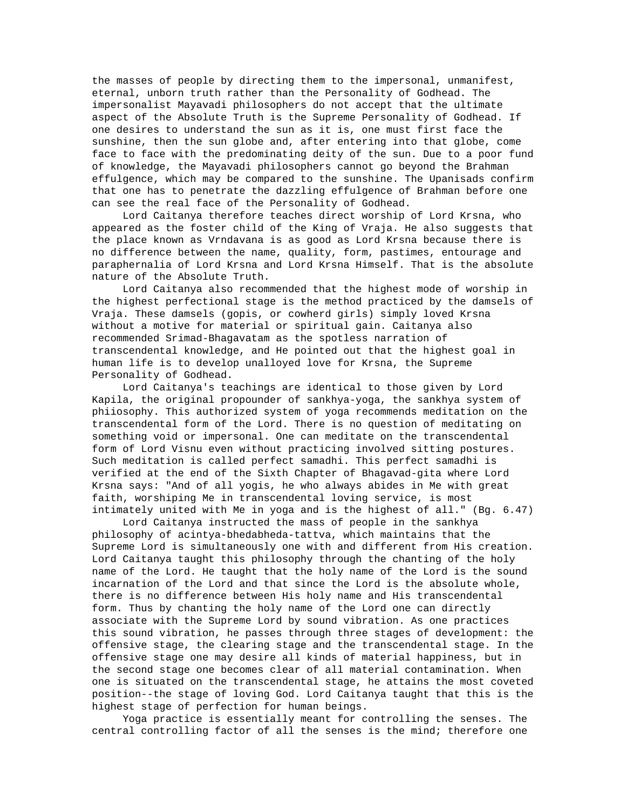the masses of people by directing them to the impersonal, unmanifest, eternal, unborn truth rather than the Personality of Godhead. The impersonalist Mayavadi philosophers do not accept that the ultimate aspect of the Absolute Truth is the Supreme Personality of Godhead. If one desires to understand the sun as it is, one must first face the sunshine, then the sun globe and, after entering into that globe, come face to face with the predominating deity of the sun. Due to a poor fund of knowledge, the Mayavadi philosophers cannot go beyond the Brahman effulgence, which may be compared to the sunshine. The Upanisads confirm that one has to penetrate the dazzling effulgence of Brahman before one can see the real face of the Personality of Godhead.

 Lord Caitanya therefore teaches direct worship of Lord Krsna, who appeared as the foster child of the King of Vraja. He also suggests that the place known as Vrndavana is as good as Lord Krsna because there is no difference between the name, quality, form, pastimes, entourage and paraphernalia of Lord Krsna and Lord Krsna Himself. That is the absolute nature of the Absolute Truth.

 Lord Caitanya also recommended that the highest mode of worship in the highest perfectional stage is the method practiced by the damsels of Vraja. These damsels (gopis, or cowherd girls) simply loved Krsna without a motive for material or spiritual gain. Caitanya also recommended Srimad-Bhagavatam as the spotless narration of transcendental knowledge, and He pointed out that the highest goal in human life is to develop unalloyed love for Krsna, the Supreme Personality of Godhead.

 Lord Caitanya's teachings are identical to those given by Lord Kapila, the original propounder of sankhya-yoga, the sankhya system of phiiosophy. This authorized system of yoga recommends meditation on the transcendental form of the Lord. There is no question of meditating on something void or impersonal. One can meditate on the transcendental form of Lord Visnu even without practicing involved sitting postures. Such meditation is called perfect samadhi. This perfect samadhi is verified at the end of the Sixth Chapter of Bhagavad-gita where Lord Krsna says: "And of all yogis, he who always abides in Me with great faith, worshiping Me in transcendental loving service, is most intimately united with Me in yoga and is the highest of all." (Bg. 6.47)

 Lord Caitanya instructed the mass of people in the sankhya philosophy of acintya-bhedabheda-tattva, which maintains that the Supreme Lord is simultaneously one with and different from His creation. Lord Caitanya taught this philosophy through the chanting of the holy name of the Lord. He taught that the holy name of the Lord is the sound incarnation of the Lord and that since the Lord is the absolute whole, there is no difference between His holy name and His transcendental form. Thus by chanting the holy name of the Lord one can directly associate with the Supreme Lord by sound vibration. As one practices this sound vibration, he passes through three stages of development: the offensive stage, the clearing stage and the transcendental stage. In the offensive stage one may desire all kinds of material happiness, but in the second stage one becomes clear of all material contamination. When one is situated on the transcendental stage, he attains the most coveted position--the stage of loving God. Lord Caitanya taught that this is the highest stage of perfection for human beings.

 Yoga practice is essentially meant for controlling the senses. The central controlling factor of all the senses is the mind; therefore one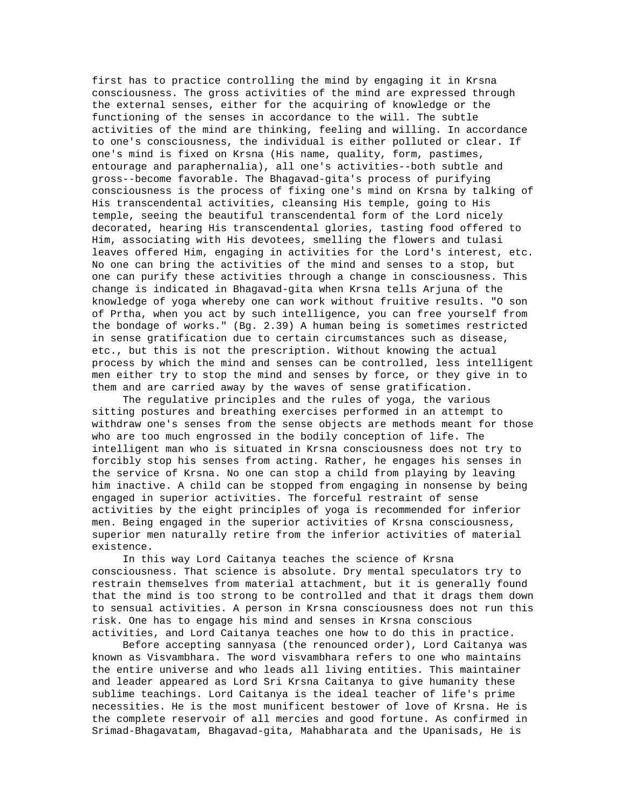first has to practice controlling the mind by engaging it in Krsna consciousness. The gross activities of the mind are expressed through the external senses, either for the acquiring of knowledge or the functioning of the senses in accordance to the will. The subtle activities of the mind are thinking, feeling and willing. In accordance to one's consciousness, the individual is either polluted or clear. If one's mind is fixed on Krsna (His name, quality, form, pastimes, entourage and paraphernalia), all one's activities--both subtle and gross--become favorable. The Bhagavad-gita's process of purifying consciousness is the process of fixing one's mind on Krsna by talking of His transcendental activities, cleansing His temple, going to His temple, seeing the beautiful transcendental form of the Lord nicely decorated, hearing His transcendental glories, tasting food offered to Him, associating with His devotees, smelling the flowers and tulasi leaves offered Him, engaging in activities for the Lord's interest, etc. No one can bring the activities of the mind and senses to a stop, but one can purify these activities through a change in consciousness. This change is indicated in Bhagavad-gita when Krsna tells Arjuna of the knowledge of yoga whereby one can work without fruitive results. "O son of Prtha, when you act by such intelligence, you can free yourself from the bondage of works." (Bg. 2.39) A human being is sometimes restricted in sense gratification due to certain circumstances such as disease, etc., but this is not the prescription. Without knowing the actual process by which the mind and senses can be controlled, less intelligent men either try to stop the mind and senses by force, or they give in to them and are carried away by the waves of sense gratification.

 The regulative principles and the rules of yoga, the various sitting postures and breathing exercises performed in an attempt to withdraw one's senses from the sense objects are methods meant for those who are too much engrossed in the bodily conception of life. The intelligent man who is situated in Krsna consciousness does not try to forcibly stop his senses from acting. Rather, he engages his senses in the service of Krsna. No one can stop a child from playing by leaving him inactive. A child can be stopped from engaging in nonsense by being engaged in superior activities. The forceful restraint of sense activities by the eight principles of yoga is recommended for inferior men. Being engaged in the superior activities of Krsna consciousness, superior men naturally retire from the inferior activities of material existence.

 In this way Lord Caitanya teaches the science of Krsna consciousness. That science is absolute. Dry mental speculators try to restrain themselves from material attachment, but it is generally found that the mind is too strong to be controlled and that it drags them down to sensual activities. A person in Krsna consciousness does not run this risk. One has to engage his mind and senses in Krsna conscious activities, and Lord Caitanya teaches one how to do this in practice.

 Before accepting sannyasa (the renounced order), Lord Caitanya was known as Visvambhara. The word visvambhara refers to one who maintains the entire universe and who leads all living entities. This maintainer and leader appeared as Lord Sri Krsna Caitanya to give humanity these sublime teachings. Lord Caitanya is the ideal teacher of life's prime necessities. He is the most munificent bestower of love of Krsna. He is the complete reservoir of all mercies and good fortune. As confirmed in Srimad-Bhagavatam, Bhagavad-gita, Mahabharata and the Upanisads, He is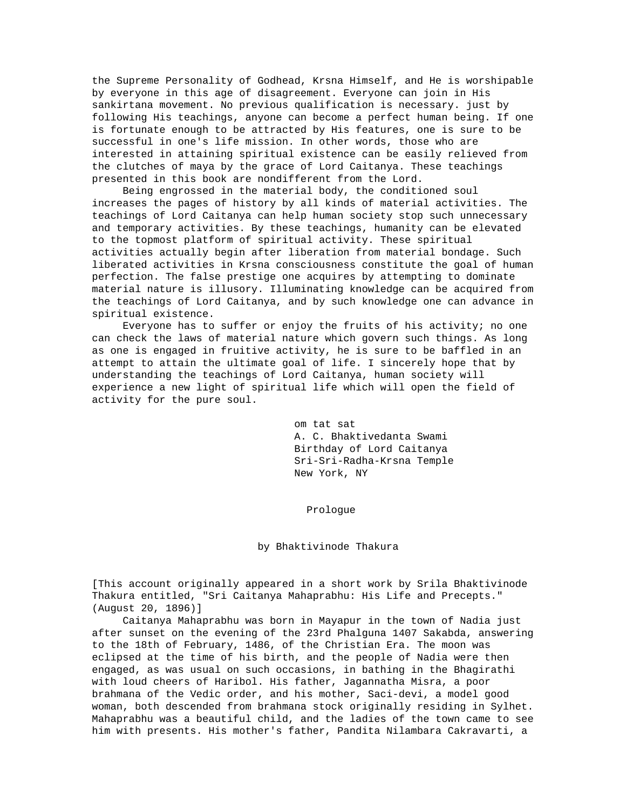the Supreme Personality of Godhead, Krsna Himself, and He is worshipable by everyone in this age of disagreement. Everyone can join in His sankirtana movement. No previous qualification is necessary. just by following His teachings, anyone can become a perfect human being. If one is fortunate enough to be attracted by His features, one is sure to be successful in one's life mission. In other words, those who are interested in attaining spiritual existence can be easily relieved from the clutches of maya by the grace of Lord Caitanya. These teachings presented in this book are nondifferent from the Lord.

 Being engrossed in the material body, the conditioned soul increases the pages of history by all kinds of material activities. The teachings of Lord Caitanya can help human society stop such unnecessary and temporary activities. By these teachings, humanity can be elevated to the topmost platform of spiritual activity. These spiritual activities actually begin after liberation from material bondage. Such liberated activities in Krsna consciousness constitute the goal of human perfection. The false prestige one acquires by attempting to dominate material nature is illusory. Illuminating knowledge can be acquired from the teachings of Lord Caitanya, and by such knowledge one can advance in spiritual existence.

 Everyone has to suffer or enjoy the fruits of his activity; no one can check the laws of material nature which govern such things. As long as one is engaged in fruitive activity, he is sure to be baffled in an attempt to attain the ultimate goal of life. I sincerely hope that by understanding the teachings of Lord Caitanya, human society will experience a new light of spiritual life which will open the field of activity for the pure soul.

> om tat sat A. C. Bhaktivedanta Swami Birthday of Lord Caitanya Sri-Sri-Radha-Krsna Temple New York, NY

Prologue

by Bhaktivinode Thakura

[This account originally appeared in a short work by Srila Bhaktivinode Thakura entitled, "Sri Caitanya Mahaprabhu: His Life and Precepts." (August 20, 1896)]

 Caitanya Mahaprabhu was born in Mayapur in the town of Nadia just after sunset on the evening of the 23rd Phalguna 1407 Sakabda, answering to the 18th of February, 1486, of the Christian Era. The moon was eclipsed at the time of his birth, and the people of Nadia were then engaged, as was usual on such occasions, in bathing in the Bhagirathi with loud cheers of Haribol. His father, Jagannatha Misra, a poor brahmana of the Vedic order, and his mother, Saci-devi, a model good woman, both descended from brahmana stock originally residing in Sylhet. Mahaprabhu was a beautiful child, and the ladies of the town came to see him with presents. His mother's father, Pandita Nilambara Cakravarti, a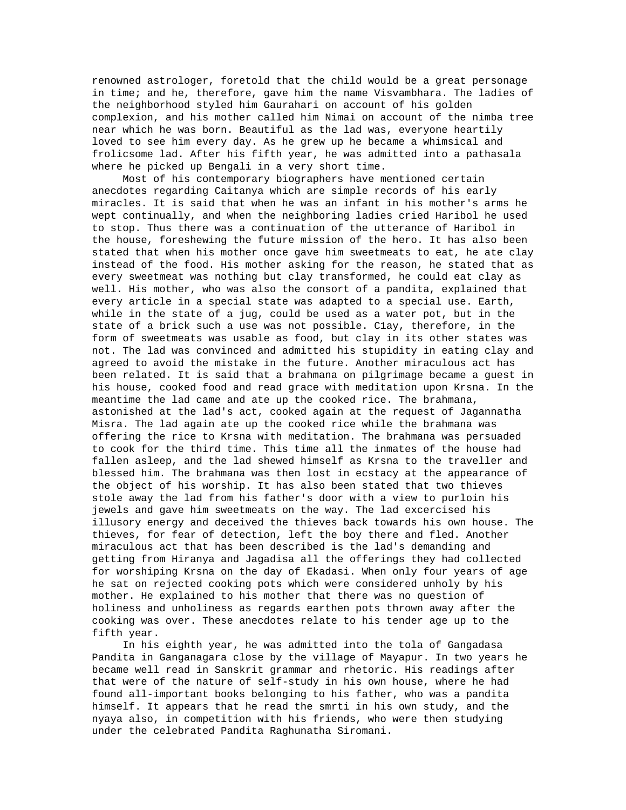renowned astrologer, foretold that the child would be a great personage in time; and he, therefore, gave him the name Visvambhara. The ladies of the neighborhood styled him Gaurahari on account of his golden complexion, and his mother called him Nimai on account of the nimba tree near which he was born. Beautiful as the lad was, everyone heartily loved to see him every day. As he grew up he became a whimsical and frolicsome lad. After his fifth year, he was admitted into a pathasala where he picked up Bengali in a very short time.

 Most of his contemporary biographers have mentioned certain anecdotes regarding Caitanya which are simple records of his early miracles. It is said that when he was an infant in his mother's arms he wept continually, and when the neighboring ladies cried Haribol he used to stop. Thus there was a continuation of the utterance of Haribol in the house, foreshewing the future mission of the hero. It has also been stated that when his mother once gave him sweetmeats to eat, he ate clay instead of the food. His mother asking for the reason, he stated that as every sweetmeat was nothing but clay transformed, he could eat clay as well. His mother, who was also the consort of a pandita, explained that every article in a special state was adapted to a special use. Earth, while in the state of a jug, could be used as a water pot, but in the state of a brick such a use was not possible. C1ay, therefore, in the form of sweetmeats was usable as food, but clay in its other states was not. The lad was convinced and admitted his stupidity in eating clay and agreed to avoid the mistake in the future. Another miraculous act has been related. It is said that a brahmana on pilgrimage became a guest in his house, cooked food and read grace with meditation upon Krsna. In the meantime the lad came and ate up the cooked rice. The brahmana, astonished at the lad's act, cooked again at the request of Jagannatha Misra. The lad again ate up the cooked rice while the brahmana was offering the rice to Krsna with meditation. The brahmana was persuaded to cook for the third time. This time all the inmates of the house had fallen asleep, and the lad shewed himself as Krsna to the traveller and blessed him. The brahmana was then lost in ecstacy at the appearance of the object of his worship. It has also been stated that two thieves stole away the lad from his father's door with a view to purloin his jewels and gave him sweetmeats on the way. The lad excercised his illusory energy and deceived the thieves back towards his own house. The thieves, for fear of detection, left the boy there and fled. Another miraculous act that has been described is the lad's demanding and getting from Hiranya and Jagadisa all the offerings they had collected for worshiping Krsna on the day of Ekadasi. When only four years of age he sat on rejected cooking pots which were considered unholy by his mother. He explained to his mother that there was no question of holiness and unholiness as regards earthen pots thrown away after the cooking was over. These anecdotes relate to his tender age up to the fifth year.

 In his eighth year, he was admitted into the tola of Gangadasa Pandita in Ganganagara close by the village of Mayapur. In two years he became well read in Sanskrit grammar and rhetoric. His readings after that were of the nature of self-study in his own house, where he had found all-important books belonging to his father, who was a pandita himself. It appears that he read the smrti in his own study, and the nyaya also, in competition with his friends, who were then studying under the celebrated Pandita Raghunatha Siromani.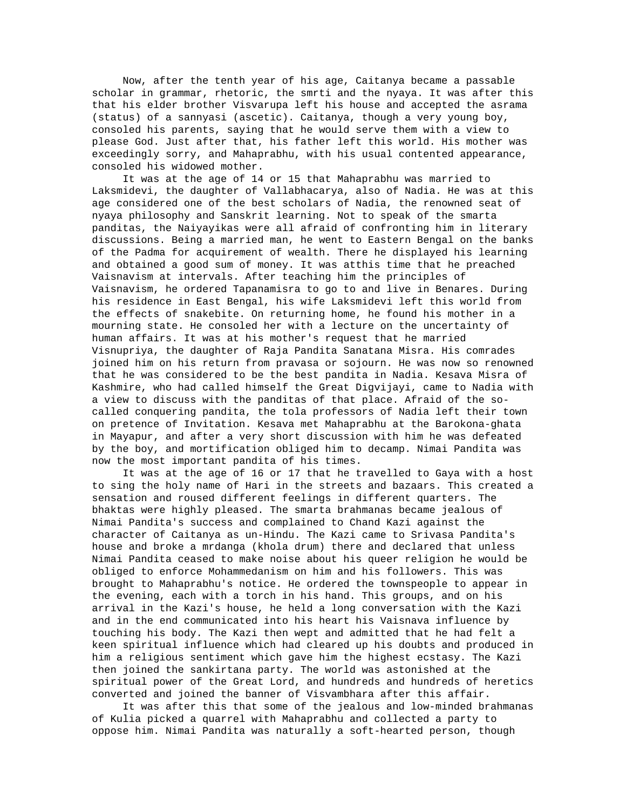Now, after the tenth year of his age, Caitanya became a passable scholar in grammar, rhetoric, the smrti and the nyaya. It was after this that his elder brother Visvarupa left his house and accepted the asrama (status) of a sannyasi (ascetic). Caitanya, though a very young boy, consoled his parents, saying that he would serve them with a view to please God. Just after that, his father left this world. His mother was exceedingly sorry, and Mahaprabhu, with his usual contented appearance, consoled his widowed mother.

 It was at the age of 14 or 15 that Mahaprabhu was married to Laksmidevi, the daughter of Vallabhacarya, also of Nadia. He was at this age considered one of the best scholars of Nadia, the renowned seat of nyaya philosophy and Sanskrit learning. Not to speak of the smarta panditas, the Naiyayikas were all afraid of confronting him in literary discussions. Being a married man, he went to Eastern Bengal on the banks of the Padma for acquirement of wealth. There he displayed his learning and obtained a good sum of money. It was atthis time that he preached Vaisnavism at intervals. After teaching him the principles of Vaisnavism, he ordered Tapanamisra to go to and live in Benares. During his residence in East Bengal, his wife Laksmidevi left this world from the effects of snakebite. On returning home, he found his mother in a mourning state. He consoled her with a lecture on the uncertainty of human affairs. It was at his mother's request that he married Visnupriya, the daughter of Raja Pandita Sanatana Misra. His comrades joined him on his return from pravasa or sojourn. He was now so renowned that he was considered to be the best pandita in Nadia. Kesava Misra of Kashmire, who had called himself the Great Digvijayi, came to Nadia with a view to discuss with the panditas of that place. Afraid of the socalled conquering pandita, the tola professors of Nadia left their town on pretence of Invitation. Kesava met Mahaprabhu at the Barokona-ghata in Mayapur, and after a very short discussion with him he was defeated by the boy, and mortification obliged him to decamp. Nimai Pandita was now the most important pandita of his times.

 It was at the age of 16 or 17 that he travelled to Gaya with a host to sing the holy name of Hari in the streets and bazaars. This created a sensation and roused different feelings in different quarters. The bhaktas were highly pleased. The smarta brahmanas became jealous of Nimai Pandita's success and complained to Chand Kazi against the character of Caitanya as un-Hindu. The Kazi came to Srivasa Pandita's house and broke a mrdanga (khola drum) there and declared that unless Nimai Pandita ceased to make noise about his queer religion he would be obliged to enforce Mohammedanism on him and his followers. This was brought to Mahaprabhu's notice. He ordered the townspeople to appear in the evening, each with a torch in his hand. This groups, and on his arrival in the Kazi's house, he held a long conversation with the Kazi and in the end communicated into his heart his Vaisnava influence by touching his body. The Kazi then wept and admitted that he had felt a keen spiritual influence which had cleared up his doubts and produced in him a religious sentiment which gave him the highest ecstasy. The Kazi then joined the sankirtana party. The world was astonished at the spiritual power of the Great Lord, and hundreds and hundreds of heretics converted and joined the banner of Visvambhara after this affair.

 It was after this that some of the jealous and low-minded brahmanas of Kulia picked a quarrel with Mahaprabhu and collected a party to oppose him. Nimai Pandita was naturally a soft-hearted person, though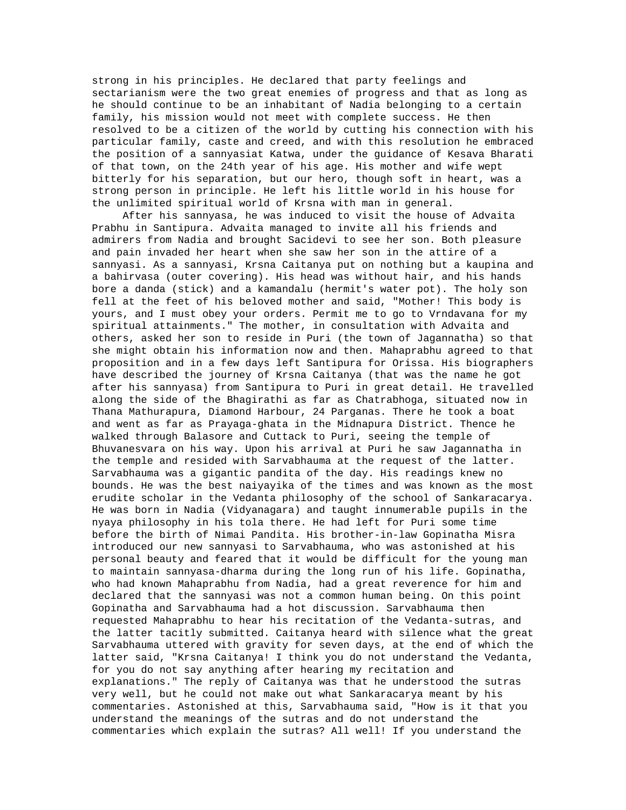strong in his principles. He declared that party feelings and sectarianism were the two great enemies of progress and that as long as he should continue to be an inhabitant of Nadia belonging to a certain family, his mission would not meet with complete success. He then resolved to be a citizen of the world by cutting his connection with his particular family, caste and creed, and with this resolution he embraced the position of a sannyasiat Katwa, under the guidance of Kesava Bharati of that town, on the 24th year of his age. His mother and wife wept bitterly for his separation, but our hero, though soft in heart, was a strong person in principle. He left his little world in his house for the unlimited spiritual world of Krsna with man in general.

 After his sannyasa, he was induced to visit the house of Advaita Prabhu in Santipura. Advaita managed to invite all his friends and admirers from Nadia and brought Sacidevi to see her son. Both pleasure and pain invaded her heart when she saw her son in the attire of a sannyasi. As a sannyasi, Krsna Caitanya put on nothing but a kaupina and a bahirvasa (outer covering). His head was without hair, and his hands bore a danda (stick) and a kamandalu (hermit's water pot). The holy son fell at the feet of his beloved mother and said, "Mother! This body is yours, and I must obey your orders. Permit me to go to Vrndavana for my spiritual attainments." The mother, in consultation with Advaita and others, asked her son to reside in Puri (the town of Jagannatha) so that she might obtain his information now and then. Mahaprabhu agreed to that proposition and in a few days left Santipura for Orissa. His biographers have described the journey of Krsna Caitanya (that was the name he got after his sannyasa) from Santipura to Puri in great detail. He travelled along the side of the Bhagirathi as far as Chatrabhoga, situated now in Thana Mathurapura, Diamond Harbour, 24 Parganas. There he took a boat and went as far as Prayaga-ghata in the Midnapura District. Thence he walked through Balasore and Cuttack to Puri, seeing the temple of Bhuvanesvara on his way. Upon his arrival at Puri he saw Jagannatha in the temple and resided with Sarvabhauma at the request of the latter. Sarvabhauma was a gigantic pandita of the day. His readings knew no bounds. He was the best naiyayika of the times and was known as the most erudite scholar in the Vedanta philosophy of the school of Sankaracarya. He was born in Nadia (Vidyanagara) and taught innumerable pupils in the nyaya philosophy in his tola there. He had left for Puri some time before the birth of Nimai Pandita. His brother-in-law Gopinatha Misra introduced our new sannyasi to Sarvabhauma, who was astonished at his personal beauty and feared that it would be difficult for the young man to maintain sannyasa-dharma during the long run of his life. Gopinatha, who had known Mahaprabhu from Nadia, had a great reverence for him and declared that the sannyasi was not a common human being. On this point Gopinatha and Sarvabhauma had a hot discussion. Sarvabhauma then requested Mahaprabhu to hear his recitation of the Vedanta-sutras, and the latter tacitly submitted. Caitanya heard with silence what the great Sarvabhauma uttered with gravity for seven days, at the end of which the latter said, "Krsna Caitanya! I think you do not understand the Vedanta, for you do not say anything after hearing my recitation and explanations." The reply of Caitanya was that he understood the sutras very well, but he could not make out what Sankaracarya meant by his commentaries. Astonished at this, Sarvabhauma said, "How is it that you understand the meanings of the sutras and do not understand the commentaries which explain the sutras? All well! If you understand the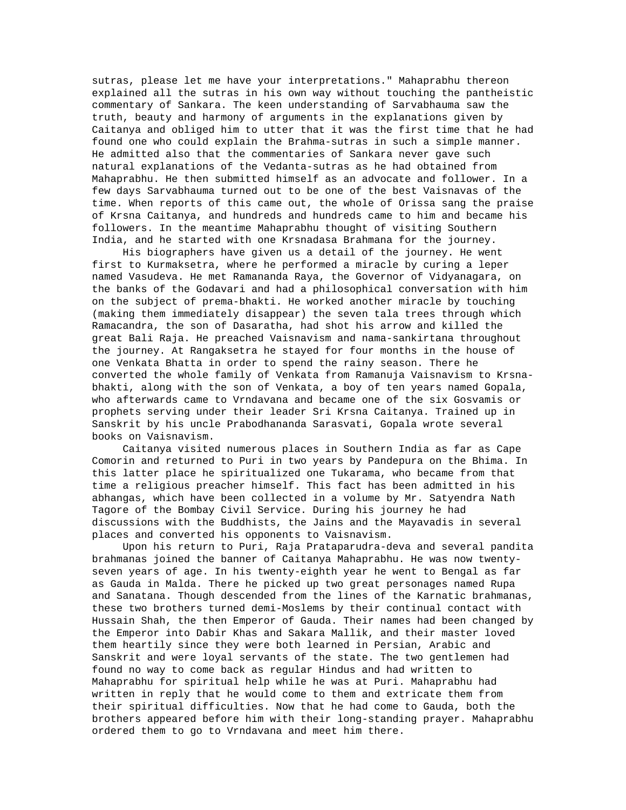sutras, please let me have your interpretations." Mahaprabhu thereon explained all the sutras in his own way without touching the pantheistic commentary of Sankara. The keen understanding of Sarvabhauma saw the truth, beauty and harmony of arguments in the explanations given by Caitanya and obliged him to utter that it was the first time that he had found one who could explain the Brahma-sutras in such a simple manner. He admitted also that the commentaries of Sankara never gave such natural explanations of the Vedanta-sutras as he had obtained from Mahaprabhu. He then submitted himself as an advocate and follower. In a few days Sarvabhauma turned out to be one of the best Vaisnavas of the time. When reports of this came out, the whole of Orissa sang the praise of Krsna Caitanya, and hundreds and hundreds came to him and became his followers. In the meantime Mahaprabhu thought of visiting Southern India, and he started with one Krsnadasa Brahmana for the journey.

 His biographers have given us a detail of the journey. He went first to Kurmaksetra, where he performed a miracle by curing a leper named Vasudeva. He met Ramananda Raya, the Governor of Vidyanagara, on the banks of the Godavari and had a philosophical conversation with him on the subject of prema-bhakti. He worked another miracle by touching (making them immediately disappear) the seven tala trees through which Ramacandra, the son of Dasaratha, had shot his arrow and killed the great Bali Raja. He preached Vaisnavism and nama-sankirtana throughout the journey. At Rangaksetra he stayed for four months in the house of one Venkata Bhatta in order to spend the rainy season. There he converted the whole family of Venkata from Ramanuja Vaisnavism to Krsnabhakti, along with the son of Venkata, a boy of ten years named Gopala, who afterwards came to Vrndavana and became one of the six Gosvamis or prophets serving under their leader Sri Krsna Caitanya. Trained up in Sanskrit by his uncle Prabodhananda Sarasvati, Gopala wrote several books on Vaisnavism.

 Caitanya visited numerous places in Southern India as far as Cape Comorin and returned to Puri in two years by Pandepura on the Bhima. In this latter place he spiritualized one Tukarama, who became from that time a religious preacher himself. This fact has been admitted in his abhangas, which have been collected in a volume by Mr. Satyendra Nath Tagore of the Bombay Civil Service. During his journey he had discussions with the Buddhists, the Jains and the Mayavadis in several places and converted his opponents to Vaisnavism.

 Upon his return to Puri, Raja Prataparudra-deva and several pandita brahmanas joined the banner of Caitanya Mahaprabhu. He was now twentyseven years of age. In his twenty-eighth year he went to Bengal as far as Gauda in Malda. There he picked up two great personages named Rupa and Sanatana. Though descended from the lines of the Karnatic brahmanas, these two brothers turned demi-Moslems by their continual contact with Hussain Shah, the then Emperor of Gauda. Their names had been changed by the Emperor into Dabir Khas and Sakara Mallik, and their master loved them heartily since they were both learned in Persian, Arabic and Sanskrit and were loyal servants of the state. The two gentlemen had found no way to come back as regular Hindus and had written to Mahaprabhu for spiritual help while he was at Puri. Mahaprabhu had written in reply that he would come to them and extricate them from their spiritual difficulties. Now that he had come to Gauda, both the brothers appeared before him with their long-standing prayer. Mahaprabhu ordered them to go to Vrndavana and meet him there.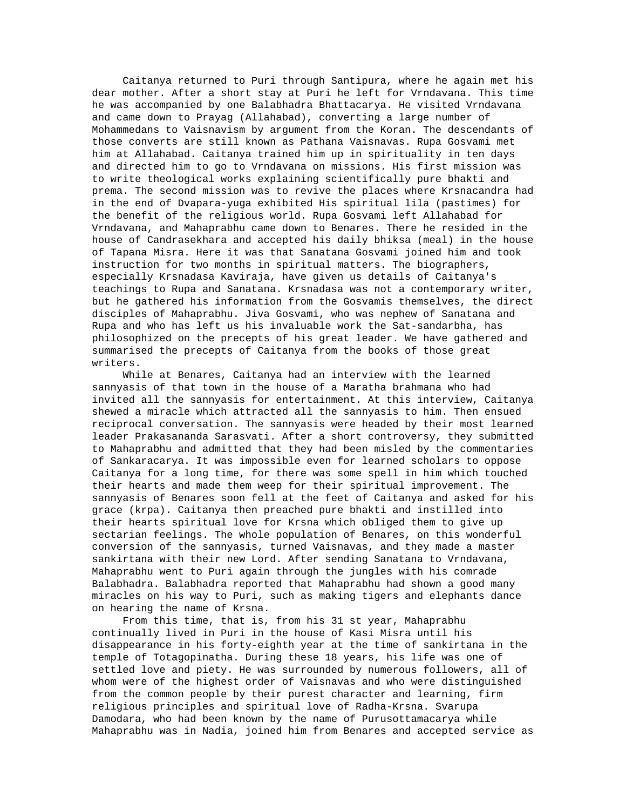Caitanya returned to Puri through Santipura, where he again met his dear mother. After a short stay at Puri he left for Vrndavana. This time he was accompanied by one Balabhadra Bhattacarya. He visited Vrndavana and came down to Prayag (Allahabad), converting a large number of Mohammedans to Vaisnavism by argument from the Koran. The descendants of those converts are still known as Pathana Vaisnavas. Rupa Gosvami met him at Allahabad. Caitanya trained him up in spirituality in ten days and directed him to go to Vrndavana on missions. His first mission was to write theological works explaining scientifically pure bhakti and prema. The second mission was to revive the places where Krsnacandra had in the end of Dvapara-yuga exhibited His spiritual lila (pastimes) for the benefit of the religious world. Rupa Gosvami left Allahabad for Vrndavana, and Mahaprabhu came down to Benares. There he resided in the house of Candrasekhara and accepted his daily bhiksa (meal) in the house of Tapana Misra. Here it was that Sanatana Gosvami joined him and took instruction for two months in spiritual matters. The biographers, especially Krsnadasa Kaviraja, have given us details of Caitanya's teachings to Rupa and Sanatana. Krsnadasa was not a contemporary writer, but he gathered his information from the Gosvamis themselves, the direct disciples of Mahaprabhu. Jiva Gosvami, who was nephew of Sanatana and Rupa and who has left us his invaluable work the Sat-sandarbha, has philosophized on the precepts of his great leader. We have gathered and summarised the precepts of Caitanya from the books of those great writers.

 While at Benares, Caitanya had an interview with the learned sannyasis of that town in the house of a Maratha brahmana who had invited all the sannyasis for entertainment. At this interview, Caitanya shewed a miracle which attracted all the sannyasis to him. Then ensued reciprocal conversation. The sannyasis were headed by their most learned leader Prakasananda Sarasvati. After a short controversy, they submitted to Mahaprabhu and admitted that they had been misled by the commentaries of Sankaracarya. It was impossible even for learned scholars to oppose Caitanya for a long time, for there was some spell in him which touched their hearts and made them weep for their spiritual improvement. The sannyasis of Benares soon fell at the feet of Caitanya and asked for his grace (krpa). Caitanya then preached pure bhakti and instilled into their hearts spiritual love for Krsna which obliged them to give up sectarian feelings. The whole population of Benares, on this wonderful conversion of the sannyasis, turned Vaisnavas, and they made a master sankirtana with their new Lord. After sending Sanatana to Vrndavana, Mahaprabhu went to Puri again through the jungles with his comrade Balabhadra. Balabhadra reported that Mahaprabhu had shown a good many miracles on his way to Puri, such as making tigers and elephants dance on hearing the name of Krsna.

 From this time, that is, from his 31 st year, Mahaprabhu continually lived in Puri in the house of Kasi Misra until his disappearance in his forty-eighth year at the time of sankirtana in the temple of Totagopinatha. During these 18 years, his life was one of settled love and piety. He was surrounded by numerous followers, all of whom were of the highest order of Vaisnavas and who were distinguished from the common people by their purest character and learning, firm religious principles and spiritual love of Radha-Krsna. Svarupa Damodara, who had been known by the name of Purusottamacarya while Mahaprabhu was in Nadia, joined him from Benares and accepted service as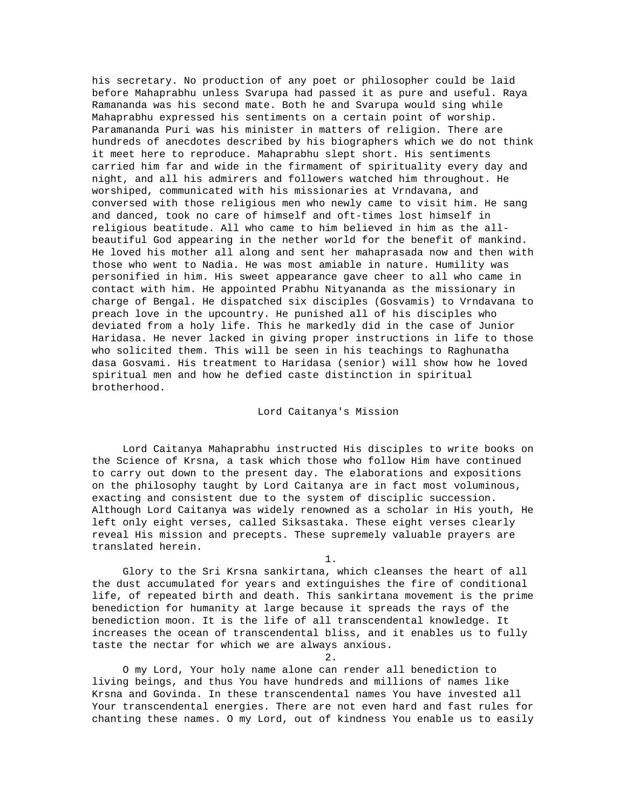his secretary. No production of any poet or philosopher could be laid before Mahaprabhu unless Svarupa had passed it as pure and useful. Raya Ramananda was his second mate. Both he and Svarupa would sing while Mahaprabhu expressed his sentiments on a certain point of worship. Paramananda Puri was his minister in matters of religion. There are hundreds of anecdotes described by his biographers which we do not think it meet here to reproduce. Mahaprabhu slept short. His sentiments carried him far and wide in the firmament of spirituality every day and night, and all his admirers and followers watched him throughout. He worshiped, communicated with his missionaries at Vrndavana, and conversed with those religious men who newly came to visit him. He sang and danced, took no care of himself and oft-times lost himself in religious beatitude. All who came to him believed in him as the allbeautiful God appearing in the nether world for the benefit of mankind. He loved his mother all along and sent her mahaprasada now and then with those who went to Nadia. He was most amiable in nature. Humility was personified in him. His sweet appearance gave cheer to all who came in contact with him. He appointed Prabhu Nityananda as the missionary in charge of Bengal. He dispatched six disciples (Gosvamis) to Vrndavana to preach love in the upcountry. He punished all of his disciples who deviated from a holy life. This he markedly did in the case of Junior Haridasa. He never lacked in giving proper instructions in life to those who solicited them. This will be seen in his teachings to Raghunatha dasa Gosvami. His treatment to Haridasa (senior) will show how he loved spiritual men and how he defied caste distinction in spiritual brotherhood.

## Lord Caitanya's Mission

 Lord Caitanya Mahaprabhu instructed His disciples to write books on the Science of Krsna, a task which those who follow Him have continued to carry out down to the present day. The elaborations and expositions on the philosophy taught by Lord Caitanya are in fact most voluminous, exacting and consistent due to the system of disciplic succession. Although Lord Caitanya was widely renowned as a scholar in His youth, He left only eight verses, called Siksastaka. These eight verses clearly reveal His mission and precepts. These supremely valuable prayers are translated herein.

 $1.$ 

 Glory to the Sri Krsna sankirtana, which cleanses the heart of all the dust accumulated for years and extinguishes the fire of conditional life, of repeated birth and death. This sankirtana movement is the prime benediction for humanity at large because it spreads the rays of the benediction moon. It is the life of all transcendental knowledge. It increases the ocean of transcendental bliss, and it enables us to fully taste the nectar for which we are always anxious.

2.

 O my Lord, Your holy name alone can render all benediction to living beings, and thus You have hundreds and millions of names like Krsna and Govinda. In these transcendental names You have invested all Your transcendental energies. There are not even hard and fast rules for chanting these names. O my Lord, out of kindness You enable us to easily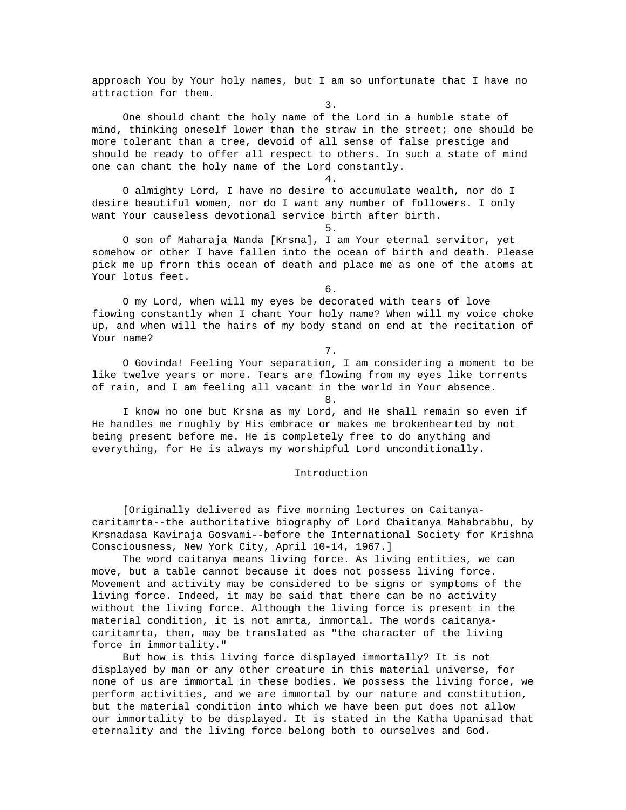approach You by Your holy names, but I am so unfortunate that I have no attraction for them.

3.

 One should chant the holy name of the Lord in a humble state of mind, thinking oneself lower than the straw in the street; one should be more tolerant than a tree, devoid of all sense of false prestige and should be ready to offer all respect to others. In such a state of mind one can chant the holy name of the Lord constantly.

4.

 O almighty Lord, I have no desire to accumulate wealth, nor do I desire beautiful women, nor do I want any number of followers. I only want Your causeless devotional service birth after birth.

 $5.$ 

7.

 O son of Maharaja Nanda [Krsna], I am Your eternal servitor, yet somehow or other I have fallen into the ocean of birth and death. Please pick me up frorn this ocean of death and place me as one of the atoms at Your lotus feet.

 $\overline{6}$ . O my Lord, when will my eyes be decorated with tears of love fiowing constantly when I chant Your holy name? When will my voice choke up, and when will the hairs of my body stand on end at the recitation of Your name?

 O Govinda! Feeling Your separation, I am considering a moment to be like twelve years or more. Tears are flowing from my eyes like torrents of rain, and I am feeling all vacant in the world in Your absence. 8.

 I know no one but Krsna as my Lord, and He shall remain so even if He handles me roughly by His embrace or makes me brokenhearted by not being present before me. He is completely free to do anything and everything, for He is always my worshipful Lord unconditionally.

## Introduction

 [Originally delivered as five morning lectures on Caitanyacaritamrta--the authoritative biography of Lord Chaitanya Mahabrabhu, by Krsnadasa Kaviraja Gosvami--before the International Society for Krishna Consciousness, New York City, April 10-14, 1967.]

 The word caitanya means living force. As living entities, we can move, but a table cannot because it does not possess living force. Movement and activity may be considered to be signs or symptoms of the living force. Indeed, it may be said that there can be no activity without the living force. Although the living force is present in the material condition, it is not amrta, immortal. The words caitanyacaritamrta, then, may be translated as "the character of the living force in immortality."

 But how is this living force displayed immortally? It is not displayed by man or any other creature in this material universe, for none of us are immortal in these bodies. We possess the living force, we perform activities, and we are immortal by our nature and constitution, but the material condition into which we have been put does not allow our immortality to be displayed. It is stated in the Katha Upanisad that eternality and the living force belong both to ourselves and God.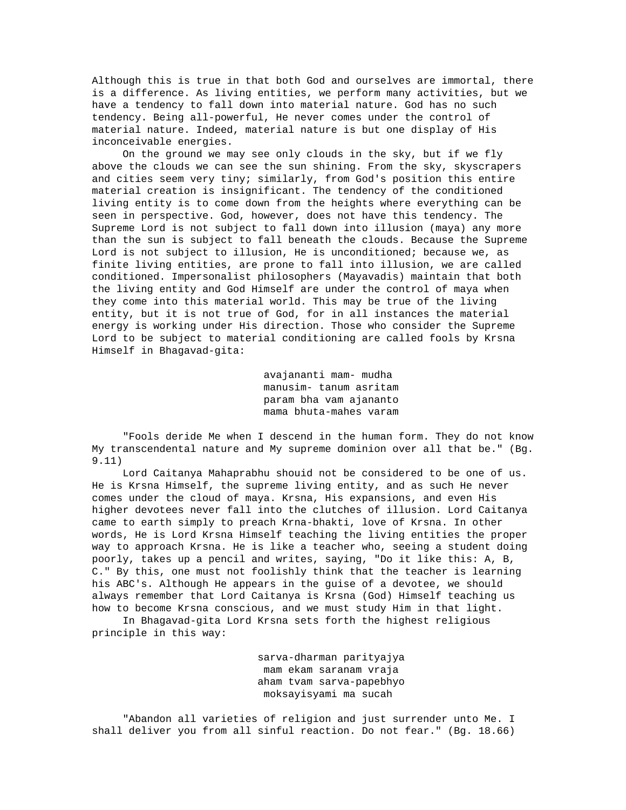Although this is true in that both God and ourselves are immortal, there is a difference. As living entities, we perform many activities, but we have a tendency to fall down into material nature. God has no such tendency. Being all-powerful, He never comes under the control of material nature. Indeed, material nature is but one display of His inconceivable energies.

 On the ground we may see only clouds in the sky, but if we fly above the clouds we can see the sun shining. From the sky, skyscrapers and cities seem very tiny; similarly, from God's position this entire material creation is insignificant. The tendency of the conditioned living entity is to come down from the heights where everything can be seen in perspective. God, however, does not have this tendency. The Supreme Lord is not subject to fall down into illusion (maya) any more than the sun is subject to fall beneath the clouds. Because the Supreme Lord is not subject to illusion, He is unconditioned; because we, as finite living entities, are prone to fall into illusion, we are called conditioned. Impersonalist philosophers (Mayavadis) maintain that both the living entity and God Himself are under the control of maya when they come into this material world. This may be true of the living entity, but it is not true of God, for in all instances the material energy is working under His direction. Those who consider the Supreme Lord to be subject to material conditioning are called fools by Krsna Himself in Bhagavad-gita:

> avajananti mam- mudha manusim- tanum asritam param bha vam ajananto mama bhuta-mahes varam

 "Fools deride Me when I descend in the human form. They do not know My transcendental nature and My supreme dominion over all that be." (Bg. 9.11)

 Lord Caitanya Mahaprabhu shouid not be considered to be one of us. He is Krsna Himself, the supreme living entity, and as such He never comes under the cloud of maya. Krsna, His expansions, and even His higher devotees never fall into the clutches of illusion. Lord Caitanya came to earth simply to preach Krna-bhakti, love of Krsna. In other words, He is Lord Krsna Himself teaching the living entities the proper way to approach Krsna. He is like a teacher who, seeing a student doing poorly, takes up a pencil and writes, saying, "Do it like this: A, B, C." By this, one must not foolishly think that the teacher is learning his ABC's. Although He appears in the guise of a devotee, we should always remember that Lord Caitanya is Krsna (God) Himself teaching us how to become Krsna conscious, and we must study Him in that light.

 In Bhagavad-gita Lord Krsna sets forth the highest religious principle in this way:

> sarva-dharman parityajya mam ekam saranam vraja aham tvam sarva-papebhyo moksayisyami ma sucah

 "Abandon all varieties of religion and just surrender unto Me. I shall deliver you from all sinful reaction. Do not fear." (Bg. 18.66)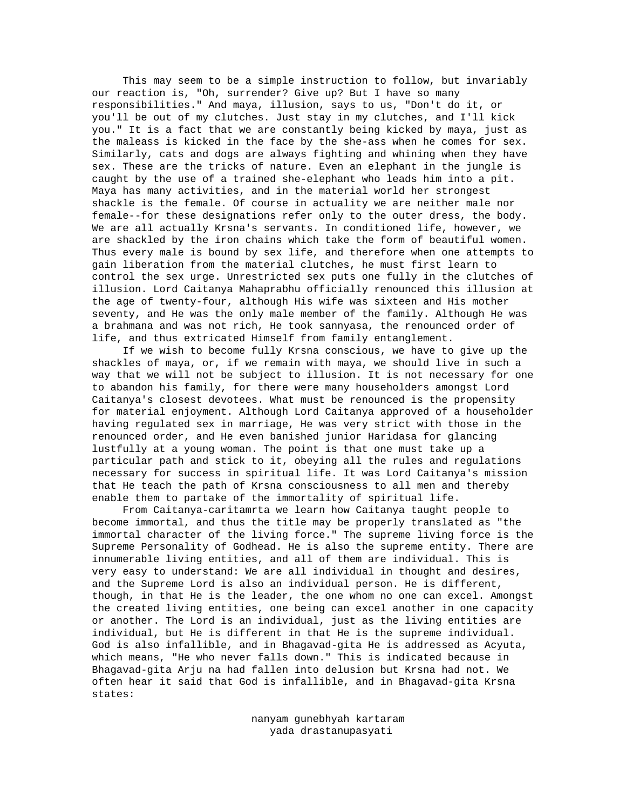This may seem to be a simple instruction to follow, but invariably our reaction is, "Oh, surrender? Give up? But I have so many responsibilities." And maya, illusion, says to us, "Don't do it, or you'll be out of my clutches. Just stay in my clutches, and I'll kick you." It is a fact that we are constantly being kicked by maya, just as the maleass is kicked in the face by the she-ass when he comes for sex. Similarly, cats and dogs are always fighting and whining when they have sex. These are the tricks of nature. Even an elephant in the jungle is caught by the use of a trained she-elephant who leads him into a pit. Maya has many activities, and in the material world her strongest shackle is the female. Of course in actuality we are neither male nor female--for these designations refer only to the outer dress, the body. We are all actually Krsna's servants. In conditioned life, however, we are shackled by the iron chains which take the form of beautiful women. Thus every male is bound by sex life, and therefore when one attempts to gain liberation from the material clutches, he must first learn to control the sex urge. Unrestricted sex puts one fully in the clutches of illusion. Lord Caitanya Mahaprabhu officially renounced this illusion at the age of twenty-four, although His wife was sixteen and His mother seventy, and He was the only male member of the family. Although He was a brahmana and was not rich, He took sannyasa, the renounced order of life, and thus extricated Himself from family entanglement.

 If we wish to become fully Krsna conscious, we have to give up the shackles of maya, or, if we remain with maya, we should live in such a way that we will not be subject to illusion. It is not necessary for one to abandon his family, for there were many householders amongst Lord Caitanya's closest devotees. What must be renounced is the propensity for material enjoyment. Although Lord Caitanya approved of a householder having regulated sex in marriage, He was very strict with those in the renounced order, and He even banished junior Haridasa for glancing lustfully at a young woman. The point is that one must take up a particular path and stick to it, obeying all the rules and regulations necessary for success in spiritual life. It was Lord Caitanya's mission that He teach the path of Krsna consciousness to all men and thereby enable them to partake of the immortality of spiritual life.

 From Caitanya-caritamrta we learn how Caitanya taught people to become immortal, and thus the title may be properly translated as "the immortal character of the living force." The supreme living force is the Supreme Personality of Godhead. He is also the supreme entity. There are innumerable living entities, and all of them are individual. This is very easy to understand: We are all individual in thought and desires, and the Supreme Lord is also an individual person. He is different, though, in that He is the leader, the one whom no one can excel. Amongst the created living entities, one being can excel another in one capacity or another. The Lord is an individual, just as the living entities are individual, but He is different in that He is the supreme individual. God is also infallible, and in Bhagavad-gita He is addressed as Acyuta, which means, "He who never falls down." This is indicated because in Bhagavad-gita Arju na had fallen into delusion but Krsna had not. We often hear it said that God is infallible, and in Bhagavad-gita Krsna states:

> nanyam gunebhyah kartaram yada drastanupasyati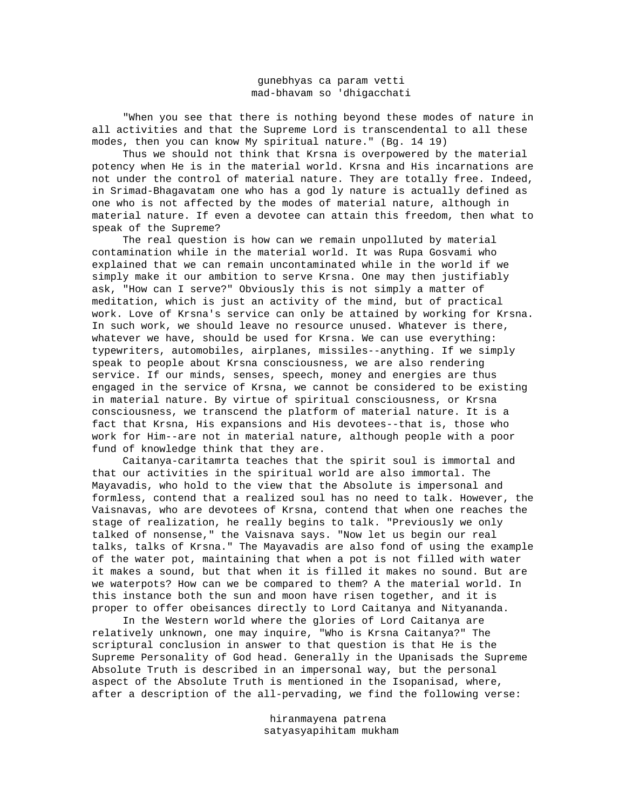gunebhyas ca param vetti mad-bhavam so 'dhigacchati

 "When you see that there is nothing beyond these modes of nature in all activities and that the Supreme Lord is transcendental to all these modes, then you can know My spiritual nature." (Bg. 14 19)

 Thus we should not think that Krsna is overpowered by the material potency when He is in the material world. Krsna and His incarnations are not under the control of material nature. They are totally free. Indeed, in Srimad-Bhagavatam one who has a god ly nature is actually defined as one who is not affected by the modes of material nature, although in material nature. If even a devotee can attain this freedom, then what to speak of the Supreme?

 The real question is how can we remain unpolluted by material contamination while in the material world. It was Rupa Gosvami who explained that we can remain uncontaminated while in the world if we simply make it our ambition to serve Krsna. One may then justifiably ask, "How can I serve?" Obviously this is not simply a matter of meditation, which is just an activity of the mind, but of practical work. Love of Krsna's service can only be attained by working for Krsna. In such work, we should leave no resource unused. Whatever is there, whatever we have, should be used for Krsna. We can use everything: typewriters, automobiles, airplanes, missiles--anything. If we simply speak to people about Krsna consciousness, we are also rendering service. If our minds, senses, speech, money and energies are thus engaged in the service of Krsna, we cannot be considered to be existing in material nature. By virtue of spiritual consciousness, or Krsna consciousness, we transcend the platform of material nature. It is a fact that Krsna, His expansions and His devotees--that is, those who work for Him--are not in material nature, although people with a poor fund of knowledge think that they are.

 Caitanya-caritamrta teaches that the spirit soul is immortal and that our activities in the spiritual world are also immortal. The Mayavadis, who hold to the view that the Absolute is impersonal and formless, contend that a realized soul has no need to talk. However, the Vaisnavas, who are devotees of Krsna, contend that when one reaches the stage of realization, he really begins to talk. "Previously we only talked of nonsense," the Vaisnava says. "Now let us begin our real talks, talks of Krsna." The Mayavadis are also fond of using the example of the water pot, maintaining that when a pot is not filled with water it makes a sound, but that when it is filled it makes no sound. But are we waterpots? How can we be compared to them? A the material world. In this instance both the sun and moon have risen together, and it is proper to offer obeisances directly to Lord Caitanya and Nityananda.

 In the Western world where the glories of Lord Caitanya are relatively unknown, one may inquire, "Who is Krsna Caitanya?" The scriptural conclusion in answer to that question is that He is the Supreme Personality of God head. Generally in the Upanisads the Supreme Absolute Truth is described in an impersonal way, but the personal aspect of the Absolute Truth is mentioned in the Isopanisad, where, after a description of the all-pervading, we find the following verse:

> hiranmayena patrena satyasyapihitam mukham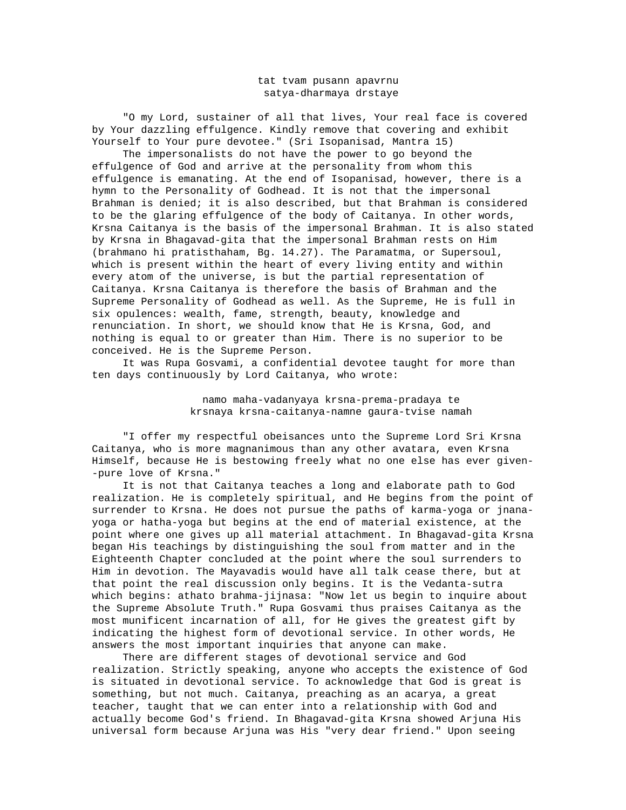## tat tvam pusann apavrnu satya-dharmaya drstaye

 "O my Lord, sustainer of all that lives, Your real face is covered by Your dazzling effulgence. Kindly remove that covering and exhibit Yourself to Your pure devotee." (Sri Isopanisad, Mantra 15)

 The impersonalists do not have the power to go beyond the effulgence of God and arrive at the personality from whom this effulgence is emanating. At the end of Isopanisad, however, there is a hymn to the Personality of Godhead. It is not that the impersonal Brahman is denied; it is also described, but that Brahman is considered to be the glaring effulgence of the body of Caitanya. In other words, Krsna Caitanya is the basis of the impersonal Brahman. It is also stated by Krsna in Bhagavad-gita that the impersonal Brahman rests on Him (brahmano hi pratisthaham, Bg. 14.27). The Paramatma, or Supersoul, which is present within the heart of every living entity and within every atom of the universe, is but the partial representation of Caitanya. Krsna Caitanya is therefore the basis of Brahman and the Supreme Personality of Godhead as well. As the Supreme, He is full in six opulences: wealth, fame, strength, beauty, knowledge and renunciation. In short, we should know that He is Krsna, God, and nothing is equal to or greater than Him. There is no superior to be conceived. He is the Supreme Person.

 It was Rupa Gosvami, a confidential devotee taught for more than ten days continuously by Lord Caitanya, who wrote:

> namo maha-vadanyaya krsna-prema-pradaya te krsnaya krsna-caitanya-namne gaura-tvise namah

 "I offer my respectful obeisances unto the Supreme Lord Sri Krsna Caitanya, who is more magnanimous than any other avatara, even Krsna Himself, because He is bestowing freely what no one else has ever given- -pure love of Krsna."

 It is not that Caitanya teaches a long and elaborate path to God realization. He is completely spiritual, and He begins from the point of surrender to Krsna. He does not pursue the paths of karma-yoga or jnanayoga or hatha-yoga but begins at the end of material existence, at the point where one gives up all material attachment. In Bhagavad-gita Krsna began His teachings by distinguishing the soul from matter and in the Eighteenth Chapter concluded at the point where the soul surrenders to Him in devotion. The Mayavadis would have all talk cease there, but at that point the real discussion only begins. It is the Vedanta-sutra which begins: athato brahma-jijnasa: "Now let us begin to inquire about the Supreme Absolute Truth." Rupa Gosvami thus praises Caitanya as the most munificent incarnation of all, for He gives the greatest gift by indicating the highest form of devotional service. In other words, He answers the most important inquiries that anyone can make.

 There are different stages of devotional service and God realization. Strictly speaking, anyone who accepts the existence of God is situated in devotional service. To acknowledge that God is great is something, but not much. Caitanya, preaching as an acarya, a great teacher, taught that we can enter into a relationship with God and actually become God's friend. In Bhagavad-gita Krsna showed Arjuna His universal form because Arjuna was His "very dear friend." Upon seeing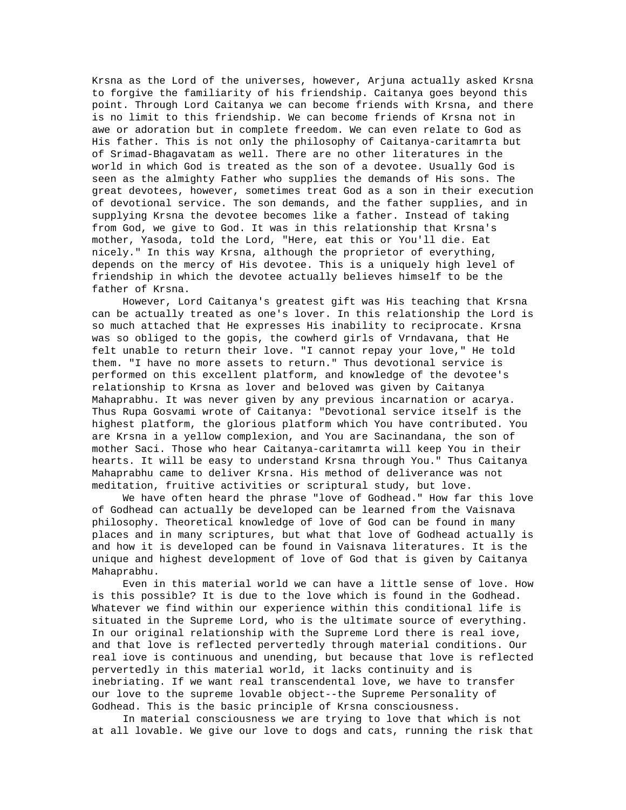Krsna as the Lord of the universes, however, Arjuna actually asked Krsna to forgive the familiarity of his friendship. Caitanya goes beyond this point. Through Lord Caitanya we can become friends with Krsna, and there is no limit to this friendship. We can become friends of Krsna not in awe or adoration but in complete freedom. We can even relate to God as His father. This is not only the philosophy of Caitanya-caritamrta but of Srimad-Bhagavatam as well. There are no other literatures in the world in which God is treated as the son of a devotee. Usually God is seen as the almighty Father who supplies the demands of His sons. The great devotees, however, sometimes treat God as a son in their execution of devotional service. The son demands, and the father supplies, and in supplying Krsna the devotee becomes like a father. Instead of taking from God, we give to God. It was in this relationship that Krsna's mother, Yasoda, told the Lord, "Here, eat this or You'll die. Eat nicely." In this way Krsna, although the proprietor of everything, depends on the mercy of His devotee. This is a uniquely high level of friendship in which the devotee actually believes himself to be the father of Krsna.

 However, Lord Caitanya's greatest gift was His teaching that Krsna can be actually treated as one's lover. In this relationship the Lord is so much attached that He expresses His inability to reciprocate. Krsna was so obliged to the gopis, the cowherd girls of Vrndavana, that He felt unable to return their love. "I cannot repay your love," He told them. "I have no more assets to return." Thus devotional service is performed on this excellent platform, and knowledge of the devotee's relationship to Krsna as lover and beloved was given by Caitanya Mahaprabhu. It was never given by any previous incarnation or acarya. Thus Rupa Gosvami wrote of Caitanya: "Devotional service itself is the highest platform, the glorious platform which You have contributed. You are Krsna in a yellow complexion, and You are Sacinandana, the son of mother Saci. Those who hear Caitanya-caritamrta will keep You in their hearts. It will be easy to understand Krsna through You." Thus Caitanya Mahaprabhu came to deliver Krsna. His method of deliverance was not meditation, fruitive activities or scriptural study, but love.

 We have often heard the phrase "love of Godhead." How far this love of Godhead can actually be developed can be learned from the Vaisnava philosophy. Theoretical knowledge of love of God can be found in many places and in many scriptures, but what that love of Godhead actually is and how it is developed can be found in Vaisnava literatures. It is the unique and highest development of love of God that is given by Caitanya Mahaprabhu.

 Even in this material world we can have a little sense of love. How is this possible? It is due to the love which is found in the Godhead. Whatever we find within our experience within this conditional life is situated in the Supreme Lord, who is the ultimate source of everything. In our original relationship with the Supreme Lord there is real iove, and that love is reflected pervertedly through material conditions. Our real iove is continuous and unending, but because that love is reflected pervertedly in this material world, it lacks continuity and is inebriating. If we want real transcendental love, we have to transfer our love to the supreme lovable object--the Supreme Personality of Godhead. This is the basic principle of Krsna consciousness.

 In material consciousness we are trying to love that which is not at all lovable. We give our love to dogs and cats, running the risk that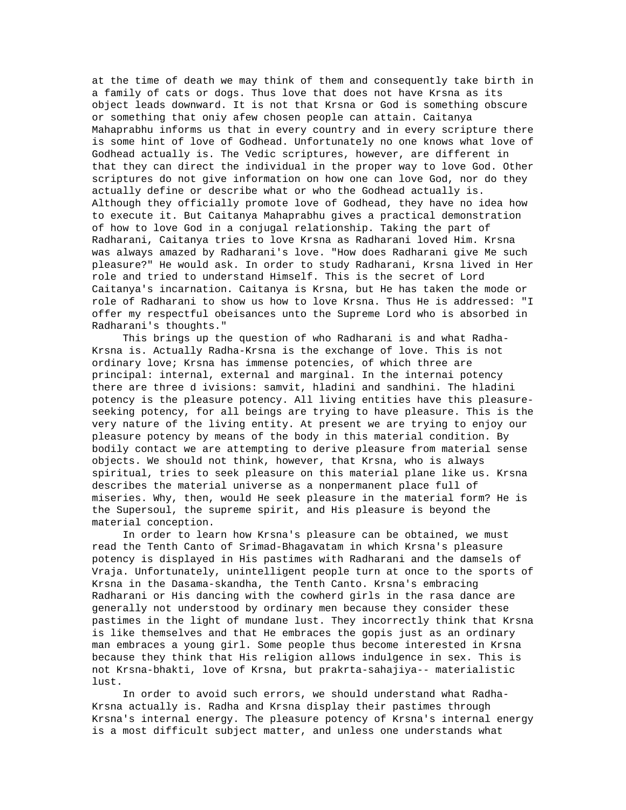at the time of death we may think of them and consequently take birth in a family of cats or dogs. Thus love that does not have Krsna as its object leads downward. It is not that Krsna or God is something obscure or something that oniy afew chosen people can attain. Caitanya Mahaprabhu informs us that in every country and in every scripture there is some hint of love of Godhead. Unfortunately no one knows what love of Godhead actually is. The Vedic scriptures, however, are different in that they can direct the individual in the proper way to love God. Other scriptures do not give information on how one can love God, nor do they actually define or describe what or who the Godhead actually is. Although they officially promote love of Godhead, they have no idea how to execute it. But Caitanya Mahaprabhu gives a practical demonstration of how to love God in a conjugal relationship. Taking the part of Radharani, Caitanya tries to love Krsna as Radharani loved Him. Krsna was always amazed by Radharani's love. "How does Radharani give Me such pleasure?" He would ask. In order to study Radharani, Krsna lived in Her role and tried to understand Himself. This is the secret of Lord Caitanya's incarnation. Caitanya is Krsna, but He has taken the mode or role of Radharani to show us how to love Krsna. Thus He is addressed: "I offer my respectful obeisances unto the Supreme Lord who is absorbed in Radharani's thoughts."

 This brings up the question of who Radharani is and what Radha-Krsna is. Actually Radha-Krsna is the exchange of love. This is not ordinary love; Krsna has immense potencies, of which three are principal: internal, external and marginal. In the internai potency there are three d ivisions: samvit, hladini and sandhini. The hladini potency is the pleasure potency. All living entities have this pleasureseeking potency, for all beings are trying to have pleasure. This is the very nature of the living entity. At present we are trying to enjoy our pleasure potency by means of the body in this material condition. By bodily contact we are attempting to derive pleasure from material sense objects. We should not think, however, that Krsna, who is always spiritual, tries to seek pleasure on this material plane like us. Krsna describes the material universe as a nonpermanent place full of miseries. Why, then, would He seek pleasure in the material form? He is the Supersoul, the supreme spirit, and His pleasure is beyond the material conception.

 In order to learn how Krsna's pleasure can be obtained, we must read the Tenth Canto of Srimad-Bhagavatam in which Krsna's pleasure potency is displayed in His pastimes with Radharani and the damsels of Vraja. Unfortunately, unintelligent people turn at once to the sports of Krsna in the Dasama-skandha, the Tenth Canto. Krsna's embracing Radharani or His dancing with the cowherd girls in the rasa dance are generally not understood by ordinary men because they consider these pastimes in the light of mundane lust. They incorrectly think that Krsna is like themselves and that He embraces the gopis just as an ordinary man embraces a young girl. Some people thus become interested in Krsna because they think that His religion allows indulgence in sex. This is not Krsna-bhakti, love of Krsna, but prakrta-sahajiya-- materialistic lust.

 In order to avoid such errors, we should understand what Radha-Krsna actually is. Radha and Krsna display their pastimes through Krsna's internal energy. The pleasure potency of Krsna's internal energy is a most difficult subject matter, and unless one understands what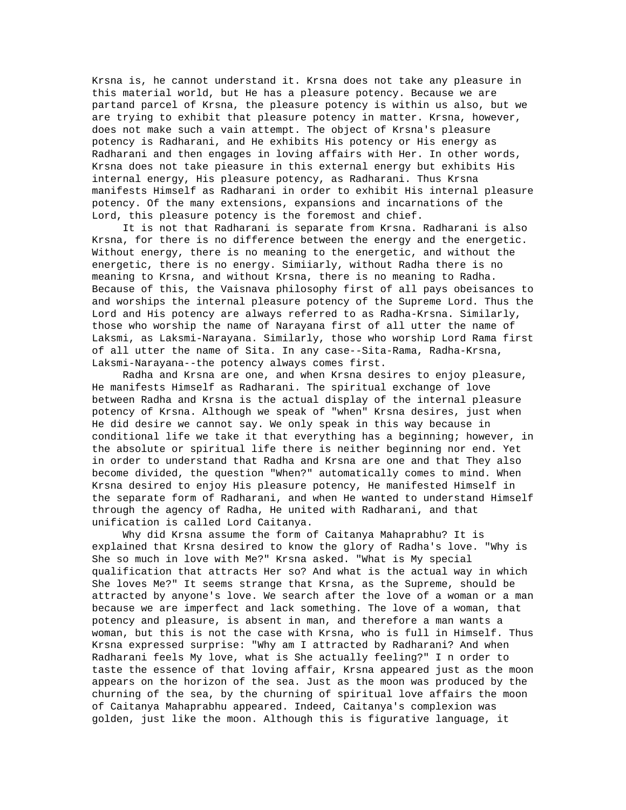Krsna is, he cannot understand it. Krsna does not take any pleasure in this material world, but He has a pleasure potency. Because we are partand parcel of Krsna, the pleasure potency is within us also, but we are trying to exhibit that pleasure potency in matter. Krsna, however, does not make such a vain attempt. The object of Krsna's pleasure potency is Radharani, and He exhibits His potency or His energy as Radharani and then engages in loving affairs with Her. In other words, Krsna does not take pieasure in this external energy but exhibits His internal energy, His pleasure potency, as Radharani. Thus Krsna manifests Himself as Radharani in order to exhibit His internal pleasure potency. Of the many extensions, expansions and incarnations of the Lord, this pleasure potency is the foremost and chief.

 It is not that Radharani is separate from Krsna. Radharani is also Krsna, for there is no difference between the energy and the energetic. Without energy, there is no meaning to the energetic, and without the energetic, there is no energy. Simiiarly, without Radha there is no meaning to Krsna, and without Krsna, there is no meaning to Radha. Because of this, the Vaisnava philosophy first of all pays obeisances to and worships the internal pleasure potency of the Supreme Lord. Thus the Lord and His potency are always referred to as Radha-Krsna. Similarly, those who worship the name of Narayana first of all utter the name of Laksmi, as Laksmi-Narayana. Similarly, those who worship Lord Rama first of all utter the name of Sita. In any case--Sita-Rama, Radha-Krsna, Laksmi-Narayana--the potency always comes first.

 Radha and Krsna are one, and when Krsna desires to enjoy pleasure, He manifests Himself as Radharani. The spiritual exchange of love between Radha and Krsna is the actual display of the internal pleasure potency of Krsna. Although we speak of "when" Krsna desires, just when He did desire we cannot say. We only speak in this way because in conditional life we take it that everything has a beginning; however, in the absolute or spiritual life there is neither beginning nor end. Yet in order to understand that Radha and Krsna are one and that They also become divided, the question "When?" automatically comes to mind. When Krsna desired to enjoy His pleasure potency, He manifested Himself in the separate form of Radharani, and when He wanted to understand Himself through the agency of Radha, He united with Radharani, and that unification is called Lord Caitanya.

 Why did Krsna assume the form of Caitanya Mahaprabhu? It is explained that Krsna desired to know the glory of Radha's love. "Why is She so much in love with Me?" Krsna asked. "What is My special qualification that attracts Her so? And what is the actual way in which She loves Me?" It seems strange that Krsna, as the Supreme, should be attracted by anyone's love. We search after the love of a woman or a man because we are imperfect and lack something. The love of a woman, that potency and pleasure, is absent in man, and therefore a man wants a woman, but this is not the case with Krsna, who is full in Himself. Thus Krsna expressed surprise: "Why am I attracted by Radharani? And when Radharani feels My love, what is She actually feeling?" I n order to taste the essence of that loving affair, Krsna appeared just as the moon appears on the horizon of the sea. Just as the moon was produced by the churning of the sea, by the churning of spiritual love affairs the moon of Caitanya Mahaprabhu appeared. Indeed, Caitanya's complexion was golden, just like the moon. Although this is figurative language, it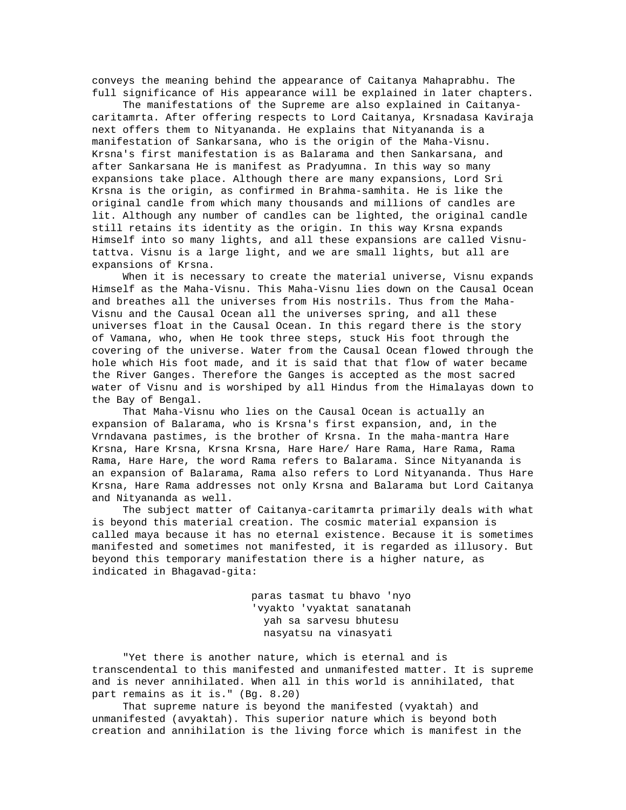conveys the meaning behind the appearance of Caitanya Mahaprabhu. The full significance of His appearance will be explained in later chapters.

 The manifestations of the Supreme are also explained in Caitanyacaritamrta. After offering respects to Lord Caitanya, Krsnadasa Kaviraja next offers them to Nityananda. He explains that Nityananda is a manifestation of Sankarsana, who is the origin of the Maha-Visnu. Krsna's first manifestation is as Balarama and then Sankarsana, and after Sankarsana He is manifest as Pradyumna. In this way so many expansions take place. Although there are many expansions, Lord Sri Krsna is the origin, as confirmed in Brahma-samhita. He is like the original candle from which many thousands and millions of candles are lit. Although any number of candles can be lighted, the original candle still retains its identity as the origin. In this way Krsna expands Himself into so many lights, and all these expansions are called Visnutattva. Visnu is a large light, and we are small lights, but all are expansions of Krsna.

 When it is necessary to create the material universe, Visnu expands Himself as the Maha-Visnu. This Maha-Visnu lies down on the Causal Ocean and breathes all the universes from His nostrils. Thus from the Maha-Visnu and the Causal Ocean all the universes spring, and all these universes float in the Causal Ocean. In this regard there is the story of Vamana, who, when He took three steps, stuck His foot through the covering of the universe. Water from the Causal Ocean flowed through the hole which His foot made, and it is said that that flow of water became the River Ganges. Therefore the Ganges is accepted as the most sacred water of Visnu and is worshiped by all Hindus from the Himalayas down to the Bay of Bengal.

 That Maha-Visnu who lies on the Causal Ocean is actually an expansion of Balarama, who is Krsna's first expansion, and, in the Vrndavana pastimes, is the brother of Krsna. In the maha-mantra Hare Krsna, Hare Krsna, Krsna Krsna, Hare Hare/ Hare Rama, Hare Rama, Rama Rama, Hare Hare, the word Rama refers to Balarama. Since Nityananda is an expansion of Balarama, Rama also refers to Lord Nityananda. Thus Hare Krsna, Hare Rama addresses not only Krsna and Balarama but Lord Caitanya and Nityananda as well.

 The subject matter of Caitanya-caritamrta primarily deals with what is beyond this material creation. The cosmic material expansion is called maya because it has no eternal existence. Because it is sometimes manifested and sometimes not manifested, it is regarded as illusory. But beyond this temporary manifestation there is a higher nature, as indicated in Bhagavad-gita:

> paras tasmat tu bhavo 'nyo 'vyakto 'vyaktat sanatanah yah sa sarvesu bhutesu nasyatsu na vinasyati

 "Yet there is another nature, which is eternal and is transcendental to this manifested and unmanifested matter. It is supreme and is never annihilated. When all in this world is annihilated, that part remains as it is." (Bg. 8.20)

 That supreme nature is beyond the manifested (vyaktah) and unmanifested (avyaktah). This superior nature which is beyond both creation and annihilation is the living force which is manifest in the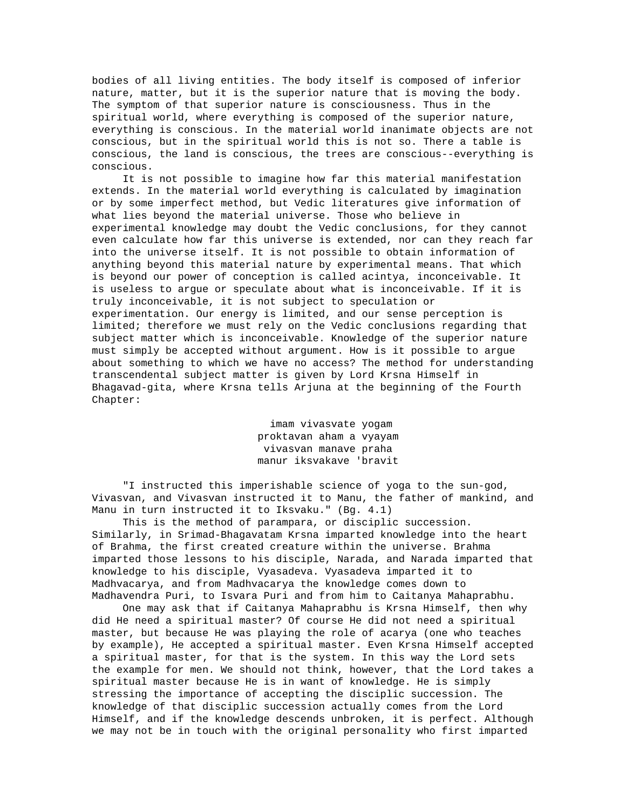bodies of all living entities. The body itself is composed of inferior nature, matter, but it is the superior nature that is moving the body. The symptom of that superior nature is consciousness. Thus in the spiritual world, where everything is composed of the superior nature, everything is conscious. In the material world inanimate objects are not conscious, but in the spiritual world this is not so. There a table is conscious, the land is conscious, the trees are conscious--everything is conscious.

 It is not possible to imagine how far this material manifestation extends. In the material world everything is calculated by imagination or by some imperfect method, but Vedic literatures give information of what lies beyond the material universe. Those who believe in experimental knowledge may doubt the Vedic conclusions, for they cannot even calculate how far this universe is extended, nor can they reach far into the universe itself. It is not possible to obtain information of anything beyond this material nature by experimental means. That which is beyond our power of conception is called acintya, inconceivable. It is useless to argue or speculate about what is inconceivable. If it is truly inconceivable, it is not subject to speculation or experimentation. Our energy is limited, and our sense perception is limited; therefore we must rely on the Vedic conclusions regarding that subject matter which is inconceivable. Knowledge of the superior nature must simply be accepted without argument. How is it possible to argue about something to which we have no access? The method for understanding transcendental subject matter is given by Lord Krsna Himself in Bhagavad-gita, where Krsna tells Arjuna at the beginning of the Fourth Chapter:

> imam vivasvate yogam proktavan aham a vyayam vivasvan manave praha manur iksvakave 'bravit

 "I instructed this imperishable science of yoga to the sun-god, Vivasvan, and Vivasvan instructed it to Manu, the father of mankind, and Manu in turn instructed it to Iksvaku." (Bg. 4.1)

 This is the method of parampara, or disciplic succession. Similarly, in Srimad-Bhagavatam Krsna imparted knowledge into the heart of Brahma, the first created creature within the universe. Brahma imparted those lessons to his disciple, Narada, and Narada imparted that knowledge to his disciple, Vyasadeva. Vyasadeva imparted it to Madhvacarya, and from Madhvacarya the knowledge comes down to Madhavendra Puri, to Isvara Puri and from him to Caitanya Mahaprabhu.

 One may ask that if Caitanya Mahaprabhu is Krsna Himself, then why did He need a spiritual master? Of course He did not need a spiritual master, but because He was playing the role of acarya (one who teaches by example), He accepted a spiritual master. Even Krsna Himself accepted a spiritual master, for that is the system. In this way the Lord sets the example for men. We should not think, however, that the Lord takes a spiritual master because He is in want of knowledge. He is simply stressing the importance of accepting the disciplic succession. The knowledge of that disciplic succession actually comes from the Lord Himself, and if the knowledge descends unbroken, it is perfect. Although we may not be in touch with the original personality who first imparted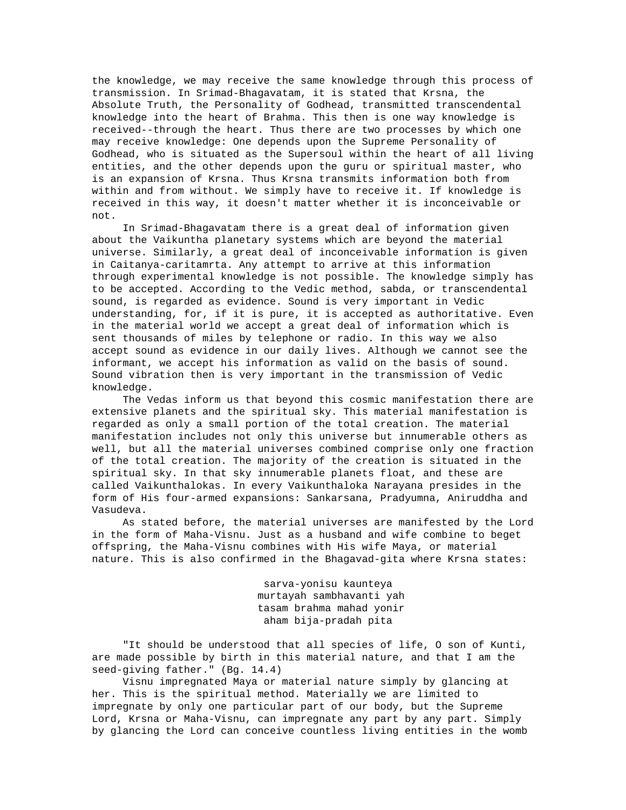the knowledge, we may receive the same knowledge through this process of transmission. In Srimad-Bhagavatam, it is stated that Krsna, the Absolute Truth, the Personality of Godhead, transmitted transcendental knowledge into the heart of Brahma. This then is one way knowledge is received--through the heart. Thus there are two processes by which one may receive knowledge: One depends upon the Supreme Personality of Godhead, who is situated as the Supersoul within the heart of all living entities, and the other depends upon the guru or spiritual master, who is an expansion of Krsna. Thus Krsna transmits information both from within and from without. We simply have to receive it. If knowledge is received in this way, it doesn't matter whether it is inconceivable or not.

 In Srimad-Bhagavatam there is a great deal of information given about the Vaikuntha planetary systems which are beyond the material universe. Similarly, a great deal of inconceivable information is given in Caitanya-caritamrta. Any attempt to arrive at this information through experimental knowledge is not possible. The knowledge simply has to be accepted. According to the Vedic method, sabda, or transcendental sound, is regarded as evidence. Sound is very important in Vedic understanding, for, if it is pure, it is accepted as authoritative. Even in the material world we accept a great deal of information which is sent thousands of miles by telephone or radio. In this way we also accept sound as evidence in our daily lives. Although we cannot see the informant, we accept his information as valid on the basis of sound. Sound vibration then is very important in the transmission of Vedic knowledge.

 The Vedas inform us that beyond this cosmic manifestation there are extensive planets and the spiritual sky. This material manifestation is regarded as only a small portion of the total creation. The material manifestation includes not only this universe but innumerable others as well, but all the material universes combined comprise only one fraction of the total creation. The majority of the creation is situated in the spiritual sky. In that sky innumerable planets float, and these are called Vaikunthalokas. In every Vaikunthaloka Narayana presides in the form of His four-armed expansions: Sankarsana, Pradyumna, Aniruddha and Vasudeva.

 As stated before, the material universes are manifested by the Lord in the form of Maha-Visnu. Just as a husband and wife combine to beget offspring, the Maha-Visnu combines with His wife Maya, or material nature. This is also confirmed in the Bhagavad-gita where Krsna states:

> sarva-yonisu kaunteya murtayah sambhavanti yah tasam brahma mahad yonir aham bija-pradah pita

 "It should be understood that all species of life, O son of Kunti, are made possible by birth in this material nature, and that I am the seed-giving father." (Bg. 14.4)

 Visnu impregnated Maya or material nature simply by glancing at her. This is the spiritual method. Materially we are limited to impregnate by only one particular part of our body, but the Supreme Lord, Krsna or Maha-Visnu, can impregnate any part by any part. Simply by glancing the Lord can conceive countless living entities in the womb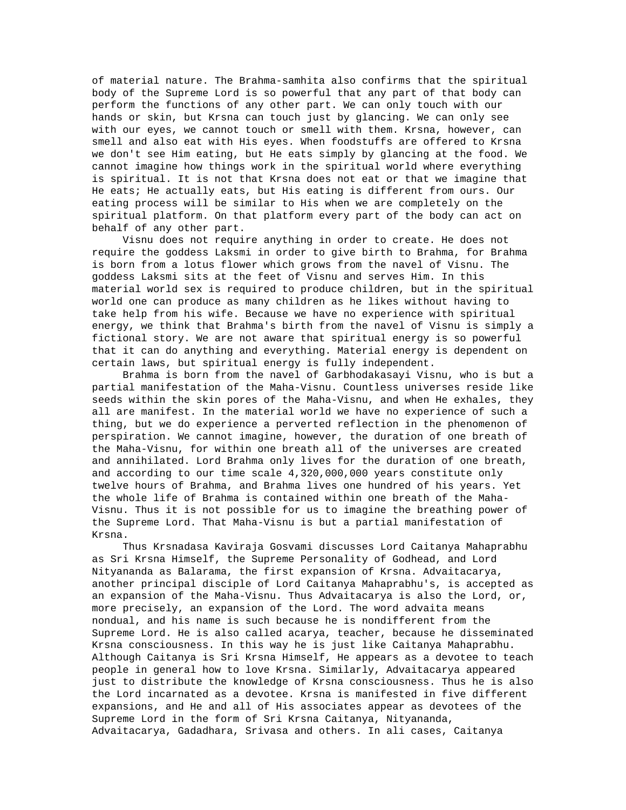of material nature. The Brahma-samhita also confirms that the spiritual body of the Supreme Lord is so powerful that any part of that body can perform the functions of any other part. We can only touch with our hands or skin, but Krsna can touch just by glancing. We can only see with our eyes, we cannot touch or smell with them. Krsna, however, can smell and also eat with His eyes. When foodstuffs are offered to Krsna we don't see Him eating, but He eats simply by glancing at the food. We cannot imagine how things work in the spiritual world where everything is spiritual. It is not that Krsna does not eat or that we imagine that He eats; He actually eats, but His eating is different from ours. Our eating process will be similar to His when we are completely on the spiritual platform. On that platform every part of the body can act on behalf of any other part.

 Visnu does not require anything in order to create. He does not require the goddess Laksmi in order to give birth to Brahma, for Brahma is born from a lotus flower which grows from the navel of Visnu. The goddess Laksmi sits at the feet of Visnu and serves Him. In this material world sex is required to produce children, but in the spiritual world one can produce as many children as he likes without having to take help from his wife. Because we have no experience with spiritual energy, we think that Brahma's birth from the navel of Visnu is simply a fictional story. We are not aware that spiritual energy is so powerful that it can do anything and everything. Material energy is dependent on certain laws, but spiritual energy is fully independent.

 Brahma is born from the navel of Garbhodakasayi Visnu, who is but a partial manifestation of the Maha-Visnu. Countless universes reside like seeds within the skin pores of the Maha-Visnu, and when He exhales, they all are manifest. In the material world we have no experience of such a thing, but we do experience a perverted reflection in the phenomenon of perspiration. We cannot imagine, however, the duration of one breath of the Maha-Visnu, for within one breath all of the universes are created and annihilated. Lord Brahma only lives for the duration of one breath, and according to our time scale 4,320,000,000 years constitute only twelve hours of Brahma, and Brahma lives one hundred of his years. Yet the whole life of Brahma is contained within one breath of the Maha-Visnu. Thus it is not possible for us to imagine the breathing power of the Supreme Lord. That Maha-Visnu is but a partial manifestation of Krsna.

 Thus Krsnadasa Kaviraja Gosvami discusses Lord Caitanya Mahaprabhu as Sri Krsna Himself, the Supreme Personality of Godhead, and Lord Nityananda as Balarama, the first expansion of Krsna. Advaitacarya, another principal disciple of Lord Caitanya Mahaprabhu's, is accepted as an expansion of the Maha-Visnu. Thus Advaitacarya is also the Lord, or, more precisely, an expansion of the Lord. The word advaita means nondual, and his name is such because he is nondifferent from the Supreme Lord. He is also called acarya, teacher, because he disseminated Krsna consciousness. In this way he is just like Caitanya Mahaprabhu. Although Caitanya is Sri Krsna Himself, He appears as a devotee to teach people in general how to love Krsna. Similarly, Advaitacarya appeared just to distribute the knowledge of Krsna consciousness. Thus he is also the Lord incarnated as a devotee. Krsna is manifested in five different expansions, and He and all of His associates appear as devotees of the Supreme Lord in the form of Sri Krsna Caitanya, Nityananda, Advaitacarya, Gadadhara, Srivasa and others. In ali cases, Caitanya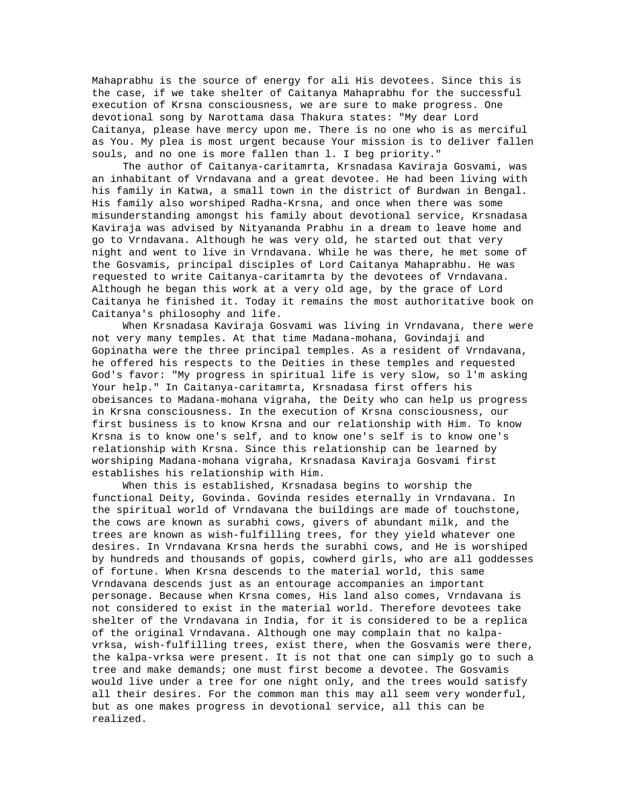Mahaprabhu is the source of energy for ali His devotees. Since this is the case, if we take shelter of Caitanya Mahaprabhu for the successful execution of Krsna consciousness, we are sure to make progress. One devotional song by Narottama dasa Thakura states: "My dear Lord Caitanya, please have mercy upon me. There is no one who is as merciful as You. My plea is most urgent because Your mission is to deliver fallen souls, and no one is more fallen than l. I beg priority."

 The author of Caitanya-caritamrta, Krsnadasa Kaviraja Gosvami, was an inhabitant of Vrndavana and a great devotee. He had been living with his family in Katwa, a small town in the district of Burdwan in Bengal. His family also worshiped Radha-Krsna, and once when there was some misunderstanding amongst his family about devotional service, Krsnadasa Kaviraja was advised by Nityananda Prabhu in a dream to leave home and go to Vrndavana. Although he was very old, he started out that very night and went to live in Vrndavana. While he was there, he met some of the Gosvamis, principal disciples of Lord Caitanya Mahaprabhu. He was requested to write Caitanya-caritamrta by the devotees of Vrndavana. Although he began this work at a very old age, by the grace of Lord Caitanya he finished it. Today it remains the most authoritative book on Caitanya's philosophy and life.

 When Krsnadasa Kaviraja Gosvami was living in Vrndavana, there were not very many temples. At that time Madana-mohana, Govindaji and Gopinatha were the three principal temples. As a resident of Vrndavana, he offered his respects to the Deities in these temples and requested God's favor: "My progress in spiritual life is very slow, so l'm asking Your help." In Caitanya-caritamrta, Krsnadasa first offers his obeisances to Madana-mohana vigraha, the Deity who can help us progress in Krsna consciousness. In the execution of Krsna consciousness, our first business is to know Krsna and our relationship with Him. To know Krsna is to know one's self, and to know one's self is to know one's relationship with Krsna. Since this relationship can be learned by worshiping Madana-mohana vigraha, Krsnadasa Kaviraja Gosvami first establishes his relationship with Him.

 When this is established, Krsnadasa begins to worship the functional Deity, Govinda. Govinda resides eternally in Vrndavana. In the spiritual world of Vrndavana the buildings are made of touchstone, the cows are known as surabhi cows, givers of abundant milk, and the trees are known as wish-fulfilling trees, for they yield whatever one desires. In Vrndavana Krsna herds the surabhi cows, and He is worshiped by hundreds and thousands of gopis, cowherd girls, who are all goddesses of fortune. When Krsna descends to the material world, this same Vrndavana descends just as an entourage accompanies an important personage. Because when Krsna comes, His land also comes, Vrndavana is not considered to exist in the material world. Therefore devotees take shelter of the Vrndavana in India, for it is considered to be a replica of the original Vrndavana. Although one may complain that no kalpavrksa, wish-fulfilling trees, exist there, when the Gosvamis were there, the kalpa-vrksa were present. It is not that one can simply go to such a tree and make demands; one must first become a devotee. The Gosvamis would live under a tree for one night only, and the trees would satisfy all their desires. For the common man this may all seem very wonderful, but as one makes progress in devotional service, all this can be realized.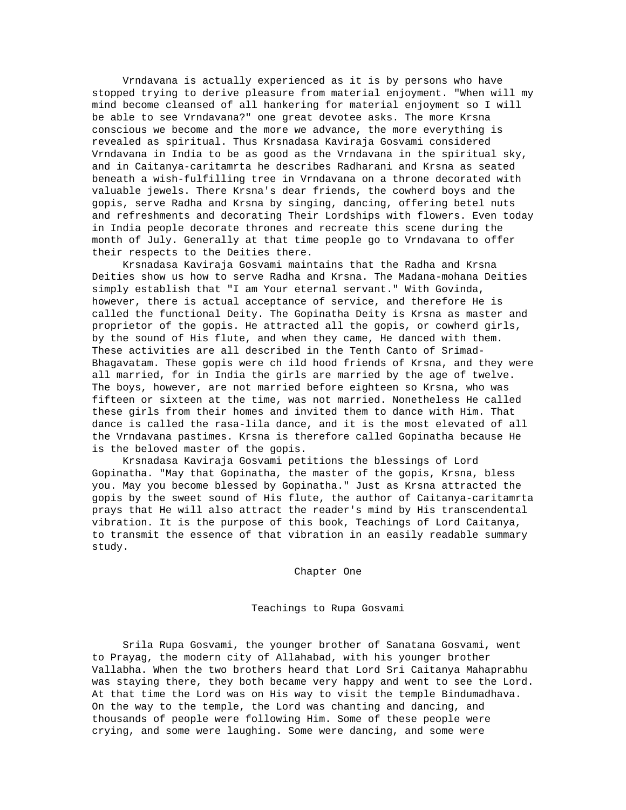Vrndavana is actually experienced as it is by persons who have stopped trying to derive pleasure from material enjoyment. "When will my mind become cleansed of all hankering for material enjoyment so I will be able to see Vrndavana?" one great devotee asks. The more Krsna conscious we become and the more we advance, the more everything is revealed as spiritual. Thus Krsnadasa Kaviraja Gosvami considered Vrndavana in India to be as good as the Vrndavana in the spiritual sky, and in Caitanya-caritamrta he describes Radharani and Krsna as seated beneath a wish-fulfilling tree in Vrndavana on a throne decorated with valuable jewels. There Krsna's dear friends, the cowherd boys and the gopis, serve Radha and Krsna by singing, dancing, offering betel nuts and refreshments and decorating Their Lordships with flowers. Even today in India people decorate thrones and recreate this scene during the month of July. Generally at that time people go to Vrndavana to offer their respects to the Deities there.

 Krsnadasa Kaviraja Gosvami maintains that the Radha and Krsna Deities show us how to serve Radha and Krsna. The Madana-mohana Deities simply establish that "I am Your eternal servant." With Govinda, however, there is actual acceptance of service, and therefore He is called the functional Deity. The Gopinatha Deity is Krsna as master and proprietor of the gopis. He attracted all the gopis, or cowherd girls, by the sound of His flute, and when they came, He danced with them. These activities are all described in the Tenth Canto of Srimad-Bhagavatam. These gopis were ch ild hood friends of Krsna, and they were all married, for in India the girls are married by the age of twelve. The boys, however, are not married before eighteen so Krsna, who was fifteen or sixteen at the time, was not married. Nonetheless He called these girls from their homes and invited them to dance with Him. That dance is called the rasa-lila dance, and it is the most elevated of all the Vrndavana pastimes. Krsna is therefore called Gopinatha because He is the beloved master of the gopis.

 Krsnadasa Kaviraja Gosvami petitions the blessings of Lord Gopinatha. "May that Gopinatha, the master of the gopis, Krsna, bless you. May you become blessed by Gopinatha." Just as Krsna attracted the gopis by the sweet sound of His flute, the author of Caitanya-caritamrta prays that He will also attract the reader's mind by His transcendental vibration. It is the purpose of this book, Teachings of Lord Caitanya, to transmit the essence of that vibration in an easily readable summary study.

Chapter One

Teachings to Rupa Gosvami

 Srila Rupa Gosvami, the younger brother of Sanatana Gosvami, went to Prayag, the modern city of Allahabad, with his younger brother Vallabha. When the two brothers heard that Lord Sri Caitanya Mahaprabhu was staying there, they both became very happy and went to see the Lord. At that time the Lord was on His way to visit the temple Bindumadhava. On the way to the temple, the Lord was chanting and dancing, and thousands of people were following Him. Some of these people were crying, and some were laughing. Some were dancing, and some were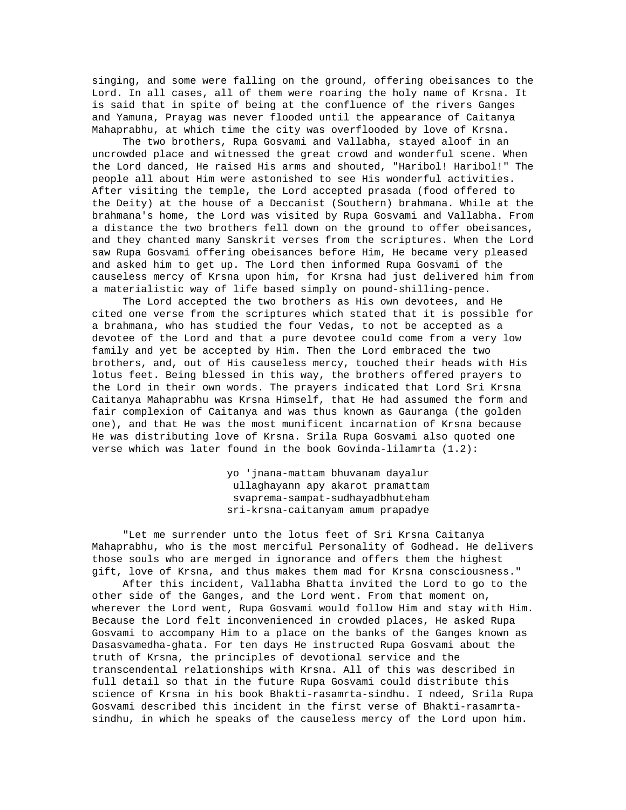singing, and some were falling on the ground, offering obeisances to the Lord. In all cases, all of them were roaring the holy name of Krsna. It is said that in spite of being at the confluence of the rivers Ganges and Yamuna, Prayag was never flooded until the appearance of Caitanya Mahaprabhu, at which time the city was overflooded by love of Krsna.

 The two brothers, Rupa Gosvami and Vallabha, stayed aloof in an uncrowded place and witnessed the great crowd and wonderful scene. When the Lord danced, He raised His arms and shouted, "Haribol! Haribol!" The people all about Him were astonished to see His wonderful activities. After visiting the temple, the Lord accepted prasada (food offered to the Deity) at the house of a Deccanist (Southern) brahmana. While at the brahmana's home, the Lord was visited by Rupa Gosvami and Vallabha. From a distance the two brothers fell down on the ground to offer obeisances, and they chanted many Sanskrit verses from the scriptures. When the Lord saw Rupa Gosvami offering obeisances before Him, He became very pleased and asked him to get up. The Lord then informed Rupa Gosvami of the causeless mercy of Krsna upon him, for Krsna had just delivered him from a materialistic way of life based simply on pound-shilling-pence.

 The Lord accepted the two brothers as His own devotees, and He cited one verse from the scriptures which stated that it is possible for a brahmana, who has studied the four Vedas, to not be accepted as a devotee of the Lord and that a pure devotee could come from a very low family and yet be accepted by Him. Then the Lord embraced the two brothers, and, out of His causeless mercy, touched their heads with His lotus feet. Being blessed in this way, the brothers offered prayers to the Lord in their own words. The prayers indicated that Lord Sri Krsna Caitanya Mahaprabhu was Krsna Himself, that He had assumed the form and fair complexion of Caitanya and was thus known as Gauranga (the golden one), and that He was the most munificent incarnation of Krsna because He was distributing love of Krsna. Srila Rupa Gosvami also quoted one verse which was later found in the book Govinda-lilamrta (1.2):

> yo 'jnana-mattam bhuvanam dayalur ullaghayann apy akarot pramattam svaprema-sampat-sudhayadbhuteham sri-krsna-caitanyam amum prapadye

 "Let me surrender unto the lotus feet of Sri Krsna Caitanya Mahaprabhu, who is the most merciful Personality of Godhead. He delivers those souls who are merged in ignorance and offers them the highest gift, love of Krsna, and thus makes them mad for Krsna consciousness."

 After this incident, Vallabha Bhatta invited the Lord to go to the other side of the Ganges, and the Lord went. From that moment on, wherever the Lord went, Rupa Gosvami would follow Him and stay with Him. Because the Lord felt inconvenienced in crowded places, He asked Rupa Gosvami to accompany Him to a place on the banks of the Ganges known as Dasasvamedha-ghata. For ten days He instructed Rupa Gosvami about the truth of Krsna, the principles of devotional service and the transcendental relationships with Krsna. All of this was described in full detail so that in the future Rupa Gosvami could distribute this science of Krsna in his book Bhakti-rasamrta-sindhu. I ndeed, Srila Rupa Gosvami described this incident in the first verse of Bhakti-rasamrtasindhu, in which he speaks of the causeless mercy of the Lord upon him.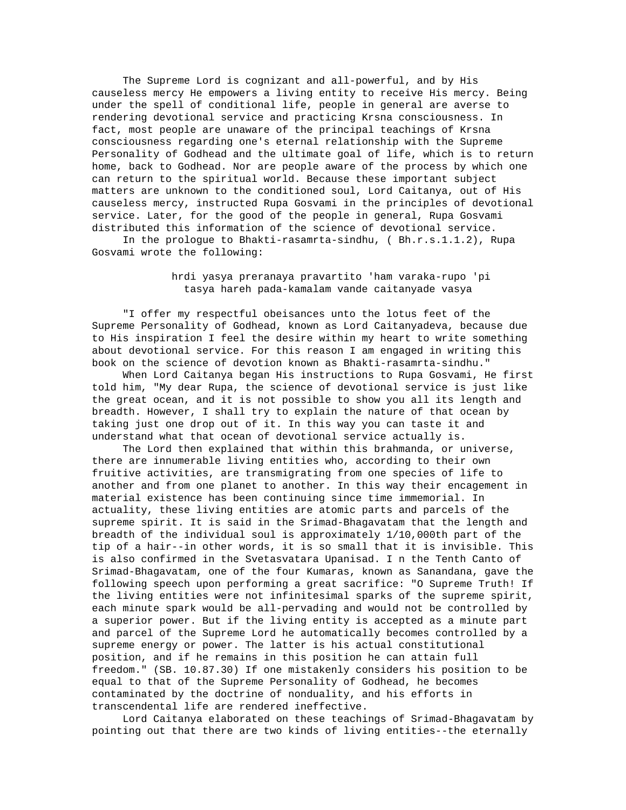The Supreme Lord is cognizant and all-powerful, and by His causeless mercy He empowers a living entity to receive His mercy. Being under the spell of conditional life, people in general are averse to rendering devotional service and practicing Krsna consciousness. In fact, most people are unaware of the principal teachings of Krsna consciousness regarding one's eternal relationship with the Supreme Personality of Godhead and the ultimate goal of life, which is to return home, back to Godhead. Nor are people aware of the process by which one can return to the spiritual world. Because these important subject matters are unknown to the conditioned soul, Lord Caitanya, out of His causeless mercy, instructed Rupa Gosvami in the principles of devotional service. Later, for the good of the people in general, Rupa Gosvami distributed this information of the science of devotional service.

 In the prologue to Bhakti-rasamrta-sindhu, ( Bh.r.s.1.1.2), Rupa Gosvami wrote the following:

> hrdi yasya preranaya pravartito 'ham varaka-rupo 'pi tasya hareh pada-kamalam vande caitanyade vasya

 "I offer my respectful obeisances unto the lotus feet of the Supreme Personality of Godhead, known as Lord Caitanyadeva, because due to His inspiration I feel the desire within my heart to write something about devotional service. For this reason I am engaged in writing this book on the science of devotion known as Bhakti-rasamrta-sindhu."

 When Lord Caitanya began His instructions to Rupa Gosvami, He first told him, "My dear Rupa, the science of devotional service is just like the great ocean, and it is not possible to show you all its length and breadth. However, I shall try to explain the nature of that ocean by taking just one drop out of it. In this way you can taste it and understand what that ocean of devotional service actually is.

 The Lord then explained that within this brahmanda, or universe, there are innumerable living entities who, according to their own fruitive activities, are transmigrating from one species of life to another and from one planet to another. In this way their encagement in material existence has been continuing since time immemorial. In actuality, these living entities are atomic parts and parcels of the supreme spirit. It is said in the Srimad-Bhagavatam that the length and breadth of the individual soul is approximately 1/10,000th part of the tip of a hair--in other words, it is so small that it is invisible. This is also confirmed in the Svetasvatara Upanisad. I n the Tenth Canto of Srimad-Bhagavatam, one of the four Kumaras, known as Sanandana, gave the following speech upon performing a great sacrifice: "O Supreme Truth! If the living entities were not infinitesimal sparks of the supreme spirit, each minute spark would be all-pervading and would not be controlled by a superior power. But if the living entity is accepted as a minute part and parcel of the Supreme Lord he automatically becomes controlled by a supreme energy or power. The latter is his actual constitutional position, and if he remains in this position he can attain full freedom." (SB. 10.87.30) If one mistakenly considers his position to be equal to that of the Supreme Personality of Godhead, he becomes contaminated by the doctrine of nonduality, and his efforts in transcendental life are rendered ineffective.

 Lord Caitanya elaborated on these teachings of Srimad-Bhagavatam by pointing out that there are two kinds of living entities--the eternally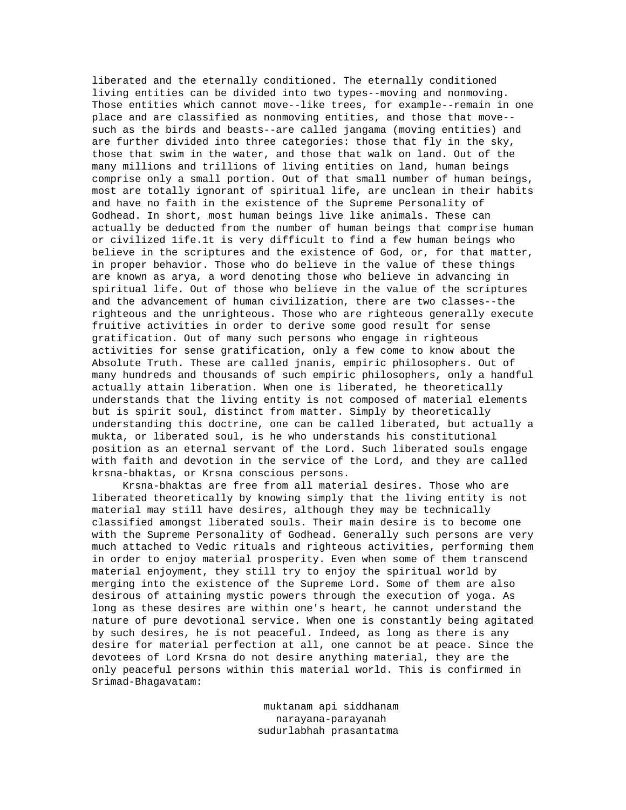liberated and the eternally conditioned. The eternally conditioned living entities can be divided into two types--moving and nonmoving. Those entities which cannot move--like trees, for example--remain in one place and are classified as nonmoving entities, and those that move- such as the birds and beasts--are called jangama (moving entities) and are further divided into three categories: those that fly in the sky, those that swim in the water, and those that walk on land. Out of the many millions and trillions of living entities on land, human beings comprise only a small portion. Out of that small number of human beings, most are totally ignorant of spiritual life, are unclean in their habits and have no faith in the existence of the Supreme Personality of Godhead. In short, most human beings live like animals. These can actually be deducted from the number of human beings that comprise human or civilized 1ife.1t is very difficult to find a few human beings who believe in the scriptures and the existence of God, or, for that matter, in proper behavior. Those who do believe in the value of these things are known as arya, a word denoting those who believe in advancing in spiritual life. Out of those who believe in the value of the scriptures and the advancement of human civilization, there are two classes--the righteous and the unrighteous. Those who are righteous generally execute fruitive activities in order to derive some good result for sense gratification. Out of many such persons who engage in righteous activities for sense gratification, only a few come to know about the Absolute Truth. These are called jnanis, empiric philosophers. Out of many hundreds and thousands of such empiric philosophers, only a handful actually attain liberation. When one is liberated, he theoretically understands that the living entity is not composed of material elements but is spirit soul, distinct from matter. Simply by theoretically understanding this doctrine, one can be called liberated, but actually a mukta, or liberated soul, is he who understands his constitutional position as an eternal servant of the Lord. Such liberated souls engage with faith and devotion in the service of the Lord, and they are called krsna-bhaktas, or Krsna conscious persons.

 Krsna-bhaktas are free from all material desires. Those who are liberated theoretically by knowing simply that the living entity is not material may still have desires, although they may be technically classified amongst liberated souls. Their main desire is to become one with the Supreme Personality of Godhead. Generally such persons are very much attached to Vedic rituals and righteous activities, performing them in order to enjoy material prosperity. Even when some of them transcend material enjoyment, they still try to enjoy the spiritual world by merging into the existence of the Supreme Lord. Some of them are also desirous of attaining mystic powers through the execution of yoga. As long as these desires are within one's heart, he cannot understand the nature of pure devotional service. When one is constantly being agitated by such desires, he is not peaceful. Indeed, as long as there is any desire for material perfection at all, one cannot be at peace. Since the devotees of Lord Krsna do not desire anything material, they are the only peaceful persons within this material world. This is confirmed in Srimad-Bhagavatam:

> muktanam api siddhanam narayana-parayanah sudurlabhah prasantatma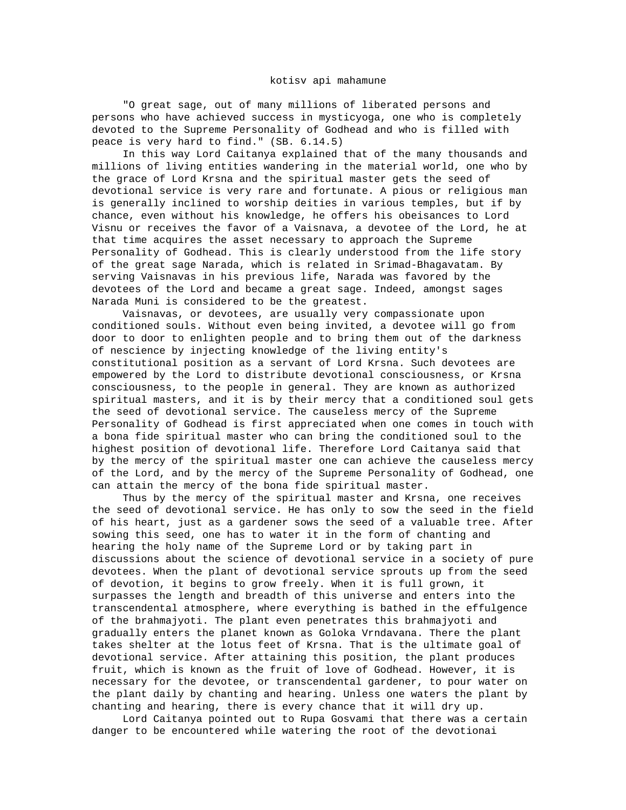"O great sage, out of many millions of liberated persons and persons who have achieved success in mysticyoga, one who is completely devoted to the Supreme Personality of Godhead and who is filled with peace is very hard to find." (SB. 6.14.5)

 In this way Lord Caitanya explained that of the many thousands and millions of living entities wandering in the material world, one who by the grace of Lord Krsna and the spiritual master gets the seed of devotional service is very rare and fortunate. A pious or religious man is generally inclined to worship deities in various temples, but if by chance, even without his knowledge, he offers his obeisances to Lord Visnu or receives the favor of a Vaisnava, a devotee of the Lord, he at that time acquires the asset necessary to approach the Supreme Personality of Godhead. This is clearly understood from the life story of the great sage Narada, which is related in Srimad-Bhagavatam. By serving Vaisnavas in his previous life, Narada was favored by the devotees of the Lord and became a great sage. Indeed, amongst sages Narada Muni is considered to be the greatest.

 Vaisnavas, or devotees, are usually very compassionate upon conditioned souls. Without even being invited, a devotee will go from door to door to enlighten people and to bring them out of the darkness of nescience by injecting knowledge of the living entity's constitutional position as a servant of Lord Krsna. Such devotees are empowered by the Lord to distribute devotional consciousness, or Krsna consciousness, to the people in general. They are known as authorized spiritual masters, and it is by their mercy that a conditioned soul gets the seed of devotional service. The causeless mercy of the Supreme Personality of Godhead is first appreciated when one comes in touch with a bona fide spiritual master who can bring the conditioned soul to the highest position of devotional life. Therefore Lord Caitanya said that by the mercy of the spiritual master one can achieve the causeless mercy of the Lord, and by the mercy of the Supreme Personality of Godhead, one can attain the mercy of the bona fide spiritual master.

 Thus by the mercy of the spiritual master and Krsna, one receives the seed of devotional service. He has only to sow the seed in the field of his heart, just as a gardener sows the seed of a valuable tree. After sowing this seed, one has to water it in the form of chanting and hearing the holy name of the Supreme Lord or by taking part in discussions about the science of devotional service in a society of pure devotees. When the plant of devotional service sprouts up from the seed of devotion, it begins to grow freely. When it is full grown, it surpasses the length and breadth of this universe and enters into the transcendental atmosphere, where everything is bathed in the effulgence of the brahmajyoti. The plant even penetrates this brahmajyoti and gradually enters the planet known as Goloka Vrndavana. There the plant takes shelter at the lotus feet of Krsna. That is the ultimate goal of devotional service. After attaining this position, the plant produces fruit, which is known as the fruit of love of Godhead. However, it is necessary for the devotee, or transcendental gardener, to pour water on the plant daily by chanting and hearing. Unless one waters the plant by chanting and hearing, there is every chance that it will dry up.

 Lord Caitanya pointed out to Rupa Gosvami that there was a certain danger to be encountered while watering the root of the devotionai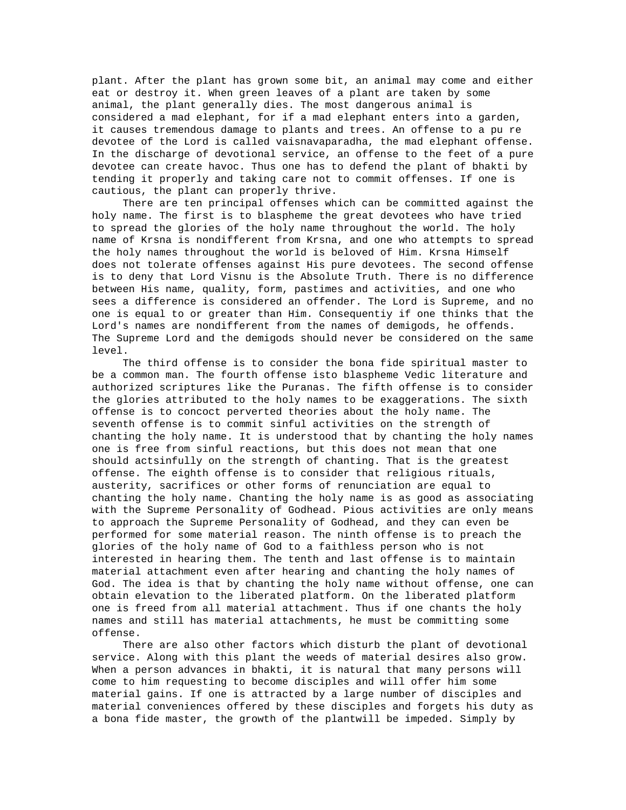plant. After the plant has grown some bit, an animal may come and either eat or destroy it. When green leaves of a plant are taken by some animal, the plant generally dies. The most dangerous animal is considered a mad elephant, for if a mad elephant enters into a garden, it causes tremendous damage to plants and trees. An offense to a pu re devotee of the Lord is called vaisnavaparadha, the mad elephant offense. In the discharge of devotional service, an offense to the feet of a pure devotee can create havoc. Thus one has to defend the plant of bhakti by tending it properly and taking care not to commit offenses. If one is cautious, the plant can properly thrive.

 There are ten principal offenses which can be committed against the holy name. The first is to blaspheme the great devotees who have tried to spread the glories of the holy name throughout the world. The holy name of Krsna is nondifferent from Krsna, and one who attempts to spread the holy names throughout the world is beloved of Him. Krsna Himself does not tolerate offenses against His pure devotees. The second offense is to deny that Lord Visnu is the Absolute Truth. There is no difference between His name, quality, form, pastimes and activities, and one who sees a difference is considered an offender. The Lord is Supreme, and no one is equal to or greater than Him. Consequentiy if one thinks that the Lord's names are nondifferent from the names of demigods, he offends. The Supreme Lord and the demigods should never be considered on the same level.

 The third offense is to consider the bona fide spiritual master to be a common man. The fourth offense isto blaspheme Vedic literature and authorized scriptures like the Puranas. The fifth offense is to consider the glories attributed to the holy names to be exaggerations. The sixth offense is to concoct perverted theories about the holy name. The seventh offense is to commit sinful activities on the strength of chanting the holy name. It is understood that by chanting the holy names one is free from sinful reactions, but this does not mean that one should actsinfully on the strength of chanting. That is the greatest offense. The eighth offense is to consider that religious rituals, austerity, sacrifices or other forms of renunciation are equal to chanting the holy name. Chanting the holy name is as good as associating with the Supreme Personality of Godhead. Pious activities are only means to approach the Supreme Personality of Godhead, and they can even be performed for some material reason. The ninth offense is to preach the glories of the holy name of God to a faithless person who is not interested in hearing them. The tenth and last offense is to maintain material attachment even after hearing and chanting the holy names of God. The idea is that by chanting the holy name without offense, one can obtain elevation to the liberated platform. On the liberated platform one is freed from all material attachment. Thus if one chants the holy names and still has material attachments, he must be committing some offense.

 There are also other factors which disturb the plant of devotional service. Along with this plant the weeds of material desires also grow. When a person advances in bhakti, it is natural that many persons will come to him requesting to become disciples and will offer him some material gains. If one is attracted by a large number of disciples and material conveniences offered by these disciples and forgets his duty as a bona fide master, the growth of the plantwill be impeded. Simply by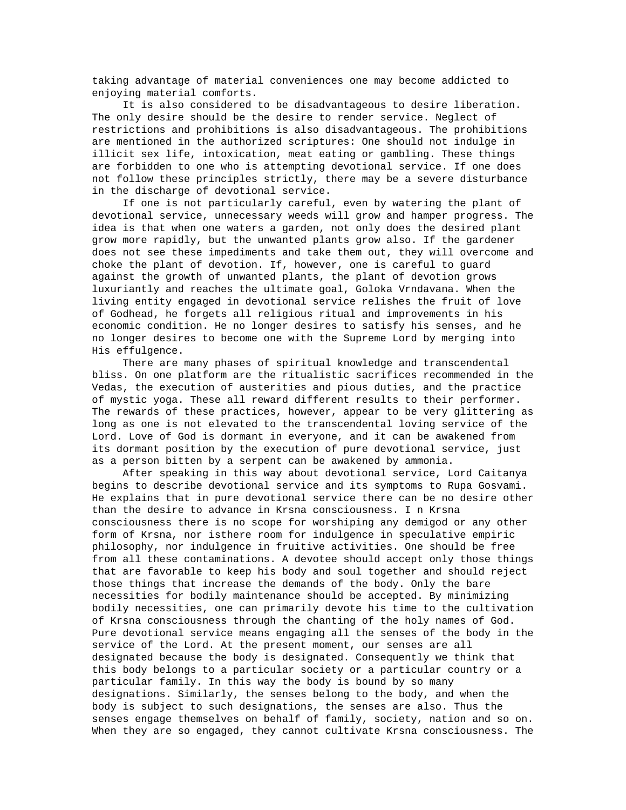taking advantage of material conveniences one may become addicted to enjoying material comforts.

 It is also considered to be disadvantageous to desire liberation. The only desire should be the desire to render service. Neglect of restrictions and prohibitions is also disadvantageous. The prohibitions are mentioned in the authorized scriptures: One should not indulge in illicit sex life, intoxication, meat eating or gambling. These things are forbidden to one who is attempting devotional service. If one does not follow these principles strictly, there may be a severe disturbance in the discharge of devotional service.

 If one is not particularly careful, even by watering the plant of devotional service, unnecessary weeds will grow and hamper progress. The idea is that when one waters a garden, not only does the desired plant grow more rapidly, but the unwanted plants grow also. If the gardener does not see these impediments and take them out, they will overcome and choke the plant of devotion. If, however, one is careful to guard against the growth of unwanted plants, the plant of devotion grows luxuriantly and reaches the ultimate goal, Goloka Vrndavana. When the living entity engaged in devotional service relishes the fruit of love of Godhead, he forgets all religious ritual and improvements in his economic condition. He no longer desires to satisfy his senses, and he no longer desires to become one with the Supreme Lord by merging into His effulgence.

 There are many phases of spiritual knowledge and transcendental bliss. On one platform are the ritualistic sacrifices recommended in the Vedas, the execution of austerities and pious duties, and the practice of mystic yoga. These all reward different results to their performer. The rewards of these practices, however, appear to be very glittering as long as one is not elevated to the transcendental loving service of the Lord. Love of God is dormant in everyone, and it can be awakened from its dormant position by the execution of pure devotional service, just as a person bitten by a serpent can be awakened by ammonia.

 After speaking in this way about devotional service, Lord Caitanya begins to describe devotional service and its symptoms to Rupa Gosvami. He explains that in pure devotional service there can be no desire other than the desire to advance in Krsna consciousness. I n Krsna consciousness there is no scope for worshiping any demigod or any other form of Krsna, nor isthere room for indulgence in speculative empiric philosophy, nor indulgence in fruitive activities. One should be free from all these contaminations. A devotee should accept only those things that are favorable to keep his body and soul together and should reject those things that increase the demands of the body. Only the bare necessities for bodily maintenance should be accepted. By minimizing bodily necessities, one can primarily devote his time to the cultivation of Krsna consciousness through the chanting of the holy names of God. Pure devotional service means engaging all the senses of the body in the service of the Lord. At the present moment, our senses are all designated because the body is designated. Consequently we think that this body belongs to a particular society or a particular country or a particular family. In this way the body is bound by so many designations. Similarly, the senses belong to the body, and when the body is subject to such designations, the senses are also. Thus the senses engage themselves on behalf of family, society, nation and so on. When they are so engaged, they cannot cultivate Krsna consciousness. The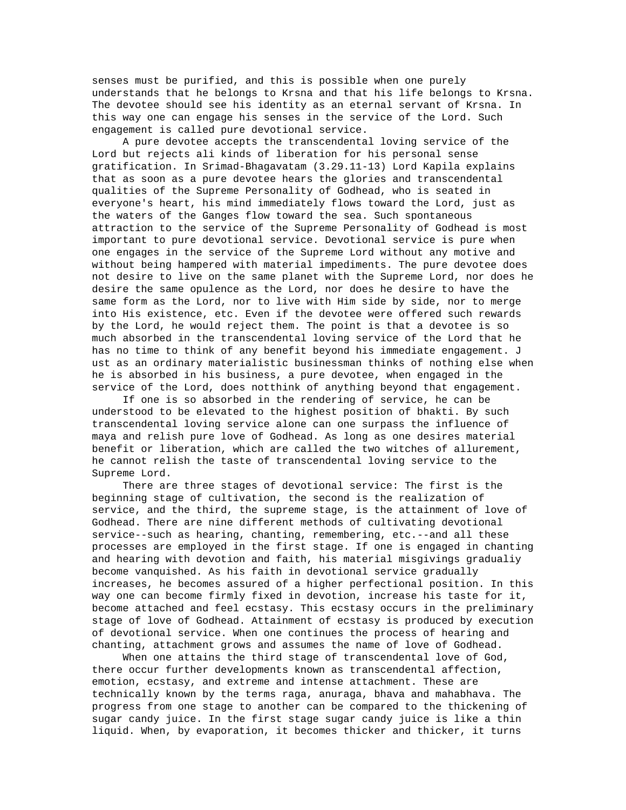senses must be purified, and this is possible when one purely understands that he belongs to Krsna and that his life belongs to Krsna. The devotee should see his identity as an eternal servant of Krsna. In this way one can engage his senses in the service of the Lord. Such engagement is called pure devotional service.

 A pure devotee accepts the transcendental loving service of the Lord but rejects ali kinds of liberation for his personal sense gratification. In Srimad-Bhagavatam (3.29.11-13) Lord Kapila explains that as soon as a pure devotee hears the glories and transcendental qualities of the Supreme Personality of Godhead, who is seated in everyone's heart, his mind immediately flows toward the Lord, just as the waters of the Ganges flow toward the sea. Such spontaneous attraction to the service of the Supreme Personality of Godhead is most important to pure devotional service. Devotional service is pure when one engages in the service of the Supreme Lord without any motive and without being hampered with material impediments. The pure devotee does not desire to live on the same planet with the Supreme Lord, nor does he desire the same opulence as the Lord, nor does he desire to have the same form as the Lord, nor to live with Him side by side, nor to merge into His existence, etc. Even if the devotee were offered such rewards by the Lord, he would reject them. The point is that a devotee is so much absorbed in the transcendental loving service of the Lord that he has no time to think of any benefit beyond his immediate engagement. J ust as an ordinary materialistic businessman thinks of nothing else when he is absorbed in his business, a pure devotee, when engaged in the service of the Lord, does notthink of anything beyond that engagement.

 If one is so absorbed in the rendering of service, he can be understood to be elevated to the highest position of bhakti. By such transcendental loving service alone can one surpass the influence of maya and relish pure love of Godhead. As long as one desires material benefit or liberation, which are called the two witches of allurement, he cannot relish the taste of transcendental loving service to the Supreme Lord.

 There are three stages of devotional service: The first is the beginning stage of cultivation, the second is the realization of service, and the third, the supreme stage, is the attainment of love of Godhead. There are nine different methods of cultivating devotional service--such as hearing, chanting, remembering, etc.--and all these processes are employed in the first stage. If one is engaged in chanting and hearing with devotion and faith, his material misgivings gradualiy become vanquished. As his faith in devotional service gradually increases, he becomes assured of a higher perfectional position. In this way one can become firmly fixed in devotion, increase his taste for it, become attached and feel ecstasy. This ecstasy occurs in the preliminary stage of love of Godhead. Attainment of ecstasy is produced by execution of devotional service. When one continues the process of hearing and chanting, attachment grows and assumes the name of love of Godhead.

 When one attains the third stage of transcendental love of God, there occur further developments known as transcendental affection, emotion, ecstasy, and extreme and intense attachment. These are technically known by the terms raga, anuraga, bhava and mahabhava. The progress from one stage to another can be compared to the thickening of sugar candy juice. In the first stage sugar candy juice is like a thin liquid. When, by evaporation, it becomes thicker and thicker, it turns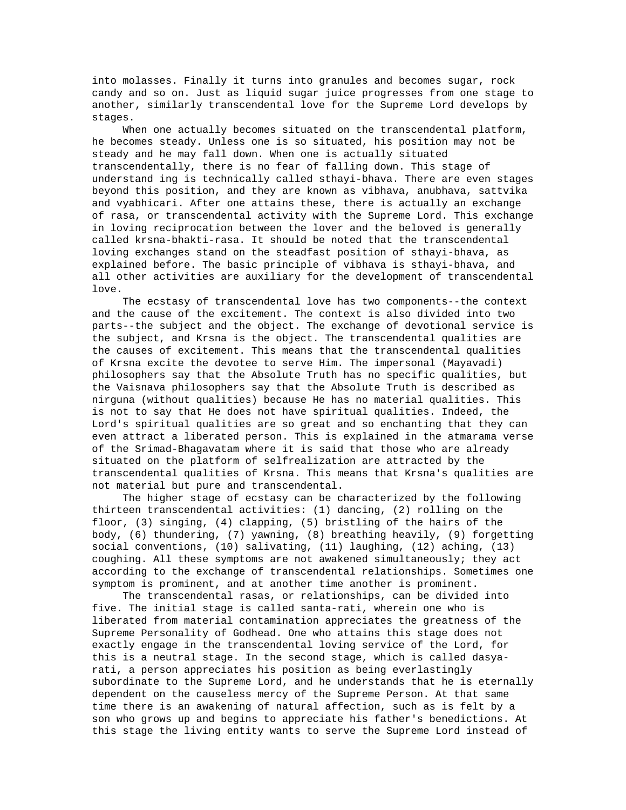into molasses. Finally it turns into granules and becomes sugar, rock candy and so on. Just as liquid sugar juice progresses from one stage to another, similarly transcendental love for the Supreme Lord develops by stages.

 When one actually becomes situated on the transcendental platform, he becomes steady. Unless one is so situated, his position may not be steady and he may fall down. When one is actually situated transcendentally, there is no fear of falling down. This stage of understand ing is technically called sthayi-bhava. There are even stages beyond this position, and they are known as vibhava, anubhava, sattvika and vyabhicari. After one attains these, there is actually an exchange of rasa, or transcendental activity with the Supreme Lord. This exchange in loving reciprocation between the lover and the beloved is generally called krsna-bhakti-rasa. It should be noted that the transcendental loving exchanges stand on the steadfast position of sthayi-bhava, as explained before. The basic principle of vibhava is sthayi-bhava, and all other activities are auxiliary for the development of transcendental love.

 The ecstasy of transcendental love has two components--the context and the cause of the excitement. The context is also divided into two parts--the subject and the object. The exchange of devotional service is the subject, and Krsna is the object. The transcendental qualities are the causes of excitement. This means that the transcendental qualities of Krsna excite the devotee to serve Him. The impersonal (Mayavadi) philosophers say that the Absolute Truth has no specific qualities, but the Vaisnava philosophers say that the Absolute Truth is described as nirguna (without qualities) because He has no material qualities. This is not to say that He does not have spiritual qualities. Indeed, the Lord's spiritual qualities are so great and so enchanting that they can even attract a liberated person. This is explained in the atmarama verse of the Srimad-Bhagavatam where it is said that those who are already situated on the platform of selfrealization are attracted by the transcendental qualities of Krsna. This means that Krsna's qualities are not material but pure and transcendental.

 The higher stage of ecstasy can be characterized by the following thirteen transcendental activities: (1) dancing, (2) rolling on the floor, (3) singing, (4) clapping, (5) bristling of the hairs of the body, (6) thundering, (7) yawning, (8) breathing heavily, (9) forgetting social conventions, (10) salivating, (11) laughing, (12) aching, (13) coughing. All these symptoms are not awakened simultaneously; they act according to the exchange of transcendental relationships. Sometimes one symptom is prominent, and at another time another is prominent.

 The transcendental rasas, or relationships, can be divided into five. The initial stage is called santa-rati, wherein one who is liberated from material contamination appreciates the greatness of the Supreme Personality of Godhead. One who attains this stage does not exactly engage in the transcendental loving service of the Lord, for this is a neutral stage. In the second stage, which is called dasyarati, a person appreciates his position as being everlastingly subordinate to the Supreme Lord, and he understands that he is eternally dependent on the causeless mercy of the Supreme Person. At that same time there is an awakening of natural affection, such as is felt by a son who grows up and begins to appreciate his father's benedictions. At this stage the living entity wants to serve the Supreme Lord instead of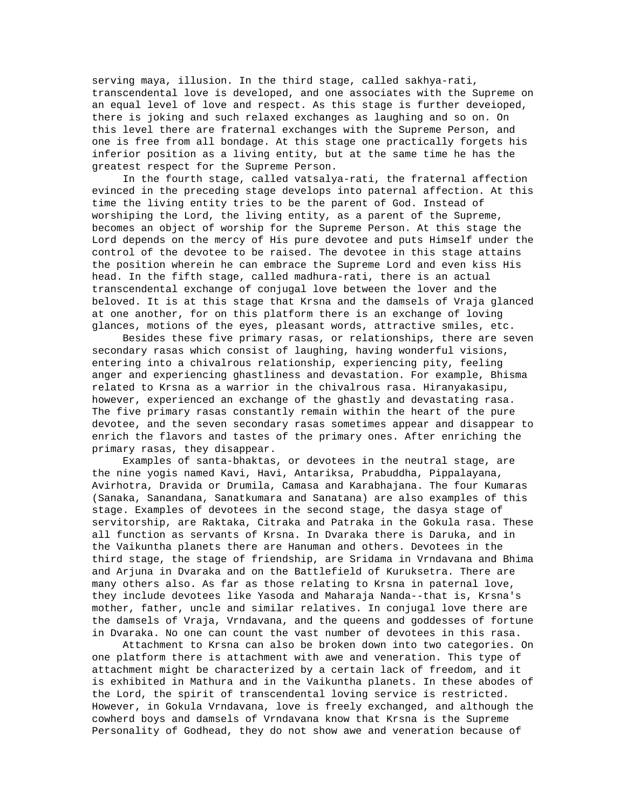serving maya, illusion. In the third stage, called sakhya-rati, transcendental love is developed, and one associates with the Supreme on an equal level of love and respect. As this stage is further deveioped, there is joking and such relaxed exchanges as laughing and so on. On this level there are fraternal exchanges with the Supreme Person, and one is free from all bondage. At this stage one practically forgets his inferior position as a living entity, but at the same time he has the greatest respect for the Supreme Person.

 In the fourth stage, called vatsalya-rati, the fraternal affection evinced in the preceding stage develops into paternal affection. At this time the living entity tries to be the parent of God. Instead of worshiping the Lord, the living entity, as a parent of the Supreme, becomes an object of worship for the Supreme Person. At this stage the Lord depends on the mercy of His pure devotee and puts Himself under the control of the devotee to be raised. The devotee in this stage attains the position wherein he can embrace the Supreme Lord and even kiss His head. In the fifth stage, called madhura-rati, there is an actual transcendental exchange of conjugal love between the lover and the beloved. It is at this stage that Krsna and the damsels of Vraja glanced at one another, for on this platform there is an exchange of loving glances, motions of the eyes, pleasant words, attractive smiles, etc.

 Besides these five primary rasas, or relationships, there are seven secondary rasas which consist of laughing, having wonderful visions, entering into a chivalrous relationship, experiencing pity, feeling anger and experiencing ghastliness and devastation. For example, Bhisma related to Krsna as a warrior in the chivalrous rasa. Hiranyakasipu, however, experienced an exchange of the ghastly and devastating rasa. The five primary rasas constantly remain within the heart of the pure devotee, and the seven secondary rasas sometimes appear and disappear to enrich the flavors and tastes of the primary ones. After enriching the primary rasas, they disappear.

 Examples of santa-bhaktas, or devotees in the neutral stage, are the nine yogis named Kavi, Havi, Antariksa, Prabuddha, Pippalayana, Avirhotra, Dravida or Drumila, Camasa and Karabhajana. The four Kumaras (Sanaka, Sanandana, Sanatkumara and Sanatana) are also examples of this stage. Examples of devotees in the second stage, the dasya stage of servitorship, are Raktaka, Citraka and Patraka in the Gokula rasa. These all function as servants of Krsna. In Dvaraka there is Daruka, and in the Vaikuntha planets there are Hanuman and others. Devotees in the third stage, the stage of friendship, are Sridama in Vrndavana and Bhima and Arjuna in Dvaraka and on the Battlefield of Kuruksetra. There are many others also. As far as those relating to Krsna in paternal love, they include devotees like Yasoda and Maharaja Nanda--that is, Krsna's mother, father, uncle and similar relatives. In conjugal love there are the damsels of Vraja, Vrndavana, and the queens and goddesses of fortune in Dvaraka. No one can count the vast number of devotees in this rasa.

 Attachment to Krsna can also be broken down into two categories. On one platform there is attachment with awe and veneration. This type of attachment might be characterized by a certain lack of freedom, and it is exhibited in Mathura and in the Vaikuntha planets. In these abodes of the Lord, the spirit of transcendental loving service is restricted. However, in Gokula Vrndavana, love is freely exchanged, and although the cowherd boys and damsels of Vrndavana know that Krsna is the Supreme Personality of Godhead, they do not show awe and veneration because of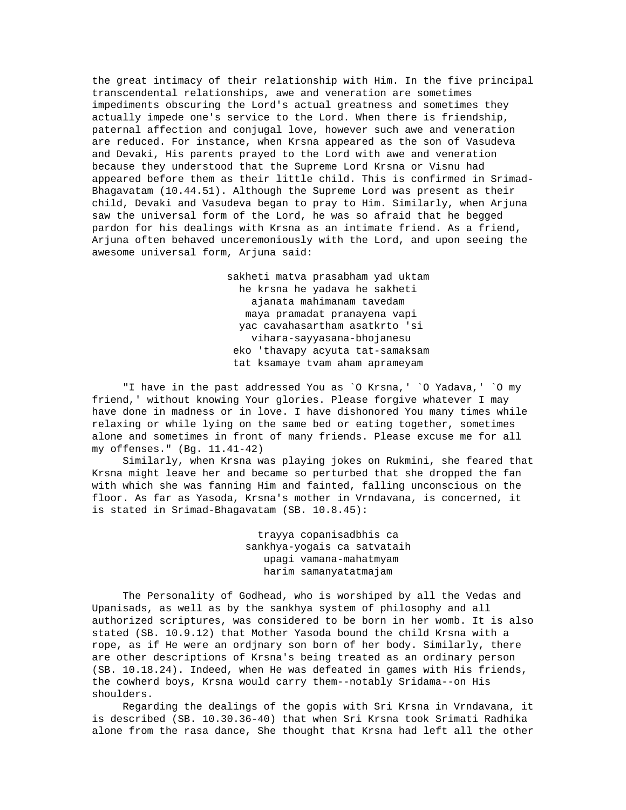the great intimacy of their relationship with Him. In the five principal transcendental relationships, awe and veneration are sometimes impediments obscuring the Lord's actual greatness and sometimes they actually impede one's service to the Lord. When there is friendship, paternal affection and conjugal love, however such awe and veneration are reduced. For instance, when Krsna appeared as the son of Vasudeva and Devaki, His parents prayed to the Lord with awe and veneration because they understood that the Supreme Lord Krsna or Visnu had appeared before them as their little child. This is confirmed in Srimad-Bhagavatam (10.44.51). Although the Supreme Lord was present as their child, Devaki and Vasudeva began to pray to Him. Similarly, when Arjuna saw the universal form of the Lord, he was so afraid that he begged pardon for his dealings with Krsna as an intimate friend. As a friend, Arjuna often behaved unceremoniously with the Lord, and upon seeing the awesome universal form, Arjuna said:

> sakheti matva prasabham yad uktam he krsna he yadava he sakheti ajanata mahimanam tavedam maya pramadat pranayena vapi yac cavahasartham asatkrto 'si vihara-sayyasana-bhojanesu eko 'thavapy acyuta tat-samaksam tat ksamaye tvam aham aprameyam

 "I have in the past addressed You as `O Krsna,' `O Yadava,' `O my friend,' without knowing Your glories. Please forgive whatever I may have done in madness or in love. I have dishonored You many times while relaxing or while lying on the same bed or eating together, sometimes alone and sometimes in front of many friends. Please excuse me for all my offenses." (Bg. 11.41-42)

 Similarly, when Krsna was playing jokes on Rukmini, she feared that Krsna might leave her and became so perturbed that she dropped the fan with which she was fanning Him and fainted, falling unconscious on the floor. As far as Yasoda, Krsna's mother in Vrndavana, is concerned, it is stated in Srimad-Bhagavatam (SB. 10.8.45):

> trayya copanisadbhis ca sankhya-yogais ca satvataih upagi vamana-mahatmyam harim samanyatatmajam

 The Personality of Godhead, who is worshiped by all the Vedas and Upanisads, as well as by the sankhya system of philosophy and all authorized scriptures, was considered to be born in her womb. It is also stated (SB. 10.9.12) that Mother Yasoda bound the child Krsna with a rope, as if He were an ordjnary son born of her body. Similarly, there are other descriptions of Krsna's being treated as an ordinary person (SB. 10.18.24). Indeed, when He was defeated in games with His friends, the cowherd boys, Krsna would carry them--notably Sridama--on His shoulders.

 Regarding the dealings of the gopis with Sri Krsna in Vrndavana, it is described (SB. 10.30.36-40) that when Sri Krsna took Srimati Radhika alone from the rasa dance, She thought that Krsna had left all the other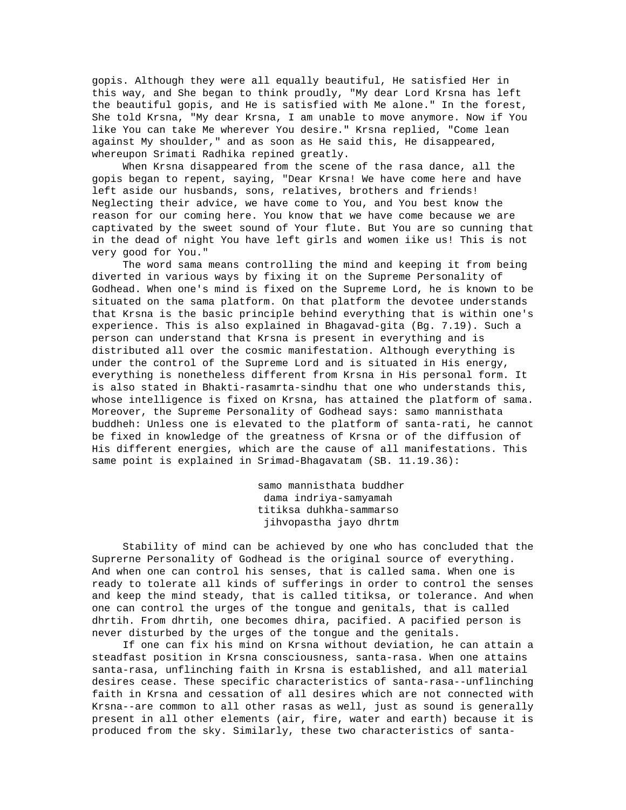gopis. Although they were all equally beautiful, He satisfied Her in this way, and She began to think proudly, "My dear Lord Krsna has left the beautiful gopis, and He is satisfied with Me alone." In the forest, She told Krsna, "My dear Krsna, I am unable to move anymore. Now if You like You can take Me wherever You desire." Krsna replied, "Come lean against My shoulder," and as soon as He said this, He disappeared, whereupon Srimati Radhika repined greatly.

 When Krsna disappeared from the scene of the rasa dance, all the gopis began to repent, saying, "Dear Krsna! We have come here and have left aside our husbands, sons, relatives, brothers and friends! Neglecting their advice, we have come to You, and You best know the reason for our coming here. You know that we have come because we are captivated by the sweet sound of Your flute. But You are so cunning that in the dead of night You have left girls and women iike us! This is not very good for You."

 The word sama means controlling the mind and keeping it from being diverted in various ways by fixing it on the Supreme Personality of Godhead. When one's mind is fixed on the Supreme Lord, he is known to be situated on the sama platform. On that platform the devotee understands that Krsna is the basic principle behind everything that is within one's experience. This is also explained in Bhagavad-gita (Bg. 7.19). Such a person can understand that Krsna is present in everything and is distributed all over the cosmic manifestation. Although everything is under the control of the Supreme Lord and is situated in His energy, everything is nonetheless different from Krsna in His personal form. It is also stated in Bhakti-rasamrta-sindhu that one who understands this, whose intelligence is fixed on Krsna, has attained the platform of sama. Moreover, the Supreme Personality of Godhead says: samo mannisthata buddheh: Unless one is elevated to the platform of santa-rati, he cannot be fixed in knowledge of the greatness of Krsna or of the diffusion of His different energies, which are the cause of all manifestations. This same point is explained in Srimad-Bhagavatam (SB. 11.19.36):

> samo mannisthata buddher dama indriya-samyamah titiksa duhkha-sammarso jihvopastha jayo dhrtm

 Stability of mind can be achieved by one who has concluded that the Suprerne Personality of Godhead is the original source of everything. And when one can control his senses, that is called sama. When one is ready to tolerate all kinds of sufferings in order to control the senses and keep the mind steady, that is called titiksa, or tolerance. And when one can control the urges of the tongue and genitals, that is called dhrtih. From dhrtih, one becomes dhira, pacified. A pacified person is never disturbed by the urges of the tongue and the genitals.

 If one can fix his mind on Krsna without deviation, he can attain a steadfast position in Krsna consciousness, santa-rasa. When one attains santa-rasa, unflinching faith in Krsna is established, and all material desires cease. These specific characteristics of santa-rasa--unflinching faith in Krsna and cessation of all desires which are not connected with Krsna--are common to all other rasas as well, just as sound is generally present in all other elements (air, fire, water and earth) because it is produced from the sky. Similarly, these two characteristics of santa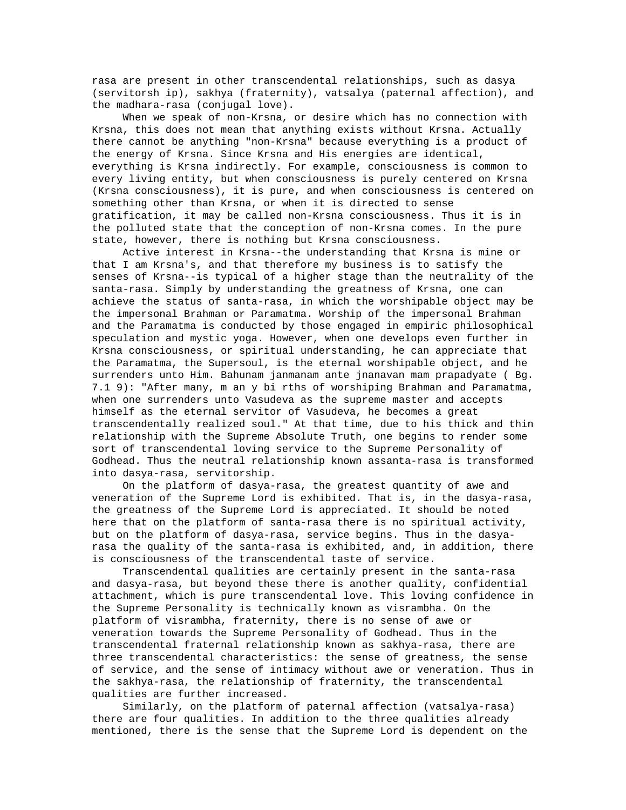rasa are present in other transcendental relationships, such as dasya (servitorsh ip), sakhya (fraternity), vatsalya (paternal affection), and the madhara-rasa (conjugal love).

 When we speak of non-Krsna, or desire which has no connection with Krsna, this does not mean that anything exists without Krsna. Actually there cannot be anything "non-Krsna" because everything is a product of the energy of Krsna. Since Krsna and His energies are identical, everything is Krsna indirectly. For example, consciousness is common to every living entity, but when consciousness is purely centered on Krsna (Krsna consciousness), it is pure, and when consciousness is centered on something other than Krsna, or when it is directed to sense gratification, it may be called non-Krsna consciousness. Thus it is in the polluted state that the conception of non-Krsna comes. In the pure state, however, there is nothing but Krsna consciousness.

 Active interest in Krsna--the understanding that Krsna is mine or that I am Krsna's, and that therefore my business is to satisfy the senses of Krsna--is typical of a higher stage than the neutrality of the santa-rasa. Simply by understanding the greatness of Krsna, one can achieve the status of santa-rasa, in which the worshipable object may be the impersonal Brahman or Paramatma. Worship of the impersonal Brahman and the Paramatma is conducted by those engaged in empiric philosophical speculation and mystic yoga. However, when one develops even further in Krsna consciousness, or spiritual understanding, he can appreciate that the Paramatma, the Supersoul, is the eternal worshipable object, and he surrenders unto Him. Bahunam janmanam ante jnanavan mam prapadyate ( Bg. 7.1 9): "After many, m an y bi rths of worshiping Brahman and Paramatma, when one surrenders unto Vasudeva as the supreme master and accepts himself as the eternal servitor of Vasudeva, he becomes a great transcendentally realized soul." At that time, due to his thick and thin relationship with the Supreme Absolute Truth, one begins to render some sort of transcendental loving service to the Supreme Personality of Godhead. Thus the neutral relationship known assanta-rasa is transformed into dasya-rasa, servitorship.

 On the platform of dasya-rasa, the greatest quantity of awe and veneration of the Supreme Lord is exhibited. That is, in the dasya-rasa, the greatness of the Supreme Lord is appreciated. It should be noted here that on the platform of santa-rasa there is no spiritual activity, but on the platform of dasya-rasa, service begins. Thus in the dasyarasa the quality of the santa-rasa is exhibited, and, in addition, there is consciousness of the transcendental taste of service.

 Transcendental qualities are certainly present in the santa-rasa and dasya-rasa, but beyond these there is another quality, confidential attachment, which is pure transcendental love. This loving confidence in the Supreme Personality is technically known as visrambha. On the platform of visrambha, fraternity, there is no sense of awe or veneration towards the Supreme Personality of Godhead. Thus in the transcendental fraternal relationship known as sakhya-rasa, there are three transcendental characteristics: the sense of greatness, the sense of service, and the sense of intimacy without awe or veneration. Thus in the sakhya-rasa, the relationship of fraternity, the transcendental qualities are further increased.

 Similarly, on the platform of paternal affection (vatsalya-rasa) there are four qualities. In addition to the three qualities already mentioned, there is the sense that the Supreme Lord is dependent on the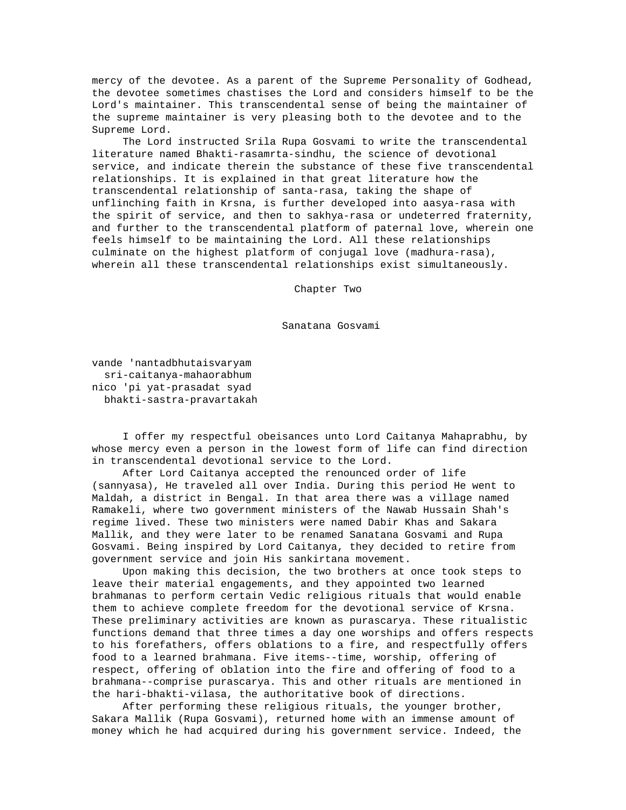mercy of the devotee. As a parent of the Supreme Personality of Godhead, the devotee sometimes chastises the Lord and considers himself to be the Lord's maintainer. This transcendental sense of being the maintainer of the supreme maintainer is very pleasing both to the devotee and to the Supreme Lord.

 The Lord instructed Srila Rupa Gosvami to write the transcendental literature named Bhakti-rasamrta-sindhu, the science of devotional service, and indicate therein the substance of these five transcendental relationships. It is explained in that great literature how the transcendental relationship of santa-rasa, taking the shape of unflinching faith in Krsna, is further developed into aasya-rasa with the spirit of service, and then to sakhya-rasa or undeterred fraternity, and further to the transcendental platform of paternal love, wherein one feels himself to be maintaining the Lord. All these relationships culminate on the highest platform of conjugal love (madhura-rasa), wherein all these transcendental relationships exist simultaneously.

Chapter Two

Sanatana Gosvami

vande 'nantadbhutaisvaryam sri-caitanya-mahaorabhum nico 'pi yat-prasadat syad bhakti-sastra-pravartakah

 I offer my respectful obeisances unto Lord Caitanya Mahaprabhu, by whose mercy even a person in the lowest form of life can find direction in transcendental devotional service to the Lord.

 After Lord Caitanya accepted the renounced order of life (sannyasa), He traveled all over India. During this period He went to Maldah, a district in Bengal. In that area there was a village named Ramakeli, where two government ministers of the Nawab Hussain Shah's regime lived. These two ministers were named Dabir Khas and Sakara Mallik, and they were later to be renamed Sanatana Gosvami and Rupa Gosvami. Being inspired by Lord Caitanya, they decided to retire from government service and join His sankirtana movement.

 Upon making this decision, the two brothers at once took steps to leave their material engagements, and they appointed two learned brahmanas to perform certain Vedic religious rituals that would enable them to achieve complete freedom for the devotional service of Krsna. These preliminary activities are known as purascarya. These ritualistic functions demand that three times a day one worships and offers respects to his forefathers, offers oblations to a fire, and respectfully offers food to a learned brahmana. Five items--time, worship, offering of respect, offering of oblation into the fire and offering of food to a brahmana--comprise purascarya. This and other rituals are mentioned in the hari-bhakti-vilasa, the authoritative book of directions.

 After performing these religious rituals, the younger brother, Sakara Mallik (Rupa Gosvami), returned home with an immense amount of money which he had acquired during his government service. Indeed, the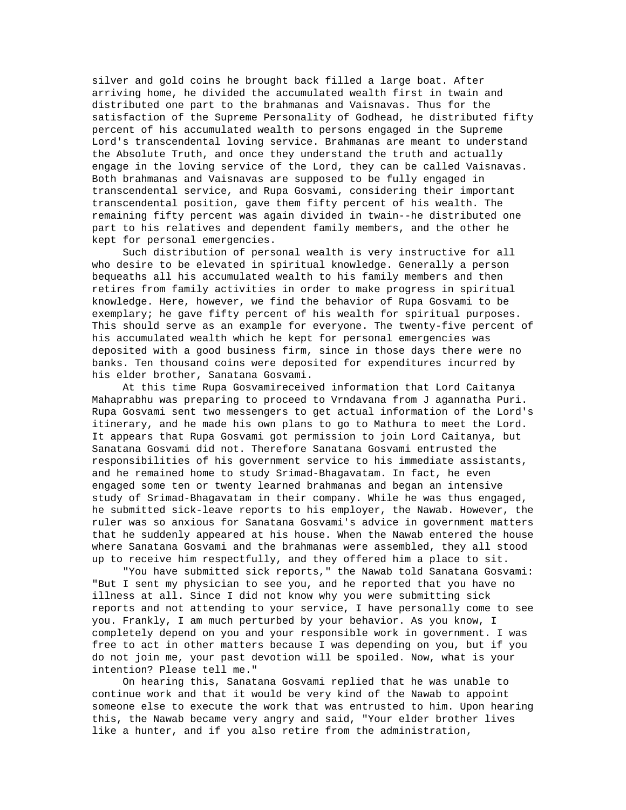silver and gold coins he brought back filled a large boat. After arriving home, he divided the accumulated wealth first in twain and distributed one part to the brahmanas and Vaisnavas. Thus for the satisfaction of the Supreme Personality of Godhead, he distributed fifty percent of his accumulated wealth to persons engaged in the Supreme Lord's transcendental loving service. Brahmanas are meant to understand the Absolute Truth, and once they understand the truth and actually engage in the loving service of the Lord, they can be called Vaisnavas. Both brahmanas and Vaisnavas are supposed to be fully engaged in transcendental service, and Rupa Gosvami, considering their important transcendental position, gave them fifty percent of his wealth. The remaining fifty percent was again divided in twain--he distributed one part to his relatives and dependent family members, and the other he kept for personal emergencies.

 Such distribution of personal wealth is very instructive for all who desire to be elevated in spiritual knowledge. Generally a person bequeaths all his accumulated wealth to his family members and then retires from family activities in order to make progress in spiritual knowledge. Here, however, we find the behavior of Rupa Gosvami to be exemplary; he gave fifty percent of his wealth for spiritual purposes. This should serve as an example for everyone. The twenty-five percent of his accumulated wealth which he kept for personal emergencies was deposited with a good business firm, since in those days there were no banks. Ten thousand coins were deposited for expenditures incurred by his elder brother, Sanatana Gosvami.

 At this time Rupa Gosvamireceived information that Lord Caitanya Mahaprabhu was preparing to proceed to Vrndavana from J agannatha Puri. Rupa Gosvami sent two messengers to get actual information of the Lord's itinerary, and he made his own plans to go to Mathura to meet the Lord. It appears that Rupa Gosvami got permission to join Lord Caitanya, but Sanatana Gosvami did not. Therefore Sanatana Gosvami entrusted the responsibilities of his government service to his immediate assistants, and he remained home to study Srimad-Bhagavatam. In fact, he even engaged some ten or twenty learned brahmanas and began an intensive study of Srimad-Bhagavatam in their company. While he was thus engaged, he submitted sick-leave reports to his employer, the Nawab. However, the ruler was so anxious for Sanatana Gosvami's advice in government matters that he suddenly appeared at his house. When the Nawab entered the house where Sanatana Gosvami and the brahmanas were assembled, they all stood up to receive him respectfully, and they offered him a place to sit.

 "You have submitted sick reports," the Nawab told Sanatana Gosvami: "But I sent my physician to see you, and he reported that you have no illness at all. Since I did not know why you were submitting sick reports and not attending to your service, I have personally come to see you. Frankly, I am much perturbed by your behavior. As you know, I completely depend on you and your responsible work in government. I was free to act in other matters because I was depending on you, but if you do not join me, your past devotion will be spoiled. Now, what is your intention? Please tell me."

 On hearing this, Sanatana Gosvami replied that he was unable to continue work and that it would be very kind of the Nawab to appoint someone else to execute the work that was entrusted to him. Upon hearing this, the Nawab became very angry and said, "Your elder brother lives like a hunter, and if you also retire from the administration,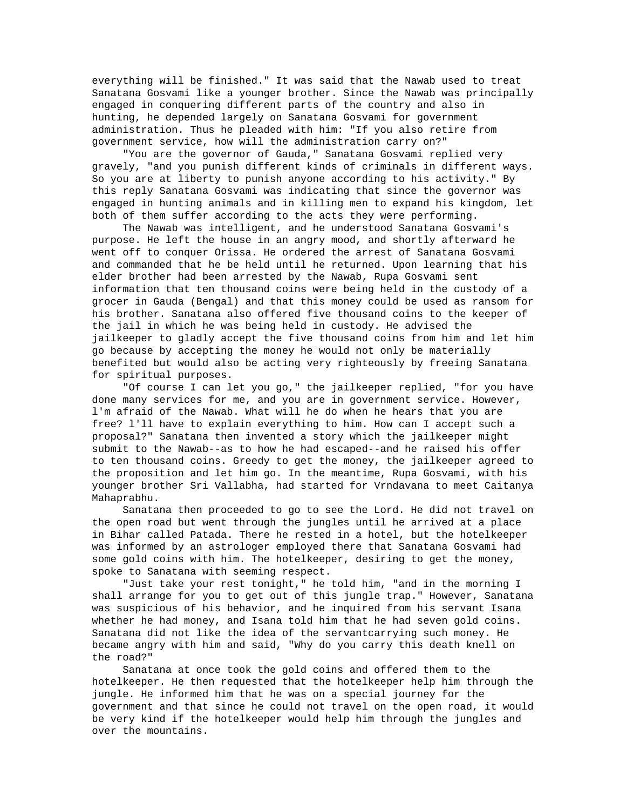everything will be finished." It was said that the Nawab used to treat Sanatana Gosvami like a younger brother. Since the Nawab was principally engaged in conquering different parts of the country and also in hunting, he depended largely on Sanatana Gosvami for government administration. Thus he pleaded with him: "If you also retire from government service, how will the administration carry on?"

 "You are the governor of Gauda," Sanatana Gosvami replied very gravely, "and you punish different kinds of criminals in different ways. So you are at liberty to punish anyone according to his activity." By this reply Sanatana Gosvami was indicating that since the governor was engaged in hunting animals and in killing men to expand his kingdom, let both of them suffer according to the acts they were performing.

 The Nawab was intelligent, and he understood Sanatana Gosvami's purpose. He left the house in an angry mood, and shortly afterward he went off to conquer Orissa. He ordered the arrest of Sanatana Gosvami and commanded that he be held until he returned. Upon learning that his elder brother had been arrested by the Nawab, Rupa Gosvami sent information that ten thousand coins were being held in the custody of a grocer in Gauda (Bengal) and that this money could be used as ransom for his brother. Sanatana also offered five thousand coins to the keeper of the jail in which he was being held in custody. He advised the jailkeeper to gladly accept the five thousand coins from him and let him go because by accepting the money he would not only be materially benefited but would also be acting very righteously by freeing Sanatana for spiritual purposes.

 "Of course I can let you go," the jailkeeper replied, "for you have done many services for me, and you are in government service. However, l'm afraid of the Nawab. What will he do when he hears that you are free? l'll have to explain everything to him. How can I accept such a proposal?" Sanatana then invented a story which the jailkeeper might submit to the Nawab--as to how he had escaped--and he raised his offer to ten thousand coins. Greedy to get the money, the jailkeeper agreed to the proposition and let him go. In the meantime, Rupa Gosvami, with his younger brother Sri Vallabha, had started for Vrndavana to meet Caitanya Mahaprabhu.

 Sanatana then proceeded to go to see the Lord. He did not travel on the open road but went through the jungles until he arrived at a place in Bihar called Patada. There he rested in a hotel, but the hotelkeeper was informed by an astrologer employed there that Sanatana Gosvami had some gold coins with him. The hotelkeeper, desiring to get the money, spoke to Sanatana with seeming respect.

 "Just take your rest tonight," he told him, "and in the morning I shall arrange for you to get out of this jungle trap." However, Sanatana was suspicious of his behavior, and he inquired from his servant Isana whether he had money, and Isana told him that he had seven gold coins. Sanatana did not like the idea of the servantcarrying such money. He became angry with him and said, "Why do you carry this death knell on the road?"

 Sanatana at once took the gold coins and offered them to the hotelkeeper. He then requested that the hotelkeeper help him through the jungle. He informed him that he was on a special journey for the government and that since he could not travel on the open road, it would be very kind if the hotelkeeper would help him through the jungles and over the mountains.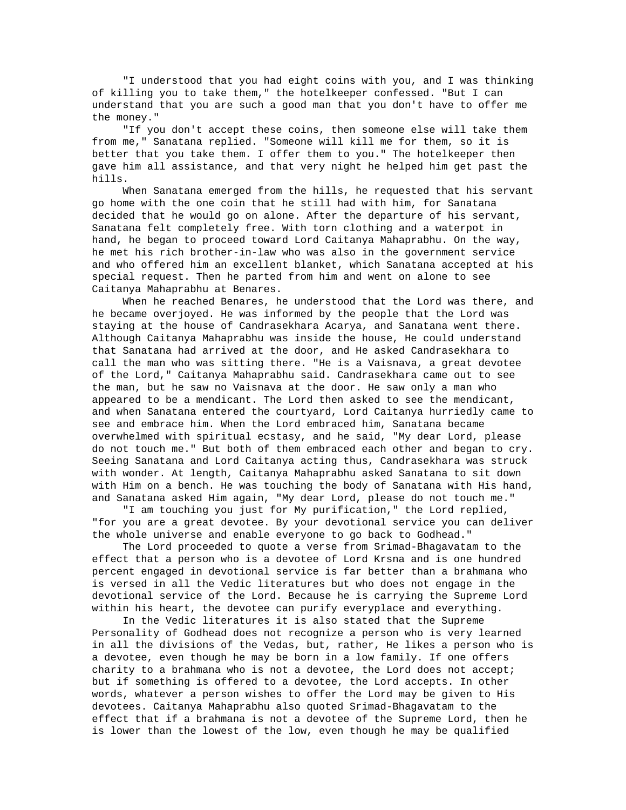"I understood that you had eight coins with you, and I was thinking of killing you to take them," the hotelkeeper confessed. "But I can understand that you are such a good man that you don't have to offer me the money."

 "If you don't accept these coins, then someone else will take them from me," Sanatana replied. "Someone will kill me for them, so it is better that you take them. I offer them to you." The hotelkeeper then gave him all assistance, and that very night he helped him get past the hills.

 When Sanatana emerged from the hills, he requested that his servant go home with the one coin that he still had with him, for Sanatana decided that he would go on alone. After the departure of his servant, Sanatana felt completely free. With torn clothing and a waterpot in hand, he began to proceed toward Lord Caitanya Mahaprabhu. On the way, he met his rich brother-in-law who was also in the government service and who offered him an excellent blanket, which Sanatana accepted at his special request. Then he parted from him and went on alone to see Caitanya Mahaprabhu at Benares.

 When he reached Benares, he understood that the Lord was there, and he became overjoyed. He was informed by the people that the Lord was staying at the house of Candrasekhara Acarya, and Sanatana went there. Although Caitanya Mahaprabhu was inside the house, He could understand that Sanatana had arrived at the door, and He asked Candrasekhara to call the man who was sitting there. "He is a Vaisnava, a great devotee of the Lord," Caitanya Mahaprabhu said. Candrasekhara came out to see the man, but he saw no Vaisnava at the door. He saw only a man who appeared to be a mendicant. The Lord then asked to see the mendicant, and when Sanatana entered the courtyard, Lord Caitanya hurriedly came to see and embrace him. When the Lord embraced him, Sanatana became overwhelmed with spiritual ecstasy, and he said, "My dear Lord, please do not touch me." But both of them embraced each other and began to cry. Seeing Sanatana and Lord Caitanya acting thus, Candrasekhara was struck with wonder. At length, Caitanya Mahaprabhu asked Sanatana to sit down with Him on a bench. He was touching the body of Sanatana with His hand, and Sanatana asked Him again, "My dear Lord, please do not touch me."

 "I am touching you just for My purification," the Lord replied, "for you are a great devotee. By your devotional service you can deliver the whole universe and enable everyone to go back to Godhead."

 The Lord proceeded to quote a verse from Srimad-Bhagavatam to the effect that a person who is a devotee of Lord Krsna and is one hundred percent engaged in devotional service is far better than a brahmana who is versed in all the Vedic literatures but who does not engage in the devotional service of the Lord. Because he is carrying the Supreme Lord within his heart, the devotee can purify everyplace and everything.

 In the Vedic literatures it is also stated that the Supreme Personality of Godhead does not recognize a person who is very learned in all the divisions of the Vedas, but, rather, He likes a person who is a devotee, even though he may be born in a low family. If one offers charity to a brahmana who is not a devotee, the Lord does not accept; but if something is offered to a devotee, the Lord accepts. In other words, whatever a person wishes to offer the Lord may be given to His devotees. Caitanya Mahaprabhu also quoted Srimad-Bhagavatam to the effect that if a brahmana is not a devotee of the Supreme Lord, then he is lower than the lowest of the low, even though he may be qualified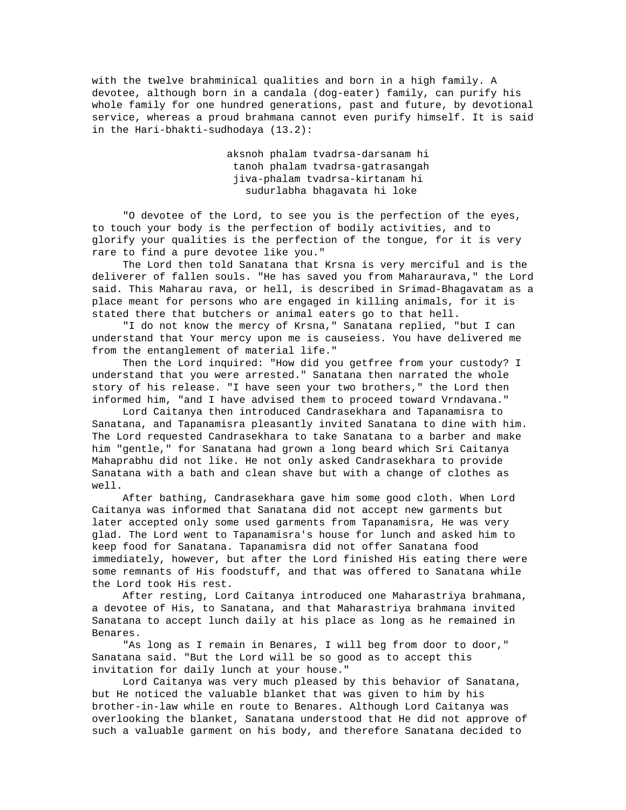with the twelve brahminical qualities and born in a high family. A devotee, although born in a candala (dog-eater) family, can purify his whole family for one hundred generations, past and future, by devotional service, whereas a proud brahmana cannot even purify himself. It is said in the Hari-bhakti-sudhodaya (13.2):

> aksnoh phalam tvadrsa-darsanam hi tanoh phalam tvadrsa-gatrasangah jiva-phalam tvadrsa-kirtanam hi sudurlabha bhagavata hi loke

 "O devotee of the Lord, to see you is the perfection of the eyes, to touch your body is the perfection of bodily activities, and to glorify your qualities is the perfection of the tongue, for it is very rare to find a pure devotee like you."

 The Lord then told Sanatana that Krsna is very merciful and is the deliverer of fallen souls. "He has saved you from Maharaurava," the Lord said. This Maharau rava, or hell, is described in Srimad-Bhagavatam as a place meant for persons who are engaged in killing animals, for it is stated there that butchers or animal eaters go to that hell.

 "I do not know the mercy of Krsna," Sanatana replied, "but I can understand that Your mercy upon me is causeiess. You have delivered me from the entanglement of material life."

 Then the Lord inquired: "How did you getfree from your custody? I understand that you were arrested." Sanatana then narrated the whole story of his release. "I have seen your two brothers," the Lord then informed him, "and I have advised them to proceed toward Vrndavana."

 Lord Caitanya then introduced Candrasekhara and Tapanamisra to Sanatana, and Tapanamisra pleasantly invited Sanatana to dine with him. The Lord requested Candrasekhara to take Sanatana to a barber and make him "gentle," for Sanatana had grown a long beard which Sri Caitanya Mahaprabhu did not like. He not only asked Candrasekhara to provide Sanatana with a bath and clean shave but with a change of clothes as well.

 After bathing, Candrasekhara gave him some good cloth. When Lord Caitanya was informed that Sanatana did not accept new garments but later accepted only some used garments from Tapanamisra, He was very glad. The Lord went to Tapanamisra's house for lunch and asked him to keep food for Sanatana. Tapanamisra did not offer Sanatana food immediately, however, but after the Lord finished His eating there were some remnants of His foodstuff, and that was offered to Sanatana while the Lord took His rest.

 After resting, Lord Caitanya introduced one Maharastriya brahmana, a devotee of His, to Sanatana, and that Maharastriya brahmana invited Sanatana to accept lunch daily at his place as long as he remained in Benares.

 "As long as I remain in Benares, I will beg from door to door," Sanatana said. "But the Lord will be so good as to accept this invitation for daily lunch at your house."

 Lord Caitanya was very much pleased by this behavior of Sanatana, but He noticed the valuable blanket that was given to him by his brother-in-law while en route to Benares. Although Lord Caitanya was overlooking the blanket, Sanatana understood that He did not approve of such a valuable garment on his body, and therefore Sanatana decided to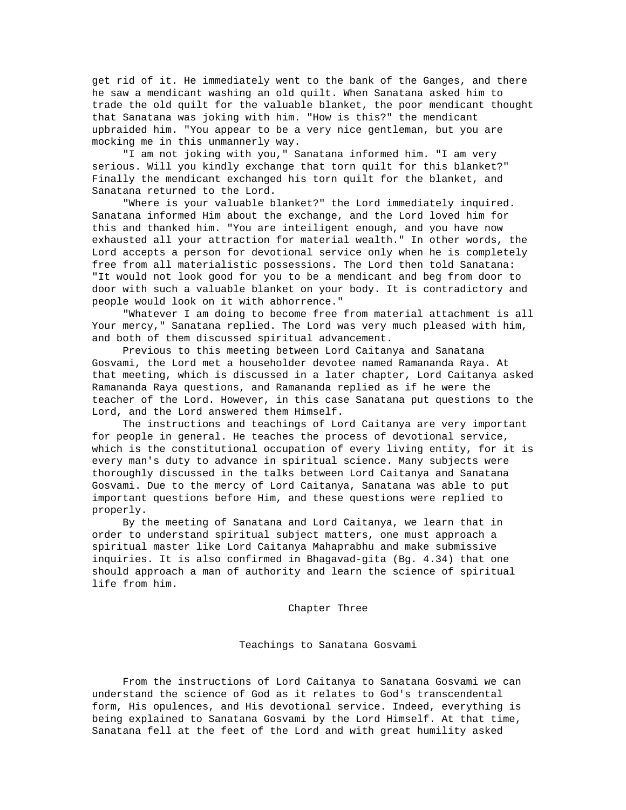get rid of it. He immediately went to the bank of the Ganges, and there he saw a mendicant washing an old quilt. When Sanatana asked him to trade the old quilt for the valuable blanket, the poor mendicant thought that Sanatana was joking with him. "How is this?" the mendicant upbraided him. "You appear to be a very nice gentleman, but you are mocking me in this unmannerly way.

 "I am not joking with you," Sanatana informed him. "I am very serious. Will you kindly exchange that torn quilt for this blanket?" Finally the mendicant exchanged his torn quilt for the blanket, and Sanatana returned to the Lord.

 "Where is your valuable blanket?" the Lord immediately inquired. Sanatana informed Him about the exchange, and the Lord loved him for this and thanked him. "You are inteiligent enough, and you have now exhausted all your attraction for material wealth." In other words, the Lord accepts a person for devotional service only when he is completely free from all materialistic possessions. The Lord then told Sanatana: "It would not look good for you to be a mendicant and beg from door to door with such a valuable blanket on your body. It is contradictory and people would look on it with abhorrence."

 "Whatever I am doing to become free from material attachment is all Your mercy," Sanatana replied. The Lord was very much pleased with him, and both of them discussed spiritual advancement.

 Previous to this meeting between Lord Caitanya and Sanatana Gosvami, the Lord met a householder devotee named Ramananda Raya. At that meeting, which is discussed in a later chapter, Lord Caitanya asked Ramananda Raya questions, and Ramananda replied as if he were the teacher of the Lord. However, in this case Sanatana put questions to the Lord, and the Lord answered them Himself.

 The instructions and teachings of Lord Caitanya are very important for people in general. He teaches the process of devotional service, which is the constitutional occupation of every living entity, for it is every man's duty to advance in spiritual science. Many subjects were thoroughly discussed in the talks between Lord Caitanya and Sanatana Gosvami. Due to the mercy of Lord Caitanya, Sanatana was able to put important questions before Him, and these questions were replied to properly.

 By the meeting of Sanatana and Lord Caitanya, we learn that in order to understand spiritual subject matters, one must approach a spiritual master like Lord Caitanya Mahaprabhu and make submissive inquiries. It is also confirmed in Bhagavad-gita (Bg. 4.34) that one should approach a man of authority and learn the science of spiritual life from him.

### Chapter Three

#### Teachings to Sanatana Gosvami

 From the instructions of Lord Caitanya to Sanatana Gosvami we can understand the science of God as it relates to God's transcendental form, His opulences, and His devotional service. Indeed, everything is being explained to Sanatana Gosvami by the Lord Himself. At that time, Sanatana fell at the feet of the Lord and with great humility asked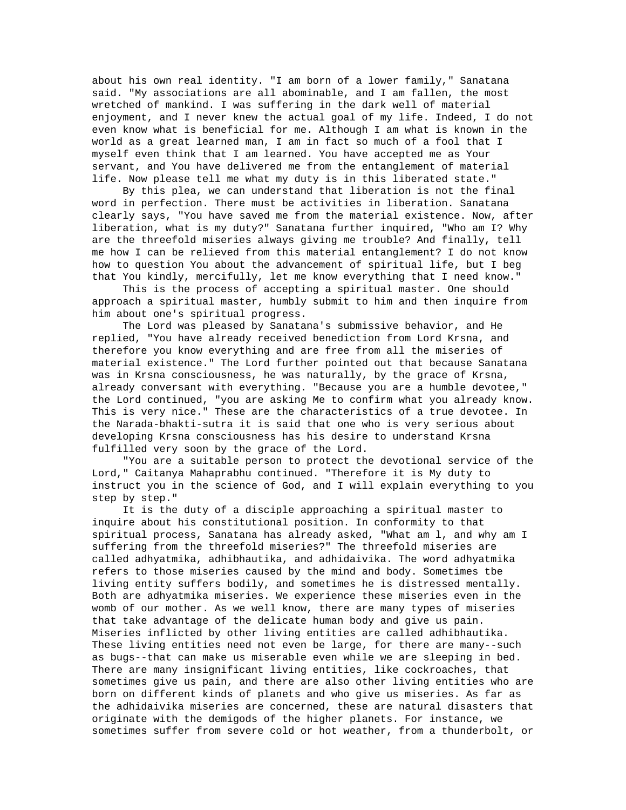about his own real identity. "I am born of a lower family," Sanatana said. "My associations are all abominable, and I am fallen, the most wretched of mankind. I was suffering in the dark well of material enjoyment, and I never knew the actual goal of my life. Indeed, I do not even know what is beneficial for me. Although I am what is known in the world as a great learned man, I am in fact so much of a fool that I myself even think that I am learned. You have accepted me as Your servant, and You have delivered me from the entanglement of material life. Now please tell me what my duty is in this liberated state."

 By this plea, we can understand that liberation is not the final word in perfection. There must be activities in liberation. Sanatana clearly says, "You have saved me from the material existence. Now, after liberation, what is my duty?" Sanatana further inquired, "Who am I? Why are the threefold miseries always giving me trouble? And finally, tell me how I can be relieved from this material entanglement? I do not know how to question You about the advancement of spiritual life, but I beg that You kindly, mercifully, let me know everything that I need know."

 This is the process of accepting a spiritual master. One should approach a spiritual master, humbly submit to him and then inquire from him about one's spiritual progress.

 The Lord was pleased by Sanatana's submissive behavior, and He replied, "You have already received benediction from Lord Krsna, and therefore you know everything and are free from all the miseries of material existence." The Lord further pointed out that because Sanatana was in Krsna consciousness, he was naturally, by the grace of Krsna, already conversant with everything. "Because you are a humble devotee," the Lord continued, "you are asking Me to confirm what you already know. This is very nice." These are the characteristics of a true devotee. In the Narada-bhakti-sutra it is said that one who is very serious about developing Krsna consciousness has his desire to understand Krsna fulfilled very soon by the grace of the Lord.

 "You are a suitable person to protect the devotional service of the Lord," Caitanya Mahaprabhu continued. "Therefore it is My duty to instruct you in the science of God, and I will explain everything to you step by step."

 It is the duty of a disciple approaching a spiritual master to inquire about his constitutional position. In conformity to that spiritual process, Sanatana has already asked, "What am l, and why am I suffering from the threefold miseries?" The threefold miseries are called adhyatmika, adhibhautika, and adhidaivika. The word adhyatmika refers to those miseries caused by the mind and body. Sometimes tbe living entity suffers bodily, and sometimes he is distressed mentally. Both are adhyatmika miseries. We experience these miseries even in the womb of our mother. As we well know, there are many types of miseries that take advantage of the delicate human body and give us pain. Miseries inflicted by other living entities are called adhibhautika. These living entities need not even be large, for there are many--such as bugs--that can make us miserable even while we are sleeping in bed. There are many insignificant living entities, like cockroaches, that sometimes give us pain, and there are also other living entities who are born on different kinds of planets and who give us miseries. As far as the adhidaivika miseries are concerned, these are natural disasters that originate with the demigods of the higher planets. For instance, we sometimes suffer from severe cold or hot weather, from a thunderbolt, or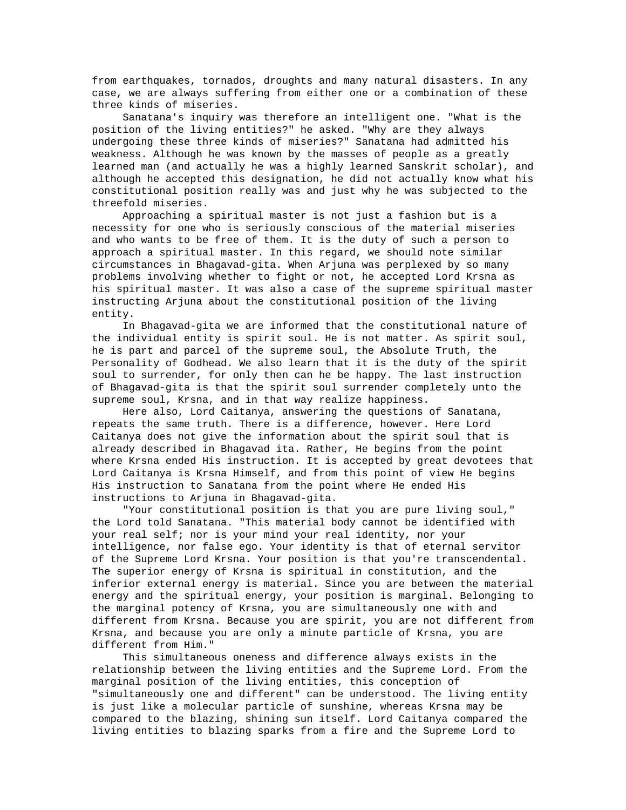from earthquakes, tornados, droughts and many natural disasters. In any case, we are always suffering from either one or a combination of these three kinds of miseries.

 Sanatana's inquiry was therefore an intelligent one. "What is the position of the living entities?" he asked. "Why are they always undergoing these three kinds of miseries?" Sanatana had admitted his weakness. Although he was known by the masses of people as a greatly learned man (and actually he was a highly learned Sanskrit scholar), and although he accepted this designation, he did not actually know what his constitutional position really was and just why he was subjected to the threefold miseries.

 Approaching a spiritual master is not just a fashion but is a necessity for one who is seriously conscious of the material miseries and who wants to be free of them. It is the duty of such a person to approach a spiritual master. In this regard, we should note similar circumstances in Bhagavad-gita. When Arjuna was perplexed by so many problems involving whether to fight or not, he accepted Lord Krsna as his spiritual master. It was also a case of the supreme spiritual master instructing Arjuna about the constitutional position of the living entity.

 In Bhagavad-gita we are informed that the constitutional nature of the individual entity is spirit soul. He is not matter. As spirit soul, he is part and parcel of the supreme soul, the Absolute Truth, the Personality of Godhead. We also learn that it is the duty of the spirit soul to surrender, for only then can he be happy. The last instruction of Bhagavad-gita is that the spirit soul surrender completely unto the supreme soul, Krsna, and in that way realize happiness.

 Here also, Lord Caitanya, answering the questions of Sanatana, repeats the same truth. There is a difference, however. Here Lord Caitanya does not give the information about the spirit soul that is already described in Bhagavad ita. Rather, He begins from the point where Krsna ended His instruction. It is accepted by great devotees that Lord Caitanya is Krsna Himself, and from this point of view He begins His instruction to Sanatana from the point where He ended His instructions to Arjuna in Bhagavad-gita.

 "Your constitutional position is that you are pure living soul," the Lord told Sanatana. "This material body cannot be identified with your real self; nor is your mind your real identity, nor your intelligence, nor false ego. Your identity is that of eternal servitor of the Supreme Lord Krsna. Your position is that you're transcendental. The superior energy of Krsna is spiritual in constitution, and the inferior external energy is material. Since you are between the material energy and the spiritual energy, your position is marginal. Belonging to the marginal potency of Krsna, you are simultaneously one with and different from Krsna. Because you are spirit, you are not different from Krsna, and because you are only a minute particle of Krsna, you are different from Him."

 This simultaneous oneness and difference always exists in the relationship between the living entities and the Supreme Lord. From the marginal position of the living entities, this conception of "simultaneously one and different" can be understood. The living entity is just like a molecular particle of sunshine, whereas Krsna may be compared to the blazing, shining sun itself. Lord Caitanya compared the living entities to blazing sparks from a fire and the Supreme Lord to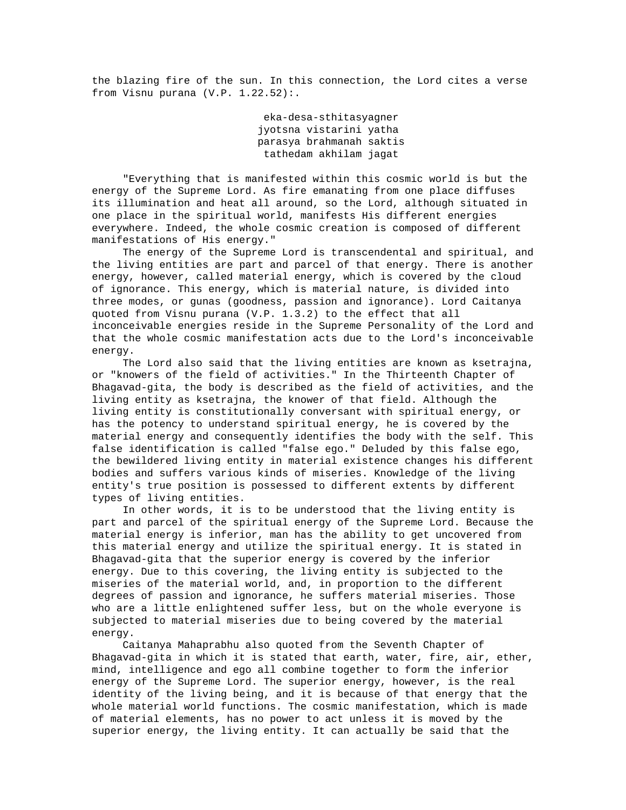the blazing fire of the sun. In this connection, the Lord cites a verse from Visnu purana  $(V.P. 1.22.52):$ .

> eka-desa-sthitasyagner jyotsna vistarini yatha parasya brahmanah saktis tathedam akhilam jagat

 "Everything that is manifested within this cosmic world is but the energy of the Supreme Lord. As fire emanating from one place diffuses its illumination and heat all around, so the Lord, although situated in one place in the spiritual world, manifests His different energies everywhere. Indeed, the whole cosmic creation is composed of different manifestations of His energy."

 The energy of the Supreme Lord is transcendental and spiritual, and the living entities are part and parcel of that energy. There is another energy, however, called material energy, which is covered by the cloud of ignorance. This energy, which is material nature, is divided into three modes, or gunas (goodness, passion and ignorance). Lord Caitanya quoted from Visnu purana (V.P. 1.3.2) to the effect that all inconceivable energies reside in the Supreme Personality of the Lord and that the whole cosmic manifestation acts due to the Lord's inconceivable energy.

 The Lord also said that the living entities are known as ksetrajna, or "knowers of the field of activities." In the Thirteenth Chapter of Bhagavad-gita, the body is described as the field of activities, and the living entity as ksetrajna, the knower of that field. Although the living entity is constitutionally conversant with spiritual energy, or has the potency to understand spiritual energy, he is covered by the material energy and consequently identifies the body with the self. This false identification is called "false ego." Deluded by this false ego, the bewildered living entity in material existence changes his different bodies and suffers various kinds of miseries. Knowledge of the living entity's true position is possessed to different extents by different types of living entities.

 In other words, it is to be understood that the living entity is part and parcel of the spiritual energy of the Supreme Lord. Because the material energy is inferior, man has the ability to get uncovered from this material energy and utilize the spiritual energy. It is stated in Bhagavad-gita that the superior energy is covered by the inferior energy. Due to this covering, the living entity is subjected to the miseries of the material world, and, in proportion to the different degrees of passion and ignorance, he suffers material miseries. Those who are a little enlightened suffer less, but on the whole everyone is subjected to material miseries due to being covered by the material energy.

 Caitanya Mahaprabhu also quoted from the Seventh Chapter of Bhagavad-gita in which it is stated that earth, water, fire, air, ether, mind, intelligence and ego all combine together to form the inferior energy of the Supreme Lord. The superior energy, however, is the real identity of the living being, and it is because of that energy that the whole material world functions. The cosmic manifestation, which is made of material elements, has no power to act unless it is moved by the superior energy, the living entity. It can actually be said that the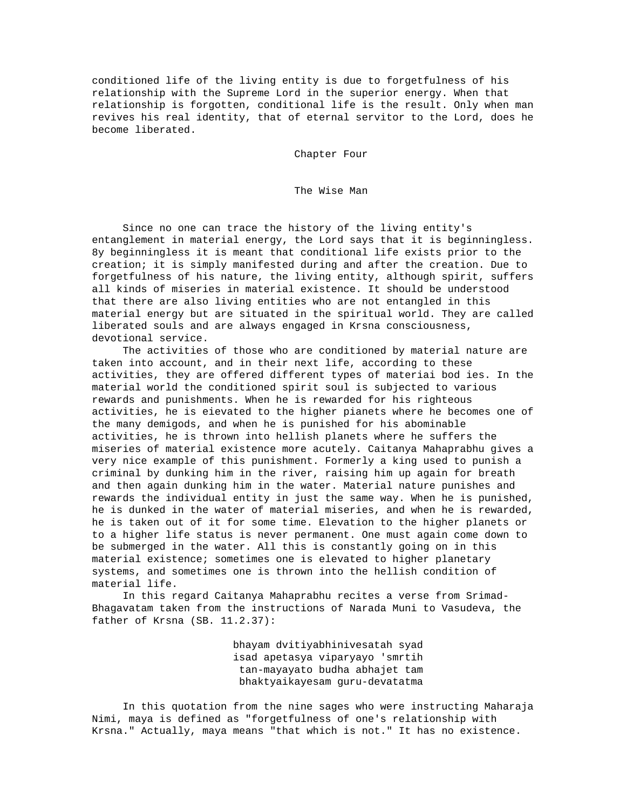conditioned life of the living entity is due to forgetfulness of his relationship with the Supreme Lord in the superior energy. When that relationship is forgotten, conditional life is the result. Only when man revives his real identity, that of eternal servitor to the Lord, does he become liberated.

Chapter Four

The Wise Man

 Since no one can trace the history of the living entity's entanglement in material energy, the Lord says that it is beginningless. 8y beginningless it is meant that conditional life exists prior to the creation; it is simply manifested during and after the creation. Due to forgetfulness of his nature, the living entity, although spirit, suffers all kinds of miseries in material existence. It should be understood that there are also living entities who are not entangled in this material energy but are situated in the spiritual world. They are called liberated souls and are always engaged in Krsna consciousness, devotional service.

 The activities of those who are conditioned by material nature are taken into account, and in their next life, according to these activities, they are offered different types of materiai bod ies. In the material world the conditioned spirit soul is subjected to various rewards and punishments. When he is rewarded for his righteous activities, he is eievated to the higher pianets where he becomes one of the many demigods, and when he is punished for his abominable activities, he is thrown into hellish planets where he suffers the miseries of material existence more acutely. Caitanya Mahaprabhu gives a very nice example of this punishment. Formerly a king used to punish a criminal by dunking him in the river, raising him up again for breath and then again dunking him in the water. Material nature punishes and rewards the individual entity in just the same way. When he is punished, he is dunked in the water of material miseries, and when he is rewarded, he is taken out of it for some time. Elevation to the higher planets or to a higher life status is never permanent. One must again come down to be submerged in the water. All this is constantly going on in this material existence; sometimes one is elevated to higher planetary systems, and sometimes one is thrown into the hellish condition of material life.

 In this regard Caitanya Mahaprabhu recites a verse from Srimad-Bhagavatam taken from the instructions of Narada Muni to Vasudeva, the father of Krsna (SB. 11.2.37):

> bhayam dvitiyabhinivesatah syad isad apetasya viparyayo 'smrtih tan-mayayato budha abhajet tam bhaktyaikayesam guru-devatatma

 In this quotation from the nine sages who were instructing Maharaja Nimi, maya is defined as "forgetfulness of one's relationship with Krsna." Actually, maya means "that which is not." It has no existence.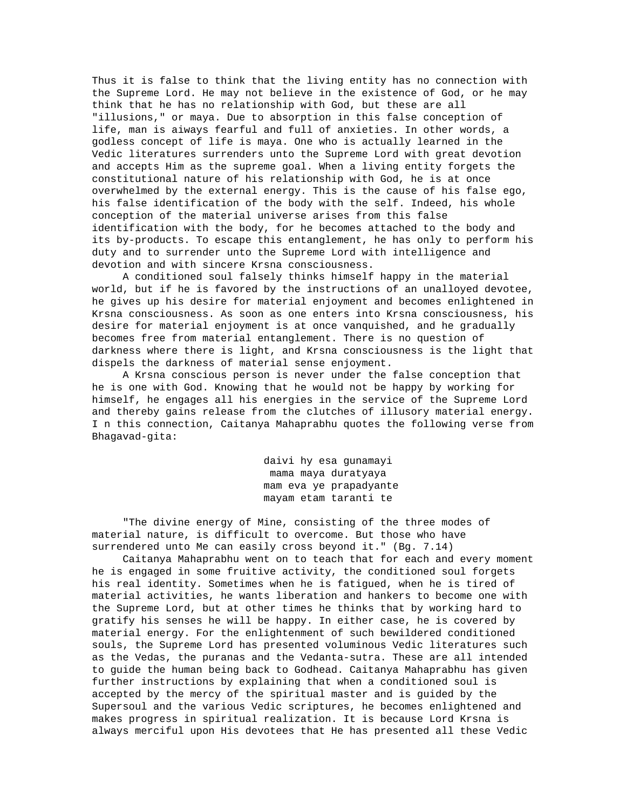Thus it is false to think that the living entity has no connection with the Supreme Lord. He may not believe in the existence of God, or he may think that he has no relationship with God, but these are all "illusions," or maya. Due to absorption in this false conception of life, man is aiways fearful and full of anxieties. In other words, a godless concept of life is maya. One who is actually learned in the Vedic literatures surrenders unto the Supreme Lord with great devotion and accepts Him as the supreme goal. When a living entity forgets the constitutional nature of his relationship with God, he is at once overwhelmed by the external energy. This is the cause of his false ego, his false identification of the body with the self. Indeed, his whole conception of the material universe arises from this false identification with the body, for he becomes attached to the body and its by-products. To escape this entanglement, he has only to perform his duty and to surrender unto the Supreme Lord with intelligence and devotion and with sincere Krsna consciousness.

 A conditioned soul falsely thinks himself happy in the material world, but if he is favored by the instructions of an unalloyed devotee, he gives up his desire for material enjoyment and becomes enlightened in Krsna consciousness. As soon as one enters into Krsna consciousness, his desire for material enjoyment is at once vanquished, and he gradually becomes free from material entanglement. There is no question of darkness where there is light, and Krsna consciousness is the light that dispels the darkness of material sense enjoyment.

 A Krsna conscious person is never under the false conception that he is one with God. Knowing that he would not be happy by working for himself, he engages all his energies in the service of the Supreme Lord and thereby gains release from the clutches of illusory material energy. I n this connection, Caitanya Mahaprabhu quotes the following verse from Bhagavad-gita:

> daivi hy esa gunamayi mama maya duratyaya mam eva ye prapadyante mayam etam taranti te

 "The divine energy of Mine, consisting of the three modes of material nature, is difficult to overcome. But those who have surrendered unto Me can easily cross beyond it." (Bg. 7.14)

 Caitanya Mahaprabhu went on to teach that for each and every moment he is engaged in some fruitive activity, the conditioned soul forgets his real identity. Sometimes when he is fatigued, when he is tired of material activities, he wants liberation and hankers to become one with the Supreme Lord, but at other times he thinks that by working hard to gratify his senses he will be happy. In either case, he is covered by material energy. For the enlightenment of such bewildered conditioned souls, the Supreme Lord has presented voluminous Vedic literatures such as the Vedas, the puranas and the Vedanta-sutra. These are all intended to guide the human being back to Godhead. Caitanya Mahaprabhu has given further instructions by explaining that when a conditioned soul is accepted by the mercy of the spiritual master and is guided by the Supersoul and the various Vedic scriptures, he becomes enlightened and makes progress in spiritual realization. It is because Lord Krsna is always merciful upon His devotees that He has presented all these Vedic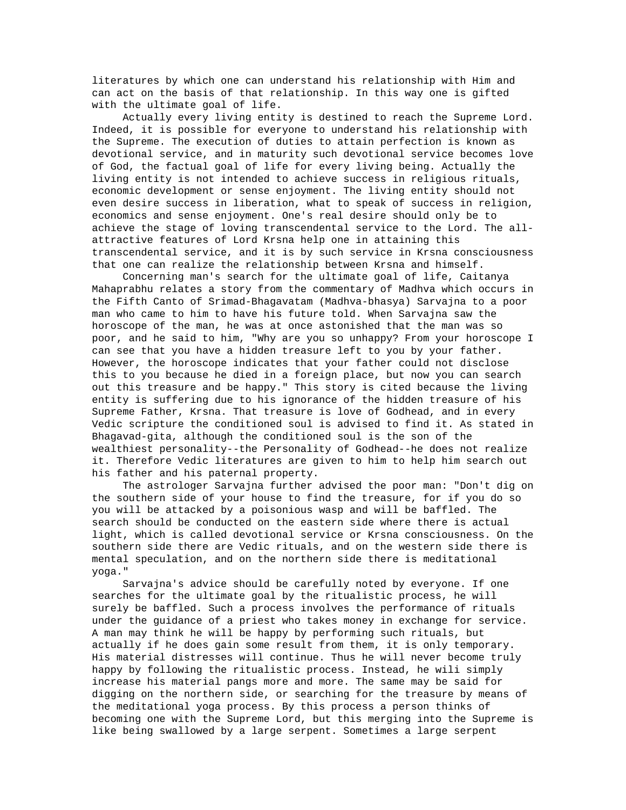literatures by which one can understand his relationship with Him and can act on the basis of that relationship. In this way one is gifted with the ultimate goal of life.

 Actually every living entity is destined to reach the Supreme Lord. Indeed, it is possible for everyone to understand his relationship with the Supreme. The execution of duties to attain perfection is known as devotional service, and in maturity such devotional service becomes love of God, the factual goal of life for every living being. Actually the living entity is not intended to achieve success in religious rituals, economic development or sense enjoyment. The living entity should not even desire success in liberation, what to speak of success in religion, economics and sense enjoyment. One's real desire should only be to achieve the stage of loving transcendental service to the Lord. The allattractive features of Lord Krsna help one in attaining this transcendental service, and it is by such service in Krsna consciousness that one can realize the relationship between Krsna and himself.

 Concerning man's search for the ultimate goal of life, Caitanya Mahaprabhu relates a story from the commentary of Madhva which occurs in the Fifth Canto of Srimad-Bhagavatam (Madhva-bhasya) Sarvajna to a poor man who came to him to have his future told. When Sarvajna saw the horoscope of the man, he was at once astonished that the man was so poor, and he said to him, "Why are you so unhappy? From your horoscope I can see that you have a hidden treasure left to you by your father. However, the horoscope indicates that your father could not disclose this to you because he died in a foreign place, but now you can search out this treasure and be happy." This story is cited because the living entity is suffering due to his ignorance of the hidden treasure of his Supreme Father, Krsna. That treasure is love of Godhead, and in every Vedic scripture the conditioned soul is advised to find it. As stated in Bhagavad-gita, although the conditioned soul is the son of the wealthiest personality--the Personality of Godhead--he does not realize it. Therefore Vedic literatures are given to him to help him search out his father and his paternal property.

 The astrologer Sarvajna further advised the poor man: "Don't dig on the southern side of your house to find the treasure, for if you do so you will be attacked by a poisonious wasp and will be baffled. The search should be conducted on the eastern side where there is actual light, which is called devotional service or Krsna consciousness. On the southern side there are Vedic rituals, and on the western side there is mental speculation, and on the northern side there is meditational yoga."

 Sarvajna's advice should be carefully noted by everyone. If one searches for the ultimate goal by the ritualistic process, he will surely be baffled. Such a process involves the performance of rituals under the guidance of a priest who takes money in exchange for service. A man may think he will be happy by performing such rituals, but actually if he does gain some result from them, it is only temporary. His material distresses will continue. Thus he will never become truly happy by following the ritualistic process. Instead, he wili simply increase his material pangs more and more. The same may be said for digging on the northern side, or searching for the treasure by means of the meditational yoga process. By this process a person thinks of becoming one with the Supreme Lord, but this merging into the Supreme is like being swallowed by a large serpent. Sometimes a large serpent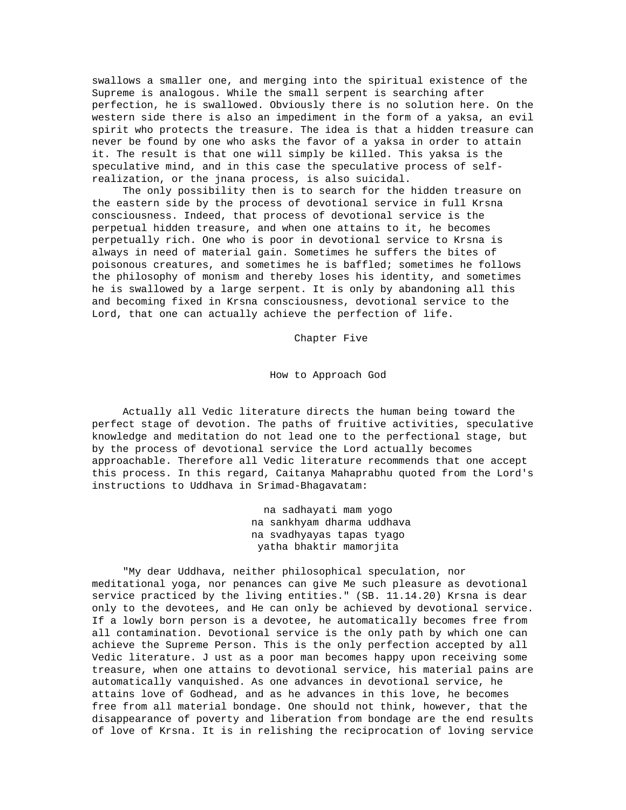swallows a smaller one, and merging into the spiritual existence of the Supreme is analogous. While the small serpent is searching after perfection, he is swallowed. Obviously there is no solution here. On the western side there is also an impediment in the form of a yaksa, an evil spirit who protects the treasure. The idea is that a hidden treasure can never be found by one who asks the favor of a yaksa in order to attain it. The result is that one will simply be killed. This yaksa is the speculative mind, and in this case the speculative process of selfrealization, or the jnana process, is also suicidal.

 The only possibility then is to search for the hidden treasure on the eastern side by the process of devotional service in full Krsna consciousness. Indeed, that process of devotional service is the perpetual hidden treasure, and when one attains to it, he becomes perpetually rich. One who is poor in devotional service to Krsna is always in need of material gain. Sometimes he suffers the bites of poisonous creatures, and sometimes he is baffled; sometimes he follows the philosophy of monism and thereby loses his identity, and sometimes he is swallowed by a large serpent. It is only by abandoning all this and becoming fixed in Krsna consciousness, devotional service to the Lord, that one can actually achieve the perfection of life.

Chapter Five

How to Approach God

 Actually all Vedic literature directs the human being toward the perfect stage of devotion. The paths of fruitive activities, speculative knowledge and meditation do not lead one to the perfectional stage, but by the process of devotional service the Lord actually becomes approachable. Therefore all Vedic literature recommends that one accept this process. In this regard, Caitanya Mahaprabhu quoted from the Lord's instructions to Uddhava in Srimad-Bhagavatam:

> na sadhayati mam yogo na sankhyam dharma uddhava na svadhyayas tapas tyago yatha bhaktir mamorjita

 "My dear Uddhava, neither philosophical speculation, nor meditational yoga, nor penances can give Me such pleasure as devotional service practiced by the living entities." (SB. 11.14.20) Krsna is dear only to the devotees, and He can only be achieved by devotional service. If a lowly born person is a devotee, he automatically becomes free from all contamination. Devotional service is the only path by which one can achieve the Supreme Person. This is the only perfection accepted by all Vedic literature. J ust as a poor man becomes happy upon receiving some treasure, when one attains to devotional service, his material pains are automatically vanquished. As one advances in devotional service, he attains love of Godhead, and as he advances in this love, he becomes free from all material bondage. One should not think, however, that the disappearance of poverty and liberation from bondage are the end results of love of Krsna. It is in relishing the reciprocation of loving service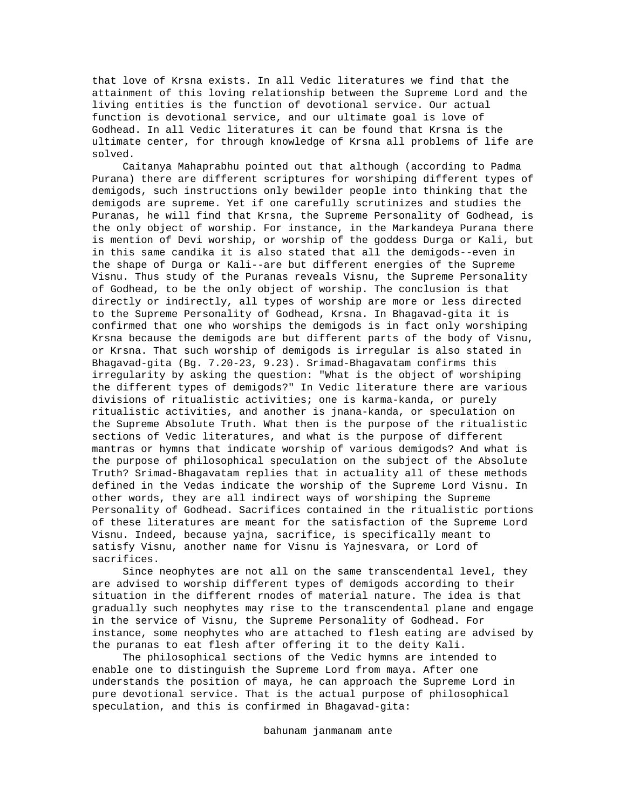that love of Krsna exists. In all Vedic literatures we find that the attainment of this loving relationship between the Supreme Lord and the living entities is the function of devotional service. Our actual function is devotional service, and our ultimate goal is love of Godhead. In all Vedic literatures it can be found that Krsna is the ultimate center, for through knowledge of Krsna all problems of life are solved.

 Caitanya Mahaprabhu pointed out that although (according to Padma Purana) there are different scriptures for worshiping different types of demigods, such instructions only bewilder people into thinking that the demigods are supreme. Yet if one carefully scrutinizes and studies the Puranas, he will find that Krsna, the Supreme Personality of Godhead, is the only object of worship. For instance, in the Markandeya Purana there is mention of Devi worship, or worship of the goddess Durga or Kali, but in this same candika it is also stated that all the demigods--even in the shape of Durga or Kali--are but different energies of the Supreme Visnu. Thus study of the Puranas reveals Visnu, the Supreme Personality of Godhead, to be the only object of worship. The conclusion is that directly or indirectly, all types of worship are more or less directed to the Supreme Personality of Godhead, Krsna. In Bhagavad-gita it is confirmed that one who worships the demigods is in fact only worshiping Krsna because the demigods are but different parts of the body of Visnu, or Krsna. That such worship of demigods is irregular is also stated in Bhagavad-gita (Bg. 7.20-23, 9.23). Srimad-Bhagavatam confirms this irregularity by asking the question: "What is the object of worshiping the different types of demigods?" In Vedic literature there are various divisions of ritualistic activities; one is karma-kanda, or purely ritualistic activities, and another is jnana-kanda, or speculation on the Supreme Absolute Truth. What then is the purpose of the ritualistic sections of Vedic literatures, and what is the purpose of different mantras or hymns that indicate worship of various demigods? And what is the purpose of philosophical speculation on the subject of the Absolute Truth? Srimad-Bhagavatam replies that in actuality all of these methods defined in the Vedas indicate the worship of the Supreme Lord Visnu. In other words, they are all indirect ways of worshiping the Supreme Personality of Godhead. Sacrifices contained in the ritualistic portions of these literatures are meant for the satisfaction of the Supreme Lord Visnu. Indeed, because yajna, sacrifice, is specifically meant to satisfy Visnu, another name for Visnu is Yajnesvara, or Lord of sacrifices.

 Since neophytes are not all on the same transcendental level, they are advised to worship different types of demigods according to their situation in the different rnodes of material nature. The idea is that gradually such neophytes may rise to the transcendental plane and engage in the service of Visnu, the Supreme Personality of Godhead. For instance, some neophytes who are attached to flesh eating are advised by the puranas to eat flesh after offering it to the deity Kali.

 The philosophical sections of the Vedic hymns are intended to enable one to distinguish the Supreme Lord from maya. After one understands the position of maya, he can approach the Supreme Lord in pure devotional service. That is the actual purpose of philosophical speculation, and this is confirmed in Bhagavad-gita: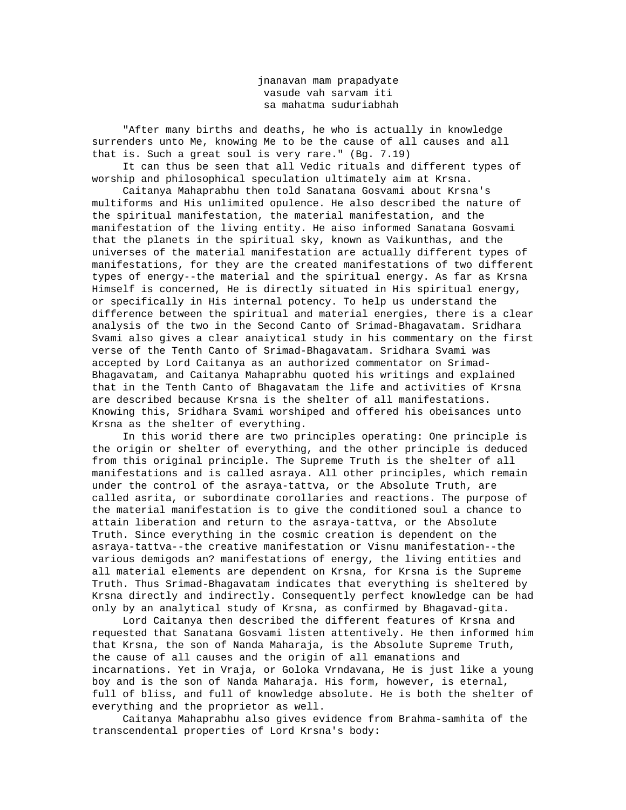jnanavan mam prapadyate vasude vah sarvam iti sa mahatma suduriabhah

 "After many births and deaths, he who is actually in knowledge surrenders unto Me, knowing Me to be the cause of all causes and all that is. Such a great soul is very rare." (Bg. 7.19)

 It can thus be seen that all Vedic rituals and different types of worship and philosophical speculation ultimately aim at Krsna.

 Caitanya Mahaprabhu then told Sanatana Gosvami about Krsna's multiforms and His unlimited opulence. He also described the nature of the spiritual manifestation, the material manifestation, and the manifestation of the living entity. He aiso informed Sanatana Gosvami that the planets in the spiritual sky, known as Vaikunthas, and the universes of the material manifestation are actually different types of manifestations, for they are the created manifestations of two different types of energy--the material and the spiritual energy. As far as Krsna Himself is concerned, He is directly situated in His spiritual energy, or specifically in His internal potency. To help us understand the difference between the spiritual and material energies, there is a clear analysis of the two in the Second Canto of Srimad-Bhagavatam. Sridhara Svami also gives a clear anaiytical study in his commentary on the first verse of the Tenth Canto of Srimad-Bhagavatam. Sridhara Svami was accepted by Lord Caitanya as an authorized commentator on Srimad-Bhagavatam, and Caitanya Mahaprabhu quoted his writings and explained that in the Tenth Canto of Bhagavatam the life and activities of Krsna are described because Krsna is the shelter of all manifestations. Knowing this, Sridhara Svami worshiped and offered his obeisances unto Krsna as the shelter of everything.

 In this worid there are two principles operating: One principle is the origin or shelter of everything, and the other principle is deduced from this original principle. The Supreme Truth is the shelter of all manifestations and is called asraya. All other principles, which remain under the control of the asraya-tattva, or the Absolute Truth, are called asrita, or subordinate corollaries and reactions. The purpose of the material manifestation is to give the conditioned soul a chance to attain liberation and return to the asraya-tattva, or the Absolute Truth. Since everything in the cosmic creation is dependent on the asraya-tattva--the creative manifestation or Visnu manifestation--the various demigods an? manifestations of energy, the living entities and all material elements are dependent on Krsna, for Krsna is the Supreme Truth. Thus Srimad-Bhagavatam indicates that everything is sheltered by Krsna directly and indirectly. Consequently perfect knowledge can be had only by an analytical study of Krsna, as confirmed by Bhagavad-gita.

 Lord Caitanya then described the different features of Krsna and requested that Sanatana Gosvami listen attentively. He then informed him that Krsna, the son of Nanda Maharaja, is the Absolute Supreme Truth, the cause of all causes and the origin of all emanations and incarnations. Yet in Vraja, or Goloka Vrndavana, He is just like a young boy and is the son of Nanda Maharaja. His form, however, is eternal, full of bliss, and full of knowledge absolute. He is both the shelter of everything and the proprietor as well.

 Caitanya Mahaprabhu also gives evidence from Brahma-samhita of the transcendental properties of Lord Krsna's body: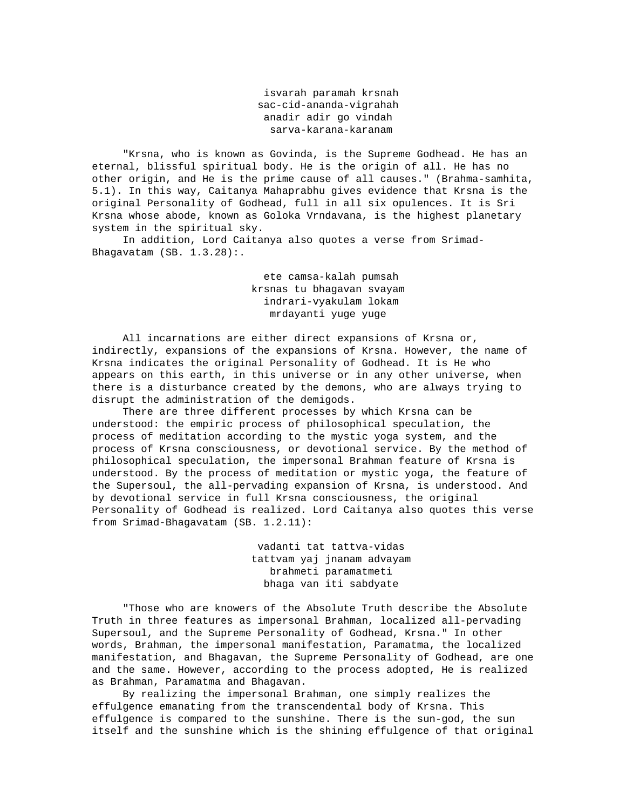isvarah paramah krsnah sac-cid-ananda-vigrahah anadir adir go vindah sarva-karana-karanam

 "Krsna, who is known as Govinda, is the Supreme Godhead. He has an eternal, blissful spiritual body. He is the origin of all. He has no other origin, and He is the prime cause of all causes." (Brahma-samhita, 5.1). In this way, Caitanya Mahaprabhu gives evidence that Krsna is the original Personality of Godhead, full in all six opulences. It is Sri Krsna whose abode, known as Goloka Vrndavana, is the highest planetary system in the spiritual sky.

 In addition, Lord Caitanya also quotes a verse from Srimad-Bhagavatam (SB. 1.3.28):.

> ete camsa-kalah pumsah krsnas tu bhagavan svayam indrari-vyakulam lokam mrdayanti yuge yuge

 All incarnations are either direct expansions of Krsna or, indirectly, expansions of the expansions of Krsna. However, the name of Krsna indicates the original Personality of Godhead. It is He who appears on this earth, in this universe or in any other universe, when there is a disturbance created by the demons, who are always trying to disrupt the administration of the demigods.

 There are three different processes by which Krsna can be understood: the empiric process of philosophical speculation, the process of meditation according to the mystic yoga system, and the process of Krsna consciousness, or devotional service. By the method of philosophical speculation, the impersonal Brahman feature of Krsna is understood. By the process of meditation or mystic yoga, the feature of the Supersoul, the all-pervading expansion of Krsna, is understood. And by devotional service in full Krsna consciousness, the original Personality of Godhead is realized. Lord Caitanya also quotes this verse from Srimad-Bhagavatam (SB. 1.2.11):

> vadanti tat tattva-vidas tattvam yaj jnanam advayam brahmeti paramatmeti bhaga van iti sabdyate

 "Those who are knowers of the Absolute Truth describe the Absolute Truth in three features as impersonal Brahman, localized all-pervading Supersoul, and the Supreme Personality of Godhead, Krsna." In other words, Brahman, the impersonal manifestation, Paramatma, the localized manifestation, and Bhagavan, the Supreme Personality of Godhead, are one and the same. However, according to the process adopted, He is realized as Brahman, Paramatma and Bhagavan.

 By realizing the impersonal Brahman, one simply realizes the effulgence emanating from the transcendental body of Krsna. This effulgence is compared to the sunshine. There is the sun-god, the sun itself and the sunshine which is the shining effulgence of that original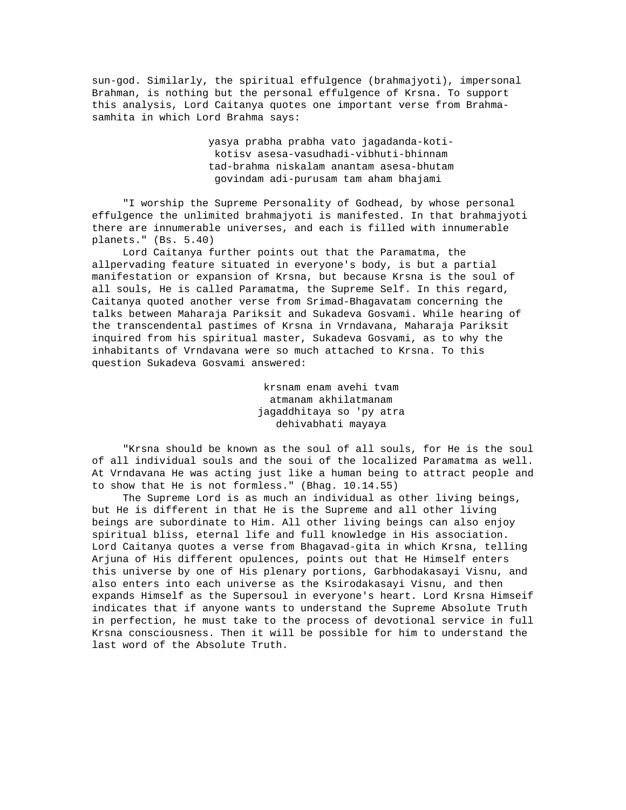sun-god. Similarly, the spiritual effulgence (brahmajyoti), impersonal Brahman, is nothing but the personal effulgence of Krsna. To support this analysis, Lord Caitanya quotes one important verse from Brahmasamhita in which Lord Brahma says:

> yasya prabha prabha vato jagadanda-koti kotisv asesa-vasudhadi-vibhuti-bhinnam tad-brahma niskalam anantam asesa-bhutam govindam adi-purusam tam aham bhajami

 "I worship the Supreme Personality of Godhead, by whose personal effulgence the unlimited brahmajyoti is manifested. In that brahmajyoti there are innumerable universes, and each is filled with innumerable planets." (Bs. 5.40)

 Lord Caitanya further points out that the Paramatma, the allpervading feature situated in everyone's body, is but a partial manifestation or expansion of Krsna, but because Krsna is the soul of all souls, He is called Paramatma, the Supreme Self. In this regard, Caitanya quoted another verse from Srimad-Bhagavatam concerning the talks between Maharaja Pariksit and Sukadeva Gosvami. While hearing of the transcendental pastimes of Krsna in Vrndavana, Maharaja Pariksit inquired from his spiritual master, Sukadeva Gosvami, as to why the inhabitants of Vrndavana were so much attached to Krsna. To this question Sukadeva Gosvami answered:

> krsnam enam avehi tvam atmanam akhilatmanam jagaddhitaya so 'py atra dehivabhati mayaya

 "Krsna should be known as the soul of all souls, for He is the soul of all individual souls and the soui of the localized Paramatma as well. At Vrndavana He was acting just like a human being to attract people and to show that He is not formless." (Bhag. 10.14.55)

 The Supreme Lord is as much an individual as other living beings, but He is different in that He is the Supreme and all other living beings are subordinate to Him. All other living beings can also enjoy spiritual bliss, eternal life and full knowledge in His association. Lord Caitanya quotes a verse from Bhagavad-gita in which Krsna, telling Arjuna of His different opulences, points out that He Himself enters this universe by one of His plenary portions, Garbhodakasayi Visnu, and also enters into each universe as the Ksirodakasayi Visnu, and then expands Himself as the Supersoul in everyone's heart. Lord Krsna Himseif indicates that if anyone wants to understand the Supreme Absolute Truth in perfection, he must take to the process of devotional service in full Krsna consciousness. Then it will be possible for him to understand the last word of the Absolute Truth.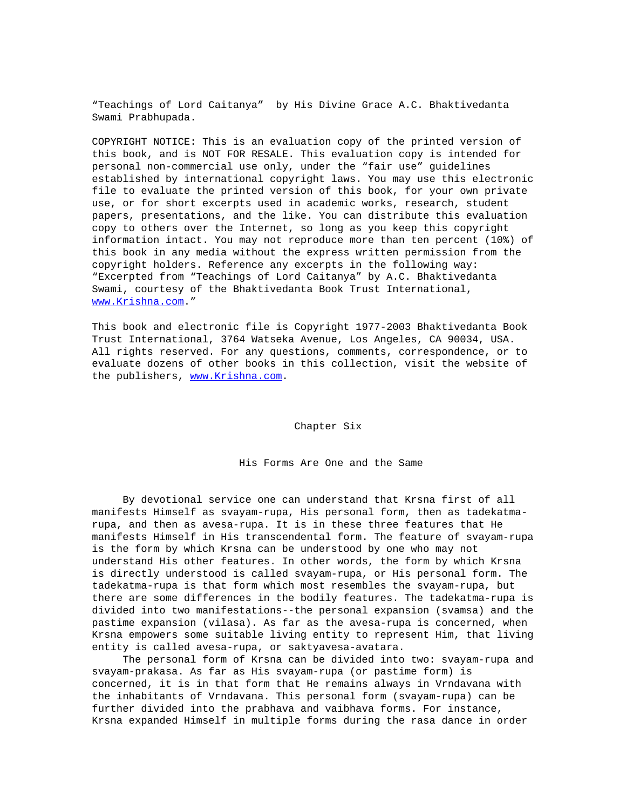"Teachings of Lord Caitanya" by His Divine Grace A.C. Bhaktivedanta Swami Prabhupada.

COPYRIGHT NOTICE: This is an evaluation copy of the printed version of this book, and is NOT FOR RESALE. This evaluation copy is intended for personal non-commercial use only, under the "fair use" guidelines established by international copyright laws. You may use this electronic file to evaluate the printed version of this book, for your own private use, or for short excerpts used in academic works, research, student papers, presentations, and the like. You can distribute this evaluation copy to others over the Internet, so long as you keep this copyright information intact. You may not reproduce more than ten percent (10%) of this book in any media without the express written permission from the copyright holders. Reference any excerpts in the following way: "Excerpted from "Teachings of Lord Caitanya" by A.C. Bhaktivedanta Swami, courtesy of the Bhaktivedanta Book Trust International, www.Krishna.com ."

This book and electronic file is Copyright 1977-2003 Bhaktivedanta Book Trust International, 3764 Watseka Avenue, Los Angeles, CA 90034, USA. All rights reserved. For any questions, comments, correspondence, or to evaluate dozens of other books in this collection, visit the website of the publishers, www.Krishna.com.

Chapter Six

His Forms Are One and the Same

 By devotional service one can understand that Krsna first of all manifests Himself as svayam-rupa, His personal form, then as tadekatmarupa, and then as avesa-rupa. It is in these three features that He manifests Himself in His transcendental form. The feature of svayam-rupa is the form by which Krsna can be understood by one who may not understand His other features. In other words, the form by which Krsna is directly understood is called svayam-rupa, or His personal form. The tadekatma-rupa is that form which most resembles the svayam-rupa, but there are some differences in the bodily features. The tadekatma-rupa is divided into two manifestations--the personal expansion (svamsa) and the pastime expansion (vilasa). As far as the avesa-rupa is concerned, when Krsna empowers some suitable living entity to represent Him, that living entity is called avesa-rupa, or saktyavesa-avatara.

 The personal form of Krsna can be divided into two: svayam-rupa and svayam-prakasa. As far as His svayam-rupa (or pastime form) is concerned, it is in that form that He remains always in Vrndavana with the inhabitants of Vrndavana. This personal form (svayam-rupa) can be further divided into the prabhava and vaibhava forms. For instance, Krsna expanded Himself in multiple forms during the rasa dance in order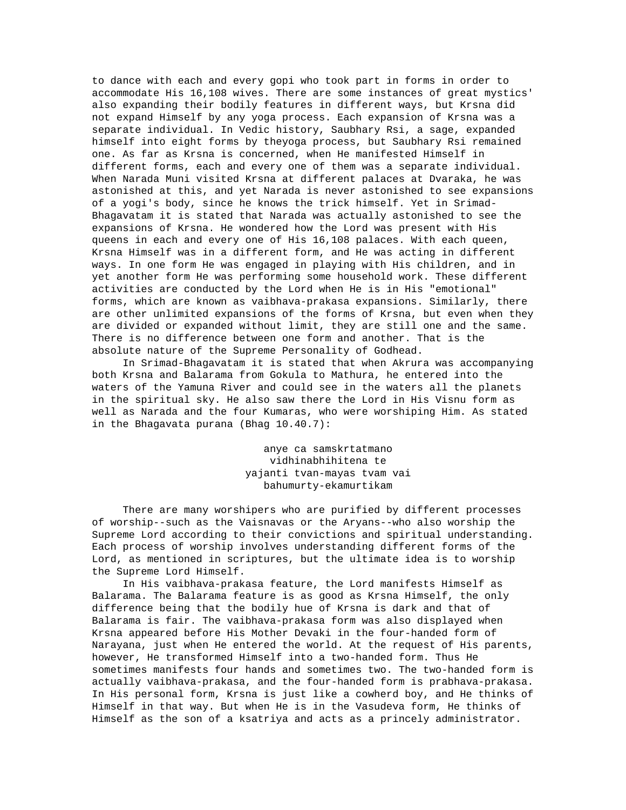to dance with each and every gopi who took part in forms in order to accommodate His 16,108 wives. There are some instances of great mystics' also expanding their bodily features in different ways, but Krsna did not expand Himself by any yoga process. Each expansion of Krsna was a separate individual. In Vedic history, Saubhary Rsi, a sage, expanded himself into eight forms by theyoga process, but Saubhary Rsi remained one. As far as Krsna is concerned, when He manifested Himself in different forms, each and every one of them was a separate individual. When Narada Muni visited Krsna at different palaces at Dvaraka, he was astonished at this, and yet Narada is never astonished to see expansions of a yogi's body, since he knows the trick himself. Yet in Srimad-Bhagavatam it is stated that Narada was actually astonished to see the expansions of Krsna. He wondered how the Lord was present with His queens in each and every one of His 16,108 palaces. With each queen, Krsna Himself was in a different form, and He was acting in different ways. In one form He was engaged in playing with His children, and in yet another form He was performing some household work. These different activities are conducted by the Lord when He is in His "emotional" forms, which are known as vaibhava-prakasa expansions. Similarly, there are other unlimited expansions of the forms of Krsna, but even when they are divided or expanded without limit, they are still one and the same. There is no difference between one form and another. That is the absolute nature of the Supreme Personality of Godhead.

 In Srimad-Bhagavatam it is stated that when Akrura was accompanying both Krsna and Balarama from Gokula to Mathura, he entered into the waters of the Yamuna River and could see in the waters all the planets in the spiritual sky. He also saw there the Lord in His Visnu form as well as Narada and the four Kumaras, who were worshiping Him. As stated in the Bhagavata purana (Bhag 10.40.7):

> anye ca samskrtatmano vidhinabhihitena te yajanti tvan-mayas tvam vai bahumurty-ekamurtikam

 There are many worshipers who are purified by different processes of worship--such as the Vaisnavas or the Aryans--who also worship the Supreme Lord according to their convictions and spiritual understanding. Each process of worship involves understanding different forms of the Lord, as mentioned in scriptures, but the ultimate idea is to worship the Supreme Lord Himself.

 In His vaibhava-prakasa feature, the Lord manifests Himself as Balarama. The Balarama feature is as good as Krsna Himself, the only difference being that the bodily hue of Krsna is dark and that of Balarama is fair. The vaibhava-prakasa form was also displayed when Krsna appeared before His Mother Devaki in the four-handed form of Narayana, just when He entered the world. At the request of His parents, however, He transformed Himself into a two-handed form. Thus He sometimes manifests four hands and sometimes two. The two-handed form is actually vaibhava-prakasa, and the four-handed form is prabhava-prakasa. In His personal form, Krsna is just like a cowherd boy, and He thinks of Himself in that way. But when He is in the Vasudeva form, He thinks of Himself as the son of a ksatriya and acts as a princely administrator.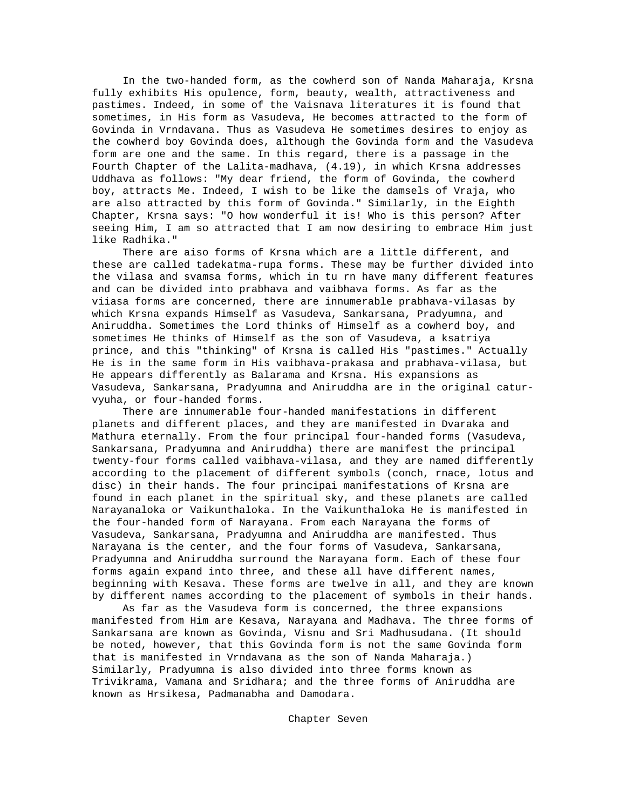In the two-handed form, as the cowherd son of Nanda Maharaja, Krsna fully exhibits His opulence, form, beauty, wealth, attractiveness and pastimes. Indeed, in some of the Vaisnava literatures it is found that sometimes, in His form as Vasudeva, He becomes attracted to the form of Govinda in Vrndavana. Thus as Vasudeva He sometimes desires to enjoy as the cowherd boy Govinda does, although the Govinda form and the Vasudeva form are one and the same. In this regard, there is a passage in the Fourth Chapter of the Lalita-madhava, (4.19), in which Krsna addresses Uddhava as follows: "My dear friend, the form of Govinda, the cowherd boy, attracts Me. Indeed, I wish to be like the damsels of Vraja, who are also attracted by this form of Govinda." Similarly, in the Eighth Chapter, Krsna says: "O how wonderful it is! Who is this person? After seeing Him, I am so attracted that I am now desiring to embrace Him just like Radhika."

 There are aiso forms of Krsna which are a little different, and these are called tadekatma-rupa forms. These may be further divided into the vilasa and svamsa forms, which in tu rn have many different features and can be divided into prabhava and vaibhava forms. As far as the viiasa forms are concerned, there are innumerable prabhava-vilasas by which Krsna expands Himself as Vasudeva, Sankarsana, Pradyumna, and Aniruddha. Sometimes the Lord thinks of Himself as a cowherd boy, and sometimes He thinks of Himself as the son of Vasudeva, a ksatriya prince, and this "thinking" of Krsna is called His "pastimes." Actually He is in the same form in His vaibhava-prakasa and prabhava-vilasa, but He appears differently as Balarama and Krsna. His expansions as Vasudeva, Sankarsana, Pradyumna and Aniruddha are in the original caturvyuha, or four-handed forms.

 There are innumerable four-handed manifestations in different planets and different places, and they are manifested in Dvaraka and Mathura eternally. From the four principal four-handed forms (Vasudeva, Sankarsana, Pradyumna and Aniruddha) there are manifest the principal twenty-four forms called vaibhava-vilasa, and they are named differently according to the placement of different symbols (conch, rnace, lotus and disc) in their hands. The four principai manifestations of Krsna are found in each planet in the spiritual sky, and these planets are called Narayanaloka or Vaikunthaloka. In the Vaikunthaloka He is manifested in the four-handed form of Narayana. From each Narayana the forms of Vasudeva, Sankarsana, Pradyumna and Aniruddha are manifested. Thus Narayana is the center, and the four forms of Vasudeva, Sankarsana, Pradyumna and Aniruddha surround the Narayana form. Each of these four forms again expand into three, and these all have different names, beginning with Kesava. These forms are twelve in all, and they are known by different names according to the placement of symbols in their hands.

 As far as the Vasudeva form is concerned, the three expansions manifested from Him are Kesava, Narayana and Madhava. The three forms of Sankarsana are known as Govinda, Visnu and Sri Madhusudana. (It should be noted, however, that this Govinda form is not the same Govinda form that is manifested in Vrndavana as the son of Nanda Maharaja.) Similarly, Pradyumna is also divided into three forms known as Trivikrama, Vamana and Sridhara; and the three forms of Aniruddha are known as Hrsikesa, Padmanabha and Damodara.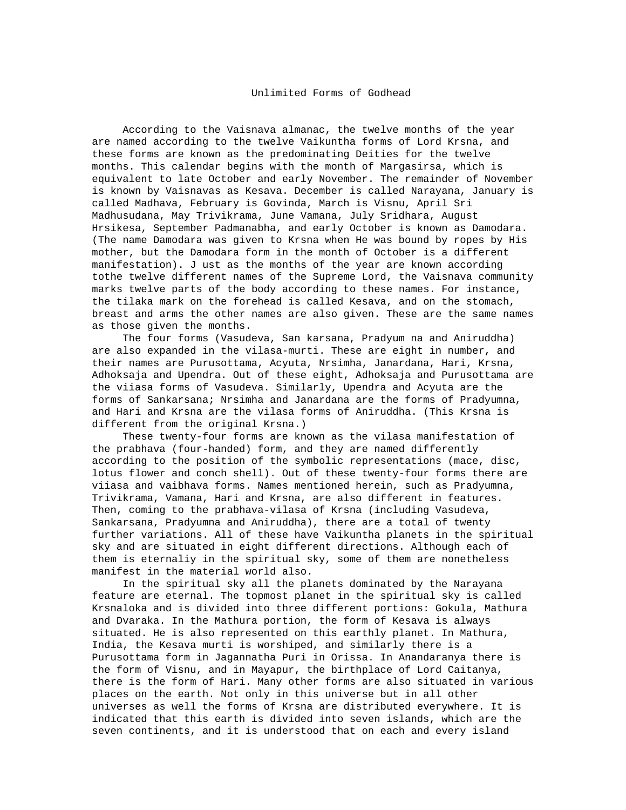#### Unlimited Forms of Godhead

 According to the Vaisnava almanac, the twelve months of the year are named according to the twelve Vaikuntha forms of Lord Krsna, and these forms are known as the predominating Deities for the twelve months. This calendar begins with the month of Margasirsa, which is equivalent to late October and early November. The remainder of November is known by Vaisnavas as Kesava. December is called Narayana, January is called Madhava, February is Govinda, March is Visnu, April Sri Madhusudana, May Trivikrama, June Vamana, July Sridhara, August Hrsikesa, September Padmanabha, and early October is known as Damodara. (The name Damodara was given to Krsna when He was bound by ropes by His mother, but the Damodara form in the month of October is a different manifestation). J ust as the months of the year are known according tothe twelve different names of the Supreme Lord, the Vaisnava community marks twelve parts of the body according to these names. For instance, the tilaka mark on the forehead is called Kesava, and on the stomach, breast and arms the other names are also given. These are the same names as those given the months.

 The four forms (Vasudeva, San karsana, Pradyum na and Aniruddha) are also expanded in the vilasa-murti. These are eight in number, and their names are Purusottama, Acyuta, Nrsimha, Janardana, Hari, Krsna, Adhoksaja and Upendra. Out of these eight, Adhoksaja and Purusottama are the viiasa forms of Vasudeva. Similarly, Upendra and Acyuta are the forms of Sankarsana; Nrsimha and Janardana are the forms of Pradyumna, and Hari and Krsna are the vilasa forms of Aniruddha. (This Krsna is different from the original Krsna.)

 These twenty-four forms are known as the vilasa manifestation of the prabhava (four-handed) form, and they are named differently according to the position of the symbolic representations (mace, disc, lotus flower and conch shell). Out of these twenty-four forms there are viiasa and vaibhava forms. Names mentioned herein, such as Pradyumna, Trivikrama, Vamana, Hari and Krsna, are also different in features. Then, coming to the prabhava-vilasa of Krsna (including Vasudeva, Sankarsana, Pradyumna and Aniruddha), there are a total of twenty further variations. All of these have Vaikuntha planets in the spiritual sky and are situated in eight different directions. Although each of them is eternaliy in the spiritual sky, some of them are nonetheless manifest in the material world also.

 In the spiritual sky all the planets dominated by the Narayana feature are eternal. The topmost planet in the spiritual sky is called Krsnaloka and is divided into three different portions: Gokula, Mathura and Dvaraka. In the Mathura portion, the form of Kesava is always situated. He is also represented on this earthly planet. In Mathura, India, the Kesava murti is worshiped, and similarly there is a Purusottama form in Jagannatha Puri in Orissa. In Anandaranya there is the form of Visnu, and in Mayapur, the birthplace of Lord Caitanya, there is the form of Hari. Many other forms are also situated in various places on the earth. Not only in this universe but in all other universes as well the forms of Krsna are distributed everywhere. It is indicated that this earth is divided into seven islands, which are the seven continents, and it is understood that on each and every island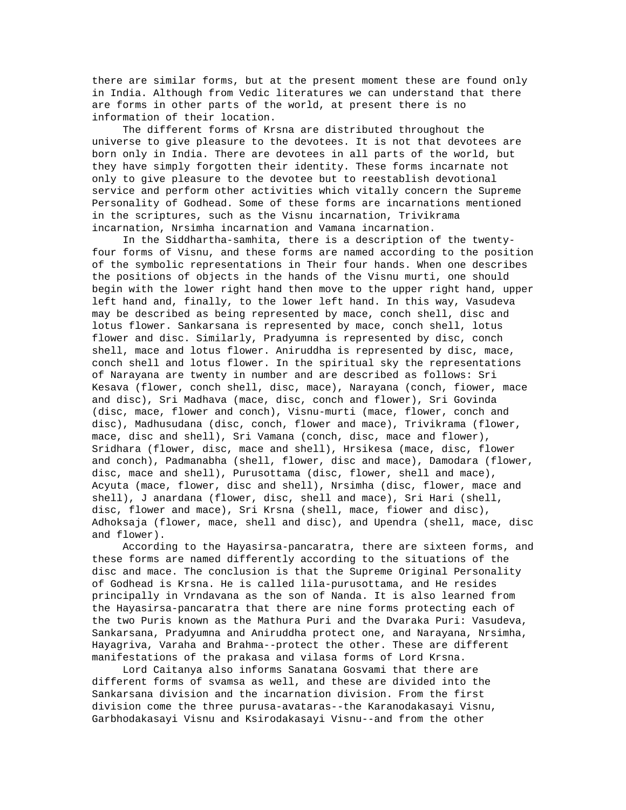there are similar forms, but at the present moment these are found only in India. Although from Vedic literatures we can understand that there are forms in other parts of the world, at present there is no information of their location.

 The different forms of Krsna are distributed throughout the universe to give pleasure to the devotees. It is not that devotees are born only in India. There are devotees in all parts of the world, but they have simply forgotten their identity. These forms incarnate not only to give pleasure to the devotee but to reestablish devotional service and perform other activities which vitally concern the Supreme Personality of Godhead. Some of these forms are incarnations mentioned in the scriptures, such as the Visnu incarnation, Trivikrama incarnation, Nrsimha incarnation and Vamana incarnation.

 In the Siddhartha-samhita, there is a description of the twentyfour forms of Visnu, and these forms are named according to the position of the symbolic representations in Their four hands. When one describes the positions of objects in the hands of the Visnu murti, one should begin with the lower right hand then move to the upper right hand, upper left hand and, finally, to the lower left hand. In this way, Vasudeva may be described as being represented by mace, conch shell, disc and lotus flower. Sankarsana is represented by mace, conch shell, lotus flower and disc. Similarly, Pradyumna is represented by disc, conch shell, mace and lotus flower. Aniruddha is represented by disc, mace, conch shell and lotus flower. In the spiritual sky the representations of Narayana are twenty in number and are described as follows: Sri Kesava (flower, conch shell, disc, mace), Narayana (conch, fiower, mace and disc), Sri Madhava (mace, disc, conch and flower), Sri Govinda (disc, mace, flower and conch), Visnu-murti (mace, flower, conch and disc), Madhusudana (disc, conch, flower and mace), Trivikrama (flower, mace, disc and shell), Sri Vamana (conch, disc, mace and flower), Sridhara (flower, disc, mace and shell), Hrsikesa (mace, disc, flower and conch), Padmanabha (shell, flower, disc and mace), Damodara (flower, disc, mace and shell), Purusottama (disc, flower, shell and mace), Acyuta (mace, flower, disc and shell), Nrsimha (disc, flower, mace and shell), J anardana (flower, disc, shell and mace), Sri Hari (shell, disc, flower and mace), Sri Krsna (shell, mace, fiower and disc), Adhoksaja (flower, mace, shell and disc), and Upendra (shell, mace, disc and flower).

 According to the Hayasirsa-pancaratra, there are sixteen forms, and these forms are named differently according to the situations of the disc and mace. The conclusion is that the Supreme Original Personality of Godhead is Krsna. He is called lila-purusottama, and He resides principally in Vrndavana as the son of Nanda. It is also learned from the Hayasirsa-pancaratra that there are nine forms protecting each of the two Puris known as the Mathura Puri and the Dvaraka Puri: Vasudeva, Sankarsana, Pradyumna and Aniruddha protect one, and Narayana, Nrsimha, Hayagriva, Varaha and Brahma--protect the other. These are different manifestations of the prakasa and vilasa forms of Lord Krsna.

 Lord Caitanya also informs Sanatana Gosvami that there are different forms of svamsa as well, and these are divided into the Sankarsana division and the incarnation division. From the first division come the three purusa-avataras--the Karanodakasayi Visnu, Garbhodakasayi Visnu and Ksirodakasayi Visnu--and from the other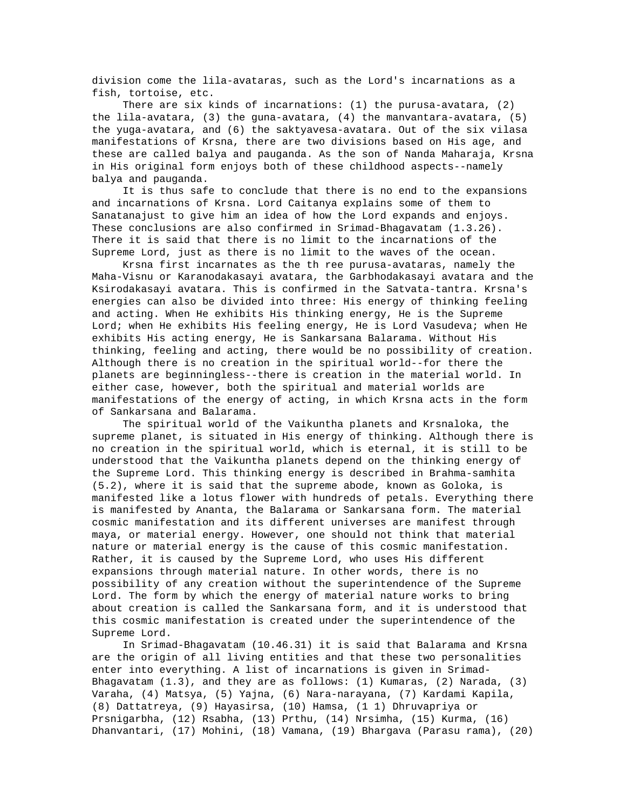division come the lila-avataras, such as the Lord's incarnations as a fish, tortoise, etc.

 There are six kinds of incarnations: (1) the purusa-avatara, (2) the lila-avatara, (3) the guna-avatara, (4) the manvantara-avatara, (5) the yuga-avatara, and (6) the saktyavesa-avatara. Out of the six vilasa manifestations of Krsna, there are two divisions based on His age, and these are called balya and pauganda. As the son of Nanda Maharaja, Krsna in His original form enjoys both of these childhood aspects--namely balya and pauganda.

 It is thus safe to conclude that there is no end to the expansions and incarnations of Krsna. Lord Caitanya explains some of them to Sanatanajust to give him an idea of how the Lord expands and enjoys. These conclusions are also confirmed in Srimad-Bhagavatam (1.3.26). There it is said that there is no limit to the incarnations of the Supreme Lord, just as there is no limit to the waves of the ocean.

 Krsna first incarnates as the th ree purusa-avataras, namely the Maha-Visnu or Karanodakasayi avatara, the Garbhodakasayi avatara and the Ksirodakasayi avatara. This is confirmed in the Satvata-tantra. Krsna's energies can also be divided into three: His energy of thinking feeling and acting. When He exhibits His thinking energy, He is the Supreme Lord; when He exhibits His feeling energy, He is Lord Vasudeva; when He exhibits His acting energy, He is Sankarsana Balarama. Without His thinking, feeling and acting, there would be no possibility of creation. Although there is no creation in the spiritual world--for there the planets are beginningless--there is creation in the material world. In either case, however, both the spiritual and material worlds are manifestations of the energy of acting, in which Krsna acts in the form of Sankarsana and Balarama.

 The spiritual world of the Vaikuntha planets and Krsnaloka, the supreme planet, is situated in His energy of thinking. Although there is no creation in the spiritual world, which is eternal, it is still to be understood that the Vaikuntha planets depend on the thinking energy of the Supreme Lord. This thinking energy is described in Brahma-samhita (5.2), where it is said that the supreme abode, known as Goloka, is manifested like a lotus flower with hundreds of petals. Everything there is manifested by Ananta, the Balarama or Sankarsana form. The material cosmic manifestation and its different universes are manifest through maya, or material energy. However, one should not think that material nature or material energy is the cause of this cosmic manifestation. Rather, it is caused by the Supreme Lord, who uses His different expansions through material nature. In other words, there is no possibility of any creation without the superintendence of the Supreme Lord. The form by which the energy of material nature works to bring about creation is called the Sankarsana form, and it is understood that this cosmic manifestation is created under the superintendence of the Supreme Lord.

 In Srimad-Bhagavatam (10.46.31) it is said that Balarama and Krsna are the origin of all living entities and that these two personalities enter into everything. A list of incarnations is given in Srimad-Bhagavatam (1.3), and they are as follows: (1) Kumaras, (2) Narada, (3) Varaha, (4) Matsya, (5) Yajna, (6) Nara-narayana, (7) Kardami Kapila, (8) Dattatreya, (9) Hayasirsa, (10) Hamsa, (1 1) Dhruvapriya or Prsnigarbha, (12) Rsabha, (13) Prthu, (14) Nrsimha, (15) Kurma, (16) Dhanvantari, (17) Mohini, (18) Vamana, (19) Bhargava (Parasu rama), (20)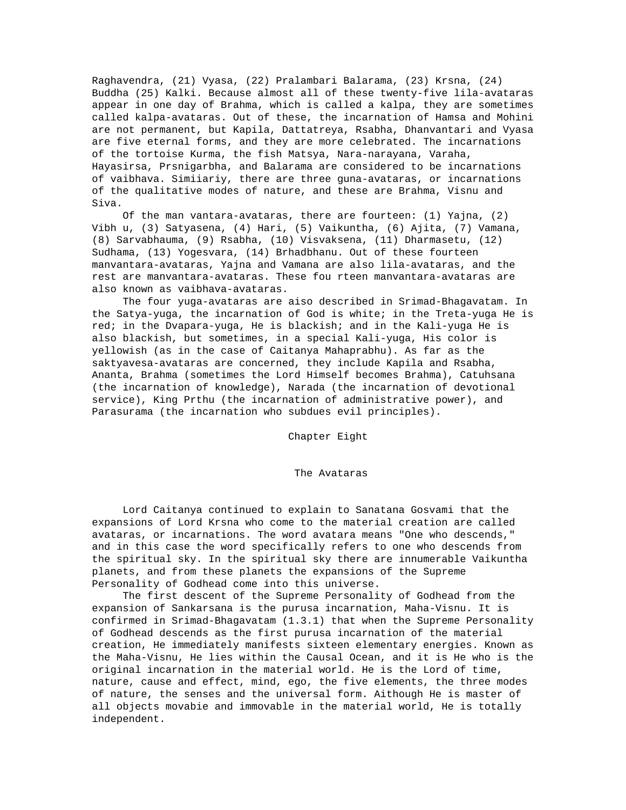Raghavendra, (21) Vyasa, (22) Pralambari Balarama, (23) Krsna, (24) Buddha (25) Kalki. Because almost all of these twenty-five lila-avataras appear in one day of Brahma, which is called a kalpa, they are sometimes called kalpa-avataras. Out of these, the incarnation of Hamsa and Mohini are not permanent, but Kapila, Dattatreya, Rsabha, Dhanvantari and Vyasa are five eternal forms, and they are more celebrated. The incarnations of the tortoise Kurma, the fish Matsya, Nara-narayana, Varaha, Hayasirsa, Prsnigarbha, and Balarama are considered to be incarnations of vaibhava. Simiiariy, there are three guna-avataras, or incarnations of the qualitative modes of nature, and these are Brahma, Visnu and Siva.

 Of the man vantara-avataras, there are fourteen: (1) Yajna, (2) Vibh u, (3) Satyasena, (4) Hari, (5) Vaikuntha, (6) Ajita, (7) Vamana, (8) Sarvabhauma, (9) Rsabha, (10) Visvaksena, (11) Dharmasetu, (12) Sudhama, (13) Yogesvara, (14) Brhadbhanu. Out of these fourteen manvantara-avataras, Yajna and Vamana are also lila-avataras, and the rest are manvantara-avataras. These fou rteen manvantara-avataras are also known as vaibhava-avataras.

 The four yuga-avataras are aiso described in Srimad-Bhagavatam. In the Satya-yuga, the incarnation of God is white; in the Treta-yuga He is red; in the Dvapara-yuga, He is blackish; and in the Kali-yuga He is also blackish, but sometimes, in a special Kali-yuga, His color is yellowish (as in the case of Caitanya Mahaprabhu). As far as the saktyavesa-avataras are concerned, they include Kapila and Rsabha, Ananta, Brahma (sometimes the Lord Himself becomes Brahma), Catuhsana (the incarnation of knowledge), Narada (the incarnation of devotional service), King Prthu (the incarnation of administrative power), and Parasurama (the incarnation who subdues evil principles).

Chapter Eight

## The Avataras

 Lord Caitanya continued to explain to Sanatana Gosvami that the expansions of Lord Krsna who come to the material creation are called avataras, or incarnations. The word avatara means "One who descends," and in this case the word specifically refers to one who descends from the spiritual sky. In the spiritual sky there are innumerable Vaikuntha planets, and from these planets the expansions of the Supreme Personality of Godhead come into this universe.

 The first descent of the Supreme Personality of Godhead from the expansion of Sankarsana is the purusa incarnation, Maha-Visnu. It is confirmed in Srimad-Bhagavatam (1.3.1) that when the Supreme Personality of Godhead descends as the first purusa incarnation of the material creation, He immediately manifests sixteen elementary energies. Known as the Maha-Visnu, He lies within the Causal Ocean, and it is He who is the original incarnation in the material world. He is the Lord of time, nature, cause and effect, mind, ego, the five elements, the three modes of nature, the senses and the universal form. Aithough He is master of all objects movabie and immovable in the material world, He is totally independent.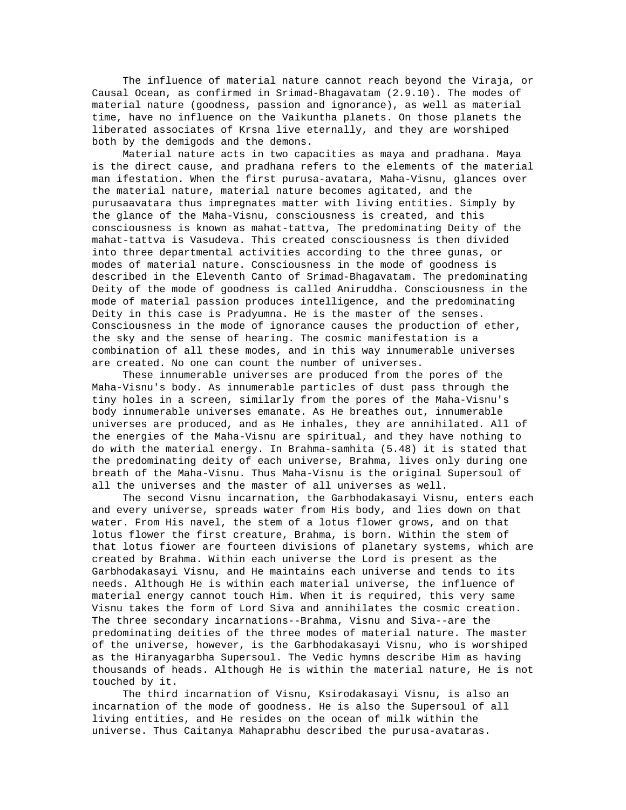The influence of material nature cannot reach beyond the Viraja, or Causal Ocean, as confirmed in Srimad-Bhagavatam (2.9.10). The modes of material nature (goodness, passion and ignorance), as well as material time, have no influence on the Vaikuntha planets. On those planets the liberated associates of Krsna live eternally, and they are worshiped both by the demigods and the demons.

 Material nature acts in two capacities as maya and pradhana. Maya is the direct cause, and pradhana refers to the elements of the material man ifestation. When the first purusa-avatara, Maha-Visnu, glances over the material nature, material nature becomes agitated, and the purusaavatara thus impregnates matter with living entities. Simply by the glance of the Maha-Visnu, consciousness is created, and this consciousness is known as mahat-tattva, The predominating Deity of the mahat-tattva is Vasudeva. This created consciousness is then divided into three departmental activities according to the three gunas, or modes of material nature. Consciousness in the mode of goodness is described in the Eleventh Canto of Srimad-Bhagavatam. The predominating Deity of the mode of goodness is called Aniruddha. Consciousness in the mode of material passion produces intelligence, and the predominating Deity in this case is Pradyumna. He is the master of the senses. Consciousness in the mode of ignorance causes the production of ether, the sky and the sense of hearing. The cosmic manifestation is a combination of all these modes, and in this way innumerable universes are created. No one can count the number of universes.

 These innumerable universes are produced from the pores of the Maha-Visnu's body. As innumerable particles of dust pass through the tiny holes in a screen, similarly from the pores of the Maha-Visnu's body innumerable universes emanate. As He breathes out, innumerable universes are produced, and as He inhales, they are annihilated. All of the energies of the Maha-Visnu are spiritual, and they have nothing to do with the material energy. In Brahma-samhita (5.48) it is stated that the predominating deity of each universe, Brahma, lives only during one breath of the Maha-Visnu. Thus Maha-Visnu is the original Supersoul of all the universes and the master of all universes as well.

 The second Visnu incarnation, the Garbhodakasayi Visnu, enters each and every universe, spreads water from His body, and lies down on that water. From His navel, the stem of a lotus flower grows, and on that lotus flower the first creature, Brahma, is born. Within the stem of that lotus fiower are fourteen divisions of planetary systems, which are created by Brahma. Within each universe the Lord is present as the Garbhodakasayi Visnu, and He maintains each universe and tends to its needs. Although He is within each material universe, the influence of material energy cannot touch Him. When it is required, this very same Visnu takes the form of Lord Siva and annihilates the cosmic creation. The three secondary incarnations--Brahma, Visnu and Siva--are the predominating deities of the three modes of material nature. The master of the universe, however, is the Garbhodakasayi Visnu, who is worshiped as the Hiranyagarbha Supersoul. The Vedic hymns describe Him as having thousands of heads. Although He is within the material nature, He is not touched by it.

 The third incarnation of Visnu, Ksirodakasayi Visnu, is also an incarnation of the mode of goodness. He is also the Supersoul of all living entities, and He resides on the ocean of milk within the universe. Thus Caitanya Mahaprabhu described the purusa-avataras.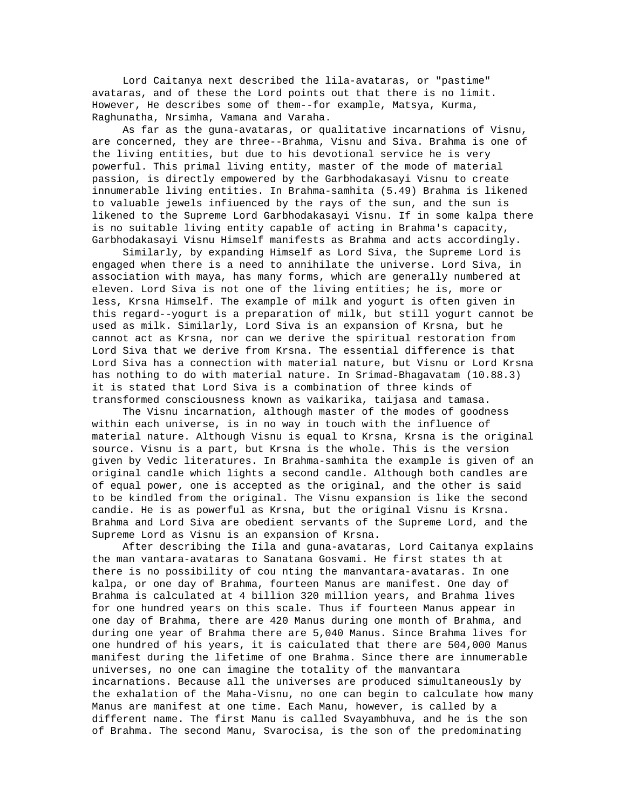Lord Caitanya next described the lila-avataras, or "pastime" avataras, and of these the Lord points out that there is no limit. However, He describes some of them--for example, Matsya, Kurma, Raghunatha, Nrsimha, Vamana and Varaha.

 As far as the guna-avataras, or qualitative incarnations of Visnu, are concerned, they are three--Brahma, Visnu and Siva. Brahma is one of the living entities, but due to his devotional service he is very powerful. This primal living entity, master of the mode of material passion, is directly empowered by the Garbhodakasayi Visnu to create innumerable living entities. In Brahma-samhita (5.49) Brahma is likened to valuable jewels infiuenced by the rays of the sun, and the sun is likened to the Supreme Lord Garbhodakasayi Visnu. If in some kalpa there is no suitable living entity capable of acting in Brahma's capacity, Garbhodakasayi Visnu Himself manifests as Brahma and acts accordingly.

 Similarly, by expanding Himself as Lord Siva, the Supreme Lord is engaged when there is a need to annihilate the universe. Lord Siva, in association with maya, has many forms, which are generally numbered at eleven. Lord Siva is not one of the living entities; he is, more or less, Krsna Himself. The example of milk and yogurt is often given in this regard--yogurt is a preparation of milk, but still yogurt cannot be used as milk. Similarly, Lord Siva is an expansion of Krsna, but he cannot act as Krsna, nor can we derive the spiritual restoration from Lord Siva that we derive from Krsna. The essential difference is that Lord Siva has a connection with material nature, but Visnu or Lord Krsna has nothing to do with material nature. In Srimad-Bhagavatam (10.88.3) it is stated that Lord Siva is a combination of three kinds of transformed consciousness known as vaikarika, taijasa and tamasa.

 The Visnu incarnation, although master of the modes of goodness within each universe, is in no way in touch with the influence of material nature. Although Visnu is equal to Krsna, Krsna is the original source. Visnu is a part, but Krsna is the whole. This is the version given by Vedic literatures. In Brahma-samhita the example is given of an original candle which lights a second candle. Although both candles are of equal power, one is accepted as the original, and the other is said to be kindled from the original. The Visnu expansion is like the second candie. He is as powerful as Krsna, but the original Visnu is Krsna. Brahma and Lord Siva are obedient servants of the Supreme Lord, and the Supreme Lord as Visnu is an expansion of Krsna.

 After describing the Iila and guna-avataras, Lord Caitanya explains the man vantara-avataras to Sanatana Gosvami. He first states th at there is no possibility of cou nting the manvantara-avataras. In one kalpa, or one day of Brahma, fourteen Manus are manifest. One day of Brahma is calculated at 4 billion 320 million years, and Brahma lives for one hundred years on this scale. Thus if fourteen Manus appear in one day of Brahma, there are 420 Manus during one month of Brahma, and during one year of Brahma there are 5,040 Manus. Since Brahma lives for one hundred of his years, it is caiculated that there are 504,000 Manus manifest during the lifetime of one Brahma. Since there are innumerable universes, no one can imagine the totality of the manvantara incarnations. Because all the universes are produced simultaneously by the exhalation of the Maha-Visnu, no one can begin to calculate how many Manus are manifest at one time. Each Manu, however, is called by a different name. The first Manu is called Svayambhuva, and he is the son of Brahma. The second Manu, Svarocisa, is the son of the predominating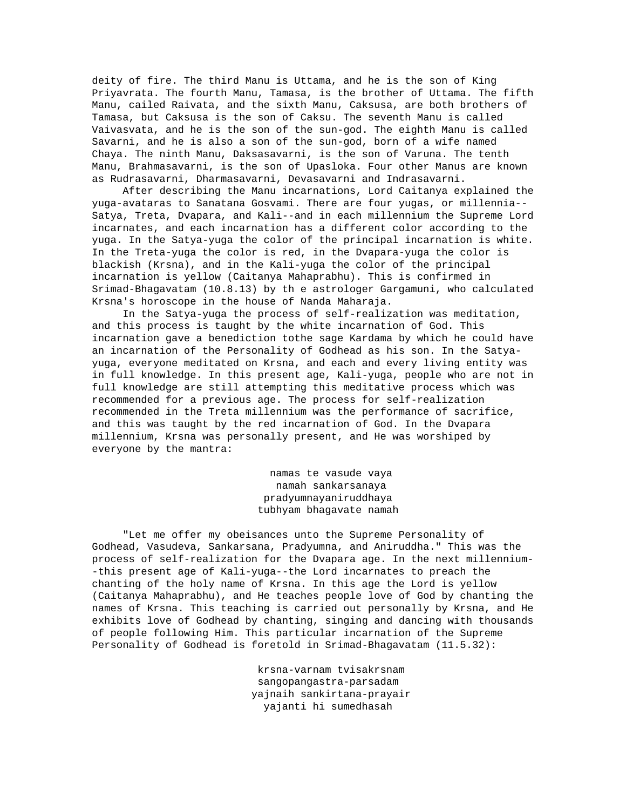deity of fire. The third Manu is Uttama, and he is the son of King Priyavrata. The fourth Manu, Tamasa, is the brother of Uttama. The fifth Manu, cailed Raivata, and the sixth Manu, Caksusa, are both brothers of Tamasa, but Caksusa is the son of Caksu. The seventh Manu is called Vaivasvata, and he is the son of the sun-god. The eighth Manu is called Savarni, and he is also a son of the sun-god, born of a wife named Chaya. The ninth Manu, Daksasavarni, is the son of Varuna. The tenth Manu, Brahmasavarni, is the son of Upasloka. Four other Manus are known as Rudrasavarni, Dharmasavarni, Devasavarni and Indrasavarni.

 After describing the Manu incarnations, Lord Caitanya explained the yuga-avataras to Sanatana Gosvami. There are four yugas, or millennia-- Satya, Treta, Dvapara, and Kali--and in each millennium the Supreme Lord incarnates, and each incarnation has a different color according to the yuga. In the Satya-yuga the color of the principal incarnation is white. In the Treta-yuga the color is red, in the Dvapara-yuga the color is blackish (Krsna), and in the Kali-yuga the color of the principal incarnation is yellow (Caitanya Mahaprabhu). This is confirmed in Srimad-Bhagavatam (10.8.13) by th e astrologer Gargamuni, who calculated Krsna's horoscope in the house of Nanda Maharaja.

 In the Satya-yuga the process of self-realization was meditation, and this process is taught by the white incarnation of God. This incarnation gave a benediction tothe sage Kardama by which he could have an incarnation of the Personality of Godhead as his son. In the Satyayuga, everyone meditated on Krsna, and each and every living entity was in full knowledge. In this present age, Kali-yuga, people who are not in full knowledge are still attempting this meditative process which was recommended for a previous age. The process for self-realization recommended in the Treta millennium was the performance of sacrifice, and this was taught by the red incarnation of God. In the Dvapara millennium, Krsna was personally present, and He was worshiped by everyone by the mantra:

> namas te vasude vaya namah sankarsanaya pradyumnayaniruddhaya tubhyam bhagavate namah

 "Let me offer my obeisances unto the Supreme Personality of Godhead, Vasudeva, Sankarsana, Pradyumna, and Aniruddha." This was the process of self-realization for the Dvapara age. In the next millennium- -this present age of Kali-yuga--the Lord incarnates to preach the chanting of the holy name of Krsna. In this age the Lord is yellow (Caitanya Mahaprabhu), and He teaches people love of God by chanting the names of Krsna. This teaching is carried out personally by Krsna, and He exhibits love of Godhead by chanting, singing and dancing with thousands of people following Him. This particular incarnation of the Supreme Personality of Godhead is foretold in Srimad-Bhagavatam (11.5.32):

> krsna-varnam tvisakrsnam sangopangastra-parsadam yajnaih sankirtana-prayair yajanti hi sumedhasah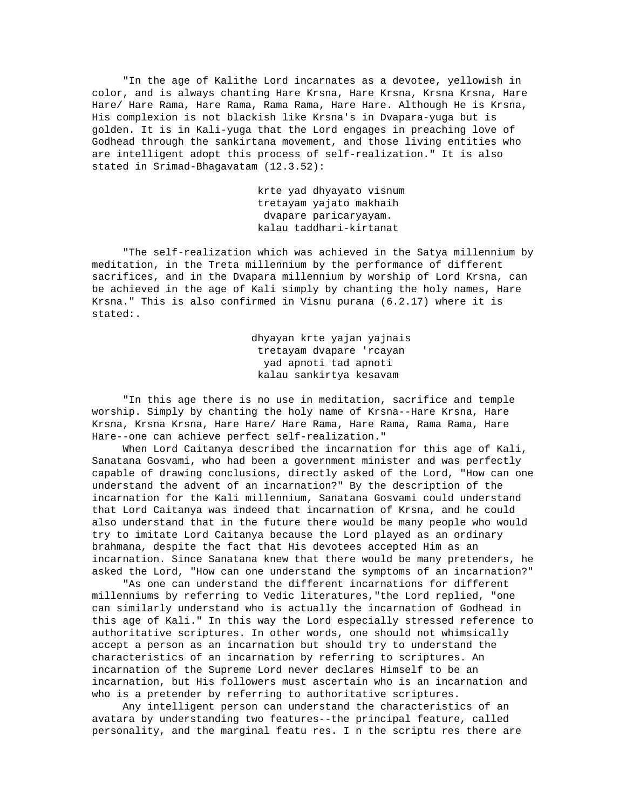"In the age of Kalithe Lord incarnates as a devotee, yellowish in color, and is always chanting Hare Krsna, Hare Krsna, Krsna Krsna, Hare Hare/ Hare Rama, Hare Rama, Rama Rama, Hare Hare. Although He is Krsna, His complexion is not blackish like Krsna's in Dvapara-yuga but is golden. It is in Kali-yuga that the Lord engages in preaching love of Godhead through the sankirtana movement, and those living entities who are intelligent adopt this process of self-realization." It is also stated in Srimad-Bhagavatam (12.3.52):

> krte yad dhyayato visnum tretayam yajato makhaih dvapare paricaryayam. kalau taddhari-kirtanat

 "The self-realization which was achieved in the Satya millennium by meditation, in the Treta millennium by the performance of different sacrifices, and in the Dvapara millennium by worship of Lord Krsna, can be achieved in the age of Kali simply by chanting the holy names, Hare Krsna." This is also confirmed in Visnu purana (6.2.17) where it is stated:.

> dhyayan krte yajan yajnais tretayam dvapare 'rcayan yad apnoti tad apnoti kalau sankirtya kesavam

 "In this age there is no use in meditation, sacrifice and temple worship. Simply by chanting the holy name of Krsna--Hare Krsna, Hare Krsna, Krsna Krsna, Hare Hare/ Hare Rama, Hare Rama, Rama Rama, Hare Hare--one can achieve perfect self-realization."

 When Lord Caitanya described the incarnation for this age of Kali, Sanatana Gosvami, who had been a government minister and was perfectly capable of drawing conclusions, directly asked of the Lord, "How can one understand the advent of an incarnation?" By the description of the incarnation for the Kali millennium, Sanatana Gosvami could understand that Lord Caitanya was indeed that incarnation of Krsna, and he could also understand that in the future there would be many people who would try to imitate Lord Caitanya because the Lord played as an ordinary brahmana, despite the fact that His devotees accepted Him as an incarnation. Since Sanatana knew that there would be many pretenders, he asked the Lord, "How can one understand the symptoms of an incarnation?"

 "As one can understand the different incarnations for different millenniums by referring to Vedic literatures,"the Lord replied, "one can similarly understand who is actually the incarnation of Godhead in this age of Kali." In this way the Lord especially stressed reference to authoritative scriptures. In other words, one should not whimsically accept a person as an incarnation but should try to understand the characteristics of an incarnation by referring to scriptures. An incarnation of the Supreme Lord never declares Himself to be an incarnation, but His followers must ascertain who is an incarnation and who is a pretender by referring to authoritative scriptures.

 Any intelligent person can understand the characteristics of an avatara by understanding two features--the principal feature, called personality, and the marginal featu res. I n the scriptu res there are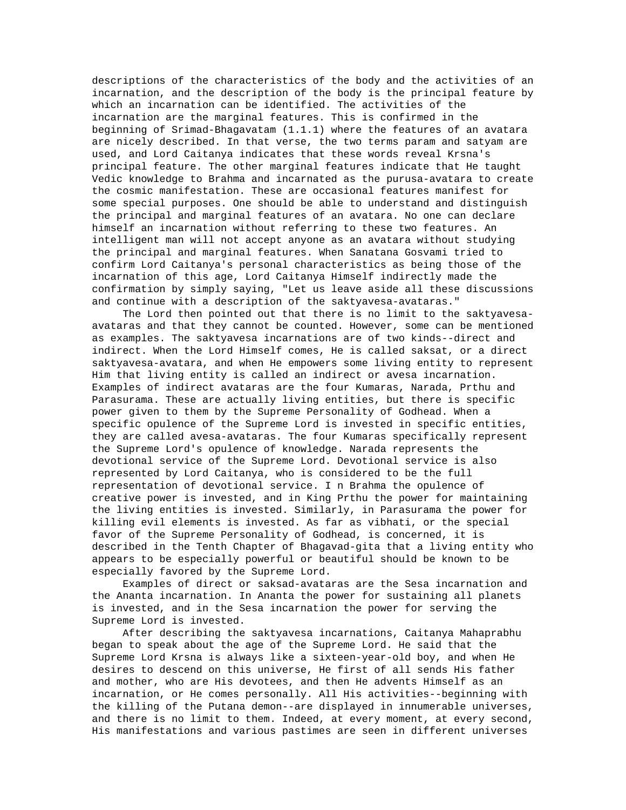descriptions of the characteristics of the body and the activities of an incarnation, and the description of the body is the principal feature by which an incarnation can be identified. The activities of the incarnation are the marginal features. This is confirmed in the beginning of Srimad-Bhagavatam (1.1.1) where the features of an avatara are nicely described. In that verse, the two terms param and satyam are used, and Lord Caitanya indicates that these words reveal Krsna's principal feature. The other marginal features indicate that He taught Vedic knowledge to Brahma and incarnated as the purusa-avatara to create the cosmic manifestation. These are occasional features manifest for some special purposes. One should be able to understand and distinguish the principal and marginal features of an avatara. No one can declare himself an incarnation without referring to these two features. An intelligent man will not accept anyone as an avatara without studying the principal and marginal features. When Sanatana Gosvami tried to confirm Lord Caitanya's personal characteristics as being those of the incarnation of this age, Lord Caitanya Himself indirectly made the confirmation by simply saying, "Let us leave aside all these discussions and continue with a description of the saktyavesa-avataras."

 The Lord then pointed out that there is no limit to the saktyavesaavataras and that they cannot be counted. However, some can be mentioned as examples. The saktyavesa incarnations are of two kinds--direct and indirect. When the Lord Himself comes, He is called saksat, or a direct saktyavesa-avatara, and when He empowers some living entity to represent Him that living entity is called an indirect or avesa incarnation. Examples of indirect avataras are the four Kumaras, Narada, Prthu and Parasurama. These are actually living entities, but there is specific power given to them by the Supreme Personality of Godhead. When a specific opulence of the Supreme Lord is invested in specific entities, they are called avesa-avataras. The four Kumaras specifically represent the Supreme Lord's opulence of knowledge. Narada represents the devotional service of the Supreme Lord. Devotional service is also represented by Lord Caitanya, who is considered to be the full representation of devotional service. I n Brahma the opulence of creative power is invested, and in King Prthu the power for maintaining the living entities is invested. Similarly, in Parasurama the power for killing evil elements is invested. As far as vibhati, or the special favor of the Supreme Personality of Godhead, is concerned, it is described in the Tenth Chapter of Bhagavad-gita that a living entity who appears to be especially powerful or beautiful should be known to be especially favored by the Supreme Lord.

 Examples of direct or saksad-avataras are the Sesa incarnation and the Ananta incarnation. In Ananta the power for sustaining all planets is invested, and in the Sesa incarnation the power for serving the Supreme Lord is invested.

 After describing the saktyavesa incarnations, Caitanya Mahaprabhu began to speak about the age of the Supreme Lord. He said that the Supreme Lord Krsna is always like a sixteen-year-old boy, and when He desires to descend on this universe, He first of all sends His father and mother, who are His devotees, and then He advents Himself as an incarnation, or He comes personally. All His activities--beginning with the killing of the Putana demon--are displayed in innumerable universes, and there is no limit to them. Indeed, at every moment, at every second, His manifestations and various pastimes are seen in different universes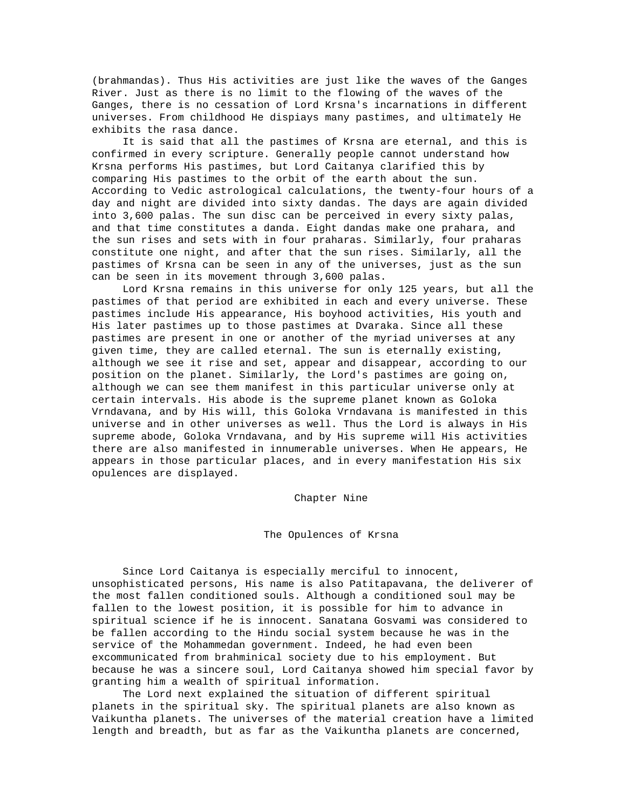(brahmandas). Thus His activities are just like the waves of the Ganges River. Just as there is no limit to the flowing of the waves of the Ganges, there is no cessation of Lord Krsna's incarnations in different universes. From childhood He dispiays many pastimes, and ultimately He exhibits the rasa dance.

 It is said that all the pastimes of Krsna are eternal, and this is confirmed in every scripture. Generally people cannot understand how Krsna performs His pastimes, but Lord Caitanya clarified this by comparing His pastimes to the orbit of the earth about the sun. According to Vedic astrological calculations, the twenty-four hours of a day and night are divided into sixty dandas. The days are again divided into 3,600 palas. The sun disc can be perceived in every sixty palas, and that time constitutes a danda. Eight dandas make one prahara, and the sun rises and sets with in four praharas. Similarly, four praharas constitute one night, and after that the sun rises. Similarly, all the pastimes of Krsna can be seen in any of the universes, just as the sun can be seen in its movement through 3,600 palas.

 Lord Krsna remains in this universe for only 125 years, but all the pastimes of that period are exhibited in each and every universe. These pastimes include His appearance, His boyhood activities, His youth and His later pastimes up to those pastimes at Dvaraka. Since all these pastimes are present in one or another of the myriad universes at any given time, they are called eternal. The sun is eternally existing, although we see it rise and set, appear and disappear, according to our position on the planet. Similarly, the Lord's pastimes are going on, although we can see them manifest in this particular universe only at certain intervals. His abode is the supreme planet known as Goloka Vrndavana, and by His will, this Goloka Vrndavana is manifested in this universe and in other universes as well. Thus the Lord is always in His supreme abode, Goloka Vrndavana, and by His supreme will His activities there are also manifested in innumerable universes. When He appears, He appears in those particular places, and in every manifestation His six opulences are displayed.

Chapter Nine

### The Opulences of Krsna

 Since Lord Caitanya is especially merciful to innocent, unsophisticated persons, His name is also Patitapavana, the deliverer of the most fallen conditioned souls. Although a conditioned soul may be fallen to the lowest position, it is possible for him to advance in spiritual science if he is innocent. Sanatana Gosvami was considered to be fallen according to the Hindu social system because he was in the service of the Mohammedan government. Indeed, he had even been excommunicated from brahminical society due to his employment. But because he was a sincere soul, Lord Caitanya showed him special favor by granting him a wealth of spiritual information.

 The Lord next explained the situation of different spiritual planets in the spiritual sky. The spiritual planets are also known as Vaikuntha planets. The universes of the material creation have a limited length and breadth, but as far as the Vaikuntha planets are concerned,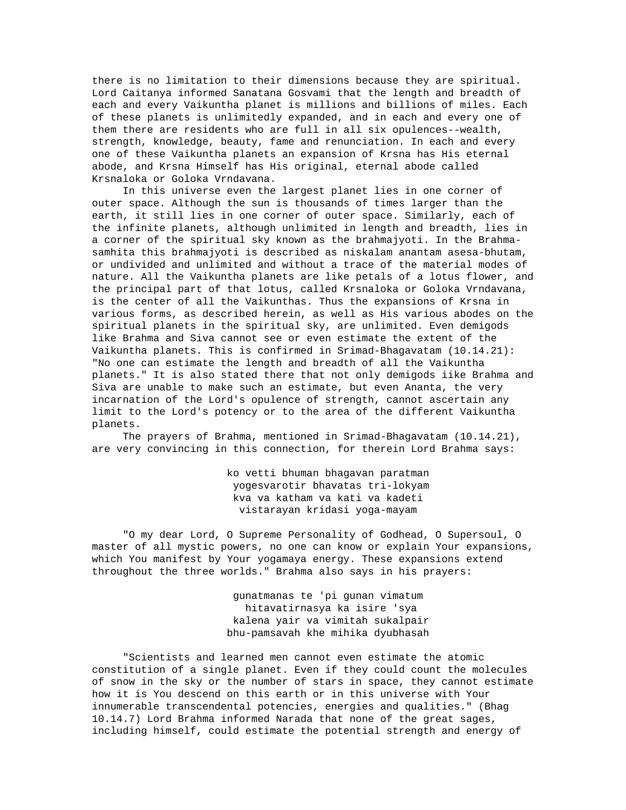there is no limitation to their dimensions because they are spiritual. Lord Caitanya informed Sanatana Gosvami that the length and breadth of each and every Vaikuntha planet is millions and billions of miles. Each of these planets is unlimitedly expanded, and in each and every one of them there are residents who are full in all six opulences--wealth, strength, knowledge, beauty, fame and renunciation. In each and every one of these Vaikuntha planets an expansion of Krsna has His eternal abode, and Krsna Himself has His original, eternal abode called Krsnaloka or Goloka Vrndavana.

 In this universe even the largest planet lies in one corner of outer space. Although the sun is thousands of times larger than the earth, it still lies in one corner of outer space. Similarly, each of the infinite planets, although unlimited in length and breadth, lies in a corner of the spiritual sky known as the brahmajyoti. In the Brahmasamhita this brahmajyoti is described as niskalam anantam asesa-bhutam, or undivided and unlimited and without a trace of the material modes of nature. All the Vaikuntha planets are like petals of a lotus flower, and the principal part of that lotus, called Krsnaloka or Goloka Vrndavana, is the center of all the Vaikunthas. Thus the expansions of Krsna in various forms, as described herein, as well as His various abodes on the spiritual planets in the spiritual sky, are unlimited. Even demigods like Brahma and Siva cannot see or even estimate the extent of the Vaikuntha planets. This is confirmed in Srimad-Bhagavatam (10.14.21): "No one can estimate the length and breadth of all the Vaikuntha planets." It is also stated there that not only demigods iike Brahma and Siva are unable to make such an estimate, but even Ananta, the very incarnation of the Lord's opulence of strength, cannot ascertain any limit to the Lord's potency or to the area of the different Vaikuntha planets.

 The prayers of Brahma, mentioned in Srimad-Bhagavatam (10.14.21), are very convincing in this connection, for therein Lord Brahma says:

> ko vetti bhuman bhagavan paratman yogesvarotir bhavatas tri-lokyam kva va katham va kati va kadeti vistarayan kridasi yoga-mayam

 "O my dear Lord, O Supreme Personality of Godhead, O Supersoul, O master of all mystic powers, no one can know or explain Your expansions, which You manifest by Your yogamaya energy. These expansions extend throughout the three worlds." Brahma also says in his prayers:

> gunatmanas te 'pi gunan vimatum hitavatirnasya ka isire 'sya kalena yair va vimitah sukalpair bhu-pamsavah khe mihika dyubhasah

 "Scientists and learned men cannot even estimate the atomic constitution of a single planet. Even if they could count the molecules of snow in the sky or the number of stars in space, they cannot estimate how it is You descend on this earth or in this universe with Your innumerable transcendental potencies, energies and qualities." (Bhag 10.14.7) Lord Brahma informed Narada that none of the great sages, including himself, could estimate the potential strength and energy of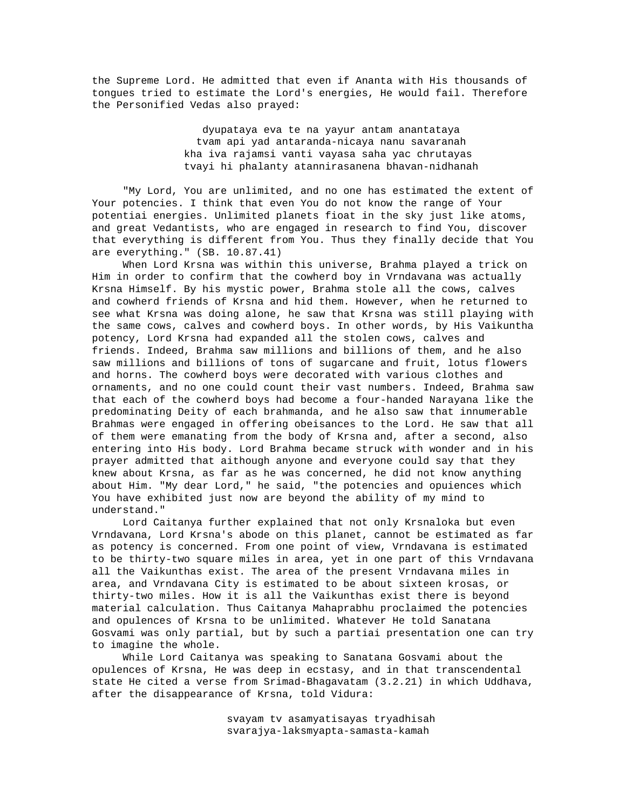the Supreme Lord. He admitted that even if Ananta with His thousands of tongues tried to estimate the Lord's energies, He would fail. Therefore the Personified Vedas also prayed:

> dyupataya eva te na yayur antam anantataya tvam api yad antaranda-nicaya nanu savaranah kha iva rajamsi vanti vayasa saha yac chrutayas tvayi hi phalanty atannirasanena bhavan-nidhanah

 "My Lord, You are unlimited, and no one has estimated the extent of Your potencies. I think that even You do not know the range of Your potentiai energies. Unlimited planets fioat in the sky just like atoms, and great Vedantists, who are engaged in research to find You, discover that everything is different from You. Thus they finally decide that You are everything." (SB. 10.87.41)

 When Lord Krsna was within this universe, Brahma played a trick on Him in order to confirm that the cowherd boy in Vrndavana was actually Krsna Himself. By his mystic power, Brahma stole all the cows, calves and cowherd friends of Krsna and hid them. However, when he returned to see what Krsna was doing alone, he saw that Krsna was still playing with the same cows, calves and cowherd boys. In other words, by His Vaikuntha potency, Lord Krsna had expanded all the stolen cows, calves and friends. Indeed, Brahma saw millions and billions of them, and he also saw millions and billions of tons of sugarcane and fruit, lotus flowers and horns. The cowherd boys were decorated with various clothes and ornaments, and no one could count their vast numbers. Indeed, Brahma saw that each of the cowherd boys had become a four-handed Narayana like the predominating Deity of each brahmanda, and he also saw that innumerable Brahmas were engaged in offering obeisances to the Lord. He saw that all of them were emanating from the body of Krsna and, after a second, also entering into His body. Lord Brahma became struck with wonder and in his prayer admitted that aithough anyone and everyone could say that they knew about Krsna, as far as he was concerned, he did not know anything about Him. "My dear Lord," he said, "the potencies and opuiences which You have exhibited just now are beyond the ability of my mind to understand."

 Lord Caitanya further explained that not only Krsnaloka but even Vrndavana, Lord Krsna's abode on this planet, cannot be estimated as far as potency is concerned. From one point of view, Vrndavana is estimated to be thirty-two square miles in area, yet in one part of this Vrndavana all the Vaikunthas exist. The area of the present Vrndavana miles in area, and Vrndavana City is estimated to be about sixteen krosas, or thirty-two miles. How it is all the Vaikunthas exist there is beyond material calculation. Thus Caitanya Mahaprabhu proclaimed the potencies and opulences of Krsna to be unlimited. Whatever He told Sanatana Gosvami was only partial, but by such a partiai presentation one can try to imagine the whole.

 While Lord Caitanya was speaking to Sanatana Gosvami about the opulences of Krsna, He was deep in ecstasy, and in that transcendental state He cited a verse from Srimad-Bhagavatam (3.2.21) in which Uddhava, after the disappearance of Krsna, told Vidura:

> svayam tv asamyatisayas tryadhisah svarajya-laksmyapta-samasta-kamah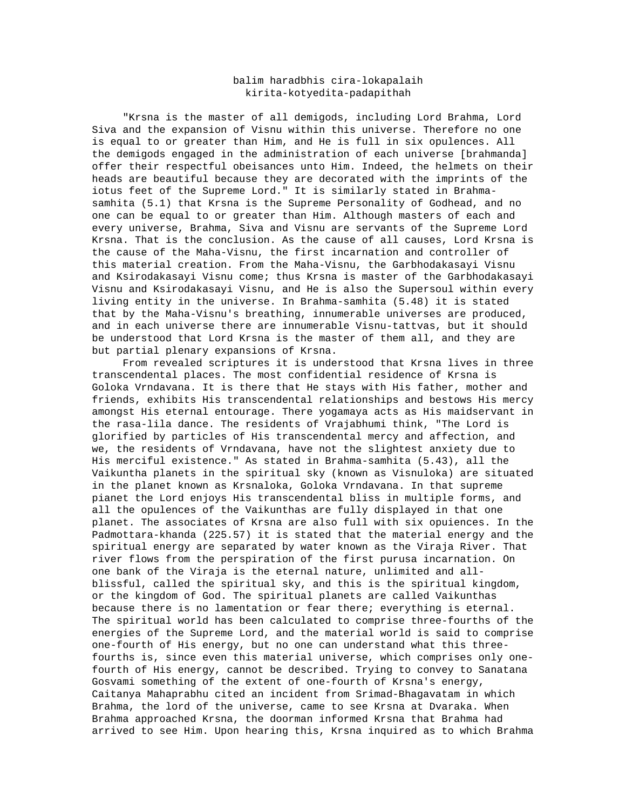# balim haradbhis cira-lokapalaih kirita-kotyedita-padapithah

 "Krsna is the master of all demigods, including Lord Brahma, Lord Siva and the expansion of Visnu within this universe. Therefore no one is equal to or greater than Him, and He is full in six opulences. All the demigods engaged in the administration of each universe [brahmanda] offer their respectful obeisances unto Him. Indeed, the helmets on their heads are beautiful because they are decorated with the imprints of the iotus feet of the Supreme Lord." It is similarly stated in Brahmasamhita (5.1) that Krsna is the Supreme Personality of Godhead, and no one can be equal to or greater than Him. Although masters of each and every universe, Brahma, Siva and Visnu are servants of the Supreme Lord Krsna. That is the conclusion. As the cause of all causes, Lord Krsna is the cause of the Maha-Visnu, the first incarnation and controller of this material creation. From the Maha-Visnu, the Garbhodakasayi Visnu and Ksirodakasayi Visnu come; thus Krsna is master of the Garbhodakasayi Visnu and Ksirodakasayi Visnu, and He is also the Supersoul within every living entity in the universe. In Brahma-samhita (5.48) it is stated that by the Maha-Visnu's breathing, innumerable universes are produced, and in each universe there are innumerable Visnu-tattvas, but it should be understood that Lord Krsna is the master of them all, and they are but partial plenary expansions of Krsna.

 From revealed scriptures it is understood that Krsna lives in three transcendental places. The most confidential residence of Krsna is Goloka Vrndavana. It is there that He stays with His father, mother and friends, exhibits His transcendental relationships and bestows His mercy amongst His eternal entourage. There yogamaya acts as His maidservant in the rasa-lila dance. The residents of Vrajabhumi think, "The Lord is glorified by particles of His transcendental mercy and affection, and we, the residents of Vrndavana, have not the slightest anxiety due to His merciful existence." As stated in Brahma-samhita (5.43), all the Vaikuntha planets in the spiritual sky (known as Visnuloka) are situated in the planet known as Krsnaloka, Goloka Vrndavana. In that supreme pianet the Lord enjoys His transcendental bliss in multiple forms, and all the opulences of the Vaikunthas are fully displayed in that one planet. The associates of Krsna are also full with six opuiences. In the Padmottara-khanda (225.57) it is stated that the material energy and the spiritual energy are separated by water known as the Viraja River. That river flows from the perspiration of the first purusa incarnation. On one bank of the Viraja is the eternal nature, unlimited and allblissful, called the spiritual sky, and this is the spiritual kingdom, or the kingdom of God. The spiritual planets are called Vaikunthas because there is no lamentation or fear there; everything is eternal. The spiritual world has been calculated to comprise three-fourths of the energies of the Supreme Lord, and the material world is said to comprise one-fourth of His energy, but no one can understand what this threefourths is, since even this material universe, which comprises only onefourth of His energy, cannot be described. Trying to convey to Sanatana Gosvami something of the extent of one-fourth of Krsna's energy, Caitanya Mahaprabhu cited an incident from Srimad-Bhagavatam in which Brahma, the lord of the universe, came to see Krsna at Dvaraka. When Brahma approached Krsna, the doorman informed Krsna that Brahma had arrived to see Him. Upon hearing this, Krsna inquired as to which Brahma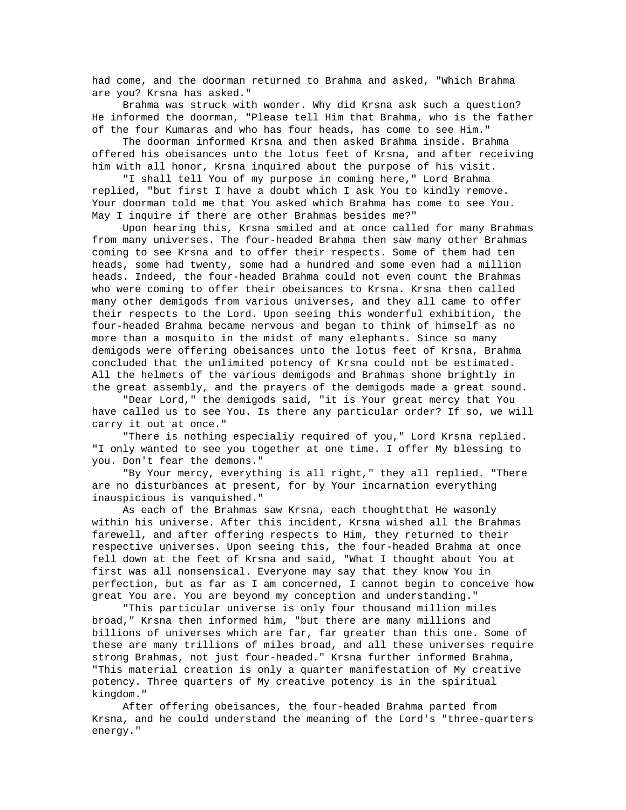had come, and the doorman returned to Brahma and asked, "Which Brahma are you? Krsna has asked."

 Brahma was struck with wonder. Why did Krsna ask such a question? He informed the doorman, "Please tell Him that Brahma, who is the father of the four Kumaras and who has four heads, has come to see Him."

 The doorman informed Krsna and then asked Brahma inside. Brahma offered his obeisances unto the lotus feet of Krsna, and after receiving him with all honor, Krsna inquired about the purpose of his visit.

 "I shall tell You of my purpose in coming here," Lord Brahma replied, "but first I have a doubt which I ask You to kindly remove. Your doorman told me that You asked which Brahma has come to see You. May I inquire if there are other Brahmas besides me?"

 Upon hearing this, Krsna smiled and at once called for many Brahmas from many universes. The four-headed Brahma then saw many other Brahmas coming to see Krsna and to offer their respects. Some of them had ten heads, some had twenty, some had a hundred and some even had a million heads. Indeed, the four-headed Brahma could not even count the Brahmas who were coming to offer their obeisances to Krsna. Krsna then called many other demigods from various universes, and they all came to offer their respects to the Lord. Upon seeing this wonderful exhibition, the four-headed Brahma became nervous and began to think of himself as no more than a mosquito in the midst of many elephants. Since so many demigods were offering obeisances unto the lotus feet of Krsna, Brahma concluded that the unlimited potency of Krsna could not be estimated. All the helmets of the various demigods and Brahmas shone brightly in the great assembly, and the prayers of the demigods made a great sound.

 "Dear Lord," the demigods said, "it is Your great mercy that You have called us to see You. Is there any particular order? If so, we will carry it out at once."

 "There is nothing especialiy required of you," Lord Krsna replied. "I only wanted to see you together at one time. I offer My blessing to you. Don't fear the demons."

 "By Your mercy, everything is all right," they all replied. "There are no disturbances at present, for by Your incarnation everything inauspicious is vanquished."

 As each of the Brahmas saw Krsna, each thoughtthat He wasonly within his universe. After this incident, Krsna wished all the Brahmas farewell, and after offering respects to Him, they returned to their respective universes. Upon seeing this, the four-headed Brahma at once fell down at the feet of Krsna and said, "What I thought about You at first was all nonsensical. Everyone may say that they know You in perfection, but as far as I am concerned, I cannot begin to conceive how great You are. You are beyond my conception and understanding."

 "This particular universe is only four thousand million miles broad," Krsna then informed him, "but there are many millions and billions of universes which are far, far greater than this one. Some of these are many trillions of miles broad, and all these universes require strong Brahmas, not just four-headed." Krsna further informed Brahma, "This material creation is only a quarter manifestation of My creative potency. Three quarters of My creative potency is in the spiritual kingdom."

 After offering obeisances, the four-headed Brahma parted from Krsna, and he could understand the meaning of the Lord's "three-quarters energy."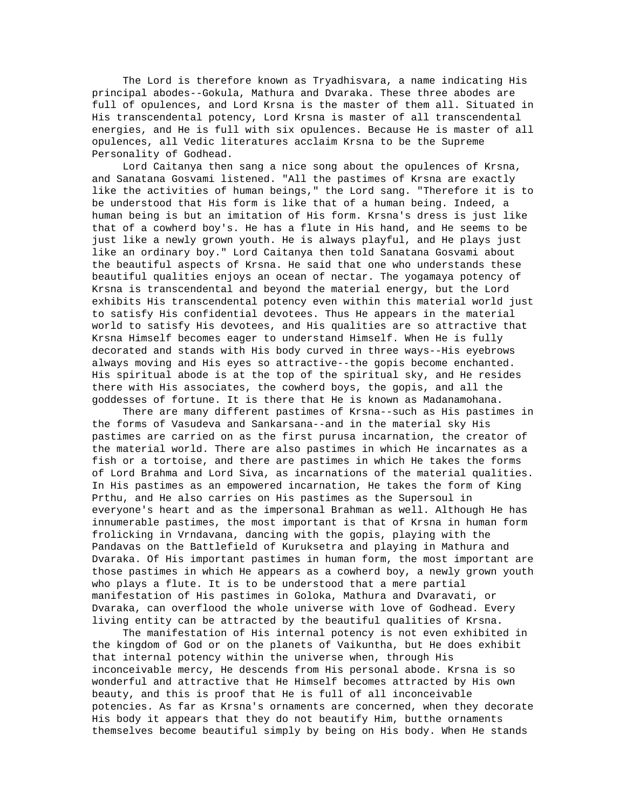The Lord is therefore known as Tryadhisvara, a name indicating His principal abodes--Gokula, Mathura and Dvaraka. These three abodes are full of opulences, and Lord Krsna is the master of them all. Situated in His transcendental potency, Lord Krsna is master of all transcendental energies, and He is full with six opulences. Because He is master of all opulences, all Vedic literatures acclaim Krsna to be the Supreme Personality of Godhead.

 Lord Caitanya then sang a nice song about the opulences of Krsna, and Sanatana Gosvami listened. "All the pastimes of Krsna are exactly like the activities of human beings," the Lord sang. "Therefore it is to be understood that His form is like that of a human being. Indeed, a human being is but an imitation of His form. Krsna's dress is just like that of a cowherd boy's. He has a flute in His hand, and He seems to be just like a newly grown youth. He is always playful, and He plays just like an ordinary boy." Lord Caitanya then told Sanatana Gosvami about the beautiful aspects of Krsna. He said that one who understands these beautiful qualities enjoys an ocean of nectar. The yogamaya potency of Krsna is transcendental and beyond the material energy, but the Lord exhibits His transcendental potency even within this material world just to satisfy His confidential devotees. Thus He appears in the material world to satisfy His devotees, and His qualities are so attractive that Krsna Himself becomes eager to understand Himself. When He is fully decorated and stands with His body curved in three ways--His eyebrows always moving and His eyes so attractive--the gopis become enchanted. His spiritual abode is at the top of the spiritual sky, and He resides there with His associates, the cowherd boys, the gopis, and all the goddesses of fortune. It is there that He is known as Madanamohana.

 There are many different pastimes of Krsna--such as His pastimes in the forms of Vasudeva and Sankarsana--and in the material sky His pastimes are carried on as the first purusa incarnation, the creator of the material world. There are also pastimes in which He incarnates as a fish or a tortoise, and there are pastimes in which He takes the forms of Lord Brahma and Lord Siva, as incarnations of the material qualities. In His pastimes as an empowered incarnation, He takes the form of King Prthu, and He also carries on His pastimes as the Supersoul in everyone's heart and as the impersonal Brahman as well. Although He has innumerable pastimes, the most important is that of Krsna in human form frolicking in Vrndavana, dancing with the gopis, playing with the Pandavas on the Battlefield of Kuruksetra and playing in Mathura and Dvaraka. Of His important pastimes in human form, the most important are those pastimes in which He appears as a cowherd boy, a newly grown youth who plays a flute. It is to be understood that a mere partial manifestation of His pastimes in Goloka, Mathura and Dvaravati, or Dvaraka, can overflood the whole universe with love of Godhead. Every living entity can be attracted by the beautiful qualities of Krsna.

 The manifestation of His internal potency is not even exhibited in the kingdom of God or on the planets of Vaikuntha, but He does exhibit that internal potency within the universe when, through His inconceivable mercy, He descends from His personal abode. Krsna is so wonderful and attractive that He Himself becomes attracted by His own beauty, and this is proof that He is full of all inconceivable potencies. As far as Krsna's ornaments are concerned, when they decorate His body it appears that they do not beautify Him, butthe ornaments themselves become beautiful simply by being on His body. When He stands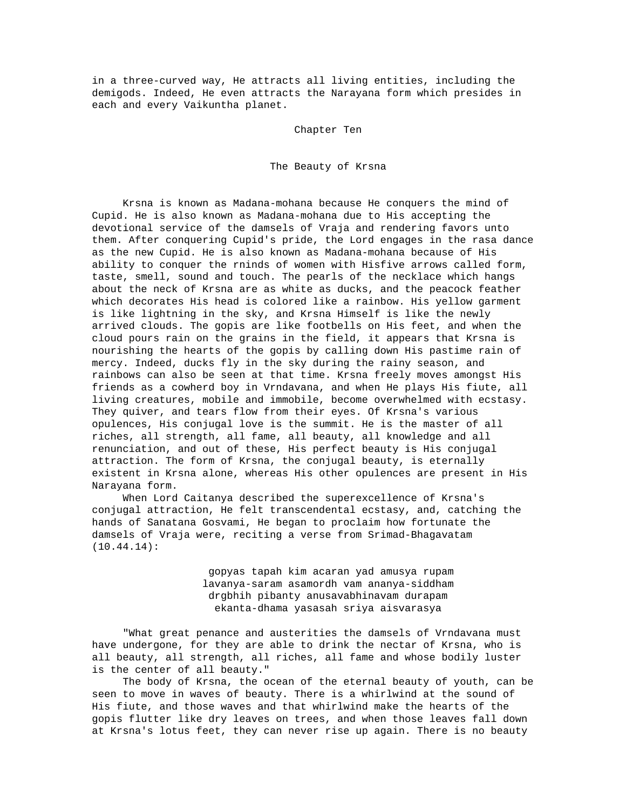in a three-curved way, He attracts all living entities, including the demigods. Indeed, He even attracts the Narayana form which presides in each and every Vaikuntha planet.

Chapter Ten

The Beauty of Krsna

 Krsna is known as Madana-mohana because He conquers the mind of Cupid. He is also known as Madana-mohana due to His accepting the devotional service of the damsels of Vraja and rendering favors unto them. After conquering Cupid's pride, the Lord engages in the rasa dance as the new Cupid. He is also known as Madana-mohana because of His ability to conquer the rninds of women with Hisfive arrows called form, taste, smell, sound and touch. The pearls of the necklace which hangs about the neck of Krsna are as white as ducks, and the peacock feather which decorates His head is colored like a rainbow. His yellow garment is like lightning in the sky, and Krsna Himself is like the newly arrived clouds. The gopis are like footbells on His feet, and when the cloud pours rain on the grains in the field, it appears that Krsna is nourishing the hearts of the gopis by calling down His pastime rain of mercy. Indeed, ducks fly in the sky during the rainy season, and rainbows can also be seen at that time. Krsna freely moves amongst His friends as a cowherd boy in Vrndavana, and when He plays His fiute, all living creatures, mobile and immobile, become overwhelmed with ecstasy. They quiver, and tears flow from their eyes. Of Krsna's various opulences, His conjugal love is the summit. He is the master of all riches, all strength, all fame, all beauty, all knowledge and all renunciation, and out of these, His perfect beauty is His conjugal attraction. The form of Krsna, the conjugal beauty, is eternally existent in Krsna alone, whereas His other opulences are present in His Narayana form.

 When Lord Caitanya described the superexcellence of Krsna's conjugal attraction, He felt transcendental ecstasy, and, catching the hands of Sanatana Gosvami, He began to proclaim how fortunate the damsels of Vraja were, reciting a verse from Srimad-Bhagavatam (10.44.14):

> gopyas tapah kim acaran yad amusya rupam lavanya-saram asamordh vam ananya-siddham drgbhih pibanty anusavabhinavam durapam ekanta-dhama yasasah sriya aisvarasya

 "What great penance and austerities the damsels of Vrndavana must have undergone, for they are able to drink the nectar of Krsna, who is all beauty, all strength, all riches, all fame and whose bodily luster is the center of all beauty."

 The body of Krsna, the ocean of the eternal beauty of youth, can be seen to move in waves of beauty. There is a whirlwind at the sound of His fiute, and those waves and that whirlwind make the hearts of the gopis flutter like dry leaves on trees, and when those leaves fall down at Krsna's lotus feet, they can never rise up again. There is no beauty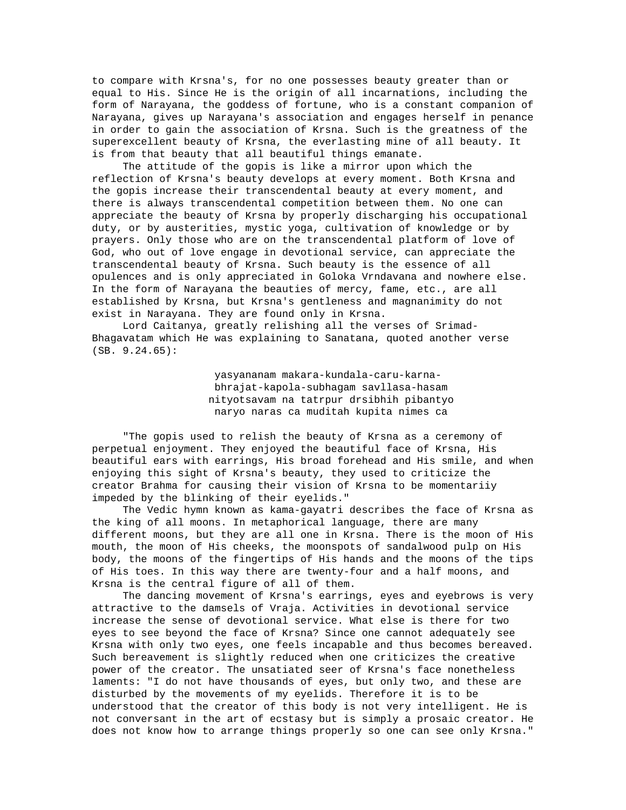to compare with Krsna's, for no one possesses beauty greater than or equal to His. Since He is the origin of all incarnations, including the form of Narayana, the goddess of fortune, who is a constant companion of Narayana, gives up Narayana's association and engages herself in penance in order to gain the association of Krsna. Such is the greatness of the superexcellent beauty of Krsna, the everlasting mine of all beauty. It is from that beauty that all beautiful things emanate.

 The attitude of the gopis is like a mirror upon which the reflection of Krsna's beauty develops at every moment. Both Krsna and the gopis increase their transcendental beauty at every moment, and there is always transcendental competition between them. No one can appreciate the beauty of Krsna by properly discharging his occupational duty, or by austerities, mystic yoga, cultivation of knowledge or by prayers. Only those who are on the transcendental platform of love of God, who out of love engage in devotional service, can appreciate the transcendental beauty of Krsna. Such beauty is the essence of all opulences and is only appreciated in Goloka Vrndavana and nowhere else. In the form of Narayana the beauties of mercy, fame, etc., are all established by Krsna, but Krsna's gentleness and magnanimity do not exist in Narayana. They are found only in Krsna.

 Lord Caitanya, greatly relishing all the verses of Srimad-Bhagavatam which He was explaining to Sanatana, quoted another verse (SB. 9.24.65):

> yasyananam makara-kundala-caru-karna bhrajat-kapola-subhagam savllasa-hasam nityotsavam na tatrpur drsibhih pibantyo naryo naras ca muditah kupita nimes ca

 "The gopis used to relish the beauty of Krsna as a ceremony of perpetual enjoyment. They enjoyed the beautiful face of Krsna, His beautiful ears with earrings, His broad forehead and His smile, and when enjoying this sight of Krsna's beauty, they used to criticize the creator Brahma for causing their vision of Krsna to be momentariiy impeded by the blinking of their eyelids."

 The Vedic hymn known as kama-gayatri describes the face of Krsna as the king of all moons. In metaphorical language, there are many different moons, but they are all one in Krsna. There is the moon of His mouth, the moon of His cheeks, the moonspots of sandalwood pulp on His body, the moons of the fingertips of His hands and the moons of the tips of His toes. In this way there are twenty-four and a half moons, and Krsna is the central figure of all of them.

 The dancing movement of Krsna's earrings, eyes and eyebrows is very attractive to the damsels of Vraja. Activities in devotional service increase the sense of devotional service. What else is there for two eyes to see beyond the face of Krsna? Since one cannot adequately see Krsna with only two eyes, one feels incapable and thus becomes bereaved. Such bereavement is slightly reduced when one criticizes the creative power of the creator. The unsatiated seer of Krsna's face nonetheless laments: "I do not have thousands of eyes, but only two, and these are disturbed by the movements of my eyelids. Therefore it is to be understood that the creator of this body is not very intelligent. He is not conversant in the art of ecstasy but is simply a prosaic creator. He does not know how to arrange things properly so one can see only Krsna."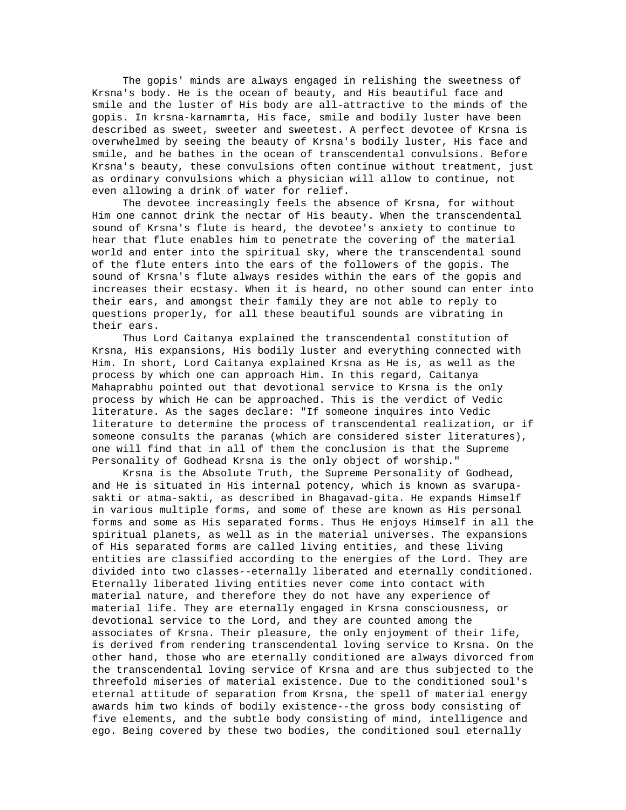The gopis' minds are always engaged in relishing the sweetness of Krsna's body. He is the ocean of beauty, and His beautiful face and smile and the luster of His body are all-attractive to the minds of the gopis. In krsna-karnamrta, His face, smile and bodily luster have been described as sweet, sweeter and sweetest. A perfect devotee of Krsna is overwhelmed by seeing the beauty of Krsna's bodily luster, His face and smile, and he bathes in the ocean of transcendental convulsions. Before Krsna's beauty, these convulsions often continue without treatment, just as ordinary convulsions which a physician will allow to continue, not even allowing a drink of water for relief.

 The devotee increasingly feels the absence of Krsna, for without Him one cannot drink the nectar of His beauty. When the transcendental sound of Krsna's flute is heard, the devotee's anxiety to continue to hear that flute enables him to penetrate the covering of the material world and enter into the spiritual sky, where the transcendental sound of the flute enters into the ears of the followers of the gopis. The sound of Krsna's flute always resides within the ears of the gopis and increases their ecstasy. When it is heard, no other sound can enter into their ears, and amongst their family they are not able to reply to questions properly, for all these beautiful sounds are vibrating in their ears.

 Thus Lord Caitanya explained the transcendental constitution of Krsna, His expansions, His bodily luster and everything connected with Him. In short, Lord Caitanya explained Krsna as He is, as well as the process by which one can approach Him. In this regard, Caitanya Mahaprabhu pointed out that devotional service to Krsna is the only process by which He can be approached. This is the verdict of Vedic literature. As the sages declare: "If someone inquires into Vedic literature to determine the process of transcendental realization, or if someone consults the paranas (which are considered sister literatures), one will find that in all of them the conclusion is that the Supreme Personality of Godhead Krsna is the only object of worship."

 Krsna is the Absolute Truth, the Supreme Personality of Godhead, and He is situated in His internal potency, which is known as svarupasakti or atma-sakti, as described in Bhagavad-gita. He expands Himself in various multiple forms, and some of these are known as His personal forms and some as His separated forms. Thus He enjoys Himself in all the spiritual planets, as well as in the material universes. The expansions of His separated forms are called living entities, and these living entities are classified according to the energies of the Lord. They are divided into two classes--eternally liberated and eternally conditioned. Eternally liberated living entities never come into contact with material nature, and therefore they do not have any experience of material life. They are eternally engaged in Krsna consciousness, or devotional service to the Lord, and they are counted among the associates of Krsna. Their pleasure, the only enjoyment of their life, is derived from rendering transcendental loving service to Krsna. On the other hand, those who are eternally conditioned are always divorced from the transcendental loving service of Krsna and are thus subjected to the threefold miseries of material existence. Due to the conditioned soul's eternal attitude of separation from Krsna, the spell of material energy awards him two kinds of bodily existence--the gross body consisting of five elements, and the subtle body consisting of mind, intelligence and ego. Being covered by these two bodies, the conditioned soul eternally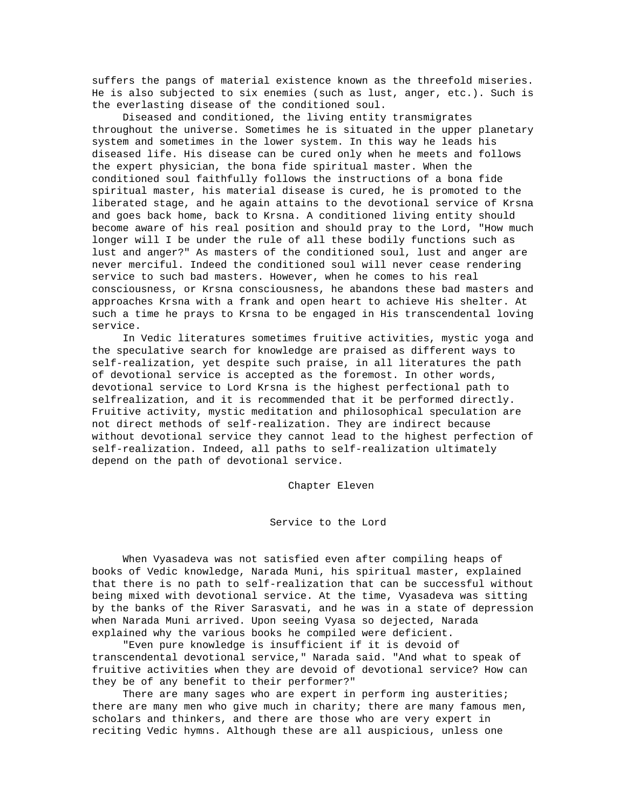suffers the pangs of material existence known as the threefold miseries. He is also subjected to six enemies (such as lust, anger, etc.). Such is the everlasting disease of the conditioned soul.

 Diseased and conditioned, the living entity transmigrates throughout the universe. Sometimes he is situated in the upper planetary system and sometimes in the lower system. In this way he leads his diseased life. His disease can be cured only when he meets and follows the expert physician, the bona fide spiritual master. When the conditioned soul faithfully follows the instructions of a bona fide spiritual master, his material disease is cured, he is promoted to the liberated stage, and he again attains to the devotional service of Krsna and goes back home, back to Krsna. A conditioned living entity should become aware of his real position and should pray to the Lord, "How much longer will I be under the rule of all these bodily functions such as lust and anger?" As masters of the conditioned soul, lust and anger are never merciful. Indeed the conditioned soul will never cease rendering service to such bad masters. However, when he comes to his real consciousness, or Krsna consciousness, he abandons these bad masters and approaches Krsna with a frank and open heart to achieve His shelter. At such a time he prays to Krsna to be engaged in His transcendental loving service.

 In Vedic literatures sometimes fruitive activities, mystic yoga and the speculative search for knowledge are praised as different ways to self-realization, yet despite such praise, in all literatures the path of devotional service is accepted as the foremost. In other words, devotional service to Lord Krsna is the highest perfectional path to selfrealization, and it is recommended that it be performed directly. Fruitive activity, mystic meditation and philosophical speculation are not direct methods of self-realization. They are indirect because without devotional service they cannot lead to the highest perfection of self-realization. Indeed, all paths to self-realization ultimately depend on the path of devotional service.

Chapter Eleven

Service to the Lord

 When Vyasadeva was not satisfied even after compiling heaps of books of Vedic knowledge, Narada Muni, his spiritual master, explained that there is no path to self-realization that can be successful without being mixed with devotional service. At the time, Vyasadeva was sitting by the banks of the River Sarasvati, and he was in a state of depression when Narada Muni arrived. Upon seeing Vyasa so dejected, Narada explained why the various books he compiled were deficient.

 "Even pure knowledge is insufficient if it is devoid of transcendental devotional service," Narada said. "And what to speak of fruitive activities when they are devoid of devotional service? How can they be of any benefit to their performer?"

There are many sages who are expert in perform ing austerities; there are many men who give much in charity; there are many famous men, scholars and thinkers, and there are those who are very expert in reciting Vedic hymns. Although these are all auspicious, unless one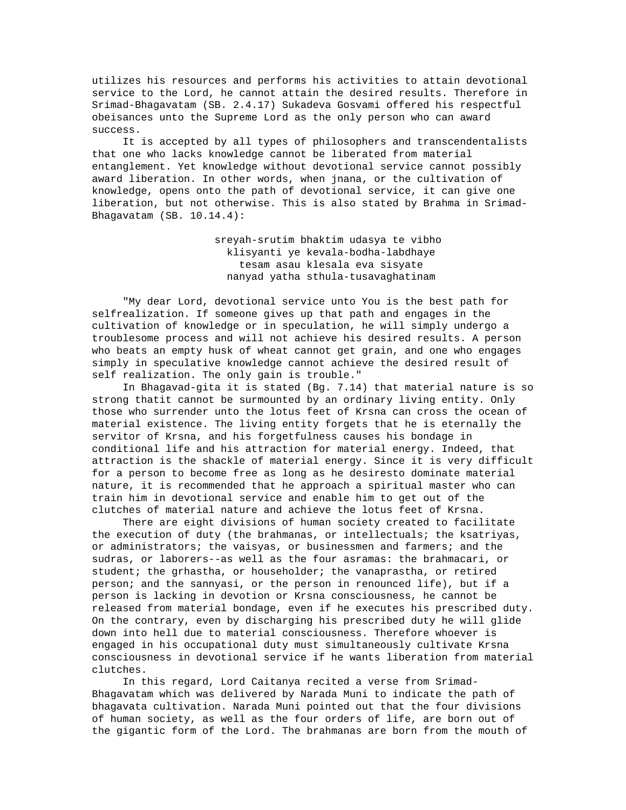utilizes his resources and performs his activities to attain devotional service to the Lord, he cannot attain the desired results. Therefore in Srimad-Bhagavatam (SB. 2.4.17) Sukadeva Gosvami offered his respectful obeisances unto the Supreme Lord as the only person who can award success.

 It is accepted by all types of philosophers and transcendentalists that one who lacks knowledge cannot be liberated from material entanglement. Yet knowledge without devotional service cannot possibly award liberation. In other words, when jnana, or the cultivation of knowledge, opens onto the path of devotional service, it can give one liberation, but not otherwise. This is also stated by Brahma in Srimad-Bhagavatam (SB. 10.14.4):

> sreyah-srutim bhaktim udasya te vibho klisyanti ye kevala-bodha-labdhaye tesam asau klesala eva sisyate nanyad yatha sthula-tusavaghatinam

 "My dear Lord, devotional service unto You is the best path for selfrealization. If someone gives up that path and engages in the cultivation of knowledge or in speculation, he will simply undergo a troublesome process and will not achieve his desired results. A person who beats an empty husk of wheat cannot get grain, and one who engages simply in speculative knowledge cannot achieve the desired result of self realization. The only gain is trouble."

 In Bhagavad-gita it is stated (Bg. 7.14) that material nature is so strong thatit cannot be surmounted by an ordinary living entity. Only those who surrender unto the lotus feet of Krsna can cross the ocean of material existence. The living entity forgets that he is eternally the servitor of Krsna, and his forgetfulness causes his bondage in conditional life and his attraction for material energy. Indeed, that attraction is the shackle of material energy. Since it is very difficult for a person to become free as long as he desiresto dominate material nature, it is recommended that he approach a spiritual master who can train him in devotional service and enable him to get out of the clutches of material nature and achieve the lotus feet of Krsna.

 There are eight divisions of human society created to facilitate the execution of duty (the brahmanas, or intellectuals; the ksatriyas, or administrators; the vaisyas, or businessmen and farmers; and the sudras, or laborers--as well as the four asramas: the brahmacari, or student; the grhastha, or householder; the vanaprastha, or retired person; and the sannyasi, or the person in renounced life), but if a person is lacking in devotion or Krsna consciousness, he cannot be released from material bondage, even if he executes his prescribed duty. On the contrary, even by discharging his prescribed duty he will glide down into hell due to material consciousness. Therefore whoever is engaged in his occupational duty must simultaneously cultivate Krsna consciousness in devotional service if he wants liberation from material clutches.

 In this regard, Lord Caitanya recited a verse from Srimad-Bhagavatam which was delivered by Narada Muni to indicate the path of bhagavata cultivation. Narada Muni pointed out that the four divisions of human society, as well as the four orders of life, are born out of the gigantic form of the Lord. The brahmanas are born from the mouth of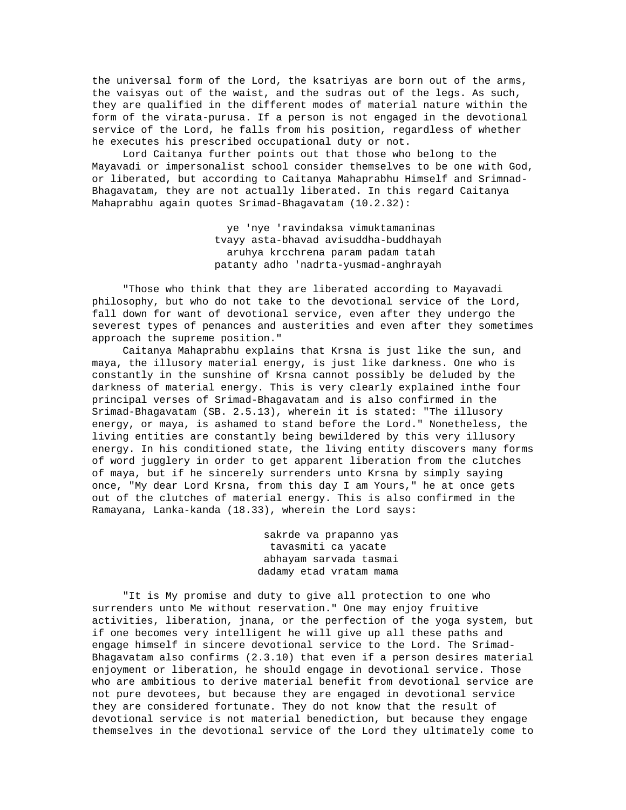the universal form of the Lord, the ksatriyas are born out of the arms, the vaisyas out of the waist, and the sudras out of the legs. As such, they are qualified in the different modes of material nature within the form of the virata-purusa. If a person is not engaged in the devotional service of the Lord, he falls from his position, regardless of whether he executes his prescribed occupational duty or not.

 Lord Caitanya further points out that those who belong to the Mayavadi or impersonalist school consider themselves to be one with God, or liberated, but according to Caitanya Mahaprabhu Himself and Srimnad-Bhagavatam, they are not actually liberated. In this regard Caitanya Mahaprabhu again quotes Srimad-Bhagavatam (10.2.32):

> ye 'nye 'ravindaksa vimuktamaninas tvayy asta-bhavad avisuddha-buddhayah aruhya krcchrena param padam tatah patanty adho 'nadrta-yusmad-anghrayah

 "Those who think that they are liberated according to Mayavadi philosophy, but who do not take to the devotional service of the Lord, fall down for want of devotional service, even after they undergo the severest types of penances and austerities and even after they sometimes approach the supreme position."

 Caitanya Mahaprabhu explains that Krsna is just like the sun, and maya, the illusory material energy, is just like darkness. One who is constantly in the sunshine of Krsna cannot possibly be deluded by the darkness of material energy. This is very clearly explained inthe four principal verses of Srimad-Bhagavatam and is also confirmed in the Srimad-Bhagavatam (SB. 2.5.13), wherein it is stated: "The illusory energy, or maya, is ashamed to stand before the Lord." Nonetheless, the living entities are constantly being bewildered by this very illusory energy. In his conditioned state, the living entity discovers many forms of word jugglery in order to get apparent liberation from the clutches of maya, but if he sincerely surrenders unto Krsna by simply saying once, "My dear Lord Krsna, from this day I am Yours," he at once gets out of the clutches of material energy. This is also confirmed in the Ramayana, Lanka-kanda (18.33), wherein the Lord says:

> sakrde va prapanno yas tavasmiti ca yacate abhayam sarvada tasmai dadamy etad vratam mama

 "It is My promise and duty to give all protection to one who surrenders unto Me without reservation." One may enjoy fruitive activities, liberation, jnana, or the perfection of the yoga system, but if one becomes very intelligent he will give up all these paths and engage himself in sincere devotional service to the Lord. The Srimad-Bhagavatam also confirms (2.3.10) that even if a person desires material enjoyment or liberation, he should engage in devotional service. Those who are ambitious to derive material benefit from devotional service are not pure devotees, but because they are engaged in devotional service they are considered fortunate. They do not know that the result of devotional service is not material benediction, but because they engage themselves in the devotional service of the Lord they ultimately come to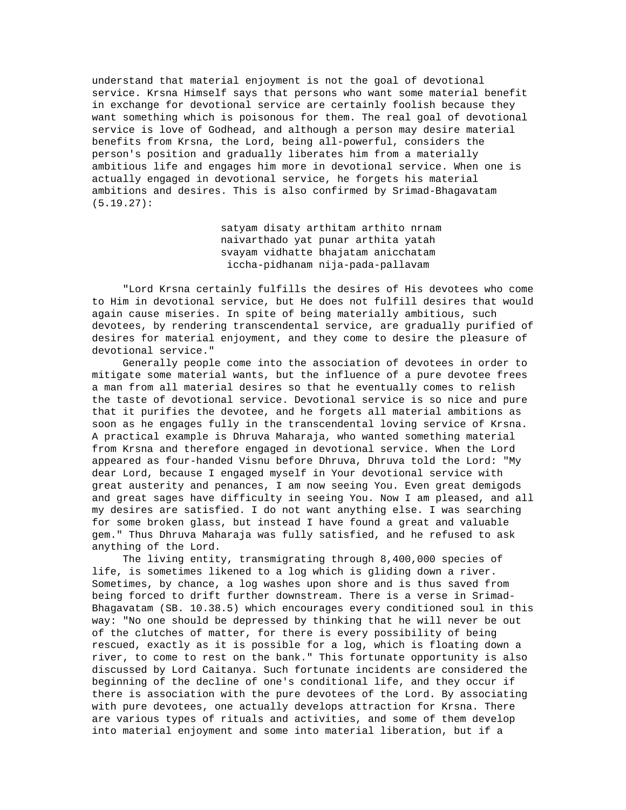understand that material enjoyment is not the goal of devotional service. Krsna Himself says that persons who want some material benefit in exchange for devotional service are certainly foolish because they want something which is poisonous for them. The real goal of devotional service is love of Godhead, and although a person may desire material benefits from Krsna, the Lord, being all-powerful, considers the person's position and gradually liberates him from a materially ambitious life and engages him more in devotional service. When one is actually engaged in devotional service, he forgets his material ambitions and desires. This is also confirmed by Srimad-Bhagavatam (5.19.27):

> satyam disaty arthitam arthito nrnam naivarthado yat punar arthita yatah svayam vidhatte bhajatam anicchatam iccha-pidhanam nija-pada-pallavam

 "Lord Krsna certainly fulfills the desires of His devotees who come to Him in devotional service, but He does not fulfill desires that would again cause miseries. In spite of being materially ambitious, such devotees, by rendering transcendental service, are gradually purified of desires for material enjoyment, and they come to desire the pleasure of devotional service."

 Generally people come into the association of devotees in order to mitigate some material wants, but the influence of a pure devotee frees a man from all material desires so that he eventually comes to relish the taste of devotional service. Devotional service is so nice and pure that it purifies the devotee, and he forgets all material ambitions as soon as he engages fully in the transcendental loving service of Krsna. A practical example is Dhruva Maharaja, who wanted something material from Krsna and therefore engaged in devotional service. When the Lord appeared as four-handed Visnu before Dhruva, Dhruva told the Lord: "My dear Lord, because I engaged myself in Your devotional service with great austerity and penances, I am now seeing You. Even great demigods and great sages have difficulty in seeing You. Now I am pleased, and all my desires are satisfied. I do not want anything else. I was searching for some broken glass, but instead I have found a great and valuable gem." Thus Dhruva Maharaja was fully satisfied, and he refused to ask anything of the Lord.

 The living entity, transmigrating through 8,400,000 species of life, is sometimes likened to a log which is gliding down a river. Sometimes, by chance, a log washes upon shore and is thus saved from being forced to drift further downstream. There is a verse in Srimad-Bhagavatam (SB. 10.38.5) which encourages every conditioned soul in this way: "No one should be depressed by thinking that he will never be out of the clutches of matter, for there is every possibility of being rescued, exactly as it is possible for a log, which is floating down a river, to come to rest on the bank." This fortunate opportunity is also discussed by Lord Caitanya. Such fortunate incidents are considered the beginning of the decline of one's conditional life, and they occur if there is association with the pure devotees of the Lord. By associating with pure devotees, one actually develops attraction for Krsna. There are various types of rituals and activities, and some of them develop into material enjoyment and some into material liberation, but if a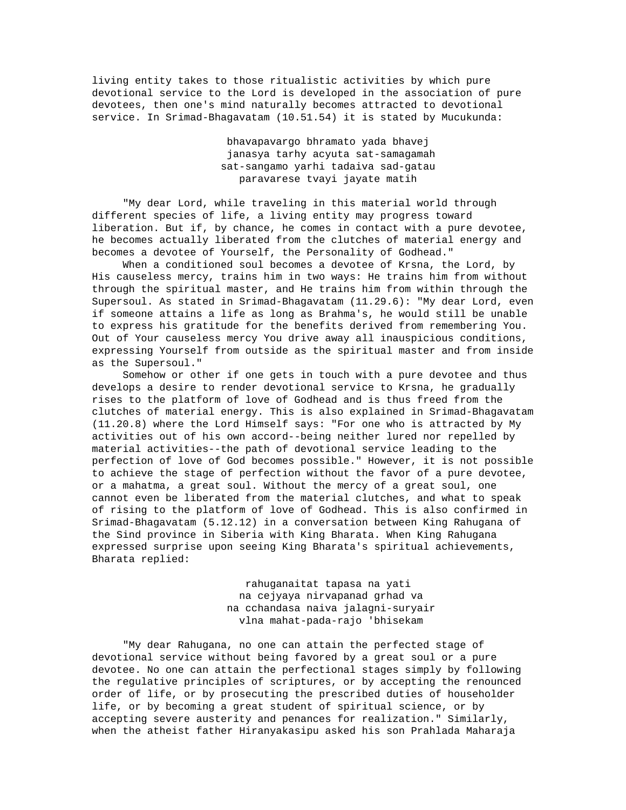living entity takes to those ritualistic activities by which pure devotional service to the Lord is developed in the association of pure devotees, then one's mind naturally becomes attracted to devotional service. In Srimad-Bhagavatam (10.51.54) it is stated by Mucukunda:

> bhavapavargo bhramato yada bhavej janasya tarhy acyuta sat-samagamah sat-sangamo yarhi tadaiva sad-gatau paravarese tvayi jayate matih

 "My dear Lord, while traveling in this material world through different species of life, a living entity may progress toward liberation. But if, by chance, he comes in contact with a pure devotee, he becomes actually liberated from the clutches of material energy and becomes a devotee of Yourself, the Personality of Godhead."

 When a conditioned soul becomes a devotee of Krsna, the Lord, by His causeless mercy, trains him in two ways: He trains him from without through the spiritual master, and He trains him from within through the Supersoul. As stated in Srimad-Bhagavatam (11.29.6): "My dear Lord, even if someone attains a life as long as Brahma's, he would still be unable to express his gratitude for the benefits derived from remembering You. Out of Your causeless mercy You drive away all inauspicious conditions, expressing Yourself from outside as the spiritual master and from inside as the Supersoul."

 Somehow or other if one gets in touch with a pure devotee and thus develops a desire to render devotional service to Krsna, he gradually rises to the platform of love of Godhead and is thus freed from the clutches of material energy. This is also explained in Srimad-Bhagavatam (11.20.8) where the Lord Himself says: "For one who is attracted by My activities out of his own accord--being neither lured nor repelled by material activities--the path of devotional service leading to the perfection of love of God becomes possible." However, it is not possible to achieve the stage of perfection without the favor of a pure devotee, or a mahatma, a great soul. Without the mercy of a great soul, one cannot even be liberated from the material clutches, and what to speak of rising to the platform of love of Godhead. This is also confirmed in Srimad-Bhagavatam (5.12.12) in a conversation between King Rahugana of the Sind province in Siberia with King Bharata. When King Rahugana expressed surprise upon seeing King Bharata's spiritual achievements, Bharata replied:

> rahuganaitat tapasa na yati na cejyaya nirvapanad grhad va na cchandasa naiva jalagni-suryair vlna mahat-pada-rajo 'bhisekam

 "My dear Rahugana, no one can attain the perfected stage of devotional service without being favored by a great soul or a pure devotee. No one can attain the perfectional stages simply by following the regulative principles of scriptures, or by accepting the renounced order of life, or by prosecuting the prescribed duties of householder life, or by becoming a great student of spiritual science, or by accepting severe austerity and penances for realization." Similarly, when the atheist father Hiranyakasipu asked his son Prahlada Maharaja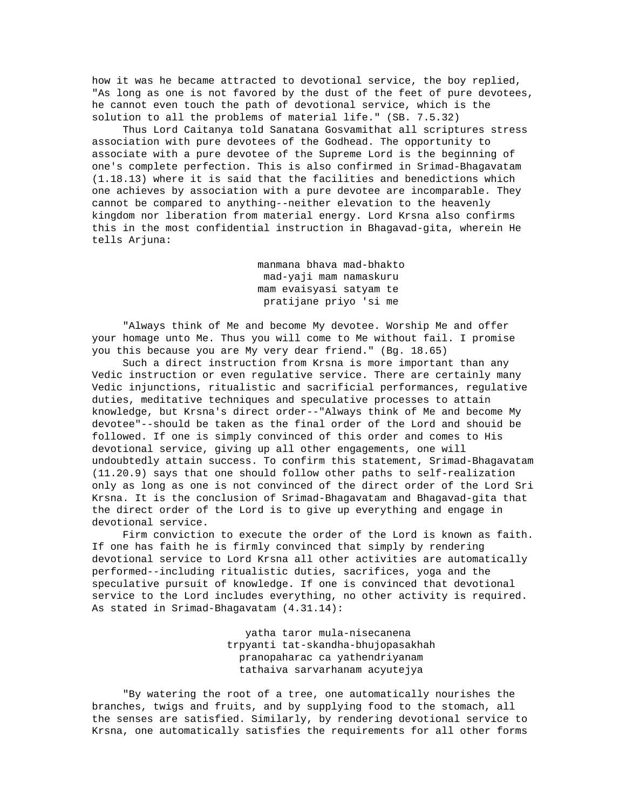how it was he became attracted to devotional service, the boy replied, "As long as one is not favored by the dust of the feet of pure devotees, he cannot even touch the path of devotional service, which is the solution to all the problems of material life." (SB. 7.5.32)

 Thus Lord Caitanya told Sanatana Gosvamithat all scriptures stress association with pure devotees of the Godhead. The opportunity to associate with a pure devotee of the Supreme Lord is the beginning of one's complete perfection. This is also confirmed in Srimad-Bhagavatam (1.18.13) where it is said that the facilities and benedictions which one achieves by association with a pure devotee are incomparable. They cannot be compared to anything--neither elevation to the heavenly kingdom nor liberation from material energy. Lord Krsna also confirms this in the most confidential instruction in Bhagavad-gita, wherein He tells Arjuna:

> manmana bhava mad-bhakto mad-yaji mam namaskuru mam evaisyasi satyam te pratijane priyo 'si me

 "Always think of Me and become My devotee. Worship Me and offer your homage unto Me. Thus you will come to Me without fail. I promise you this because you are My very dear friend." (Bg. 18.65)

 Such a direct instruction from Krsna is more important than any Vedic instruction or even regulative service. There are certainly many Vedic injunctions, ritualistic and sacrificial performances, regulative duties, meditative techniques and speculative processes to attain knowledge, but Krsna's direct order--"Always think of Me and become My devotee"--should be taken as the final order of the Lord and shouid be followed. If one is simply convinced of this order and comes to His devotional service, giving up all other engagements, one will undoubtedly attain success. To confirm this statement, Srimad-Bhagavatam (11.20.9) says that one should follow other paths to self-realization only as long as one is not convinced of the direct order of the Lord Sri Krsna. It is the conclusion of Srimad-Bhagavatam and Bhagavad-gita that the direct order of the Lord is to give up everything and engage in devotional service.

 Firm conviction to execute the order of the Lord is known as faith. If one has faith he is firmly convinced that simply by rendering devotional service to Lord Krsna all other activities are automatically performed--including ritualistic duties, sacrifices, yoga and the speculative pursuit of knowledge. If one is convinced that devotional service to the Lord includes everything, no other activity is required. As stated in Srimad-Bhagavatam (4.31.14):

> yatha taror mula-nisecanena trpyanti tat-skandha-bhujopasakhah pranopaharac ca yathendriyanam tathaiva sarvarhanam acyutejya

 "By watering the root of a tree, one automatically nourishes the branches, twigs and fruits, and by supplying food to the stomach, all the senses are satisfied. Similarly, by rendering devotional service to Krsna, one automatically satisfies the requirements for all other forms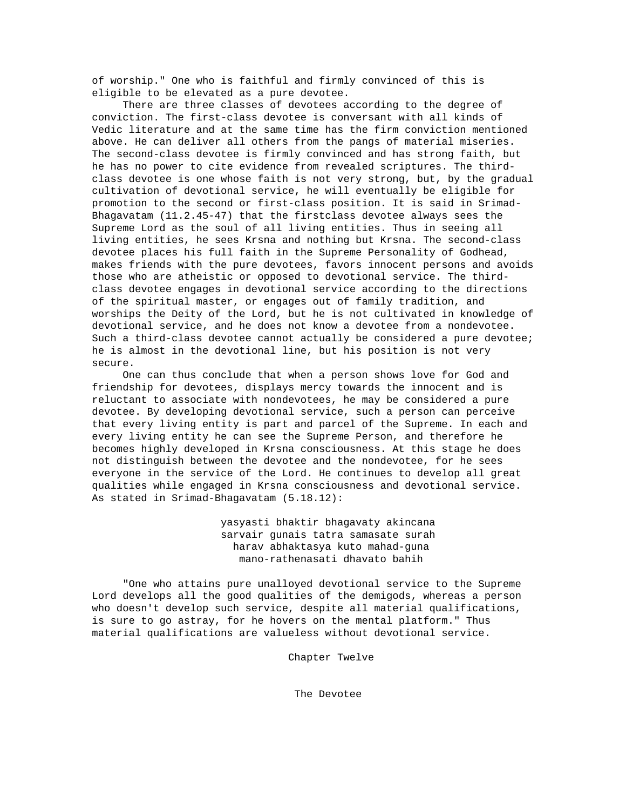of worship." One who is faithful and firmly convinced of this is eligible to be elevated as a pure devotee.

 There are three classes of devotees according to the degree of conviction. The first-class devotee is conversant with all kinds of Vedic literature and at the same time has the firm conviction mentioned above. He can deliver all others from the pangs of material miseries. The second-class devotee is firmly convinced and has strong faith, but he has no power to cite evidence from revealed scriptures. The thirdclass devotee is one whose faith is not very strong, but, by the gradual cultivation of devotional service, he will eventually be eligible for promotion to the second or first-class position. It is said in Srimad-Bhagavatam (11.2.45-47) that the firstclass devotee always sees the Supreme Lord as the soul of all living entities. Thus in seeing all living entities, he sees Krsna and nothing but Krsna. The second-class devotee places his full faith in the Supreme Personality of Godhead, makes friends with the pure devotees, favors innocent persons and avoids those who are atheistic or opposed to devotional service. The thirdclass devotee engages in devotional service according to the directions of the spiritual master, or engages out of family tradition, and worships the Deity of the Lord, but he is not cultivated in knowledge of devotional service, and he does not know a devotee from a nondevotee. Such a third-class devotee cannot actually be considered a pure devotee; he is almost in the devotional line, but his position is not very secure.

 One can thus conclude that when a person shows love for God and friendship for devotees, displays mercy towards the innocent and is reluctant to associate with nondevotees, he may be considered a pure devotee. By developing devotional service, such a person can perceive that every living entity is part and parcel of the Supreme. In each and every living entity he can see the Supreme Person, and therefore he becomes highly developed in Krsna consciousness. At this stage he does not distinguish between the devotee and the nondevotee, for he sees everyone in the service of the Lord. He continues to develop all great qualities while engaged in Krsna consciousness and devotional service. As stated in Srimad-Bhagavatam (5.18.12):

> yasyasti bhaktir bhagavaty akincana sarvair gunais tatra samasate surah harav abhaktasya kuto mahad-guna mano-rathenasati dhavato bahih

 "One who attains pure unalloyed devotional service to the Supreme Lord develops all the good qualities of the demigods, whereas a person who doesn't develop such service, despite all material qualifications, is sure to go astray, for he hovers on the mental platform." Thus material qualifications are valueless without devotional service.

Chapter Twelve

The Devotee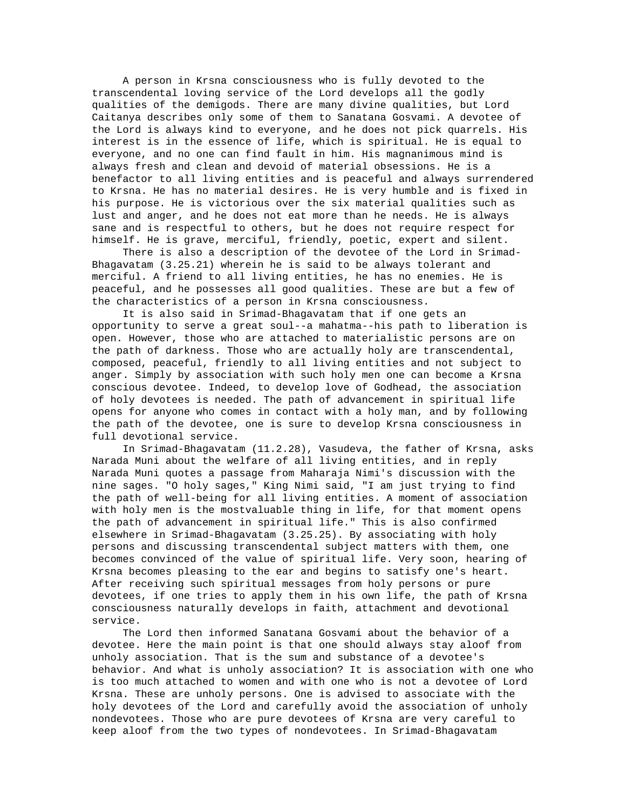A person in Krsna consciousness who is fully devoted to the transcendental loving service of the Lord develops all the godly qualities of the demigods. There are many divine qualities, but Lord Caitanya describes only some of them to Sanatana Gosvami. A devotee of the Lord is always kind to everyone, and he does not pick quarrels. His interest is in the essence of life, which is spiritual. He is equal to everyone, and no one can find fault in him. His magnanimous mind is always fresh and clean and devoid of material obsessions. He is a benefactor to all living entities and is peaceful and always surrendered to Krsna. He has no material desires. He is very humble and is fixed in his purpose. He is victorious over the six material qualities such as lust and anger, and he does not eat more than he needs. He is always sane and is respectful to others, but he does not require respect for himself. He is grave, merciful, friendly, poetic, expert and silent.

 There is also a description of the devotee of the Lord in Srimad-Bhagavatam (3.25.21) wherein he is said to be always tolerant and merciful. A friend to all living entities, he has no enemies. He is peaceful, and he possesses all good qualities. These are but a few of the characteristics of a person in Krsna consciousness.

 It is also said in Srimad-Bhagavatam that if one gets an opportunity to serve a great soul--a mahatma--his path to liberation is open. However, those who are attached to materialistic persons are on the path of darkness. Those who are actually holy are transcendental, composed, peaceful, friendly to all living entities and not subject to anger. Simply by association with such holy men one can become a Krsna conscious devotee. Indeed, to develop love of Godhead, the association of holy devotees is needed. The path of advancement in spiritual life opens for anyone who comes in contact with a holy man, and by following the path of the devotee, one is sure to develop Krsna consciousness in full devotional service.

 In Srimad-Bhagavatam (11.2.28), Vasudeva, the father of Krsna, asks Narada Muni about the welfare of all living entities, and in reply Narada Muni quotes a passage from Maharaja Nimi's discussion with the nine sages. "O holy sages," King Nimi said, "I am just trying to find the path of well-being for all living entities. A moment of association with holy men is the mostvaluable thing in life, for that moment opens the path of advancement in spiritual life." This is also confirmed elsewhere in Srimad-Bhagavatam (3.25.25). By associating with holy persons and discussing transcendental subject matters with them, one becomes convinced of the value of spiritual life. Very soon, hearing of Krsna becomes pleasing to the ear and begins to satisfy one's heart. After receiving such spiritual messages from holy persons or pure devotees, if one tries to apply them in his own life, the path of Krsna consciousness naturally develops in faith, attachment and devotional service.

 The Lord then informed Sanatana Gosvami about the behavior of a devotee. Here the main point is that one should always stay aloof from unholy association. That is the sum and substance of a devotee's behavior. And what is unholy association? It is association with one who is too much attached to women and with one who is not a devotee of Lord Krsna. These are unholy persons. One is advised to associate with the holy devotees of the Lord and carefully avoid the association of unholy nondevotees. Those who are pure devotees of Krsna are very careful to keep aloof from the two types of nondevotees. In Srimad-Bhagavatam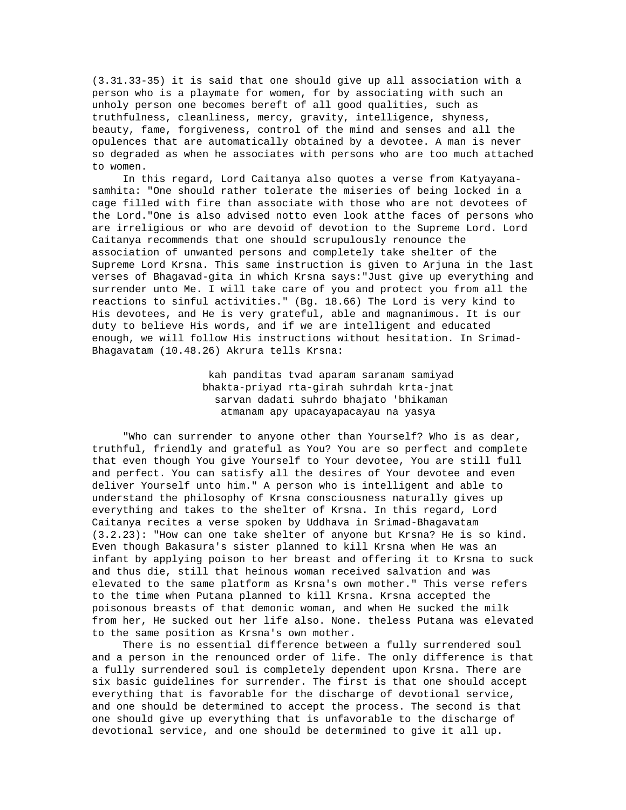(3.31.33-35) it is said that one should give up all association with a person who is a playmate for women, for by associating with such an unholy person one becomes bereft of all good qualities, such as truthfulness, cleanliness, mercy, gravity, intelligence, shyness, beauty, fame, forgiveness, control of the mind and senses and all the opulences that are automatically obtained by a devotee. A man is never so degraded as when he associates with persons who are too much attached to women.

 In this regard, Lord Caitanya also quotes a verse from Katyayanasamhita: "One should rather tolerate the miseries of being locked in a cage filled with fire than associate with those who are not devotees of the Lord."One is also advised notto even look atthe faces of persons who are irreligious or who are devoid of devotion to the Supreme Lord. Lord Caitanya recommends that one should scrupulously renounce the association of unwanted persons and completely take shelter of the Supreme Lord Krsna. This same instruction is given to Arjuna in the last verses of Bhagavad-gita in which Krsna says:"Just give up everything and surrender unto Me. I will take care of you and protect you from all the reactions to sinful activities." (Bg. 18.66) The Lord is very kind to His devotees, and He is very grateful, able and magnanimous. It is our duty to believe His words, and if we are intelligent and educated enough, we will follow His instructions without hesitation. In Srimad-Bhagavatam (10.48.26) Akrura tells Krsna:

> kah panditas tvad aparam saranam samiyad bhakta-priyad rta-girah suhrdah krta-jnat sarvan dadati suhrdo bhajato 'bhikaman atmanam apy upacayapacayau na yasya

 "Who can surrender to anyone other than Yourself? Who is as dear, truthful, friendly and grateful as You? You are so perfect and complete that even though You give Yourself to Your devotee, You are still full and perfect. You can satisfy all the desires of Your devotee and even deliver Yourself unto him." A person who is intelligent and able to understand the philosophy of Krsna consciousness naturally gives up everything and takes to the shelter of Krsna. In this regard, Lord Caitanya recites a verse spoken by Uddhava in Srimad-Bhagavatam (3.2.23): "How can one take shelter of anyone but Krsna? He is so kind. Even though Bakasura's sister planned to kill Krsna when He was an infant by applying poison to her breast and offering it to Krsna to suck and thus die, still that heinous woman received salvation and was elevated to the same platform as Krsna's own mother." This verse refers to the time when Putana planned to kill Krsna. Krsna accepted the poisonous breasts of that demonic woman, and when He sucked the milk from her, He sucked out her life also. None. theless Putana was elevated to the same position as Krsna's own mother.

 There is no essential difference between a fully surrendered soul and a person in the renounced order of life. The only difference is that a fully surrendered soul is completely dependent upon Krsna. There are six basic guidelines for surrender. The first is that one should accept everything that is favorable for the discharge of devotional service, and one should be determined to accept the process. The second is that one should give up everything that is unfavorable to the discharge of devotional service, and one should be determined to give it all up.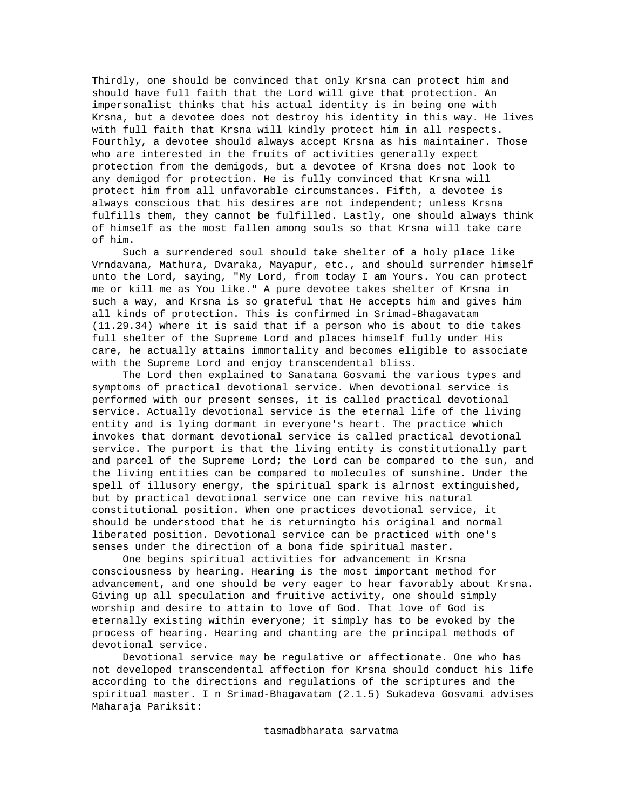Thirdly, one should be convinced that only Krsna can protect him and should have full faith that the Lord will give that protection. An impersonalist thinks that his actual identity is in being one with Krsna, but a devotee does not destroy his identity in this way. He lives with full faith that Krsna will kindly protect him in all respects. Fourthly, a devotee should always accept Krsna as his maintainer. Those who are interested in the fruits of activities generally expect protection from the demigods, but a devotee of Krsna does not look to any demigod for protection. He is fully convinced that Krsna will protect him from all unfavorable circumstances. Fifth, a devotee is always conscious that his desires are not independent; unless Krsna fulfills them, they cannot be fulfilled. Lastly, one should always think of himself as the most fallen among souls so that Krsna will take care of him.

 Such a surrendered soul should take shelter of a holy place like Vrndavana, Mathura, Dvaraka, Mayapur, etc., and should surrender himself unto the Lord, saying, "My Lord, from today I am Yours. You can protect me or kill me as You like." A pure devotee takes shelter of Krsna in such a way, and Krsna is so grateful that He accepts him and gives him all kinds of protection. This is confirmed in Srimad-Bhagavatam (11.29.34) where it is said that if a person who is about to die takes full shelter of the Supreme Lord and places himself fully under His care, he actually attains immortality and becomes eligible to associate with the Supreme Lord and enjoy transcendental bliss.

 The Lord then explained to Sanatana Gosvami the various types and symptoms of practical devotional service. When devotional service is performed with our present senses, it is called practical devotional service. Actually devotional service is the eternal life of the living entity and is lying dormant in everyone's heart. The practice which invokes that dormant devotional service is called practical devotional service. The purport is that the living entity is constitutionally part and parcel of the Supreme Lord; the Lord can be compared to the sun, and the living entities can be compared to molecules of sunshine. Under the spell of illusory energy, the spiritual spark is alrnost extinguished, but by practical devotional service one can revive his natural constitutional position. When one practices devotional service, it should be understood that he is returningto his original and normal liberated position. Devotional service can be practiced with one's senses under the direction of a bona fide spiritual master.

 One begins spiritual activities for advancement in Krsna consciousness by hearing. Hearing is the most important method for advancement, and one should be very eager to hear favorably about Krsna. Giving up all speculation and fruitive activity, one should simply worship and desire to attain to love of God. That love of God is eternally existing within everyone; it simply has to be evoked by the process of hearing. Hearing and chanting are the principal methods of devotional service.

 Devotional service may be regulative or affectionate. One who has not developed transcendental affection for Krsna should conduct his life according to the directions and regulations of the scriptures and the spiritual master. I n Srimad-Bhagavatam (2.1.5) Sukadeva Gosvami advises Maharaja Pariksit: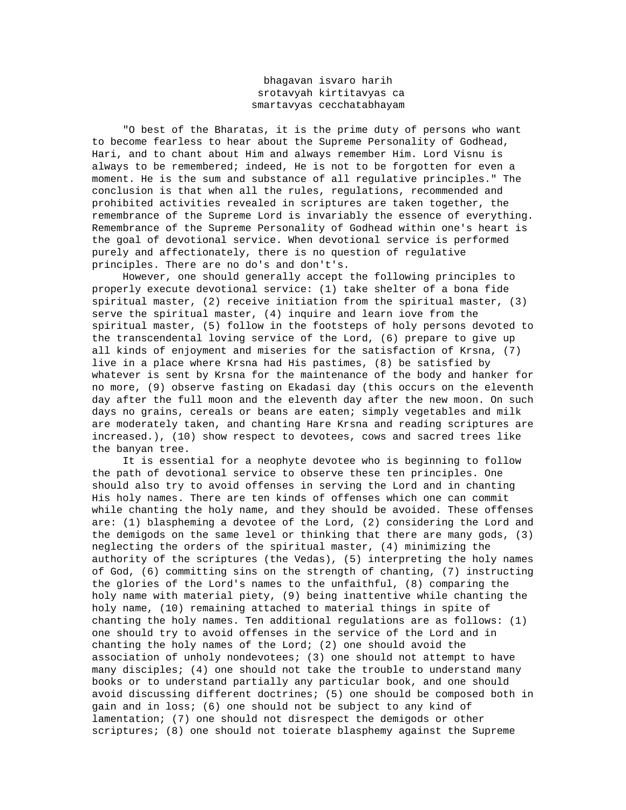bhagavan isvaro harih srotavyah kirtitavyas ca smartavyas cecchatabhayam

 "O best of the Bharatas, it is the prime duty of persons who want to become fearless to hear about the Supreme Personality of Godhead, Hari, and to chant about Him and always remember Him. Lord Visnu is always to be remembered; indeed, He is not to be forgotten for even a moment. He is the sum and substance of all regulative principles." The conclusion is that when all the rules, regulations, recommended and prohibited activities revealed in scriptures are taken together, the remembrance of the Supreme Lord is invariably the essence of everything. Remembrance of the Supreme Personality of Godhead within one's heart is the goal of devotional service. When devotional service is performed purely and affectionately, there is no question of regulative principles. There are no do's and don't's.

 However, one should generally accept the following principles to properly execute devotional service: (1) take shelter of a bona fide spiritual master, (2) receive initiation from the spiritual master, (3) serve the spiritual master, (4) inquire and learn iove from the spiritual master, (5) follow in the footsteps of holy persons devoted to the transcendental loving service of the Lord, (6) prepare to give up all kinds of enjoyment and miseries for the satisfaction of Krsna, (7) live in a place where Krsna had His pastimes, (8) be satisfied by whatever is sent by Krsna for the maintenance of the body and hanker for no more, (9) observe fasting on Ekadasi day (this occurs on the eleventh day after the full moon and the eleventh day after the new moon. On such days no grains, cereals or beans are eaten; simply vegetables and milk are moderately taken, and chanting Hare Krsna and reading scriptures are increased.), (10) show respect to devotees, cows and sacred trees like the banyan tree.

 It is essential for a neophyte devotee who is beginning to follow the path of devotional service to observe these ten principles. One should also try to avoid offenses in serving the Lord and in chanting His holy names. There are ten kinds of offenses which one can commit while chanting the holy name, and they should be avoided. These offenses are: (1) blaspheming a devotee of the Lord, (2) considering the Lord and the demigods on the same level or thinking that there are many gods, (3) neglecting the orders of the spiritual master, (4) minimizing the authority of the scriptures (the Vedas), (5) interpreting the holy names of God, (6) committing sins on the strength of chanting, (7) instructing the glories of the Lord's names to the unfaithful, (8) comparing the holy name with material piety, (9) being inattentive while chanting the holy name, (10) remaining attached to material things in spite of chanting the holy names. Ten additional regulations are as follows: (1) one should try to avoid offenses in the service of the Lord and in chanting the holy names of the Lord; (2) one should avoid the association of unholy nondevotees; (3) one should not attempt to have many disciples; (4) one should not take the trouble to understand many books or to understand partially any particular book, and one should avoid discussing different doctrines; (5) one should be composed both in gain and in loss; (6) one should not be subject to any kind of lamentation; (7) one should not disrespect the demigods or other scriptures; (8) one should not toierate blasphemy against the Supreme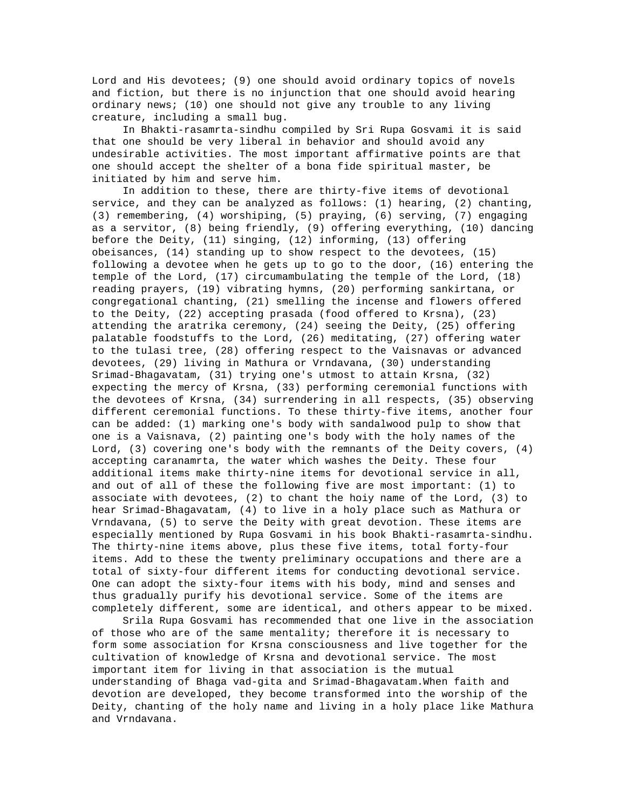Lord and His devotees; (9) one should avoid ordinary topics of novels and fiction, but there is no injunction that one should avoid hearing ordinary news; (10) one should not give any trouble to any living creature, including a small bug.

 In Bhakti-rasamrta-sindhu compiled by Sri Rupa Gosvami it is said that one should be very liberal in behavior and should avoid any undesirable activities. The most important affirmative points are that one should accept the shelter of a bona fide spiritual master, be initiated by him and serve him.

 In addition to these, there are thirty-five items of devotional service, and they can be analyzed as follows: (1) hearing, (2) chanting, (3) remembering, (4) worshiping, (5) praying, (6) serving, (7) engaging as a servitor, (8) being friendly, (9) offering everything, (10) dancing before the Deity, (11) singing, (12) informing, (13) offering obeisances, (14) standing up to show respect to the devotees, (15) following a devotee when he gets up to go to the door, (16) entering the temple of the Lord, (17) circumambulating the temple of the Lord, (18) reading prayers, (19) vibrating hymns, (20) performing sankirtana, or congregational chanting, (21) smelling the incense and flowers offered to the Deity, (22) accepting prasada (food offered to Krsna), (23) attending the aratrika ceremony, (24) seeing the Deity, (25) offering palatable foodstuffs to the Lord, (26) meditating, (27) offering water to the tulasi tree, (28) offering respect to the Vaisnavas or advanced devotees, (29) living in Mathura or Vrndavana, (30) understanding Srimad-Bhagavatam, (31) trying one's utmost to attain Krsna, (32) expecting the mercy of Krsna, (33) performing ceremonial functions with the devotees of Krsna, (34) surrendering in all respects, (35) observing different ceremonial functions. To these thirty-five items, another four can be added: (1) marking one's body with sandalwood pulp to show that one is a Vaisnava, (2) painting one's body with the holy names of the Lord, (3) covering one's body with the remnants of the Deity covers, (4) accepting caranamrta, the water which washes the Deity. These four additional items make thirty-nine items for devotional service in all, and out of all of these the following five are most important: (1) to associate with devotees, (2) to chant the hoiy name of the Lord, (3) to hear Srimad-Bhagavatam, (4) to live in a holy place such as Mathura or Vrndavana, (5) to serve the Deity with great devotion. These items are especially mentioned by Rupa Gosvami in his book Bhakti-rasamrta-sindhu. The thirty-nine items above, plus these five items, total forty-four items. Add to these the twenty preliminary occupations and there are a total of sixty-four different items for conducting devotional service. One can adopt the sixty-four items with his body, mind and senses and thus gradually purify his devotional service. Some of the items are completely different, some are identical, and others appear to be mixed.

 Srila Rupa Gosvami has recommended that one live in the association of those who are of the same mentality; therefore it is necessary to form some association for Krsna consciousness and live together for the cultivation of knowledge of Krsna and devotional service. The most important item for living in that association is the mutual understanding of Bhaga vad-gita and Srimad-Bhagavatam.When faith and devotion are developed, they become transformed into the worship of the Deity, chanting of the holy name and living in a holy place like Mathura and Vrndavana.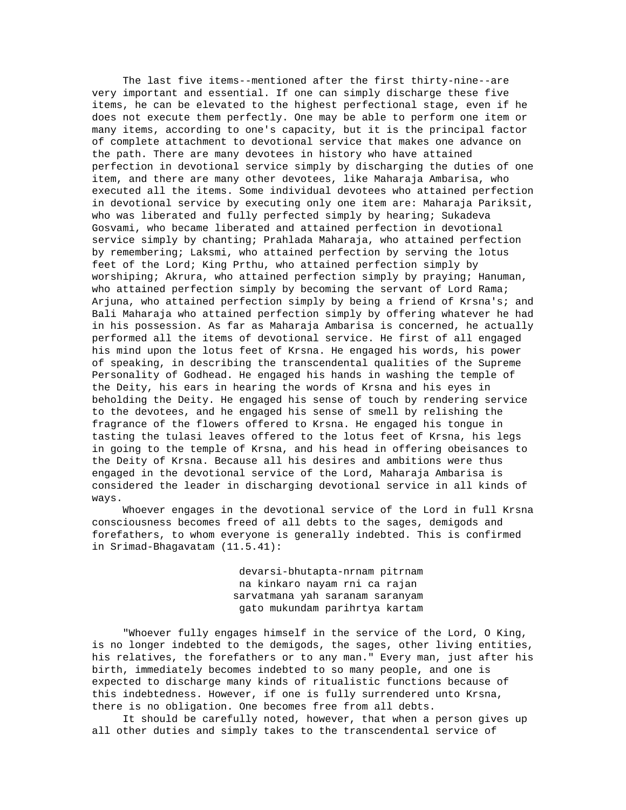The last five items--mentioned after the first thirty-nine--are very important and essential. If one can simply discharge these five items, he can be elevated to the highest perfectional stage, even if he does not execute them perfectly. One may be able to perform one item or many items, according to one's capacity, but it is the principal factor of complete attachment to devotional service that makes one advance on the path. There are many devotees in history who have attained perfection in devotional service simply by discharging the duties of one item, and there are many other devotees, like Maharaja Ambarisa, who executed all the items. Some individual devotees who attained perfection in devotional service by executing only one item are: Maharaja Pariksit, who was liberated and fully perfected simply by hearing; Sukadeva Gosvami, who became liberated and attained perfection in devotional service simply by chanting; Prahlada Maharaja, who attained perfection by remembering; Laksmi, who attained perfection by serving the lotus feet of the Lord; King Prthu, who attained perfection simply by worshiping; Akrura, who attained perfection simply by praying; Hanuman, who attained perfection simply by becoming the servant of Lord Rama; Arjuna, who attained perfection simply by being a friend of Krsna's; and Bali Maharaja who attained perfection simply by offering whatever he had in his possession. As far as Maharaja Ambarisa is concerned, he actually performed all the items of devotional service. He first of all engaged his mind upon the lotus feet of Krsna. He engaged his words, his power of speaking, in describing the transcendental qualities of the Supreme Personality of Godhead. He engaged his hands in washing the temple of the Deity, his ears in hearing the words of Krsna and his eyes in beholding the Deity. He engaged his sense of touch by rendering service to the devotees, and he engaged his sense of smell by relishing the fragrance of the flowers offered to Krsna. He engaged his tongue in tasting the tulasi leaves offered to the lotus feet of Krsna, his legs in going to the temple of Krsna, and his head in offering obeisances to the Deity of Krsna. Because all his desires and ambitions were thus engaged in the devotional service of the Lord, Maharaja Ambarisa is considered the leader in discharging devotional service in all kinds of ways.

 Whoever engages in the devotional service of the Lord in full Krsna consciousness becomes freed of all debts to the sages, demigods and forefathers, to whom everyone is generally indebted. This is confirmed in Srimad-Bhagavatam (11.5.41):

> devarsi-bhutapta-nrnam pitrnam na kinkaro nayam rni ca rajan sarvatmana yah saranam saranyam gato mukundam parihrtya kartam

 "Whoever fully engages himself in the service of the Lord, O King, is no longer indebted to the demigods, the sages, other living entities, his relatives, the forefathers or to any man." Every man, just after his birth, immediately becomes indebted to so many people, and one is expected to discharge many kinds of ritualistic functions because of this indebtedness. However, if one is fully surrendered unto Krsna, there is no obligation. One becomes free from all debts.

 It should be carefully noted, however, that when a person gives up all other duties and simply takes to the transcendental service of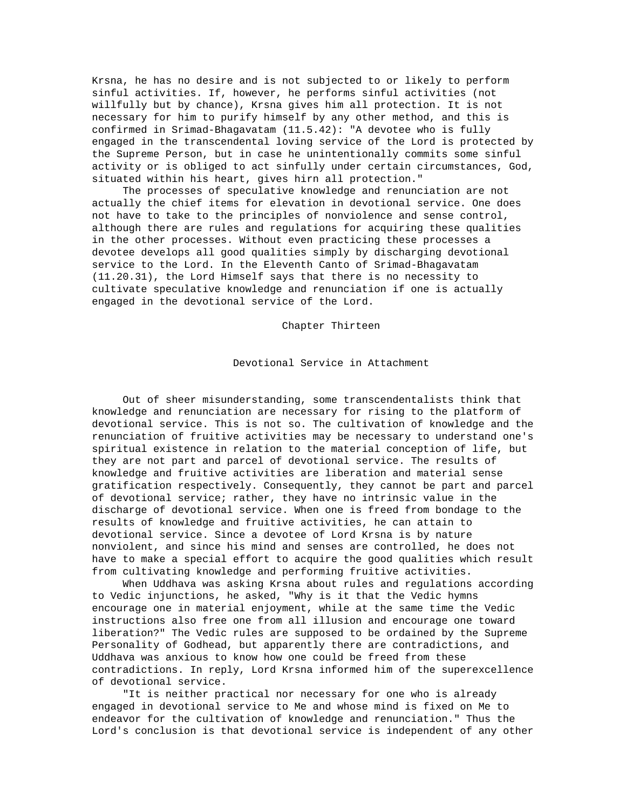Krsna, he has no desire and is not subjected to or likely to perform sinful activities. If, however, he performs sinful activities (not willfully but by chance), Krsna gives him all protection. It is not necessary for him to purify himself by any other method, and this is confirmed in Srimad-Bhagavatam (11.5.42): "A devotee who is fully engaged in the transcendental loving service of the Lord is protected by the Supreme Person, but in case he unintentionally commits some sinful activity or is obliged to act sinfully under certain circumstances, God, situated within his heart, gives hirn all protection."

 The processes of speculative knowledge and renunciation are not actually the chief items for elevation in devotional service. One does not have to take to the principles of nonviolence and sense control, although there are rules and regulations for acquiring these qualities in the other processes. Without even practicing these processes a devotee develops all good qualities simply by discharging devotional service to the Lord. In the Eleventh Canto of Srimad-Bhagavatam (11.20.31), the Lord Himself says that there is no necessity to cultivate speculative knowledge and renunciation if one is actually engaged in the devotional service of the Lord.

Chapter Thirteen

Devotional Service in Attachment

 Out of sheer misunderstanding, some transcendentalists think that knowledge and renunciation are necessary for rising to the platform of devotional service. This is not so. The cultivation of knowledge and the renunciation of fruitive activities may be necessary to understand one's spiritual existence in relation to the material conception of life, but they are not part and parcel of devotional service. The results of knowledge and fruitive activities are liberation and material sense gratification respectively. Consequently, they cannot be part and parcel of devotional service; rather, they have no intrinsic value in the discharge of devotional service. When one is freed from bondage to the results of knowledge and fruitive activities, he can attain to devotional service. Since a devotee of Lord Krsna is by nature nonviolent, and since his mind and senses are controlled, he does not have to make a special effort to acquire the good qualities which result from cultivating knowledge and performing fruitive activities.

 When Uddhava was asking Krsna about rules and regulations according to Vedic injunctions, he asked, "Why is it that the Vedic hymns encourage one in material enjoyment, while at the same time the Vedic instructions also free one from all illusion and encourage one toward liberation?" The Vedic rules are supposed to be ordained by the Supreme Personality of Godhead, but apparently there are contradictions, and Uddhava was anxious to know how one could be freed from these contradictions. In reply, Lord Krsna informed him of the superexcellence of devotional service.

 "It is neither practical nor necessary for one who is already engaged in devotional service to Me and whose mind is fixed on Me to endeavor for the cultivation of knowledge and renunciation." Thus the Lord's conclusion is that devotional service is independent of any other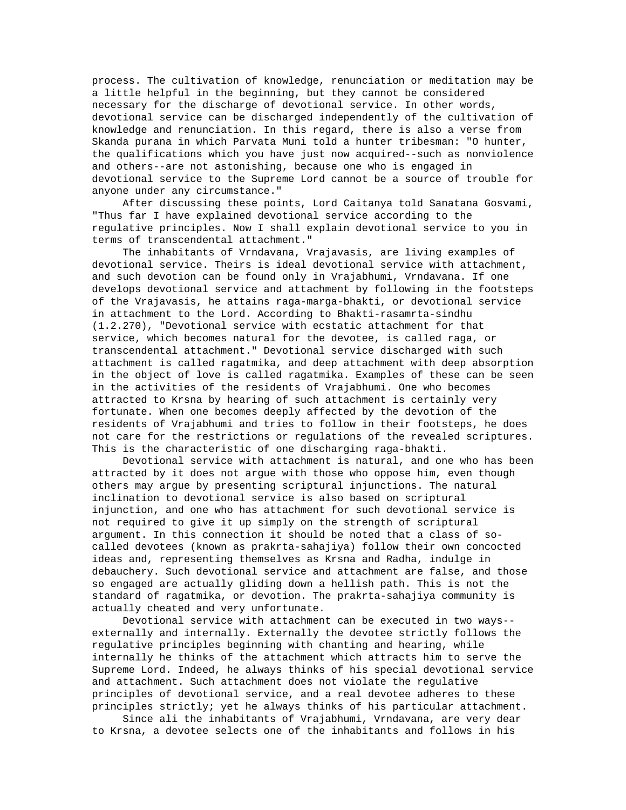process. The cultivation of knowledge, renunciation or meditation may be a little helpful in the beginning, but they cannot be considered necessary for the discharge of devotional service. In other words, devotional service can be discharged independently of the cultivation of knowledge and renunciation. In this regard, there is also a verse from Skanda purana in which Parvata Muni told a hunter tribesman: "O hunter, the qualifications which you have just now acquired--such as nonviolence and others--are not astonishing, because one who is engaged in devotional service to the Supreme Lord cannot be a source of trouble for anyone under any circumstance."

 After discussing these points, Lord Caitanya told Sanatana Gosvami, "Thus far I have explained devotional service according to the regulative principles. Now I shall explain devotional service to you in terms of transcendental attachment."

 The inhabitants of Vrndavana, Vrajavasis, are living examples of devotional service. Theirs is ideal devotional service with attachment, and such devotion can be found only in Vrajabhumi, Vrndavana. If one develops devotional service and attachment by following in the footsteps of the Vrajavasis, he attains raga-marga-bhakti, or devotional service in attachment to the Lord. According to Bhakti-rasamrta-sindhu (1.2.270), "Devotional service with ecstatic attachment for that service, which becomes natural for the devotee, is called raga, or transcendental attachment." Devotional service discharged with such attachment is called ragatmika, and deep attachment with deep absorption in the object of love is called ragatmika. Examples of these can be seen in the activities of the residents of Vrajabhumi. One who becomes attracted to Krsna by hearing of such attachment is certainly very fortunate. When one becomes deeply affected by the devotion of the residents of Vrajabhumi and tries to follow in their footsteps, he does not care for the restrictions or regulations of the revealed scriptures. This is the characteristic of one discharging raga-bhakti.

 Devotional service with attachment is natural, and one who has been attracted by it does not argue with those who oppose him, even though others may argue by presenting scriptural injunctions. The natural inclination to devotional service is also based on scriptural injunction, and one who has attachment for such devotional service is not required to give it up simply on the strength of scriptural argument. In this connection it should be noted that a class of socalled devotees (known as prakrta-sahajiya) follow their own concocted ideas and, representing themselves as Krsna and Radha, indulge in debauchery. Such devotional service and attachment are false, and those so engaged are actually gliding down a hellish path. This is not the standard of ragatmika, or devotion. The prakrta-sahajiya community is actually cheated and very unfortunate.

 Devotional service with attachment can be executed in two ways- externally and internally. Externally the devotee strictly follows the regulative principles beginning with chanting and hearing, while internally he thinks of the attachment which attracts him to serve the Supreme Lord. Indeed, he always thinks of his special devotional service and attachment. Such attachment does not violate the regulative principles of devotional service, and a real devotee adheres to these principles strictly; yet he always thinks of his particular attachment.

 Since ali the inhabitants of Vrajabhumi, Vrndavana, are very dear to Krsna, a devotee selects one of the inhabitants and follows in his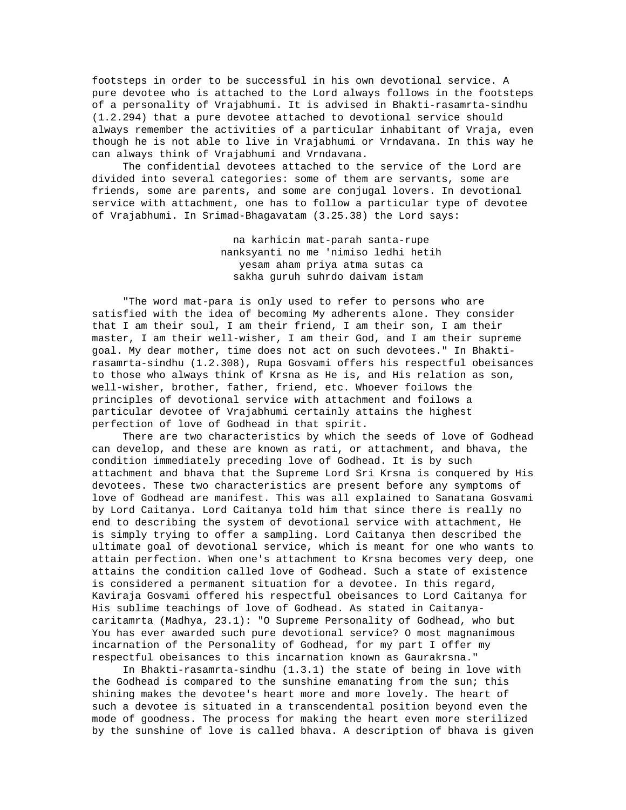footsteps in order to be successful in his own devotional service. A pure devotee who is attached to the Lord always follows in the footsteps of a personality of Vrajabhumi. It is advised in Bhakti-rasamrta-sindhu (1.2.294) that a pure devotee attached to devotional service should always remember the activities of a particular inhabitant of Vraja, even though he is not able to live in Vrajabhumi or Vrndavana. In this way he can always think of Vrajabhumi and Vrndavana.

 The confidential devotees attached to the service of the Lord are divided into several categories: some of them are servants, some are friends, some are parents, and some are conjugal lovers. In devotional service with attachment, one has to follow a particular type of devotee of Vrajabhumi. In Srimad-Bhagavatam (3.25.38) the Lord says:

> na karhicin mat-parah santa-rupe nanksyanti no me 'nimiso ledhi hetih yesam aham priya atma sutas ca sakha guruh suhrdo daivam istam

 "The word mat-para is only used to refer to persons who are satisfied with the idea of becoming My adherents alone. They consider that I am their soul, I am their friend, I am their son, I am their master, I am their well-wisher, I am their God, and I am their supreme goal. My dear mother, time does not act on such devotees." In Bhaktirasamrta-sindhu (1.2.308), Rupa Gosvami offers his respectful obeisances to those who always think of Krsna as He is, and His relation as son, well-wisher, brother, father, friend, etc. Whoever foilows the principles of devotional service with attachment and foilows a particular devotee of Vrajabhumi certainly attains the highest perfection of love of Godhead in that spirit.

 There are two characteristics by which the seeds of love of Godhead can develop, and these are known as rati, or attachment, and bhava, the condition immediately preceding love of Godhead. It is by such attachment and bhava that the Supreme Lord Sri Krsna is conquered by His devotees. These two characteristics are present before any symptoms of love of Godhead are manifest. This was all explained to Sanatana Gosvami by Lord Caitanya. Lord Caitanya told him that since there is really no end to describing the system of devotional service with attachment, He is simply trying to offer a sampling. Lord Caitanya then described the ultimate goal of devotional service, which is meant for one who wants to attain perfection. When one's attachment to Krsna becomes very deep, one attains the condition called love of Godhead. Such a state of existence is considered a permanent situation for a devotee. In this regard, Kaviraja Gosvami offered his respectful obeisances to Lord Caitanya for His sublime teachings of love of Godhead. As stated in Caitanyacaritamrta (Madhya, 23.1): "O Supreme Personality of Godhead, who but You has ever awarded such pure devotional service? O most magnanimous incarnation of the Personality of Godhead, for my part I offer my respectful obeisances to this incarnation known as Gaurakrsna."

 In Bhakti-rasamrta-sindhu (1.3.1) the state of being in love with the Godhead is compared to the sunshine emanating from the sun; this shining makes the devotee's heart more and more lovely. The heart of such a devotee is situated in a transcendental position beyond even the mode of goodness. The process for making the heart even more sterilized by the sunshine of love is called bhava. A description of bhava is given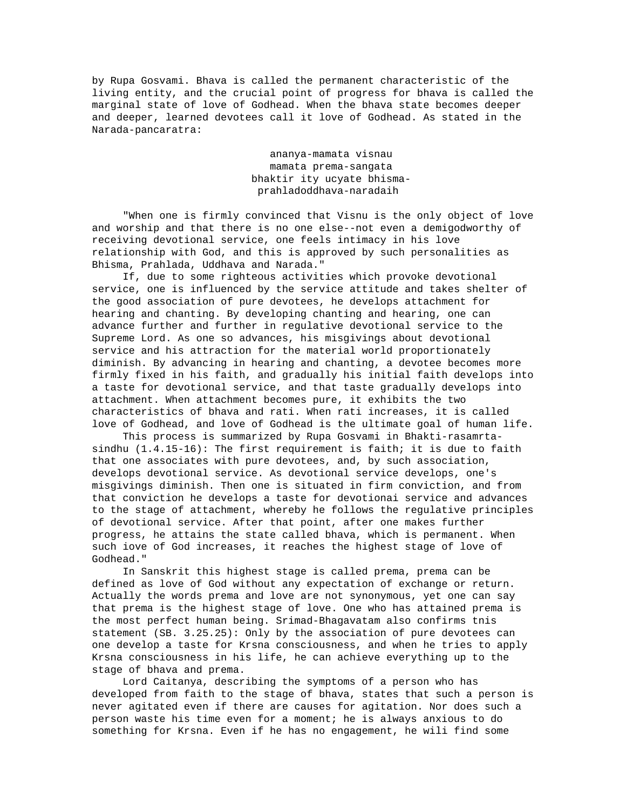by Rupa Gosvami. Bhava is called the permanent characteristic of the living entity, and the crucial point of progress for bhava is called the marginal state of love of Godhead. When the bhava state becomes deeper and deeper, learned devotees call it love of Godhead. As stated in the Narada-pancaratra:

> ananya-mamata visnau mamata prema-sangata bhaktir ity ucyate bhisma prahladoddhava-naradaih

 "When one is firmly convinced that Visnu is the only object of love and worship and that there is no one else--not even a demigodworthy of receiving devotional service, one feels intimacy in his love relationship with God, and this is approved by such personalities as Bhisma, Prahlada, Uddhava and Narada."

 If, due to some righteous activities which provoke devotional service, one is influenced by the service attitude and takes shelter of the good association of pure devotees, he develops attachment for hearing and chanting. By developing chanting and hearing, one can advance further and further in regulative devotional service to the Supreme Lord. As one so advances, his misgivings about devotional service and his attraction for the material world proportionately diminish. By advancing in hearing and chanting, a devotee becomes more firmly fixed in his faith, and gradually his initial faith develops into a taste for devotional service, and that taste gradually develops into attachment. When attachment becomes pure, it exhibits the two characteristics of bhava and rati. When rati increases, it is called love of Godhead, and love of Godhead is the ultimate goal of human life.

 This process is summarized by Rupa Gosvami in Bhakti-rasamrtasindhu (1.4.15-16): The first requirement is faith; it is due to faith that one associates with pure devotees, and, by such association, develops devotional service. As devotional service develops, one's misgivings diminish. Then one is situated in firm conviction, and from that conviction he develops a taste for devotionai service and advances to the stage of attachment, whereby he follows the regulative principles of devotional service. After that point, after one makes further progress, he attains the state called bhava, which is permanent. When such iove of God increases, it reaches the highest stage of love of Godhead."

 In Sanskrit this highest stage is called prema, prema can be defined as love of God without any expectation of exchange or return. Actually the words prema and love are not synonymous, yet one can say that prema is the highest stage of love. One who has attained prema is the most perfect human being. Srimad-Bhagavatam also confirms tnis statement (SB. 3.25.25): Only by the association of pure devotees can one develop a taste for Krsna consciousness, and when he tries to apply Krsna consciousness in his life, he can achieve everything up to the stage of bhava and prema.

 Lord Caitanya, describing the symptoms of a person who has developed from faith to the stage of bhava, states that such a person is never agitated even if there are causes for agitation. Nor does such a person waste his time even for a moment; he is always anxious to do something for Krsna. Even if he has no engagement, he wili find some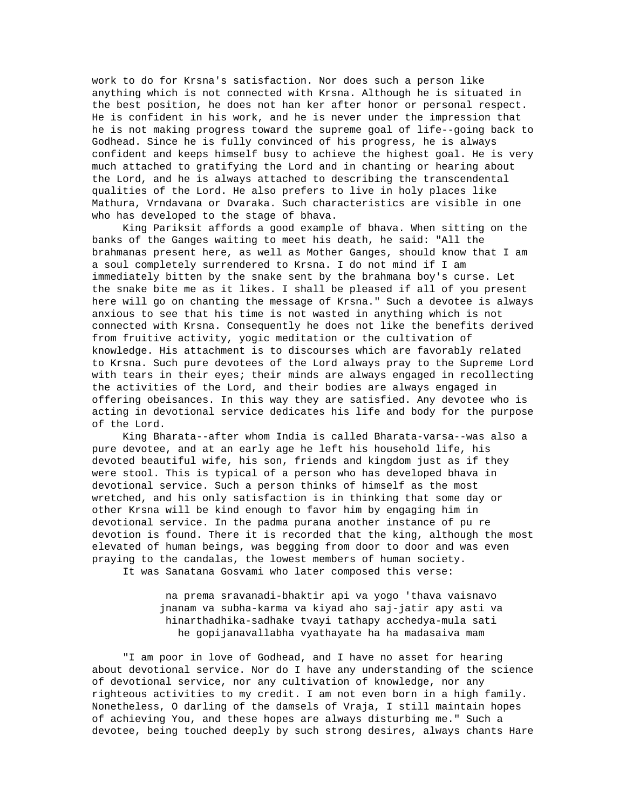work to do for Krsna's satisfaction. Nor does such a person like anything which is not connected with Krsna. Although he is situated in the best position, he does not han ker after honor or personal respect. He is confident in his work, and he is never under the impression that he is not making progress toward the supreme goal of life--going back to Godhead. Since he is fully convinced of his progress, he is always confident and keeps himself busy to achieve the highest goal. He is very much attached to gratifying the Lord and in chanting or hearing about the Lord, and he is always attached to describing the transcendental qualities of the Lord. He also prefers to live in holy places like Mathura, Vrndavana or Dvaraka. Such characteristics are visible in one who has developed to the stage of bhava.

 King Pariksit affords a good example of bhava. When sitting on the banks of the Ganges waiting to meet his death, he said: "All the brahmanas present here, as well as Mother Ganges, should know that I am a soul completely surrendered to Krsna. I do not mind if I am immediately bitten by the snake sent by the brahmana boy's curse. Let the snake bite me as it likes. I shall be pleased if all of you present here will go on chanting the message of Krsna." Such a devotee is always anxious to see that his time is not wasted in anything which is not connected with Krsna. Consequently he does not like the benefits derived from fruitive activity, yogic meditation or the cultivation of knowledge. His attachment is to discourses which are favorably related to Krsna. Such pure devotees of the Lord always pray to the Supreme Lord with tears in their eyes; their minds are always engaged in recollecting the activities of the Lord, and their bodies are always engaged in offering obeisances. In this way they are satisfied. Any devotee who is acting in devotional service dedicates his life and body for the purpose of the Lord.

 King Bharata--after whom India is called Bharata-varsa--was also a pure devotee, and at an early age he left his household life, his devoted beautiful wife, his son, friends and kingdom just as if they were stool. This is typical of a person who has developed bhava in devotional service. Such a person thinks of himself as the most wretched, and his only satisfaction is in thinking that some day or other Krsna will be kind enough to favor him by engaging him in devotional service. In the padma purana another instance of pu re devotion is found. There it is recorded that the king, although the most elevated of human beings, was begging from door to door and was even praying to the candalas, the lowest members of human society. It was Sanatana Gosvami who later composed this verse:

> na prema sravanadi-bhaktir api va yogo 'thava vaisnavo jnanam va subha-karma va kiyad aho saj-jatir apy asti va hinarthadhika-sadhake tvayi tathapy acchedya-mula sati

he gopijanavallabha vyathayate ha ha madasaiva mam

 "I am poor in love of Godhead, and I have no asset for hearing about devotional service. Nor do I have any understanding of the science of devotional service, nor any cultivation of knowledge, nor any righteous activities to my credit. I am not even born in a high family. Nonetheless, O darling of the damsels of Vraja, I still maintain hopes of achieving You, and these hopes are always disturbing me." Such a devotee, being touched deeply by such strong desires, always chants Hare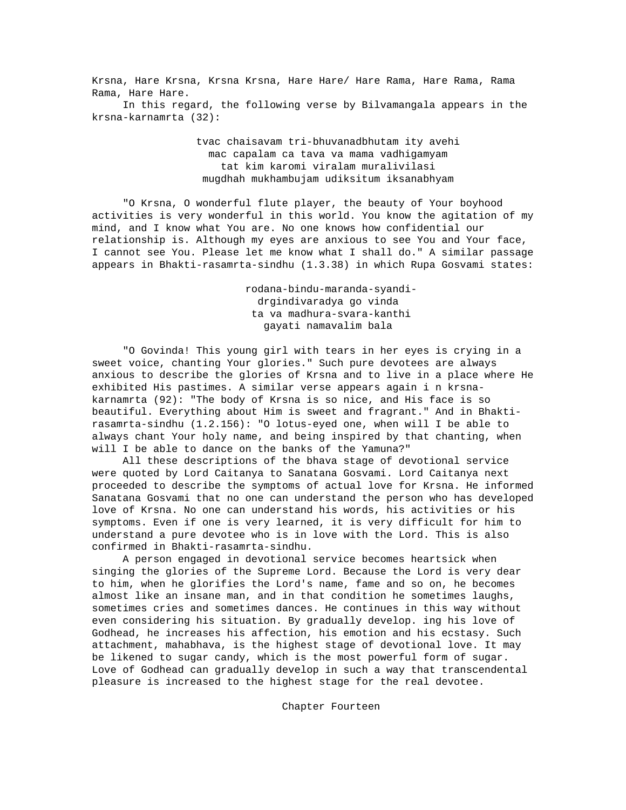Krsna, Hare Krsna, Krsna Krsna, Hare Hare/ Hare Rama, Hare Rama, Rama Rama, Hare Hare.

 In this regard, the following verse by Bilvamangala appears in the krsna-karnamrta (32):

> tvac chaisavam tri-bhuvanadbhutam ity avehi mac capalam ca tava va mama vadhigamyam tat kim karomi viralam muralivilasi mugdhah mukhambujam udiksitum iksanabhyam

 "O Krsna, O wonderful flute player, the beauty of Your boyhood activities is very wonderful in this world. You know the agitation of my mind, and I know what You are. No one knows how confidential our relationship is. Although my eyes are anxious to see You and Your face, I cannot see You. Please let me know what I shall do." A similar passage appears in Bhakti-rasamrta-sindhu (1.3.38) in which Rupa Gosvami states:

> rodana-bindu-maranda-syandi drgindivaradya go vinda ta va madhura-svara-kanthi gayati namavalim bala

 "O Govinda! This young girl with tears in her eyes is crying in a sweet voice, chanting Your glories." Such pure devotees are always anxious to describe the glories of Krsna and to live in a place where He exhibited His pastimes. A similar verse appears again i n krsnakarnamrta (92): "The body of Krsna is so nice, and His face is so beautiful. Everything about Him is sweet and fragrant." And in Bhaktirasamrta-sindhu (1.2.156): "O lotus-eyed one, when will I be able to always chant Your holy name, and being inspired by that chanting, when will I be able to dance on the banks of the Yamuna?"

 All these descriptions of the bhava stage of devotional service were quoted by Lord Caitanya to Sanatana Gosvami. Lord Caitanya next proceeded to describe the symptoms of actual love for Krsna. He informed Sanatana Gosvami that no one can understand the person who has developed love of Krsna. No one can understand his words, his activities or his symptoms. Even if one is very learned, it is very difficult for him to understand a pure devotee who is in love with the Lord. This is also confirmed in Bhakti-rasamrta-sindhu.

 A person engaged in devotional service becomes heartsick when singing the glories of the Supreme Lord. Because the Lord is very dear to him, when he glorifies the Lord's name, fame and so on, he becomes almost like an insane man, and in that condition he sometimes laughs, sometimes cries and sometimes dances. He continues in this way without even considering his situation. By gradually develop. ing his love of Godhead, he increases his affection, his emotion and his ecstasy. Such attachment, mahabhava, is the highest stage of devotional love. It may be likened to sugar candy, which is the most powerful form of sugar. Love of Godhead can gradually develop in such a way that transcendental pleasure is increased to the highest stage for the real devotee.

Chapter Fourteen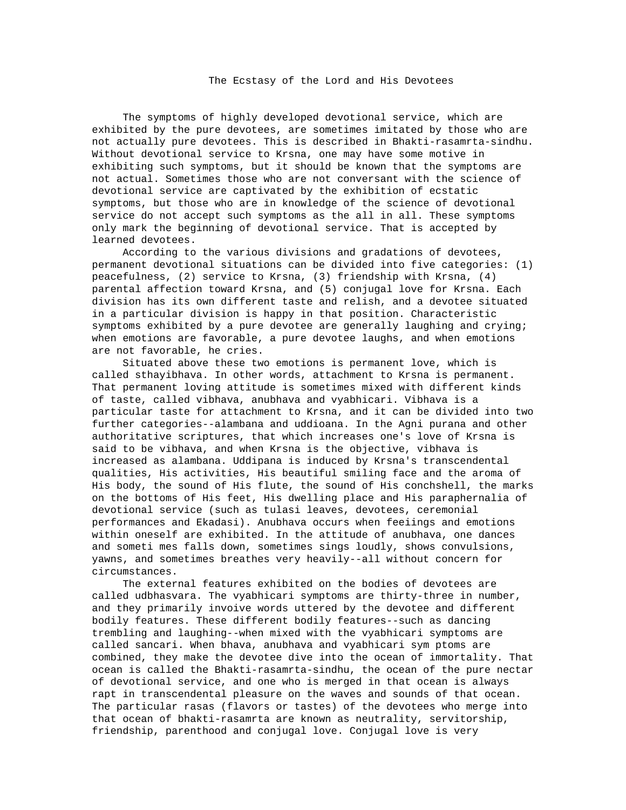The symptoms of highly developed devotional service, which are exhibited by the pure devotees, are sometimes imitated by those who are not actually pure devotees. This is described in Bhakti-rasamrta-sindhu. Without devotional service to Krsna, one may have some motive in exhibiting such symptoms, but it should be known that the symptoms are not actual. Sometimes those who are not conversant with the science of devotional service are captivated by the exhibition of ecstatic symptoms, but those who are in knowledge of the science of devotional service do not accept such symptoms as the all in all. These symptoms only mark the beginning of devotional service. That is accepted by learned devotees.

 According to the various divisions and gradations of devotees, permanent devotional situations can be divided into five categories: (1) peacefulness, (2) service to Krsna, (3) friendship with Krsna, (4) parental affection toward Krsna, and (5) conjugal love for Krsna. Each division has its own different taste and relish, and a devotee situated in a particular division is happy in that position. Characteristic symptoms exhibited by a pure devotee are generally laughing and crying; when emotions are favorable, a pure devotee laughs, and when emotions are not favorable, he cries.

 Situated above these two emotions is permanent love, which is called sthayibhava. In other words, attachment to Krsna is permanent. That permanent loving attitude is sometimes mixed with different kinds of taste, called vibhava, anubhava and vyabhicari. Vibhava is a particular taste for attachment to Krsna, and it can be divided into two further categories--alambana and uddioana. In the Agni purana and other authoritative scriptures, that which increases one's love of Krsna is said to be vibhava, and when Krsna is the objective, vibhava is increased as alambana. Uddipana is induced by Krsna's transcendental qualities, His activities, His beautiful smiling face and the aroma of His body, the sound of His flute, the sound of His conchshell, the marks on the bottoms of His feet, His dwelling place and His paraphernalia of devotional service (such as tulasi leaves, devotees, ceremonial performances and Ekadasi). Anubhava occurs when feeiings and emotions within oneself are exhibited. In the attitude of anubhava, one dances and someti mes falls down, sometimes sings loudly, shows convulsions, yawns, and sometimes breathes very heavily--all without concern for circumstances.

 The external features exhibited on the bodies of devotees are called udbhasvara. The vyabhicari symptoms are thirty-three in number, and they primarily invoive words uttered by the devotee and different bodily features. These different bodily features--such as dancing trembling and laughing--when mixed with the vyabhicari symptoms are called sancari. When bhava, anubhava and vyabhicari sym ptoms are combined, they make the devotee dive into the ocean of immortality. That ocean is called the Bhakti-rasamrta-sindhu, the ocean of the pure nectar of devotional service, and one who is merged in that ocean is always rapt in transcendental pleasure on the waves and sounds of that ocean. The particular rasas (flavors or tastes) of the devotees who merge into that ocean of bhakti-rasamrta are known as neutrality, servitorship, friendship, parenthood and conjugal love. Conjugal love is very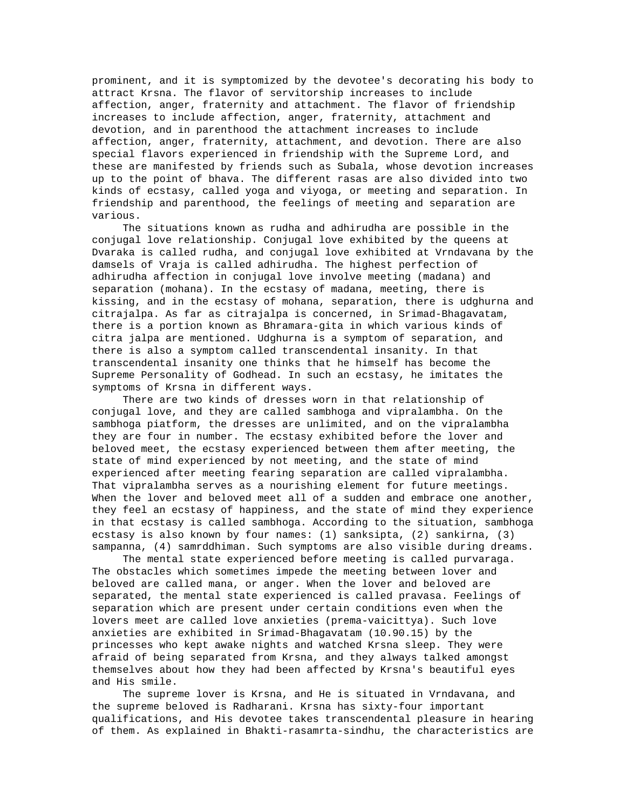prominent, and it is symptomized by the devotee's decorating his body to attract Krsna. The flavor of servitorship increases to include affection, anger, fraternity and attachment. The flavor of friendship increases to include affection, anger, fraternity, attachment and devotion, and in parenthood the attachment increases to include affection, anger, fraternity, attachment, and devotion. There are also special flavors experienced in friendship with the Supreme Lord, and these are manifested by friends such as Subala, whose devotion increases up to the point of bhava. The different rasas are also divided into two kinds of ecstasy, called yoga and viyoga, or meeting and separation. In friendship and parenthood, the feelings of meeting and separation are various.

 The situations known as rudha and adhirudha are possible in the conjugal love relationship. Conjugal love exhibited by the queens at Dvaraka is called rudha, and conjugal love exhibited at Vrndavana by the damsels of Vraja is called adhirudha. The highest perfection of adhirudha affection in conjugal love involve meeting (madana) and separation (mohana). In the ecstasy of madana, meeting, there is kissing, and in the ecstasy of mohana, separation, there is udghurna and citrajalpa. As far as citrajalpa is concerned, in Srimad-Bhagavatam, there is a portion known as Bhramara-gita in which various kinds of citra jalpa are mentioned. Udghurna is a symptom of separation, and there is also a symptom called transcendental insanity. In that transcendental insanity one thinks that he himself has become the Supreme Personality of Godhead. In such an ecstasy, he imitates the symptoms of Krsna in different ways.

 There are two kinds of dresses worn in that relationship of conjugal love, and they are called sambhoga and vipralambha. On the sambhoga piatform, the dresses are unlimited, and on the vipralambha they are four in number. The ecstasy exhibited before the lover and beloved meet, the ecstasy experienced between them after meeting, the state of mind experienced by not meeting, and the state of mind experienced after meeting fearing separation are called vipralambha. That vipralambha serves as a nourishing element for future meetings. When the lover and beloved meet all of a sudden and embrace one another, they feel an ecstasy of happiness, and the state of mind they experience in that ecstasy is called sambhoga. According to the situation, sambhoga ecstasy is also known by four names: (1) sanksipta, (2) sankirna, (3) sampanna, (4) samrddhiman. Such symptoms are also visible during dreams.

 The mental state experienced before meeting is called purvaraga. The obstacles which sometimes impede the meeting between lover and beloved are called mana, or anger. When the lover and beloved are separated, the mental state experienced is called pravasa. Feelings of separation which are present under certain conditions even when the lovers meet are called love anxieties (prema-vaicittya). Such love anxieties are exhibited in Srimad-Bhagavatam (10.90.15) by the princesses who kept awake nights and watched Krsna sleep. They were afraid of being separated from Krsna, and they always talked amongst themselves about how they had been affected by Krsna's beautiful eyes and His smile.

 The supreme lover is Krsna, and He is situated in Vrndavana, and the supreme beloved is Radharani. Krsna has sixty-four important qualifications, and His devotee takes transcendental pleasure in hearing of them. As explained in Bhakti-rasamrta-sindhu, the characteristics are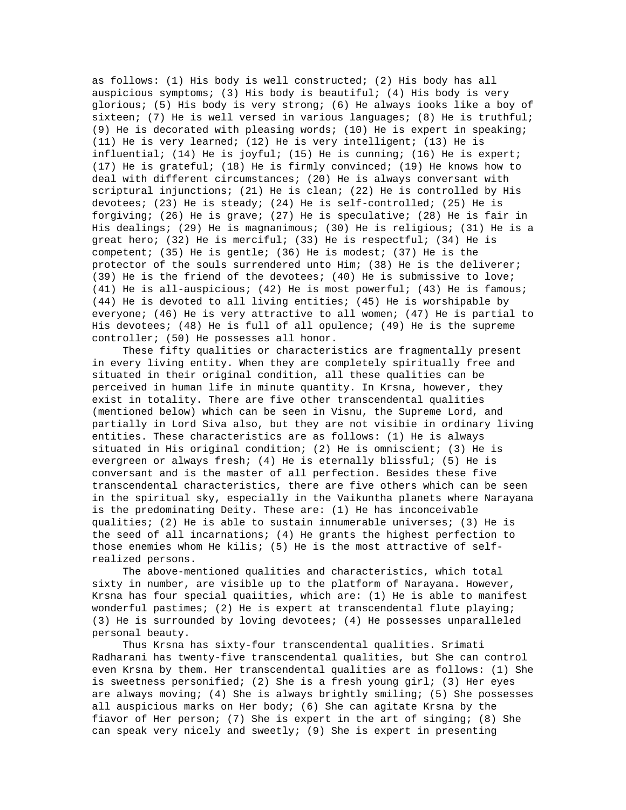as follows: (1) His body is well constructed; (2) His body has all auspicious symptoms; (3) His body is beautiful; (4) His body is very glorious; (5) His body is very strong; (6) He always iooks like a boy of sixteen; (7) He is well versed in various languages; (8) He is truthful; (9) He is decorated with pleasing words; (10) He is expert in speaking; (11) He is very learned; (12) He is very intelligent; (13) He is influential; (14) He is joyful; (15) He is cunning; (16) He is expert; (17) He is grateful; (18) He is firmly convinced; (19) He knows how to deal with different circumstances; (20) He is always conversant with scriptural injunctions; (21) He is clean; (22) He is controlled by His devotees; (23) He is steady; (24) He is self-controlled; (25) He is forgiving; (26) He is grave; (27) He is speculative; (28) He is fair in His dealings; (29) He is magnanimous; (30) He is religious; (31) He is a great hero; (32) He is merciful; (33) He is respectful; (34) He is competent; (35) He is gentle; (36) He is modest; (37) He is the protector of the souls surrendered unto Him; (38) He is the deliverer; (39) He is the friend of the devotees; (40) He is submissive to love; (41) He is all-auspicious; (42) He is most powerful; (43) He is famous; (44) He is devoted to all living entities; (45) He is worshipable by everyone; (46) He is very attractive to all women; (47) He is partial to His devotees; (48) He is full of all opulence; (49) He is the supreme controller; (50) He possesses all honor.

 These fifty qualities or characteristics are fragmentally present in every living entity. When they are completely spiritually free and situated in their original condition, all these qualities can be perceived in human life in minute quantity. In Krsna, however, they exist in totality. There are five other transcendental qualities (mentioned below) which can be seen in Visnu, the Supreme Lord, and partially in Lord Siva also, but they are not visibie in ordinary living entities. These characteristics are as follows: (1) He is always situated in His original condition; (2) He is omniscient; (3) He is evergreen or always fresh; (4) He is eternally blissful; (5) He is conversant and is the master of all perfection. Besides these five transcendental characteristics, there are five others which can be seen in the spiritual sky, especially in the Vaikuntha planets where Narayana is the predominating Deity. These are: (1) He has inconceivable qualities; (2) He is able to sustain innumerable universes; (3) He is the seed of all incarnations; (4) He grants the highest perfection to those enemies whom He kilis; (5) He is the most attractive of selfrealized persons.

 The above-mentioned qualities and characteristics, which total sixty in number, are visible up to the platform of Narayana. However, Krsna has four special quaiities, which are: (1) He is able to manifest wonderful pastimes; (2) He is expert at transcendental flute playing; (3) He is surrounded by loving devotees; (4) He possesses unparalleled personal beauty.

 Thus Krsna has sixty-four transcendental qualities. Srimati Radharani has twenty-five transcendental qualities, but She can control even Krsna by them. Her transcendental qualities are as follows: (1) She is sweetness personified; (2) She is a fresh young girl; (3) Her eyes are always moving; (4) She is always brightly smiling; (5) She possesses all auspicious marks on Her body;  $(6)$  She can agitate Krsna by the fiavor of Her person; (7) She is expert in the art of singing; (8) She can speak very nicely and sweetly; (9) She is expert in presenting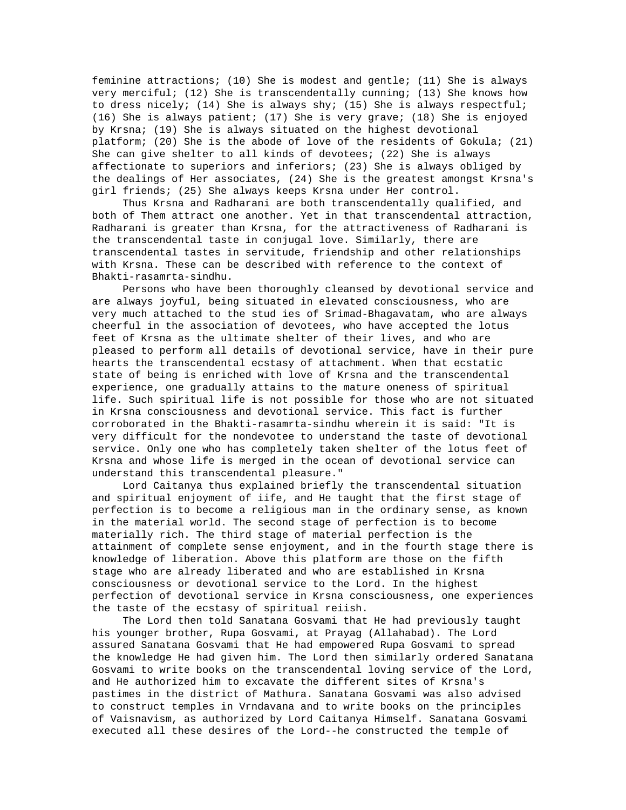feminine attractions; (10) She is modest and gentle; (11) She is always very merciful; (12) She is transcendentally cunning; (13) She knows how to dress nicely; (14) She is always shy; (15) She is always respectful; (16) She is always patient; (17) She is very grave; (18) She is enjoyed by Krsna; (19) She is always situated on the highest devotional platform; (20) She is the abode of love of the residents of Gokula; (21) She can give shelter to all kinds of devotees; (22) She is always affectionate to superiors and inferiors; (23) She is always obliged by the dealings of Her associates, (24) She is the greatest amongst Krsna's girl friends; (25) She always keeps Krsna under Her control.

 Thus Krsna and Radharani are both transcendentally qualified, and both of Them attract one another. Yet in that transcendental attraction, Radharani is greater than Krsna, for the attractiveness of Radharani is the transcendental taste in conjugal love. Similarly, there are transcendental tastes in servitude, friendship and other relationships with Krsna. These can be described with reference to the context of Bhakti-rasamrta-sindhu.

 Persons who have been thoroughly cleansed by devotional service and are always joyful, being situated in elevated consciousness, who are very much attached to the stud ies of Srimad-Bhagavatam, who are always cheerful in the association of devotees, who have accepted the lotus feet of Krsna as the ultimate shelter of their lives, and who are pleased to perform all details of devotional service, have in their pure hearts the transcendental ecstasy of attachment. When that ecstatic state of being is enriched with love of Krsna and the transcendental experience, one gradually attains to the mature oneness of spiritual life. Such spiritual life is not possible for those who are not situated in Krsna consciousness and devotional service. This fact is further corroborated in the Bhakti-rasamrta-sindhu wherein it is said: "It is very difficult for the nondevotee to understand the taste of devotional service. Only one who has completely taken shelter of the lotus feet of Krsna and whose life is merged in the ocean of devotional service can understand this transcendental pleasure."

 Lord Caitanya thus explained briefly the transcendental situation and spiritual enjoyment of iife, and He taught that the first stage of perfection is to become a religious man in the ordinary sense, as known in the material world. The second stage of perfection is to become materially rich. The third stage of material perfection is the attainment of complete sense enjoyment, and in the fourth stage there is knowledge of liberation. Above this platform are those on the fifth stage who are already liberated and who are established in Krsna consciousness or devotional service to the Lord. In the highest perfection of devotional service in Krsna consciousness, one experiences the taste of the ecstasy of spiritual reiish.

 The Lord then told Sanatana Gosvami that He had previously taught his younger brother, Rupa Gosvami, at Prayag (Allahabad). The Lord assured Sanatana Gosvami that He had empowered Rupa Gosvami to spread the knowledge He had given him. The Lord then similarly ordered Sanatana Gosvami to write books on the transcendental loving service of the Lord, and He authorized him to excavate the different sites of Krsna's pastimes in the district of Mathura. Sanatana Gosvami was also advised to construct temples in Vrndavana and to write books on the principles of Vaisnavism, as authorized by Lord Caitanya Himself. Sanatana Gosvami executed all these desires of the Lord--he constructed the temple of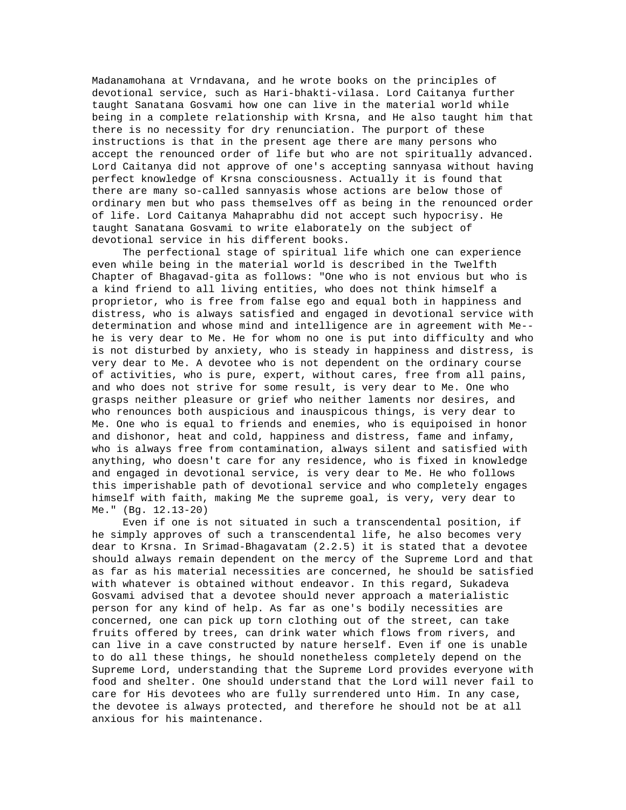Madanamohana at Vrndavana, and he wrote books on the principles of devotional service, such as Hari-bhakti-vilasa. Lord Caitanya further taught Sanatana Gosvami how one can live in the material world while being in a complete relationship with Krsna, and He also taught him that there is no necessity for dry renunciation. The purport of these instructions is that in the present age there are many persons who accept the renounced order of life but who are not spiritually advanced. Lord Caitanya did not approve of one's accepting sannyasa without having perfect knowledge of Krsna consciousness. Actually it is found that there are many so-called sannyasis whose actions are below those of ordinary men but who pass themselves off as being in the renounced order of life. Lord Caitanya Mahaprabhu did not accept such hypocrisy. He taught Sanatana Gosvami to write elaborately on the subject of devotional service in his different books.

 The perfectional stage of spiritual life which one can experience even while being in the material world is described in the Twelfth Chapter of Bhagavad-gita as follows: "One who is not envious but who is a kind friend to all living entities, who does not think himself a proprietor, who is free from false ego and equal both in happiness and distress, who is always satisfied and engaged in devotional service with determination and whose mind and intelligence are in agreement with Me- he is very dear to Me. He for whom no one is put into difficulty and who is not disturbed by anxiety, who is steady in happiness and distress, is very dear to Me. A devotee who is not dependent on the ordinary course of activities, who is pure, expert, without cares, free from all pains, and who does not strive for some result, is very dear to Me. One who grasps neither pleasure or grief who neither laments nor desires, and who renounces both auspicious and inauspicous things, is very dear to Me. One who is equal to friends and enemies, who is equipoised in honor and dishonor, heat and cold, happiness and distress, fame and infamy, who is always free from contamination, always silent and satisfied with anything, who doesn't care for any residence, who is fixed in knowledge and engaged in devotional service, is very dear to Me. He who follows this imperishable path of devotional service and who completely engages himself with faith, making Me the supreme goal, is very, very dear to Me." (Bg. 12.13-20)

 Even if one is not situated in such a transcendental position, if he simply approves of such a transcendental life, he also becomes very dear to Krsna. In Srimad-Bhagavatam (2.2.5) it is stated that a devotee should always remain dependent on the mercy of the Supreme Lord and that as far as his material necessities are concerned, he should be satisfied with whatever is obtained without endeavor. In this regard, Sukadeva Gosvami advised that a devotee should never approach a materialistic person for any kind of help. As far as one's bodily necessities are concerned, one can pick up torn clothing out of the street, can take fruits offered by trees, can drink water which flows from rivers, and can live in a cave constructed by nature herself. Even if one is unable to do all these things, he should nonetheless completely depend on the Supreme Lord, understanding that the Supreme Lord provides everyone with food and shelter. One should understand that the Lord will never fail to care for His devotees who are fully surrendered unto Him. In any case, the devotee is always protected, and therefore he should not be at all anxious for his maintenance.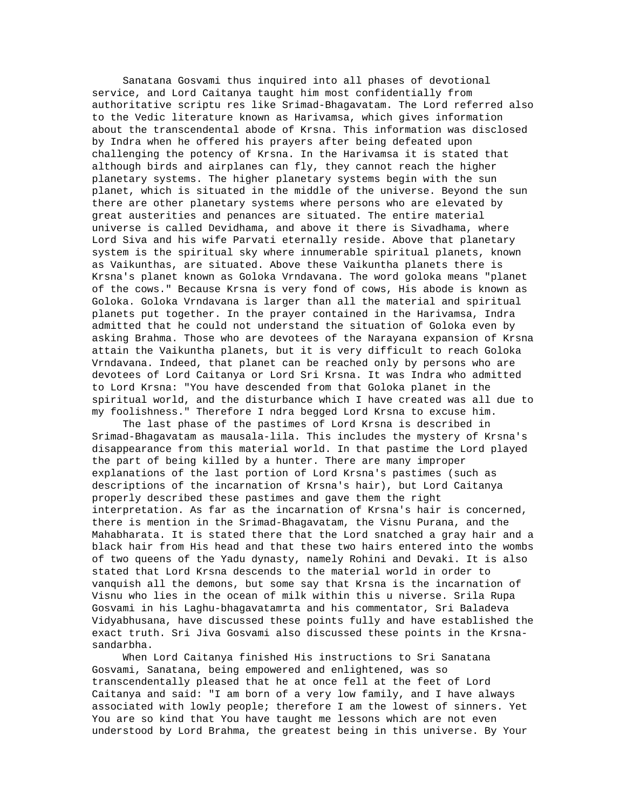Sanatana Gosvami thus inquired into all phases of devotional service, and Lord Caitanya taught him most confidentially from authoritative scriptu res like Srimad-Bhagavatam. The Lord referred also to the Vedic literature known as Harivamsa, which gives information about the transcendental abode of Krsna. This information was disclosed by Indra when he offered his prayers after being defeated upon challenging the potency of Krsna. In the Harivamsa it is stated that although birds and airplanes can fly, they cannot reach the higher planetary systems. The higher planetary systems begin with the sun planet, which is situated in the middle of the universe. Beyond the sun there are other planetary systems where persons who are elevated by great austerities and penances are situated. The entire material universe is called Devidhama, and above it there is Sivadhama, where Lord Siva and his wife Parvati eternally reside. Above that planetary system is the spiritual sky where innumerable spiritual planets, known as Vaikunthas, are situated. Above these Vaikuntha planets there is Krsna's planet known as Goloka Vrndavana. The word goloka means "planet of the cows." Because Krsna is very fond of cows, His abode is known as Goloka. Goloka Vrndavana is larger than all the material and spiritual planets put together. In the prayer contained in the Harivamsa, Indra admitted that he could not understand the situation of Goloka even by asking Brahma. Those who are devotees of the Narayana expansion of Krsna attain the Vaikuntha planets, but it is very difficult to reach Goloka Vrndavana. Indeed, that planet can be reached only by persons who are devotees of Lord Caitanya or Lord Sri Krsna. It was Indra who admitted to Lord Krsna: "You have descended from that Goloka planet in the spiritual world, and the disturbance which I have created was all due to my foolishness." Therefore I ndra begged Lord Krsna to excuse him.

 The last phase of the pastimes of Lord Krsna is described in Srimad-Bhagavatam as mausala-lila. This includes the mystery of Krsna's disappearance from this material world. In that pastime the Lord played the part of being killed by a hunter. There are many improper explanations of the last portion of Lord Krsna's pastimes (such as descriptions of the incarnation of Krsna's hair), but Lord Caitanya properly described these pastimes and gave them the right interpretation. As far as the incarnation of Krsna's hair is concerned, there is mention in the Srimad-Bhagavatam, the Visnu Purana, and the Mahabharata. It is stated there that the Lord snatched a gray hair and a black hair from His head and that these two hairs entered into the wombs of two queens of the Yadu dynasty, namely Rohini and Devaki. It is also stated that Lord Krsna descends to the material world in order to vanquish all the demons, but some say that Krsna is the incarnation of Visnu who lies in the ocean of milk within this u niverse. Srila Rupa Gosvami in his Laghu-bhagavatamrta and his commentator, Sri Baladeva Vidyabhusana, have discussed these points fully and have established the exact truth. Sri Jiva Gosvami also discussed these points in the Krsnasandarbha.

 When Lord Caitanya finished His instructions to Sri Sanatana Gosvami, Sanatana, being empowered and enlightened, was so transcendentally pleased that he at once fell at the feet of Lord Caitanya and said: "I am born of a very low family, and I have always associated with lowly people; therefore I am the lowest of sinners. Yet You are so kind that You have taught me lessons which are not even understood by Lord Brahma, the greatest being in this universe. By Your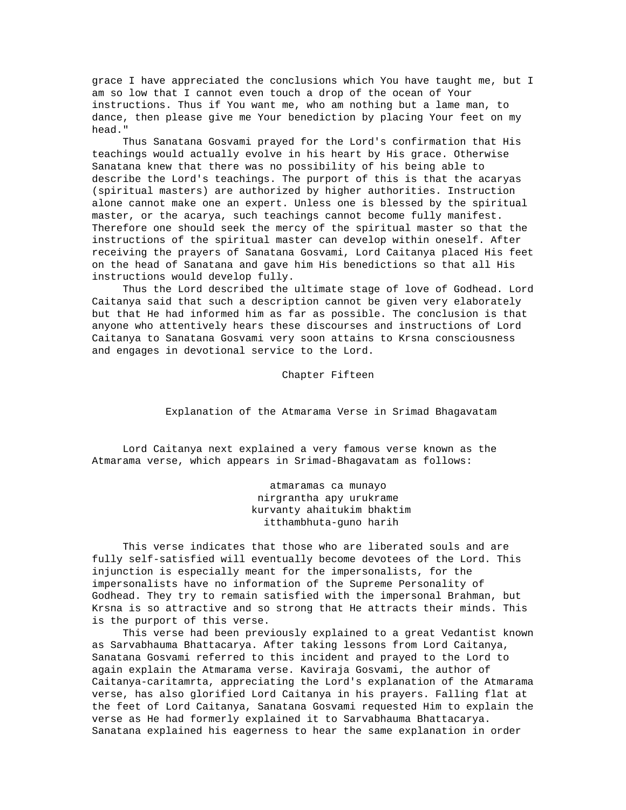grace I have appreciated the conclusions which You have taught me, but I am so low that I cannot even touch a drop of the ocean of Your instructions. Thus if You want me, who am nothing but a lame man, to dance, then please give me Your benediction by placing Your feet on my head."

 Thus Sanatana Gosvami prayed for the Lord's confirmation that His teachings would actually evolve in his heart by His grace. Otherwise Sanatana knew that there was no possibility of his being able to describe the Lord's teachings. The purport of this is that the acaryas (spiritual masters) are authorized by higher authorities. Instruction alone cannot make one an expert. Unless one is blessed by the spiritual master, or the acarya, such teachings cannot become fully manifest. Therefore one should seek the mercy of the spiritual master so that the instructions of the spiritual master can develop within oneself. After receiving the prayers of Sanatana Gosvami, Lord Caitanya placed His feet on the head of Sanatana and gave him His benedictions so that all His instructions would develop fully.

 Thus the Lord described the ultimate stage of love of Godhead. Lord Caitanya said that such a description cannot be given very elaborately but that He had informed him as far as possible. The conclusion is that anyone who attentively hears these discourses and instructions of Lord Caitanya to Sanatana Gosvami very soon attains to Krsna consciousness and engages in devotional service to the Lord.

Chapter Fifteen

Explanation of the Atmarama Verse in Srimad Bhagavatam

 Lord Caitanya next explained a very famous verse known as the Atmarama verse, which appears in Srimad-Bhagavatam as follows:

> atmaramas ca munayo nirgrantha apy urukrame kurvanty ahaitukim bhaktim itthambhuta-guno harih

 This verse indicates that those who are liberated souls and are fully self-satisfied will eventually become devotees of the Lord. This injunction is especially meant for the impersonalists, for the impersonalists have no information of the Supreme Personality of Godhead. They try to remain satisfied with the impersonal Brahman, but Krsna is so attractive and so strong that He attracts their minds. This is the purport of this verse.

 This verse had been previously explained to a great Vedantist known as Sarvabhauma Bhattacarya. After taking lessons from Lord Caitanya, Sanatana Gosvami referred to this incident and prayed to the Lord to again explain the Atmarama verse. Kaviraja Gosvami, the author of Caitanya-caritamrta, appreciating the Lord's explanation of the Atmarama verse, has also glorified Lord Caitanya in his prayers. Falling flat at the feet of Lord Caitanya, Sanatana Gosvami requested Him to explain the verse as He had formerly explained it to Sarvabhauma Bhattacarya. Sanatana explained his eagerness to hear the same explanation in order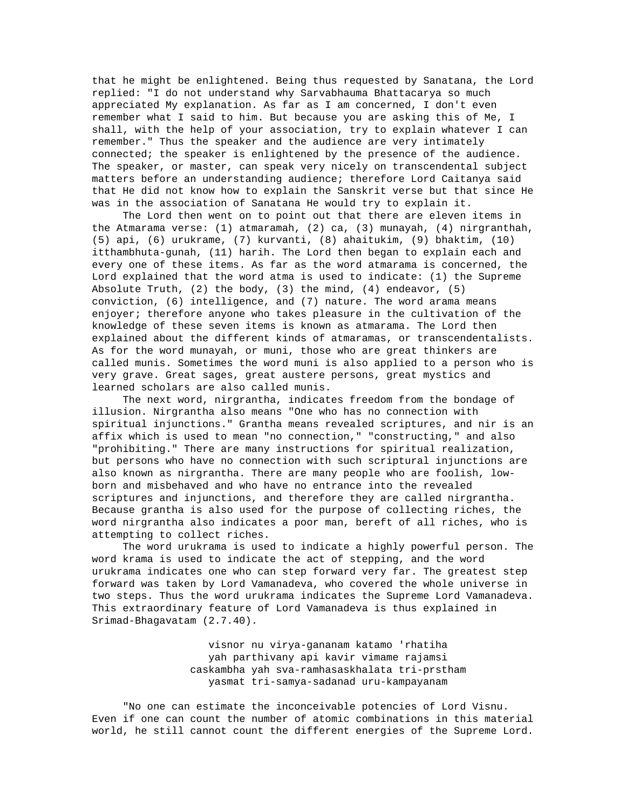that he might be enlightened. Being thus requested by Sanatana, the Lord replied: "I do not understand why Sarvabhauma Bhattacarya so much appreciated My explanation. As far as I am concerned, I don't even remember what I said to him. But because you are asking this of Me, I shall, with the help of your association, try to explain whatever I can remember." Thus the speaker and the audience are very intimately connected; the speaker is enlightened by the presence of the audience. The speaker, or master, can speak very nicely on transcendental subject matters before an understanding audience; therefore Lord Caitanya said that He did not know how to explain the Sanskrit verse but that since He was in the association of Sanatana He would try to explain it.

 The Lord then went on to point out that there are eleven items in the Atmarama verse: (1) atmaramah, (2) ca, (3) munayah, (4) nirgranthah, (5) api, (6) urukrame, (7) kurvanti, (8) ahaitukim, (9) bhaktim, (10) itthambhuta-gunah, (11) harih. The Lord then began to explain each and every one of these items. As far as the word atmarama is concerned, the Lord explained that the word atma is used to indicate: (1) the Supreme Absolute Truth,  $(2)$  the body,  $(3)$  the mind,  $(4)$  endeavor,  $(5)$ conviction, (6) intelligence, and (7) nature. The word arama means enjoyer; therefore anyone who takes pleasure in the cultivation of the knowledge of these seven items is known as atmarama. The Lord then explained about the different kinds of atmaramas, or transcendentalists. As for the word munayah, or muni, those who are great thinkers are called munis. Sometimes the word muni is also applied to a person who is very grave. Great sages, great austere persons, great mystics and learned scholars are also called munis.

 The next word, nirgrantha, indicates freedom from the bondage of illusion. Nirgrantha also means "One who has no connection with spiritual injunctions." Grantha means revealed scriptures, and nir is an affix which is used to mean "no connection," "constructing," and also "prohibiting." There are many instructions for spiritual realization, but persons who have no connection with such scriptural injunctions are also known as nirgrantha. There are many people who are foolish, lowborn and misbehaved and who have no entrance into the revealed scriptures and injunctions, and therefore they are called nirgrantha. Because grantha is also used for the purpose of collecting riches, the word nirgrantha also indicates a poor man, bereft of all riches, who is attempting to collect riches.

 The word urukrama is used to indicate a highly powerful person. The word krama is used to indicate the act of stepping, and the word urukrama indicates one who can step forward very far. The greatest step forward was taken by Lord Vamanadeva, who covered the whole universe in two steps. Thus the word urukrama indicates the Supreme Lord Vamanadeva. This extraordinary feature of Lord Vamanadeva is thus explained in Srimad-Bhagavatam (2.7.40).

> visnor nu virya-gananam katamo 'rhatiha yah parthivany api kavir vimame rajamsi caskambha yah sva-ramhasaskhalata tri-prstham yasmat tri-samya-sadanad uru-kampayanam

 "No one can estimate the inconceivable potencies of Lord Visnu. Even if one can count the number of atomic combinations in this material world, he still cannot count the different energies of the Supreme Lord.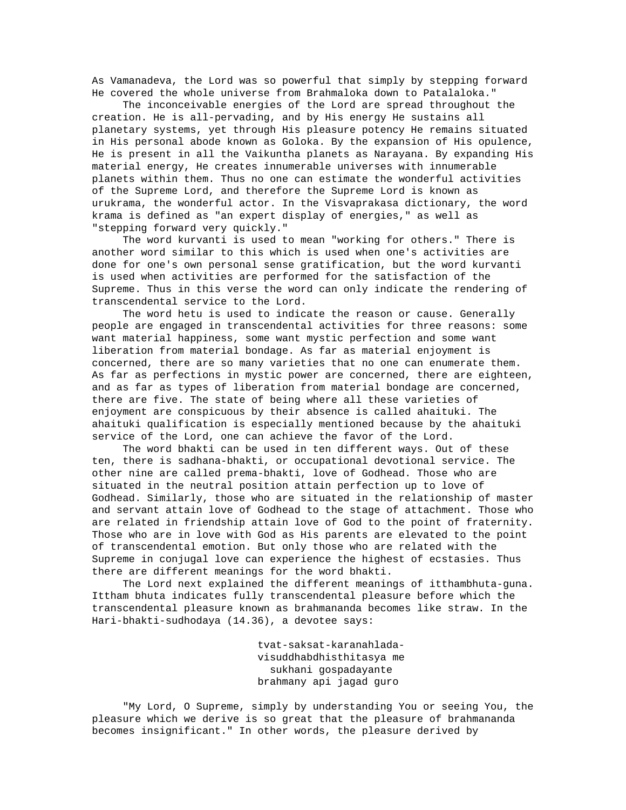As Vamanadeva, the Lord was so powerful that simply by stepping forward He covered the whole universe from Brahmaloka down to Patalaloka."

 The inconceivable energies of the Lord are spread throughout the creation. He is all-pervading, and by His energy He sustains all planetary systems, yet through His pleasure potency He remains situated in His personal abode known as Goloka. By the expansion of His opulence, He is present in all the Vaikuntha planets as Narayana. By expanding His material energy, He creates innumerable universes with innumerable planets within them. Thus no one can estimate the wonderful activities of the Supreme Lord, and therefore the Supreme Lord is known as urukrama, the wonderful actor. In the Visvaprakasa dictionary, the word krama is defined as "an expert display of energies," as well as "stepping forward very quickly."

 The word kurvanti is used to mean "working for others." There is another word similar to this which is used when one's activities are done for one's own personal sense gratification, but the word kurvanti is used when activities are performed for the satisfaction of the Supreme. Thus in this verse the word can only indicate the rendering of transcendental service to the Lord.

 The word hetu is used to indicate the reason or cause. Generally people are engaged in transcendental activities for three reasons: some want material happiness, some want mystic perfection and some want liberation from material bondage. As far as material enjoyment is concerned, there are so many varieties that no one can enumerate them. As far as perfections in mystic power are concerned, there are eighteen, and as far as types of liberation from material bondage are concerned, there are five. The state of being where all these varieties of enjoyment are conspicuous by their absence is called ahaituki. The ahaituki qualification is especially mentioned because by the ahaituki service of the Lord, one can achieve the favor of the Lord.

 The word bhakti can be used in ten different ways. Out of these ten, there is sadhana-bhakti, or occupational devotional service. The other nine are called prema-bhakti, love of Godhead. Those who are situated in the neutral position attain perfection up to love of Godhead. Similarly, those who are situated in the relationship of master and servant attain love of Godhead to the stage of attachment. Those who are related in friendship attain love of God to the point of fraternity. Those who are in love with God as His parents are elevated to the point of transcendental emotion. But only those who are related with the Supreme in conjugal love can experience the highest of ecstasies. Thus there are different meanings for the word bhakti.

 The Lord next explained the different meanings of itthambhuta-guna. Ittham bhuta indicates fully transcendental pleasure before which the transcendental pleasure known as brahmananda becomes like straw. In the Hari-bhakti-sudhodaya (14.36), a devotee says:

> tvat-saksat-karanahlada visuddhabdhisthitasya me sukhani gospadayante brahmany api jagad guro

 "My Lord, O Supreme, simply by understanding You or seeing You, the pleasure which we derive is so great that the pleasure of brahmananda becomes insignificant." In other words, the pleasure derived by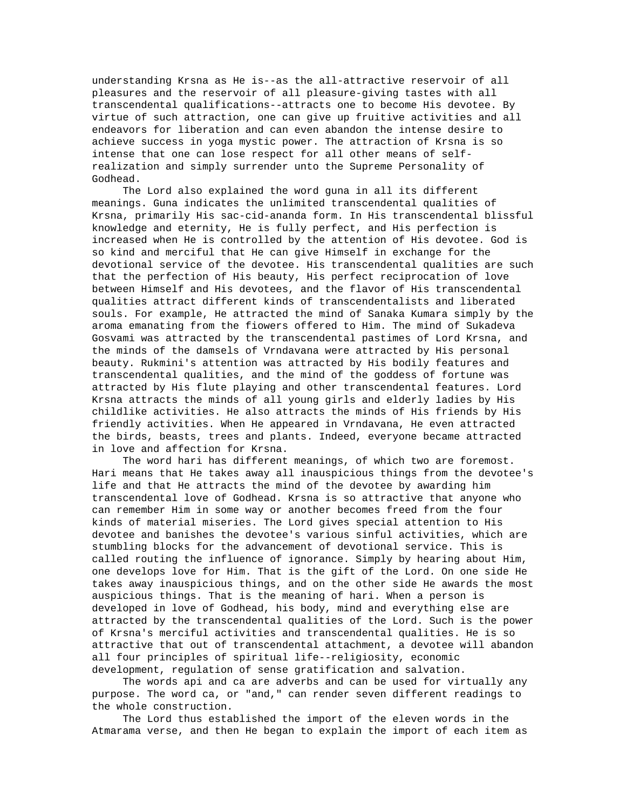understanding Krsna as He is--as the all-attractive reservoir of all pleasures and the reservoir of all pleasure-giving tastes with all transcendental qualifications--attracts one to become His devotee. By virtue of such attraction, one can give up fruitive activities and all endeavors for liberation and can even abandon the intense desire to achieve success in yoga mystic power. The attraction of Krsna is so intense that one can lose respect for all other means of selfrealization and simply surrender unto the Supreme Personality of Godhead.

 The Lord also explained the word guna in all its different meanings. Guna indicates the unlimited transcendental qualities of Krsna, primarily His sac-cid-ananda form. In His transcendental blissful knowledge and eternity, He is fully perfect, and His perfection is increased when He is controlled by the attention of His devotee. God is so kind and merciful that He can give Himself in exchange for the devotional service of the devotee. His transcendental qualities are such that the perfection of His beauty, His perfect reciprocation of love between Himself and His devotees, and the flavor of His transcendental qualities attract different kinds of transcendentalists and liberated souls. For example, He attracted the mind of Sanaka Kumara simply by the aroma emanating from the fiowers offered to Him. The mind of Sukadeva Gosvami was attracted by the transcendental pastimes of Lord Krsna, and the minds of the damsels of Vrndavana were attracted by His personal beauty. Rukmini's attention was attracted by His bodily features and transcendental qualities, and the mind of the goddess of fortune was attracted by His flute playing and other transcendental features. Lord Krsna attracts the minds of all young girls and elderly ladies by His childlike activities. He also attracts the minds of His friends by His friendly activities. When He appeared in Vrndavana, He even attracted the birds, beasts, trees and plants. Indeed, everyone became attracted in love and affection for Krsna.

 The word hari has different meanings, of which two are foremost. Hari means that He takes away all inauspicious things from the devotee's life and that He attracts the mind of the devotee by awarding him transcendental love of Godhead. Krsna is so attractive that anyone who can remember Him in some way or another becomes freed from the four kinds of material miseries. The Lord gives special attention to His devotee and banishes the devotee's various sinful activities, which are stumbling blocks for the advancement of devotional service. This is called routing the influence of ignorance. Simply by hearing about Him, one develops love for Him. That is the gift of the Lord. On one side He takes away inauspicious things, and on the other side He awards the most auspicious things. That is the meaning of hari. When a person is developed in love of Godhead, his body, mind and everything else are attracted by the transcendental qualities of the Lord. Such is the power of Krsna's merciful activities and transcendental qualities. He is so attractive that out of transcendental attachment, a devotee will abandon all four principles of spiritual life--religiosity, economic development, regulation of sense gratification and salvation.

 The words api and ca are adverbs and can be used for virtually any purpose. The word ca, or "and," can render seven different readings to the whole construction.

 The Lord thus established the import of the eleven words in the Atmarama verse, and then He began to explain the import of each item as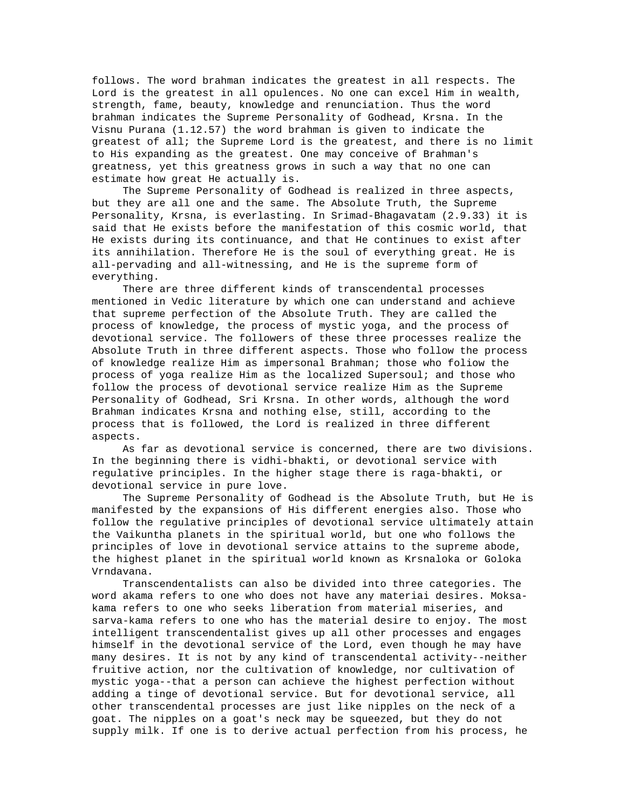follows. The word brahman indicates the greatest in all respects. The Lord is the greatest in all opulences. No one can excel Him in wealth, strength, fame, beauty, knowledge and renunciation. Thus the word brahman indicates the Supreme Personality of Godhead, Krsna. In the Visnu Purana (1.12.57) the word brahman is given to indicate the greatest of all; the Supreme Lord is the greatest, and there is no limit to His expanding as the greatest. One may conceive of Brahman's greatness, yet this greatness grows in such a way that no one can estimate how great He actually is.

 The Supreme Personality of Godhead is realized in three aspects, but they are all one and the same. The Absolute Truth, the Supreme Personality, Krsna, is everlasting. In Srimad-Bhagavatam (2.9.33) it is said that He exists before the manifestation of this cosmic world, that He exists during its continuance, and that He continues to exist after its annihilation. Therefore He is the soul of everything great. He is all-pervading and all-witnessing, and He is the supreme form of everything.

 There are three different kinds of transcendental processes mentioned in Vedic literature by which one can understand and achieve that supreme perfection of the Absolute Truth. They are called the process of knowledge, the process of mystic yoga, and the process of devotional service. The followers of these three processes realize the Absolute Truth in three different aspects. Those who follow the process of knowledge realize Him as impersonal Brahman; those who foliow the process of yoga realize Him as the localized Supersoul; and those who follow the process of devotional service realize Him as the Supreme Personality of Godhead, Sri Krsna. In other words, although the word Brahman indicates Krsna and nothing else, still, according to the process that is followed, the Lord is realized in three different aspects.

 As far as devotional service is concerned, there are two divisions. In the beginning there is vidhi-bhakti, or devotional service with regulative principles. In the higher stage there is raga-bhakti, or devotional service in pure love.

 The Supreme Personality of Godhead is the Absolute Truth, but He is manifested by the expansions of His different energies also. Those who follow the regulative principles of devotional service ultimately attain the Vaikuntha planets in the spiritual world, but one who follows the principles of love in devotional service attains to the supreme abode, the highest planet in the spiritual world known as Krsnaloka or Goloka Vrndavana.

 Transcendentalists can also be divided into three categories. The word akama refers to one who does not have any materiai desires. Moksakama refers to one who seeks liberation from material miseries, and sarva-kama refers to one who has the material desire to enjoy. The most intelligent transcendentalist gives up all other processes and engages himself in the devotional service of the Lord, even though he may have many desires. It is not by any kind of transcendental activity--neither fruitive action, nor the cultivation of knowledge, nor cultivation of mystic yoga--that a person can achieve the highest perfection without adding a tinge of devotional service. But for devotional service, all other transcendental processes are just like nipples on the neck of a goat. The nipples on a goat's neck may be squeezed, but they do not supply milk. If one is to derive actual perfection from his process, he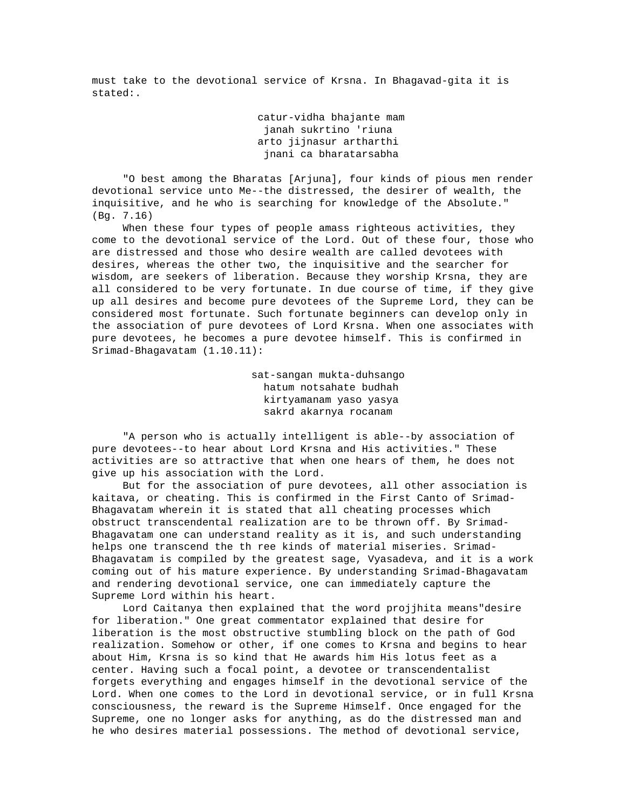must take to the devotional service of Krsna. In Bhagavad-gita it is stated:.

> catur-vidha bhajante mam janah sukrtino 'riuna arto jijnasur artharthi jnani ca bharatarsabha

 "O best among the Bharatas [Arjuna], four kinds of pious men render devotional service unto Me--the distressed, the desirer of wealth, the inquisitive, and he who is searching for knowledge of the Absolute." (Bg. 7.16)

 When these four types of people amass righteous activities, they come to the devotional service of the Lord. Out of these four, those who are distressed and those who desire wealth are called devotees with desires, whereas the other two, the inquisitive and the searcher for wisdom, are seekers of liberation. Because they worship Krsna, they are all considered to be very fortunate. In due course of time, if they give up all desires and become pure devotees of the Supreme Lord, they can be considered most fortunate. Such fortunate beginners can develop only in the association of pure devotees of Lord Krsna. When one associates with pure devotees, he becomes a pure devotee himself. This is confirmed in Srimad-Bhagavatam (1.10.11):

> sat-sangan mukta-duhsango hatum notsahate budhah kirtyamanam yaso yasya sakrd akarnya rocanam

 "A person who is actually intelligent is able--by association of pure devotees--to hear about Lord Krsna and His activities." These activities are so attractive that when one hears of them, he does not give up his association with the Lord.

 But for the association of pure devotees, all other association is kaitava, or cheating. This is confirmed in the First Canto of Srimad-Bhagavatam wherein it is stated that all cheating processes which obstruct transcendental realization are to be thrown off. By Srimad-Bhagavatam one can understand reality as it is, and such understanding helps one transcend the th ree kinds of material miseries. Srimad-Bhagavatam is compiled by the greatest sage, Vyasadeva, and it is a work coming out of his mature experience. By understanding Srimad-Bhagavatam and rendering devotional service, one can immediately capture the Supreme Lord within his heart.

 Lord Caitanya then explained that the word projjhita means"desire for liberation." One great commentator explained that desire for liberation is the most obstructive stumbling block on the path of God realization. Somehow or other, if one comes to Krsna and begins to hear about Him, Krsna is so kind that He awards him His lotus feet as a center. Having such a focal point, a devotee or transcendentalist forgets everything and engages himself in the devotional service of the Lord. When one comes to the Lord in devotional service, or in full Krsna consciousness, the reward is the Supreme Himself. Once engaged for the Supreme, one no longer asks for anything, as do the distressed man and he who desires material possessions. The method of devotional service,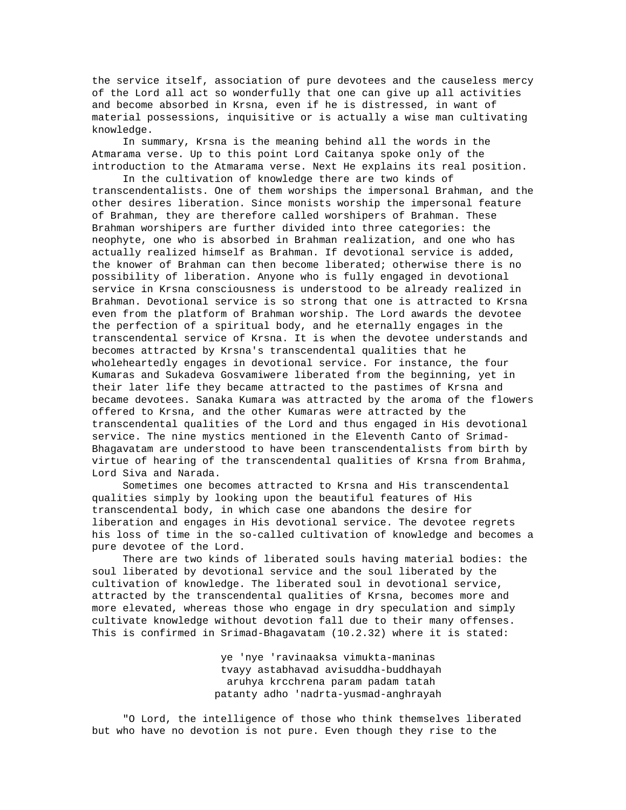the service itself, association of pure devotees and the causeless mercy of the Lord all act so wonderfully that one can give up all activities and become absorbed in Krsna, even if he is distressed, in want of material possessions, inquisitive or is actually a wise man cultivating knowledge.

 In summary, Krsna is the meaning behind all the words in the Atmarama verse. Up to this point Lord Caitanya spoke only of the introduction to the Atmarama verse. Next He explains its real position.

 In the cultivation of knowledge there are two kinds of transcendentalists. One of them worships the impersonal Brahman, and the other desires liberation. Since monists worship the impersonal feature of Brahman, they are therefore called worshipers of Brahman. These Brahman worshipers are further divided into three categories: the neophyte, one who is absorbed in Brahman realization, and one who has actually realized himself as Brahman. If devotional service is added, the knower of Brahman can then become liberated; otherwise there is no possibility of liberation. Anyone who is fully engaged in devotional service in Krsna consciousness is understood to be already realized in Brahman. Devotional service is so strong that one is attracted to Krsna even from the platform of Brahman worship. The Lord awards the devotee the perfection of a spiritual body, and he eternally engages in the transcendental service of Krsna. It is when the devotee understands and becomes attracted by Krsna's transcendental qualities that he wholeheartedly engages in devotional service. For instance, the four Kumaras and Sukadeva Gosvamiwere liberated from the beginning, yet in their later life they became attracted to the pastimes of Krsna and became devotees. Sanaka Kumara was attracted by the aroma of the flowers offered to Krsna, and the other Kumaras were attracted by the transcendental qualities of the Lord and thus engaged in His devotional service. The nine mystics mentioned in the Eleventh Canto of Srimad-Bhagavatam are understood to have been transcendentalists from birth by virtue of hearing of the transcendental qualities of Krsna from Brahma, Lord Siva and Narada.

 Sometimes one becomes attracted to Krsna and His transcendental qualities simply by looking upon the beautiful features of His transcendental body, in which case one abandons the desire for liberation and engages in His devotional service. The devotee regrets his loss of time in the so-called cultivation of knowledge and becomes a pure devotee of the Lord.

 There are two kinds of liberated souls having material bodies: the soul liberated by devotional service and the soul liberated by the cultivation of knowledge. The liberated soul in devotional service, attracted by the transcendental qualities of Krsna, becomes more and more elevated, whereas those who engage in dry speculation and simply cultivate knowledge without devotion fall due to their many offenses. This is confirmed in Srimad-Bhagavatam (10.2.32) where it is stated:

> ye 'nye 'ravinaaksa vimukta-maninas tvayy astabhavad avisuddha-buddhayah aruhya krcchrena param padam tatah patanty adho 'nadrta-yusmad-anghrayah

 "O Lord, the intelligence of those who think themselves liberated but who have no devotion is not pure. Even though they rise to the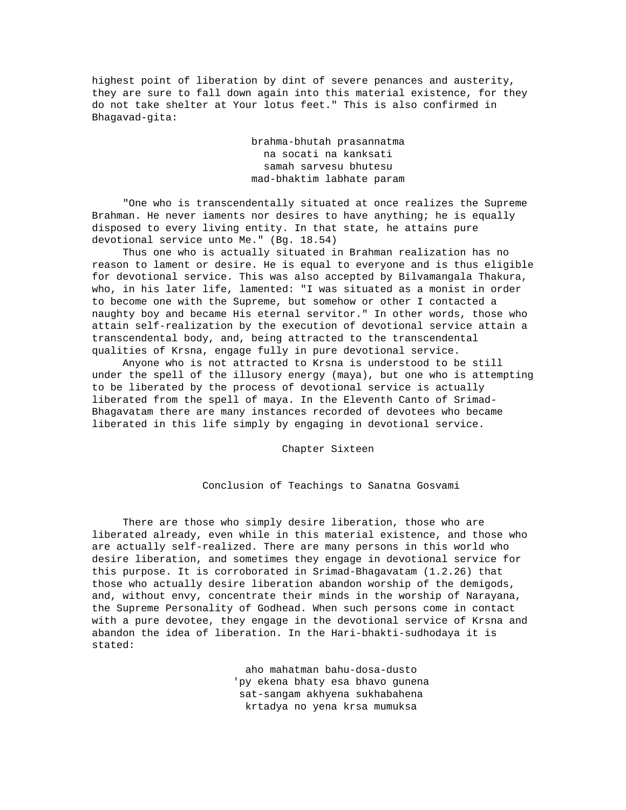highest point of liberation by dint of severe penances and austerity, they are sure to fall down again into this material existence, for they do not take shelter at Your lotus feet." This is also confirmed in Bhagavad-gita:

> brahma-bhutah prasannatma na socati na kanksati samah sarvesu bhutesu mad-bhaktim labhate param

 "One who is transcendentally situated at once realizes the Supreme Brahman. He never iaments nor desires to have anything; he is equally disposed to every living entity. In that state, he attains pure devotional service unto Me." (Bg. 18.54)

 Thus one who is actually situated in Brahman realization has no reason to lament or desire. He is equal to everyone and is thus eligible for devotional service. This was also accepted by Bilvamangala Thakura, who, in his later life, lamented: "I was situated as a monist in order to become one with the Supreme, but somehow or other I contacted a naughty boy and became His eternal servitor." In other words, those who attain self-realization by the execution of devotional service attain a transcendental body, and, being attracted to the transcendental qualities of Krsna, engage fully in pure devotional service.

 Anyone who is not attracted to Krsna is understood to be still under the spell of the illusory energy (maya), but one who is attempting to be liberated by the process of devotional service is actually liberated from the spell of maya. In the Eleventh Canto of Srimad-Bhagavatam there are many instances recorded of devotees who became liberated in this life simply by engaging in devotional service.

Chapter Sixteen

Conclusion of Teachings to Sanatna Gosvami

 There are those who simply desire liberation, those who are liberated already, even while in this material existence, and those who are actually self-realized. There are many persons in this world who desire liberation, and sometimes they engage in devotional service for this purpose. It is corroborated in Srimad-Bhagavatam (1.2.26) that those who actually desire liberation abandon worship of the demigods, and, without envy, concentrate their minds in the worship of Narayana, the Supreme Personality of Godhead. When such persons come in contact with a pure devotee, they engage in the devotional service of Krsna and abandon the idea of liberation. In the Hari-bhakti-sudhodaya it is stated:

> aho mahatman bahu-dosa-dusto 'py ekena bhaty esa bhavo gunena sat-sangam akhyena sukhabahena krtadya no yena krsa mumuksa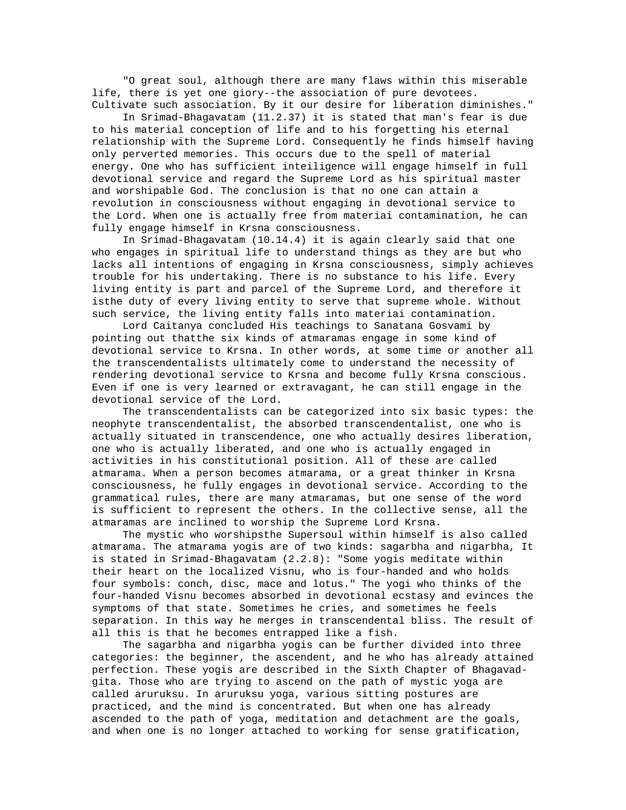"O great soul, although there are many flaws within this miserable life, there is yet one giory--the association of pure devotees. Cultivate such association. By it our desire for liberation diminishes."

 In Srimad-Bhagavatam (11.2.37) it is stated that man's fear is due to his material conception of life and to his forgetting his eternal relationship with the Supreme Lord. Consequently he finds himself having only perverted memories. This occurs due to the spell of material energy. One who has sufficient inteiligence will engage himself in full devotional service and regard the Supreme Lord as his spiritual master and worshipable God. The conclusion is that no one can attain a revolution in consciousness without engaging in devotional service to the Lord. When one is actually free from materiai contamination, he can fully engage himself in Krsna consciousness.

 In Srimad-Bhagavatam (10.14.4) it is again clearly said that one who engages in spiritual life to understand things as they are but who lacks all intentions of engaging in Krsna consciousness, simply achieves trouble for his undertaking. There is no substance to his life. Every living entity is part and parcel of the Supreme Lord, and therefore it isthe duty of every living entity to serve that supreme whole. Without such service, the living entity falls into materiai contamination.

 Lord Caitanya concluded His teachings to Sanatana Gosvami by pointing out thatthe six kinds of atmaramas engage in some kind of devotional service to Krsna. In other words, at some time or another all the transcendentalists ultimately come to understand the necessity of rendering devotional service to Krsna and become fully Krsna conscious. Even if one is very learned or extravagant, he can still engage in the devotional service of the Lord.

 The transcendentalists can be categorized into six basic types: the neophyte transcendentalist, the absorbed transcendentalist, one who is actually situated in transcendence, one who actually desires liberation, one who is actually liberated, and one who is actually engaged in activities in his constitutional position. All of these are called atmarama. When a person becomes atmarama, or a great thinker in Krsna consciousness, he fully engages in devotional service. According to the grammatical rules, there are many atmaramas, but one sense of the word is sufficient to represent the others. In the collective sense, all the atmaramas are inclined to worship the Supreme Lord Krsna.

 The mystic who worshipsthe Supersoul within himself is also called atmarama. The atmarama yogis are of two kinds: sagarbha and nigarbha, It is stated in Srimad-Bhagavatam (2.2.8): "Some yogis meditate within their heart on the localized Visnu, who is four-handed and who holds four symbols: conch, disc, mace and lotus." The yogi who thinks of the four-handed Visnu becomes absorbed in devotional ecstasy and evinces the symptoms of that state. Sometimes he cries, and sometimes he feels separation. In this way he merges in transcendental bliss. The result of all this is that he becomes entrapped like a fish.

 The sagarbha and nigarbha yogis can be further divided into three categories: the beginner, the ascendent, and he who has already attained perfection. These yogis are described in the Sixth Chapter of Bhagavadgita. Those who are trying to ascend on the path of mystic yoga are called aruruksu. In aruruksu yoga, various sitting postures are practiced, and the mind is concentrated. But when one has already ascended to the path of yoga, meditation and detachment are the goals, and when one is no longer attached to working for sense gratification,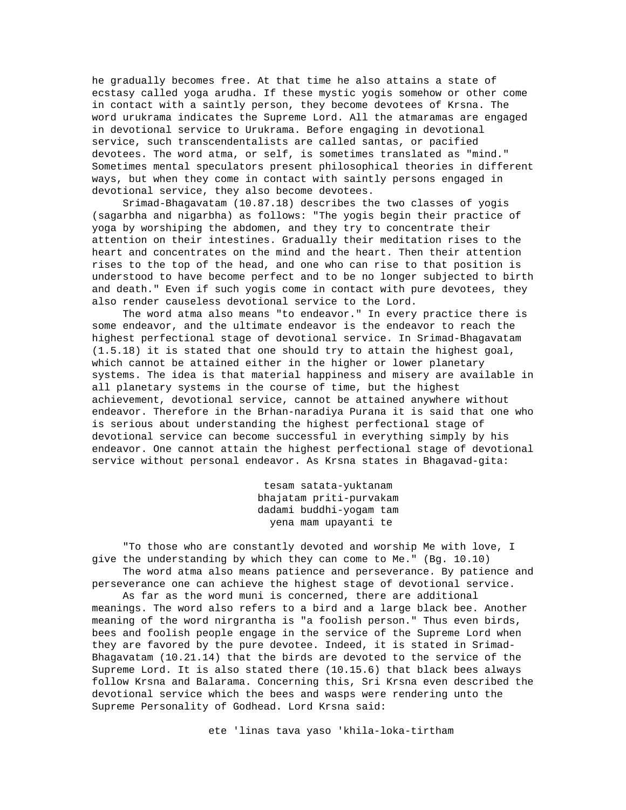he gradually becomes free. At that time he also attains a state of ecstasy called yoga arudha. If these mystic yogis somehow or other come in contact with a saintly person, they become devotees of Krsna. The word urukrama indicates the Supreme Lord. All the atmaramas are engaged in devotional service to Urukrama. Before engaging in devotional service, such transcendentalists are called santas, or pacified devotees. The word atma, or self, is sometimes translated as "mind." Sometimes mental speculators present philosophical theories in different ways, but when they come in contact with saintly persons engaged in devotional service, they also become devotees.

 Srimad-Bhagavatam (10.87.18) describes the two classes of yogis (sagarbha and nigarbha) as follows: "The yogis begin their practice of yoga by worshiping the abdomen, and they try to concentrate their attention on their intestines. Gradually their meditation rises to the heart and concentrates on the mind and the heart. Then their attention rises to the top of the head, and one who can rise to that position is understood to have become perfect and to be no longer subjected to birth and death." Even if such yogis come in contact with pure devotees, they also render causeless devotional service to the Lord.

 The word atma also means "to endeavor." In every practice there is some endeavor, and the ultimate endeavor is the endeavor to reach the highest perfectional stage of devotional service. In Srimad-Bhagavatam (1.5.18) it is stated that one should try to attain the highest goal, which cannot be attained either in the higher or lower planetary systems. The idea is that material happiness and misery are available in all planetary systems in the course of time, but the highest achievement, devotional service, cannot be attained anywhere without endeavor. Therefore in the Brhan-naradiya Purana it is said that one who is serious about understanding the highest perfectional stage of devotional service can become successful in everything simply by his endeavor. One cannot attain the highest perfectional stage of devotional service without personal endeavor. As Krsna states in Bhagavad-gita:

> tesam satata-yuktanam bhajatam priti-purvakam dadami buddhi-yogam tam yena mam upayanti te

 "To those who are constantly devoted and worship Me with love, I give the understanding by which they can come to Me." (Bg. 10.10) The word atma also means patience and perseverance. By patience and perseverance one can achieve the highest stage of devotional service.

 As far as the word muni is concerned, there are additional meanings. The word also refers to a bird and a large black bee. Another meaning of the word nirgrantha is "a foolish person." Thus even birds, bees and foolish people engage in the service of the Supreme Lord when they are favored by the pure devotee. Indeed, it is stated in Srimad-Bhagavatam (10.21.14) that the birds are devoted to the service of the Supreme Lord. It is also stated there (10.15.6) that black bees always follow Krsna and Balarama. Concerning this, Sri Krsna even described the devotional service which the bees and wasps were rendering unto the Supreme Personality of Godhead. Lord Krsna said:

ete 'linas tava yaso 'khila-loka-tirtham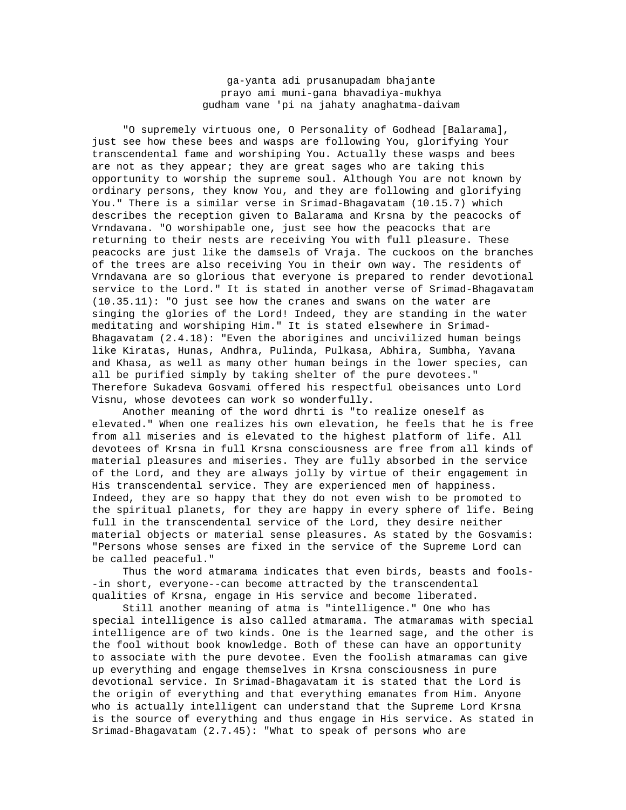ga-yanta adi prusanupadam bhajante prayo ami muni-gana bhavadiya-mukhya gudham vane 'pi na jahaty anaghatma-daivam

 "O supremely virtuous one, O Personality of Godhead [Balarama], just see how these bees and wasps are following You, glorifying Your transcendental fame and worshiping You. Actually these wasps and bees are not as they appear; they are great sages who are taking this opportunity to worship the supreme soul. Although You are not known by ordinary persons, they know You, and they are following and glorifying You." There is a similar verse in Srimad-Bhagavatam (10.15.7) which describes the reception given to Balarama and Krsna by the peacocks of Vrndavana. "O worshipable one, just see how the peacocks that are returning to their nests are receiving You with full pleasure. These peacocks are just like the damsels of Vraja. The cuckoos on the branches of the trees are also receiving You in their own way. The residents of Vrndavana are so glorious that everyone is prepared to render devotional service to the Lord." It is stated in another verse of Srimad-Bhagavatam (10.35.11): "O just see how the cranes and swans on the water are singing the glories of the Lord! Indeed, they are standing in the water meditating and worshiping Him." It is stated elsewhere in Srimad-Bhagavatam (2.4.18): "Even the aborigines and uncivilized human beings like Kiratas, Hunas, Andhra, Pulinda, Pulkasa, Abhira, Sumbha, Yavana and Khasa, as well as many other human beings in the lower species, can all be purified simply by taking shelter of the pure devotees." Therefore Sukadeva Gosvami offered his respectful obeisances unto Lord Visnu, whose devotees can work so wonderfully.

 Another meaning of the word dhrti is "to realize oneself as elevated." When one realizes his own elevation, he feels that he is free from all miseries and is elevated to the highest platform of life. All devotees of Krsna in full Krsna consciousness are free from all kinds of material pleasures and miseries. They are fully absorbed in the service of the Lord, and they are always jolly by virtue of their engagement in His transcendental service. They are experienced men of happiness. Indeed, they are so happy that they do not even wish to be promoted to the spiritual planets, for they are happy in every sphere of life. Being full in the transcendental service of the Lord, they desire neither material objects or material sense pleasures. As stated by the Gosvamis: "Persons whose senses are fixed in the service of the Supreme Lord can be called peaceful."

 Thus the word atmarama indicates that even birds, beasts and fools- -in short, everyone--can become attracted by the transcendental qualities of Krsna, engage in His service and become liberated.

 Still another meaning of atma is "intelligence." One who has special intelligence is also called atmarama. The atmaramas with special intelligence are of two kinds. One is the learned sage, and the other is the fool without book knowledge. Both of these can have an opportunity to associate with the pure devotee. Even the foolish atmaramas can give up everything and engage themselves in Krsna consciousness in pure devotional service. In Srimad-Bhagavatam it is stated that the Lord is the origin of everything and that everything emanates from Him. Anyone who is actually intelligent can understand that the Supreme Lord Krsna is the source of everything and thus engage in His service. As stated in Srimad-Bhagavatam (2.7.45): "What to speak of persons who are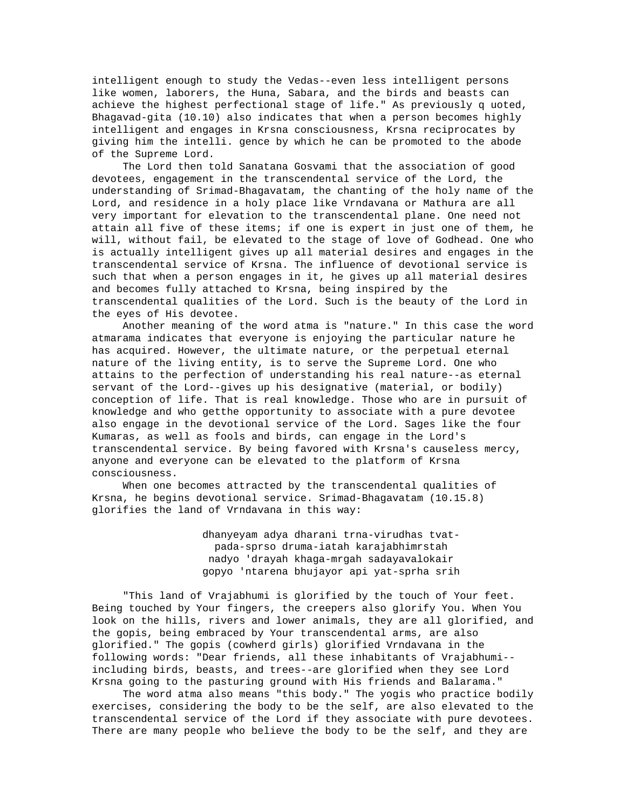intelligent enough to study the Vedas--even less intelligent persons like women, laborers, the Huna, Sabara, and the birds and beasts can achieve the highest perfectional stage of life." As previously q uoted, Bhagavad-gita (10.10) also indicates that when a person becomes highly intelligent and engages in Krsna consciousness, Krsna reciprocates by giving him the intelli. gence by which he can be promoted to the abode of the Supreme Lord.

 The Lord then told Sanatana Gosvami that the association of good devotees, engagement in the transcendental service of the Lord, the understanding of Srimad-Bhagavatam, the chanting of the holy name of the Lord, and residence in a holy place like Vrndavana or Mathura are all very important for elevation to the transcendental plane. One need not attain all five of these items; if one is expert in just one of them, he will, without fail, be elevated to the stage of love of Godhead. One who is actually intelligent gives up all material desires and engages in the transcendental service of Krsna. The influence of devotional service is such that when a person engages in it, he gives up all material desires and becomes fully attached to Krsna, being inspired by the transcendental qualities of the Lord. Such is the beauty of the Lord in the eyes of His devotee.

 Another meaning of the word atma is "nature." In this case the word atmarama indicates that everyone is enjoying the particular nature he has acquired. However, the ultimate nature, or the perpetual eternal nature of the living entity, is to serve the Supreme Lord. One who attains to the perfection of understanding his real nature--as eternal servant of the Lord--gives up his designative (material, or bodily) conception of life. That is real knowledge. Those who are in pursuit of knowledge and who getthe opportunity to associate with a pure devotee also engage in the devotional service of the Lord. Sages like the four Kumaras, as well as fools and birds, can engage in the Lord's transcendental service. By being favored with Krsna's causeless mercy, anyone and everyone can be elevated to the platform of Krsna consciousness.

 When one becomes attracted by the transcendental qualities of Krsna, he begins devotional service. Srimad-Bhagavatam (10.15.8) glorifies the land of Vrndavana in this way:

> dhanyeyam adya dharani trna-virudhas tvat pada-sprso druma-iatah karajabhimrstah nadyo 'drayah khaga-mrgah sadayavalokair gopyo 'ntarena bhujayor api yat-sprha srih

 "This land of Vrajabhumi is glorified by the touch of Your feet. Being touched by Your fingers, the creepers also glorify You. When You look on the hills, rivers and lower animals, they are all glorified, and the gopis, being embraced by Your transcendental arms, are also glorified." The gopis (cowherd girls) glorified Vrndavana in the following words: "Dear friends, all these inhabitants of Vrajabhumi- including birds, beasts, and trees--are glorified when they see Lord Krsna going to the pasturing ground with His friends and Balarama."

 The word atma also means "this body." The yogis who practice bodily exercises, considering the body to be the self, are also elevated to the transcendental service of the Lord if they associate with pure devotees. There are many people who believe the body to be the self, and they are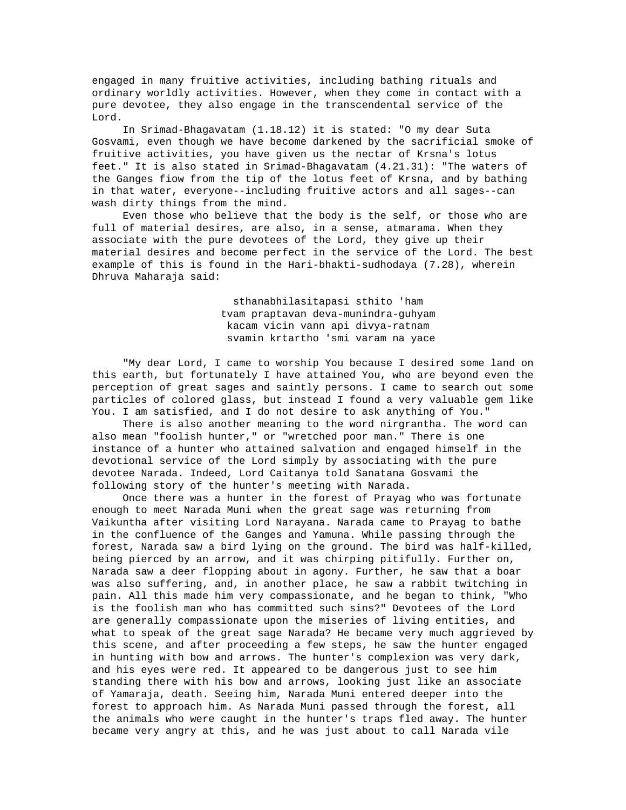engaged in many fruitive activities, including bathing rituals and ordinary worldly activities. However, when they come in contact with a pure devotee, they also engage in the transcendental service of the Lord.

 In Srimad-Bhagavatam (1.18.12) it is stated: "O my dear Suta Gosvami, even though we have become darkened by the sacrificial smoke of fruitive activities, you have given us the nectar of Krsna's lotus feet." It is also stated in Srimad-Bhagavatam (4.21.31): "The waters of the Ganges fiow from the tip of the lotus feet of Krsna, and by bathing in that water, everyone--including fruitive actors and all sages--can wash dirty things from the mind.

 Even those who believe that the body is the self, or those who are full of material desires, are also, in a sense, atmarama. When they associate with the pure devotees of the Lord, they give up their material desires and become perfect in the service of the Lord. The best example of this is found in the Hari-bhakti-sudhodaya (7.28), wherein Dhruva Maharaja said:

> sthanabhilasitapasi sthito 'ham tvam praptavan deva-munindra-guhyam kacam vicin vann api divya-ratnam svamin krtartho 'smi varam na yace

 "My dear Lord, I came to worship You because I desired some land on this earth, but fortunately I have attained You, who are beyond even the perception of great sages and saintly persons. I came to search out some particles of colored glass, but instead I found a very valuable gem like You. I am satisfied, and I do not desire to ask anything of You."

 There is also another meaning to the word nirgrantha. The word can also mean "foolish hunter," or "wretched poor man." There is one instance of a hunter who attained salvation and engaged himself in the devotional service of the Lord simply by associating with the pure devotee Narada. Indeed, Lord Caitanya told Sanatana Gosvami the following story of the hunter's meeting with Narada.

 Once there was a hunter in the forest of Prayag who was fortunate enough to meet Narada Muni when the great sage was returning from Vaikuntha after visiting Lord Narayana. Narada came to Prayag to bathe in the confluence of the Ganges and Yamuna. While passing through the forest, Narada saw a bird lying on the ground. The bird was half-killed, being pierced by an arrow, and it was chirping pitifully. Further on, Narada saw a deer flopping about in agony. Further, he saw that a boar was also suffering, and, in another place, he saw a rabbit twitching in pain. All this made him very compassionate, and he began to think, "Who is the foolish man who has committed such sins?" Devotees of the Lord are generally compassionate upon the miseries of living entities, and what to speak of the great sage Narada? He became very much aggrieved by this scene, and after proceeding a few steps, he saw the hunter engaged in hunting with bow and arrows. The hunter's complexion was very dark, and his eyes were red. It appeared to be dangerous just to see him standing there with his bow and arrows, looking just like an associate of Yamaraja, death. Seeing him, Narada Muni entered deeper into the forest to approach him. As Narada Muni passed through the forest, all the animals who were caught in the hunter's traps fled away. The hunter became very angry at this, and he was just about to call Narada vile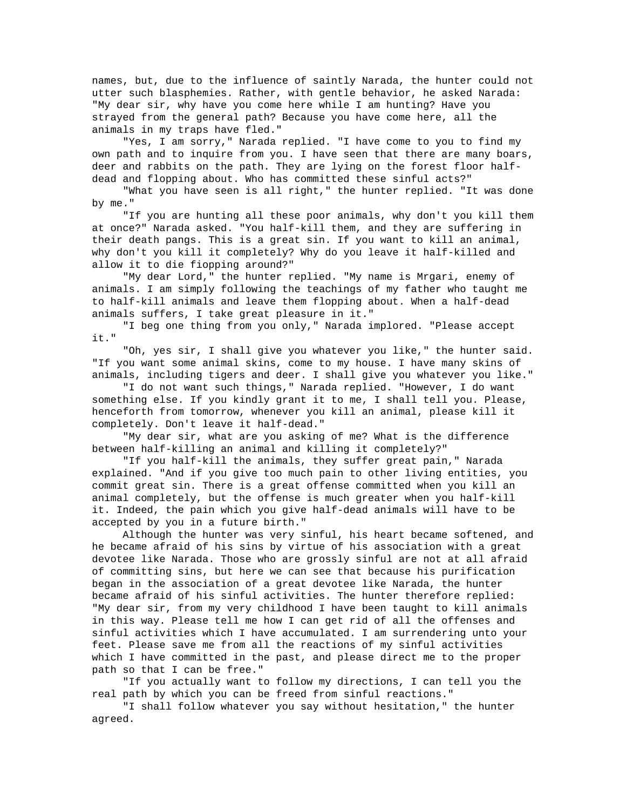names, but, due to the influence of saintly Narada, the hunter could not utter such blasphemies. Rather, with gentle behavior, he asked Narada: "My dear sir, why have you come here while I am hunting? Have you strayed from the general path? Because you have come here, all the animals in my traps have fled."

 "Yes, I am sorry," Narada replied. "I have come to you to find my own path and to inquire from you. I have seen that there are many boars, deer and rabbits on the path. They are lying on the forest floor halfdead and flopping about. Who has committed these sinful acts?"

 "What you have seen is all right," the hunter replied. "It was done by me."

 "If you are hunting all these poor animals, why don't you kill them at once?" Narada asked. "You half-kill them, and they are suffering in their death pangs. This is a great sin. If you want to kill an animal, why don't you kill it completely? Why do you leave it half-killed and allow it to die fiopping around?"

 "My dear Lord," the hunter replied. "My name is Mrgari, enemy of animals. I am simply following the teachings of my father who taught me to half-kill animals and leave them flopping about. When a half-dead animals suffers, I take great pleasure in it."

 "I beg one thing from you only," Narada implored. "Please accept it."

 "Oh, yes sir, I shall give you whatever you like," the hunter said. "If you want some animal skins, come to my house. I have many skins of animals, including tigers and deer. I shall give you whatever you like."

 "I do not want such things," Narada replied. "However, I do want something else. If you kindly grant it to me, I shall tell you. Please, henceforth from tomorrow, whenever you kill an animal, please kill it completely. Don't leave it half-dead."

 "My dear sir, what are you asking of me? What is the difference between half-killing an animal and killing it completely?"

 "If you half-kill the animals, they suffer great pain," Narada explained. "And if you give too much pain to other living entities, you commit great sin. There is a great offense committed when you kill an animal completely, but the offense is much greater when you half-kill it. Indeed, the pain which you give half-dead animals will have to be accepted by you in a future birth."

 Although the hunter was very sinful, his heart became softened, and he became afraid of his sins by virtue of his association with a great devotee like Narada. Those who are grossly sinful are not at all afraid of committing sins, but here we can see that because his purification began in the association of a great devotee like Narada, the hunter became afraid of his sinful activities. The hunter therefore replied: "My dear sir, from my very childhood I have been taught to kill animals in this way. Please tell me how I can get rid of all the offenses and sinful activities which I have accumulated. I am surrendering unto your feet. Please save me from all the reactions of my sinful activities which I have committed in the past, and please direct me to the proper path so that I can be free."

 "If you actually want to follow my directions, I can tell you the real path by which you can be freed from sinful reactions."

 "I shall follow whatever you say without hesitation," the hunter agreed.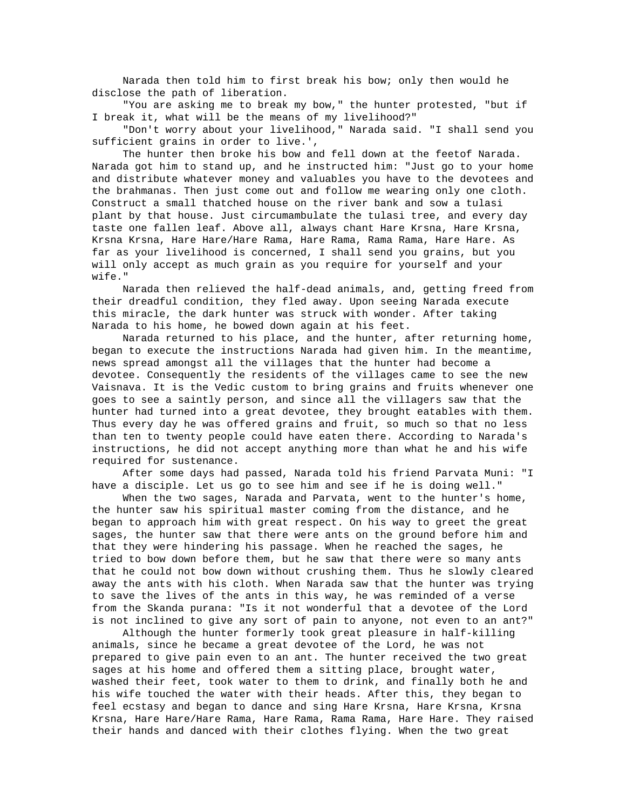Narada then told him to first break his bow; only then would he disclose the path of liberation.

 "You are asking me to break my bow," the hunter protested, "but if I break it, what will be the means of my livelihood?"

 "Don't worry about your livelihood," Narada said. "I shall send you sufficient grains in order to live.',

 The hunter then broke his bow and fell down at the feetof Narada. Narada got him to stand up, and he instructed him: "Just go to your home and distribute whatever money and valuables you have to the devotees and the brahmanas. Then just come out and follow me wearing only one cloth. Construct a small thatched house on the river bank and sow a tulasi plant by that house. Just circumambulate the tulasi tree, and every day taste one fallen leaf. Above all, always chant Hare Krsna, Hare Krsna, Krsna Krsna, Hare Hare/Hare Rama, Hare Rama, Rama Rama, Hare Hare. As far as your livelihood is concerned, I shall send you grains, but you will only accept as much grain as you require for yourself and your wife."

 Narada then relieved the half-dead animals, and, getting freed from their dreadful condition, they fled away. Upon seeing Narada execute this miracle, the dark hunter was struck with wonder. After taking Narada to his home, he bowed down again at his feet.

 Narada returned to his place, and the hunter, after returning home, began to execute the instructions Narada had given him. In the meantime, news spread amongst all the villages that the hunter had become a devotee. Consequently the residents of the villages came to see the new Vaisnava. It is the Vedic custom to bring grains and fruits whenever one goes to see a saintly person, and since all the villagers saw that the hunter had turned into a great devotee, they brought eatables with them. Thus every day he was offered grains and fruit, so much so that no less than ten to twenty people could have eaten there. According to Narada's instructions, he did not accept anything more than what he and his wife required for sustenance.

 After some days had passed, Narada told his friend Parvata Muni: "I have a disciple. Let us go to see him and see if he is doing well."

 When the two sages, Narada and Parvata, went to the hunter's home, the hunter saw his spiritual master coming from the distance, and he began to approach him with great respect. On his way to greet the great sages, the hunter saw that there were ants on the ground before him and that they were hindering his passage. When he reached the sages, he tried to bow down before them, but he saw that there were so many ants that he could not bow down without crushing them. Thus he slowly cleared away the ants with his cloth. When Narada saw that the hunter was trying to save the lives of the ants in this way, he was reminded of a verse from the Skanda purana: "Is it not wonderful that a devotee of the Lord is not inclined to give any sort of pain to anyone, not even to an ant?"

 Although the hunter formerly took great pleasure in half-killing animals, since he became a great devotee of the Lord, he was not prepared to give pain even to an ant. The hunter received the two great sages at his home and offered them a sitting place, brought water, washed their feet, took water to them to drink, and finally both he and his wife touched the water with their heads. After this, they began to feel ecstasy and began to dance and sing Hare Krsna, Hare Krsna, Krsna Krsna, Hare Hare/Hare Rama, Hare Rama, Rama Rama, Hare Hare. They raised their hands and danced with their clothes flying. When the two great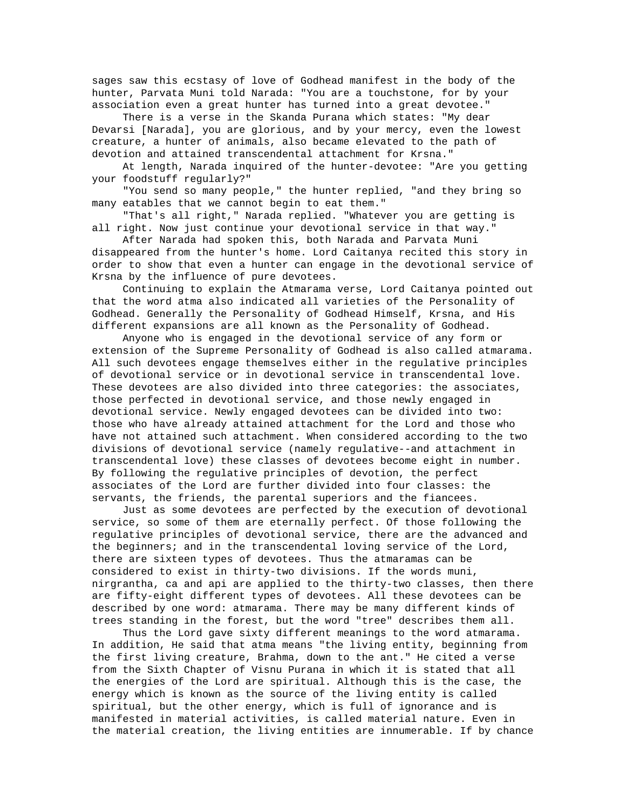sages saw this ecstasy of love of Godhead manifest in the body of the hunter, Parvata Muni told Narada: "You are a touchstone, for by your association even a great hunter has turned into a great devotee."

 There is a verse in the Skanda Purana which states: "My dear Devarsi [Narada], you are glorious, and by your mercy, even the lowest creature, a hunter of animals, also became elevated to the path of devotion and attained transcendental attachment for Krsna."

 At length, Narada inquired of the hunter-devotee: "Are you getting your foodstuff regularly?"

 "You send so many people," the hunter replied, "and they bring so many eatables that we cannot begin to eat them."

 "That's all right," Narada replied. "Whatever you are getting is all right. Now just continue your devotional service in that way."

 After Narada had spoken this, both Narada and Parvata Muni disappeared from the hunter's home. Lord Caitanya recited this story in order to show that even a hunter can engage in the devotional service of Krsna by the influence of pure devotees.

 Continuing to explain the Atmarama verse, Lord Caitanya pointed out that the word atma also indicated all varieties of the Personality of Godhead. Generally the Personality of Godhead Himself, Krsna, and His different expansions are all known as the Personality of Godhead.

 Anyone who is engaged in the devotional service of any form or extension of the Supreme Personality of Godhead is also called atmarama. All such devotees engage themselves either in the regulative principles of devotional service or in devotional service in transcendental love. These devotees are also divided into three categories: the associates, those perfected in devotional service, and those newly engaged in devotional service. Newly engaged devotees can be divided into two: those who have already attained attachment for the Lord and those who have not attained such attachment. When considered according to the two divisions of devotional service (namely regulative--and attachment in transcendental love) these classes of devotees become eight in number. By following the regulative principles of devotion, the perfect associates of the Lord are further divided into four classes: the servants, the friends, the parental superiors and the fiancees.

 Just as some devotees are perfected by the execution of devotional service, so some of them are eternally perfect. Of those following the regulative principles of devotional service, there are the advanced and the beginners; and in the transcendental loving service of the Lord, there are sixteen types of devotees. Thus the atmaramas can be considered to exist in thirty-two divisions. If the words muni, nirgrantha, ca and api are applied to the thirty-two classes, then there are fifty-eight different types of devotees. All these devotees can be described by one word: atmarama. There may be many different kinds of trees standing in the forest, but the word "tree" describes them all.

 Thus the Lord gave sixty different meanings to the word atmarama. In addition, He said that atma means "the living entity, beginning from the first living creature, Brahma, down to the ant." He cited a verse from the Sixth Chapter of Visnu Purana in which it is stated that all the energies of the Lord are spiritual. Although this is the case, the energy which is known as the source of the living entity is called spiritual, but the other energy, which is full of ignorance and is manifested in material activities, is called material nature. Even in the material creation, the living entities are innumerable. If by chance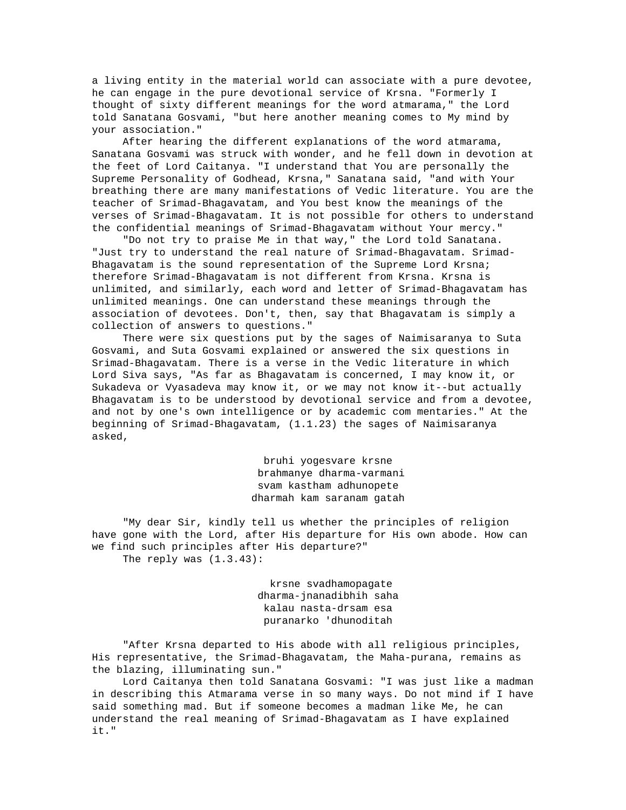a living entity in the material world can associate with a pure devotee, he can engage in the pure devotional service of Krsna. "Formerly I thought of sixty different meanings for the word atmarama," the Lord told Sanatana Gosvami, "but here another meaning comes to My mind by your association."

 After hearing the different explanations of the word atmarama, Sanatana Gosvami was struck with wonder, and he fell down in devotion at the feet of Lord Caitanya. "I understand that You are personally the Supreme Personality of Godhead, Krsna," Sanatana said, "and with Your breathing there are many manifestations of Vedic literature. You are the teacher of Srimad-Bhagavatam, and You best know the meanings of the verses of Srimad-Bhagavatam. It is not possible for others to understand the confidential meanings of Srimad-Bhagavatam without Your mercy."

 "Do not try to praise Me in that way," the Lord told Sanatana. "Just try to understand the real nature of Srimad-Bhagavatam. Srimad-Bhagavatam is the sound representation of the Supreme Lord Krsna; therefore Srimad-Bhagavatam is not different from Krsna. Krsna is unlimited, and similarly, each word and letter of Srimad-Bhagavatam has unlimited meanings. One can understand these meanings through the association of devotees. Don't, then, say that Bhagavatam is simply a collection of answers to questions."

 There were six questions put by the sages of Naimisaranya to Suta Gosvami, and Suta Gosvami explained or answered the six questions in Srimad-Bhagavatam. There is a verse in the Vedic literature in which Lord Siva says, "As far as Bhagavatam is concerned, I may know it, or Sukadeva or Vyasadeva may know it, or we may not know it--but actually Bhagavatam is to be understood by devotional service and from a devotee, and not by one's own intelligence or by academic com mentaries." At the beginning of Srimad-Bhagavatam, (1.1.23) the sages of Naimisaranya asked,

> bruhi yogesvare krsne brahmanye dharma-varmani svam kastham adhunopete dharmah kam saranam gatah

 "My dear Sir, kindly tell us whether the principles of religion have gone with the Lord, after His departure for His own abode. How can we find such principles after His departure?"

The reply was  $(1.3.43)$ :

 krsne svadhamopagate dharma-jnanadibhih saha kalau nasta-drsam esa puranarko 'dhunoditah

 "After Krsna departed to His abode with all religious principles, His representative, the Srimad-Bhagavatam, the Maha-purana, remains as the blazing, illuminating sun."

 Lord Caitanya then told Sanatana Gosvami: "I was just like a madman in describing this Atmarama verse in so many ways. Do not mind if I have said something mad. But if someone becomes a madman like Me, he can understand the real meaning of Srimad-Bhagavatam as I have explained it."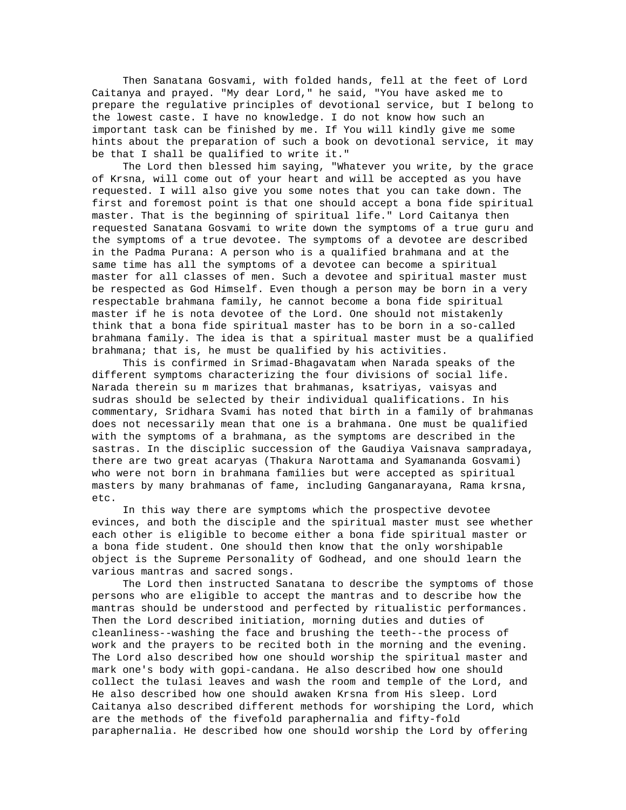Then Sanatana Gosvami, with folded hands, fell at the feet of Lord Caitanya and prayed. "My dear Lord," he said, "You have asked me to prepare the regulative principles of devotional service, but I belong to the lowest caste. I have no knowledge. I do not know how such an important task can be finished by me. If You will kindly give me some hints about the preparation of such a book on devotional service, it may be that I shall be qualified to write it."

 The Lord then blessed him saying, "Whatever you write, by the grace of Krsna, will come out of your heart and will be accepted as you have requested. I will also give you some notes that you can take down. The first and foremost point is that one should accept a bona fide spiritual master. That is the beginning of spiritual life." Lord Caitanya then requested Sanatana Gosvami to write down the symptoms of a true guru and the symptoms of a true devotee. The symptoms of a devotee are described in the Padma Purana: A person who is a qualified brahmana and at the same time has all the symptoms of a devotee can become a spiritual master for all classes of men. Such a devotee and spiritual master must be respected as God Himself. Even though a person may be born in a very respectable brahmana family, he cannot become a bona fide spiritual master if he is nota devotee of the Lord. One should not mistakenly think that a bona fide spiritual master has to be born in a so-called brahmana family. The idea is that a spiritual master must be a qualified brahmana; that is, he must be qualified by his activities.

 This is confirmed in Srimad-Bhagavatam when Narada speaks of the different symptoms characterizing the four divisions of social life. Narada therein su m marizes that brahmanas, ksatriyas, vaisyas and sudras should be selected by their individual qualifications. In his commentary, Sridhara Svami has noted that birth in a family of brahmanas does not necessarily mean that one is a brahmana. One must be qualified with the symptoms of a brahmana, as the symptoms are described in the sastras. In the disciplic succession of the Gaudiya Vaisnava sampradaya, there are two great acaryas (Thakura Narottama and Syamananda Gosvami) who were not born in brahmana families but were accepted as spiritual masters by many brahmanas of fame, including Ganganarayana, Rama krsna, etc.

 In this way there are symptoms which the prospective devotee evinces, and both the disciple and the spiritual master must see whether each other is eligible to become either a bona fide spiritual master or a bona fide student. One should then know that the only worshipable object is the Supreme Personality of Godhead, and one should learn the various mantras and sacred songs.

 The Lord then instructed Sanatana to describe the symptoms of those persons who are eligible to accept the mantras and to describe how the mantras should be understood and perfected by ritualistic performances. Then the Lord described initiation, morning duties and duties of cleanliness--washing the face and brushing the teeth--the process of work and the prayers to be recited both in the morning and the evening. The Lord also described how one should worship the spiritual master and mark one's body with gopi-candana. He also described how one should collect the tulasi leaves and wash the room and temple of the Lord, and He also described how one should awaken Krsna from His sleep. Lord Caitanya also described different methods for worshiping the Lord, which are the methods of the fivefold paraphernalia and fifty-fold paraphernalia. He described how one should worship the Lord by offering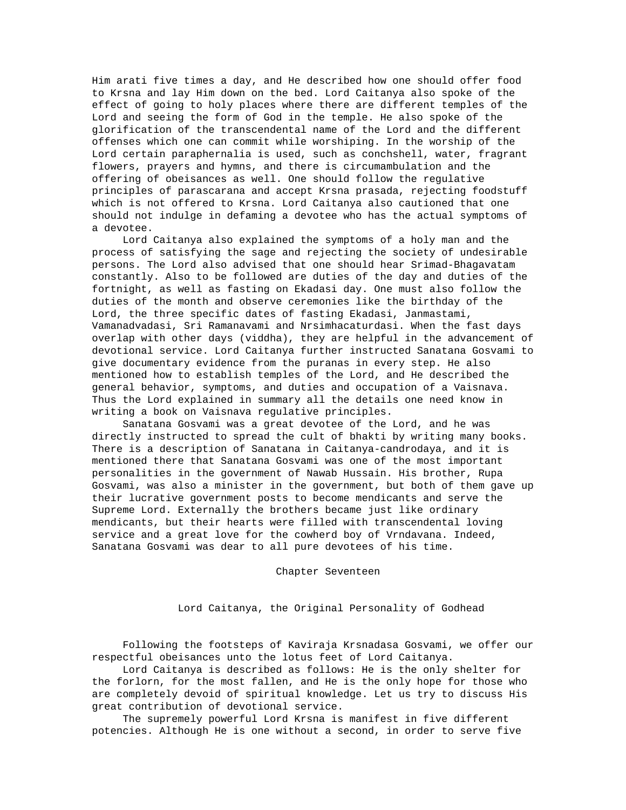Him arati five times a day, and He described how one should offer food to Krsna and lay Him down on the bed. Lord Caitanya also spoke of the effect of going to holy places where there are different temples of the Lord and seeing the form of God in the temple. He also spoke of the glorification of the transcendental name of the Lord and the different offenses which one can commit while worshiping. In the worship of the Lord certain paraphernalia is used, such as conchshell, water, fragrant flowers, prayers and hymns, and there is circumambulation and the offering of obeisances as well. One should follow the regulative principles of parascarana and accept Krsna prasada, rejecting foodstuff which is not offered to Krsna. Lord Caitanya also cautioned that one should not indulge in defaming a devotee who has the actual symptoms of a devotee.

 Lord Caitanya also explained the symptoms of a holy man and the process of satisfying the sage and rejecting the society of undesirable persons. The Lord also advised that one should hear Srimad-Bhagavatam constantly. Also to be followed are duties of the day and duties of the fortnight, as well as fasting on Ekadasi day. One must also follow the duties of the month and observe ceremonies like the birthday of the Lord, the three specific dates of fasting Ekadasi, Janmastami, Vamanadvadasi, Sri Ramanavami and Nrsimhacaturdasi. When the fast days overlap with other days (viddha), they are helpful in the advancement of devotional service. Lord Caitanya further instructed Sanatana Gosvami to give documentary evidence from the puranas in every step. He also mentioned how to establish temples of the Lord, and He described the general behavior, symptoms, and duties and occupation of a Vaisnava. Thus the Lord explained in summary all the details one need know in writing a book on Vaisnava regulative principles.

 Sanatana Gosvami was a great devotee of the Lord, and he was directly instructed to spread the cult of bhakti by writing many books. There is a description of Sanatana in Caitanya-candrodaya, and it is mentioned there that Sanatana Gosvami was one of the most important personalities in the government of Nawab Hussain. His brother, Rupa Gosvami, was also a minister in the government, but both of them gave up their lucrative government posts to become mendicants and serve the Supreme Lord. Externally the brothers became just like ordinary mendicants, but their hearts were filled with transcendental loving service and a great love for the cowherd boy of Vrndavana. Indeed, Sanatana Gosvami was dear to all pure devotees of his time.

Chapter Seventeen

Lord Caitanya, the Original Personality of Godhead

 Following the footsteps of Kaviraja Krsnadasa Gosvami, we offer our respectful obeisances unto the lotus feet of Lord Caitanya.

 Lord Caitanya is described as follows: He is the only shelter for the forlorn, for the most fallen, and He is the only hope for those who are completely devoid of spiritual knowledge. Let us try to discuss His great contribution of devotional service.

 The supremely powerful Lord Krsna is manifest in five different potencies. Although He is one without a second, in order to serve five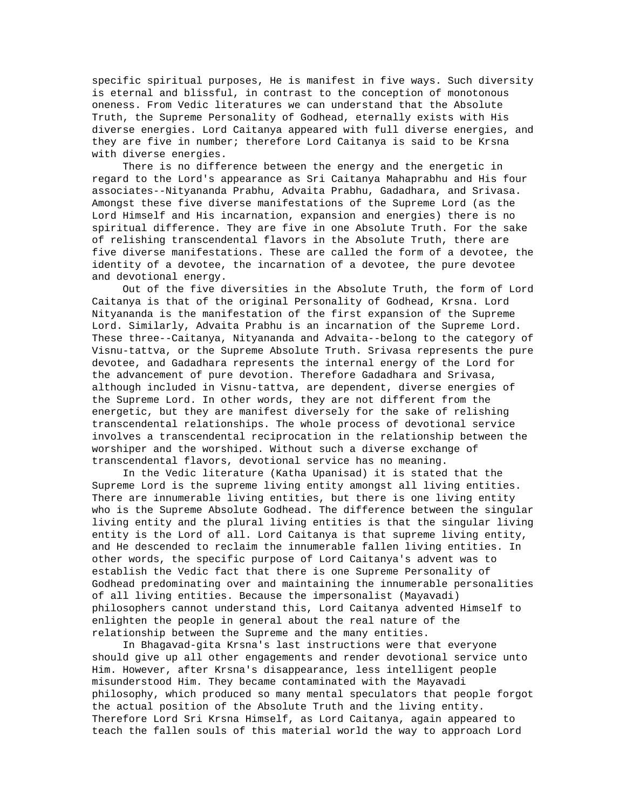specific spiritual purposes, He is manifest in five ways. Such diversity is eternal and blissful, in contrast to the conception of monotonous oneness. From Vedic literatures we can understand that the Absolute Truth, the Supreme Personality of Godhead, eternally exists with His diverse energies. Lord Caitanya appeared with full diverse energies, and they are five in number; therefore Lord Caitanya is said to be Krsna with diverse energies.

 There is no difference between the energy and the energetic in regard to the Lord's appearance as Sri Caitanya Mahaprabhu and His four associates--Nityananda Prabhu, Advaita Prabhu, Gadadhara, and Srivasa. Amongst these five diverse manifestations of the Supreme Lord (as the Lord Himself and His incarnation, expansion and energies) there is no spiritual difference. They are five in one Absolute Truth. For the sake of relishing transcendental flavors in the Absolute Truth, there are five diverse manifestations. These are called the form of a devotee, the identity of a devotee, the incarnation of a devotee, the pure devotee and devotional energy.

 Out of the five diversities in the Absolute Truth, the form of Lord Caitanya is that of the original Personality of Godhead, Krsna. Lord Nityananda is the manifestation of the first expansion of the Supreme Lord. Similarly, Advaita Prabhu is an incarnation of the Supreme Lord. These three--Caitanya, Nityananda and Advaita--belong to the category of Visnu-tattva, or the Supreme Absolute Truth. Srivasa represents the pure devotee, and Gadadhara represents the internal energy of the Lord for the advancement of pure devotion. Therefore Gadadhara and Srivasa, although included in Visnu-tattva, are dependent, diverse energies of the Supreme Lord. In other words, they are not different from the energetic, but they are manifest diversely for the sake of relishing transcendental relationships. The whole process of devotional service involves a transcendental reciprocation in the relationship between the worshiper and the worshiped. Without such a diverse exchange of transcendental flavors, devotional service has no meaning.

 In the Vedic literature (Katha Upanisad) it is stated that the Supreme Lord is the supreme living entity amongst all living entities. There are innumerable living entities, but there is one living entity who is the Supreme Absolute Godhead. The difference between the singular living entity and the plural living entities is that the singular living entity is the Lord of all. Lord Caitanya is that supreme living entity, and He descended to reclaim the innumerable fallen living entities. In other words, the specific purpose of Lord Caitanya's advent was to establish the Vedic fact that there is one Supreme Personality of Godhead predominating over and maintaining the innumerable personalities of all living entities. Because the impersonalist (Mayavadi) philosophers cannot understand this, Lord Caitanya advented Himself to enlighten the people in general about the real nature of the relationship between the Supreme and the many entities.

 In Bhagavad-gita Krsna's last instructions were that everyone should give up all other engagements and render devotional service unto Him. However, after Krsna's disappearance, less intelligent people misunderstood Him. They became contaminated with the Mayavadi philosophy, which produced so many mental speculators that people forgot the actual position of the Absolute Truth and the living entity. Therefore Lord Sri Krsna Himself, as Lord Caitanya, again appeared to teach the fallen souls of this material world the way to approach Lord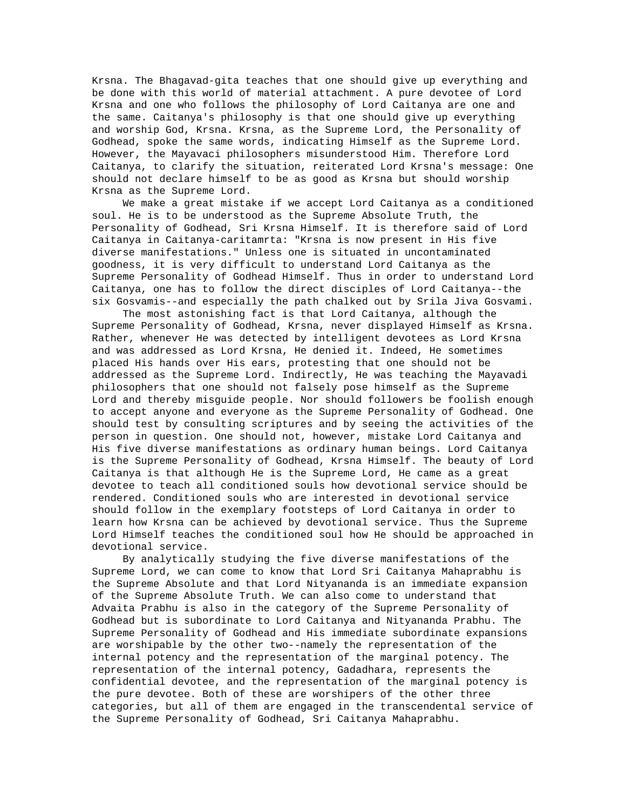Krsna. The Bhagavad-gita teaches that one should give up everything and be done with this world of material attachment. A pure devotee of Lord Krsna and one who follows the philosophy of Lord Caitanya are one and the same. Caitanya's philosophy is that one should give up everything and worship God, Krsna. Krsna, as the Supreme Lord, the Personality of Godhead, spoke the same words, indicating Himself as the Supreme Lord. However, the Mayavaci philosophers misunderstood Him. Therefore Lord Caitanya, to clarify the situation, reiterated Lord Krsna's message: One should not declare himself to be as good as Krsna but should worship Krsna as the Supreme Lord.

 We make a great mistake if we accept Lord Caitanya as a conditioned soul. He is to be understood as the Supreme Absolute Truth, the Personality of Godhead, Sri Krsna Himself. It is therefore said of Lord Caitanya in Caitanya-caritamrta: "Krsna is now present in His five diverse manifestations." Unless one is situated in uncontaminated goodness, it is very difficult to understand Lord Caitanya as the Supreme Personality of Godhead Himself. Thus in order to understand Lord Caitanya, one has to follow the direct disciples of Lord Caitanya--the six Gosvamis--and especially the path chalked out by Srila Jiva Gosvami.

 The most astonishing fact is that Lord Caitanya, although the Supreme Personality of Godhead, Krsna, never displayed Himself as Krsna. Rather, whenever He was detected by intelligent devotees as Lord Krsna and was addressed as Lord Krsna, He denied it. Indeed, He sometimes placed His hands over His ears, protesting that one should not be addressed as the Supreme Lord. Indirectly, He was teaching the Mayavadi philosophers that one should not falsely pose himself as the Supreme Lord and thereby misguide people. Nor should followers be foolish enough to accept anyone and everyone as the Supreme Personality of Godhead. One should test by consulting scriptures and by seeing the activities of the person in question. One should not, however, mistake Lord Caitanya and His five diverse manifestations as ordinary human beings. Lord Caitanya is the Supreme Personality of Godhead, Krsna Himself. The beauty of Lord Caitanya is that although He is the Supreme Lord, He came as a great devotee to teach all conditioned souls how devotional service should be rendered. Conditioned souls who are interested in devotional service should follow in the exemplary footsteps of Lord Caitanya in order to learn how Krsna can be achieved by devotional service. Thus the Supreme Lord Himself teaches the conditioned soul how He should be approached in devotional service.

 By analytically studying the five diverse manifestations of the Supreme Lord, we can come to know that Lord Sri Caitanya Mahaprabhu is the Supreme Absolute and that Lord Nityananda is an immediate expansion of the Supreme Absolute Truth. We can also come to understand that Advaita Prabhu is also in the category of the Supreme Personality of Godhead but is subordinate to Lord Caitanya and Nityananda Prabhu. The Supreme Personality of Godhead and His immediate subordinate expansions are worshipable by the other two--namely the representation of the internal potency and the representation of the marginal potency. The representation of the internal potency, Gadadhara, represents the confidential devotee, and the representation of the marginal potency is the pure devotee. Both of these are worshipers of the other three categories, but all of them are engaged in the transcendental service of the Supreme Personality of Godhead, Sri Caitanya Mahaprabhu.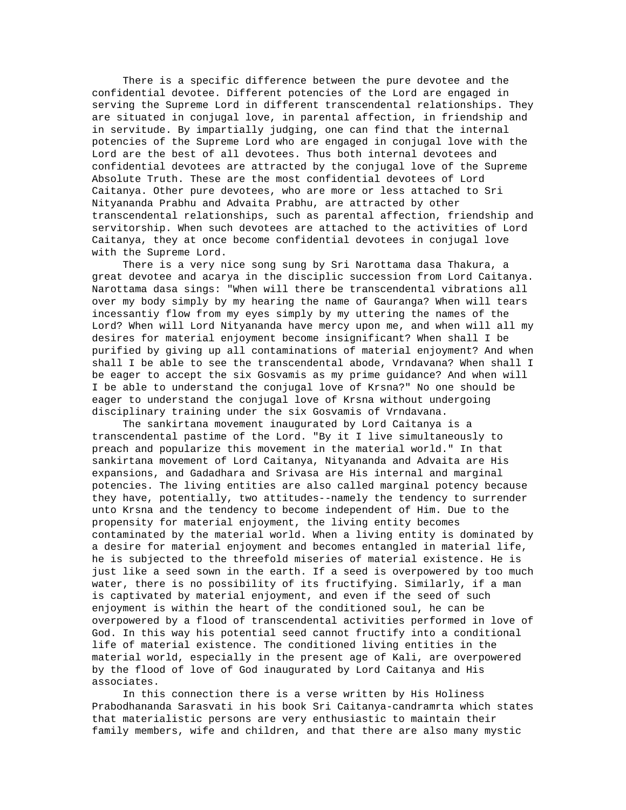There is a specific difference between the pure devotee and the confidential devotee. Different potencies of the Lord are engaged in serving the Supreme Lord in different transcendental relationships. They are situated in conjugal love, in parental affection, in friendship and in servitude. By impartially judging, one can find that the internal potencies of the Supreme Lord who are engaged in conjugal love with the Lord are the best of all devotees. Thus both internal devotees and confidential devotees are attracted by the conjugal love of the Supreme Absolute Truth. These are the most confidential devotees of Lord Caitanya. Other pure devotees, who are more or less attached to Sri Nityananda Prabhu and Advaita Prabhu, are attracted by other transcendental relationships, such as parental affection, friendship and servitorship. When such devotees are attached to the activities of Lord Caitanya, they at once become confidential devotees in conjugal love with the Supreme Lord.

 There is a very nice song sung by Sri Narottama dasa Thakura, a great devotee and acarya in the disciplic succession from Lord Caitanya. Narottama dasa sings: "When will there be transcendental vibrations all over my body simply by my hearing the name of Gauranga? When will tears incessantiy flow from my eyes simply by my uttering the names of the Lord? When will Lord Nityananda have mercy upon me, and when will all my desires for material enjoyment become insignificant? When shall I be purified by giving up all contaminations of material enjoyment? And when shall I be able to see the transcendental abode, Vrndavana? When shall I be eager to accept the six Gosvamis as my prime guidance? And when will I be able to understand the conjugal love of Krsna?" No one should be eager to understand the conjugal love of Krsna without undergoing disciplinary training under the six Gosvamis of Vrndavana.

 The sankirtana movement inaugurated by Lord Caitanya is a transcendental pastime of the Lord. "By it I live simultaneously to preach and popularize this movement in the material world." In that sankirtana movement of Lord Caitanya, Nityananda and Advaita are His expansions, and Gadadhara and Srivasa are His internal and marginal potencies. The living entities are also called marginal potency because they have, potentially, two attitudes--namely the tendency to surrender unto Krsna and the tendency to become independent of Him. Due to the propensity for material enjoyment, the living entity becomes contaminated by the material world. When a living entity is dominated by a desire for material enjoyment and becomes entangled in material life, he is subjected to the threefold miseries of material existence. He is just like a seed sown in the earth. If a seed is overpowered by too much water, there is no possibility of its fructifying. Similarly, if a man is captivated by material enjoyment, and even if the seed of such enjoyment is within the heart of the conditioned soul, he can be overpowered by a flood of transcendental activities performed in love of God. In this way his potential seed cannot fructify into a conditional life of material existence. The conditioned living entities in the material world, especially in the present age of Kali, are overpowered by the flood of love of God inaugurated by Lord Caitanya and His associates.

 In this connection there is a verse written by His Holiness Prabodhananda Sarasvati in his book Sri Caitanya-candramrta which states that materialistic persons are very enthusiastic to maintain their family members, wife and children, and that there are also many mystic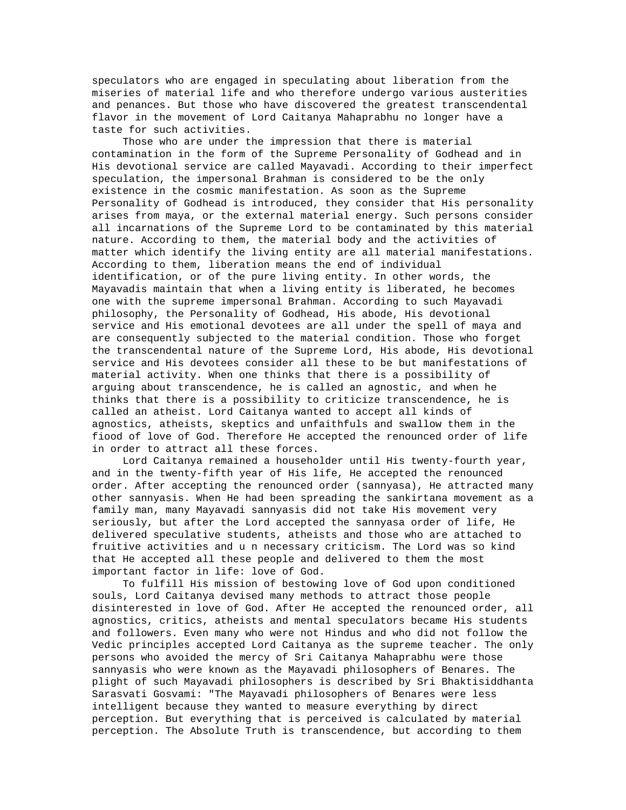speculators who are engaged in speculating about liberation from the miseries of material life and who therefore undergo various austerities and penances. But those who have discovered the greatest transcendental flavor in the movement of Lord Caitanya Mahaprabhu no longer have a taste for such activities.

 Those who are under the impression that there is material contamination in the form of the Supreme Personality of Godhead and in His devotional service are called Mayavadi. According to their imperfect speculation, the impersonal Brahman is considered to be the only existence in the cosmic manifestation. As soon as the Supreme Personality of Godhead is introduced, they consider that His personality arises from maya, or the external material energy. Such persons consider all incarnations of the Supreme Lord to be contaminated by this material nature. According to them, the material body and the activities of matter which identify the living entity are all material manifestations. According to them, liberation means the end of individual identification, or of the pure living entity. In other words, the Mayavadis maintain that when a living entity is liberated, he becomes one with the supreme impersonal Brahman. According to such Mayavadi philosophy, the Personality of Godhead, His abode, His devotional service and His emotional devotees are all under the spell of maya and are consequently subjected to the material condition. Those who forget the transcendental nature of the Supreme Lord, His abode, His devotional service and His devotees consider all these to be but manifestations of material activity. When one thinks that there is a possibility of arguing about transcendence, he is called an agnostic, and when he thinks that there is a possibility to criticize transcendence, he is called an atheist. Lord Caitanya wanted to accept all kinds of agnostics, atheists, skeptics and unfaithfuls and swallow them in the fiood of love of God. Therefore He accepted the renounced order of life in order to attract all these forces.

 Lord Caitanya remained a householder until His twenty-fourth year, and in the twenty-fifth year of His life, He accepted the renounced order. After accepting the renounced order (sannyasa), He attracted many other sannyasis. When He had been spreading the sankirtana movement as a family man, many Mayavadi sannyasis did not take His movement very seriously, but after the Lord accepted the sannyasa order of life, He delivered speculative students, atheists and those who are attached to fruitive activities and u n necessary criticism. The Lord was so kind that He accepted all these people and delivered to them the most important factor in life: love of God.

 To fulfill His mission of bestowing love of God upon conditioned souls, Lord Caitanya devised many methods to attract those people disinterested in love of God. After He accepted the renounced order, all agnostics, critics, atheists and mental speculators became His students and followers. Even many who were not Hindus and who did not follow the Vedic principles accepted Lord Caitanya as the supreme teacher. The only persons who avoided the mercy of Sri Caitanya Mahaprabhu were those sannyasis who were known as the Mayavadi philosophers of Benares. The plight of such Mayavadi philosophers is described by Sri Bhaktisiddhanta Sarasvati Gosvami: "The Mayavadi philosophers of Benares were less intelligent because they wanted to measure everything by direct perception. But everything that is perceived is calculated by material perception. The Absolute Truth is transcendence, but according to them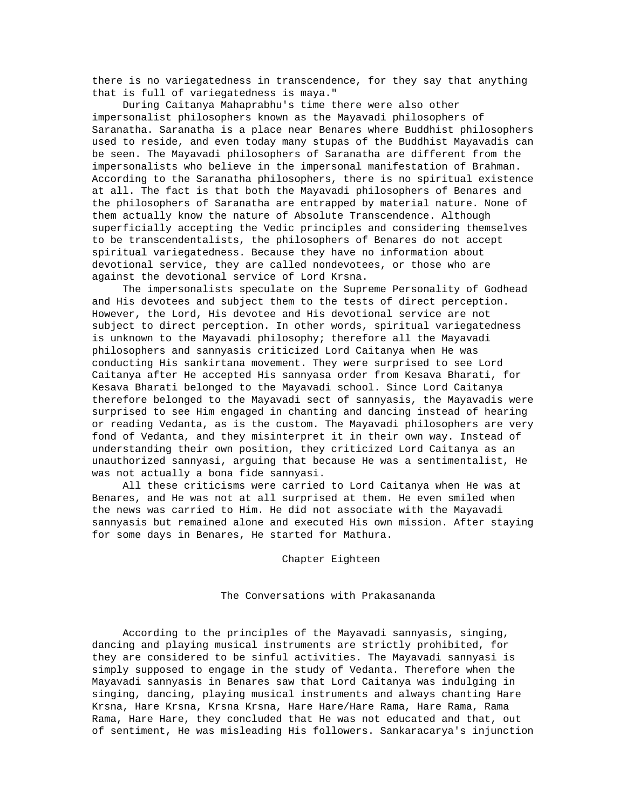there is no variegatedness in transcendence, for they say that anything that is full of variegatedness is maya."

 During Caitanya Mahaprabhu's time there were also other impersonalist philosophers known as the Mayavadi philosophers of Saranatha. Saranatha is a place near Benares where Buddhist philosophers used to reside, and even today many stupas of the Buddhist Mayavadis can be seen. The Mayavadi philosophers of Saranatha are different from the impersonalists who believe in the impersonal manifestation of Brahman. According to the Saranatha philosophers, there is no spiritual existence at all. The fact is that both the Mayavadi philosophers of Benares and the philosophers of Saranatha are entrapped by material nature. None of them actually know the nature of Absolute Transcendence. Although superficially accepting the Vedic principles and considering themselves to be transcendentalists, the philosophers of Benares do not accept spiritual variegatedness. Because they have no information about devotional service, they are called nondevotees, or those who are against the devotional service of Lord Krsna.

 The impersonalists speculate on the Supreme Personality of Godhead and His devotees and subject them to the tests of direct perception. However, the Lord, His devotee and His devotional service are not subject to direct perception. In other words, spiritual variegatedness is unknown to the Mayavadi philosophy; therefore all the Mayavadi philosophers and sannyasis criticized Lord Caitanya when He was conducting His sankirtana movement. They were surprised to see Lord Caitanya after He accepted His sannyasa order from Kesava Bharati, for Kesava Bharati belonged to the Mayavadi school. Since Lord Caitanya therefore belonged to the Mayavadi sect of sannyasis, the Mayavadis were surprised to see Him engaged in chanting and dancing instead of hearing or reading Vedanta, as is the custom. The Mayavadi philosophers are very fond of Vedanta, and they misinterpret it in their own way. Instead of understanding their own position, they criticized Lord Caitanya as an unauthorized sannyasi, arguing that because He was a sentimentalist, He was not actually a bona fide sannyasi.

 All these criticisms were carried to Lord Caitanya when He was at Benares, and He was not at all surprised at them. He even smiled when the news was carried to Him. He did not associate with the Mayavadi sannyasis but remained alone and executed His own mission. After staying for some days in Benares, He started for Mathura.

Chapter Eighteen

## The Conversations with Prakasananda

 According to the principles of the Mayavadi sannyasis, singing, dancing and playing musical instruments are strictly prohibited, for they are considered to be sinful activities. The Mayavadi sannyasi is simply supposed to engage in the study of Vedanta. Therefore when the Mayavadi sannyasis in Benares saw that Lord Caitanya was indulging in singing, dancing, playing musical instruments and always chanting Hare Krsna, Hare Krsna, Krsna Krsna, Hare Hare/Hare Rama, Hare Rama, Rama Rama, Hare Hare, they concluded that He was not educated and that, out of sentiment, He was misleading His followers. Sankaracarya's injunction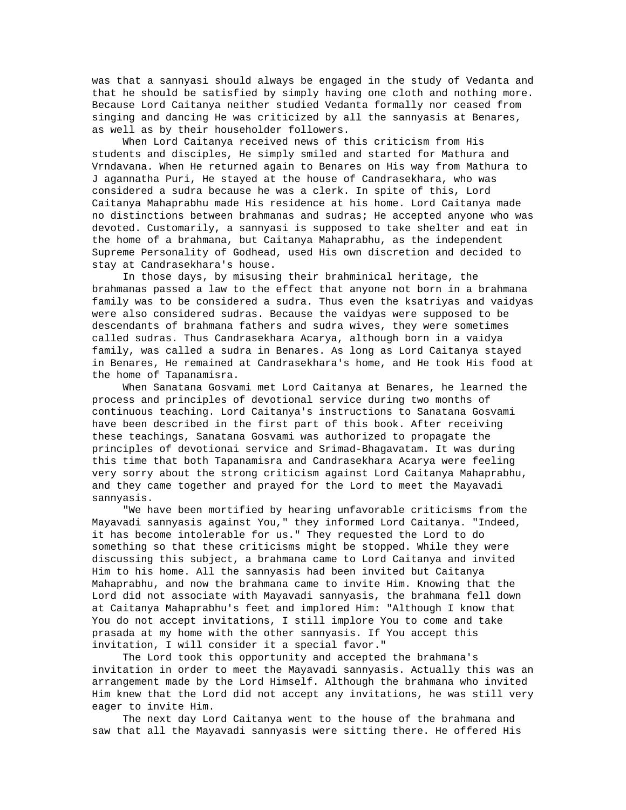was that a sannyasi should always be engaged in the study of Vedanta and that he should be satisfied by simply having one cloth and nothing more. Because Lord Caitanya neither studied Vedanta formally nor ceased from singing and dancing He was criticized by all the sannyasis at Benares, as well as by their householder followers.

 When Lord Caitanya received news of this criticism from His students and disciples, He simply smiled and started for Mathura and Vrndavana. When He returned again to Benares on His way from Mathura to J agannatha Puri, He stayed at the house of Candrasekhara, who was considered a sudra because he was a clerk. In spite of this, Lord Caitanya Mahaprabhu made His residence at his home. Lord Caitanya made no distinctions between brahmanas and sudras; He accepted anyone who was devoted. Customarily, a sannyasi is supposed to take shelter and eat in the home of a brahmana, but Caitanya Mahaprabhu, as the independent Supreme Personality of Godhead, used His own discretion and decided to stay at Candrasekhara's house.

 In those days, by misusing their brahminical heritage, the brahmanas passed a law to the effect that anyone not born in a brahmana family was to be considered a sudra. Thus even the ksatriyas and vaidyas were also considered sudras. Because the vaidyas were supposed to be descendants of brahmana fathers and sudra wives, they were sometimes called sudras. Thus Candrasekhara Acarya, although born in a vaidya family, was called a sudra in Benares. As long as Lord Caitanya stayed in Benares, He remained at Candrasekhara's home, and He took His food at the home of Tapanamisra.

 When Sanatana Gosvami met Lord Caitanya at Benares, he learned the process and principles of devotional service during two months of continuous teaching. Lord Caitanya's instructions to Sanatana Gosvami have been described in the first part of this book. After receiving these teachings, Sanatana Gosvami was authorized to propagate the principles of devotionai service and Srimad-Bhagavatam. It was during this time that both Tapanamisra and Candrasekhara Acarya were feeling very sorry about the strong criticism against Lord Caitanya Mahaprabhu, and they came together and prayed for the Lord to meet the Mayavadi sannyasis.

 "We have been mortified by hearing unfavorable criticisms from the Mayavadi sannyasis against You," they informed Lord Caitanya. "Indeed, it has become intolerable for us." They requested the Lord to do something so that these criticisms might be stopped. While they were discussing this subject, a brahmana came to Lord Caitanya and invited Him to his home. All the sannyasis had been invited but Caitanya Mahaprabhu, and now the brahmana came to invite Him. Knowing that the Lord did not associate with Mayavadi sannyasis, the brahmana fell down at Caitanya Mahaprabhu's feet and implored Him: "Although I know that You do not accept invitations, I still implore You to come and take prasada at my home with the other sannyasis. If You accept this invitation, I will consider it a special favor."

 The Lord took this opportunity and accepted the brahmana's invitation in order to meet the Mayavadi sannyasis. Actually this was an arrangement made by the Lord Himself. Although the brahmana who invited Him knew that the Lord did not accept any invitations, he was still very eager to invite Him.

 The next day Lord Caitanya went to the house of the brahmana and saw that all the Mayavadi sannyasis were sitting there. He offered His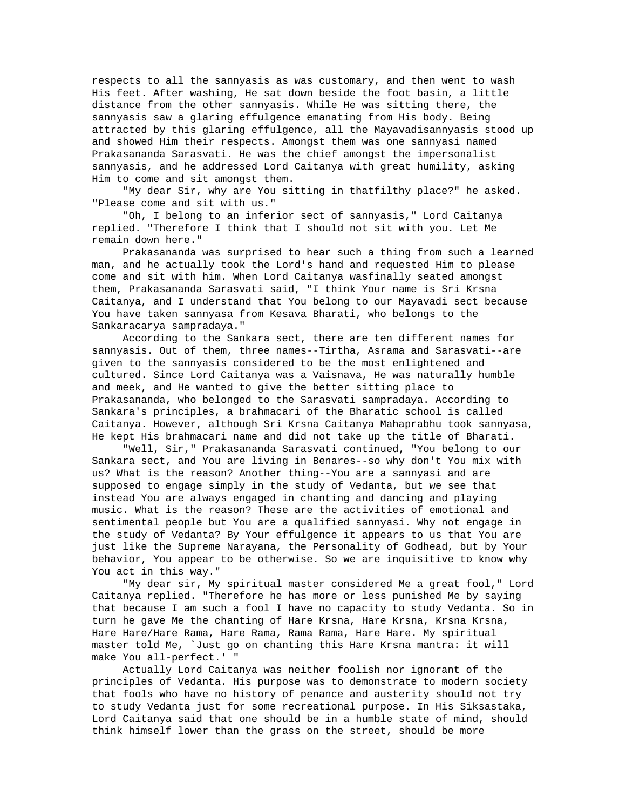respects to all the sannyasis as was customary, and then went to wash His feet. After washing, He sat down beside the foot basin, a little distance from the other sannyasis. While He was sitting there, the sannyasis saw a glaring effulgence emanating from His body. Being attracted by this glaring effulgence, all the Mayavadisannyasis stood up and showed Him their respects. Amongst them was one sannyasi named Prakasananda Sarasvati. He was the chief amongst the impersonalist sannyasis, and he addressed Lord Caitanya with great humility, asking Him to come and sit amongst them.

 "My dear Sir, why are You sitting in thatfilthy place?" he asked. "Please come and sit with us."

 "Oh, I belong to an inferior sect of sannyasis," Lord Caitanya replied. "Therefore I think that I should not sit with you. Let Me remain down here."

 Prakasananda was surprised to hear such a thing from such a learned man, and he actually took the Lord's hand and requested Him to please come and sit with him. When Lord Caitanya wasfinally seated amongst them, Prakasananda Sarasvati said, "I think Your name is Sri Krsna Caitanya, and I understand that You belong to our Mayavadi sect because You have taken sannyasa from Kesava Bharati, who belongs to the Sankaracarya sampradaya."

 According to the Sankara sect, there are ten different names for sannyasis. Out of them, three names--Tirtha, Asrama and Sarasvati--are given to the sannyasis considered to be the most enlightened and cultured. Since Lord Caitanya was a Vaisnava, He was naturally humble and meek, and He wanted to give the better sitting place to Prakasananda, who belonged to the Sarasvati sampradaya. According to Sankara's principles, a brahmacari of the Bharatic school is called Caitanya. However, although Sri Krsna Caitanya Mahaprabhu took sannyasa, He kept His brahmacari name and did not take up the title of Bharati.

 "Well, Sir," Prakasananda Sarasvati continued, "You belong to our Sankara sect, and You are living in Benares--so why don't You mix with us? What is the reason? Another thing--You are a sannyasi and are supposed to engage simply in the study of Vedanta, but we see that instead You are always engaged in chanting and dancing and playing music. What is the reason? These are the activities of emotional and sentimental people but You are a qualified sannyasi. Why not engage in the study of Vedanta? By Your effulgence it appears to us that You are just like the Supreme Narayana, the Personality of Godhead, but by Your behavior, You appear to be otherwise. So we are inquisitive to know why You act in this way."

 "My dear sir, My spiritual master considered Me a great fool," Lord Caitanya replied. "Therefore he has more or less punished Me by saying that because I am such a fool I have no capacity to study Vedanta. So in turn he gave Me the chanting of Hare Krsna, Hare Krsna, Krsna Krsna, Hare Hare/Hare Rama, Hare Rama, Rama Rama, Hare Hare. My spiritual master told Me, `Just go on chanting this Hare Krsna mantra: it will make You all-perfect.' "

 Actually Lord Caitanya was neither foolish nor ignorant of the principles of Vedanta. His purpose was to demonstrate to modern society that fools who have no history of penance and austerity should not try to study Vedanta just for some recreational purpose. In His Siksastaka, Lord Caitanya said that one should be in a humble state of mind, should think himself lower than the grass on the street, should be more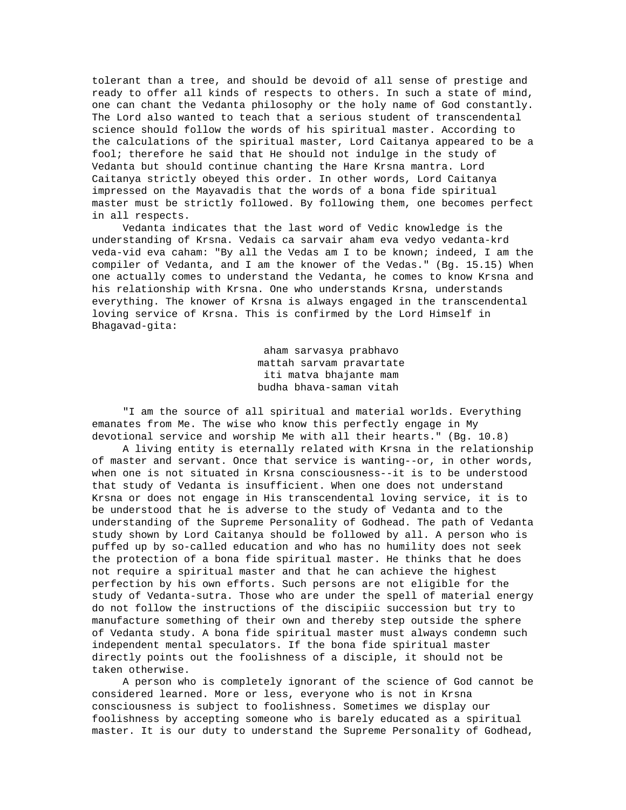tolerant than a tree, and should be devoid of all sense of prestige and ready to offer all kinds of respects to others. In such a state of mind, one can chant the Vedanta philosophy or the holy name of God constantly. The Lord also wanted to teach that a serious student of transcendental science should follow the words of his spiritual master. According to the calculations of the spiritual master, Lord Caitanya appeared to be a fool; therefore he said that He should not indulge in the study of Vedanta but should continue chanting the Hare Krsna mantra. Lord Caitanya strictly obeyed this order. In other words, Lord Caitanya impressed on the Mayavadis that the words of a bona fide spiritual master must be strictly followed. By following them, one becomes perfect in all respects.

 Vedanta indicates that the last word of Vedic knowledge is the understanding of Krsna. Vedais ca sarvair aham eva vedyo vedanta-krd veda-vid eva caham: "By all the Vedas am I to be known; indeed, I am the compiler of Vedanta, and I am the knower of the Vedas." (Bg. 15.15) When one actually comes to understand the Vedanta, he comes to know Krsna and his relationship with Krsna. One who understands Krsna, understands everything. The knower of Krsna is always engaged in the transcendental loving service of Krsna. This is confirmed by the Lord Himself in Bhagavad-gita:

> aham sarvasya prabhavo mattah sarvam pravartate iti matva bhajante mam budha bhava-saman vitah

 "I am the source of all spiritual and material worlds. Everything emanates from Me. The wise who know this perfectly engage in My devotional service and worship Me with all their hearts." (Bg. 10.8)

 A living entity is eternally related with Krsna in the relationship of master and servant. Once that service is wanting--or, in other words, when one is not situated in Krsna consciousness--it is to be understood that study of Vedanta is insufficient. When one does not understand Krsna or does not engage in His transcendental loving service, it is to be understood that he is adverse to the study of Vedanta and to the understanding of the Supreme Personality of Godhead. The path of Vedanta study shown by Lord Caitanya should be followed by all. A person who is puffed up by so-called education and who has no humility does not seek the protection of a bona fide spiritual master. He thinks that he does not require a spiritual master and that he can achieve the highest perfection by his own efforts. Such persons are not eligible for the study of Vedanta-sutra. Those who are under the spell of material energy do not follow the instructions of the discipiic succession but try to manufacture something of their own and thereby step outside the sphere of Vedanta study. A bona fide spiritual master must always condemn such independent mental speculators. If the bona fide spiritual master directly points out the foolishness of a disciple, it should not be taken otherwise.

 A person who is completely ignorant of the science of God cannot be considered learned. More or less, everyone who is not in Krsna consciousness is subject to foolishness. Sometimes we display our foolishness by accepting someone who is barely educated as a spiritual master. It is our duty to understand the Supreme Personality of Godhead,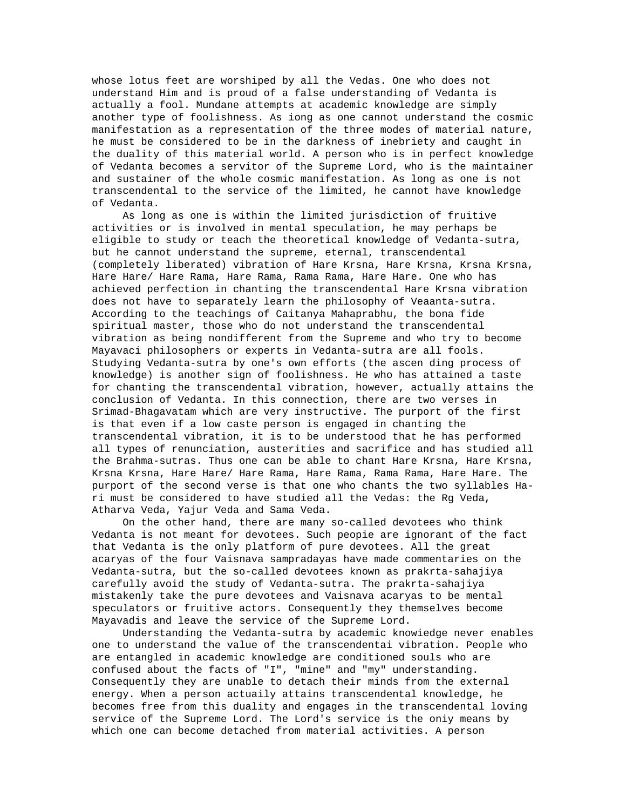whose lotus feet are worshiped by all the Vedas. One who does not understand Him and is proud of a false understanding of Vedanta is actually a fool. Mundane attempts at academic knowledge are simply another type of foolishness. As iong as one cannot understand the cosmic manifestation as a representation of the three modes of material nature, he must be considered to be in the darkness of inebriety and caught in the duality of this material world. A person who is in perfect knowledge of Vedanta becomes a servitor of the Supreme Lord, who is the maintainer and sustainer of the whole cosmic manifestation. As long as one is not transcendental to the service of the limited, he cannot have knowledge of Vedanta.

 As long as one is within the limited jurisdiction of fruitive activities or is involved in mental speculation, he may perhaps be eligible to study or teach the theoretical knowledge of Vedanta-sutra, but he cannot understand the supreme, eternal, transcendental (completely liberated) vibration of Hare Krsna, Hare Krsna, Krsna Krsna, Hare Hare/ Hare Rama, Hare Rama, Rama Rama, Hare Hare. One who has achieved perfection in chanting the transcendental Hare Krsna vibration does not have to separately learn the philosophy of Veaanta-sutra. According to the teachings of Caitanya Mahaprabhu, the bona fide spiritual master, those who do not understand the transcendental vibration as being nondifferent from the Supreme and who try to become Mayavaci philosophers or experts in Vedanta-sutra are all fools. Studying Vedanta-sutra by one's own efforts (the ascen ding process of knowledge) is another sign of foolishness. He who has attained a taste for chanting the transcendental vibration, however, actually attains the conclusion of Vedanta. In this connection, there are two verses in Srimad-Bhagavatam which are very instructive. The purport of the first is that even if a low caste person is engaged in chanting the transcendental vibration, it is to be understood that he has performed all types of renunciation, austerities and sacrifice and has studied all the Brahma-sutras. Thus one can be able to chant Hare Krsna, Hare Krsna, Krsna Krsna, Hare Hare/ Hare Rama, Hare Rama, Rama Rama, Hare Hare. The purport of the second verse is that one who chants the two syllables Hari must be considered to have studied all the Vedas: the Rg Veda, Atharva Veda, Yajur Veda and Sama Veda.

 On the other hand, there are many so-called devotees who think Vedanta is not meant for devotees. Such peopie are ignorant of the fact that Vedanta is the only platform of pure devotees. All the great acaryas of the four Vaisnava sampradayas have made commentaries on the Vedanta-sutra, but the so-called devotees known as prakrta-sahajiya carefully avoid the study of Vedanta-sutra. The prakrta-sahajiya mistakenly take the pure devotees and Vaisnava acaryas to be mental speculators or fruitive actors. Consequently they themselves become Mayavadis and leave the service of the Supreme Lord.

 Understanding the Vedanta-sutra by academic knowiedge never enables one to understand the value of the transcendentai vibration. People who are entangled in academic knowledge are conditioned souls who are confused about the facts of "I", "mine" and "my" understanding. Consequently they are unable to detach their minds from the external energy. When a person actuaily attains transcendental knowledge, he becomes free from this duality and engages in the transcendental loving service of the Supreme Lord. The Lord's service is the oniy means by which one can become detached from material activities. A person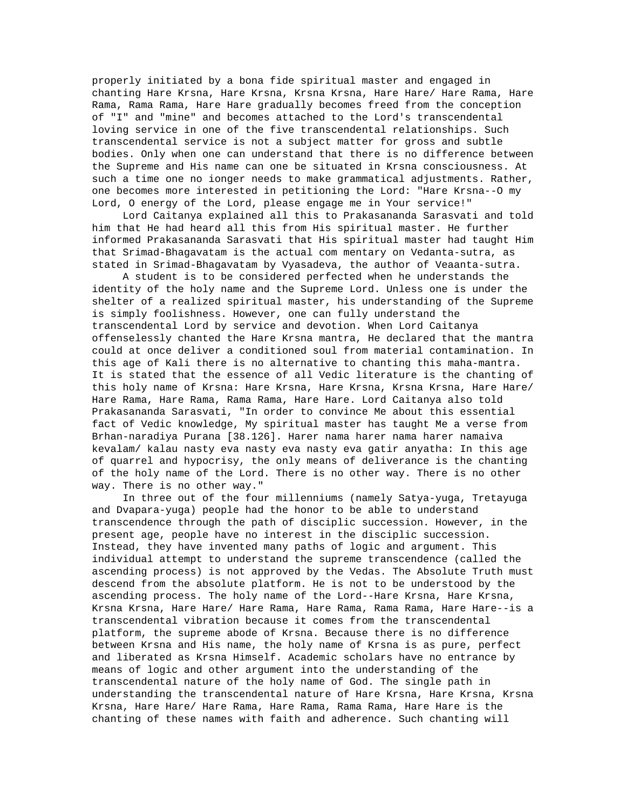properly initiated by a bona fide spiritual master and engaged in chanting Hare Krsna, Hare Krsna, Krsna Krsna, Hare Hare/ Hare Rama, Hare Rama, Rama Rama, Hare Hare gradually becomes freed from the conception of "I" and "mine" and becomes attached to the Lord's transcendental loving service in one of the five transcendental relationships. Such transcendental service is not a subject matter for gross and subtle bodies. Only when one can understand that there is no difference between the Supreme and His name can one be situated in Krsna consciousness. At such a time one no ionger needs to make grammatical adjustments. Rather, one becomes more interested in petitioning the Lord: "Hare Krsna--O my Lord, O energy of the Lord, please engage me in Your service!"

 Lord Caitanya explained all this to Prakasananda Sarasvati and told him that He had heard all this from His spiritual master. He further informed Prakasananda Sarasvati that His spiritual master had taught Him that Srimad-Bhagavatam is the actual com mentary on Vedanta-sutra, as stated in Srimad-Bhagavatam by Vyasadeva, the author of Veaanta-sutra.

 A student is to be considered perfected when he understands the identity of the holy name and the Supreme Lord. Unless one is under the shelter of a realized spiritual master, his understanding of the Supreme is simply foolishness. However, one can fully understand the transcendental Lord by service and devotion. When Lord Caitanya offenselessly chanted the Hare Krsna mantra, He declared that the mantra could at once deliver a conditioned soul from material contamination. In this age of Kali there is no alternative to chanting this maha-mantra. It is stated that the essence of all Vedic literature is the chanting of this holy name of Krsna: Hare Krsna, Hare Krsna, Krsna Krsna, Hare Hare/ Hare Rama, Hare Rama, Rama Rama, Hare Hare. Lord Caitanya also told Prakasananda Sarasvati, "In order to convince Me about this essential fact of Vedic knowledge, My spiritual master has taught Me a verse from Brhan-naradiya Purana [38.126]. Harer nama harer nama harer namaiva kevalam/ kalau nasty eva nasty eva nasty eva gatir anyatha: In this age of quarrel and hypocrisy, the only means of deliverance is the chanting of the holy name of the Lord. There is no other way. There is no other way. There is no other way."

 In three out of the four millenniums (namely Satya-yuga, Tretayuga and Dvapara-yuga) people had the honor to be able to understand transcendence through the path of disciplic succession. However, in the present age, people have no interest in the disciplic succession. Instead, they have invented many paths of logic and argument. This individual attempt to understand the supreme transcendence (called the ascending process) is not approved by the Vedas. The Absolute Truth must descend from the absolute platform. He is not to be understood by the ascending process. The holy name of the Lord--Hare Krsna, Hare Krsna, Krsna Krsna, Hare Hare/ Hare Rama, Hare Rama, Rama Rama, Hare Hare--is a transcendental vibration because it comes from the transcendental platform, the supreme abode of Krsna. Because there is no difference between Krsna and His name, the holy name of Krsna is as pure, perfect and liberated as Krsna Himself. Academic scholars have no entrance by means of logic and other argument into the understanding of the transcendental nature of the holy name of God. The single path in understanding the transcendental nature of Hare Krsna, Hare Krsna, Krsna Krsna, Hare Hare/ Hare Rama, Hare Rama, Rama Rama, Hare Hare is the chanting of these names with faith and adherence. Such chanting will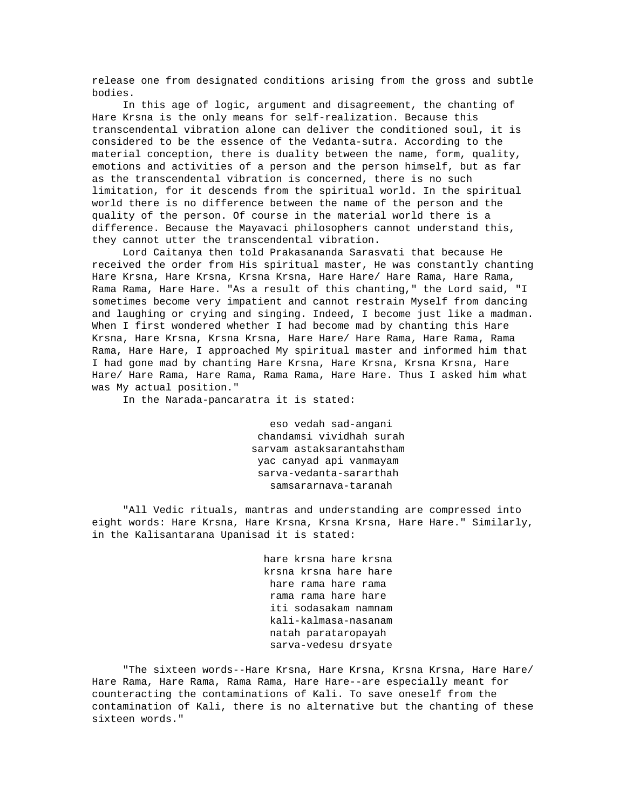release one from designated conditions arising from the gross and subtle bodies.

 In this age of logic, argument and disagreement, the chanting of Hare Krsna is the only means for self-realization. Because this transcendental vibration alone can deliver the conditioned soul, it is considered to be the essence of the Vedanta-sutra. According to the material conception, there is duality between the name, form, quality, emotions and activities of a person and the person himself, but as far as the transcendental vibration is concerned, there is no such limitation, for it descends from the spiritual world. In the spiritual world there is no difference between the name of the person and the quality of the person. Of course in the material world there is a difference. Because the Mayavaci philosophers cannot understand this, they cannot utter the transcendental vibration.

 Lord Caitanya then told Prakasananda Sarasvati that because He received the order from His spiritual master, He was constantly chanting Hare Krsna, Hare Krsna, Krsna Krsna, Hare Hare/ Hare Rama, Hare Rama, Rama Rama, Hare Hare. "As a result of this chanting," the Lord said, "I sometimes become very impatient and cannot restrain Myself from dancing and laughing or crying and singing. Indeed, I become just like a madman. When I first wondered whether I had become mad by chanting this Hare Krsna, Hare Krsna, Krsna Krsna, Hare Hare/ Hare Rama, Hare Rama, Rama Rama, Hare Hare, I approached My spiritual master and informed him that I had gone mad by chanting Hare Krsna, Hare Krsna, Krsna Krsna, Hare Hare/ Hare Rama, Hare Rama, Rama Rama, Hare Hare. Thus I asked him what was My actual position."

In the Narada-pancaratra it is stated:

 eso vedah sad-angani chandamsi vividhah surah sarvam astaksarantahstham yac canyad api vanmayam sarva-vedanta-sararthah samsararnava-taranah

 "All Vedic rituals, mantras and understanding are compressed into eight words: Hare Krsna, Hare Krsna, Krsna Krsna, Hare Hare." Similarly, in the Kalisantarana Upanisad it is stated:

> hare krsna hare krsna krsna krsna hare hare hare rama hare rama rama rama hare hare iti sodasakam namnam kali-kalmasa-nasanam natah parataropayah sarva-vedesu drsyate

 "The sixteen words--Hare Krsna, Hare Krsna, Krsna Krsna, Hare Hare/ Hare Rama, Hare Rama, Rama Rama, Hare Hare--are especially meant for counteracting the contaminations of Kali. To save oneself from the contamination of Kali, there is no alternative but the chanting of these sixteen words."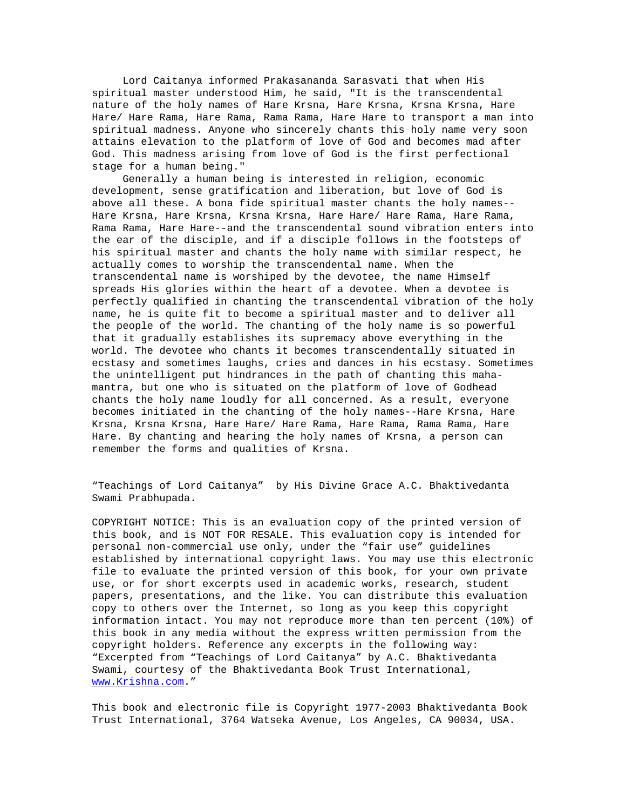Lord Caitanya informed Prakasananda Sarasvati that when His spiritual master understood Him, he said, "It is the transcendental nature of the holy names of Hare Krsna, Hare Krsna, Krsna Krsna, Hare Hare/ Hare Rama, Hare Rama, Rama Rama, Hare Hare to transport a man into spiritual madness. Anyone who sincerely chants this holy name very soon attains elevation to the platform of love of God and becomes mad after God. This madness arising from love of God is the first perfectional stage for a human being."

 Generally a human being is interested in religion, economic development, sense gratification and liberation, but love of God is above all these. A bona fide spiritual master chants the holy names-- Hare Krsna, Hare Krsna, Krsna Krsna, Hare Hare/ Hare Rama, Hare Rama, Rama Rama, Hare Hare--and the transcendental sound vibration enters into the ear of the disciple, and if a disciple follows in the footsteps of his spiritual master and chants the holy name with similar respect, he actually comes to worship the transcendental name. When the transcendental name is worshiped by the devotee, the name Himself spreads His glories within the heart of a devotee. When a devotee is perfectly qualified in chanting the transcendental vibration of the holy name, he is quite fit to become a spiritual master and to deliver all the people of the world. The chanting of the holy name is so powerful that it gradually establishes its supremacy above everything in the world. The devotee who chants it becomes transcendentally situated in ecstasy and sometimes laughs, cries and dances in his ecstasy. Sometimes the unintelligent put hindrances in the path of chanting this mahamantra, but one who is situated on the platform of love of Godhead chants the holy name loudly for all concerned. As a result, everyone becomes initiated in the chanting of the holy names--Hare Krsna, Hare Krsna, Krsna Krsna, Hare Hare/ Hare Rama, Hare Rama, Rama Rama, Hare Hare. By chanting and hearing the holy names of Krsna, a person can remember the forms and qualities of Krsna.

"Teachings of Lord Caitanya" by His Divine Grace A.C. Bhaktivedanta Swami Prabhupada.

COPYRIGHT NOTICE: This is an evaluation copy of the printed version of this book, and is NOT FOR RESALE. This evaluation copy is intended for personal non-commercial use only, under the "fair use" guidelines established by international copyright laws. You may use this electronic file to evaluate the printed version of this book, for your own private use, or for short excerpts used in academic works, research, student papers, presentations, and the like. You can distribute this evaluation copy to others over the Internet, so long as you keep this copyright information intact. You may not reproduce more than ten percent (10%) of this book in any media without the express written permission from the copyright holders. Reference any excerpts in the following way: "Excerpted from "Teachings of Lord Caitanya" by A.C. Bhaktivedanta Swami, courtesy of the Bhaktivedanta Book Trust International, www.Krishna.com ."

This book and electronic file is Copyright 1977-2003 Bhaktivedanta Book Trust International, 3764 Watseka Avenue, Los Angeles, CA 90034, USA.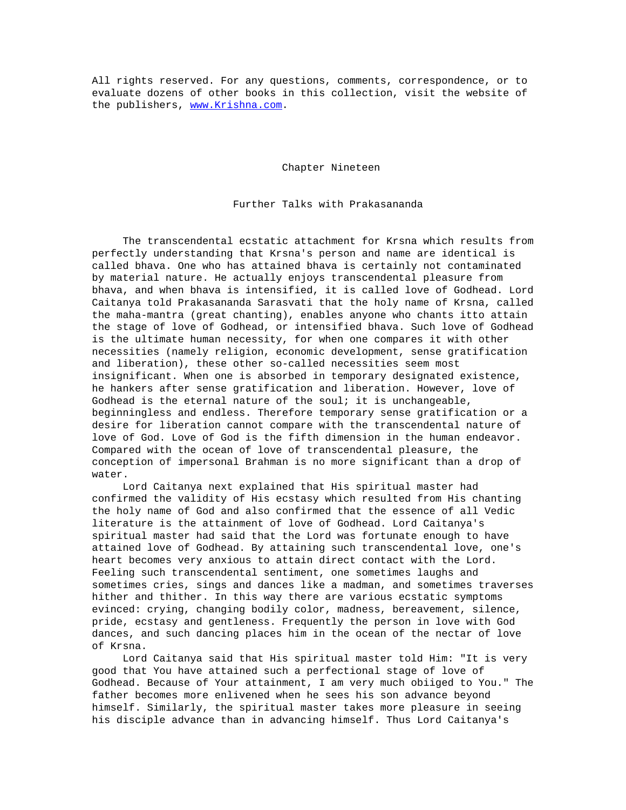All rights reserved. For any questions, comments, correspondence, or to evaluate dozens of other books in this collection, visit the website of the publishers, www.Krishna.com.

Chapter Nineteen

Further Talks with Prakasananda

 The transcendental ecstatic attachment for Krsna which results from perfectly understanding that Krsna's person and name are identical is called bhava. One who has attained bhava is certainly not contaminated by material nature. He actually enjoys transcendental pleasure from bhava, and when bhava is intensified, it is called love of Godhead. Lord Caitanya told Prakasananda Sarasvati that the holy name of Krsna, called the maha-mantra (great chanting), enables anyone who chants itto attain the stage of love of Godhead, or intensified bhava. Such love of Godhead is the ultimate human necessity, for when one compares it with other necessities (namely religion, economic development, sense gratification and liberation), these other so-called necessities seem most insignificant. When one is absorbed in temporary designated existence, he hankers after sense gratification and liberation. However, love of Godhead is the eternal nature of the soul; it is unchangeable, beginningless and endless. Therefore temporary sense gratification or a desire for liberation cannot compare with the transcendental nature of love of God. Love of God is the fifth dimension in the human endeavor. Compared with the ocean of love of transcendental pleasure, the conception of impersonal Brahman is no more significant than a drop of water.

 Lord Caitanya next explained that His spiritual master had confirmed the validity of His ecstasy which resulted from His chanting the holy name of God and also confirmed that the essence of all Vedic literature is the attainment of love of Godhead. Lord Caitanya's spiritual master had said that the Lord was fortunate enough to have attained love of Godhead. By attaining such transcendental love, one's heart becomes very anxious to attain direct contact with the Lord. Feeling such transcendental sentiment, one sometimes laughs and sometimes cries, sings and dances like a madman, and sometimes traverses hither and thither. In this way there are various ecstatic symptoms evinced: crying, changing bodily color, madness, bereavement, silence, pride, ecstasy and gentleness. Frequently the person in love with God dances, and such dancing places him in the ocean of the nectar of love of Krsna.

 Lord Caitanya said that His spiritual master told Him: "It is very good that You have attained such a perfectional stage of love of Godhead. Because of Your attainment, I am very much obiiged to You." The father becomes more enlivened when he sees his son advance beyond himself. Similarly, the spiritual master takes more pleasure in seeing his disciple advance than in advancing himself. Thus Lord Caitanya's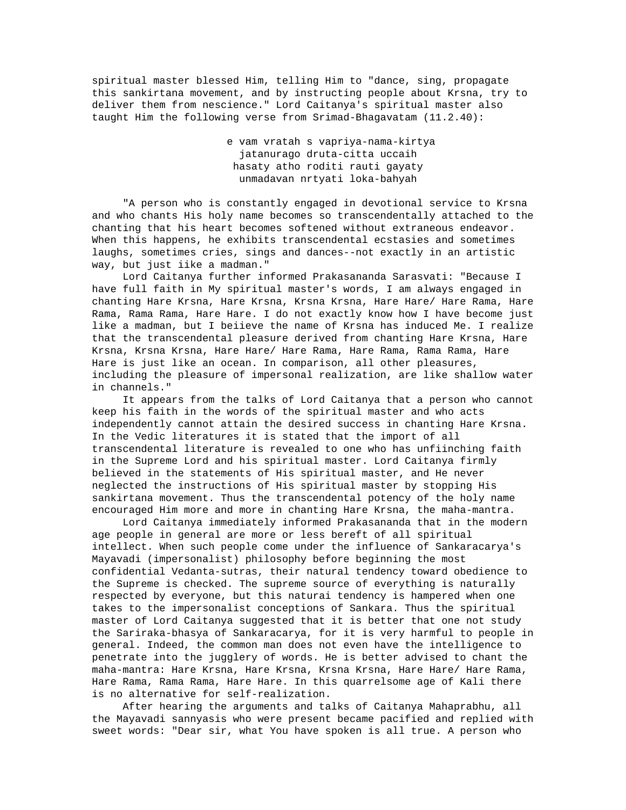spiritual master blessed Him, telling Him to "dance, sing, propagate this sankirtana movement, and by instructing people about Krsna, try to deliver them from nescience." Lord Caitanya's spiritual master also taught Him the following verse from Srimad-Bhagavatam (11.2.40):

> e vam vratah s vapriya-nama-kirtya jatanurago druta-citta uccaih hasaty atho roditi rauti gayaty unmadavan nrtyati loka-bahyah

 "A person who is constantly engaged in devotional service to Krsna and who chants His holy name becomes so transcendentally attached to the chanting that his heart becomes softened without extraneous endeavor. When this happens, he exhibits transcendental ecstasies and sometimes laughs, sometimes cries, sings and dances--not exactly in an artistic way, but just iike a madman."

 Lord Caitanya further informed Prakasananda Sarasvati: "Because I have full faith in My spiritual master's words, I am always engaged in chanting Hare Krsna, Hare Krsna, Krsna Krsna, Hare Hare/ Hare Rama, Hare Rama, Rama Rama, Hare Hare. I do not exactly know how I have become just like a madman, but I beiieve the name of Krsna has induced Me. I realize that the transcendental pleasure derived from chanting Hare Krsna, Hare Krsna, Krsna Krsna, Hare Hare/ Hare Rama, Hare Rama, Rama Rama, Hare Hare is just like an ocean. In comparison, all other pleasures, including the pleasure of impersonal realization, are like shallow water in channels."

 It appears from the talks of Lord Caitanya that a person who cannot keep his faith in the words of the spiritual master and who acts independently cannot attain the desired success in chanting Hare Krsna. In the Vedic literatures it is stated that the import of all transcendental literature is revealed to one who has unfiinching faith in the Supreme Lord and his spiritual master. Lord Caitanya firmly believed in the statements of His spiritual master, and He never neglected the instructions of His spiritual master by stopping His sankirtana movement. Thus the transcendental potency of the holy name encouraged Him more and more in chanting Hare Krsna, the maha-mantra.

 Lord Caitanya immediately informed Prakasananda that in the modern age people in general are more or less bereft of all spiritual intellect. When such people come under the influence of Sankaracarya's Mayavadi (impersonalist) philosophy before beginning the most confidential Vedanta-sutras, their natural tendency toward obedience to the Supreme is checked. The supreme source of everything is naturally respected by everyone, but this naturai tendency is hampered when one takes to the impersonalist conceptions of Sankara. Thus the spiritual master of Lord Caitanya suggested that it is better that one not study the Sariraka-bhasya of Sankaracarya, for it is very harmful to people in general. Indeed, the common man does not even have the intelligence to penetrate into the jugglery of words. He is better advised to chant the maha-mantra: Hare Krsna, Hare Krsna, Krsna Krsna, Hare Hare/ Hare Rama, Hare Rama, Rama Rama, Hare Hare. In this quarrelsome age of Kali there is no alternative for self-realization.

 After hearing the arguments and talks of Caitanya Mahaprabhu, all the Mayavadi sannyasis who were present became pacified and replied with sweet words: "Dear sir, what You have spoken is all true. A person who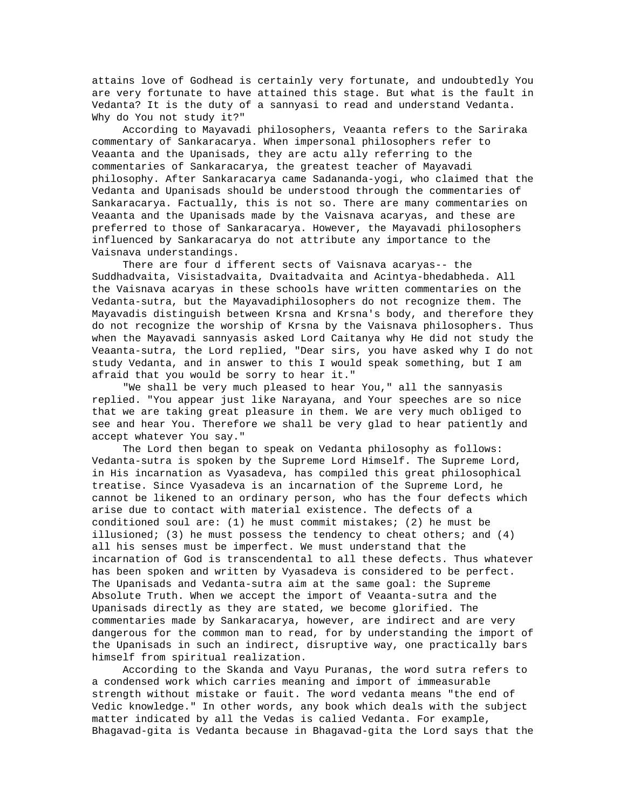attains love of Godhead is certainly very fortunate, and undoubtedly You are very fortunate to have attained this stage. But what is the fault in Vedanta? It is the duty of a sannyasi to read and understand Vedanta. Why do You not study it?"

 According to Mayavadi philosophers, Veaanta refers to the Sariraka commentary of Sankaracarya. When impersonal philosophers refer to Veaanta and the Upanisads, they are actu ally referring to the commentaries of Sankaracarya, the greatest teacher of Mayavadi philosophy. After Sankaracarya came Sadananda-yogi, who claimed that the Vedanta and Upanisads should be understood through the commentaries of Sankaracarya. Factually, this is not so. There are many commentaries on Veaanta and the Upanisads made by the Vaisnava acaryas, and these are preferred to those of Sankaracarya. However, the Mayavadi philosophers influenced by Sankaracarya do not attribute any importance to the Vaisnava understandings.

 There are four d ifferent sects of Vaisnava acaryas-- the Suddhadvaita, Visistadvaita, Dvaitadvaita and Acintya-bhedabheda. All the Vaisnava acaryas in these schools have written commentaries on the Vedanta-sutra, but the Mayavadiphilosophers do not recognize them. The Mayavadis distinguish between Krsna and Krsna's body, and therefore they do not recognize the worship of Krsna by the Vaisnava philosophers. Thus when the Mayavadi sannyasis asked Lord Caitanya why He did not study the Veaanta-sutra, the Lord replied, "Dear sirs, you have asked why I do not study Vedanta, and in answer to this I would speak something, but I am afraid that you would be sorry to hear it."

 "We shall be very much pleased to hear You," all the sannyasis replied. "You appear just like Narayana, and Your speeches are so nice that we are taking great pleasure in them. We are very much obliged to see and hear You. Therefore we shall be very glad to hear patiently and accept whatever You say."

 The Lord then began to speak on Vedanta philosophy as follows: Vedanta-sutra is spoken by the Supreme Lord Himself. The Supreme Lord, in His incarnation as Vyasadeva, has compiled this great philosophical treatise. Since Vyasadeva is an incarnation of the Supreme Lord, he cannot be likened to an ordinary person, who has the four defects which arise due to contact with material existence. The defects of a conditioned soul are: (1) he must commit mistakes; (2) he must be illusioned; (3) he must possess the tendency to cheat others; and  $(4)$ all his senses must be imperfect. We must understand that the incarnation of God is transcendental to all these defects. Thus whatever has been spoken and written by Vyasadeva is considered to be perfect. The Upanisads and Vedanta-sutra aim at the same goal: the Supreme Absolute Truth. When we accept the import of Veaanta-sutra and the Upanisads directly as they are stated, we become glorified. The commentaries made by Sankaracarya, however, are indirect and are very dangerous for the common man to read, for by understanding the import of the Upanisads in such an indirect, disruptive way, one practically bars himself from spiritual realization.

 According to the Skanda and Vayu Puranas, the word sutra refers to a condensed work which carries meaning and import of immeasurable strength without mistake or fauit. The word vedanta means "the end of Vedic knowledge." In other words, any book which deals with the subject matter indicated by all the Vedas is calied Vedanta. For example, Bhagavad-gita is Vedanta because in Bhagavad-gita the Lord says that the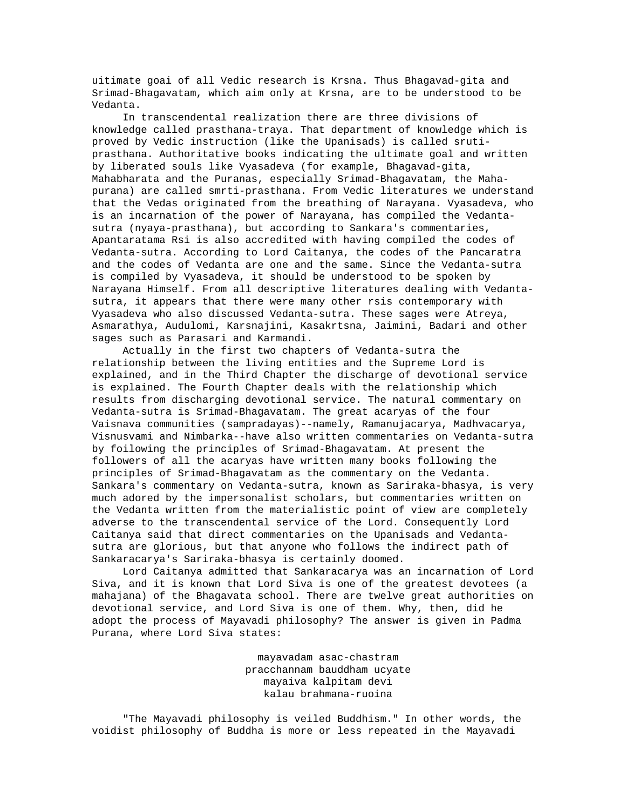uitimate goai of all Vedic research is Krsna. Thus Bhagavad-gita and Srimad-Bhagavatam, which aim only at Krsna, are to be understood to be Vedanta.

 In transcendental realization there are three divisions of knowledge called prasthana-traya. That department of knowledge which is proved by Vedic instruction (like the Upanisads) is called srutiprasthana. Authoritative books indicating the ultimate goal and written by liberated souls like Vyasadeva (for example, Bhagavad-gita, Mahabharata and the Puranas, especially Srimad-Bhagavatam, the Mahapurana) are called smrti-prasthana. From Vedic literatures we understand that the Vedas originated from the breathing of Narayana. Vyasadeva, who is an incarnation of the power of Narayana, has compiled the Vedantasutra (nyaya-prasthana), but according to Sankara's commentaries, Apantaratama Rsi is also accredited with having compiled the codes of Vedanta-sutra. According to Lord Caitanya, the codes of the Pancaratra and the codes of Vedanta are one and the same. Since the Vedanta-sutra is compiled by Vyasadeva, it should be understood to be spoken by Narayana Himself. From all descriptive literatures dealing with Vedantasutra, it appears that there were many other rsis contemporary with Vyasadeva who also discussed Vedanta-sutra. These sages were Atreya, Asmarathya, Audulomi, Karsnajini, Kasakrtsna, Jaimini, Badari and other sages such as Parasari and Karmandi.

 Actually in the first two chapters of Vedanta-sutra the relationship between the living entities and the Supreme Lord is explained, and in the Third Chapter the discharge of devotional service is explained. The Fourth Chapter deals with the relationship which results from discharging devotional service. The natural commentary on Vedanta-sutra is Srimad-Bhagavatam. The great acaryas of the four Vaisnava communities (sampradayas)--namely, Ramanujacarya, Madhvacarya, Visnusvami and Nimbarka--have also written commentaries on Vedanta-sutra by foilowing the principles of Srimad-Bhagavatam. At present the followers of all the acaryas have written many books following the principles of Srimad-Bhagavatam as the commentary on the Vedanta. Sankara's commentary on Vedanta-sutra, known as Sariraka-bhasya, is very much adored by the impersonalist scholars, but commentaries written on the Vedanta written from the materialistic point of view are completely adverse to the transcendental service of the Lord. Consequently Lord Caitanya said that direct commentaries on the Upanisads and Vedantasutra are glorious, but that anyone who follows the indirect path of Sankaracarya's Sariraka-bhasya is certainly doomed.

 Lord Caitanya admitted that Sankaracarya was an incarnation of Lord Siva, and it is known that Lord Siva is one of the greatest devotees (a mahajana) of the Bhagavata school. There are twelve great authorities on devotional service, and Lord Siva is one of them. Why, then, did he adopt the process of Mayavadi philosophy? The answer is given in Padma Purana, where Lord Siva states:

> mayavadam asac-chastram pracchannam bauddham ucyate mayaiva kalpitam devi kalau brahmana-ruoina

 "The Mayavadi philosophy is veiled Buddhism." In other words, the voidist philosophy of Buddha is more or less repeated in the Mayavadi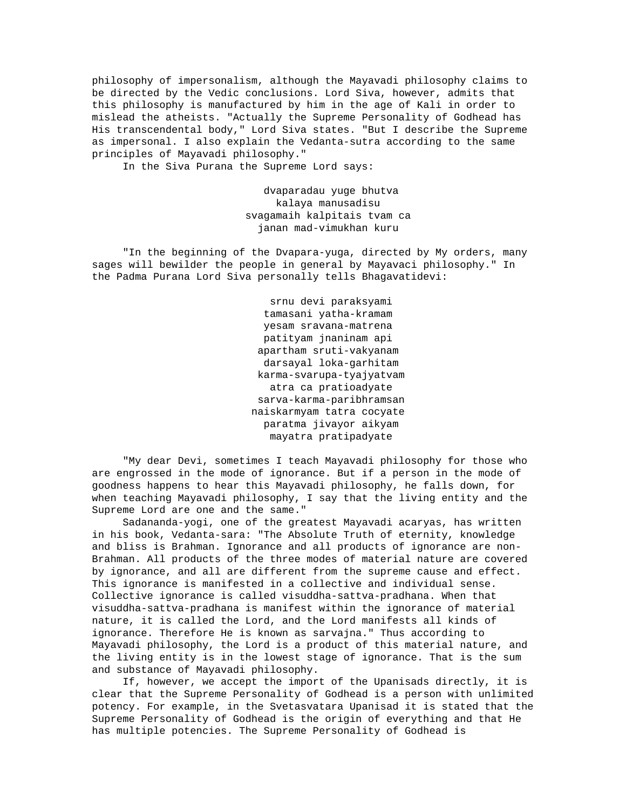philosophy of impersonalism, although the Mayavadi philosophy claims to be directed by the Vedic conclusions. Lord Siva, however, admits that this philosophy is manufactured by him in the age of Kali in order to mislead the atheists. "Actually the Supreme Personality of Godhead has His transcendental body," Lord Siva states. "But I describe the Supreme as impersonal. I also explain the Vedanta-sutra according to the same principles of Mayavadi philosophy."

In the Siva Purana the Supreme Lord says:

 dvaparadau yuge bhutva kalaya manusadisu svagamaih kalpitais tvam ca janan mad-vimukhan kuru

 "In the beginning of the Dvapara-yuga, directed by My orders, many sages will bewilder the people in general by Mayavaci philosophy." In the Padma Purana Lord Siva personally tells Bhagavatidevi:

> srnu devi paraksyami tamasani yatha-kramam yesam sravana-matrena patityam jnaninam api apartham sruti-vakyanam darsayal loka-garhitam karma-svarupa-tyajyatvam atra ca pratioadyate sarva-karma-paribhramsan naiskarmyam tatra cocyate paratma jivayor aikyam mayatra pratipadyate

 "My dear Devi, sometimes I teach Mayavadi philosophy for those who are engrossed in the mode of ignorance. But if a person in the mode of goodness happens to hear this Mayavadi philosophy, he falls down, for when teaching Mayavadi philosophy, I say that the living entity and the Supreme Lord are one and the same."

 Sadananda-yogi, one of the greatest Mayavadi acaryas, has written in his book, Vedanta-sara: "The Absolute Truth of eternity, knowledge and bliss is Brahman. Ignorance and all products of ignorance are non-Brahman. All products of the three modes of material nature are covered by ignorance, and all are different from the supreme cause and effect. This ignorance is manifested in a collective and individual sense. Collective ignorance is called visuddha-sattva-pradhana. When that visuddha-sattva-pradhana is manifest within the ignorance of material nature, it is called the Lord, and the Lord manifests all kinds of ignorance. Therefore He is known as sarvajna." Thus according to Mayavadi philosophy, the Lord is a product of this material nature, and the living entity is in the lowest stage of ignorance. That is the sum and substance of Mayavadi philosophy.

 If, however, we accept the import of the Upanisads directly, it is clear that the Supreme Personality of Godhead is a person with unlimited potency. For example, in the Svetasvatara Upanisad it is stated that the Supreme Personality of Godhead is the origin of everything and that He has multiple potencies. The Supreme Personality of Godhead is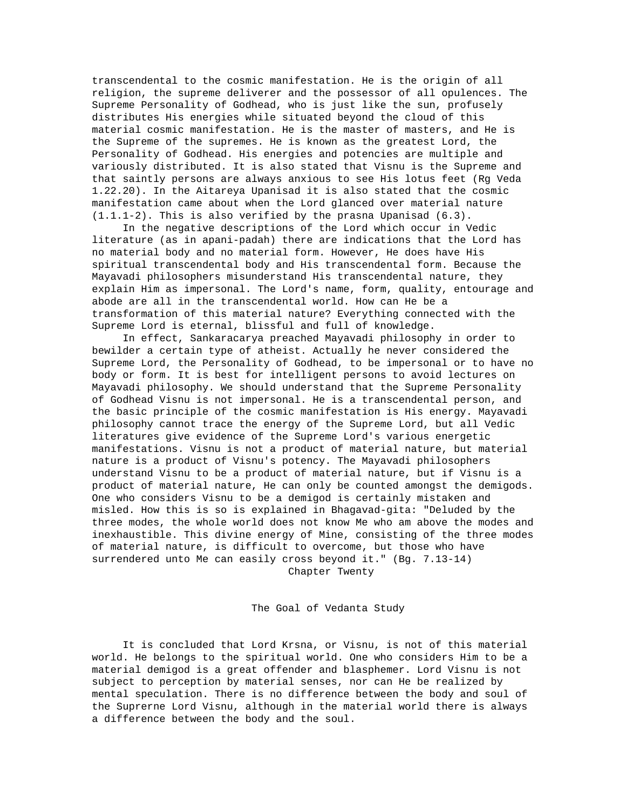transcendental to the cosmic manifestation. He is the origin of all religion, the supreme deliverer and the possessor of all opulences. The Supreme Personality of Godhead, who is just like the sun, profusely distributes His energies while situated beyond the cloud of this material cosmic manifestation. He is the master of masters, and He is the Supreme of the supremes. He is known as the greatest Lord, the Personality of Godhead. His energies and potencies are multiple and variously distributed. It is also stated that Visnu is the Supreme and that saintly persons are always anxious to see His lotus feet (Rg Veda 1.22.20). In the Aitareya Upanisad it is also stated that the cosmic manifestation came about when the Lord glanced over material nature  $(1.1.1-2)$ . This is also verified by the prasna Upanisad  $(6.3)$ .

 In the negative descriptions of the Lord which occur in Vedic literature (as in apani-padah) there are indications that the Lord has no material body and no material form. However, He does have His spiritual transcendental body and His transcendental form. Because the Mayavadi philosophers misunderstand His transcendental nature, they explain Him as impersonal. The Lord's name, form, quality, entourage and abode are all in the transcendental world. How can He be a transformation of this material nature? Everything connected with the Supreme Lord is eternal, blissful and full of knowledge.

 In effect, Sankaracarya preached Mayavadi philosophy in order to bewilder a certain type of atheist. Actually he never considered the Supreme Lord, the Personality of Godhead, to be impersonal or to have no body or form. It is best for intelligent persons to avoid lectures on Mayavadi philosophy. We should understand that the Supreme Personality of Godhead Visnu is not impersonal. He is a transcendental person, and the basic principle of the cosmic manifestation is His energy. Mayavadi philosophy cannot trace the energy of the Supreme Lord, but all Vedic literatures give evidence of the Supreme Lord's various energetic manifestations. Visnu is not a product of material nature, but material nature is a product of Visnu's potency. The Mayavadi philosophers understand Visnu to be a product of material nature, but if Visnu is a product of material nature, He can only be counted amongst the demigods. One who considers Visnu to be a demigod is certainly mistaken and misled. How this is so is explained in Bhagavad-gita: "Deluded by the three modes, the whole world does not know Me who am above the modes and inexhaustible. This divine energy of Mine, consisting of the three modes of material nature, is difficult to overcome, but those who have surrendered unto Me can easily cross beyond it." (Bg. 7.13-14)

Chapter Twenty

The Goal of Vedanta Study

 It is concluded that Lord Krsna, or Visnu, is not of this material world. He belongs to the spiritual world. One who considers Him to be a material demigod is a great offender and blasphemer. Lord Visnu is not subject to perception by material senses, nor can He be realized by mental speculation. There is no difference between the body and soul of the Suprerne Lord Visnu, although in the material world there is always a difference between the body and the soul.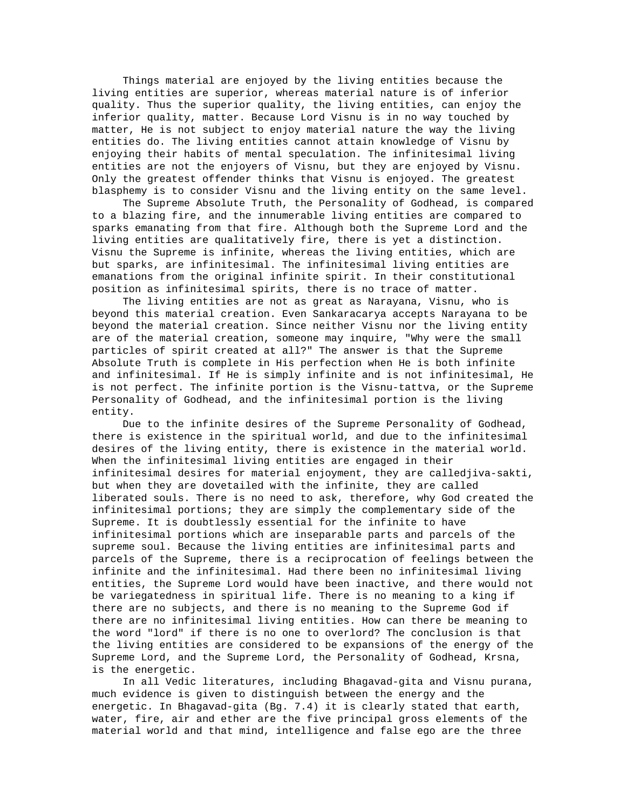Things material are enjoyed by the living entities because the living entities are superior, whereas material nature is of inferior quality. Thus the superior quality, the living entities, can enjoy the inferior quality, matter. Because Lord Visnu is in no way touched by matter, He is not subject to enjoy material nature the way the living entities do. The living entities cannot attain knowledge of Visnu by enjoying their habits of mental speculation. The infinitesimal living entities are not the enjoyers of Visnu, but they are enjoyed by Visnu. Only the greatest offender thinks that Visnu is enjoyed. The greatest blasphemy is to consider Visnu and the living entity on the same level.

 The Supreme Absolute Truth, the Personality of Godhead, is compared to a blazing fire, and the innumerable living entities are compared to sparks emanating from that fire. Although both the Supreme Lord and the living entities are qualitatively fire, there is yet a distinction. Visnu the Supreme is infinite, whereas the living entities, which are but sparks, are infinitesimal. The infinitesimal living entities are emanations from the original infinite spirit. In their constitutional position as infinitesimal spirits, there is no trace of matter.

 The living entities are not as great as Narayana, Visnu, who is beyond this material creation. Even Sankaracarya accepts Narayana to be beyond the material creation. Since neither Visnu nor the living entity are of the material creation, someone may inquire, "Why were the small particles of spirit created at all?" The answer is that the Supreme Absolute Truth is complete in His perfection when He is both infinite and infinitesimal. If He is simply infinite and is not infinitesimal, He is not perfect. The infinite portion is the Visnu-tattva, or the Supreme Personality of Godhead, and the infinitesimal portion is the living entity.

 Due to the infinite desires of the Supreme Personality of Godhead, there is existence in the spiritual world, and due to the infinitesimal desires of the living entity, there is existence in the material world. When the infinitesimal living entities are engaged in their infinitesimal desires for material enjoyment, they are calledjiva-sakti, but when they are dovetailed with the infinite, they are called liberated souls. There is no need to ask, therefore, why God created the infinitesimal portions; they are simply the complementary side of the Supreme. It is doubtlessly essential for the infinite to have infinitesimal portions which are inseparable parts and parcels of the supreme soul. Because the living entities are infinitesimal parts and parcels of the Supreme, there is a reciprocation of feelings between the infinite and the infinitesimal. Had there been no infinitesimal living entities, the Supreme Lord would have been inactive, and there would not be variegatedness in spiritual life. There is no meaning to a king if there are no subjects, and there is no meaning to the Supreme God if there are no infinitesimal living entities. How can there be meaning to the word "lord" if there is no one to overlord? The conclusion is that the living entities are considered to be expansions of the energy of the Supreme Lord, and the Supreme Lord, the Personality of Godhead, Krsna, is the energetic.

 In all Vedic literatures, including Bhagavad-gita and Visnu purana, much evidence is given to distinguish between the energy and the energetic. In Bhagavad-gita (Bg. 7.4) it is clearly stated that earth, water, fire, air and ether are the five principal gross elements of the material world and that mind, intelligence and false ego are the three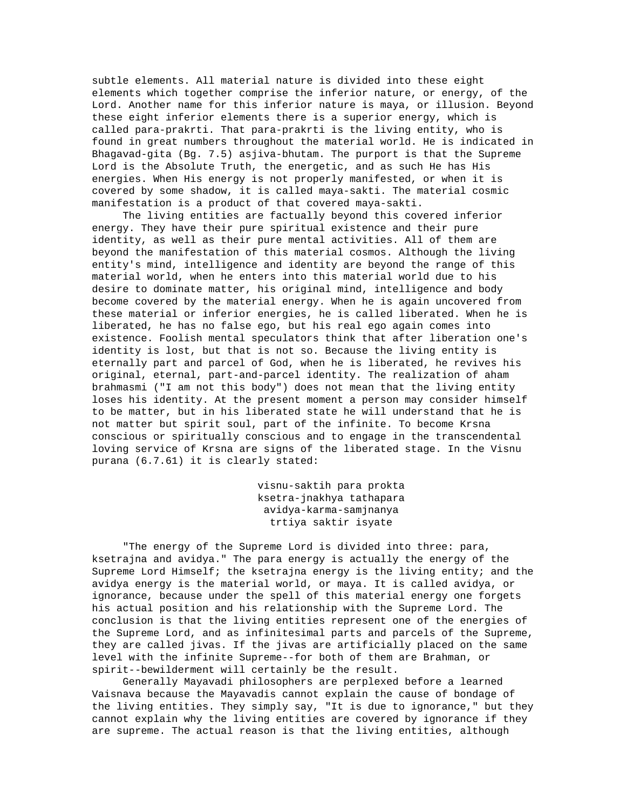subtle elements. All material nature is divided into these eight elements which together comprise the inferior nature, or energy, of the Lord. Another name for this inferior nature is maya, or illusion. Beyond these eight inferior elements there is a superior energy, which is called para-prakrti. That para-prakrti is the living entity, who is found in great numbers throughout the material world. He is indicated in Bhagavad-gita (Bg. 7.5) asjiva-bhutam. The purport is that the Supreme Lord is the Absolute Truth, the energetic, and as such He has His energies. When His energy is not properly manifested, or when it is covered by some shadow, it is called maya-sakti. The material cosmic manifestation is a product of that covered maya-sakti.

 The living entities are factually beyond this covered inferior energy. They have their pure spiritual existence and their pure identity, as well as their pure mental activities. All of them are beyond the manifestation of this material cosmos. Although the living entity's mind, intelligence and identity are beyond the range of this material world, when he enters into this material world due to his desire to dominate matter, his original mind, intelligence and body become covered by the material energy. When he is again uncovered from these material or inferior energies, he is called liberated. When he is liberated, he has no false ego, but his real ego again comes into existence. Foolish mental speculators think that after liberation one's identity is lost, but that is not so. Because the living entity is eternally part and parcel of God, when he is liberated, he revives his original, eternal, part-and-parcel identity. The realization of aham brahmasmi ("I am not this body") does not mean that the living entity loses his identity. At the present moment a person may consider himself to be matter, but in his liberated state he will understand that he is not matter but spirit soul, part of the infinite. To become Krsna conscious or spiritually conscious and to engage in the transcendental loving service of Krsna are signs of the liberated stage. In the Visnu purana (6.7.61) it is clearly stated:

> visnu-saktih para prokta ksetra-jnakhya tathapara avidya-karma-samjnanya trtiya saktir isyate

 "The energy of the Supreme Lord is divided into three: para, ksetrajna and avidya." The para energy is actually the energy of the Supreme Lord Himself; the ksetrajna energy is the living entity; and the avidya energy is the material world, or maya. It is called avidya, or ignorance, because under the spell of this material energy one forgets his actual position and his relationship with the Supreme Lord. The conclusion is that the living entities represent one of the energies of the Supreme Lord, and as infinitesimal parts and parcels of the Supreme, they are called jivas. If the jivas are artificially placed on the same level with the infinite Supreme--for both of them are Brahman, or spirit--bewilderment will certainly be the result.

 Generally Mayavadi philosophers are perplexed before a learned Vaisnava because the Mayavadis cannot explain the cause of bondage of the living entities. They simply say, "It is due to ignorance," but they cannot explain why the living entities are covered by ignorance if they are supreme. The actual reason is that the living entities, although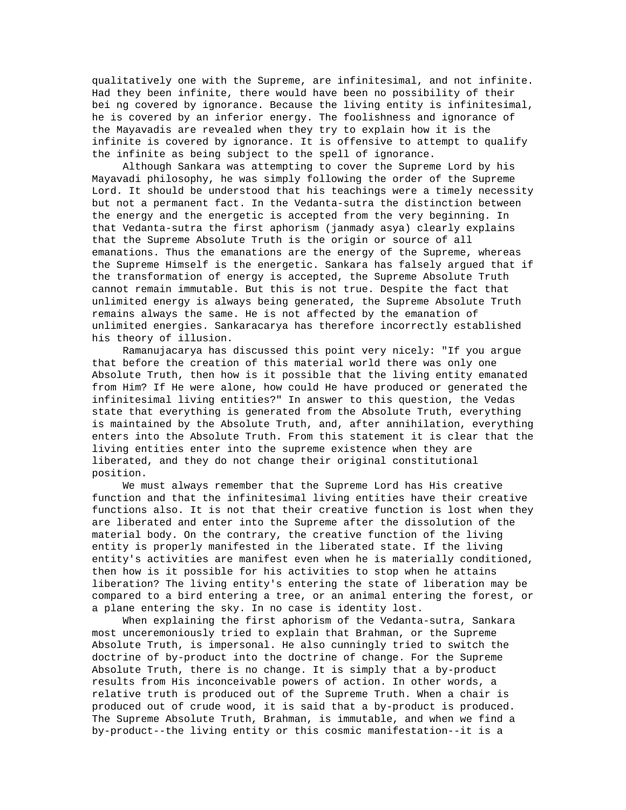qualitatively one with the Supreme, are infinitesimal, and not infinite. Had they been infinite, there would have been no possibility of their bei ng covered by ignorance. Because the living entity is infinitesimal, he is covered by an inferior energy. The foolishness and ignorance of the Mayavadis are revealed when they try to explain how it is the infinite is covered by ignorance. It is offensive to attempt to qualify the infinite as being subject to the spell of ignorance.

 Although Sankara was attempting to cover the Supreme Lord by his Mayavadi philosophy, he was simply following the order of the Supreme Lord. It should be understood that his teachings were a timely necessity but not a permanent fact. In the Vedanta-sutra the distinction between the energy and the energetic is accepted from the very beginning. In that Vedanta-sutra the first aphorism (janmady asya) clearly explains that the Supreme Absolute Truth is the origin or source of all emanations. Thus the emanations are the energy of the Supreme, whereas the Supreme Himself is the energetic. Sankara has falsely argued that if the transformation of energy is accepted, the Supreme Absolute Truth cannot remain immutable. But this is not true. Despite the fact that unlimited energy is always being generated, the Supreme Absolute Truth remains always the same. He is not affected by the emanation of unlimited energies. Sankaracarya has therefore incorrectly established his theory of illusion.

 Ramanujacarya has discussed this point very nicely: "If you argue that before the creation of this material world there was only one Absolute Truth, then how is it possible that the living entity emanated from Him? If He were alone, how could He have produced or generated the infinitesimal living entities?" In answer to this question, the Vedas state that everything is generated from the Absolute Truth, everything is maintained by the Absolute Truth, and, after annihilation, everything enters into the Absolute Truth. From this statement it is clear that the living entities enter into the supreme existence when they are liberated, and they do not change their original constitutional position.

 We must always remember that the Supreme Lord has His creative function and that the infinitesimal living entities have their creative functions also. It is not that their creative function is lost when they are liberated and enter into the Supreme after the dissolution of the material body. On the contrary, the creative function of the living entity is properly manifested in the liberated state. If the living entity's activities are manifest even when he is materially conditioned, then how is it possible for his activities to stop when he attains liberation? The living entity's entering the state of liberation may be compared to a bird entering a tree, or an animal entering the forest, or a plane entering the sky. In no case is identity lost.

 When explaining the first aphorism of the Vedanta-sutra, Sankara most unceremoniously tried to explain that Brahman, or the Supreme Absolute Truth, is impersonal. He also cunningly tried to switch the doctrine of by-product into the doctrine of change. For the Supreme Absolute Truth, there is no change. It is simply that a by-product results from His inconceivable powers of action. In other words, a relative truth is produced out of the Supreme Truth. When a chair is produced out of crude wood, it is said that a by-product is produced. The Supreme Absolute Truth, Brahman, is immutable, and when we find a by-product--the living entity or this cosmic manifestation--it is a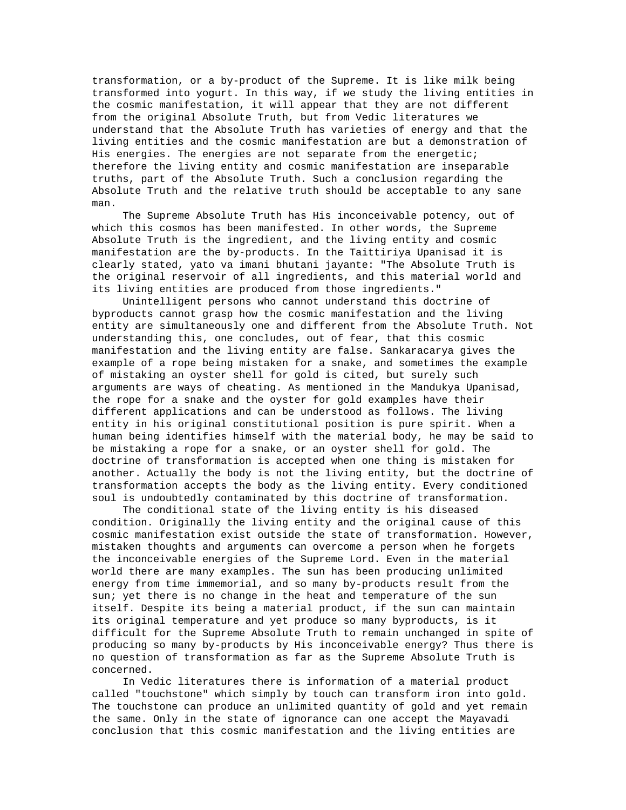transformation, or a by-product of the Supreme. It is like milk being transformed into yogurt. In this way, if we study the living entities in the cosmic manifestation, it will appear that they are not different from the original Absolute Truth, but from Vedic literatures we understand that the Absolute Truth has varieties of energy and that the living entities and the cosmic manifestation are but a demonstration of His energies. The energies are not separate from the energetic; therefore the living entity and cosmic manifestation are inseparable truths, part of the Absolute Truth. Such a conclusion regarding the Absolute Truth and the relative truth should be acceptable to any sane man.

 The Supreme Absolute Truth has His inconceivable potency, out of which this cosmos has been manifested. In other words, the Supreme Absolute Truth is the ingredient, and the living entity and cosmic manifestation are the by-products. In the Taittiriya Upanisad it is clearly stated, yato va imani bhutani jayante: "The Absolute Truth is the original reservoir of all ingredients, and this material world and its living entities are produced from those ingredients."

 Unintelligent persons who cannot understand this doctrine of byproducts cannot grasp how the cosmic manifestation and the living entity are simultaneously one and different from the Absolute Truth. Not understanding this, one concludes, out of fear, that this cosmic manifestation and the living entity are false. Sankaracarya gives the example of a rope being mistaken for a snake, and sometimes the example of mistaking an oyster shell for gold is cited, but surely such arguments are ways of cheating. As mentioned in the Mandukya Upanisad, the rope for a snake and the oyster for gold examples have their different applications and can be understood as follows. The living entity in his original constitutional position is pure spirit. When a human being identifies himself with the material body, he may be said to be mistaking a rope for a snake, or an oyster shell for gold. The doctrine of transformation is accepted when one thing is mistaken for another. Actually the body is not the living entity, but the doctrine of transformation accepts the body as the living entity. Every conditioned soul is undoubtedly contaminated by this doctrine of transformation.

 The conditional state of the living entity is his diseased condition. Originally the living entity and the original cause of this cosmic manifestation exist outside the state of transformation. However, mistaken thoughts and arguments can overcome a person when he forgets the inconceivable energies of the Supreme Lord. Even in the material world there are many examples. The sun has been producing unlimited energy from time immemorial, and so many by-products result from the sun; yet there is no change in the heat and temperature of the sun itself. Despite its being a material product, if the sun can maintain its original temperature and yet produce so many byproducts, is it difficult for the Supreme Absolute Truth to remain unchanged in spite of producing so many by-products by His inconceivable energy? Thus there is no question of transformation as far as the Supreme Absolute Truth is concerned.

 In Vedic literatures there is information of a material product called "touchstone" which simply by touch can transform iron into gold. The touchstone can produce an unlimited quantity of gold and yet remain the same. Only in the state of ignorance can one accept the Mayavadi conclusion that this cosmic manifestation and the living entities are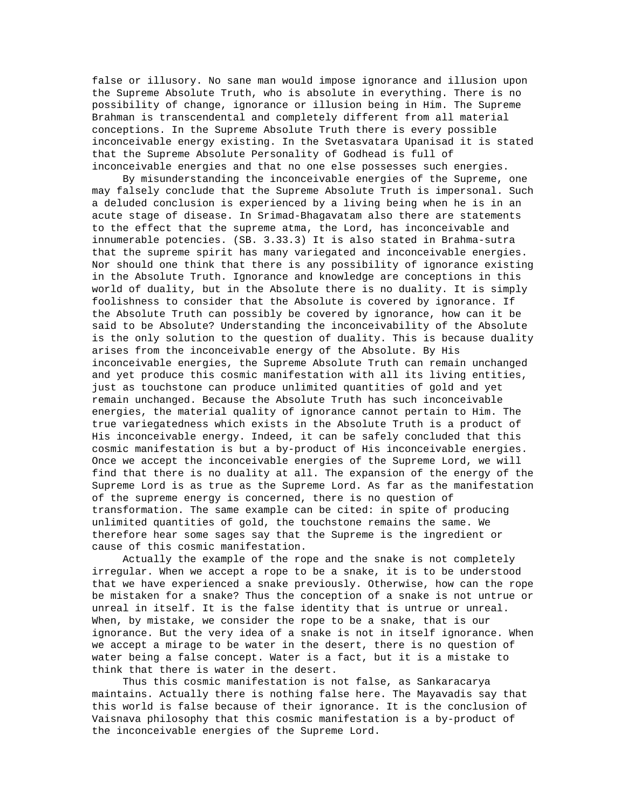false or illusory. No sane man would impose ignorance and illusion upon the Supreme Absolute Truth, who is absolute in everything. There is no possibility of change, ignorance or illusion being in Him. The Supreme Brahman is transcendental and completely different from all material conceptions. In the Supreme Absolute Truth there is every possible inconceivable energy existing. In the Svetasvatara Upanisad it is stated that the Supreme Absolute Personality of Godhead is full of inconceivable energies and that no one else possesses such energies.

 By misunderstanding the inconceivable energies of the Supreme, one may falsely conclude that the Supreme Absolute Truth is impersonal. Such a deluded conclusion is experienced by a living being when he is in an acute stage of disease. In Srimad-Bhagavatam also there are statements to the effect that the supreme atma, the Lord, has inconceivable and innumerable potencies. (SB. 3.33.3) It is also stated in Brahma-sutra that the supreme spirit has many variegated and inconceivable energies. Nor should one think that there is any possibility of ignorance existing in the Absolute Truth. Ignorance and knowledge are conceptions in this world of duality, but in the Absolute there is no duality. It is simply foolishness to consider that the Absolute is covered by ignorance. If the Absolute Truth can possibly be covered by ignorance, how can it be said to be Absolute? Understanding the inconceivability of the Absolute is the only solution to the question of duality. This is because duality arises from the inconceivable energy of the Absolute. By His inconceivable energies, the Supreme Absolute Truth can remain unchanged and yet produce this cosmic manifestation with all its living entities, just as touchstone can produce unlimited quantities of gold and yet remain unchanged. Because the Absolute Truth has such inconceivable energies, the material quality of ignorance cannot pertain to Him. The true variegatedness which exists in the Absolute Truth is a product of His inconceivable energy. Indeed, it can be safely concluded that this cosmic manifestation is but a by-product of His inconceivable energies. Once we accept the inconceivable energies of the Supreme Lord, we will find that there is no duality at all. The expansion of the energy of the Supreme Lord is as true as the Supreme Lord. As far as the manifestation of the supreme energy is concerned, there is no question of transformation. The same example can be cited: in spite of producing unlimited quantities of gold, the touchstone remains the same. We therefore hear some sages say that the Supreme is the ingredient or cause of this cosmic manifestation.

 Actually the example of the rope and the snake is not completely irregular. When we accept a rope to be a snake, it is to be understood that we have experienced a snake previously. Otherwise, how can the rope be mistaken for a snake? Thus the conception of a snake is not untrue or unreal in itself. It is the false identity that is untrue or unreal. When, by mistake, we consider the rope to be a snake, that is our ignorance. But the very idea of a snake is not in itself ignorance. When we accept a mirage to be water in the desert, there is no question of water being a false concept. Water is a fact, but it is a mistake to think that there is water in the desert.

 Thus this cosmic manifestation is not false, as Sankaracarya maintains. Actually there is nothing false here. The Mayavadis say that this world is false because of their ignorance. It is the conclusion of Vaisnava philosophy that this cosmic manifestation is a by-product of the inconceivable energies of the Supreme Lord.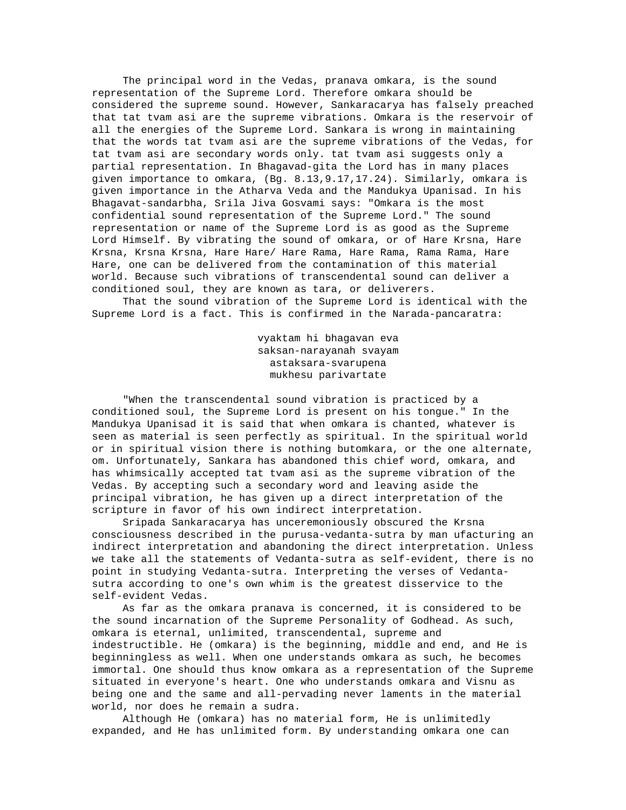The principal word in the Vedas, pranava omkara, is the sound representation of the Supreme Lord. Therefore omkara should be considered the supreme sound. However, Sankaracarya has falsely preached that tat tvam asi are the supreme vibrations. Omkara is the reservoir of all the energies of the Supreme Lord. Sankara is wrong in maintaining that the words tat tvam asi are the supreme vibrations of the Vedas, for tat tvam asi are secondary words only. tat tvam asi suggests only a partial representation. In Bhagavad-gita the Lord has in many places given importance to omkara, (Bg. 8.13,9.17,17.24). Similarly, omkara is given importance in the Atharva Veda and the Mandukya Upanisad. In his Bhagavat-sandarbha, Srila Jiva Gosvami says: "Omkara is the most confidential sound representation of the Supreme Lord." The sound representation or name of the Supreme Lord is as good as the Supreme Lord Himself. By vibrating the sound of omkara, or of Hare Krsna, Hare Krsna, Krsna Krsna, Hare Hare/ Hare Rama, Hare Rama, Rama Rama, Hare Hare, one can be delivered from the contamination of this material world. Because such vibrations of transcendental sound can deliver a conditioned soul, they are known as tara, or deliverers.

 That the sound vibration of the Supreme Lord is identical with the Supreme Lord is a fact. This is confirmed in the Narada-pancaratra:

> vyaktam hi bhagavan eva saksan-narayanah svayam astaksara-svarupena mukhesu parivartate

 "When the transcendental sound vibration is practiced by a conditioned soul, the Supreme Lord is present on his tongue." In the Mandukya Upanisad it is said that when omkara is chanted, whatever is seen as material is seen perfectly as spiritual. In the spiritual world or in spiritual vision there is nothing butomkara, or the one alternate, om. Unfortunately, Sankara has abandoned this chief word, omkara, and has whimsically accepted tat tvam asi as the supreme vibration of the Vedas. By accepting such a secondary word and leaving aside the principal vibration, he has given up a direct interpretation of the scripture in favor of his own indirect interpretation.

 Sripada Sankaracarya has unceremoniously obscured the Krsna consciousness described in the purusa-vedanta-sutra by man ufacturing an indirect interpretation and abandoning the direct interpretation. Unless we take all the statements of Vedanta-sutra as self-evident, there is no point in studying Vedanta-sutra. Interpreting the verses of Vedantasutra according to one's own whim is the greatest disservice to the self-evident Vedas.

 As far as the omkara pranava is concerned, it is considered to be the sound incarnation of the Supreme Personality of Godhead. As such, omkara is eternal, unlimited, transcendental, supreme and indestructible. He (omkara) is the beginning, middle and end, and He is beginningless as well. When one understands omkara as such, he becomes immortal. One should thus know omkara as a representation of the Supreme situated in everyone's heart. One who understands omkara and Visnu as being one and the same and all-pervading never laments in the material world, nor does he remain a sudra.

 Although He (omkara) has no material form, He is unlimitedly expanded, and He has unlimited form. By understanding omkara one can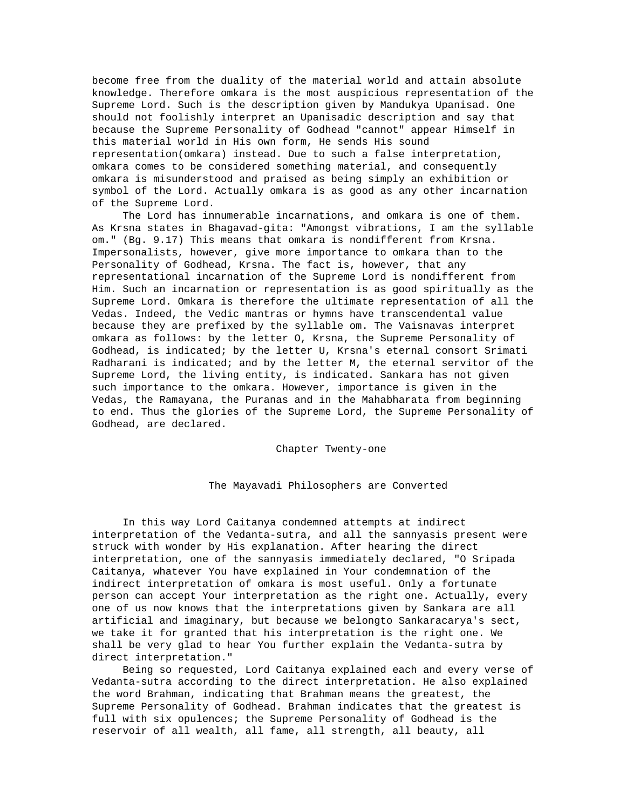become free from the duality of the material world and attain absolute knowledge. Therefore omkara is the most auspicious representation of the Supreme Lord. Such is the description given by Mandukya Upanisad. One should not foolishly interpret an Upanisadic description and say that because the Supreme Personality of Godhead "cannot" appear Himself in this material world in His own form, He sends His sound representation(omkara) instead. Due to such a false interpretation, omkara comes to be considered something material, and consequently omkara is misunderstood and praised as being simply an exhibition or symbol of the Lord. Actually omkara is as good as any other incarnation of the Supreme Lord.

 The Lord has innumerable incarnations, and omkara is one of them. As Krsna states in Bhagavad-gita: "Amongst vibrations, I am the syllable om." (Bg. 9.17) This means that omkara is nondifferent from Krsna. Impersonalists, however, give more importance to omkara than to the Personality of Godhead, Krsna. The fact is, however, that any representational incarnation of the Supreme Lord is nondifferent from Him. Such an incarnation or representation is as good spiritually as the Supreme Lord. Omkara is therefore the ultimate representation of all the Vedas. Indeed, the Vedic mantras or hymns have transcendental value because they are prefixed by the syllable om. The Vaisnavas interpret omkara as follows: by the letter O, Krsna, the Supreme Personality of Godhead, is indicated; by the letter U, Krsna's eternal consort Srimati Radharani is indicated; and by the letter M, the eternal servitor of the Supreme Lord, the living entity, is indicated. Sankara has not given such importance to the omkara. However, importance is given in the Vedas, the Ramayana, the Puranas and in the Mahabharata from beginning to end. Thus the glories of the Supreme Lord, the Supreme Personality of Godhead, are declared.

Chapter Twenty-one

The Mayavadi Philosophers are Converted

 In this way Lord Caitanya condemned attempts at indirect interpretation of the Vedanta-sutra, and all the sannyasis present were struck with wonder by His explanation. After hearing the direct interpretation, one of the sannyasis immediately declared, "O Sripada Caitanya, whatever You have explained in Your condemnation of the indirect interpretation of omkara is most useful. Only a fortunate person can accept Your interpretation as the right one. Actually, every one of us now knows that the interpretations given by Sankara are all artificial and imaginary, but because we belongto Sankaracarya's sect, we take it for granted that his interpretation is the right one. We shall be very glad to hear You further explain the Vedanta-sutra by direct interpretation."

 Being so requested, Lord Caitanya explained each and every verse of Vedanta-sutra according to the direct interpretation. He also explained the word Brahman, indicating that Brahman means the greatest, the Supreme Personality of Godhead. Brahman indicates that the greatest is full with six opulences; the Supreme Personality of Godhead is the reservoir of all wealth, all fame, all strength, all beauty, all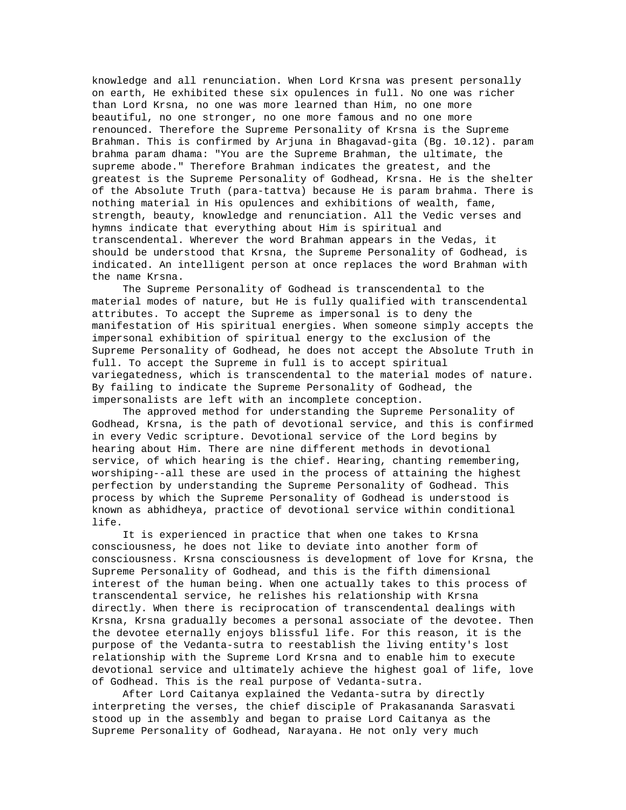knowledge and all renunciation. When Lord Krsna was present personally on earth, He exhibited these six opulences in full. No one was richer than Lord Krsna, no one was more learned than Him, no one more beautiful, no one stronger, no one more famous and no one more renounced. Therefore the Supreme Personality of Krsna is the Supreme Brahman. This is confirmed by Arjuna in Bhagavad-gita (Bg. 10.12). param brahma param dhama: "You are the Supreme Brahman, the ultimate, the supreme abode." Therefore Brahman indicates the greatest, and the greatest is the Supreme Personality of Godhead, Krsna. He is the shelter of the Absolute Truth (para-tattva) because He is param brahma. There is nothing material in His opulences and exhibitions of wealth, fame, strength, beauty, knowledge and renunciation. All the Vedic verses and hymns indicate that everything about Him is spiritual and transcendental. Wherever the word Brahman appears in the Vedas, it should be understood that Krsna, the Supreme Personality of Godhead, is indicated. An intelligent person at once replaces the word Brahman with the name Krsna.

 The Supreme Personality of Godhead is transcendental to the material modes of nature, but He is fully qualified with transcendental attributes. To accept the Supreme as impersonal is to deny the manifestation of His spiritual energies. When someone simply accepts the impersonal exhibition of spiritual energy to the exclusion of the Supreme Personality of Godhead, he does not accept the Absolute Truth in full. To accept the Supreme in full is to accept spiritual variegatedness, which is transcendental to the material modes of nature. By failing to indicate the Supreme Personality of Godhead, the impersonalists are left with an incomplete conception.

 The approved method for understanding the Supreme Personality of Godhead, Krsna, is the path of devotional service, and this is confirmed in every Vedic scripture. Devotional service of the Lord begins by hearing about Him. There are nine different methods in devotional service, of which hearing is the chief. Hearing, chanting remembering, worshiping--all these are used in the process of attaining the highest perfection by understanding the Supreme Personality of Godhead. This process by which the Supreme Personality of Godhead is understood is known as abhidheya, practice of devotional service within conditional life.

 It is experienced in practice that when one takes to Krsna consciousness, he does not like to deviate into another form of consciousness. Krsna consciousness is development of love for Krsna, the Supreme Personality of Godhead, and this is the fifth dimensional interest of the human being. When one actually takes to this process of transcendental service, he relishes his relationship with Krsna directly. When there is reciprocation of transcendental dealings with Krsna, Krsna gradually becomes a personal associate of the devotee. Then the devotee eternally enjoys blissful life. For this reason, it is the purpose of the Vedanta-sutra to reestablish the living entity's lost relationship with the Supreme Lord Krsna and to enable him to execute devotional service and ultimately achieve the highest goal of life, love of Godhead. This is the real purpose of Vedanta-sutra.

 After Lord Caitanya explained the Vedanta-sutra by directly interpreting the verses, the chief disciple of Prakasananda Sarasvati stood up in the assembly and began to praise Lord Caitanya as the Supreme Personality of Godhead, Narayana. He not only very much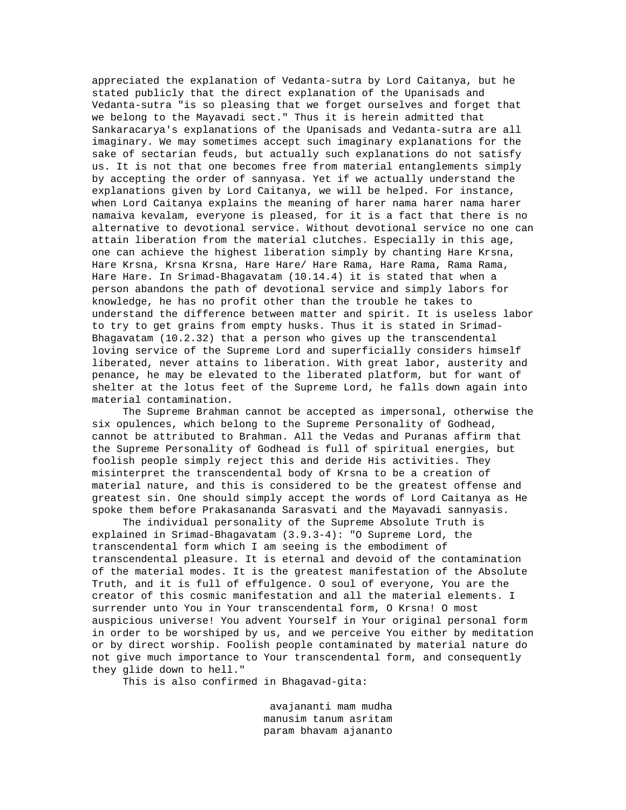appreciated the explanation of Vedanta-sutra by Lord Caitanya, but he stated publicly that the direct explanation of the Upanisads and Vedanta-sutra "is so pleasing that we forget ourselves and forget that we belong to the Mayavadi sect." Thus it is herein admitted that Sankaracarya's explanations of the Upanisads and Vedanta-sutra are all imaginary. We may sometimes accept such imaginary explanations for the sake of sectarian feuds, but actually such explanations do not satisfy us. It is not that one becomes free from material entanglements simply by accepting the order of sannyasa. Yet if we actually understand the explanations given by Lord Caitanya, we will be helped. For instance, when Lord Caitanya explains the meaning of harer nama harer nama harer namaiva kevalam, everyone is pleased, for it is a fact that there is no alternative to devotional service. Without devotional service no one can attain liberation from the material clutches. Especially in this age, one can achieve the highest liberation simply by chanting Hare Krsna, Hare Krsna, Krsna Krsna, Hare Hare/ Hare Rama, Hare Rama, Rama Rama, Hare Hare. In Srimad-Bhagavatam (10.14.4) it is stated that when a person abandons the path of devotional service and simply labors for knowledge, he has no profit other than the trouble he takes to understand the difference between matter and spirit. It is useless labor to try to get grains from empty husks. Thus it is stated in Srimad-Bhagavatam (10.2.32) that a person who gives up the transcendental loving service of the Supreme Lord and superficially considers himself liberated, never attains to liberation. With great labor, austerity and penance, he may be elevated to the liberated platform, but for want of shelter at the lotus feet of the Supreme Lord, he falls down again into material contamination.

 The Supreme Brahman cannot be accepted as impersonal, otherwise the six opulences, which belong to the Supreme Personality of Godhead, cannot be attributed to Brahman. All the Vedas and Puranas affirm that the Supreme Personality of Godhead is full of spiritual energies, but foolish people simply reject this and deride His activities. They misinterpret the transcendental body of Krsna to be a creation of material nature, and this is considered to be the greatest offense and greatest sin. One should simply accept the words of Lord Caitanya as He spoke them before Prakasananda Sarasvati and the Mayavadi sannyasis.

 The individual personality of the Supreme Absolute Truth is explained in Srimad-Bhagavatam (3.9.3-4): "O Supreme Lord, the transcendental form which I am seeing is the embodiment of transcendental pleasure. It is eternal and devoid of the contamination of the material modes. It is the greatest manifestation of the Absolute Truth, and it is full of effulgence. O soul of everyone, You are the creator of this cosmic manifestation and all the material elements. I surrender unto You in Your transcendental form, O Krsna! O most auspicious universe! You advent Yourself in Your original personal form in order to be worshiped by us, and we perceive You either by meditation or by direct worship. Foolish people contaminated by material nature do not give much importance to Your transcendental form, and consequently they glide down to hell."

This is also confirmed in Bhagavad-gita:

 avajananti mam mudha manusim tanum asritam param bhavam ajananto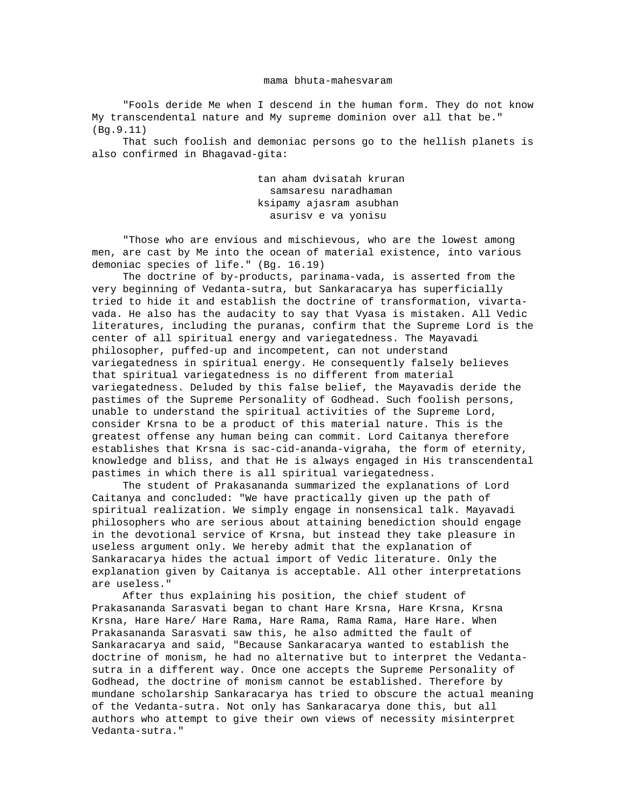"Fools deride Me when I descend in the human form. They do not know My transcendental nature and My supreme dominion over all that be." (Bg.9.11)

 That such foolish and demoniac persons go to the hellish planets is also confirmed in Bhagavad-gita:

> tan aham dvisatah kruran samsaresu naradhaman ksipamy ajasram asubhan asurisv e va yonisu

 "Those who are envious and mischievous, who are the lowest among men, are cast by Me into the ocean of material existence, into various demoniac species of life." (Bg. 16.19)

 The doctrine of by-products, parinama-vada, is asserted from the very beginning of Vedanta-sutra, but Sankaracarya has superficially tried to hide it and establish the doctrine of transformation, vivartavada. He also has the audacity to say that Vyasa is mistaken. All Vedic literatures, including the puranas, confirm that the Supreme Lord is the center of all spiritual energy and variegatedness. The Mayavadi philosopher, puffed-up and incompetent, can not understand variegatedness in spiritual energy. He consequently falsely believes that spiritual variegatedness is no different from material variegatedness. Deluded by this false belief, the Mayavadis deride the pastimes of the Supreme Personality of Godhead. Such foolish persons, unable to understand the spiritual activities of the Supreme Lord, consider Krsna to be a product of this material nature. This is the greatest offense any human being can commit. Lord Caitanya therefore establishes that Krsna is sac-cid-ananda-vigraha, the form of eternity, knowledge and bliss, and that He is always engaged in His transcendental pastimes in which there is all spiritual variegatedness.

 The student of Prakasananda summarized the explanations of Lord Caitanya and concluded: "We have practically given up the path of spiritual realization. We simply engage in nonsensical talk. Mayavadi philosophers who are serious about attaining benediction should engage in the devotional service of Krsna, but instead they take pleasure in useless argument only. We hereby admit that the explanation of Sankaracarya hides the actual import of Vedic literature. Only the explanation given by Caitanya is acceptable. All other interpretations are useless."

 After thus explaining his position, the chief student of Prakasananda Sarasvati began to chant Hare Krsna, Hare Krsna, Krsna Krsna, Hare Hare/ Hare Rama, Hare Rama, Rama Rama, Hare Hare. When Prakasananda Sarasvati saw this, he also admitted the fault of Sankaracarya and said, "Because Sankaracarya wanted to establish the doctrine of monism, he had no alternative but to interpret the Vedantasutra in a different way. Once one accepts the Supreme Personality of Godhead, the doctrine of monism cannot be established. Therefore by mundane scholarship Sankaracarya has tried to obscure the actual meaning of the Vedanta-sutra. Not only has Sankaracarya done this, but all authors who attempt to give their own views of necessity misinterpret Vedanta-sutra."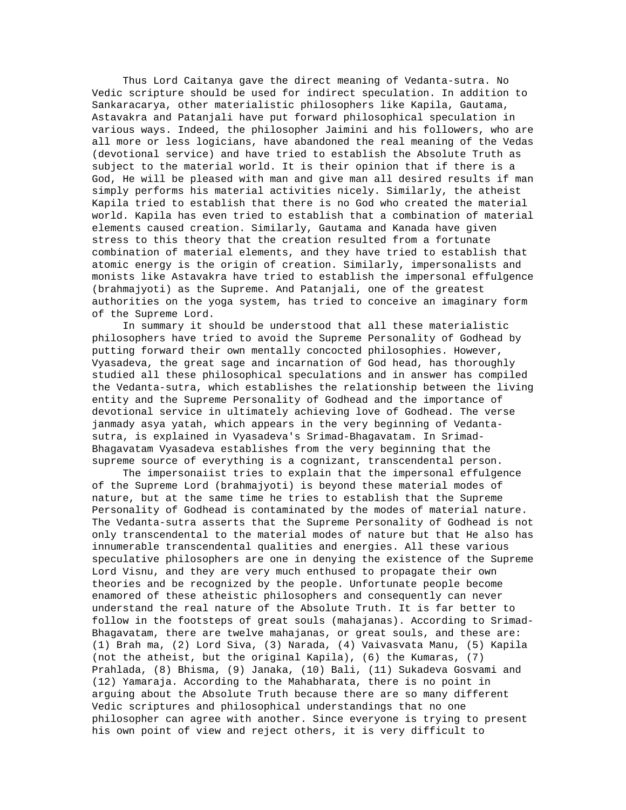Thus Lord Caitanya gave the direct meaning of Vedanta-sutra. No Vedic scripture should be used for indirect speculation. In addition to Sankaracarya, other materialistic philosophers like Kapila, Gautama, Astavakra and Patanjali have put forward philosophical speculation in various ways. Indeed, the philosopher Jaimini and his followers, who are all more or less logicians, have abandoned the real meaning of the Vedas (devotional service) and have tried to establish the Absolute Truth as subject to the material world. It is their opinion that if there is a God, He will be pleased with man and give man all desired results if man simply performs his material activities nicely. Similarly, the atheist Kapila tried to establish that there is no God who created the material world. Kapila has even tried to establish that a combination of material elements caused creation. Similarly, Gautama and Kanada have given stress to this theory that the creation resulted from a fortunate combination of material elements, and they have tried to establish that atomic energy is the origin of creation. Similarly, impersonalists and monists like Astavakra have tried to establish the impersonal effulgence (brahmajyoti) as the Supreme. And Patanjali, one of the greatest authorities on the yoga system, has tried to conceive an imaginary form of the Supreme Lord.

 In summary it should be understood that all these materialistic philosophers have tried to avoid the Supreme Personality of Godhead by putting forward their own mentally concocted philosophies. However, Vyasadeva, the great sage and incarnation of God head, has thoroughly studied all these philosophical speculations and in answer has compiled the Vedanta-sutra, which establishes the relationship between the living entity and the Supreme Personality of Godhead and the importance of devotional service in ultimately achieving love of Godhead. The verse janmady asya yatah, which appears in the very beginning of Vedantasutra, is explained in Vyasadeva's Srimad-Bhagavatam. In Srimad-Bhagavatam Vyasadeva establishes from the very beginning that the supreme source of everything is a cognizant, transcendental person.

 The impersonaiist tries to explain that the impersonal effulgence of the Supreme Lord (brahmajyoti) is beyond these material modes of nature, but at the same time he tries to establish that the Supreme Personality of Godhead is contaminated by the modes of material nature. The Vedanta-sutra asserts that the Supreme Personality of Godhead is not only transcendental to the material modes of nature but that He also has innumerable transcendental qualities and energies. All these various speculative philosophers are one in denying the existence of the Supreme Lord Visnu, and they are very much enthused to propagate their own theories and be recognized by the people. Unfortunate people become enamored of these atheistic philosophers and consequently can never understand the real nature of the Absolute Truth. It is far better to follow in the footsteps of great souls (mahajanas). According to Srimad-Bhagavatam, there are twelve mahajanas, or great souls, and these are: (1) Brah ma, (2) Lord Siva, (3) Narada, (4) Vaivasvata Manu, (5) Kapila (not the atheist, but the original Kapila), (6) the Kumaras, (7) Prahlada, (8) Bhisma, (9) Janaka, (10) Bali, (11) Sukadeva Gosvami and (12) Yamaraja. According to the Mahabharata, there is no point in arguing about the Absolute Truth because there are so many different Vedic scriptures and philosophical understandings that no one philosopher can agree with another. Since everyone is trying to present his own point of view and reject others, it is very difficult to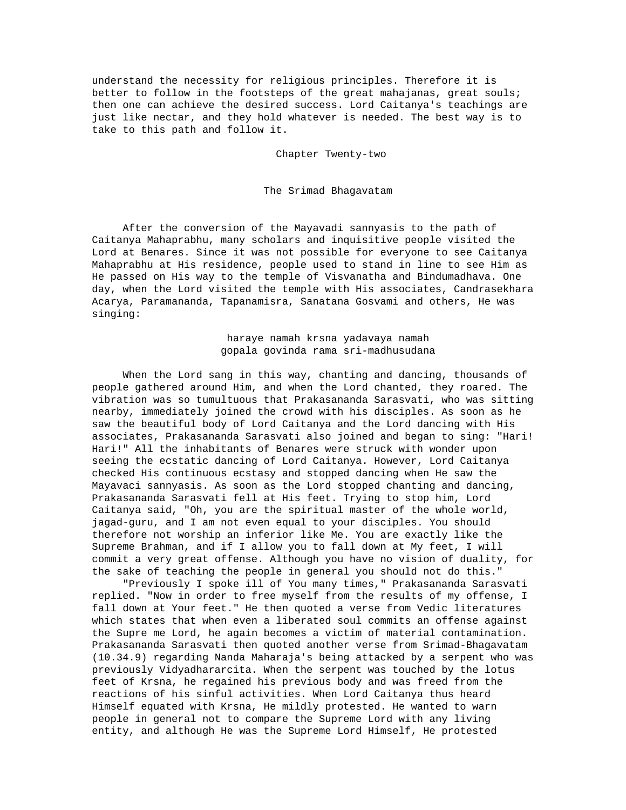understand the necessity for religious principles. Therefore it is better to follow in the footsteps of the great mahajanas, great souls; then one can achieve the desired success. Lord Caitanya's teachings are just like nectar, and they hold whatever is needed. The best way is to take to this path and follow it.

Chapter Twenty-two

The Srimad Bhagavatam

 After the conversion of the Mayavadi sannyasis to the path of Caitanya Mahaprabhu, many scholars and inquisitive people visited the Lord at Benares. Since it was not possible for everyone to see Caitanya Mahaprabhu at His residence, people used to stand in line to see Him as He passed on His way to the temple of Visvanatha and Bindumadhava. One day, when the Lord visited the temple with His associates, Candrasekhara Acarya, Paramananda, Tapanamisra, Sanatana Gosvami and others, He was singing:

> haraye namah krsna yadavaya namah gopala govinda rama sri-madhusudana

 When the Lord sang in this way, chanting and dancing, thousands of people gathered around Him, and when the Lord chanted, they roared. The vibration was so tumultuous that Prakasananda Sarasvati, who was sitting nearby, immediately joined the crowd with his disciples. As soon as he saw the beautiful body of Lord Caitanya and the Lord dancing with His associates, Prakasananda Sarasvati also joined and began to sing: "Hari! Hari!" All the inhabitants of Benares were struck with wonder upon seeing the ecstatic dancing of Lord Caitanya. However, Lord Caitanya checked His continuous ecstasy and stopped dancing when He saw the Mayavaci sannyasis. As soon as the Lord stopped chanting and dancing, Prakasananda Sarasvati fell at His feet. Trying to stop him, Lord Caitanya said, "Oh, you are the spiritual master of the whole world, jagad-guru, and I am not even equal to your disciples. You should therefore not worship an inferior like Me. You are exactly like the Supreme Brahman, and if I allow you to fall down at My feet, I will commit a very great offense. Although you have no vision of duality, for the sake of teaching the people in general you should not do this."

 "Previously I spoke ill of You many times," Prakasananda Sarasvati replied. "Now in order to free myself from the results of my offense, I fall down at Your feet." He then quoted a verse from Vedic literatures which states that when even a liberated soul commits an offense against the Supre me Lord, he again becomes a victim of material contamination. Prakasananda Sarasvati then quoted another verse from Srimad-Bhagavatam (10.34.9) regarding Nanda Maharaja's being attacked by a serpent who was previously Vidyadhararcita. When the serpent was touched by the lotus feet of Krsna, he regained his previous body and was freed from the reactions of his sinful activities. When Lord Caitanya thus heard Himself equated with Krsna, He mildly protested. He wanted to warn people in general not to compare the Supreme Lord with any living entity, and although He was the Supreme Lord Himself, He protested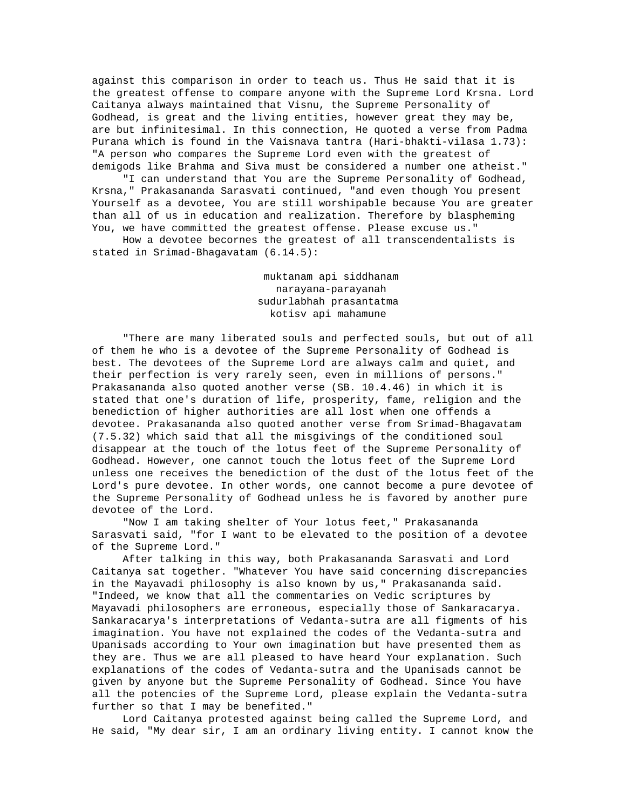against this comparison in order to teach us. Thus He said that it is the greatest offense to compare anyone with the Supreme Lord Krsna. Lord Caitanya always maintained that Visnu, the Supreme Personality of Godhead, is great and the living entities, however great they may be, are but infinitesimal. In this connection, He quoted a verse from Padma Purana which is found in the Vaisnava tantra (Hari-bhakti-vilasa 1.73): "A person who compares the Supreme Lord even with the greatest of demigods like Brahma and Siva must be considered a number one atheist."

"I can understand that You are the Supreme Personality of Godhead, Krsna," Prakasananda Sarasvati continued, "and even though You present Yourself as a devotee, You are still worshipable because You are greater than all of us in education and realization. Therefore by blaspheming You, we have committed the greatest offense. Please excuse us."

 How a devotee becornes the greatest of all transcendentalists is stated in Srimad-Bhagavatam (6.14.5):

> muktanam api siddhanam narayana-parayanah sudurlabhah prasantatma kotisv api mahamune

 "There are many liberated souls and perfected souls, but out of all of them he who is a devotee of the Supreme Personality of Godhead is best. The devotees of the Supreme Lord are always calm and quiet, and their perfection is very rarely seen, even in millions of persons." Prakasananda also quoted another verse (SB. 10.4.46) in which it is stated that one's duration of life, prosperity, fame, religion and the benediction of higher authorities are all lost when one offends a devotee. Prakasananda also quoted another verse from Srimad-Bhagavatam (7.5.32) which said that all the misgivings of the conditioned soul disappear at the touch of the lotus feet of the Supreme Personality of Godhead. However, one cannot touch the lotus feet of the Supreme Lord unless one receives the benediction of the dust of the lotus feet of the Lord's pure devotee. In other words, one cannot become a pure devotee of the Supreme Personality of Godhead unless he is favored by another pure devotee of the Lord.

 "Now I am taking shelter of Your lotus feet," Prakasananda Sarasvati said, "for I want to be elevated to the position of a devotee of the Supreme Lord."

 After talking in this way, both Prakasananda Sarasvati and Lord Caitanya sat together. "Whatever You have said concerning discrepancies in the Mayavadi philosophy is also known by us," Prakasananda said. "Indeed, we know that all the commentaries on Vedic scriptures by Mayavadi philosophers are erroneous, especially those of Sankaracarya. Sankaracarya's interpretations of Vedanta-sutra are all figments of his imagination. You have not explained the codes of the Vedanta-sutra and Upanisads according to Your own imagination but have presented them as they are. Thus we are all pleased to have heard Your explanation. Such explanations of the codes of Vedanta-sutra and the Upanisads cannot be given by anyone but the Supreme Personality of Godhead. Since You have all the potencies of the Supreme Lord, please explain the Vedanta-sutra further so that I may be benefited."

 Lord Caitanya protested against being called the Supreme Lord, and He said, "My dear sir, I am an ordinary living entity. I cannot know the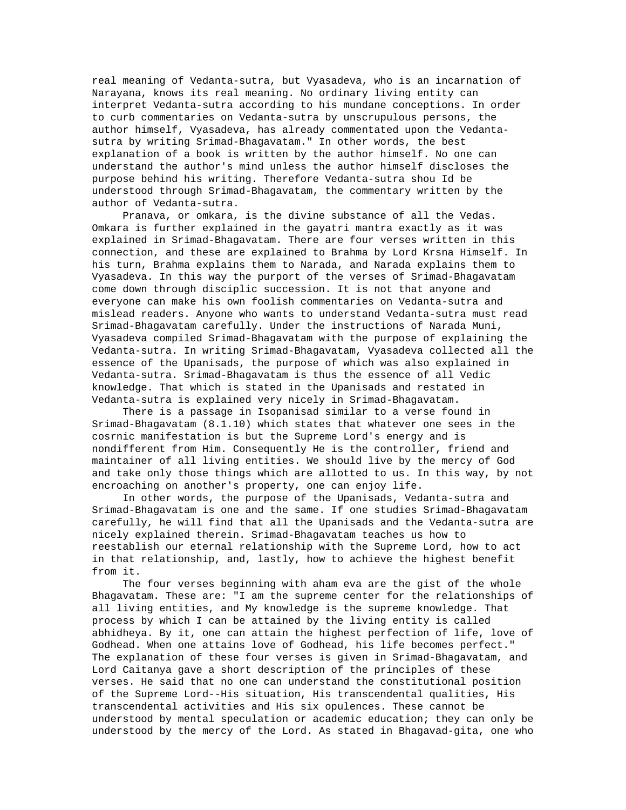real meaning of Vedanta-sutra, but Vyasadeva, who is an incarnation of Narayana, knows its real meaning. No ordinary living entity can interpret Vedanta-sutra according to his mundane conceptions. In order to curb commentaries on Vedanta-sutra by unscrupulous persons, the author himself, Vyasadeva, has already commentated upon the Vedantasutra by writing Srimad-Bhagavatam." In other words, the best explanation of a book is written by the author himself. No one can understand the author's mind unless the author himself discloses the purpose behind his writing. Therefore Vedanta-sutra shou Id be understood through Srimad-Bhagavatam, the commentary written by the author of Vedanta-sutra.

 Pranava, or omkara, is the divine substance of all the Vedas. Omkara is further explained in the gayatri mantra exactly as it was explained in Srimad-Bhagavatam. There are four verses written in this connection, and these are explained to Brahma by Lord Krsna Himself. In his turn, Brahma explains them to Narada, and Narada explains them to Vyasadeva. In this way the purport of the verses of Srimad-Bhagavatam come down through disciplic succession. It is not that anyone and everyone can make his own foolish commentaries on Vedanta-sutra and mislead readers. Anyone who wants to understand Vedanta-sutra must read Srimad-Bhagavatam carefully. Under the instructions of Narada Muni, Vyasadeva compiled Srimad-Bhagavatam with the purpose of explaining the Vedanta-sutra. In writing Srimad-Bhagavatam, Vyasadeva collected all the essence of the Upanisads, the purpose of which was also explained in Vedanta-sutra. Srimad-Bhagavatam is thus the essence of all Vedic knowledge. That which is stated in the Upanisads and restated in Vedanta-sutra is explained very nicely in Srimad-Bhagavatam.

 There is a passage in Isopanisad similar to a verse found in Srimad-Bhagavatam (8.1.10) which states that whatever one sees in the cosrnic manifestation is but the Supreme Lord's energy and is nondifferent from Him. Consequently He is the controller, friend and maintainer of all living entities. We should live by the mercy of God and take only those things which are allotted to us. In this way, by not encroaching on another's property, one can enjoy life.

 In other words, the purpose of the Upanisads, Vedanta-sutra and Srimad-Bhagavatam is one and the same. If one studies Srimad-Bhagavatam carefully, he will find that all the Upanisads and the Vedanta-sutra are nicely explained therein. Srimad-Bhagavatam teaches us how to reestablish our eternal relationship with the Supreme Lord, how to act in that relationship, and, lastly, how to achieve the highest benefit from it.

 The four verses beginning with aham eva are the gist of the whole Bhagavatam. These are: "I am the supreme center for the relationships of all living entities, and My knowledge is the supreme knowledge. That process by which I can be attained by the living entity is called abhidheya. By it, one can attain the highest perfection of life, love of Godhead. When one attains love of Godhead, his life becomes perfect." The explanation of these four verses is given in Srimad-Bhagavatam, and Lord Caitanya gave a short description of the principles of these verses. He said that no one can understand the constitutional position of the Supreme Lord--His situation, His transcendental qualities, His transcendental activities and His six opulences. These cannot be understood by mental speculation or academic education; they can only be understood by the mercy of the Lord. As stated in Bhagavad-gita, one who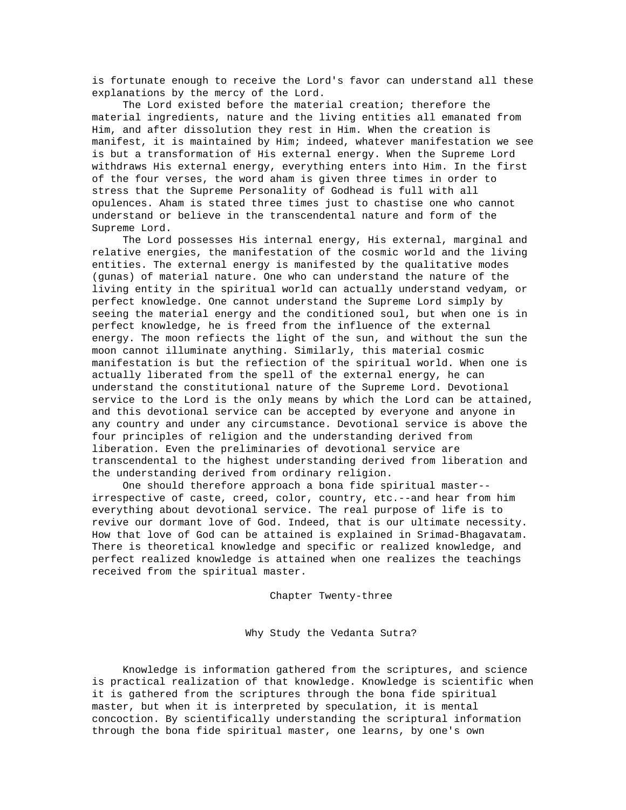is fortunate enough to receive the Lord's favor can understand all these explanations by the mercy of the Lord.

 The Lord existed before the material creation; therefore the material ingredients, nature and the living entities all emanated from Him, and after dissolution they rest in Him. When the creation is manifest, it is maintained by Him; indeed, whatever manifestation we see is but a transformation of His external energy. When the Supreme Lord withdraws His external energy, everything enters into Him. In the first of the four verses, the word aham is given three times in order to stress that the Supreme Personality of Godhead is full with all opulences. Aham is stated three times just to chastise one who cannot understand or believe in the transcendental nature and form of the Supreme Lord.

 The Lord possesses His internal energy, His external, marginal and relative energies, the manifestation of the cosmic world and the living entities. The external energy is manifested by the qualitative modes (gunas) of material nature. One who can understand the nature of the living entity in the spiritual world can actually understand vedyam, or perfect knowledge. One cannot understand the Supreme Lord simply by seeing the material energy and the conditioned soul, but when one is in perfect knowledge, he is freed from the influence of the external energy. The moon refiects the light of the sun, and without the sun the moon cannot illuminate anything. Similarly, this material cosmic manifestation is but the refiection of the spiritual world. When one is actually liberated from the spell of the external energy, he can understand the constitutional nature of the Supreme Lord. Devotional service to the Lord is the only means by which the Lord can be attained, and this devotional service can be accepted by everyone and anyone in any country and under any circumstance. Devotional service is above the four principles of religion and the understanding derived from liberation. Even the preliminaries of devotional service are transcendental to the highest understanding derived from liberation and the understanding derived from ordinary religion.

 One should therefore approach a bona fide spiritual master- irrespective of caste, creed, color, country, etc.--and hear from him everything about devotional service. The real purpose of life is to revive our dormant love of God. Indeed, that is our ultimate necessity. How that love of God can be attained is explained in Srimad-Bhagavatam. There is theoretical knowledge and specific or realized knowledge, and perfect realized knowledge is attained when one realizes the teachings received from the spiritual master.

Chapter Twenty-three

Why Study the Vedanta Sutra?

 Knowledge is information gathered from the scriptures, and science is practical realization of that knowledge. Knowledge is scientific when it is gathered from the scriptures through the bona fide spiritual master, but when it is interpreted by speculation, it is mental concoction. By scientifically understanding the scriptural information through the bona fide spiritual master, one learns, by one's own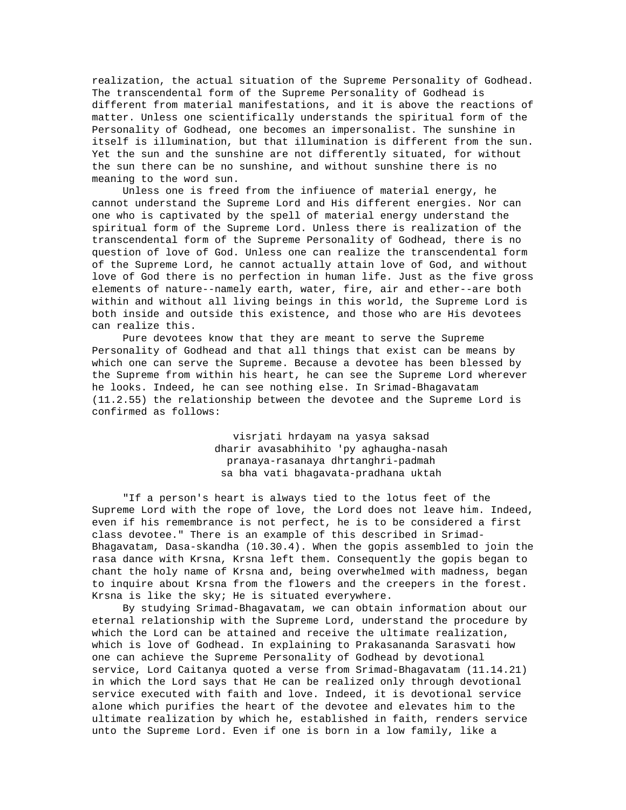realization, the actual situation of the Supreme Personality of Godhead. The transcendental form of the Supreme Personality of Godhead is different from material manifestations, and it is above the reactions of matter. Unless one scientifically understands the spiritual form of the Personality of Godhead, one becomes an impersonalist. The sunshine in itself is illumination, but that illumination is different from the sun. Yet the sun and the sunshine are not differently situated, for without the sun there can be no sunshine, and without sunshine there is no meaning to the word sun.

 Unless one is freed from the infiuence of material energy, he cannot understand the Supreme Lord and His different energies. Nor can one who is captivated by the spell of material energy understand the spiritual form of the Supreme Lord. Unless there is realization of the transcendental form of the Supreme Personality of Godhead, there is no question of love of God. Unless one can realize the transcendental form of the Supreme Lord, he cannot actually attain love of God, and without love of God there is no perfection in human life. Just as the five gross elements of nature--namely earth, water, fire, air and ether--are both within and without all living beings in this world, the Supreme Lord is both inside and outside this existence, and those who are His devotees can realize this.

 Pure devotees know that they are meant to serve the Supreme Personality of Godhead and that all things that exist can be means by which one can serve the Supreme. Because a devotee has been blessed by the Supreme from within his heart, he can see the Supreme Lord wherever he looks. Indeed, he can see nothing else. In Srimad-Bhagavatam (11.2.55) the relationship between the devotee and the Supreme Lord is confirmed as follows:

> visrjati hrdayam na yasya saksad dharir avasabhihito 'py aghaugha-nasah pranaya-rasanaya dhrtanghri-padmah sa bha vati bhagavata-pradhana uktah

 "If a person's heart is always tied to the lotus feet of the Supreme Lord with the rope of love, the Lord does not leave him. Indeed, even if his remembrance is not perfect, he is to be considered a first class devotee." There is an example of this described in Srimad-Bhagavatam, Dasa-skandha (10.30.4). When the gopis assembled to join the rasa dance with Krsna, Krsna left them. Consequently the gopis began to chant the holy name of Krsna and, being overwhelmed with madness, began to inquire about Krsna from the flowers and the creepers in the forest. Krsna is like the sky; He is situated everywhere.

 By studying Srimad-Bhagavatam, we can obtain information about our eternal relationship with the Supreme Lord, understand the procedure by which the Lord can be attained and receive the ultimate realization, which is love of Godhead. In explaining to Prakasananda Sarasvati how one can achieve the Supreme Personality of Godhead by devotional service, Lord Caitanya quoted a verse from Srimad-Bhagavatam (11.14.21) in which the Lord says that He can be realized only through devotional service executed with faith and love. Indeed, it is devotional service alone which purifies the heart of the devotee and elevates him to the ultimate realization by which he, established in faith, renders service unto the Supreme Lord. Even if one is born in a low family, like a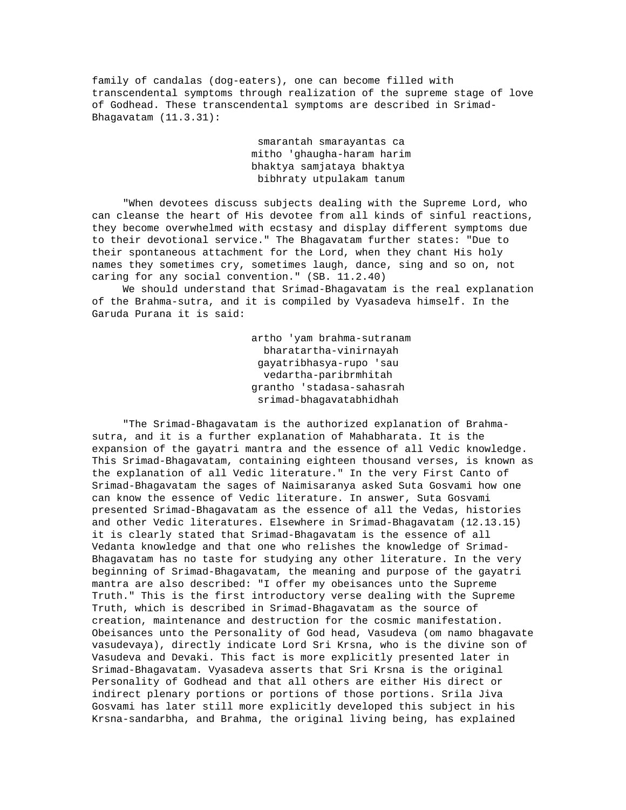family of candalas (dog-eaters), one can become filled with transcendental symptoms through realization of the supreme stage of love of Godhead. These transcendental symptoms are described in Srimad-Bhagavatam (11.3.31):

> smarantah smarayantas ca mitho 'ghaugha-haram harim bhaktya samjataya bhaktya bibhraty utpulakam tanum

 "When devotees discuss subjects dealing with the Supreme Lord, who can cleanse the heart of His devotee from all kinds of sinful reactions, they become overwhelmed with ecstasy and display different symptoms due to their devotional service." The Bhagavatam further states: "Due to their spontaneous attachment for the Lord, when they chant His holy names they sometimes cry, sometimes laugh, dance, sing and so on, not caring for any social convention." (SB. 11.2.40)

 We should understand that Srimad-Bhagavatam is the real explanation of the Brahma-sutra, and it is compiled by Vyasadeva himself. In the Garuda Purana it is said:

> artho 'yam brahma-sutranam bharatartha-vinirnayah gayatribhasya-rupo 'sau vedartha-paribrmhitah grantho 'stadasa-sahasrah srimad-bhagavatabhidhah

 "The Srimad-Bhagavatam is the authorized explanation of Brahmasutra, and it is a further explanation of Mahabharata. It is the expansion of the gayatri mantra and the essence of all Vedic knowledge. This Srimad-Bhagavatam, containing eighteen thousand verses, is known as the explanation of all Vedic literature." In the very First Canto of Srimad-Bhagavatam the sages of Naimisaranya asked Suta Gosvami how one can know the essence of Vedic literature. In answer, Suta Gosvami presented Srimad-Bhagavatam as the essence of all the Vedas, histories and other Vedic literatures. Elsewhere in Srimad-Bhagavatam (12.13.15) it is clearly stated that Srimad-Bhagavatam is the essence of all Vedanta knowledge and that one who relishes the knowledge of Srimad-Bhagavatam has no taste for studying any other literature. In the very beginning of Srimad-Bhagavatam, the meaning and purpose of the gayatri mantra are also described: "I offer my obeisances unto the Supreme Truth." This is the first introductory verse dealing with the Supreme Truth, which is described in Srimad-Bhagavatam as the source of creation, maintenance and destruction for the cosmic manifestation. Obeisances unto the Personality of God head, Vasudeva (om namo bhagavate vasudevaya), directly indicate Lord Sri Krsna, who is the divine son of Vasudeva and Devaki. This fact is more explicitly presented later in Srimad-Bhagavatam. Vyasadeva asserts that Sri Krsna is the original Personality of Godhead and that all others are either His direct or indirect plenary portions or portions of those portions. Srila Jiva Gosvami has later still more explicitly developed this subject in his Krsna-sandarbha, and Brahma, the original living being, has explained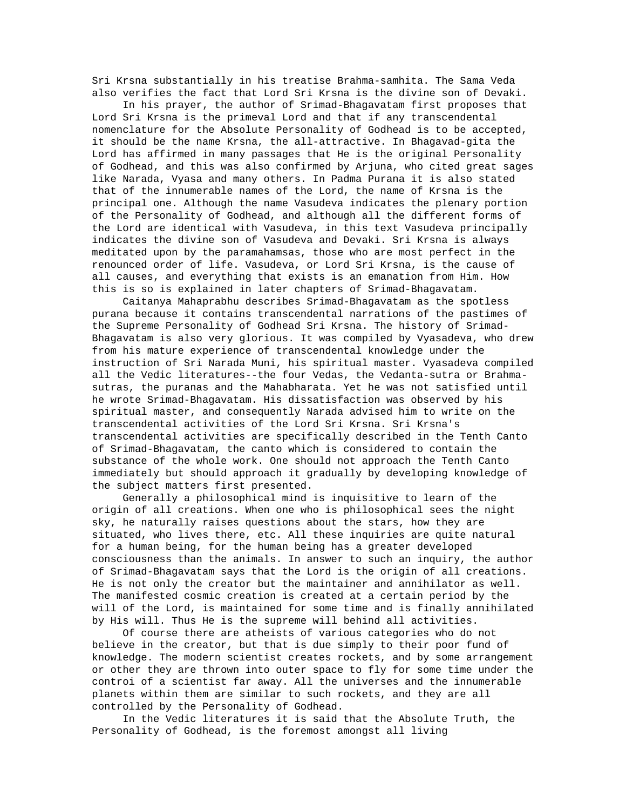Sri Krsna substantially in his treatise Brahma-samhita. The Sama Veda also verifies the fact that Lord Sri Krsna is the divine son of Devaki.

 In his prayer, the author of Srimad-Bhagavatam first proposes that Lord Sri Krsna is the primeval Lord and that if any transcendental nomenclature for the Absolute Personality of Godhead is to be accepted, it should be the name Krsna, the all-attractive. In Bhagavad-gita the Lord has affirmed in many passages that He is the original Personality of Godhead, and this was also confirmed by Arjuna, who cited great sages like Narada, Vyasa and many others. In Padma Purana it is also stated that of the innumerable names of the Lord, the name of Krsna is the principal one. Although the name Vasudeva indicates the plenary portion of the Personality of Godhead, and although all the different forms of the Lord are identical with Vasudeva, in this text Vasudeva principally indicates the divine son of Vasudeva and Devaki. Sri Krsna is always meditated upon by the paramahamsas, those who are most perfect in the renounced order of life. Vasudeva, or Lord Sri Krsna, is the cause of all causes, and everything that exists is an emanation from Him. How this is so is explained in later chapters of Srimad-Bhagavatam.

 Caitanya Mahaprabhu describes Srimad-Bhagavatam as the spotless purana because it contains transcendental narrations of the pastimes of the Supreme Personality of Godhead Sri Krsna. The history of Srimad-Bhagavatam is also very glorious. It was compiled by Vyasadeva, who drew from his mature experience of transcendental knowledge under the instruction of Sri Narada Muni, his spiritual master. Vyasadeva compiled all the Vedic literatures--the four Vedas, the Vedanta-sutra or Brahmasutras, the puranas and the Mahabharata. Yet he was not satisfied until he wrote Srimad-Bhagavatam. His dissatisfaction was observed by his spiritual master, and consequently Narada advised him to write on the transcendental activities of the Lord Sri Krsna. Sri Krsna's transcendental activities are specifically described in the Tenth Canto of Srimad-Bhagavatam, the canto which is considered to contain the substance of the whole work. One should not approach the Tenth Canto immediately but should approach it gradually by developing knowledge of the subject matters first presented.

 Generally a philosophical mind is inquisitive to learn of the origin of all creations. When one who is philosophical sees the night sky, he naturally raises questions about the stars, how they are situated, who lives there, etc. All these inquiries are quite natural for a human being, for the human being has a greater developed consciousness than the animals. In answer to such an inquiry, the author of Srimad-Bhagavatam says that the Lord is the origin of all creations. He is not only the creator but the maintainer and annihilator as well. The manifested cosmic creation is created at a certain period by the will of the Lord, is maintained for some time and is finally annihilated by His will. Thus He is the supreme will behind all activities.

 Of course there are atheists of various categories who do not believe in the creator, but that is due simply to their poor fund of knowledge. The modern scientist creates rockets, and by some arrangement or other they are thrown into outer space to fly for some time under the controi of a scientist far away. All the universes and the innumerable planets within them are similar to such rockets, and they are all controlled by the Personality of Godhead.

 In the Vedic literatures it is said that the Absolute Truth, the Personality of Godhead, is the foremost amongst all living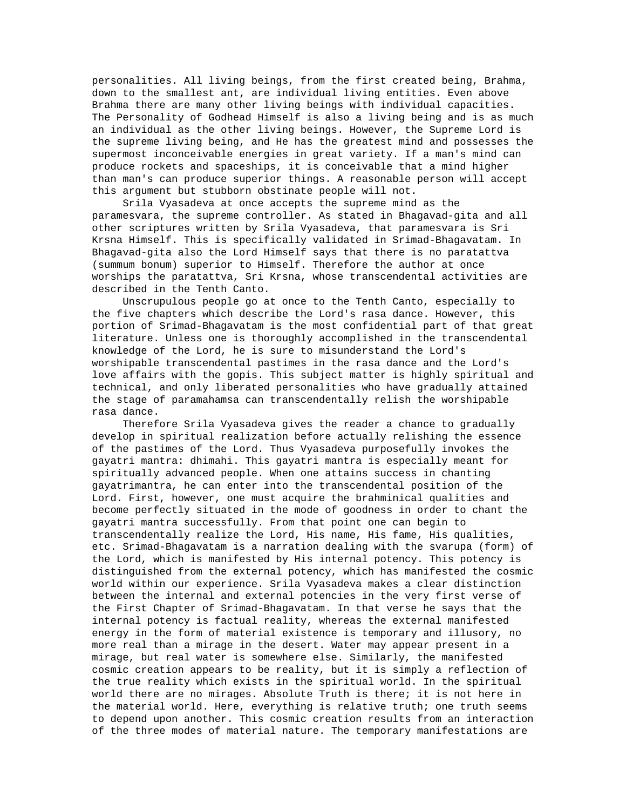personalities. All living beings, from the first created being, Brahma, down to the smallest ant, are individual living entities. Even above Brahma there are many other living beings with individual capacities. The Personality of Godhead Himself is also a living being and is as much an individual as the other living beings. However, the Supreme Lord is the supreme living being, and He has the greatest mind and possesses the supermost inconceivable energies in great variety. If a man's mind can produce rockets and spaceships, it is conceivable that a mind higher than man's can produce superior things. A reasonable person will accept this argument but stubborn obstinate people will not.

 Srila Vyasadeva at once accepts the supreme mind as the paramesvara, the supreme controller. As stated in Bhagavad-gita and all other scriptures written by Srila Vyasadeva, that paramesvara is Sri Krsna Himself. This is specifically validated in Srimad-Bhagavatam. In Bhagavad-gita also the Lord Himself says that there is no paratattva (summum bonum) superior to Himself. Therefore the author at once worships the paratattva, Sri Krsna, whose transcendental activities are described in the Tenth Canto.

 Unscrupulous people go at once to the Tenth Canto, especially to the five chapters which describe the Lord's rasa dance. However, this portion of Srimad-Bhagavatam is the most confidential part of that great literature. Unless one is thoroughly accomplished in the transcendental knowledge of the Lord, he is sure to misunderstand the Lord's worshipable transcendental pastimes in the rasa dance and the Lord's love affairs with the gopis. This subject matter is highly spiritual and technical, and only liberated personalities who have gradually attained the stage of paramahamsa can transcendentally relish the worshipable rasa dance.

 Therefore Srila Vyasadeva gives the reader a chance to gradually develop in spiritual realization before actually relishing the essence of the pastimes of the Lord. Thus Vyasadeva purposefully invokes the gayatri mantra: dhimahi. This gayatri mantra is especially meant for spiritually advanced people. When one attains success in chanting gayatrimantra, he can enter into the transcendental position of the Lord. First, however, one must acquire the brahminical qualities and become perfectly situated in the mode of goodness in order to chant the gayatri mantra successfully. From that point one can begin to transcendentally realize the Lord, His name, His fame, His qualities, etc. Srimad-Bhagavatam is a narration dealing with the svarupa (form) of the Lord, which is manifested by His internal potency. This potency is distinguished from the external potency, which has manifested the cosmic world within our experience. Srila Vyasadeva makes a clear distinction between the internal and external potencies in the very first verse of the First Chapter of Srimad-Bhagavatam. In that verse he says that the internal potency is factual reality, whereas the external manifested energy in the form of material existence is temporary and illusory, no more real than a mirage in the desert. Water may appear present in a mirage, but real water is somewhere else. Similarly, the manifested cosmic creation appears to be reality, but it is simply a reflection of the true reality which exists in the spiritual world. In the spiritual world there are no mirages. Absolute Truth is there; it is not here in the material world. Here, everything is relative truth; one truth seems to depend upon another. This cosmic creation results from an interaction of the three modes of material nature. The temporary manifestations are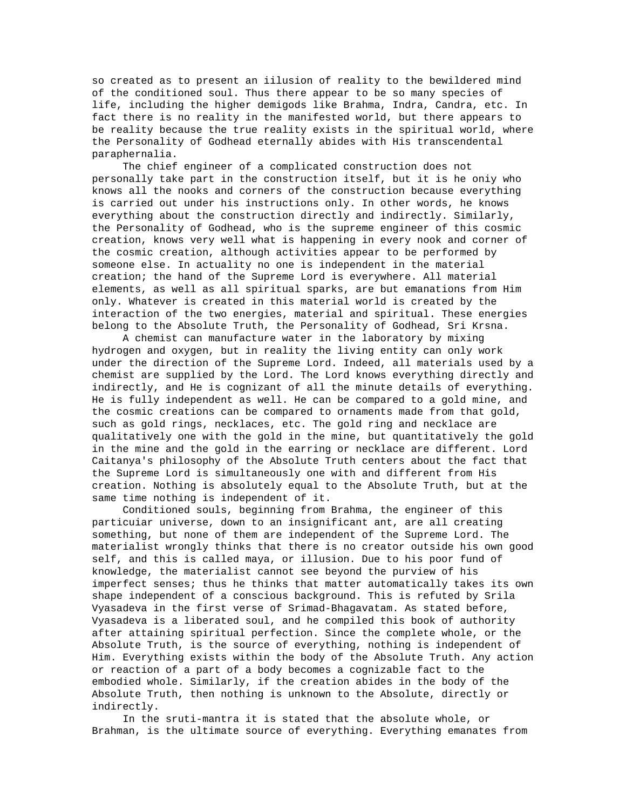so created as to present an iilusion of reality to the bewildered mind of the conditioned soul. Thus there appear to be so many species of life, including the higher demigods like Brahma, Indra, Candra, etc. In fact there is no reality in the manifested world, but there appears to be reality because the true reality exists in the spiritual world, where the Personality of Godhead eternally abides with His transcendental paraphernalia.

 The chief engineer of a complicated construction does not personally take part in the construction itself, but it is he oniy who knows all the nooks and corners of the construction because everything is carried out under his instructions only. In other words, he knows everything about the construction directly and indirectly. Similarly, the Personality of Godhead, who is the supreme engineer of this cosmic creation, knows very well what is happening in every nook and corner of the cosmic creation, although activities appear to be performed by someone else. In actuality no one is independent in the material creation; the hand of the Supreme Lord is everywhere. All material elements, as well as all spiritual sparks, are but emanations from Him only. Whatever is created in this material world is created by the interaction of the two energies, material and spiritual. These energies belong to the Absolute Truth, the Personality of Godhead, Sri Krsna.

 A chemist can manufacture water in the laboratory by mixing hydrogen and oxygen, but in reality the living entity can only work under the direction of the Supreme Lord. Indeed, all materials used by a chemist are supplied by the Lord. The Lord knows everything directly and indirectly, and He is cognizant of all the minute details of everything. He is fully independent as well. He can be compared to a gold mine, and the cosmic creations can be compared to ornaments made from that gold, such as gold rings, necklaces, etc. The gold ring and necklace are qualitatively one with the gold in the mine, but quantitatively the gold in the mine and the gold in the earring or necklace are different. Lord Caitanya's philosophy of the Absolute Truth centers about the fact that the Supreme Lord is simultaneously one with and different from His creation. Nothing is absolutely equal to the Absolute Truth, but at the same time nothing is independent of it.

 Conditioned souls, beginning from Brahma, the engineer of this particuiar universe, down to an insignificant ant, are all creating something, but none of them are independent of the Supreme Lord. The materialist wrongly thinks that there is no creator outside his own good self, and this is called maya, or illusion. Due to his poor fund of knowledge, the materialist cannot see beyond the purview of his imperfect senses; thus he thinks that matter automatically takes its own shape independent of a conscious background. This is refuted by Srila Vyasadeva in the first verse of Srimad-Bhagavatam. As stated before, Vyasadeva is a liberated soul, and he compiled this book of authority after attaining spiritual perfection. Since the complete whole, or the Absolute Truth, is the source of everything, nothing is independent of Him. Everything exists within the body of the Absolute Truth. Any action or reaction of a part of a body becomes a cognizable fact to the embodied whole. Similarly, if the creation abides in the body of the Absolute Truth, then nothing is unknown to the Absolute, directly or indirectly.

 In the sruti-mantra it is stated that the absolute whole, or Brahman, is the ultimate source of everything. Everything emanates from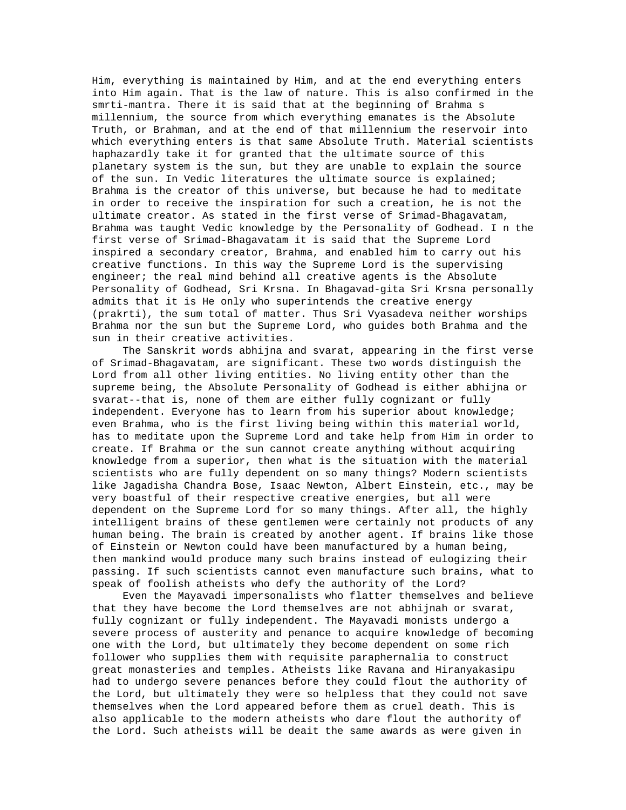Him, everything is maintained by Him, and at the end everything enters into Him again. That is the law of nature. This is also confirmed in the smrti-mantra. There it is said that at the beginning of Brahma s millennium, the source from which everything emanates is the Absolute Truth, or Brahman, and at the end of that millennium the reservoir into which everything enters is that same Absolute Truth. Material scientists haphazardly take it for granted that the ultimate source of this planetary system is the sun, but they are unable to explain the source of the sun. In Vedic literatures the ultimate source is explained; Brahma is the creator of this universe, but because he had to meditate in order to receive the inspiration for such a creation, he is not the ultimate creator. As stated in the first verse of Srimad-Bhagavatam, Brahma was taught Vedic knowledge by the Personality of Godhead. I n the first verse of Srimad-Bhagavatam it is said that the Supreme Lord inspired a secondary creator, Brahma, and enabled him to carry out his creative functions. In this way the Supreme Lord is the supervising engineer; the real mind behind all creative agents is the Absolute Personality of Godhead, Sri Krsna. In Bhagavad-gita Sri Krsna personally admits that it is He only who superintends the creative energy (prakrti), the sum total of matter. Thus Sri Vyasadeva neither worships Brahma nor the sun but the Supreme Lord, who guides both Brahma and the sun in their creative activities.

 The Sanskrit words abhijna and svarat, appearing in the first verse of Srimad-Bhagavatam, are significant. These two words distinguish the Lord from all other living entities. No living entity other than the supreme being, the Absolute Personality of Godhead is either abhijna or svarat--that is, none of them are either fully cognizant or fully independent. Everyone has to learn from his superior about knowledge; even Brahma, who is the first living being within this material world, has to meditate upon the Supreme Lord and take help from Him in order to create. If Brahma or the sun cannot create anything without acquiring knowledge from a superior, then what is the situation with the material scientists who are fully dependent on so many things? Modern scientists like Jagadisha Chandra Bose, Isaac Newton, Albert Einstein, etc., may be very boastful of their respective creative energies, but all were dependent on the Supreme Lord for so many things. After all, the highly intelligent brains of these gentlemen were certainly not products of any human being. The brain is created by another agent. If brains like those of Einstein or Newton could have been manufactured by a human being, then mankind would produce many such brains instead of eulogizing their passing. If such scientists cannot even manufacture such brains, what to speak of foolish atheists who defy the authority of the Lord?

 Even the Mayavadi impersonalists who flatter themselves and believe that they have become the Lord themselves are not abhijnah or svarat, fully cognizant or fully independent. The Mayavadi monists undergo a severe process of austerity and penance to acquire knowledge of becoming one with the Lord, but ultimately they become dependent on some rich follower who supplies them with requisite paraphernalia to construct great monasteries and temples. Atheists like Ravana and Hiranyakasipu had to undergo severe penances before they could flout the authority of the Lord, but ultimately they were so helpless that they could not save themselves when the Lord appeared before them as cruel death. This is also applicable to the modern atheists who dare flout the authority of the Lord. Such atheists will be deait the same awards as were given in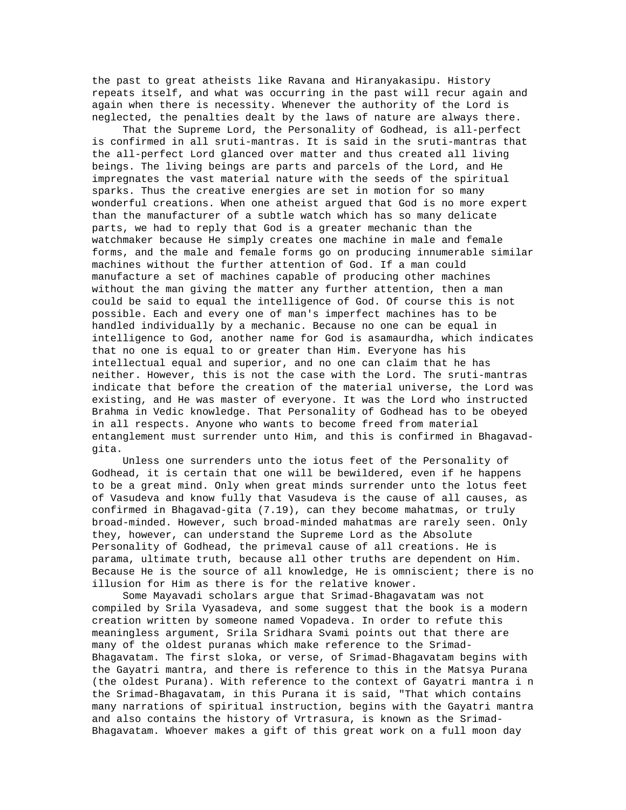the past to great atheists like Ravana and Hiranyakasipu. History repeats itself, and what was occurring in the past will recur again and again when there is necessity. Whenever the authority of the Lord is neglected, the penalties dealt by the laws of nature are always there.

 That the Supreme Lord, the Personality of Godhead, is all-perfect is confirmed in all sruti-mantras. It is said in the sruti-mantras that the all-perfect Lord glanced over matter and thus created all living beings. The living beings are parts and parcels of the Lord, and He impregnates the vast material nature with the seeds of the spiritual sparks. Thus the creative energies are set in motion for so many wonderful creations. When one atheist argued that God is no more expert than the manufacturer of a subtle watch which has so many delicate parts, we had to reply that God is a greater mechanic than the watchmaker because He simply creates one machine in male and female forms, and the male and female forms go on producing innumerable similar machines without the further attention of God. If a man could manufacture a set of machines capable of producing other machines without the man giving the matter any further attention, then a man could be said to equal the intelligence of God. Of course this is not possible. Each and every one of man's imperfect machines has to be handled individually by a mechanic. Because no one can be equal in intelligence to God, another name for God is asamaurdha, which indicates that no one is equal to or greater than Him. Everyone has his intellectual equal and superior, and no one can claim that he has neither. However, this is not the case with the Lord. The sruti-mantras indicate that before the creation of the material universe, the Lord was existing, and He was master of everyone. It was the Lord who instructed Brahma in Vedic knowledge. That Personality of Godhead has to be obeyed in all respects. Anyone who wants to become freed from material entanglement must surrender unto Him, and this is confirmed in Bhagavadgita.

 Unless one surrenders unto the iotus feet of the Personality of Godhead, it is certain that one will be bewildered, even if he happens to be a great mind. Only when great minds surrender unto the lotus feet of Vasudeva and know fully that Vasudeva is the cause of all causes, as confirmed in Bhagavad-gita (7.19), can they become mahatmas, or truly broad-minded. However, such broad-minded mahatmas are rarely seen. Only they, however, can understand the Supreme Lord as the Absolute Personality of Godhead, the primeval cause of all creations. He is parama, ultimate truth, because all other truths are dependent on Him. Because He is the source of all knowledge, He is omniscient; there is no illusion for Him as there is for the relative knower.

 Some Mayavadi scholars argue that Srimad-Bhagavatam was not compiled by Srila Vyasadeva, and some suggest that the book is a modern creation written by someone named Vopadeva. In order to refute this meaningless argument, Srila Sridhara Svami points out that there are many of the oldest puranas which make reference to the Srimad-Bhagavatam. The first sloka, or verse, of Srimad-Bhagavatam begins with the Gayatri mantra, and there is reference to this in the Matsya Purana (the oldest Purana). With reference to the context of Gayatri mantra i n the Srimad-Bhagavatam, in this Purana it is said, "That which contains many narrations of spiritual instruction, begins with the Gayatri mantra and also contains the history of Vrtrasura, is known as the Srimad-Bhagavatam. Whoever makes a gift of this great work on a full moon day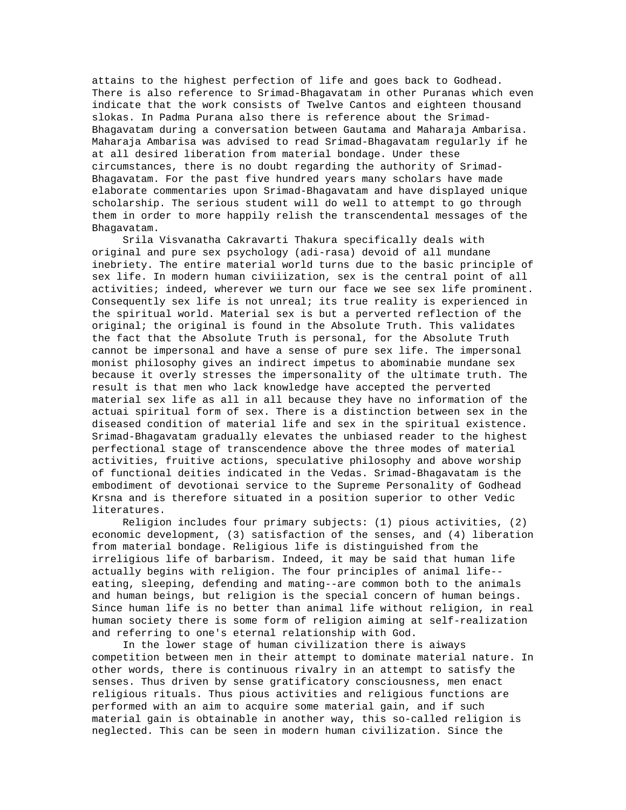attains to the highest perfection of life and goes back to Godhead. There is also reference to Srimad-Bhagavatam in other Puranas which even indicate that the work consists of Twelve Cantos and eighteen thousand slokas. In Padma Purana also there is reference about the Srimad-Bhagavatam during a conversation between Gautama and Maharaja Ambarisa. Maharaja Ambarisa was advised to read Srimad-Bhagavatam regularly if he at all desired liberation from material bondage. Under these circumstances, there is no doubt regarding the authority of Srimad-Bhagavatam. For the past five hundred years many scholars have made elaborate commentaries upon Srimad-Bhagavatam and have displayed unique scholarship. The serious student will do well to attempt to go through them in order to more happily relish the transcendental messages of the Bhagavatam.

 Srila Visvanatha Cakravarti Thakura specifically deals with original and pure sex psychology (adi-rasa) devoid of all mundane inebriety. The entire material world turns due to the basic principle of sex life. In modern human civiiization, sex is the central point of all activities; indeed, wherever we turn our face we see sex life prominent. Consequently sex life is not unreal; its true reality is experienced in the spiritual world. Material sex is but a perverted reflection of the original; the original is found in the Absolute Truth. This validates the fact that the Absolute Truth is personal, for the Absolute Truth cannot be impersonal and have a sense of pure sex life. The impersonal monist philosophy gives an indirect impetus to abominabie mundane sex because it overly stresses the impersonality of the ultimate truth. The result is that men who lack knowledge have accepted the perverted material sex life as all in all because they have no information of the actuai spiritual form of sex. There is a distinction between sex in the diseased condition of material life and sex in the spiritual existence. Srimad-Bhagavatam gradually elevates the unbiased reader to the highest perfectional stage of transcendence above the three modes of material activities, fruitive actions, speculative philosophy and above worship of functional deities indicated in the Vedas. Srimad-Bhagavatam is the embodiment of devotionai service to the Supreme Personality of Godhead Krsna and is therefore situated in a position superior to other Vedic literatures.

 Religion includes four primary subjects: (1) pious activities, (2) economic development, (3) satisfaction of the senses, and (4) liberation from material bondage. Religious life is distinguished from the irreligious life of barbarism. Indeed, it may be said that human life actually begins with religion. The four principles of animal life- eating, sleeping, defending and mating--are common both to the animals and human beings, but religion is the special concern of human beings. Since human life is no better than animal life without religion, in real human society there is some form of religion aiming at self-realization and referring to one's eternal relationship with God.

 In the lower stage of human civilization there is aiways competition between men in their attempt to dominate material nature. In other words, there is continuous rivalry in an attempt to satisfy the senses. Thus driven by sense gratificatory consciousness, men enact religious rituals. Thus pious activities and religious functions are performed with an aim to acquire some material gain, and if such material gain is obtainable in another way, this so-called religion is neglected. This can be seen in modern human civilization. Since the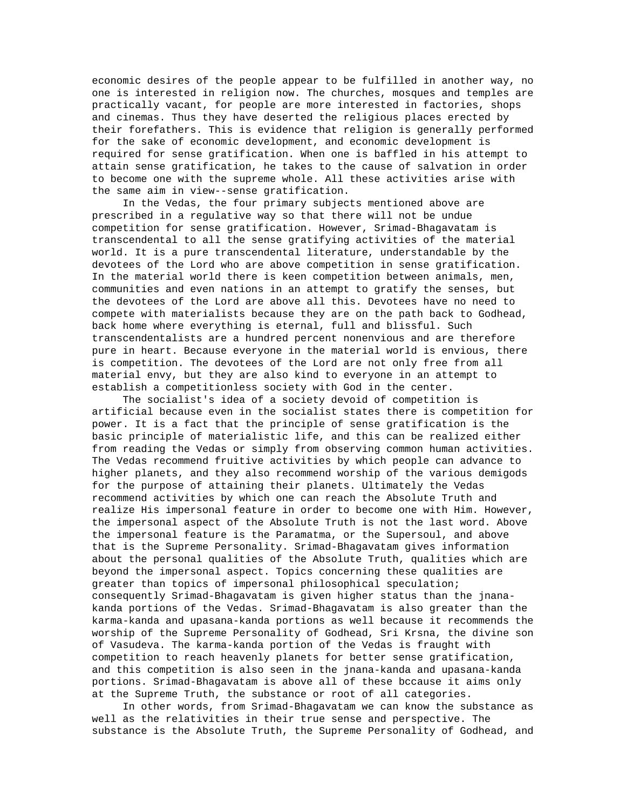economic desires of the people appear to be fulfilled in another way, no one is interested in religion now. The churches, mosques and temples are practically vacant, for people are more interested in factories, shops and cinemas. Thus they have deserted the religious places erected by their forefathers. This is evidence that religion is generally performed for the sake of economic development, and economic development is required for sense gratification. When one is baffled in his attempt to attain sense gratification, he takes to the cause of salvation in order to become one with the supreme whole. All these activities arise with the same aim in view--sense gratification.

 In the Vedas, the four primary subjects mentioned above are prescribed in a regulative way so that there will not be undue competition for sense gratification. However, Srimad-Bhagavatam is transcendental to all the sense gratifying activities of the material world. It is a pure transcendental literature, understandable by the devotees of the Lord who are above competition in sense gratification. In the material world there is keen competition between animals, men, communities and even nations in an attempt to gratify the senses, but the devotees of the Lord are above all this. Devotees have no need to compete with materialists because they are on the path back to Godhead, back home where everything is eternal, full and blissful. Such transcendentalists are a hundred percent nonenvious and are therefore pure in heart. Because everyone in the material world is envious, there is competition. The devotees of the Lord are not only free from all material envy, but they are also kind to everyone in an attempt to establish a competitionless society with God in the center.

 The socialist's idea of a society devoid of competition is artificial because even in the socialist states there is competition for power. It is a fact that the principle of sense gratification is the basic principle of materialistic life, and this can be realized either from reading the Vedas or simply from observing common human activities. The Vedas recommend fruitive activities by which people can advance to higher planets, and they also recommend worship of the various demigods for the purpose of attaining their planets. Ultimately the Vedas recommend activities by which one can reach the Absolute Truth and realize His impersonal feature in order to become one with Him. However, the impersonal aspect of the Absolute Truth is not the last word. Above the impersonal feature is the Paramatma, or the Supersoul, and above that is the Supreme Personality. Srimad-Bhagavatam gives information about the personal qualities of the Absolute Truth, qualities which are beyond the impersonal aspect. Topics concerning these qualities are greater than topics of impersonal philosophical speculation; consequently Srimad-Bhagavatam is given higher status than the jnanakanda portions of the Vedas. Srimad-Bhagavatam is also greater than the karma-kanda and upasana-kanda portions as well because it recommends the worship of the Supreme Personality of Godhead, Sri Krsna, the divine son of Vasudeva. The karma-kanda portion of the Vedas is fraught with competition to reach heavenly planets for better sense gratification, and this competition is also seen in the jnana-kanda and upasana-kanda portions. Srimad-Bhagavatam is above all of these bccause it aims only at the Supreme Truth, the substance or root of all categories.

 In other words, from Srimad-Bhagavatam we can know the substance as well as the relativities in their true sense and perspective. The substance is the Absolute Truth, the Supreme Personality of Godhead, and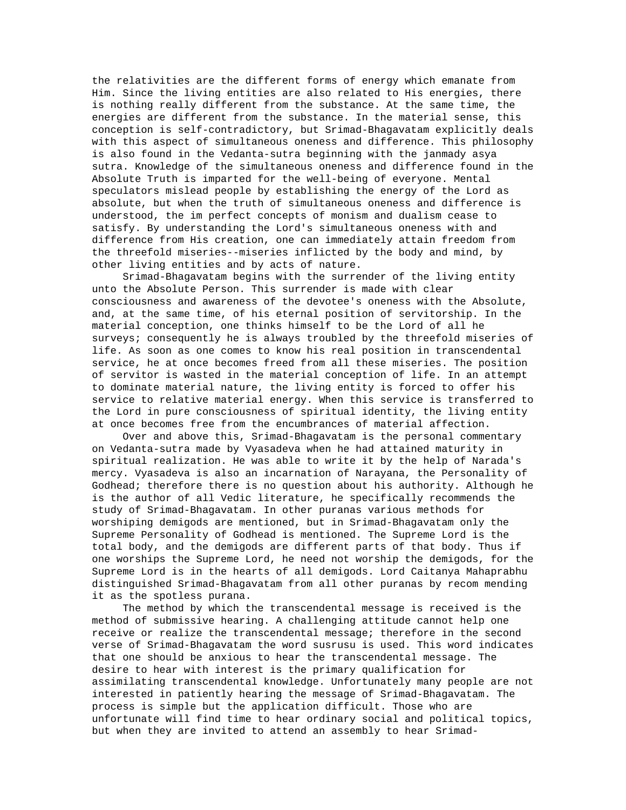the relativities are the different forms of energy which emanate from Him. Since the living entities are also related to His energies, there is nothing really different from the substance. At the same time, the energies are different from the substance. In the material sense, this conception is self-contradictory, but Srimad-Bhagavatam explicitly deals with this aspect of simultaneous oneness and difference. This philosophy is also found in the Vedanta-sutra beginning with the janmady asya sutra. Knowledge of the simultaneous oneness and difference found in the Absolute Truth is imparted for the well-being of everyone. Mental speculators mislead people by establishing the energy of the Lord as absolute, but when the truth of simultaneous oneness and difference is understood, the im perfect concepts of monism and dualism cease to satisfy. By understanding the Lord's simultaneous oneness with and difference from His creation, one can immediately attain freedom from the threefold miseries--miseries inflicted by the body and mind, by other living entities and by acts of nature.

 Srimad-Bhagavatam begins with the surrender of the living entity unto the Absolute Person. This surrender is made with clear consciousness and awareness of the devotee's oneness with the Absolute, and, at the same time, of his eternal position of servitorship. In the material conception, one thinks himself to be the Lord of all he surveys; consequently he is always troubled by the threefold miseries of life. As soon as one comes to know his real position in transcendental service, he at once becomes freed from all these miseries. The position of servitor is wasted in the material conception of life. In an attempt to dominate material nature, the living entity is forced to offer his service to relative material energy. When this service is transferred to the Lord in pure consciousness of spiritual identity, the living entity at once becomes free from the encumbrances of material affection.

 Over and above this, Srimad-Bhagavatam is the personal commentary on Vedanta-sutra made by Vyasadeva when he had attained maturity in spiritual realization. He was able to write it by the help of Narada's mercy. Vyasadeva is also an incarnation of Narayana, the Personality of Godhead; therefore there is no question about his authority. Although he is the author of all Vedic literature, he specifically recommends the study of Srimad-Bhagavatam. In other puranas various methods for worshiping demigods are mentioned, but in Srimad-Bhagavatam only the Supreme Personality of Godhead is mentioned. The Supreme Lord is the total body, and the demigods are different parts of that body. Thus if one worships the Supreme Lord, he need not worship the demigods, for the Supreme Lord is in the hearts of all demigods. Lord Caitanya Mahaprabhu distinguished Srimad-Bhagavatam from all other puranas by recom mending it as the spotless purana.

 The method by which the transcendental message is received is the method of submissive hearing. A challenging attitude cannot help one receive or realize the transcendental message; therefore in the second verse of Srimad-Bhagavatam the word susrusu is used. This word indicates that one should be anxious to hear the transcendental message. The desire to hear with interest is the primary qualification for assimilating transcendental knowledge. Unfortunately many people are not interested in patiently hearing the message of Srimad-Bhagavatam. The process is simple but the application difficult. Those who are unfortunate will find time to hear ordinary social and political topics, but when they are invited to attend an assembly to hear Srimad-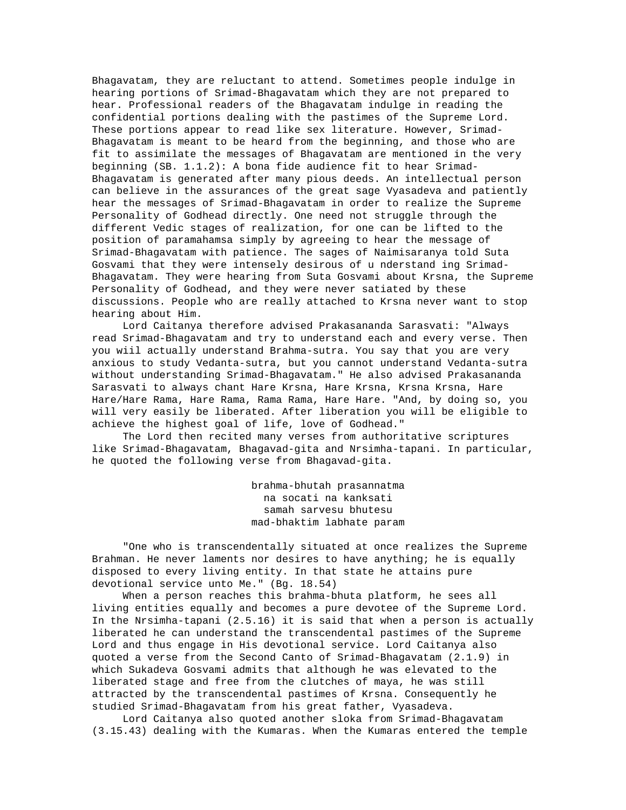Bhagavatam, they are reluctant to attend. Sometimes people indulge in hearing portions of Srimad-Bhagavatam which they are not prepared to hear. Professional readers of the Bhagavatam indulge in reading the confidential portions dealing with the pastimes of the Supreme Lord. These portions appear to read like sex literature. However, Srimad-Bhagavatam is meant to be heard from the beginning, and those who are fit to assimilate the messages of Bhagavatam are mentioned in the very beginning (SB. 1.1.2): A bona fide audience fit to hear Srimad-Bhagavatam is generated after many pious deeds. An intellectual person can believe in the assurances of the great sage Vyasadeva and patiently hear the messages of Srimad-Bhagavatam in order to realize the Supreme Personality of Godhead directly. One need not struggle through the different Vedic stages of realization, for one can be lifted to the position of paramahamsa simply by agreeing to hear the message of Srimad-Bhagavatam with patience. The sages of Naimisaranya told Suta Gosvami that they were intensely desirous of u nderstand ing Srimad-Bhagavatam. They were hearing from Suta Gosvami about Krsna, the Supreme Personality of Godhead, and they were never satiated by these discussions. People who are really attached to Krsna never want to stop hearing about Him.

 Lord Caitanya therefore advised Prakasananda Sarasvati: "Always read Srimad-Bhagavatam and try to understand each and every verse. Then you wiil actually understand Brahma-sutra. You say that you are very anxious to study Vedanta-sutra, but you cannot understand Vedanta-sutra without understanding Srimad-Bhagavatam." He also advised Prakasananda Sarasvati to always chant Hare Krsna, Hare Krsna, Krsna Krsna, Hare Hare/Hare Rama, Hare Rama, Rama Rama, Hare Hare. "And, by doing so, you will very easily be liberated. After liberation you will be eligible to achieve the highest goal of life, love of Godhead."

 The Lord then recited many verses from authoritative scriptures like Srimad-Bhagavatam, Bhagavad-gita and Nrsimha-tapani. In particular, he quoted the following verse from Bhagavad-gita.

> brahma-bhutah prasannatma na socati na kanksati samah sarvesu bhutesu mad-bhaktim labhate param

 "One who is transcendentally situated at once realizes the Supreme Brahman. He never laments nor desires to have anything; he is equally disposed to every living entity. In that state he attains pure devotional service unto Me." (Bg. 18.54)

 When a person reaches this brahma-bhuta platform, he sees all living entities equally and becomes a pure devotee of the Supreme Lord. In the Nrsimha-tapani (2.5.16) it is said that when a person is actually liberated he can understand the transcendental pastimes of the Supreme Lord and thus engage in His devotional service. Lord Caitanya also quoted a verse from the Second Canto of Srimad-Bhagavatam (2.1.9) in which Sukadeva Gosvami admits that although he was elevated to the liberated stage and free from the clutches of maya, he was still attracted by the transcendental pastimes of Krsna. Consequently he studied Srimad-Bhagavatam from his great father, Vyasadeva.

 Lord Caitanya also quoted another sloka from Srimad-Bhagavatam (3.15.43) dealing with the Kumaras. When the Kumaras entered the temple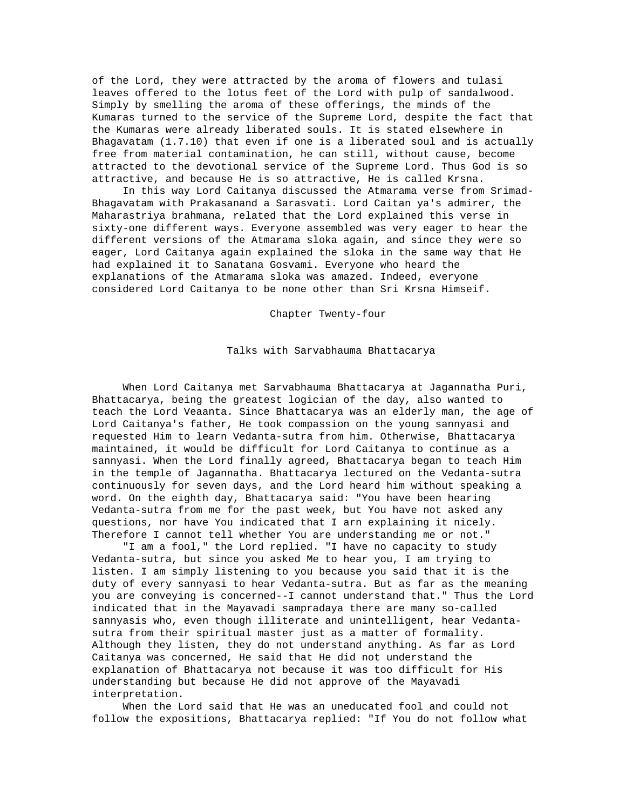of the Lord, they were attracted by the aroma of flowers and tulasi leaves offered to the lotus feet of the Lord with pulp of sandalwood. Simply by smelling the aroma of these offerings, the minds of the Kumaras turned to the service of the Supreme Lord, despite the fact that the Kumaras were already liberated souls. It is stated elsewhere in Bhagavatam (1.7.10) that even if one is a liberated soul and is actually free from material contamination, he can still, without cause, become attracted to the devotional service of the Supreme Lord. Thus God is so attractive, and because He is so attractive, He is called Krsna.

 In this way Lord Caitanya discussed the Atmarama verse from Srimad-Bhagavatam with Prakasanand a Sarasvati. Lord Caitan ya's admirer, the Maharastriya brahmana, related that the Lord explained this verse in sixty-one different ways. Everyone assembled was very eager to hear the different versions of the Atmarama sloka again, and since they were so eager, Lord Caitanya again explained the sloka in the same way that He had explained it to Sanatana Gosvami. Everyone who heard the explanations of the Atmarama sloka was amazed. Indeed, everyone considered Lord Caitanya to be none other than Sri Krsna Himseif.

Chapter Twenty-four

## Talks with Sarvabhauma Bhattacarya

 When Lord Caitanya met Sarvabhauma Bhattacarya at Jagannatha Puri, Bhattacarya, being the greatest logician of the day, also wanted to teach the Lord Veaanta. Since Bhattacarya was an elderly man, the age of Lord Caitanya's father, He took compassion on the young sannyasi and requested Him to learn Vedanta-sutra from him. Otherwise, Bhattacarya maintained, it would be difficult for Lord Caitanya to continue as a sannyasi. When the Lord finally agreed, Bhattacarya began to teach Him in the temple of Jagannatha. Bhattacarya lectured on the Vedanta-sutra continuously for seven days, and the Lord heard him without speaking a word. On the eighth day, Bhattacarya said: "You have been hearing Vedanta-sutra from me for the past week, but You have not asked any questions, nor have You indicated that I arn explaining it nicely. Therefore I cannot tell whether You are understanding me or not."

 "I am a fool," the Lord replied. "I have no capacity to study Vedanta-sutra, but since you asked Me to hear you, I am trying to listen. I am simply listening to you because you said that it is the duty of every sannyasi to hear Vedanta-sutra. But as far as the meaning you are conveying is concerned--I cannot understand that." Thus the Lord indicated that in the Mayavadi sampradaya there are many so-called sannyasis who, even though illiterate and unintelligent, hear Vedantasutra from their spiritual master just as a matter of formality. Although they listen, they do not understand anything. As far as Lord Caitanya was concerned, He said that He did not understand the explanation of Bhattacarya not because it was too difficult for His understanding but because He did not approve of the Mayavadi interpretation.

 When the Lord said that He was an uneducated fool and could not follow the expositions, Bhattacarya replied: "If You do not follow what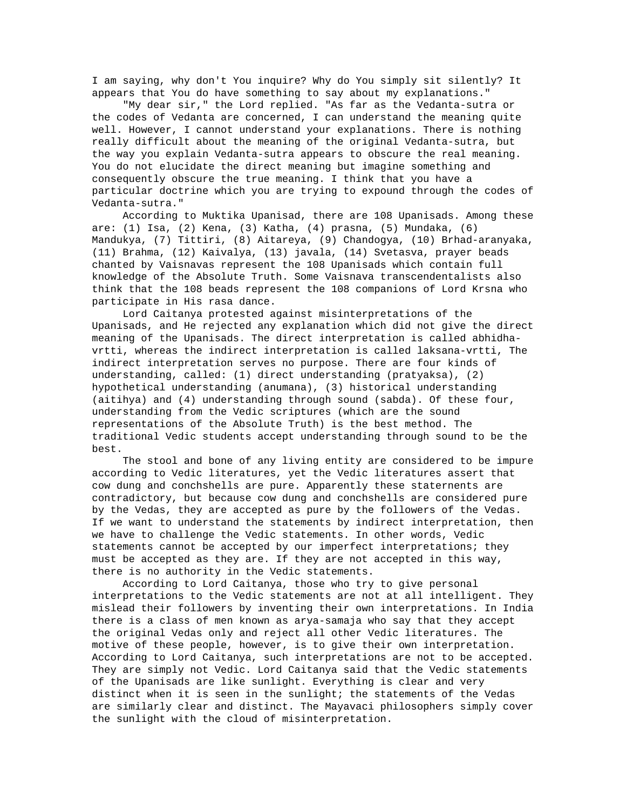I am saying, why don't You inquire? Why do You simply sit silently? It appears that You do have something to say about my explanations."

 "My dear sir," the Lord replied. "As far as the Vedanta-sutra or the codes of Vedanta are concerned, I can understand the meaning quite well. However, I cannot understand your explanations. There is nothing really difficult about the meaning of the original Vedanta-sutra, but the way you explain Vedanta-sutra appears to obscure the real meaning. You do not elucidate the direct meaning but imagine something and consequently obscure the true meaning. I think that you have a particular doctrine which you are trying to expound through the codes of Vedanta-sutra."

 According to Muktika Upanisad, there are 108 Upanisads. Among these are: (1) Isa, (2) Kena, (3) Katha, (4) prasna, (5) Mundaka, (6) Mandukya, (7) Tittiri, (8) Aitareya, (9) Chandogya, (10) Brhad-aranyaka, (11) Brahma, (12) Kaivalya, (13) javala, (14) Svetasva, prayer beads chanted by Vaisnavas represent the 108 Upanisads which contain full knowledge of the Absolute Truth. Some Vaisnava transcendentalists also think that the 108 beads represent the 108 companions of Lord Krsna who participate in His rasa dance.

 Lord Caitanya protested against misinterpretations of the Upanisads, and He rejected any explanation which did not give the direct meaning of the Upanisads. The direct interpretation is called abhidhavrtti, whereas the indirect interpretation is called laksana-vrtti, The indirect interpretation serves no purpose. There are four kinds of understanding, called: (1) direct understanding (pratyaksa), (2) hypothetical understanding (anumana), (3) historical understanding (aitihya) and (4) understanding through sound (sabda). Of these four, understanding from the Vedic scriptures (which are the sound representations of the Absolute Truth) is the best method. The traditional Vedic students accept understanding through sound to be the best.

 The stool and bone of any living entity are considered to be impure according to Vedic literatures, yet the Vedic literatures assert that cow dung and conchshells are pure. Apparently these staternents are contradictory, but because cow dung and conchshells are considered pure by the Vedas, they are accepted as pure by the followers of the Vedas. If we want to understand the statements by indirect interpretation, then we have to challenge the Vedic statements. In other words, Vedic statements cannot be accepted by our imperfect interpretations; they must be accepted as they are. If they are not accepted in this way, there is no authority in the Vedic statements.

 According to Lord Caitanya, those who try to give personal interpretations to the Vedic statements are not at all intelligent. They mislead their followers by inventing their own interpretations. In India there is a class of men known as arya-samaja who say that they accept the original Vedas only and reject all other Vedic literatures. The motive of these people, however, is to give their own interpretation. According to Lord Caitanya, such interpretations are not to be accepted. They are simply not Vedic. Lord Caitanya said that the Vedic statements of the Upanisads are like sunlight. Everything is clear and very distinct when it is seen in the sunlight; the statements of the Vedas are similarly clear and distinct. The Mayavaci philosophers simply cover the sunlight with the cloud of misinterpretation.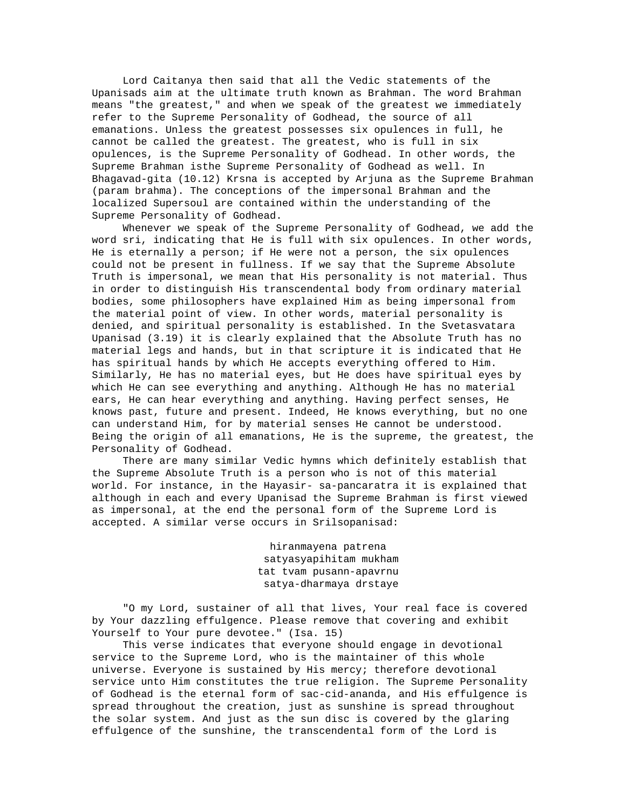Lord Caitanya then said that all the Vedic statements of the Upanisads aim at the ultimate truth known as Brahman. The word Brahman means "the greatest," and when we speak of the greatest we immediately refer to the Supreme Personality of Godhead, the source of all emanations. Unless the greatest possesses six opulences in full, he cannot be called the greatest. The greatest, who is full in six opulences, is the Supreme Personality of Godhead. In other words, the Supreme Brahman isthe Supreme Personality of Godhead as well. In Bhagavad-gita (10.12) Krsna is accepted by Arjuna as the Supreme Brahman (param brahma). The conceptions of the impersonal Brahman and the localized Supersoul are contained within the understanding of the Supreme Personality of Godhead.

 Whenever we speak of the Supreme Personality of Godhead, we add the word sri, indicating that He is full with six opulences. In other words, He is eternally a person; if He were not a person, the six opulences could not be present in fullness. If we say that the Supreme Absolute Truth is impersonal, we mean that His personality is not material. Thus in order to distinguish His transcendental body from ordinary material bodies, some philosophers have explained Him as being impersonal from the material point of view. In other words, material personality is denied, and spiritual personality is established. In the Svetasvatara Upanisad (3.19) it is clearly explained that the Absolute Truth has no material legs and hands, but in that scripture it is indicated that He has spiritual hands by which He accepts everything offered to Him. Similarly, He has no material eyes, but He does have spiritual eyes by which He can see everything and anything. Although He has no material ears, He can hear everything and anything. Having perfect senses, He knows past, future and present. Indeed, He knows everything, but no one can understand Him, for by material senses He cannot be understood. Being the origin of all emanations, He is the supreme, the greatest, the Personality of Godhead.

 There are many similar Vedic hymns which definitely establish that the Supreme Absolute Truth is a person who is not of this material world. For instance, in the Hayasir- sa-pancaratra it is explained that although in each and every Upanisad the Supreme Brahman is first viewed as impersonal, at the end the personal form of the Supreme Lord is accepted. A similar verse occurs in Srilsopanisad:

> hiranmayena patrena satyasyapihitam mukham tat tvam pusann-apavrnu satya-dharmaya drstaye

 "O my Lord, sustainer of all that lives, Your real face is covered by Your dazzling effulgence. Please remove that covering and exhibit Yourself to Your pure devotee." (Isa. 15)

 This verse indicates that everyone should engage in devotional service to the Supreme Lord, who is the maintainer of this whole universe. Everyone is sustained by His mercy; therefore devotional service unto Him constitutes the true religion. The Supreme Personality of Godhead is the eternal form of sac-cid-ananda, and His effulgence is spread throughout the creation, just as sunshine is spread throughout the solar system. And just as the sun disc is covered by the glaring effulgence of the sunshine, the transcendental form of the Lord is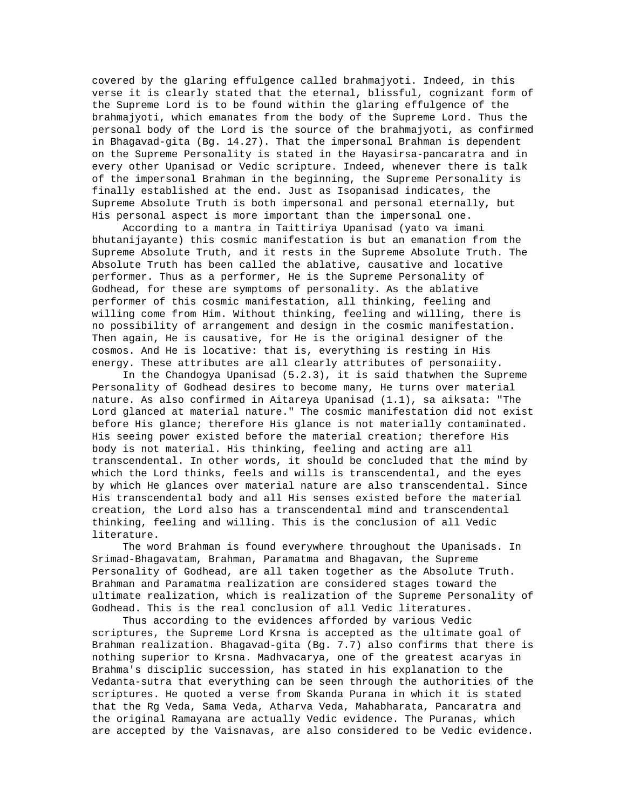covered by the glaring effulgence called brahmajyoti. Indeed, in this verse it is clearly stated that the eternal, blissful, cognizant form of the Supreme Lord is to be found within the glaring effulgence of the brahmajyoti, which emanates from the body of the Supreme Lord. Thus the personal body of the Lord is the source of the brahmajyoti, as confirmed in Bhagavad-gita (Bg. 14.27). That the impersonal Brahman is dependent on the Supreme Personality is stated in the Hayasirsa-pancaratra and in every other Upanisad or Vedic scripture. Indeed, whenever there is talk of the impersonal Brahman in the beginning, the Supreme Personality is finally established at the end. Just as Isopanisad indicates, the Supreme Absolute Truth is both impersonal and personal eternally, but His personal aspect is more important than the impersonal one.

 According to a mantra in Taittiriya Upanisad (yato va imani bhutanijayante) this cosmic manifestation is but an emanation from the Supreme Absolute Truth, and it rests in the Supreme Absolute Truth. The Absolute Truth has been called the ablative, causative and locative performer. Thus as a performer, He is the Supreme Personality of Godhead, for these are symptoms of personality. As the ablative performer of this cosmic manifestation, all thinking, feeling and willing come from Him. Without thinking, feeling and willing, there is no possibility of arrangement and design in the cosmic manifestation. Then again, He is causative, for He is the original designer of the cosmos. And He is locative: that is, everything is resting in His energy. These attributes are all clearly attributes of personaiity.

 In the Chandogya Upanisad (5.2.3), it is said thatwhen the Supreme Personality of Godhead desires to become many, He turns over material nature. As also confirmed in Aitareya Upanisad (1.1), sa aiksata: "The Lord glanced at material nature." The cosmic manifestation did not exist before His glance; therefore His glance is not materially contaminated. His seeing power existed before the material creation; therefore His body is not material. His thinking, feeling and acting are all transcendental. In other words, it should be concluded that the mind by which the Lord thinks, feels and wills is transcendental, and the eyes by which He glances over material nature are also transcendental. Since His transcendental body and all His senses existed before the material creation, the Lord also has a transcendental mind and transcendental thinking, feeling and willing. This is the conclusion of all Vedic literature.

 The word Brahman is found everywhere throughout the Upanisads. In Srimad-Bhagavatam, Brahman, Paramatma and Bhagavan, the Supreme Personality of Godhead, are all taken together as the Absolute Truth. Brahman and Paramatma realization are considered stages toward the ultimate realization, which is realization of the Supreme Personality of Godhead. This is the real conclusion of all Vedic literatures.

 Thus according to the evidences afforded by various Vedic scriptures, the Supreme Lord Krsna is accepted as the ultimate goal of Brahman realization. Bhagavad-gita (Bg. 7.7) also confirms that there is nothing superior to Krsna. Madhvacarya, one of the greatest acaryas in Brahma's disciplic succession, has stated in his explanation to the Vedanta-sutra that everything can be seen through the authorities of the scriptures. He quoted a verse from Skanda Purana in which it is stated that the Rg Veda, Sama Veda, Atharva Veda, Mahabharata, Pancaratra and the original Ramayana are actually Vedic evidence. The Puranas, which are accepted by the Vaisnavas, are also considered to be Vedic evidence.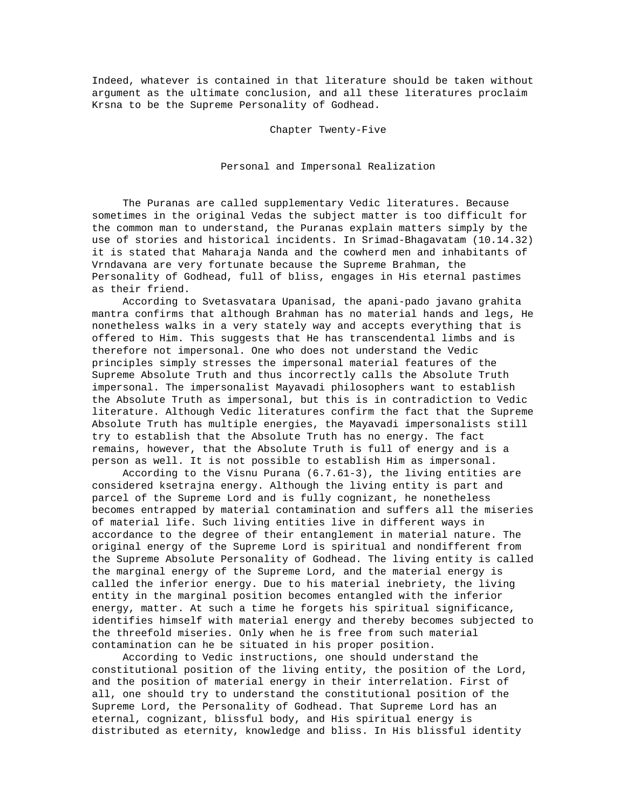Indeed, whatever is contained in that literature should be taken without argument as the ultimate conclusion, and all these literatures proclaim Krsna to be the Supreme Personality of Godhead.

Chapter Twenty-Five

Personal and Impersonal Realization

 The Puranas are called supplementary Vedic literatures. Because sometimes in the original Vedas the subject matter is too difficult for the common man to understand, the Puranas explain matters simply by the use of stories and historical incidents. In Srimad-Bhagavatam (10.14.32) it is stated that Maharaja Nanda and the cowherd men and inhabitants of Vrndavana are very fortunate because the Supreme Brahman, the Personality of Godhead, full of bliss, engages in His eternal pastimes as their friend.

 According to Svetasvatara Upanisad, the apani-pado javano grahita mantra confirms that although Brahman has no material hands and legs, He nonetheless walks in a very stately way and accepts everything that is offered to Him. This suggests that He has transcendental limbs and is therefore not impersonal. One who does not understand the Vedic principles simply stresses the impersonal material features of the Supreme Absolute Truth and thus incorrectly calls the Absolute Truth impersonal. The impersonalist Mayavadi philosophers want to establish the Absolute Truth as impersonal, but this is in contradiction to Vedic literature. Although Vedic literatures confirm the fact that the Supreme Absolute Truth has multiple energies, the Mayavadi impersonalists still try to establish that the Absolute Truth has no energy. The fact remains, however, that the Absolute Truth is full of energy and is a person as well. It is not possible to establish Him as impersonal.

 According to the Visnu Purana (6.7.61-3), the living entities are considered ksetrajna energy. Although the living entity is part and parcel of the Supreme Lord and is fully cognizant, he nonetheless becomes entrapped by material contamination and suffers all the miseries of material life. Such living entities live in different ways in accordance to the degree of their entanglement in material nature. The original energy of the Supreme Lord is spiritual and nondifferent from the Supreme Absolute Personality of Godhead. The living entity is called the marginal energy of the Supreme Lord, and the material energy is called the inferior energy. Due to his material inebriety, the living entity in the marginal position becomes entangled with the inferior energy, matter. At such a time he forgets his spiritual significance, identifies himself with material energy and thereby becomes subjected to the threefold miseries. Only when he is free from such material contamination can he be situated in his proper position.

 According to Vedic instructions, one should understand the constitutional position of the living entity, the position of the Lord, and the position of material energy in their interrelation. First of all, one should try to understand the constitutional position of the Supreme Lord, the Personality of Godhead. That Supreme Lord has an eternal, cognizant, blissful body, and His spiritual energy is distributed as eternity, knowledge and bliss. In His blissful identity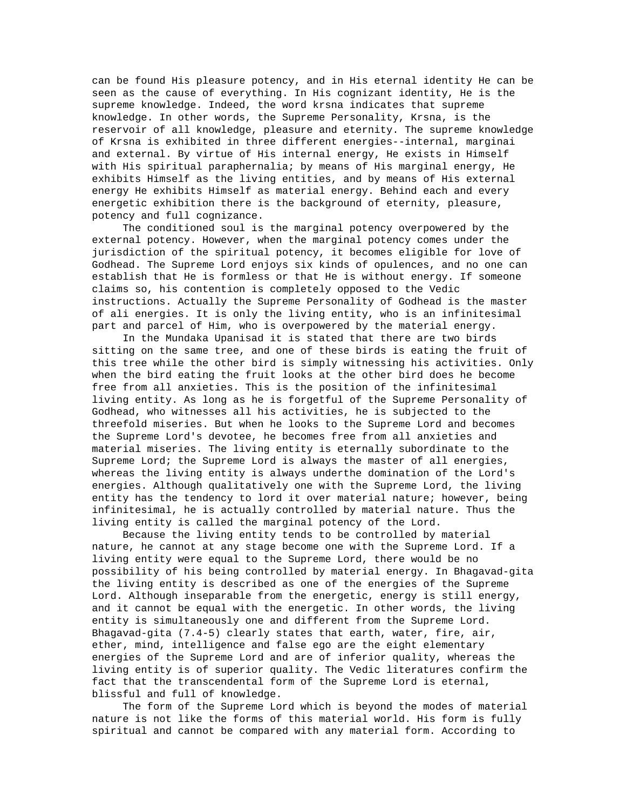can be found His pleasure potency, and in His eternal identity He can be seen as the cause of everything. In His cognizant identity, He is the supreme knowledge. Indeed, the word krsna indicates that supreme knowledge. In other words, the Supreme Personality, Krsna, is the reservoir of all knowledge, pleasure and eternity. The supreme knowledge of Krsna is exhibited in three different energies--internal, marginai and external. By virtue of His internal energy, He exists in Himself with His spiritual paraphernalia; by means of His marginal energy, He exhibits Himself as the living entities, and by means of His external energy He exhibits Himself as material energy. Behind each and every energetic exhibition there is the background of eternity, pleasure, potency and full cognizance.

 The conditioned soul is the marginal potency overpowered by the external potency. However, when the marginal potency comes under the jurisdiction of the spiritual potency, it becomes eligible for love of Godhead. The Supreme Lord enjoys six kinds of opulences, and no one can establish that He is formless or that He is without energy. If someone claims so, his contention is completely opposed to the Vedic instructions. Actually the Supreme Personality of Godhead is the master of ali energies. It is only the living entity, who is an infinitesimal part and parcel of Him, who is overpowered by the material energy.

 In the Mundaka Upanisad it is stated that there are two birds sitting on the same tree, and one of these birds is eating the fruit of this tree while the other bird is simply witnessing his activities. Only when the bird eating the fruit looks at the other bird does he become free from all anxieties. This is the position of the infinitesimal living entity. As long as he is forgetful of the Supreme Personality of Godhead, who witnesses all his activities, he is subjected to the threefold miseries. But when he looks to the Supreme Lord and becomes the Supreme Lord's devotee, he becomes free from all anxieties and material miseries. The living entity is eternally subordinate to the Supreme Lord; the Supreme Lord is always the master of all energies, whereas the living entity is always underthe domination of the Lord's energies. Although qualitatively one with the Supreme Lord, the living entity has the tendency to lord it over material nature; however, being infinitesimal, he is actually controlled by material nature. Thus the living entity is called the marginal potency of the Lord.

 Because the living entity tends to be controlled by material nature, he cannot at any stage become one with the Supreme Lord. If a living entity were equal to the Supreme Lord, there would be no possibility of his being controlled by material energy. In Bhagavad-gita the living entity is described as one of the energies of the Supreme Lord. Although inseparable from the energetic, energy is still energy, and it cannot be equal with the energetic. In other words, the living entity is simultaneously one and different from the Supreme Lord. Bhagavad-gita (7.4-5) clearly states that earth, water, fire, air, ether, mind, intelligence and false ego are the eight elementary energies of the Supreme Lord and are of inferior quality, whereas the living entity is of superior quality. The Vedic literatures confirm the fact that the transcendental form of the Supreme Lord is eternal, blissful and full of knowledge.

 The form of the Supreme Lord which is beyond the modes of material nature is not like the forms of this material world. His form is fully spiritual and cannot be compared with any material form. According to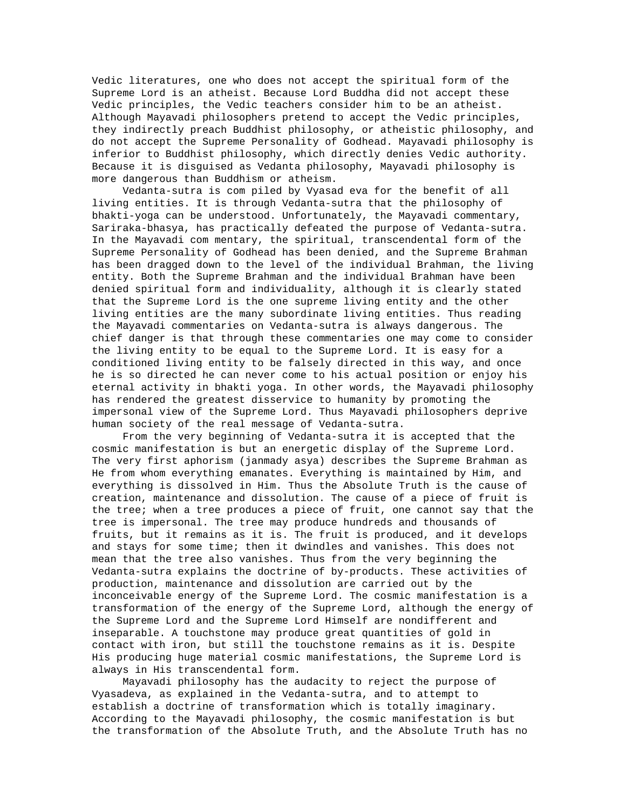Vedic literatures, one who does not accept the spiritual form of the Supreme Lord is an atheist. Because Lord Buddha did not accept these Vedic principles, the Vedic teachers consider him to be an atheist. Although Mayavadi philosophers pretend to accept the Vedic principles, they indirectly preach Buddhist philosophy, or atheistic philosophy, and do not accept the Supreme Personality of Godhead. Mayavadi philosophy is inferior to Buddhist philosophy, which directly denies Vedic authority. Because it is disguised as Vedanta philosophy, Mayavadi philosophy is more dangerous than Buddhism or atheism.

 Vedanta-sutra is com piled by Vyasad eva for the benefit of all living entities. It is through Vedanta-sutra that the philosophy of bhakti-yoga can be understood. Unfortunately, the Mayavadi commentary, Sariraka-bhasya, has practically defeated the purpose of Vedanta-sutra. In the Mayavadi com mentary, the spiritual, transcendental form of the Supreme Personality of Godhead has been denied, and the Supreme Brahman has been dragged down to the level of the individual Brahman, the living entity. Both the Supreme Brahman and the individual Brahman have been denied spiritual form and individuality, although it is clearly stated that the Supreme Lord is the one supreme living entity and the other living entities are the many subordinate living entities. Thus reading the Mayavadi commentaries on Vedanta-sutra is always dangerous. The chief danger is that through these commentaries one may come to consider the living entity to be equal to the Supreme Lord. It is easy for a conditioned living entity to be falsely directed in this way, and once he is so directed he can never come to his actual position or enjoy his eternal activity in bhakti yoga. In other words, the Mayavadi philosophy has rendered the greatest disservice to humanity by promoting the impersonal view of the Supreme Lord. Thus Mayavadi philosophers deprive human society of the real message of Vedanta-sutra.

 From the very beginning of Vedanta-sutra it is accepted that the cosmic manifestation is but an energetic display of the Supreme Lord. The very first aphorism (janmady asya) describes the Supreme Brahman as He from whom everything emanates. Everything is maintained by Him, and everything is dissolved in Him. Thus the Absolute Truth is the cause of creation, maintenance and dissolution. The cause of a piece of fruit is the tree; when a tree produces a piece of fruit, one cannot say that the tree is impersonal. The tree may produce hundreds and thousands of fruits, but it remains as it is. The fruit is produced, and it develops and stays for some time; then it dwindles and vanishes. This does not mean that the tree also vanishes. Thus from the very beginning the Vedanta-sutra explains the doctrine of by-products. These activities of production, maintenance and dissolution are carried out by the inconceivable energy of the Supreme Lord. The cosmic manifestation is a transformation of the energy of the Supreme Lord, although the energy of the Supreme Lord and the Supreme Lord Himself are nondifferent and inseparable. A touchstone may produce great quantities of gold in contact with iron, but still the touchstone remains as it is. Despite His producing huge material cosmic manifestations, the Supreme Lord is always in His transcendental form.

 Mayavadi philosophy has the audacity to reject the purpose of Vyasadeva, as explained in the Vedanta-sutra, and to attempt to establish a doctrine of transformation which is totally imaginary. According to the Mayavadi philosophy, the cosmic manifestation is but the transformation of the Absolute Truth, and the Absolute Truth has no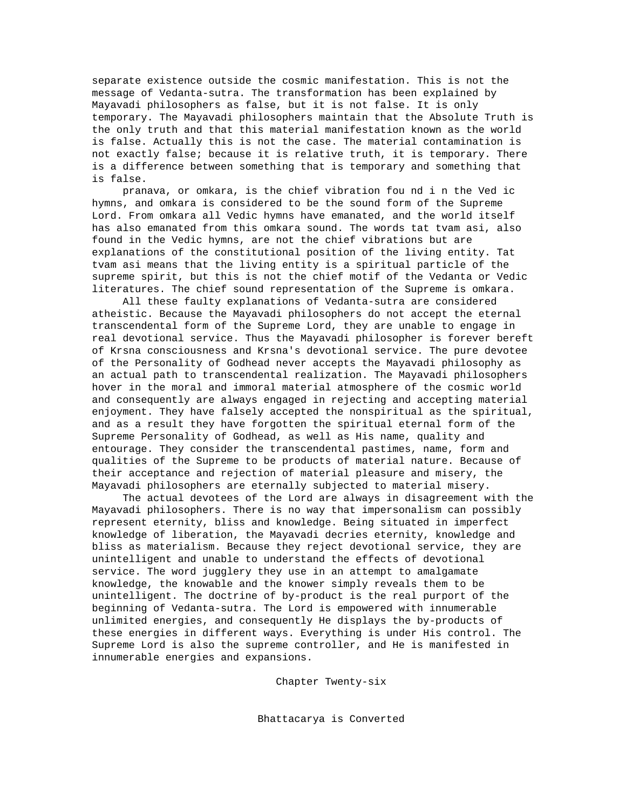separate existence outside the cosmic manifestation. This is not the message of Vedanta-sutra. The transformation has been explained by Mayavadi philosophers as false, but it is not false. It is only temporary. The Mayavadi philosophers maintain that the Absolute Truth is the only truth and that this material manifestation known as the world is false. Actually this is not the case. The material contamination is not exactly false; because it is relative truth, it is temporary. There is a difference between something that is temporary and something that is false.

 pranava, or omkara, is the chief vibration fou nd i n the Ved ic hymns, and omkara is considered to be the sound form of the Supreme Lord. From omkara all Vedic hymns have emanated, and the world itself has also emanated from this omkara sound. The words tat tvam asi, also found in the Vedic hymns, are not the chief vibrations but are explanations of the constitutional position of the living entity. Tat tvam asi means that the living entity is a spiritual particle of the supreme spirit, but this is not the chief motif of the Vedanta or Vedic literatures. The chief sound representation of the Supreme is omkara.

 All these faulty explanations of Vedanta-sutra are considered atheistic. Because the Mayavadi philosophers do not accept the eternal transcendental form of the Supreme Lord, they are unable to engage in real devotional service. Thus the Mayavadi philosopher is forever bereft of Krsna consciousness and Krsna's devotional service. The pure devotee of the Personality of Godhead never accepts the Mayavadi philosophy as an actual path to transcendental realization. The Mayavadi philosophers hover in the moral and immoral material atmosphere of the cosmic world and consequently are always engaged in rejecting and accepting material enjoyment. They have falsely accepted the nonspiritual as the spiritual, and as a result they have forgotten the spiritual eternal form of the Supreme Personality of Godhead, as well as His name, quality and entourage. They consider the transcendental pastimes, name, form and qualities of the Supreme to be products of material nature. Because of their acceptance and rejection of material pleasure and misery, the Mayavadi philosophers are eternally subjected to material misery.

 The actual devotees of the Lord are always in disagreement with the Mayavadi philosophers. There is no way that impersonalism can possibly represent eternity, bliss and knowledge. Being situated in imperfect knowledge of liberation, the Mayavadi decries eternity, knowledge and bliss as materialism. Because they reject devotional service, they are unintelligent and unable to understand the effects of devotional service. The word jugglery they use in an attempt to amalgamate knowledge, the knowable and the knower simply reveals them to be unintelligent. The doctrine of by-product is the real purport of the beginning of Vedanta-sutra. The Lord is empowered with innumerable unlimited energies, and consequently He displays the by-products of these energies in different ways. Everything is under His control. The Supreme Lord is also the supreme controller, and He is manifested in innumerable energies and expansions.

Chapter Twenty-six

Bhattacarya is Converted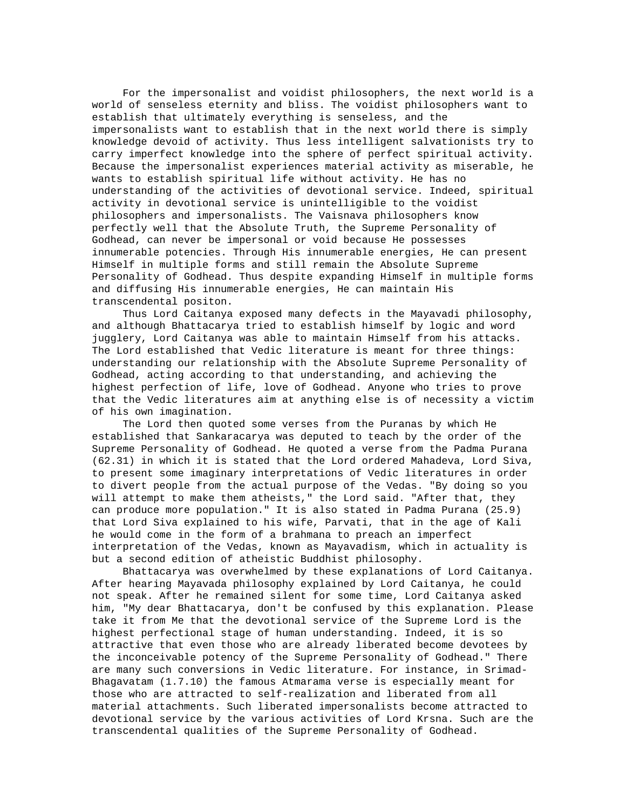For the impersonalist and voidist philosophers, the next world is a world of senseless eternity and bliss. The voidist philosophers want to establish that ultimately everything is senseless, and the impersonalists want to establish that in the next world there is simply knowledge devoid of activity. Thus less intelligent salvationists try to carry imperfect knowledge into the sphere of perfect spiritual activity. Because the impersonalist experiences material activity as miserable, he wants to establish spiritual life without activity. He has no understanding of the activities of devotional service. Indeed, spiritual activity in devotional service is unintelligible to the voidist philosophers and impersonalists. The Vaisnava philosophers know perfectly well that the Absolute Truth, the Supreme Personality of Godhead, can never be impersonal or void because He possesses innumerable potencies. Through His innumerable energies, He can present Himself in multiple forms and still remain the Absolute Supreme Personality of Godhead. Thus despite expanding Himself in multiple forms and diffusing His innumerable energies, He can maintain His transcendental positon.

 Thus Lord Caitanya exposed many defects in the Mayavadi philosophy, and although Bhattacarya tried to establish himself by logic and word jugglery, Lord Caitanya was able to maintain Himself from his attacks. The Lord established that Vedic literature is meant for three things: understanding our relationship with the Absolute Supreme Personality of Godhead, acting according to that understanding, and achieving the highest perfection of life, love of Godhead. Anyone who tries to prove that the Vedic literatures aim at anything else is of necessity a victim of his own imagination.

 The Lord then quoted some verses from the Puranas by which He established that Sankaracarya was deputed to teach by the order of the Supreme Personality of Godhead. He quoted a verse from the Padma Purana (62.31) in which it is stated that the Lord ordered Mahadeva, Lord Siva, to present some imaginary interpretations of Vedic literatures in order to divert people from the actual purpose of the Vedas. "By doing so you will attempt to make them atheists," the Lord said. "After that, they can produce more population." It is also stated in Padma Purana (25.9) that Lord Siva explained to his wife, Parvati, that in the age of Kali he would come in the form of a brahmana to preach an imperfect interpretation of the Vedas, known as Mayavadism, which in actuality is but a second edition of atheistic Buddhist philosophy.

 Bhattacarya was overwhelmed by these explanations of Lord Caitanya. After hearing Mayavada philosophy explained by Lord Caitanya, he could not speak. After he remained silent for some time, Lord Caitanya asked him, "My dear Bhattacarya, don't be confused by this explanation. Please take it from Me that the devotional service of the Supreme Lord is the highest perfectional stage of human understanding. Indeed, it is so attractive that even those who are already liberated become devotees by the inconceivable potency of the Supreme Personality of Godhead." There are many such conversions in Vedic literature. For instance, in Srimad-Bhagavatam (1.7.10) the famous Atmarama verse is especially meant for those who are attracted to self-realization and liberated from all material attachments. Such liberated impersonalists become attracted to devotional service by the various activities of Lord Krsna. Such are the transcendental qualities of the Supreme Personality of Godhead.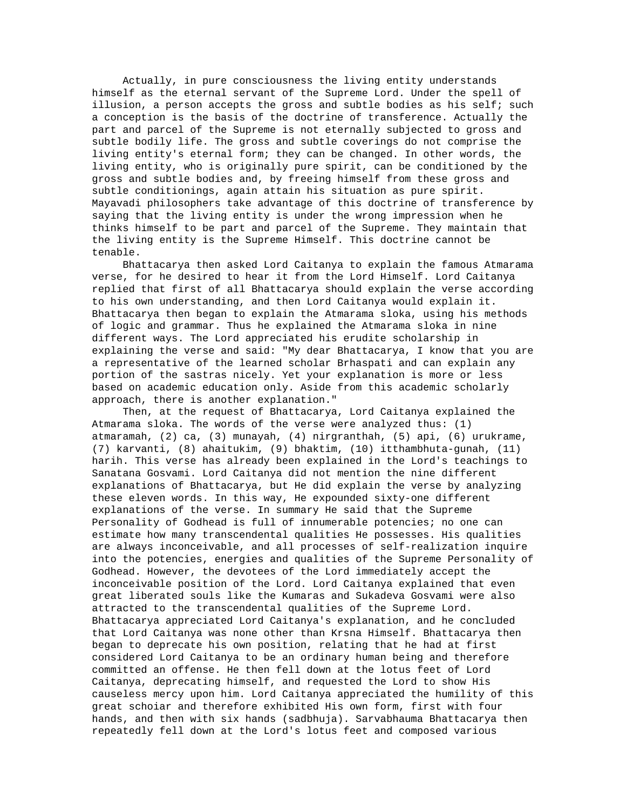Actually, in pure consciousness the living entity understands himself as the eternal servant of the Supreme Lord. Under the spell of illusion, a person accepts the gross and subtle bodies as his self; such a conception is the basis of the doctrine of transference. Actually the part and parcel of the Supreme is not eternally subjected to gross and subtle bodily life. The gross and subtle coverings do not comprise the living entity's eternal form; they can be changed. In other words, the living entity, who is originally pure spirit, can be conditioned by the gross and subtle bodies and, by freeing himself from these gross and subtle conditionings, again attain his situation as pure spirit. Mayavadi philosophers take advantage of this doctrine of transference by saying that the living entity is under the wrong impression when he thinks himself to be part and parcel of the Supreme. They maintain that the living entity is the Supreme Himself. This doctrine cannot be tenable.

 Bhattacarya then asked Lord Caitanya to explain the famous Atmarama verse, for he desired to hear it from the Lord Himself. Lord Caitanya replied that first of all Bhattacarya should explain the verse according to his own understanding, and then Lord Caitanya would explain it. Bhattacarya then began to explain the Atmarama sloka, using his methods of logic and grammar. Thus he explained the Atmarama sloka in nine different ways. The Lord appreciated his erudite scholarship in explaining the verse and said: "My dear Bhattacarya, I know that you are a representative of the learned scholar Brhaspati and can explain any portion of the sastras nicely. Yet your explanation is more or less based on academic education only. Aside from this academic scholarly approach, there is another explanation."

 Then, at the request of Bhattacarya, Lord Caitanya explained the Atmarama sloka. The words of the verse were analyzed thus: (1) atmaramah, (2) ca, (3) munayah, (4) nirgranthah, (5) api, (6) urukrame, (7) karvanti, (8) ahaitukim, (9) bhaktim, (10) itthambhuta-gunah, (11) harih. This verse has already been explained in the Lord's teachings to Sanatana Gosvami. Lord Caitanya did not mention the nine different explanations of Bhattacarya, but He did explain the verse by analyzing these eleven words. In this way, He expounded sixty-one different explanations of the verse. In summary He said that the Supreme Personality of Godhead is full of innumerable potencies; no one can estimate how many transcendental qualities He possesses. His qualities are always inconceivable, and all processes of self-realization inquire into the potencies, energies and qualities of the Supreme Personality of Godhead. However, the devotees of the Lord immediately accept the inconceivable position of the Lord. Lord Caitanya explained that even great liberated souls like the Kumaras and Sukadeva Gosvami were also attracted to the transcendental qualities of the Supreme Lord. Bhattacarya appreciated Lord Caitanya's explanation, and he concluded that Lord Caitanya was none other than Krsna Himself. Bhattacarya then began to deprecate his own position, relating that he had at first considered Lord Caitanya to be an ordinary human being and therefore committed an offense. He then fell down at the lotus feet of Lord Caitanya, deprecating himself, and requested the Lord to show His causeless mercy upon him. Lord Caitanya appreciated the humility of this great schoiar and therefore exhibited His own form, first with four hands, and then with six hands (sadbhuja). Sarvabhauma Bhattacarya then repeatedly fell down at the Lord's lotus feet and composed various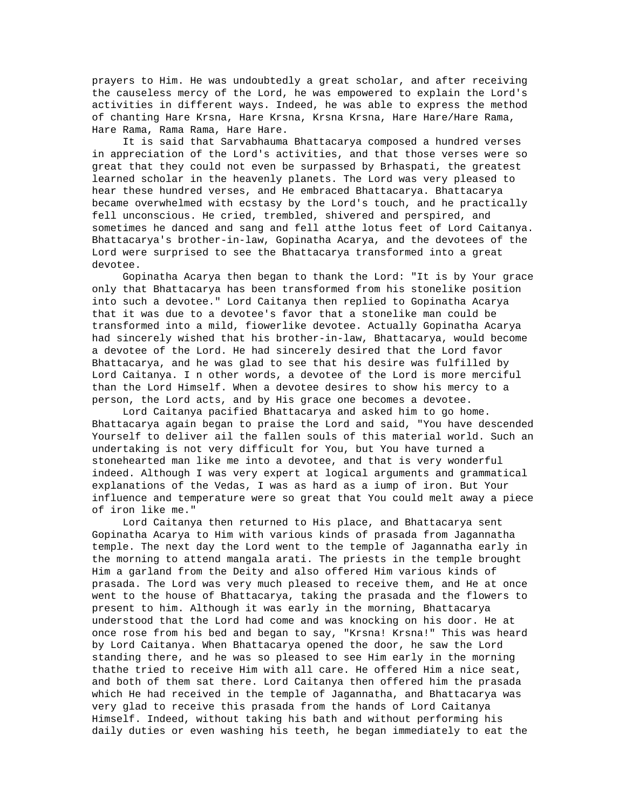prayers to Him. He was undoubtedly a great scholar, and after receiving the causeless mercy of the Lord, he was empowered to explain the Lord's activities in different ways. Indeed, he was able to express the method of chanting Hare Krsna, Hare Krsna, Krsna Krsna, Hare Hare/Hare Rama, Hare Rama, Rama Rama, Hare Hare.

 It is said that Sarvabhauma Bhattacarya composed a hundred verses in appreciation of the Lord's activities, and that those verses were so great that they could not even be surpassed by Brhaspati, the greatest learned scholar in the heavenly planets. The Lord was very pleased to hear these hundred verses, and He embraced Bhattacarya. Bhattacarya became overwhelmed with ecstasy by the Lord's touch, and he practically fell unconscious. He cried, trembled, shivered and perspired, and sometimes he danced and sang and fell atthe lotus feet of Lord Caitanya. Bhattacarya's brother-in-law, Gopinatha Acarya, and the devotees of the Lord were surprised to see the Bhattacarya transformed into a great devotee.

 Gopinatha Acarya then began to thank the Lord: "It is by Your grace only that Bhattacarya has been transformed from his stonelike position into such a devotee." Lord Caitanya then replied to Gopinatha Acarya that it was due to a devotee's favor that a stonelike man could be transformed into a mild, fiowerlike devotee. Actually Gopinatha Acarya had sincerely wished that his brother-in-law, Bhattacarya, would become a devotee of the Lord. He had sincerely desired that the Lord favor Bhattacarya, and he was glad to see that his desire was fulfilled by Lord Caitanya. I n other words, a devotee of the Lord is more merciful than the Lord Himself. When a devotee desires to show his mercy to a person, the Lord acts, and by His grace one becomes a devotee.

 Lord Caitanya pacified Bhattacarya and asked him to go home. Bhattacarya again began to praise the Lord and said, "You have descended Yourself to deliver ail the fallen souls of this material world. Such an undertaking is not very difficult for You, but You have turned a stonehearted man like me into a devotee, and that is very wonderful indeed. Although I was very expert at logical arguments and grammatical explanations of the Vedas, I was as hard as a iump of iron. But Your influence and temperature were so great that You could melt away a piece of iron like me."

 Lord Caitanya then returned to His place, and Bhattacarya sent Gopinatha Acarya to Him with various kinds of prasada from Jagannatha temple. The next day the Lord went to the temple of Jagannatha early in the morning to attend mangala arati. The priests in the temple brought Him a garland from the Deity and also offered Him various kinds of prasada. The Lord was very much pleased to receive them, and He at once went to the house of Bhattacarya, taking the prasada and the flowers to present to him. Although it was early in the morning, Bhattacarya understood that the Lord had come and was knocking on his door. He at once rose from his bed and began to say, "Krsna! Krsna!" This was heard by Lord Caitanya. When Bhattacarya opened the door, he saw the Lord standing there, and he was so pleased to see Him early in the morning thathe tried to receive Him with all care. He offered Him a nice seat, and both of them sat there. Lord Caitanya then offered him the prasada which He had received in the temple of Jagannatha, and Bhattacarya was very glad to receive this prasada from the hands of Lord Caitanya Himself. Indeed, without taking his bath and without performing his daily duties or even washing his teeth, he began immediately to eat the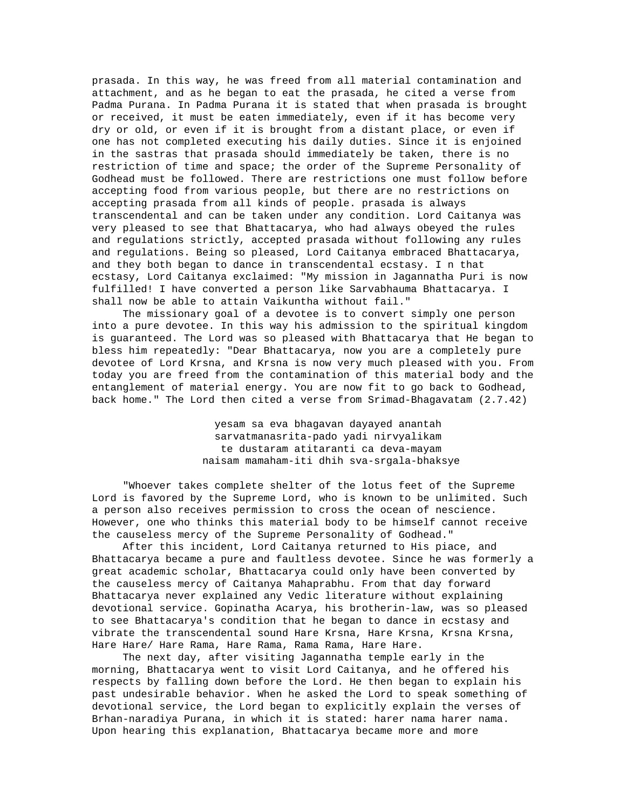prasada. In this way, he was freed from all material contamination and attachment, and as he began to eat the prasada, he cited a verse from Padma Purana. In Padma Purana it is stated that when prasada is brought or received, it must be eaten immediately, even if it has become very dry or old, or even if it is brought from a distant place, or even if one has not completed executing his daily duties. Since it is enjoined in the sastras that prasada should immediately be taken, there is no restriction of time and space; the order of the Supreme Personality of Godhead must be followed. There are restrictions one must follow before accepting food from various people, but there are no restrictions on accepting prasada from all kinds of people. prasada is always transcendental and can be taken under any condition. Lord Caitanya was very pleased to see that Bhattacarya, who had always obeyed the rules and regulations strictly, accepted prasada without following any rules and regulations. Being so pleased, Lord Caitanya embraced Bhattacarya, and they both began to dance in transcendental ecstasy. I n that ecstasy, Lord Caitanya exclaimed: "My mission in Jagannatha Puri is now fulfilled! I have converted a person like Sarvabhauma Bhattacarya. I shall now be able to attain Vaikuntha without fail."

 The missionary goal of a devotee is to convert simply one person into a pure devotee. In this way his admission to the spiritual kingdom is guaranteed. The Lord was so pleased with Bhattacarya that He began to bless him repeatedly: "Dear Bhattacarya, now you are a completely pure devotee of Lord Krsna, and Krsna is now very much pleased with you. From today you are freed from the contamination of this material body and the entanglement of material energy. You are now fit to go back to Godhead, back home." The Lord then cited a verse from Srimad-Bhagavatam (2.7.42)

> yesam sa eva bhagavan dayayed anantah sarvatmanasrita-pado yadi nirvyalikam te dustaram atitaranti ca deva-mayam naisam mamaham-iti dhih sva-srgala-bhaksye

 "Whoever takes complete shelter of the lotus feet of the Supreme Lord is favored by the Supreme Lord, who is known to be unlimited. Such a person also receives permission to cross the ocean of nescience. However, one who thinks this material body to be himself cannot receive the causeless mercy of the Supreme Personality of Godhead."

 After this incident, Lord Caitanya returned to His piace, and Bhattacarya became a pure and faultless devotee. Since he was formerly a great academic scholar, Bhattacarya could only have been converted by the causeless mercy of Caitanya Mahaprabhu. From that day forward Bhattacarya never explained any Vedic literature without explaining devotional service. Gopinatha Acarya, his brotherin-law, was so pleased to see Bhattacarya's condition that he began to dance in ecstasy and vibrate the transcendental sound Hare Krsna, Hare Krsna, Krsna Krsna, Hare Hare/ Hare Rama, Hare Rama, Rama Rama, Hare Hare.

 The next day, after visiting Jagannatha temple early in the morning, Bhattacarya went to visit Lord Caitanya, and he offered his respects by falling down before the Lord. He then began to explain his past undesirable behavior. When he asked the Lord to speak something of devotional service, the Lord began to explicitly explain the verses of Brhan-naradiya Purana, in which it is stated: harer nama harer nama. Upon hearing this explanation, Bhattacarya became more and more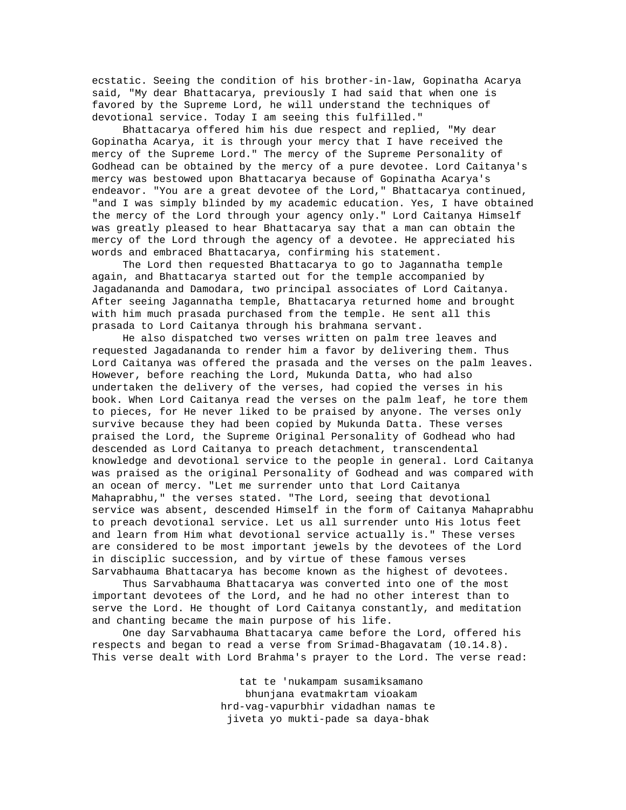ecstatic. Seeing the condition of his brother-in-law, Gopinatha Acarya said, "My dear Bhattacarya, previously I had said that when one is favored by the Supreme Lord, he will understand the techniques of devotional service. Today I am seeing this fulfilled."

 Bhattacarya offered him his due respect and replied, "My dear Gopinatha Acarya, it is through your mercy that I have received the mercy of the Supreme Lord." The mercy of the Supreme Personality of Godhead can be obtained by the mercy of a pure devotee. Lord Caitanya's mercy was bestowed upon Bhattacarya because of Gopinatha Acarya's endeavor. "You are a great devotee of the Lord," Bhattacarya continued, "and I was simply blinded by my academic education. Yes, I have obtained the mercy of the Lord through your agency only." Lord Caitanya Himself was greatly pleased to hear Bhattacarya say that a man can obtain the mercy of the Lord through the agency of a devotee. He appreciated his words and embraced Bhattacarya, confirming his statement.

 The Lord then requested Bhattacarya to go to Jagannatha temple again, and Bhattacarya started out for the temple accompanied by Jagadananda and Damodara, two principal associates of Lord Caitanya. After seeing Jagannatha temple, Bhattacarya returned home and brought with him much prasada purchased from the temple. He sent all this prasada to Lord Caitanya through his brahmana servant.

 He also dispatched two verses written on palm tree leaves and requested Jagadananda to render him a favor by delivering them. Thus Lord Caitanya was offered the prasada and the verses on the palm leaves. However, before reaching the Lord, Mukunda Datta, who had also undertaken the delivery of the verses, had copied the verses in his book. When Lord Caitanya read the verses on the palm leaf, he tore them to pieces, for He never liked to be praised by anyone. The verses only survive because they had been copied by Mukunda Datta. These verses praised the Lord, the Supreme Original Personality of Godhead who had descended as Lord Caitanya to preach detachment, transcendental knowledge and devotional service to the people in general. Lord Caitanya was praised as the original Personality of Godhead and was compared with an ocean of mercy. "Let me surrender unto that Lord Caitanya Mahaprabhu," the verses stated. "The Lord, seeing that devotional service was absent, descended Himself in the form of Caitanya Mahaprabhu to preach devotional service. Let us all surrender unto His lotus feet and learn from Him what devotional service actually is." These verses are considered to be most important jewels by the devotees of the Lord in disciplic succession, and by virtue of these famous verses Sarvabhauma Bhattacarya has become known as the highest of devotees.

 Thus Sarvabhauma Bhattacarya was converted into one of the most important devotees of the Lord, and he had no other interest than to serve the Lord. He thought of Lord Caitanya constantly, and meditation and chanting became the main purpose of his life.

 One day Sarvabhauma Bhattacarya came before the Lord, offered his respects and began to read a verse from Srimad-Bhagavatam (10.14.8). This verse dealt with Lord Brahma's prayer to the Lord. The verse read:

> tat te 'nukampam susamiksamano bhunjana evatmakrtam vioakam hrd-vag-vapurbhir vidadhan namas te jiveta yo mukti-pade sa daya-bhak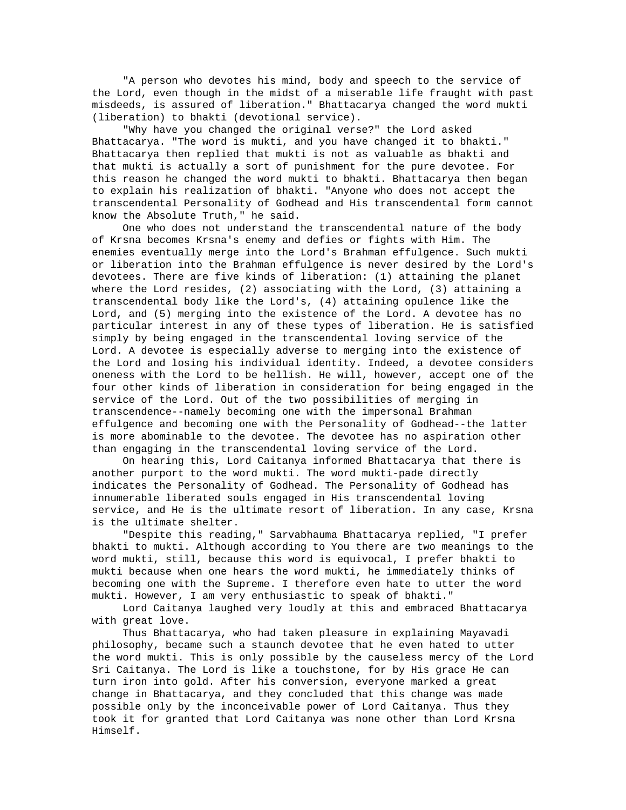"A person who devotes his mind, body and speech to the service of the Lord, even though in the midst of a miserable life fraught with past misdeeds, is assured of liberation." Bhattacarya changed the word mukti (liberation) to bhakti (devotional service).

 "Why have you changed the original verse?" the Lord asked Bhattacarya. "The word is mukti, and you have changed it to bhakti." Bhattacarya then replied that mukti is not as valuable as bhakti and that mukti is actually a sort of punishment for the pure devotee. For this reason he changed the word mukti to bhakti. Bhattacarya then began to explain his realization of bhakti. "Anyone who does not accept the transcendental Personality of Godhead and His transcendental form cannot know the Absolute Truth," he said.

 One who does not understand the transcendental nature of the body of Krsna becomes Krsna's enemy and defies or fights with Him. The enemies eventually merge into the Lord's Brahman effulgence. Such mukti or liberation into the Brahman effulgence is never desired by the Lord's devotees. There are five kinds of liberation: (1) attaining the planet where the Lord resides, (2) associating with the Lord, (3) attaining a transcendental body like the Lord's, (4) attaining opulence like the Lord, and (5) merging into the existence of the Lord. A devotee has no particular interest in any of these types of liberation. He is satisfied simply by being engaged in the transcendental loving service of the Lord. A devotee is especially adverse to merging into the existence of the Lord and losing his individual identity. Indeed, a devotee considers oneness with the Lord to be hellish. He will, however, accept one of the four other kinds of liberation in consideration for being engaged in the service of the Lord. Out of the two possibilities of merging in transcendence--namely becoming one with the impersonal Brahman effulgence and becoming one with the Personality of Godhead--the latter is more abominable to the devotee. The devotee has no aspiration other than engaging in the transcendental loving service of the Lord.

 On hearing this, Lord Caitanya informed Bhattacarya that there is another purport to the word mukti. The word mukti-pade directly indicates the Personality of Godhead. The Personality of Godhead has innumerable liberated souls engaged in His transcendental loving service, and He is the ultimate resort of liberation. In any case, Krsna is the ultimate shelter.

 "Despite this reading," Sarvabhauma Bhattacarya replied, "I prefer bhakti to mukti. Although according to You there are two meanings to the word mukti, still, because this word is equivocal, I prefer bhakti to mukti because when one hears the word mukti, he immediately thinks of becoming one with the Supreme. I therefore even hate to utter the word mukti. However, I am very enthusiastic to speak of bhakti."

 Lord Caitanya laughed very loudly at this and embraced Bhattacarya with great love.

 Thus Bhattacarya, who had taken pleasure in explaining Mayavadi philosophy, became such a staunch devotee that he even hated to utter the word mukti. This is only possible by the causeless mercy of the Lord Sri Caitanya. The Lord is like a touchstone, for by His grace He can turn iron into gold. After his conversion, everyone marked a great change in Bhattacarya, and they concluded that this change was made possible only by the inconceivable power of Lord Caitanya. Thus they took it for granted that Lord Caitanya was none other than Lord Krsna Himself.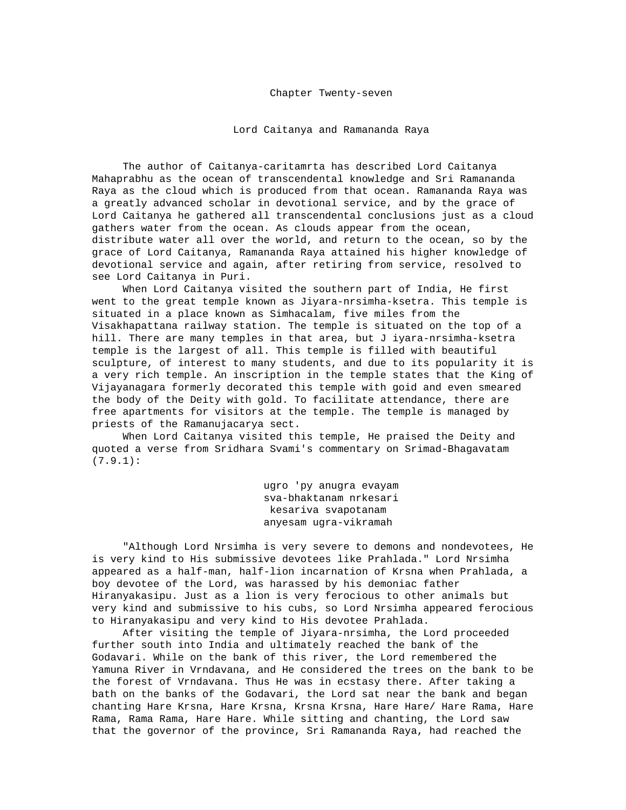## Chapter Twenty-seven

Lord Caitanya and Ramananda Raya

 The author of Caitanya-caritamrta has described Lord Caitanya Mahaprabhu as the ocean of transcendental knowledge and Sri Ramananda Raya as the cloud which is produced from that ocean. Ramananda Raya was a greatly advanced scholar in devotional service, and by the grace of Lord Caitanya he gathered all transcendental conclusions just as a cloud gathers water from the ocean. As clouds appear from the ocean, distribute water all over the world, and return to the ocean, so by the grace of Lord Caitanya, Ramananda Raya attained his higher knowledge of devotional service and again, after retiring from service, resolved to see Lord Caitanya in Puri.

 When Lord Caitanya visited the southern part of India, He first went to the great temple known as Jiyara-nrsimha-ksetra. This temple is situated in a place known as Simhacalam, five miles from the Visakhapattana railway station. The temple is situated on the top of a hill. There are many temples in that area, but J iyara-nrsimha-ksetra temple is the largest of all. This temple is filled with beautiful sculpture, of interest to many students, and due to its popularity it is a very rich temple. An inscription in the temple states that the King of Vijayanagara formerly decorated this temple with goid and even smeared the body of the Deity with gold. To facilitate attendance, there are free apartments for visitors at the temple. The temple is managed by priests of the Ramanujacarya sect.

 When Lord Caitanya visited this temple, He praised the Deity and quoted a verse from Sridhara Svami's commentary on Srimad-Bhagavatam (7.9.1):

> ugro 'py anugra evayam sva-bhaktanam nrkesari kesariva svapotanam anyesam ugra-vikramah

 "Although Lord Nrsimha is very severe to demons and nondevotees, He is very kind to His submissive devotees like Prahlada." Lord Nrsimha appeared as a half-man, half-lion incarnation of Krsna when Prahlada, a boy devotee of the Lord, was harassed by his demoniac father Hiranyakasipu. Just as a lion is very ferocious to other animals but very kind and submissive to his cubs, so Lord Nrsimha appeared ferocious to Hiranyakasipu and very kind to His devotee Prahlada.

 After visiting the temple of Jiyara-nrsimha, the Lord proceeded further south into India and ultimately reached the bank of the Godavari. While on the bank of this river, the Lord remembered the Yamuna River in Vrndavana, and He considered the trees on the bank to be the forest of Vrndavana. Thus He was in ecstasy there. After taking a bath on the banks of the Godavari, the Lord sat near the bank and began chanting Hare Krsna, Hare Krsna, Krsna Krsna, Hare Hare/ Hare Rama, Hare Rama, Rama Rama, Hare Hare. While sitting and chanting, the Lord saw that the governor of the province, Sri Ramananda Raya, had reached the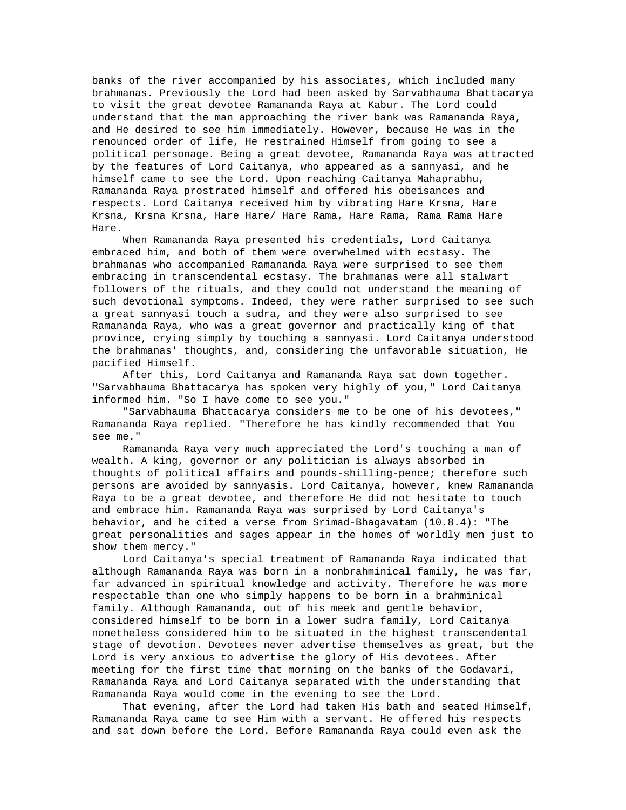banks of the river accompanied by his associates, which included many brahmanas. Previously the Lord had been asked by Sarvabhauma Bhattacarya to visit the great devotee Ramananda Raya at Kabur. The Lord could understand that the man approaching the river bank was Ramananda Raya, and He desired to see him immediately. However, because He was in the renounced order of life, He restrained Himself from going to see a political personage. Being a great devotee, Ramananda Raya was attracted by the features of Lord Caitanya, who appeared as a sannyasi, and he himself came to see the Lord. Upon reaching Caitanya Mahaprabhu, Ramananda Raya prostrated himself and offered his obeisances and respects. Lord Caitanya received him by vibrating Hare Krsna, Hare Krsna, Krsna Krsna, Hare Hare/ Hare Rama, Hare Rama, Rama Rama Hare Hare.

 When Ramananda Raya presented his credentials, Lord Caitanya embraced him, and both of them were overwhelmed with ecstasy. The brahmanas who accompanied Ramananda Raya were surprised to see them embracing in transcendental ecstasy. The brahmanas were all stalwart followers of the rituals, and they could not understand the meaning of such devotional symptoms. Indeed, they were rather surprised to see such a great sannyasi touch a sudra, and they were also surprised to see Ramananda Raya, who was a great governor and practically king of that province, crying simply by touching a sannyasi. Lord Caitanya understood the brahmanas' thoughts, and, considering the unfavorable situation, He pacified Himself.

 After this, Lord Caitanya and Ramananda Raya sat down together. "Sarvabhauma Bhattacarya has spoken very highly of you," Lord Caitanya informed him. "So I have come to see you."

 "Sarvabhauma Bhattacarya considers me to be one of his devotees," Ramananda Raya replied. "Therefore he has kindly recommended that You see me."

 Ramananda Raya very much appreciated the Lord's touching a man of wealth. A king, governor or any politician is always absorbed in thoughts of political affairs and pounds-shilling-pence; therefore such persons are avoided by sannyasis. Lord Caitanya, however, knew Ramananda Raya to be a great devotee, and therefore He did not hesitate to touch and embrace him. Ramananda Raya was surprised by Lord Caitanya's behavior, and he cited a verse from Srimad-Bhagavatam (10.8.4): "The great personalities and sages appear in the homes of worldly men just to show them mercy."

 Lord Caitanya's special treatment of Ramananda Raya indicated that although Ramananda Raya was born in a nonbrahminical family, he was far, far advanced in spiritual knowledge and activity. Therefore he was more respectable than one who simply happens to be born in a brahminical family. Although Ramananda, out of his meek and gentle behavior, considered himself to be born in a lower sudra family, Lord Caitanya nonetheless considered him to be situated in the highest transcendental stage of devotion. Devotees never advertise themselves as great, but the Lord is very anxious to advertise the glory of His devotees. After meeting for the first time that morning on the banks of the Godavari, Ramananda Raya and Lord Caitanya separated with the understanding that Ramananda Raya would come in the evening to see the Lord.

 That evening, after the Lord had taken His bath and seated Himself, Ramananda Raya came to see Him with a servant. He offered his respects and sat down before the Lord. Before Ramananda Raya could even ask the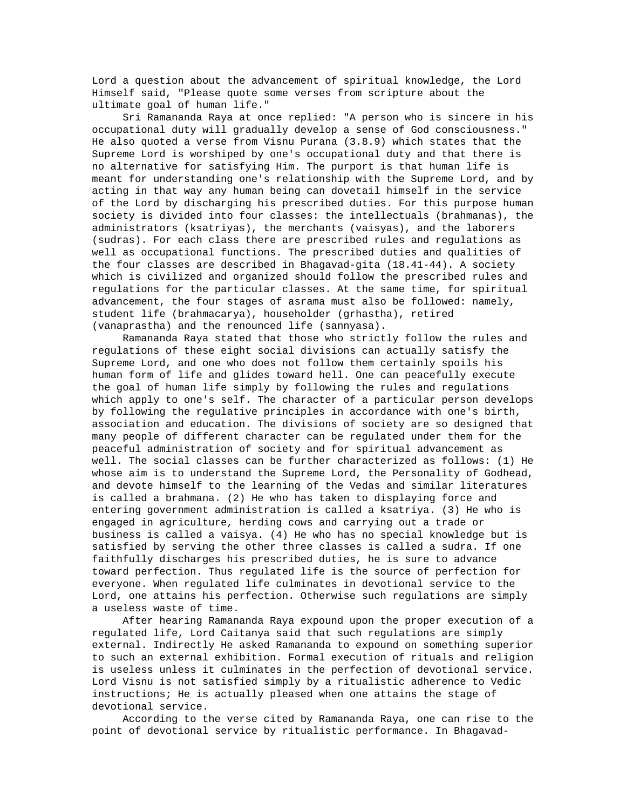Lord a question about the advancement of spiritual knowledge, the Lord Himself said, "Please quote some verses from scripture about the ultimate goal of human life."

 Sri Ramananda Raya at once replied: "A person who is sincere in his occupational duty will gradually develop a sense of God consciousness." He also quoted a verse from Visnu Purana (3.8.9) which states that the Supreme Lord is worshiped by one's occupational duty and that there is no alternative for satisfying Him. The purport is that human life is meant for understanding one's relationship with the Supreme Lord, and by acting in that way any human being can dovetail himself in the service of the Lord by discharging his prescribed duties. For this purpose human society is divided into four classes: the intellectuals (brahmanas), the administrators (ksatriyas), the merchants (vaisyas), and the laborers (sudras). For each class there are prescribed rules and regulations as well as occupational functions. The prescribed duties and qualities of the four classes are described in Bhagavad-gita (18.41-44). A society which is civilized and organized should follow the prescribed rules and regulations for the particular classes. At the same time, for spiritual advancement, the four stages of asrama must also be followed: namely, student life (brahmacarya), householder (grhastha), retired (vanaprastha) and the renounced life (sannyasa).

 Ramananda Raya stated that those who strictly follow the rules and regulations of these eight social divisions can actually satisfy the Supreme Lord, and one who does not follow them certainly spoils his human form of life and glides toward hell. One can peacefully execute the goal of human life simply by following the rules and regulations which apply to one's self. The character of a particular person develops by following the regulative principles in accordance with one's birth, association and education. The divisions of society are so designed that many people of different character can be regulated under them for the peaceful administration of society and for spiritual advancement as well. The social classes can be further characterized as follows: (1) He whose aim is to understand the Supreme Lord, the Personality of Godhead, and devote himself to the learning of the Vedas and similar literatures is called a brahmana. (2) He who has taken to displaying force and entering government administration is called a ksatriya. (3) He who is engaged in agriculture, herding cows and carrying out a trade or business is called a vaisya. (4) He who has no special knowledge but is satisfied by serving the other three classes is called a sudra. If one faithfully discharges his prescribed duties, he is sure to advance toward perfection. Thus regulated life is the source of perfection for everyone. When regulated life culminates in devotional service to the Lord, one attains his perfection. Otherwise such regulations are simply a useless waste of time.

 After hearing Ramananda Raya expound upon the proper execution of a regulated life, Lord Caitanya said that such regulations are simply external. Indirectly He asked Ramananda to expound on something superior to such an external exhibition. Formal execution of rituals and religion is useless unless it culminates in the perfection of devotional service. Lord Visnu is not satisfied simply by a ritualistic adherence to Vedic instructions; He is actually pleased when one attains the stage of devotional service.

 According to the verse cited by Ramananda Raya, one can rise to the point of devotional service by ritualistic performance. In Bhagavad-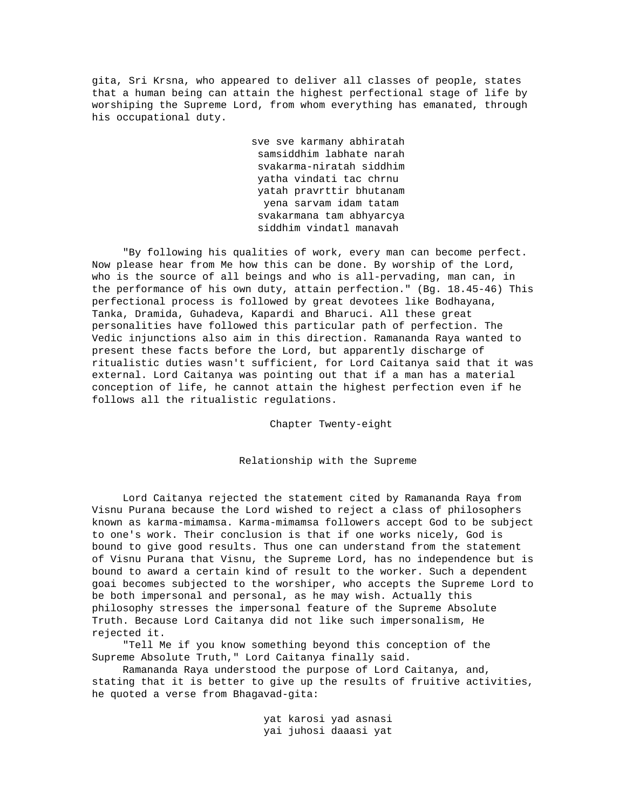gita, Sri Krsna, who appeared to deliver all classes of people, states that a human being can attain the highest perfectional stage of life by worshiping the Supreme Lord, from whom everything has emanated, through his occupational duty.

> sve sve karmany abhiratah samsiddhim labhate narah svakarma-niratah siddhim yatha vindati tac chrnu yatah pravrttir bhutanam yena sarvam idam tatam svakarmana tam abhyarcya siddhim vindatl manavah

 "By following his qualities of work, every man can become perfect. Now please hear from Me how this can be done. By worship of the Lord, who is the source of all beings and who is all-pervading, man can, in the performance of his own duty, attain perfection." (Bg. 18.45-46) This perfectional process is followed by great devotees like Bodhayana, Tanka, Dramida, Guhadeva, Kapardi and Bharuci. All these great personalities have followed this particular path of perfection. The Vedic injunctions also aim in this direction. Ramananda Raya wanted to present these facts before the Lord, but apparently discharge of ritualistic duties wasn't sufficient, for Lord Caitanya said that it was external. Lord Caitanya was pointing out that if a man has a material conception of life, he cannot attain the highest perfection even if he follows all the ritualistic regulations.

Chapter Twenty-eight

Relationship with the Supreme

 Lord Caitanya rejected the statement cited by Ramananda Raya from Visnu Purana because the Lord wished to reject a class of philosophers known as karma-mimamsa. Karma-mimamsa followers accept God to be subject to one's work. Their conclusion is that if one works nicely, God is bound to give good results. Thus one can understand from the statement of Visnu Purana that Visnu, the Supreme Lord, has no independence but is bound to award a certain kind of result to the worker. Such a dependent goai becomes subjected to the worshiper, who accepts the Supreme Lord to be both impersonal and personal, as he may wish. Actually this philosophy stresses the impersonal feature of the Supreme Absolute Truth. Because Lord Caitanya did not like such impersonalism, He rejected it.

 "Tell Me if you know something beyond this conception of the Supreme Absolute Truth," Lord Caitanya finally said.

 Ramananda Raya understood the purpose of Lord Caitanya, and, stating that it is better to give up the results of fruitive activities, he quoted a verse from Bhagavad-gita:

> yat karosi yad asnasi yai juhosi daaasi yat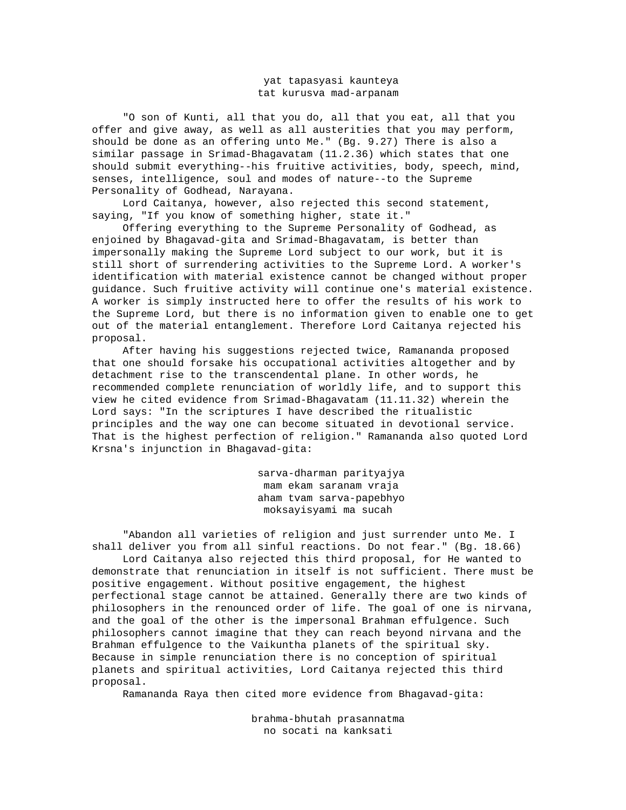# yat tapasyasi kaunteya tat kurusva mad-arpanam

 "O son of Kunti, all that you do, all that you eat, all that you offer and give away, as well as all austerities that you may perform, should be done as an offering unto Me." (Bg. 9.27) There is also a similar passage in Srimad-Bhagavatam (11.2.36) which states that one should submit everything--his fruitive activities, body, speech, mind, senses, intelligence, soul and modes of nature--to the Supreme Personality of Godhead, Narayana.

 Lord Caitanya, however, also rejected this second statement, saying, "If you know of something higher, state it."

 Offering everything to the Supreme Personality of Godhead, as enjoined by Bhagavad-gita and Srimad-Bhagavatam, is better than impersonally making the Supreme Lord subject to our work, but it is still short of surrendering activities to the Supreme Lord. A worker's identification with material existence cannot be changed without proper guidance. Such fruitive activity will continue one's material existence. A worker is simply instructed here to offer the results of his work to the Supreme Lord, but there is no information given to enable one to get out of the material entanglement. Therefore Lord Caitanya rejected his proposal.

 After having his suggestions rejected twice, Ramananda proposed that one should forsake his occupational activities altogether and by detachment rise to the transcendental plane. In other words, he recommended complete renunciation of worldly life, and to support this view he cited evidence from Srimad-Bhagavatam (11.11.32) wherein the Lord says: "In the scriptures I have described the ritualistic principles and the way one can become situated in devotional service. That is the highest perfection of religion." Ramananda also quoted Lord Krsna's injunction in Bhagavad-gita:

> sarva-dharman parityajya mam ekam saranam vraja aham tvam sarva-papebhyo moksayisyami ma sucah

 "Abandon all varieties of religion and just surrender unto Me. I shall deliver you from all sinful reactions. Do not fear." (Bg. 18.66)

 Lord Caitanya also rejected this third proposal, for He wanted to demonstrate that renunciation in itself is not sufficient. There must be positive engagement. Without positive engagement, the highest perfectional stage cannot be attained. Generally there are two kinds of philosophers in the renounced order of life. The goal of one is nirvana, and the goal of the other is the impersonal Brahman effulgence. Such philosophers cannot imagine that they can reach beyond nirvana and the Brahman effulgence to the Vaikuntha planets of the spiritual sky. Because in simple renunciation there is no conception of spiritual planets and spiritual activities, Lord Caitanya rejected this third proposal.

Ramananda Raya then cited more evidence from Bhagavad-gita:

 brahma-bhutah prasannatma no socati na kanksati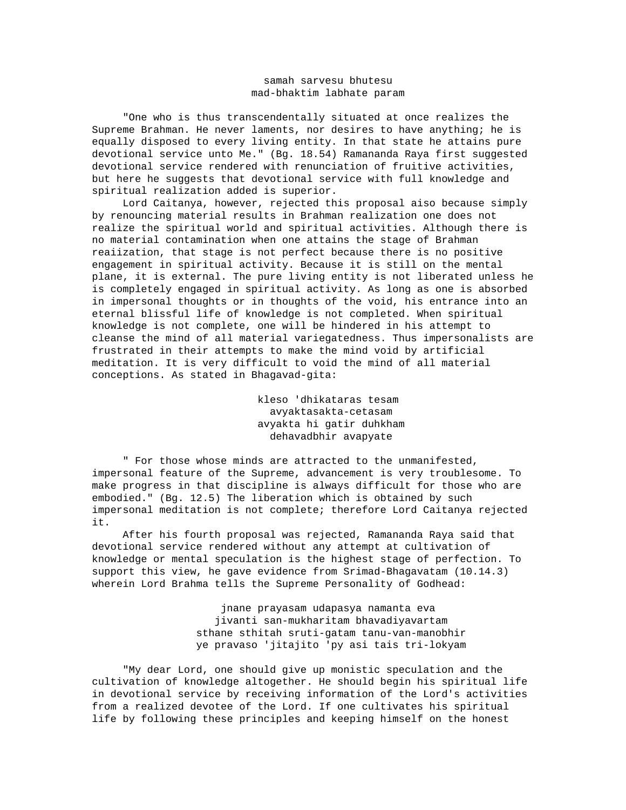# samah sarvesu bhutesu mad-bhaktim labhate param

 "One who is thus transcendentally situated at once realizes the Supreme Brahman. He never laments, nor desires to have anything; he is equally disposed to every living entity. In that state he attains pure devotional service unto Me." (Bg. 18.54) Ramananda Raya first suggested devotional service rendered with renunciation of fruitive activities, but here he suggests that devotional service with full knowledge and spiritual realization added is superior.

 Lord Caitanya, however, rejected this proposal aiso because simply by renouncing material results in Brahman realization one does not realize the spiritual world and spiritual activities. Although there is no material contamination when one attains the stage of Brahman reaiization, that stage is not perfect because there is no positive engagement in spiritual activity. Because it is still on the mental plane, it is external. The pure living entity is not liberated unless he is completely engaged in spiritual activity. As long as one is absorbed in impersonal thoughts or in thoughts of the void, his entrance into an eternal blissful life of knowledge is not completed. When spiritual knowledge is not complete, one will be hindered in his attempt to cleanse the mind of all material variegatedness. Thus impersonalists are frustrated in their attempts to make the mind void by artificial meditation. It is very difficult to void the mind of all material conceptions. As stated in Bhagavad-gita:

> kleso 'dhikataras tesam avyaktasakta-cetasam avyakta hi gatir duhkham dehavadbhir avapyate

 " For those whose minds are attracted to the unmanifested, impersonal feature of the Supreme, advancement is very troublesome. To make progress in that discipline is always difficult for those who are embodied." (Bg. 12.5) The liberation which is obtained by such impersonal meditation is not complete; therefore Lord Caitanya rejected it.

 After his fourth proposal was rejected, Ramananda Raya said that devotional service rendered without any attempt at cultivation of knowledge or mental speculation is the highest stage of perfection. To support this view, he gave evidence from Srimad-Bhagavatam (10.14.3) wherein Lord Brahma tells the Supreme Personality of Godhead:

> jnane prayasam udapasya namanta eva jivanti san-mukharitam bhavadiyavartam sthane sthitah sruti-gatam tanu-van-manobhir ye pravaso 'jitajito 'py asi tais tri-lokyam

 "My dear Lord, one should give up monistic speculation and the cultivation of knowledge altogether. He should begin his spiritual life in devotional service by receiving information of the Lord's activities from a realized devotee of the Lord. If one cultivates his spiritual life by following these principles and keeping himself on the honest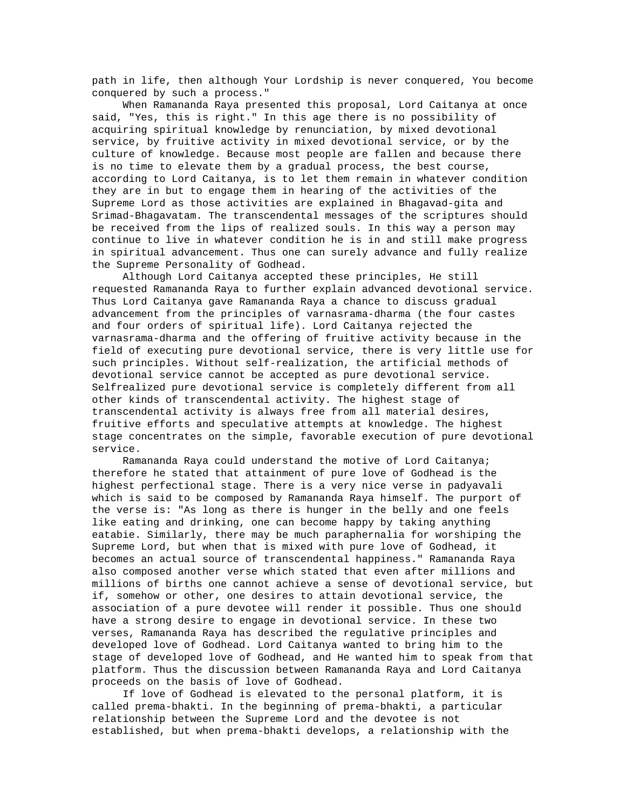path in life, then although Your Lordship is never conquered, You become conquered by such a process."

 When Ramananda Raya presented this proposal, Lord Caitanya at once said, "Yes, this is right." In this age there is no possibility of acquiring spiritual knowledge by renunciation, by mixed devotional service, by fruitive activity in mixed devotional service, or by the culture of knowledge. Because most people are fallen and because there is no time to elevate them by a gradual process, the best course, according to Lord Caitanya, is to let them remain in whatever condition they are in but to engage them in hearing of the activities of the Supreme Lord as those activities are explained in Bhagavad-gita and Srimad-Bhagavatam. The transcendental messages of the scriptures should be received from the lips of realized souls. In this way a person may continue to live in whatever condition he is in and still make progress in spiritual advancement. Thus one can surely advance and fully realize the Supreme Personality of Godhead.

 Although Lord Caitanya accepted these principles, He still requested Ramananda Raya to further explain advanced devotional service. Thus Lord Caitanya gave Ramananda Raya a chance to discuss gradual advancement from the principles of varnasrama-dharma (the four castes and four orders of spiritual life). Lord Caitanya rejected the varnasrama-dharma and the offering of fruitive activity because in the field of executing pure devotional service, there is very little use for such principles. Without self-realization, the artificial methods of devotional service cannot be accepted as pure devotional service. Selfrealized pure devotional service is completely different from all other kinds of transcendental activity. The highest stage of transcendental activity is always free from all material desires, fruitive efforts and speculative attempts at knowledge. The highest stage concentrates on the simple, favorable execution of pure devotional service.

 Ramananda Raya could understand the motive of Lord Caitanya; therefore he stated that attainment of pure love of Godhead is the highest perfectional stage. There is a very nice verse in padyavali which is said to be composed by Ramananda Raya himself. The purport of the verse is: "As long as there is hunger in the belly and one feels like eating and drinking, one can become happy by taking anything eatabie. Similarly, there may be much paraphernalia for worshiping the Supreme Lord, but when that is mixed with pure love of Godhead, it becomes an actual source of transcendental happiness." Ramananda Raya also composed another verse which stated that even after millions and millions of births one cannot achieve a sense of devotional service, but if, somehow or other, one desires to attain devotional service, the association of a pure devotee will render it possible. Thus one should have a strong desire to engage in devotional service. In these two verses, Ramananda Raya has described the regulative principles and developed love of Godhead. Lord Caitanya wanted to bring him to the stage of developed love of Godhead, and He wanted him to speak from that platform. Thus the discussion between Ramananda Raya and Lord Caitanya proceeds on the basis of love of Godhead.

 If love of Godhead is elevated to the personal platform, it is called prema-bhakti. In the beginning of prema-bhakti, a particular relationship between the Supreme Lord and the devotee is not established, but when prema-bhakti develops, a relationship with the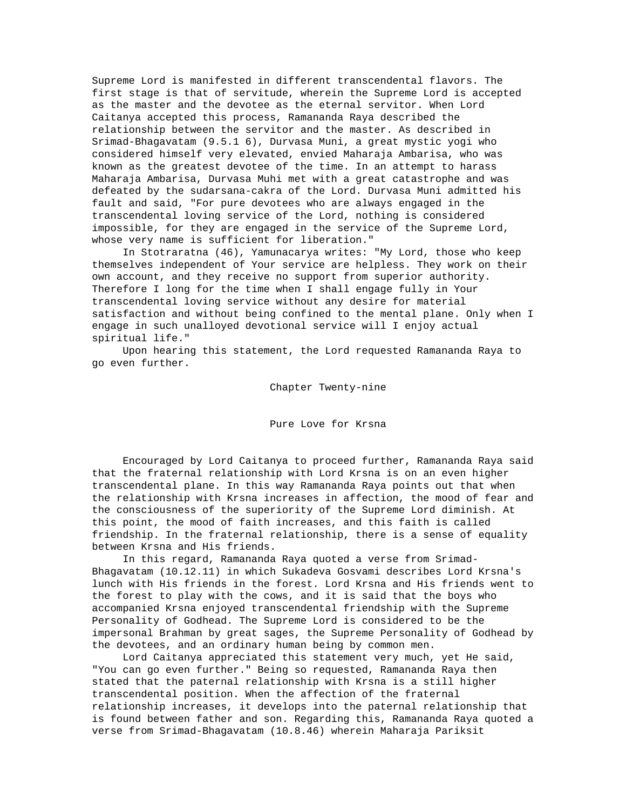Supreme Lord is manifested in different transcendental flavors. The first stage is that of servitude, wherein the Supreme Lord is accepted as the master and the devotee as the eternal servitor. When Lord Caitanya accepted this process, Ramananda Raya described the relationship between the servitor and the master. As described in Srimad-Bhagavatam (9.5.1 6), Durvasa Muni, a great mystic yogi who considered himself very elevated, envied Maharaja Ambarisa, who was known as the greatest devotee of the time. In an attempt to harass Maharaja Ambarisa, Durvasa Muhi met with a great catastrophe and was defeated by the sudarsana-cakra of the Lord. Durvasa Muni admitted his fault and said, "For pure devotees who are always engaged in the transcendental loving service of the Lord, nothing is considered impossible, for they are engaged in the service of the Supreme Lord, whose very name is sufficient for liberation."

 In Stotraratna (46), Yamunacarya writes: "My Lord, those who keep themselves independent of Your service are helpless. They work on their own account, and they receive no support from superior authority. Therefore I long for the time when I shall engage fully in Your transcendental loving service without any desire for material satisfaction and without being confined to the mental plane. Only when I engage in such unalloyed devotional service will I enjoy actual spiritual life."

 Upon hearing this statement, the Lord requested Ramananda Raya to go even further.

Chapter Twenty-nine

Pure Love for Krsna

 Encouraged by Lord Caitanya to proceed further, Ramananda Raya said that the fraternal relationship with Lord Krsna is on an even higher transcendental plane. In this way Ramananda Raya points out that when the relationship with Krsna increases in affection, the mood of fear and the consciousness of the superiority of the Supreme Lord diminish. At this point, the mood of faith increases, and this faith is called friendship. In the fraternal relationship, there is a sense of equality between Krsna and His friends.

 In this regard, Ramananda Raya quoted a verse from Srimad-Bhagavatam (10.12.11) in which Sukadeva Gosvami describes Lord Krsna's lunch with His friends in the forest. Lord Krsna and His friends went to the forest to play with the cows, and it is said that the boys who accompanied Krsna enjoyed transcendental friendship with the Supreme Personality of Godhead. The Supreme Lord is considered to be the impersonal Brahman by great sages, the Supreme Personality of Godhead by the devotees, and an ordinary human being by common men.

 Lord Caitanya appreciated this statement very much, yet He said, "You can go even further." Being so requested, Ramananda Raya then stated that the paternal relationship with Krsna is a still higher transcendental position. When the affection of the fraternal relationship increases, it develops into the paternal relationship that is found between father and son. Regarding this, Ramananda Raya quoted a verse from Srimad-Bhagavatam (10.8.46) wherein Maharaja Pariksit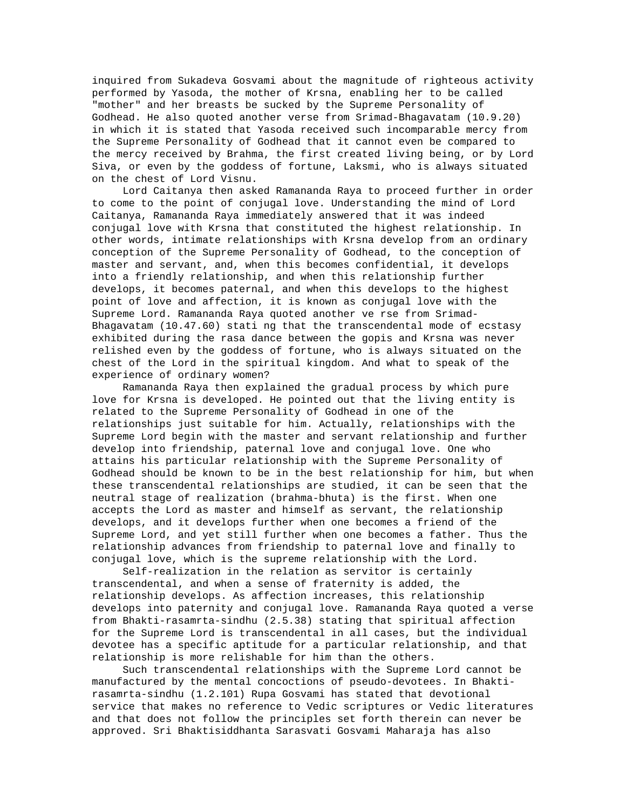inquired from Sukadeva Gosvami about the magnitude of righteous activity performed by Yasoda, the mother of Krsna, enabling her to be called "mother" and her breasts be sucked by the Supreme Personality of Godhead. He also quoted another verse from Srimad-Bhagavatam (10.9.20) in which it is stated that Yasoda received such incomparable mercy from the Supreme Personality of Godhead that it cannot even be compared to the mercy received by Brahma, the first created living being, or by Lord Siva, or even by the goddess of fortune, Laksmi, who is always situated on the chest of Lord Visnu.

 Lord Caitanya then asked Ramananda Raya to proceed further in order to come to the point of conjugal love. Understanding the mind of Lord Caitanya, Ramananda Raya immediately answered that it was indeed conjugal love with Krsna that constituted the highest relationship. In other words, intimate relationships with Krsna develop from an ordinary conception of the Supreme Personality of Godhead, to the conception of master and servant, and, when this becomes confidential, it develops into a friendly relationship, and when this relationship further develops, it becomes paternal, and when this develops to the highest point of love and affection, it is known as conjugal love with the Supreme Lord. Ramananda Raya quoted another ve rse from Srimad-Bhagavatam (10.47.60) stati ng that the transcendental mode of ecstasy exhibited during the rasa dance between the gopis and Krsna was never relished even by the goddess of fortune, who is always situated on the chest of the Lord in the spiritual kingdom. And what to speak of the experience of ordinary women?

 Ramananda Raya then explained the gradual process by which pure love for Krsna is developed. He pointed out that the living entity is related to the Supreme Personality of Godhead in one of the relationships just suitable for him. Actually, relationships with the Supreme Lord begin with the master and servant relationship and further develop into friendship, paternal love and conjugal love. One who attains his particular relationship with the Supreme Personality of Godhead should be known to be in the best relationship for him, but when these transcendental relationships are studied, it can be seen that the neutral stage of realization (brahma-bhuta) is the first. When one accepts the Lord as master and himself as servant, the relationship develops, and it develops further when one becomes a friend of the Supreme Lord, and yet still further when one becomes a father. Thus the relationship advances from friendship to paternal love and finally to conjugal love, which is the supreme relationship with the Lord.

 Self-realization in the relation as servitor is certainly transcendental, and when a sense of fraternity is added, the relationship develops. As affection increases, this relationship develops into paternity and conjugal love. Ramananda Raya quoted a verse from Bhakti-rasamrta-sindhu (2.5.38) stating that spiritual affection for the Supreme Lord is transcendental in all cases, but the individual devotee has a specific aptitude for a particular relationship, and that relationship is more relishable for him than the others.

 Such transcendental relationships with the Supreme Lord cannot be manufactured by the mental concoctions of pseudo-devotees. In Bhaktirasamrta-sindhu (1.2.101) Rupa Gosvami has stated that devotional service that makes no reference to Vedic scriptures or Vedic literatures and that does not follow the principles set forth therein can never be approved. Sri Bhaktisiddhanta Sarasvati Gosvami Maharaja has also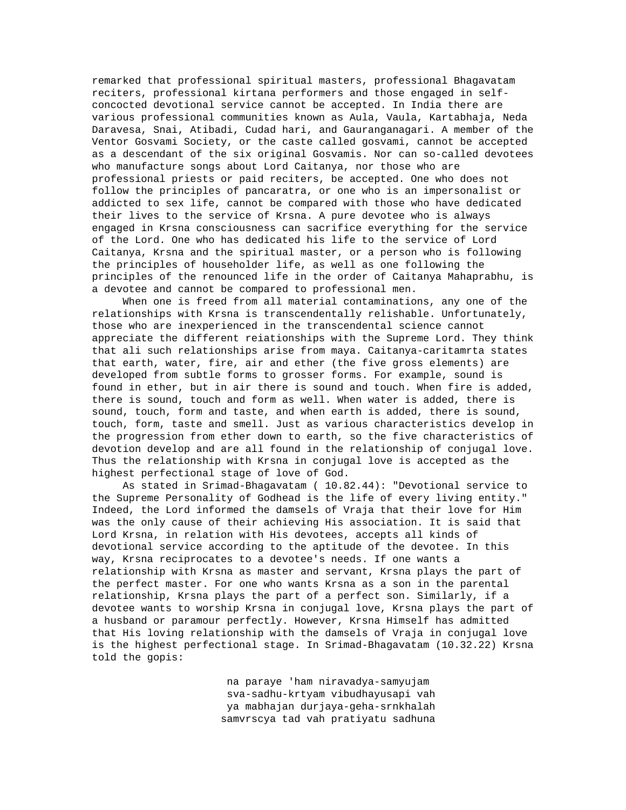remarked that professional spiritual masters, professional Bhagavatam reciters, professional kirtana performers and those engaged in selfconcocted devotional service cannot be accepted. In India there are various professional communities known as Aula, Vaula, Kartabhaja, Neda Daravesa, Snai, Atibadi, Cudad hari, and Gauranganagari. A member of the Ventor Gosvami Society, or the caste called gosvami, cannot be accepted as a descendant of the six original Gosvamis. Nor can so-called devotees who manufacture songs about Lord Caitanya, nor those who are professional priests or paid reciters, be accepted. One who does not follow the principles of pancaratra, or one who is an impersonalist or addicted to sex life, cannot be compared with those who have dedicated their lives to the service of Krsna. A pure devotee who is always engaged in Krsna consciousness can sacrifice everything for the service of the Lord. One who has dedicated his life to the service of Lord Caitanya, Krsna and the spiritual master, or a person who is following the principles of householder life, as well as one following the principles of the renounced life in the order of Caitanya Mahaprabhu, is a devotee and cannot be compared to professional men.

 When one is freed from all material contaminations, any one of the relationships with Krsna is transcendentally relishable. Unfortunately, those who are inexperienced in the transcendental science cannot appreciate the different reiationships with the Supreme Lord. They think that ali such relationships arise from maya. Caitanya-caritamrta states that earth, water, fire, air and ether (the five gross elements) are developed from subtle forms to grosser forms. For example, sound is found in ether, but in air there is sound and touch. When fire is added, there is sound, touch and form as well. When water is added, there is sound, touch, form and taste, and when earth is added, there is sound, touch, form, taste and smell. Just as various characteristics develop in the progression from ether down to earth, so the five characteristics of devotion develop and are all found in the relationship of conjugal love. Thus the relationship with Krsna in conjugal love is accepted as the highest perfectional stage of love of God.

 As stated in Srimad-Bhagavatam ( 10.82.44): "Devotional service to the Supreme Personality of Godhead is the life of every living entity." Indeed, the Lord informed the damsels of Vraja that their love for Him was the only cause of their achieving His association. It is said that Lord Krsna, in relation with His devotees, accepts all kinds of devotional service according to the aptitude of the devotee. In this way, Krsna reciprocates to a devotee's needs. If one wants a relationship with Krsna as master and servant, Krsna plays the part of the perfect master. For one who wants Krsna as a son in the parental relationship, Krsna plays the part of a perfect son. Similarly, if a devotee wants to worship Krsna in conjugal love, Krsna plays the part of a husband or paramour perfectly. However, Krsna Himself has admitted that His loving relationship with the damsels of Vraja in conjugal love is the highest perfectional stage. In Srimad-Bhagavatam (10.32.22) Krsna told the gopis:

> na paraye 'ham niravadya-samyujam sva-sadhu-krtyam vibudhayusapi vah ya mabhajan durjaya-geha-srnkhalah samvrscya tad vah pratiyatu sadhuna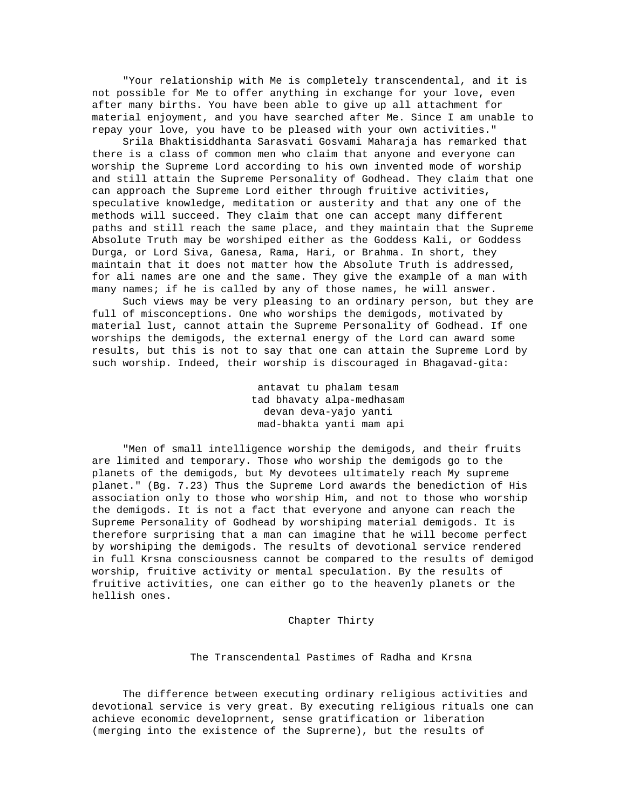"Your relationship with Me is completely transcendental, and it is not possible for Me to offer anything in exchange for your love, even after many births. You have been able to give up all attachment for material enjoyment, and you have searched after Me. Since I am unable to repay your love, you have to be pleased with your own activities."

 Srila Bhaktisiddhanta Sarasvati Gosvami Maharaja has remarked that there is a class of common men who claim that anyone and everyone can worship the Supreme Lord according to his own invented mode of worship and still attain the Supreme Personality of Godhead. They claim that one can approach the Supreme Lord either through fruitive activities, speculative knowledge, meditation or austerity and that any one of the methods will succeed. They claim that one can accept many different paths and still reach the same place, and they maintain that the Supreme Absolute Truth may be worshiped either as the Goddess Kali, or Goddess Durga, or Lord Siva, Ganesa, Rama, Hari, or Brahma. In short, they maintain that it does not matter how the Absolute Truth is addressed, for ali names are one and the same. They give the example of a man with many names; if he is called by any of those names, he will answer.

 Such views may be very pleasing to an ordinary person, but they are full of misconceptions. One who worships the demigods, motivated by material lust, cannot attain the Supreme Personality of Godhead. If one worships the demigods, the external energy of the Lord can award some results, but this is not to say that one can attain the Supreme Lord by such worship. Indeed, their worship is discouraged in Bhagavad-gita:

> antavat tu phalam tesam tad bhavaty alpa-medhasam devan deva-yajo yanti mad-bhakta yanti mam api

 "Men of small intelligence worship the demigods, and their fruits are limited and temporary. Those who worship the demigods go to the planets of the demigods, but My devotees ultimately reach My supreme planet." (Bg. 7.23) Thus the Supreme Lord awards the benediction of His association only to those who worship Him, and not to those who worship the demigods. It is not a fact that everyone and anyone can reach the Supreme Personality of Godhead by worshiping material demigods. It is therefore surprising that a man can imagine that he will become perfect by worshiping the demigods. The results of devotional service rendered in full Krsna consciousness cannot be compared to the results of demigod worship, fruitive activity or mental speculation. By the results of fruitive activities, one can either go to the heavenly planets or the hellish ones.

### Chapter Thirty

# The Transcendental Pastimes of Radha and Krsna

 The difference between executing ordinary religious activities and devotional service is very great. By executing religious rituals one can achieve economic developrnent, sense gratification or liberation (merging into the existence of the Suprerne), but the results of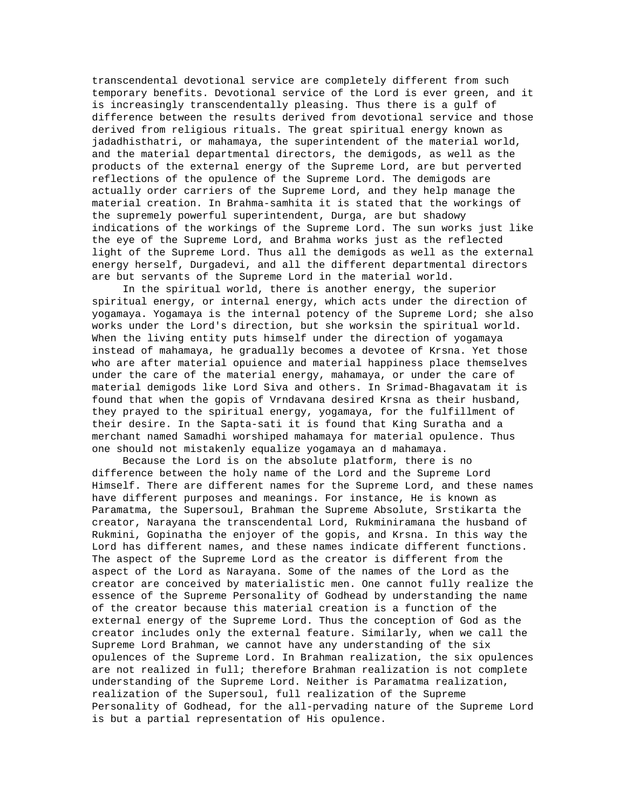transcendental devotional service are completely different from such temporary benefits. Devotional service of the Lord is ever green, and it is increasingly transcendentally pleasing. Thus there is a gulf of difference between the results derived from devotional service and those derived from religious rituals. The great spiritual energy known as jadadhisthatri, or mahamaya, the superintendent of the material world, and the material departmental directors, the demigods, as well as the products of the external energy of the Supreme Lord, are but perverted reflections of the opulence of the Supreme Lord. The demigods are actually order carriers of the Supreme Lord, and they help manage the material creation. In Brahma-samhita it is stated that the workings of the supremely powerful superintendent, Durga, are but shadowy indications of the workings of the Supreme Lord. The sun works just like the eye of the Supreme Lord, and Brahma works just as the reflected light of the Supreme Lord. Thus all the demigods as well as the external energy herself, Durgadevi, and all the different departmental directors are but servants of the Supreme Lord in the material world.

 In the spiritual world, there is another energy, the superior spiritual energy, or internal energy, which acts under the direction of yogamaya. Yogamaya is the internal potency of the Supreme Lord; she also works under the Lord's direction, but she worksin the spiritual world. When the living entity puts himself under the direction of yogamaya instead of mahamaya, he gradually becomes a devotee of Krsna. Yet those who are after material opuience and material happiness place themselves under the care of the material energy, mahamaya, or under the care of material demigods like Lord Siva and others. In Srimad-Bhagavatam it is found that when the gopis of Vrndavana desired Krsna as their husband, they prayed to the spiritual energy, yogamaya, for the fulfillment of their desire. In the Sapta-sati it is found that King Suratha and a merchant named Samadhi worshiped mahamaya for material opulence. Thus one should not mistakenly equalize yogamaya an d mahamaya.

 Because the Lord is on the absolute platform, there is no difference between the holy name of the Lord and the Supreme Lord Himself. There are different names for the Supreme Lord, and these names have different purposes and meanings. For instance, He is known as Paramatma, the Supersoul, Brahman the Supreme Absolute, Srstikarta the creator, Narayana the transcendental Lord, Rukminiramana the husband of Rukmini, Gopinatha the enjoyer of the gopis, and Krsna. In this way the Lord has different names, and these names indicate different functions. The aspect of the Supreme Lord as the creator is different from the aspect of the Lord as Narayana. Some of the names of the Lord as the creator are conceived by materialistic men. One cannot fully realize the essence of the Supreme Personality of Godhead by understanding the name of the creator because this material creation is a function of the external energy of the Supreme Lord. Thus the conception of God as the creator includes only the external feature. Similarly, when we call the Supreme Lord Brahman, we cannot have any understanding of the six opulences of the Supreme Lord. In Brahman realization, the six opulences are not realized in full; therefore Brahman realization is not complete understanding of the Supreme Lord. Neither is Paramatma realization, realization of the Supersoul, full realization of the Supreme Personality of Godhead, for the all-pervading nature of the Supreme Lord is but a partial representation of His opulence.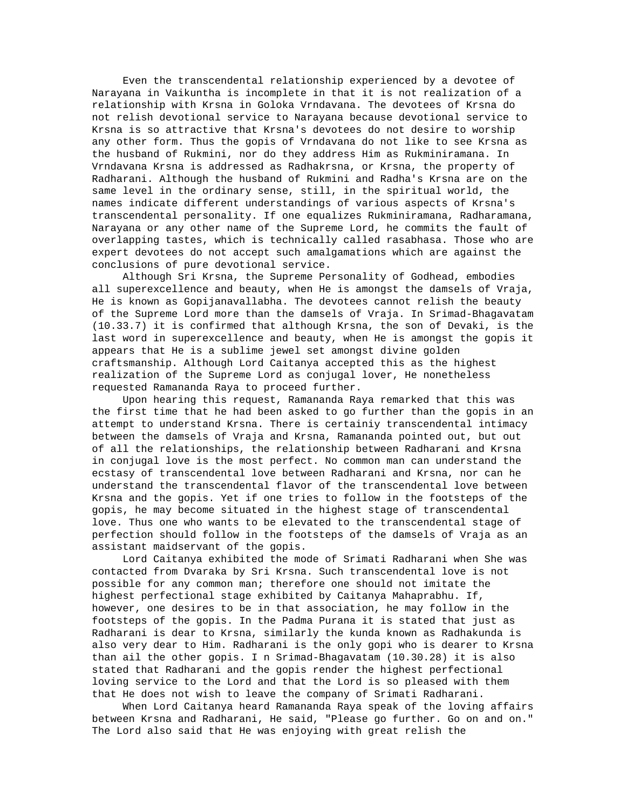Even the transcendental relationship experienced by a devotee of Narayana in Vaikuntha is incomplete in that it is not realization of a relationship with Krsna in Goloka Vrndavana. The devotees of Krsna do not relish devotional service to Narayana because devotional service to Krsna is so attractive that Krsna's devotees do not desire to worship any other form. Thus the gopis of Vrndavana do not like to see Krsna as the husband of Rukmini, nor do they address Him as Rukminiramana. In Vrndavana Krsna is addressed as Radhakrsna, or Krsna, the property of Radharani. Although the husband of Rukmini and Radha's Krsna are on the same level in the ordinary sense, still, in the spiritual world, the names indicate different understandings of various aspects of Krsna's transcendental personality. If one equalizes Rukminiramana, Radharamana, Narayana or any other name of the Supreme Lord, he commits the fault of overlapping tastes, which is technically called rasabhasa. Those who are expert devotees do not accept such amalgamations which are against the conclusions of pure devotional service.

 Although Sri Krsna, the Supreme Personality of Godhead, embodies all superexcellence and beauty, when He is amongst the damsels of Vraja, He is known as Gopijanavallabha. The devotees cannot relish the beauty of the Supreme Lord more than the damsels of Vraja. In Srimad-Bhagavatam (10.33.7) it is confirmed that although Krsna, the son of Devaki, is the last word in superexcellence and beauty, when He is amongst the gopis it appears that He is a sublime jewel set amongst divine golden craftsmanship. Although Lord Caitanya accepted this as the highest realization of the Supreme Lord as conjugal lover, He nonetheless requested Ramananda Raya to proceed further.

 Upon hearing this request, Ramananda Raya remarked that this was the first time that he had been asked to go further than the gopis in an attempt to understand Krsna. There is certainiy transcendental intimacy between the damsels of Vraja and Krsna, Ramananda pointed out, but out of all the relationships, the relationship between Radharani and Krsna in conjugal love is the most perfect. No common man can understand the ecstasy of transcendental love between Radharani and Krsna, nor can he understand the transcendental flavor of the transcendental love between Krsna and the gopis. Yet if one tries to follow in the footsteps of the gopis, he may become situated in the highest stage of transcendental love. Thus one who wants to be elevated to the transcendental stage of perfection should follow in the footsteps of the damsels of Vraja as an assistant maidservant of the gopis.

 Lord Caitanya exhibited the mode of Srimati Radharani when She was contacted from Dvaraka by Sri Krsna. Such transcendental love is not possible for any common man; therefore one should not imitate the highest perfectional stage exhibited by Caitanya Mahaprabhu. If, however, one desires to be in that association, he may follow in the footsteps of the gopis. In the Padma Purana it is stated that just as Radharani is dear to Krsna, similarly the kunda known as Radhakunda is also very dear to Him. Radharani is the only gopi who is dearer to Krsna than ail the other gopis. I n Srimad-Bhagavatam (10.30.28) it is also stated that Radharani and the gopis render the highest perfectional loving service to the Lord and that the Lord is so pleased with them that He does not wish to leave the company of Srimati Radharani.

 When Lord Caitanya heard Ramananda Raya speak of the loving affairs between Krsna and Radharani, He said, "Please go further. Go on and on." The Lord also said that He was enjoying with great relish the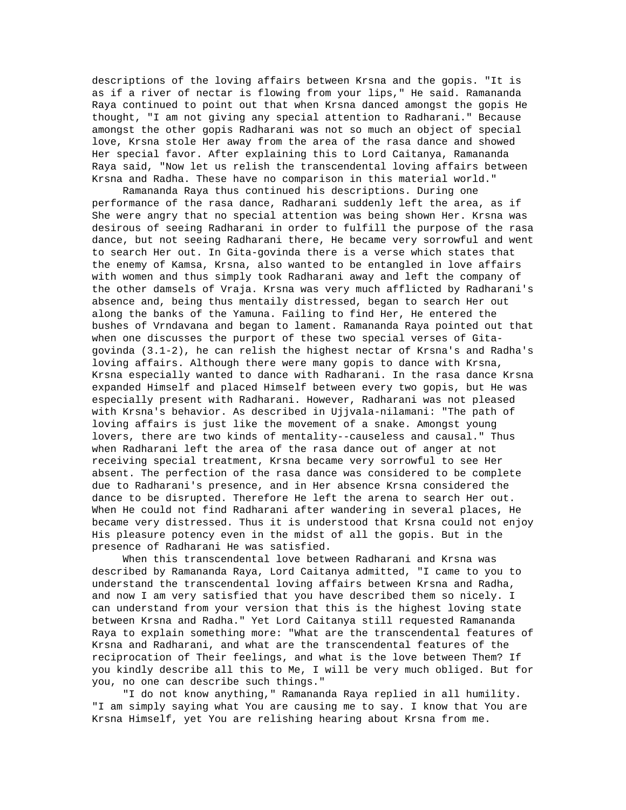descriptions of the loving affairs between Krsna and the gopis. "It is as if a river of nectar is flowing from your lips," He said. Ramananda Raya continued to point out that when Krsna danced amongst the gopis He thought, "I am not giving any special attention to Radharani." Because amongst the other gopis Radharani was not so much an object of special love, Krsna stole Her away from the area of the rasa dance and showed Her special favor. After explaining this to Lord Caitanya, Ramananda Raya said, "Now let us relish the transcendental loving affairs between Krsna and Radha. These have no comparison in this material world."

 Ramananda Raya thus continued his descriptions. During one performance of the rasa dance, Radharani suddenly left the area, as if She were angry that no special attention was being shown Her. Krsna was desirous of seeing Radharani in order to fulfill the purpose of the rasa dance, but not seeing Radharani there, He became very sorrowful and went to search Her out. In Gita-govinda there is a verse which states that the enemy of Kamsa, Krsna, also wanted to be entangled in love affairs with women and thus simply took Radharani away and left the company of the other damsels of Vraja. Krsna was very much afflicted by Radharani's absence and, being thus mentaily distressed, began to search Her out along the banks of the Yamuna. Failing to find Her, He entered the bushes of Vrndavana and began to lament. Ramananda Raya pointed out that when one discusses the purport of these two special verses of Gitagovinda (3.1-2), he can relish the highest nectar of Krsna's and Radha's loving affairs. Although there were many gopis to dance with Krsna, Krsna especially wanted to dance with Radharani. In the rasa dance Krsna expanded Himself and placed Himself between every two gopis, but He was especially present with Radharani. However, Radharani was not pleased with Krsna's behavior. As described in Ujjvala-nilamani: "The path of loving affairs is just like the movement of a snake. Amongst young lovers, there are two kinds of mentality--causeless and causal." Thus when Radharani left the area of the rasa dance out of anger at not receiving special treatment, Krsna became very sorrowful to see Her absent. The perfection of the rasa dance was considered to be complete due to Radharani's presence, and in Her absence Krsna considered the dance to be disrupted. Therefore He left the arena to search Her out. When He could not find Radharani after wandering in several places, He became very distressed. Thus it is understood that Krsna could not enjoy His pleasure potency even in the midst of all the gopis. But in the presence of Radharani He was satisfied.

 When this transcendental love between Radharani and Krsna was described by Ramananda Raya, Lord Caitanya admitted, "I came to you to understand the transcendental loving affairs between Krsna and Radha, and now I am very satisfied that you have described them so nicely. I can understand from your version that this is the highest loving state between Krsna and Radha." Yet Lord Caitanya still requested Ramananda Raya to explain something more: "What are the transcendental features of Krsna and Radharani, and what are the transcendental features of the reciprocation of Their feelings, and what is the love between Them? If you kindly describe all this to Me, I will be very much obliged. But for you, no one can describe such things."

 "I do not know anything," Ramananda Raya replied in all humility. "I am simply saying what You are causing me to say. I know that You are Krsna Himself, yet You are relishing hearing about Krsna from me.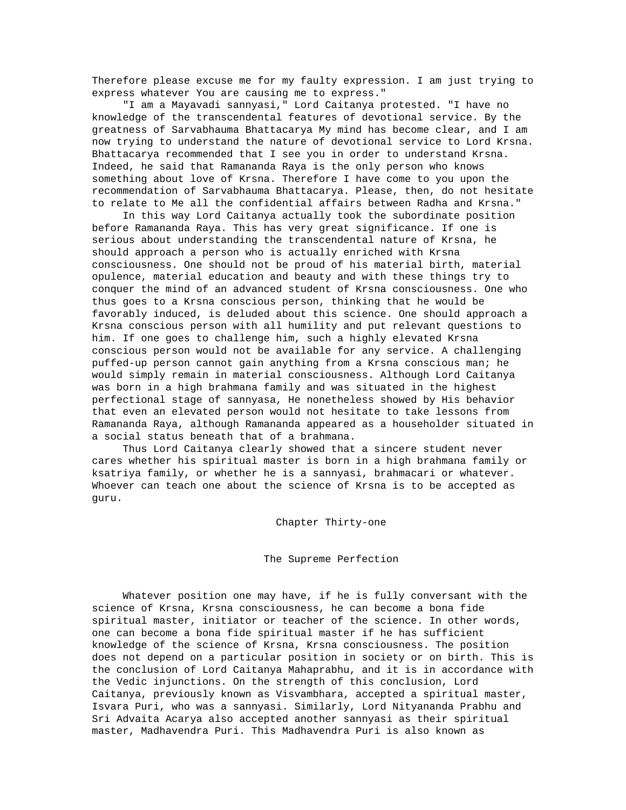Therefore please excuse me for my faulty expression. I am just trying to express whatever You are causing me to express."

 "I am a Mayavadi sannyasi," Lord Caitanya protested. "I have no knowledge of the transcendental features of devotional service. By the greatness of Sarvabhauma Bhattacarya My mind has become clear, and I am now trying to understand the nature of devotional service to Lord Krsna. Bhattacarya recommended that I see you in order to understand Krsna. Indeed, he said that Ramananda Raya is the only person who knows something about love of Krsna. Therefore I have come to you upon the recommendation of Sarvabhauma Bhattacarya. Please, then, do not hesitate to relate to Me all the confidential affairs between Radha and Krsna."

 In this way Lord Caitanya actually took the subordinate position before Ramananda Raya. This has very great significance. If one is serious about understanding the transcendental nature of Krsna, he should approach a person who is actually enriched with Krsna consciousness. One should not be proud of his material birth, material opulence, material education and beauty and with these things try to conquer the mind of an advanced student of Krsna consciousness. One who thus goes to a Krsna conscious person, thinking that he would be favorably induced, is deluded about this science. One should approach a Krsna conscious person with all humility and put relevant questions to him. If one goes to challenge him, such a highly elevated Krsna conscious person would not be available for any service. A challenging puffed-up person cannot gain anything from a Krsna conscious man; he would simply remain in material consciousness. Although Lord Caitanya was born in a high brahmana family and was situated in the highest perfectional stage of sannyasa, He nonetheless showed by His behavior that even an elevated person would not hesitate to take lessons from Ramananda Raya, although Ramananda appeared as a householder situated in a social status beneath that of a brahmana.

 Thus Lord Caitanya clearly showed that a sincere student never cares whether his spiritual master is born in a high brahmana family or ksatriya family, or whether he is a sannyasi, brahmacari or whatever. Whoever can teach one about the science of Krsna is to be accepted as guru.

### Chapter Thirty-one

# The Supreme Perfection

 Whatever position one may have, if he is fully conversant with the science of Krsna, Krsna consciousness, he can become a bona fide spiritual master, initiator or teacher of the science. In other words, one can become a bona fide spiritual master if he has sufficient knowledge of the science of Krsna, Krsna consciousness. The position does not depend on a particular position in society or on birth. This is the conclusion of Lord Caitanya Mahaprabhu, and it is in accordance with the Vedic injunctions. On the strength of this conclusion, Lord Caitanya, previously known as Visvambhara, accepted a spiritual master, Isvara Puri, who was a sannyasi. Similarly, Lord Nityananda Prabhu and Sri Advaita Acarya also accepted another sannyasi as their spiritual master, Madhavendra Puri. This Madhavendra Puri is also known as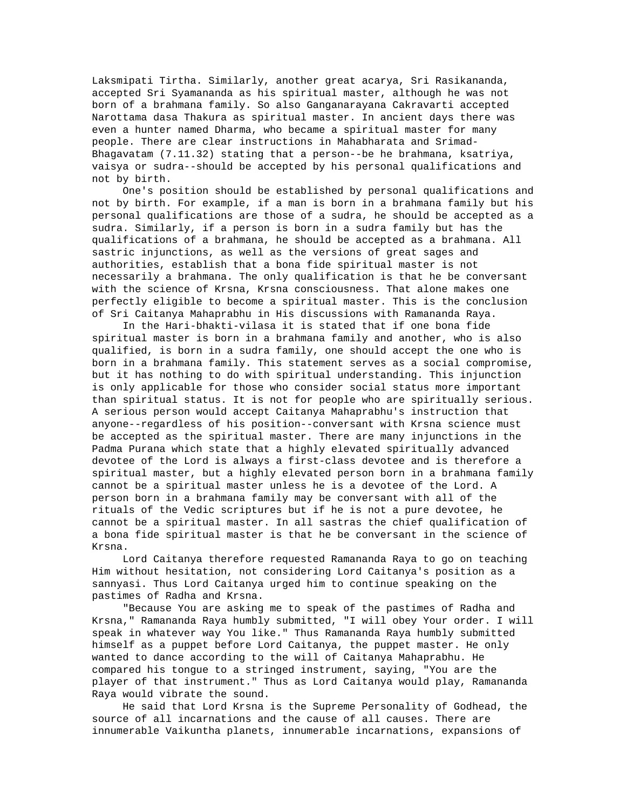Laksmipati Tirtha. Similarly, another great acarya, Sri Rasikananda, accepted Sri Syamananda as his spiritual master, although he was not born of a brahmana family. So also Ganganarayana Cakravarti accepted Narottama dasa Thakura as spiritual master. In ancient days there was even a hunter named Dharma, who became a spiritual master for many people. There are clear instructions in Mahabharata and Srimad-Bhagavatam (7.11.32) stating that a person--be he brahmana, ksatriya, vaisya or sudra--should be accepted by his personal qualifications and not by birth.

 One's position should be established by personal qualifications and not by birth. For example, if a man is born in a brahmana family but his personal qualifications are those of a sudra, he should be accepted as a sudra. Similarly, if a person is born in a sudra family but has the qualifications of a brahmana, he should be accepted as a brahmana. All sastric injunctions, as well as the versions of great sages and authorities, establish that a bona fide spiritual master is not necessarily a brahmana. The only qualification is that he be conversant with the science of Krsna, Krsna consciousness. That alone makes one perfectly eligible to become a spiritual master. This is the conclusion of Sri Caitanya Mahaprabhu in His discussions with Ramananda Raya.

 In the Hari-bhakti-vilasa it is stated that if one bona fide spiritual master is born in a brahmana family and another, who is also qualified, is born in a sudra family, one should accept the one who is born in a brahmana family. This statement serves as a social compromise, but it has nothing to do with spiritual understanding. This injunction is only applicable for those who consider social status more important than spiritual status. It is not for people who are spiritually serious. A serious person would accept Caitanya Mahaprabhu's instruction that anyone--regardless of his position--conversant with Krsna science must be accepted as the spiritual master. There are many injunctions in the Padma Purana which state that a highly elevated spiritually advanced devotee of the Lord is always a first-class devotee and is therefore a spiritual master, but a highly elevated person born in a brahmana family cannot be a spiritual master unless he is a devotee of the Lord. A person born in a brahmana family may be conversant with all of the rituals of the Vedic scriptures but if he is not a pure devotee, he cannot be a spiritual master. In all sastras the chief qualification of a bona fide spiritual master is that he be conversant in the science of Krsna.

 Lord Caitanya therefore requested Ramananda Raya to go on teaching Him without hesitation, not considering Lord Caitanya's position as a sannyasi. Thus Lord Caitanya urged him to continue speaking on the pastimes of Radha and Krsna.

 "Because You are asking me to speak of the pastimes of Radha and Krsna," Ramananda Raya humbly submitted, "I will obey Your order. I will speak in whatever way You like." Thus Ramananda Raya humbly submitted himself as a puppet before Lord Caitanya, the puppet master. He only wanted to dance according to the will of Caitanya Mahaprabhu. He compared his tongue to a stringed instrument, saying, "You are the player of that instrument." Thus as Lord Caitanya would play, Ramananda Raya would vibrate the sound.

 He said that Lord Krsna is the Supreme Personality of Godhead, the source of all incarnations and the cause of all causes. There are innumerable Vaikuntha planets, innumerable incarnations, expansions of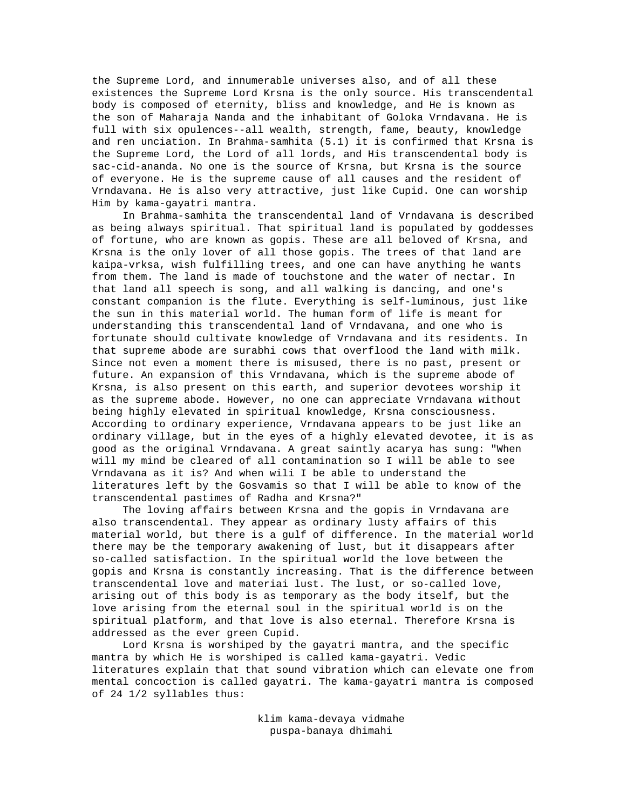the Supreme Lord, and innumerable universes also, and of all these existences the Supreme Lord Krsna is the only source. His transcendental body is composed of eternity, bliss and knowledge, and He is known as the son of Maharaja Nanda and the inhabitant of Goloka Vrndavana. He is full with six opulences--all wealth, strength, fame, beauty, knowledge and ren unciation. In Brahma-samhita (5.1) it is confirmed that Krsna is the Supreme Lord, the Lord of all lords, and His transcendental body is sac-cid-ananda. No one is the source of Krsna, but Krsna is the source of everyone. He is the supreme cause of all causes and the resident of Vrndavana. He is also very attractive, just like Cupid. One can worship Him by kama-gayatri mantra.

 In Brahma-samhita the transcendental land of Vrndavana is described as being always spiritual. That spiritual land is populated by goddesses of fortune, who are known as gopis. These are all beloved of Krsna, and Krsna is the only lover of all those gopis. The trees of that land are kaipa-vrksa, wish fulfilling trees, and one can have anything he wants from them. The land is made of touchstone and the water of nectar. In that land all speech is song, and all walking is dancing, and one's constant companion is the flute. Everything is self-luminous, just like the sun in this material world. The human form of life is meant for understanding this transcendental land of Vrndavana, and one who is fortunate should cultivate knowledge of Vrndavana and its residents. In that supreme abode are surabhi cows that overflood the land with milk. Since not even a moment there is misused, there is no past, present or future. An expansion of this Vrndavana, which is the supreme abode of Krsna, is also present on this earth, and superior devotees worship it as the supreme abode. However, no one can appreciate Vrndavana without being highly elevated in spiritual knowledge, Krsna consciousness. According to ordinary experience, Vrndavana appears to be just like an ordinary village, but in the eyes of a highly elevated devotee, it is as good as the original Vrndavana. A great saintly acarya has sung: "When will my mind be cleared of all contamination so I will be able to see Vrndavana as it is? And when wili I be able to understand the literatures left by the Gosvamis so that I will be able to know of the transcendental pastimes of Radha and Krsna?"

 The loving affairs between Krsna and the gopis in Vrndavana are also transcendental. They appear as ordinary lusty affairs of this material world, but there is a gulf of difference. In the material world there may be the temporary awakening of lust, but it disappears after so-called satisfaction. In the spiritual world the love between the gopis and Krsna is constantly increasing. That is the difference between transcendental love and materiai lust. The lust, or so-called love, arising out of this body is as temporary as the body itself, but the love arising from the eternal soul in the spiritual world is on the spiritual platform, and that love is also eternal. Therefore Krsna is addressed as the ever green Cupid.

 Lord Krsna is worshiped by the gayatri mantra, and the specific mantra by which He is worshiped is called kama-gayatri. Vedic literatures explain that that sound vibration which can elevate one from mental concoction is called gayatri. The kama-gayatri mantra is composed of 24 1/2 syllables thus:

> klim kama-devaya vidmahe puspa-banaya dhimahi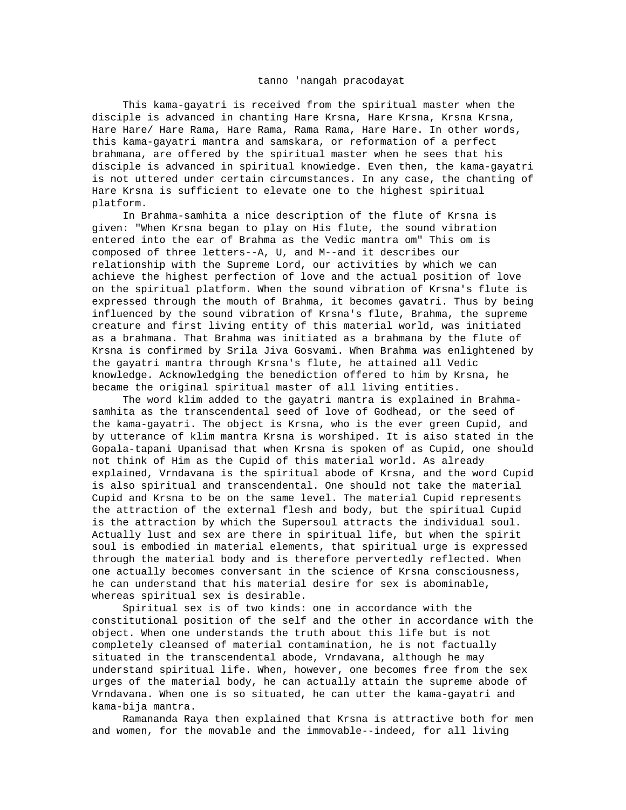### tanno 'nangah pracodayat

 This kama-gayatri is received from the spiritual master when the disciple is advanced in chanting Hare Krsna, Hare Krsna, Krsna Krsna, Hare Hare/ Hare Rama, Hare Rama, Rama Rama, Hare Hare. In other words, this kama-gayatri mantra and samskara, or reformation of a perfect brahmana, are offered by the spiritual master when he sees that his disciple is advanced in spiritual knowiedge. Even then, the kama-gayatri is not uttered under certain circumstances. In any case, the chanting of Hare Krsna is sufficient to elevate one to the highest spiritual platform.

 In Brahma-samhita a nice description of the flute of Krsna is given: "When Krsna began to play on His flute, the sound vibration entered into the ear of Brahma as the Vedic mantra om" This om is composed of three letters--A, U, and M--and it describes our relationship with the Supreme Lord, our activities by which we can achieve the highest perfection of love and the actual position of love on the spiritual platform. When the sound vibration of Krsna's flute is expressed through the mouth of Brahma, it becomes gavatri. Thus by being influenced by the sound vibration of Krsna's flute, Brahma, the supreme creature and first living entity of this material world, was initiated as a brahmana. That Brahma was initiated as a brahmana by the flute of Krsna is confirmed by Srila Jiva Gosvami. When Brahma was enlightened by the gayatri mantra through Krsna's flute, he attained all Vedic knowledge. Acknowledging the benediction offered to him by Krsna, he became the original spiritual master of all living entities.

 The word klim added to the gayatri mantra is explained in Brahmasamhita as the transcendental seed of love of Godhead, or the seed of the kama-gayatri. The object is Krsna, who is the ever green Cupid, and by utterance of klim mantra Krsna is worshiped. It is aiso stated in the Gopala-tapani Upanisad that when Krsna is spoken of as Cupid, one should not think of Him as the Cupid of this material world. As already explained, Vrndavana is the spiritual abode of Krsna, and the word Cupid is also spiritual and transcendental. One should not take the material Cupid and Krsna to be on the same level. The material Cupid represents the attraction of the external flesh and body, but the spiritual Cupid is the attraction by which the Supersoul attracts the individual soul. Actually lust and sex are there in spiritual life, but when the spirit soul is embodied in material elements, that spiritual urge is expressed through the material body and is therefore pervertedly reflected. When one actually becomes conversant in the science of Krsna consciousness, he can understand that his material desire for sex is abominable, whereas spiritual sex is desirable.

 Spiritual sex is of two kinds: one in accordance with the constitutional position of the self and the other in accordance with the object. When one understands the truth about this life but is not completely cleansed of material contamination, he is not factually situated in the transcendental abode, Vrndavana, although he may understand spiritual life. When, however, one becomes free from the sex urges of the material body, he can actually attain the supreme abode of Vrndavana. When one is so situated, he can utter the kama-gayatri and kama-bija mantra.

 Ramananda Raya then explained that Krsna is attractive both for men and women, for the movable and the immovable--indeed, for all living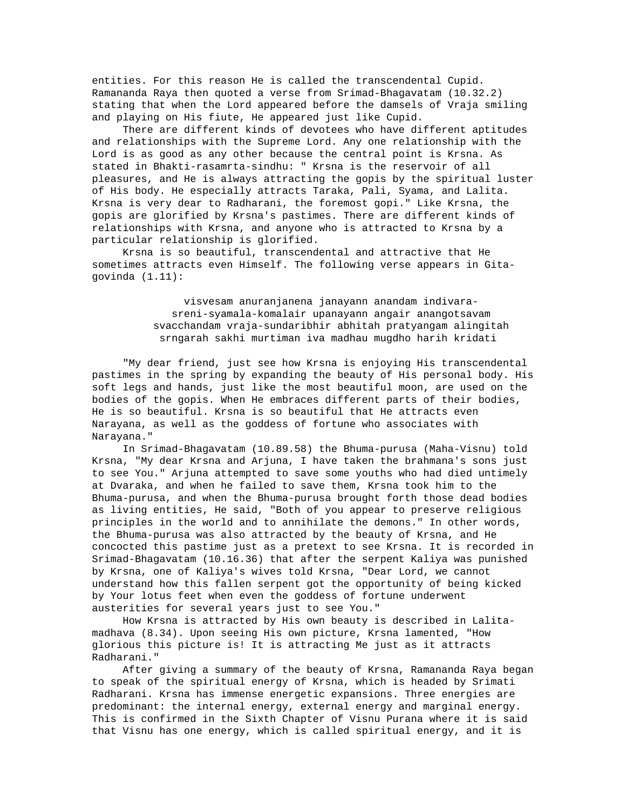entities. For this reason He is called the transcendental Cupid. Ramananda Raya then quoted a verse from Srimad-Bhagavatam (10.32.2) stating that when the Lord appeared before the damsels of Vraja smiling and playing on His fiute, He appeared just like Cupid.

 There are different kinds of devotees who have different aptitudes and relationships with the Supreme Lord. Any one relationship with the Lord is as good as any other because the central point is Krsna. As stated in Bhakti-rasamrta-sindhu: " Krsna is the reservoir of all pleasures, and He is always attracting the gopis by the spiritual luster of His body. He especially attracts Taraka, Pali, Syama, and Lalita. Krsna is very dear to Radharani, the foremost gopi." Like Krsna, the gopis are glorified by Krsna's pastimes. There are different kinds of relationships with Krsna, and anyone who is attracted to Krsna by a particular relationship is glorified.

 Krsna is so beautiful, transcendental and attractive that He sometimes attracts even Himself. The following verse appears in Gitagovinda (1.11):

> visvesam anuranjanena janayann anandam indivara sreni-syamala-komalair upanayann angair anangotsavam svacchandam vraja-sundaribhir abhitah pratyangam alingitah srngarah sakhi murtiman iva madhau mugdho harih kridati

 "My dear friend, just see how Krsna is enjoying His transcendental pastimes in the spring by expanding the beauty of His personal body. His soft legs and hands, just like the most beautiful moon, are used on the bodies of the gopis. When He embraces different parts of their bodies, He is so beautiful. Krsna is so beautiful that He attracts even Narayana, as well as the goddess of fortune who associates with Narayana."

 In Srimad-Bhagavatam (10.89.58) the Bhuma-purusa (Maha-Visnu) told Krsna, "My dear Krsna and Arjuna, I have taken the brahmana's sons just to see You." Arjuna attempted to save some youths who had died untimely at Dvaraka, and when he failed to save them, Krsna took him to the Bhuma-purusa, and when the Bhuma-purusa brought forth those dead bodies as living entities, He said, "Both of you appear to preserve religious principles in the world and to annihilate the demons." In other words, the Bhuma-purusa was also attracted by the beauty of Krsna, and He concocted this pastime just as a pretext to see Krsna. It is recorded in Srimad-Bhagavatam (10.16.36) that after the serpent Kaliya was punished by Krsna, one of Kaliya's wives told Krsna, "Dear Lord, we cannot understand how this fallen serpent got the opportunity of being kicked by Your lotus feet when even the goddess of fortune underwent austerities for several years just to see You."

 How Krsna is attracted by His own beauty is described in Lalitamadhava (8.34). Upon seeing His own picture, Krsna lamented, "How glorious this picture is! It is attracting Me just as it attracts Radharani."

 After giving a summary of the beauty of Krsna, Ramananda Raya began to speak of the spiritual energy of Krsna, which is headed by Srimati Radharani. Krsna has immense energetic expansions. Three energies are predominant: the internal energy, external energy and marginal energy. This is confirmed in the Sixth Chapter of Visnu Purana where it is said that Visnu has one energy, which is called spiritual energy, and it is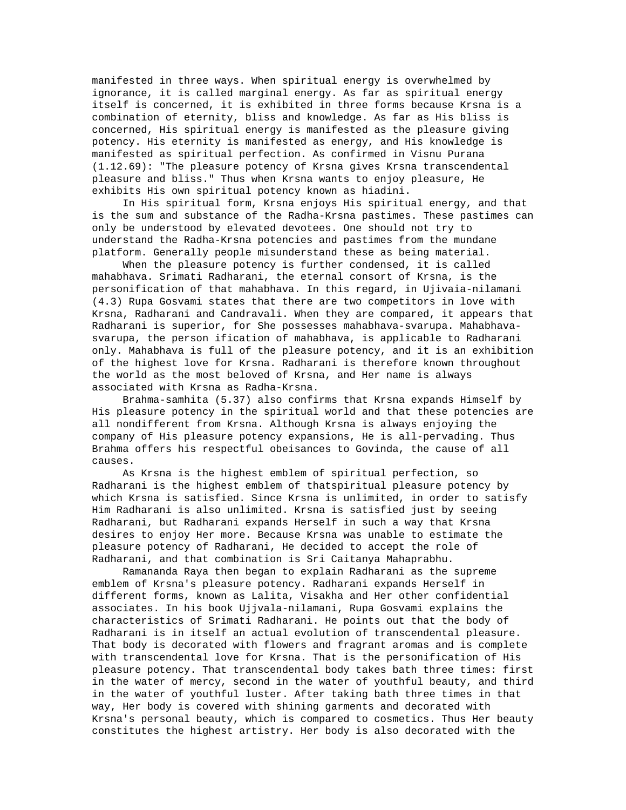manifested in three ways. When spiritual energy is overwhelmed by ignorance, it is called marginal energy. As far as spiritual energy itself is concerned, it is exhibited in three forms because Krsna is a combination of eternity, bliss and knowledge. As far as His bliss is concerned, His spiritual energy is manifested as the pleasure giving potency. His eternity is manifested as energy, and His knowledge is manifested as spiritual perfection. As confirmed in Visnu Purana (1.12.69): "The pleasure potency of Krsna gives Krsna transcendental pleasure and bliss." Thus when Krsna wants to enjoy pleasure, He exhibits His own spiritual potency known as hiadini.

 In His spiritual form, Krsna enjoys His spiritual energy, and that is the sum and substance of the Radha-Krsna pastimes. These pastimes can only be understood by elevated devotees. One should not try to understand the Radha-Krsna potencies and pastimes from the mundane platform. Generally people misunderstand these as being material.

 When the pleasure potency is further condensed, it is called mahabhava. Srimati Radharani, the eternal consort of Krsna, is the personification of that mahabhava. In this regard, in Ujivaia-nilamani (4.3) Rupa Gosvami states that there are two competitors in love with Krsna, Radharani and Candravali. When they are compared, it appears that Radharani is superior, for She possesses mahabhava-svarupa. Mahabhavasvarupa, the person ification of mahabhava, is applicable to Radharani only. Mahabhava is full of the pleasure potency, and it is an exhibition of the highest love for Krsna. Radharani is therefore known throughout the world as the most beloved of Krsna, and Her name is always associated with Krsna as Radha-Krsna.

 Brahma-samhita (5.37) also confirms that Krsna expands Himself by His pleasure potency in the spiritual world and that these potencies are all nondifferent from Krsna. Although Krsna is always enjoying the company of His pleasure potency expansions, He is all-pervading. Thus Brahma offers his respectful obeisances to Govinda, the cause of all causes.

 As Krsna is the highest emblem of spiritual perfection, so Radharani is the highest emblem of thatspiritual pleasure potency by which Krsna is satisfied. Since Krsna is unlimited, in order to satisfy Him Radharani is also unlimited. Krsna is satisfied just by seeing Radharani, but Radharani expands Herself in such a way that Krsna desires to enjoy Her more. Because Krsna was unable to estimate the pleasure potency of Radharani, He decided to accept the role of Radharani, and that combination is Sri Caitanya Mahaprabhu.

 Ramananda Raya then began to explain Radharani as the supreme emblem of Krsna's pleasure potency. Radharani expands Herself in different forms, known as Lalita, Visakha and Her other confidential associates. In his book Ujjvala-nilamani, Rupa Gosvami explains the characteristics of Srimati Radharani. He points out that the body of Radharani is in itself an actual evolution of transcendental pleasure. That body is decorated with flowers and fragrant aromas and is complete with transcendental love for Krsna. That is the personification of His pleasure potency. That transcendental body takes bath three times: first in the water of mercy, second in the water of youthful beauty, and third in the water of youthful luster. After taking bath three times in that way, Her body is covered with shining garments and decorated with Krsna's personal beauty, which is compared to cosmetics. Thus Her beauty constitutes the highest artistry. Her body is also decorated with the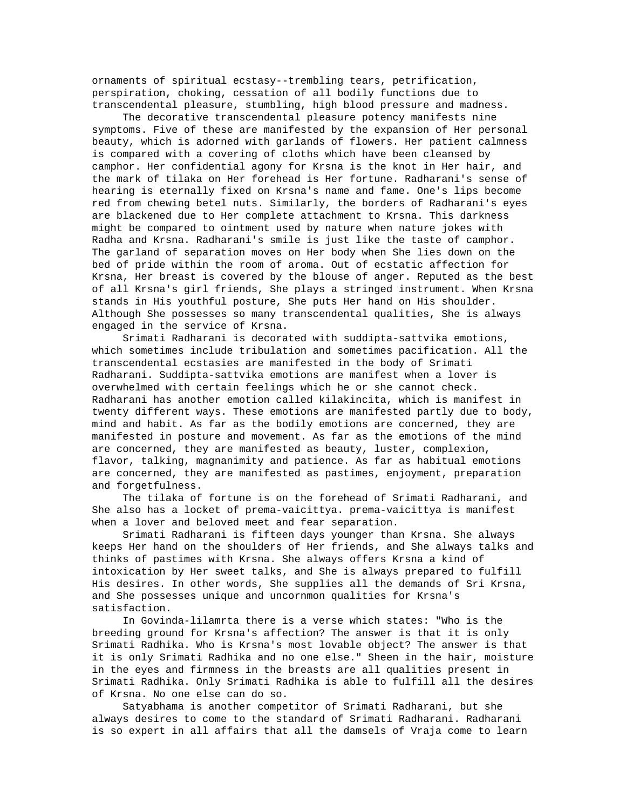ornaments of spiritual ecstasy--trembling tears, petrification, perspiration, choking, cessation of all bodily functions due to transcendental pleasure, stumbling, high blood pressure and madness.

 The decorative transcendental pleasure potency manifests nine symptoms. Five of these are manifested by the expansion of Her personal beauty, which is adorned with garlands of flowers. Her patient calmness is compared with a covering of cloths which have been cleansed by camphor. Her confidential agony for Krsna is the knot in Her hair, and the mark of tilaka on Her forehead is Her fortune. Radharani's sense of hearing is eternally fixed on Krsna's name and fame. One's lips become red from chewing betel nuts. Similarly, the borders of Radharani's eyes are blackened due to Her complete attachment to Krsna. This darkness might be compared to ointment used by nature when nature jokes with Radha and Krsna. Radharani's smile is just like the taste of camphor. The garland of separation moves on Her body when She lies down on the bed of pride within the room of aroma. Out of ecstatic affection for Krsna, Her breast is covered by the blouse of anger. Reputed as the best of all Krsna's girl friends, She plays a stringed instrument. When Krsna stands in His youthful posture, She puts Her hand on His shoulder. Although She possesses so many transcendental qualities, She is always engaged in the service of Krsna.

 Srimati Radharani is decorated with suddipta-sattvika emotions, which sometimes include tribulation and sometimes pacification. All the transcendental ecstasies are manifested in the body of Srimati Radharani. Suddipta-sattvika emotions are manifest when a lover is overwhelmed with certain feelings which he or she cannot check. Radharani has another emotion called kilakincita, which is manifest in twenty different ways. These emotions are manifested partly due to body, mind and habit. As far as the bodily emotions are concerned, they are manifested in posture and movement. As far as the emotions of the mind are concerned, they are manifested as beauty, luster, complexion, flavor, talking, magnanimity and patience. As far as habitual emotions are concerned, they are manifested as pastimes, enjoyment, preparation and forgetfulness.

 The tilaka of fortune is on the forehead of Srimati Radharani, and She also has a locket of prema-vaicittya. prema-vaicittya is manifest when a lover and beloved meet and fear separation.

 Srimati Radharani is fifteen days younger than Krsna. She always keeps Her hand on the shoulders of Her friends, and She always talks and thinks of pastimes with Krsna. She always offers Krsna a kind of intoxication by Her sweet talks, and She is always prepared to fulfill His desires. In other words, She supplies all the demands of Sri Krsna, and She possesses unique and uncornmon qualities for Krsna's satisfaction.

 In Govinda-lilamrta there is a verse which states: "Who is the breeding ground for Krsna's affection? The answer is that it is only Srimati Radhika. Who is Krsna's most lovable object? The answer is that it is only Srimati Radhika and no one else." Sheen in the hair, moisture in the eyes and firmness in the breasts are all qualities present in Srimati Radhika. Only Srimati Radhika is able to fulfill all the desires of Krsna. No one else can do so.

 Satyabhama is another competitor of Srimati Radharani, but she always desires to come to the standard of Srimati Radharani. Radharani is so expert in all affairs that all the damsels of Vraja come to learn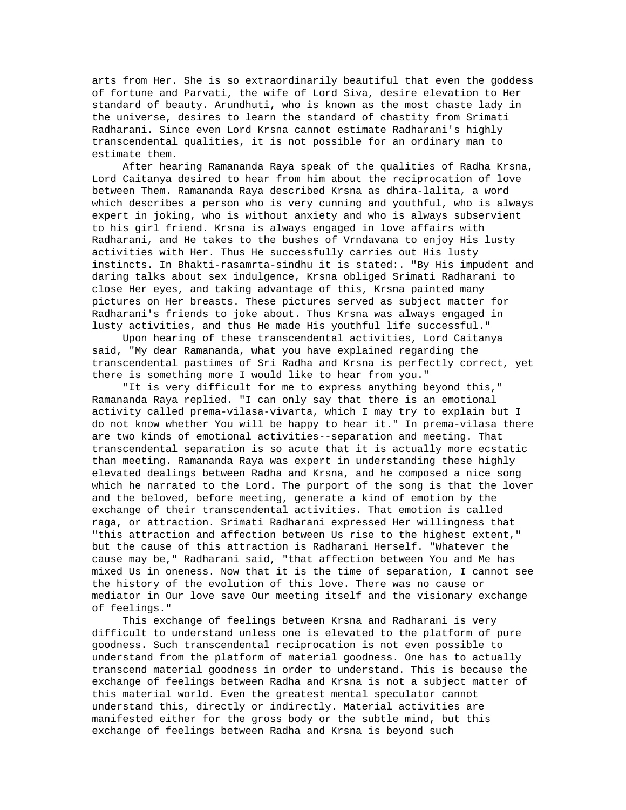arts from Her. She is so extraordinarily beautiful that even the goddess of fortune and Parvati, the wife of Lord Siva, desire elevation to Her standard of beauty. Arundhuti, who is known as the most chaste lady in the universe, desires to learn the standard of chastity from Srimati Radharani. Since even Lord Krsna cannot estimate Radharani's highly transcendental qualities, it is not possible for an ordinary man to estimate them.

 After hearing Ramananda Raya speak of the qualities of Radha Krsna, Lord Caitanya desired to hear from him about the reciprocation of love between Them. Ramananda Raya described Krsna as dhira-lalita, a word which describes a person who is very cunning and youthful, who is always expert in joking, who is without anxiety and who is always subservient to his girl friend. Krsna is always engaged in love affairs with Radharani, and He takes to the bushes of Vrndavana to enjoy His lusty activities with Her. Thus He successfully carries out His lusty instincts. In Bhakti-rasamrta-sindhu it is stated:. "By His impudent and daring talks about sex indulgence, Krsna obliged Srimati Radharani to close Her eyes, and taking advantage of this, Krsna painted many pictures on Her breasts. These pictures served as subject matter for Radharani's friends to joke about. Thus Krsna was always engaged in lusty activities, and thus He made His youthful life successful."

 Upon hearing of these transcendental activities, Lord Caitanya said, "My dear Ramananda, what you have explained regarding the transcendental pastimes of Sri Radha and Krsna is perfectly correct, yet there is something more I would like to hear from you."

 "It is very difficult for me to express anything beyond this," Ramananda Raya replied. "I can only say that there is an emotional activity called prema-vilasa-vivarta, which I may try to explain but I do not know whether You will be happy to hear it." In prema-vilasa there are two kinds of emotional activities--separation and meeting. That transcendental separation is so acute that it is actually more ecstatic than meeting. Ramananda Raya was expert in understanding these highly elevated dealings between Radha and Krsna, and he composed a nice song which he narrated to the Lord. The purport of the song is that the lover and the beloved, before meeting, generate a kind of emotion by the exchange of their transcendental activities. That emotion is called raga, or attraction. Srimati Radharani expressed Her willingness that "this attraction and affection between Us rise to the highest extent," but the cause of this attraction is Radharani Herself. "Whatever the cause may be," Radharani said, "that affection between You and Me has mixed Us in oneness. Now that it is the time of separation, I cannot see the history of the evolution of this love. There was no cause or mediator in Our love save Our meeting itself and the visionary exchange of feelings."

 This exchange of feelings between Krsna and Radharani is very difficult to understand unless one is elevated to the platform of pure goodness. Such transcendental reciprocation is not even possible to understand from the platform of material goodness. One has to actually transcend material goodness in order to understand. This is because the exchange of feelings between Radha and Krsna is not a subject matter of this material world. Even the greatest mental speculator cannot understand this, directly or indirectly. Material activities are manifested either for the gross body or the subtle mind, but this exchange of feelings between Radha and Krsna is beyond such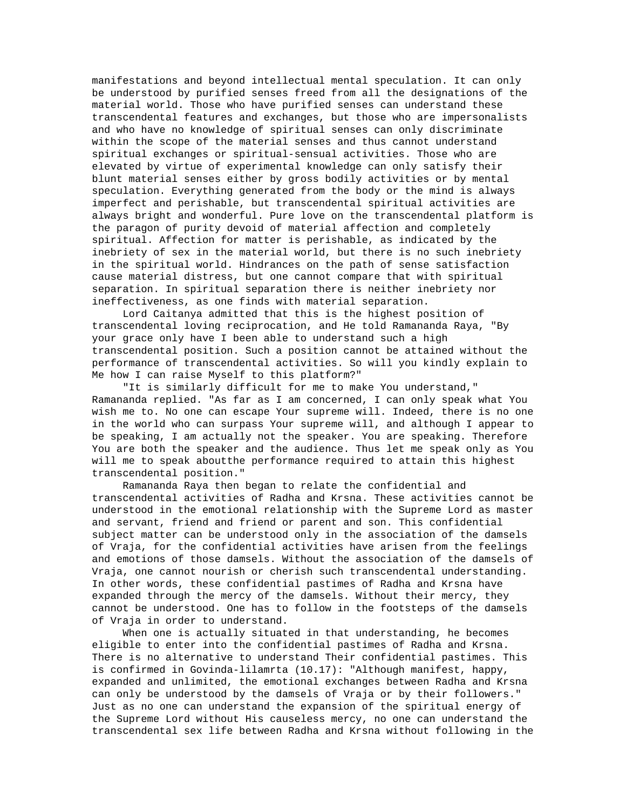manifestations and beyond intellectual mental speculation. It can only be understood by purified senses freed from all the designations of the material world. Those who have purified senses can understand these transcendental features and exchanges, but those who are impersonalists and who have no knowledge of spiritual senses can only discriminate within the scope of the material senses and thus cannot understand spiritual exchanges or spiritual-sensual activities. Those who are elevated by virtue of experimental knowledge can only satisfy their blunt material senses either by gross bodily activities or by mental speculation. Everything generated from the body or the mind is always imperfect and perishable, but transcendental spiritual activities are always bright and wonderful. Pure love on the transcendental platform is the paragon of purity devoid of material affection and completely spiritual. Affection for matter is perishable, as indicated by the inebriety of sex in the material world, but there is no such inebriety in the spiritual world. Hindrances on the path of sense satisfaction cause material distress, but one cannot compare that with spiritual separation. In spiritual separation there is neither inebriety nor ineffectiveness, as one finds with material separation.

 Lord Caitanya admitted that this is the highest position of transcendental loving reciprocation, and He told Ramananda Raya, "By your grace only have I been able to understand such a high transcendental position. Such a position cannot be attained without the performance of transcendental activities. So will you kindly explain to Me how I can raise Myself to this platform?"

 "It is similarly difficult for me to make You understand," Ramananda replied. "As far as I am concerned, I can only speak what You wish me to. No one can escape Your supreme will. Indeed, there is no one in the world who can surpass Your supreme will, and although I appear to be speaking, I am actually not the speaker. You are speaking. Therefore You are both the speaker and the audience. Thus let me speak only as You will me to speak aboutthe performance required to attain this highest transcendental position."

 Ramananda Raya then began to relate the confidential and transcendental activities of Radha and Krsna. These activities cannot be understood in the emotional relationship with the Supreme Lord as master and servant, friend and friend or parent and son. This confidential subject matter can be understood only in the association of the damsels of Vraja, for the confidential activities have arisen from the feelings and emotions of those damsels. Without the association of the damsels of Vraja, one cannot nourish or cherish such transcendental understanding. In other words, these confidential pastimes of Radha and Krsna have expanded through the mercy of the damsels. Without their mercy, they cannot be understood. One has to follow in the footsteps of the damsels of Vraja in order to understand.

 When one is actually situated in that understanding, he becomes eligible to enter into the confidential pastimes of Radha and Krsna. There is no alternative to understand Their confidential pastimes. This is confirmed in Govinda-lilamrta (10.17): "Although manifest, happy, expanded and unlimited, the emotional exchanges between Radha and Krsna can only be understood by the damsels of Vraja or by their followers." Just as no one can understand the expansion of the spiritual energy of the Supreme Lord without His causeless mercy, no one can understand the transcendental sex life between Radha and Krsna without following in the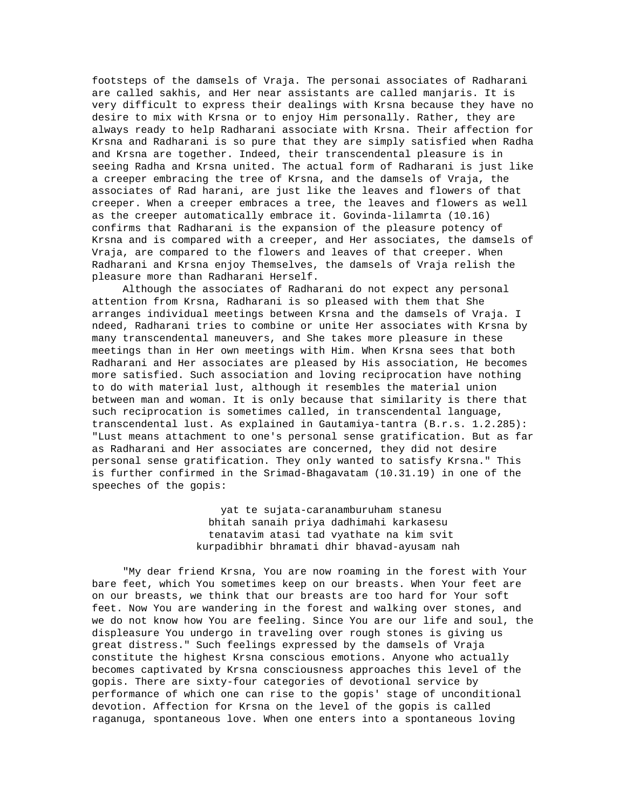footsteps of the damsels of Vraja. The personai associates of Radharani are called sakhis, and Her near assistants are called manjaris. It is very difficult to express their dealings with Krsna because they have no desire to mix with Krsna or to enjoy Him personally. Rather, they are always ready to help Radharani associate with Krsna. Their affection for Krsna and Radharani is so pure that they are simply satisfied when Radha and Krsna are together. Indeed, their transcendental pleasure is in seeing Radha and Krsna united. The actual form of Radharani is just like a creeper embracing the tree of Krsna, and the damsels of Vraja, the associates of Rad harani, are just like the leaves and flowers of that creeper. When a creeper embraces a tree, the leaves and flowers as well as the creeper automatically embrace it. Govinda-lilamrta (10.16) confirms that Radharani is the expansion of the pleasure potency of Krsna and is compared with a creeper, and Her associates, the damsels of Vraja, are compared to the flowers and leaves of that creeper. When Radharani and Krsna enjoy Themselves, the damsels of Vraja relish the pleasure more than Radharani Herself.

 Although the associates of Radharani do not expect any personal attention from Krsna, Radharani is so pleased with them that She arranges individual meetings between Krsna and the damsels of Vraja. I ndeed, Radharani tries to combine or unite Her associates with Krsna by many transcendental maneuvers, and She takes more pleasure in these meetings than in Her own meetings with Him. When Krsna sees that both Radharani and Her associates are pleased by His association, He becomes more satisfied. Such association and loving reciprocation have nothing to do with material lust, although it resembles the material union between man and woman. It is only because that similarity is there that such reciprocation is sometimes called, in transcendental language, transcendental lust. As explained in Gautamiya-tantra (B.r.s. 1.2.285): "Lust means attachment to one's personal sense gratification. But as far as Radharani and Her associates are concerned, they did not desire personal sense gratification. They only wanted to satisfy Krsna." This is further confirmed in the Srimad-Bhagavatam (10.31.19) in one of the speeches of the gopis:

> yat te sujata-caranamburuham stanesu bhitah sanaih priya dadhimahi karkasesu tenatavim atasi tad vyathate na kim svit kurpadibhir bhramati dhir bhavad-ayusam nah

 "My dear friend Krsna, You are now roaming in the forest with Your bare feet, which You sometimes keep on our breasts. When Your feet are on our breasts, we think that our breasts are too hard for Your soft feet. Now You are wandering in the forest and walking over stones, and we do not know how You are feeling. Since You are our life and soul, the displeasure You undergo in traveling over rough stones is giving us great distress." Such feelings expressed by the damsels of Vraja constitute the highest Krsna conscious emotions. Anyone who actually becomes captivated by Krsna consciousness approaches this level of the gopis. There are sixty-four categories of devotional service by performance of which one can rise to the gopis' stage of unconditional devotion. Affection for Krsna on the level of the gopis is called raganuga, spontaneous love. When one enters into a spontaneous loving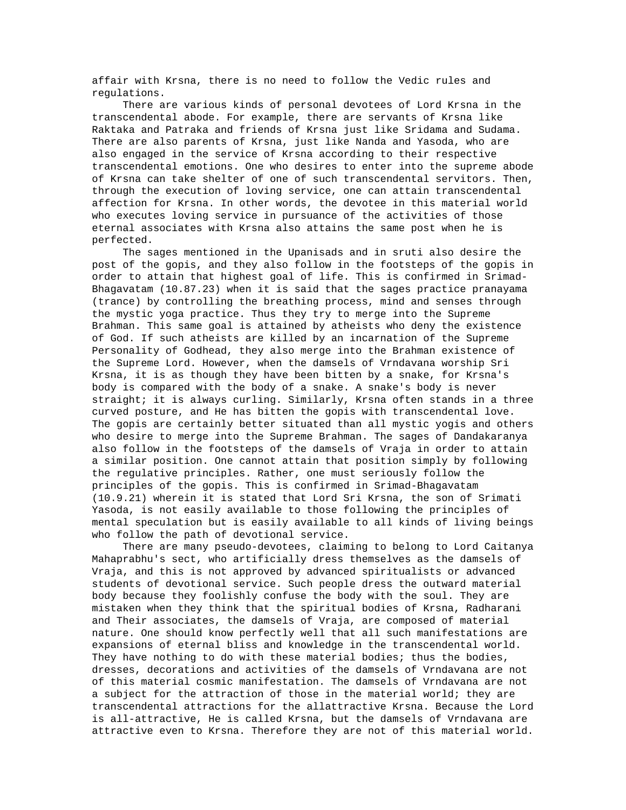affair with Krsna, there is no need to follow the Vedic rules and regulations.

 There are various kinds of personal devotees of Lord Krsna in the transcendental abode. For example, there are servants of Krsna like Raktaka and Patraka and friends of Krsna just like Sridama and Sudama. There are also parents of Krsna, just like Nanda and Yasoda, who are also engaged in the service of Krsna according to their respective transcendental emotions. One who desires to enter into the supreme abode of Krsna can take shelter of one of such transcendental servitors. Then, through the execution of loving service, one can attain transcendental affection for Krsna. In other words, the devotee in this material world who executes loving service in pursuance of the activities of those eternal associates with Krsna also attains the same post when he is perfected.

 The sages mentioned in the Upanisads and in sruti also desire the post of the gopis, and they also follow in the footsteps of the gopis in order to attain that highest goal of life. This is confirmed in Srimad-Bhagavatam (10.87.23) when it is said that the sages practice pranayama (trance) by controlling the breathing process, mind and senses through the mystic yoga practice. Thus they try to merge into the Supreme Brahman. This same goal is attained by atheists who deny the existence of God. If such atheists are killed by an incarnation of the Supreme Personality of Godhead, they also merge into the Brahman existence of the Supreme Lord. However, when the damsels of Vrndavana worship Sri Krsna, it is as though they have been bitten by a snake, for Krsna's body is compared with the body of a snake. A snake's body is never straight; it is always curling. Similarly, Krsna often stands in a three curved posture, and He has bitten the gopis with transcendental love. The gopis are certainly better situated than all mystic yogis and others who desire to merge into the Supreme Brahman. The sages of Dandakaranya also follow in the footsteps of the damsels of Vraja in order to attain a similar position. One cannot attain that position simply by following the regulative principles. Rather, one must seriously follow the principles of the gopis. This is confirmed in Srimad-Bhagavatam (10.9.21) wherein it is stated that Lord Sri Krsna, the son of Srimati Yasoda, is not easily available to those following the principles of mental speculation but is easily available to all kinds of living beings who follow the path of devotional service.

 There are many pseudo-devotees, claiming to belong to Lord Caitanya Mahaprabhu's sect, who artificially dress themselves as the damsels of Vraja, and this is not approved by advanced spiritualists or advanced students of devotional service. Such people dress the outward material body because they foolishly confuse the body with the soul. They are mistaken when they think that the spiritual bodies of Krsna, Radharani and Their associates, the damsels of Vraja, are composed of material nature. One should know perfectly well that all such manifestations are expansions of eternal bliss and knowledge in the transcendental world. They have nothing to do with these material bodies; thus the bodies, dresses, decorations and activities of the damsels of Vrndavana are not of this material cosmic manifestation. The damsels of Vrndavana are not a subject for the attraction of those in the material world; they are transcendental attractions for the allattractive Krsna. Because the Lord is all-attractive, He is called Krsna, but the damsels of Vrndavana are attractive even to Krsna. Therefore they are not of this material world.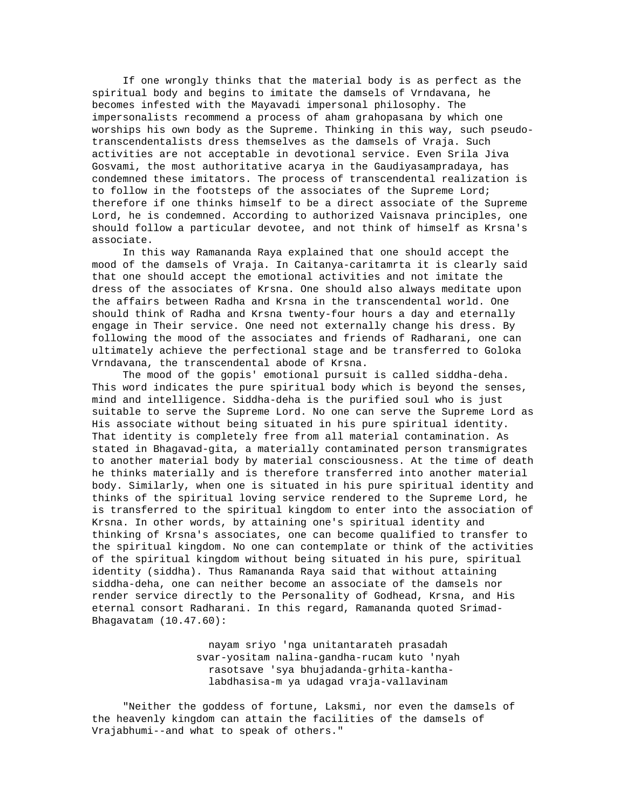If one wrongly thinks that the material body is as perfect as the spiritual body and begins to imitate the damsels of Vrndavana, he becomes infested with the Mayavadi impersonal philosophy. The impersonalists recommend a process of aham grahopasana by which one worships his own body as the Supreme. Thinking in this way, such pseudotranscendentalists dress themselves as the damsels of Vraja. Such activities are not acceptable in devotional service. Even Srila Jiva Gosvami, the most authoritative acarya in the Gaudiyasampradaya, has condemned these imitators. The process of transcendental realization is to follow in the footsteps of the associates of the Supreme Lord; therefore if one thinks himself to be a direct associate of the Supreme Lord, he is condemned. According to authorized Vaisnava principles, one should follow a particular devotee, and not think of himself as Krsna's associate.

 In this way Ramananda Raya explained that one should accept the mood of the damsels of Vraja. In Caitanya-caritamrta it is clearly said that one should accept the emotional activities and not imitate the dress of the associates of Krsna. One should also always meditate upon the affairs between Radha and Krsna in the transcendental world. One should think of Radha and Krsna twenty-four hours a day and eternally engage in Their service. One need not externally change his dress. By following the mood of the associates and friends of Radharani, one can ultimately achieve the perfectional stage and be transferred to Goloka Vrndavana, the transcendental abode of Krsna.

 The mood of the gopis' emotional pursuit is called siddha-deha. This word indicates the pure spiritual body which is beyond the senses, mind and intelligence. Siddha-deha is the purified soul who is just suitable to serve the Supreme Lord. No one can serve the Supreme Lord as His associate without being situated in his pure spiritual identity. That identity is completely free from all material contamination. As stated in Bhagavad-gita, a materially contaminated person transmigrates to another material body by material consciousness. At the time of death he thinks materially and is therefore transferred into another material body. Similarly, when one is situated in his pure spiritual identity and thinks of the spiritual loving service rendered to the Supreme Lord, he is transferred to the spiritual kingdom to enter into the association of Krsna. In other words, by attaining one's spiritual identity and thinking of Krsna's associates, one can become qualified to transfer to the spiritual kingdom. No one can contemplate or think of the activities of the spiritual kingdom without being situated in his pure, spiritual identity (siddha). Thus Ramananda Raya said that without attaining siddha-deha, one can neither become an associate of the damsels nor render service directly to the Personality of Godhead, Krsna, and His eternal consort Radharani. In this regard, Ramananda quoted Srimad-Bhagavatam (10.47.60):

> nayam sriyo 'nga unitantarateh prasadah svar-yositam nalina-gandha-rucam kuto 'nyah rasotsave 'sya bhujadanda-grhita-kantha labdhasisa-m ya udagad vraja-vallavinam

 "Neither the goddess of fortune, Laksmi, nor even the damsels of the heavenly kingdom can attain the facilities of the damsels of Vrajabhumi--and what to speak of others."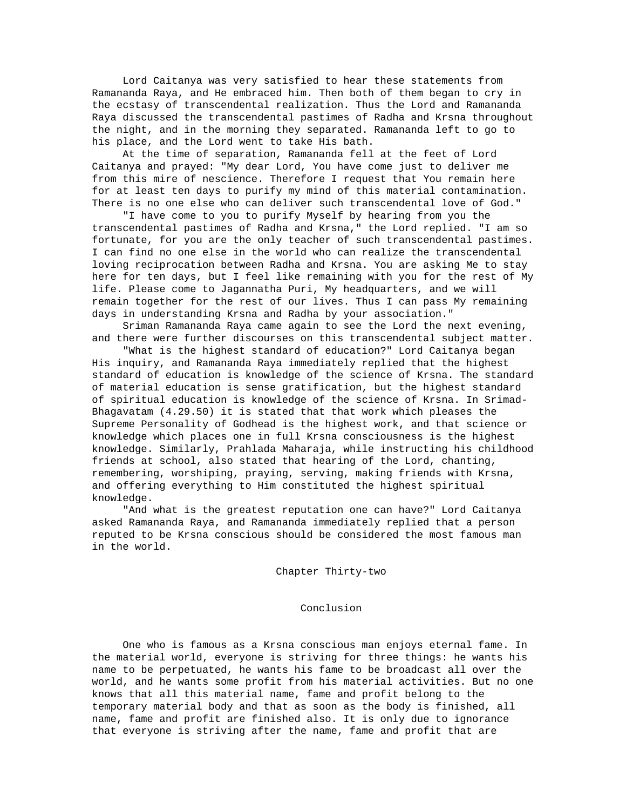Lord Caitanya was very satisfied to hear these statements from Ramananda Raya, and He embraced him. Then both of them began to cry in the ecstasy of transcendental realization. Thus the Lord and Ramananda Raya discussed the transcendental pastimes of Radha and Krsna throughout the night, and in the morning they separated. Ramananda left to go to his place, and the Lord went to take His bath.

 At the time of separation, Ramananda fell at the feet of Lord Caitanya and prayed: "My dear Lord, You have come just to deliver me from this mire of nescience. Therefore I request that You remain here for at least ten days to purify my mind of this material contamination. There is no one else who can deliver such transcendental love of God."

 "I have come to you to purify Myself by hearing from you the transcendental pastimes of Radha and Krsna," the Lord replied. "I am so fortunate, for you are the only teacher of such transcendental pastimes. I can find no one else in the world who can realize the transcendental loving reciprocation between Radha and Krsna. You are asking Me to stay here for ten days, but I feel like remaining with you for the rest of My life. Please come to Jagannatha Puri, My headquarters, and we will remain together for the rest of our lives. Thus I can pass My remaining days in understanding Krsna and Radha by your association."

 Sriman Ramananda Raya came again to see the Lord the next evening, and there were further discourses on this transcendental subject matter.

 "What is the highest standard of education?" Lord Caitanya began His inquiry, and Ramananda Raya immediately replied that the highest standard of education is knowledge of the science of Krsna. The standard of material education is sense gratification, but the highest standard of spiritual education is knowledge of the science of Krsna. In Srimad-Bhagavatam (4.29.50) it is stated that that work which pleases the Supreme Personality of Godhead is the highest work, and that science or knowledge which places one in full Krsna consciousness is the highest knowledge. Similarly, Prahlada Maharaja, while instructing his childhood friends at school, also stated that hearing of the Lord, chanting, remembering, worshiping, praying, serving, making friends with Krsna, and offering everything to Him constituted the highest spiritual knowledge.

 "And what is the greatest reputation one can have?" Lord Caitanya asked Ramananda Raya, and Ramananda immediately replied that a person reputed to be Krsna conscious should be considered the most famous man in the world.

Chapter Thirty-two

# Conclusion

 One who is famous as a Krsna conscious man enjoys eternal fame. In the material world, everyone is striving for three things: he wants his name to be perpetuated, he wants his fame to be broadcast all over the world, and he wants some profit from his material activities. But no one knows that all this material name, fame and profit belong to the temporary material body and that as soon as the body is finished, all name, fame and profit are finished also. It is only due to ignorance that everyone is striving after the name, fame and profit that are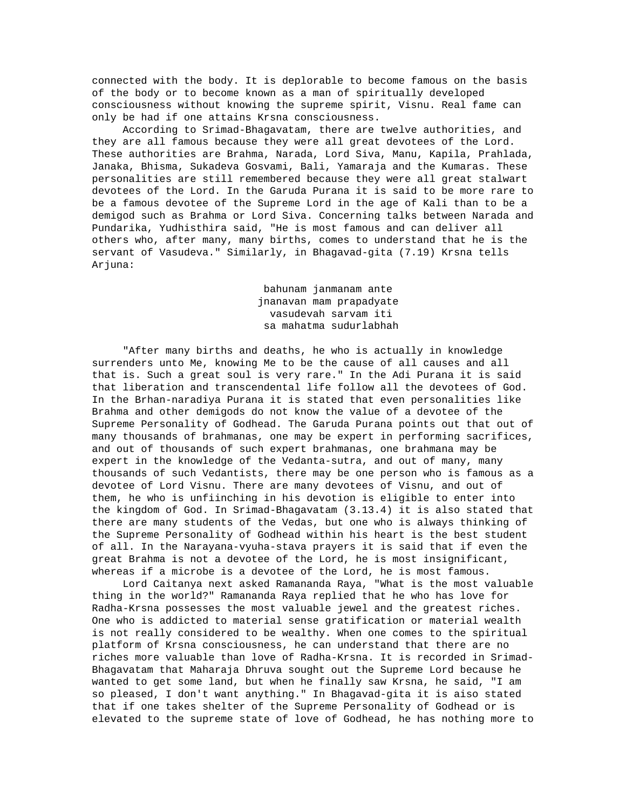connected with the body. It is deplorable to become famous on the basis of the body or to become known as a man of spiritually developed consciousness without knowing the supreme spirit, Visnu. Real fame can only be had if one attains Krsna consciousness.

 According to Srimad-Bhagavatam, there are twelve authorities, and they are all famous because they were all great devotees of the Lord. These authorities are Brahma, Narada, Lord Siva, Manu, Kapila, Prahlada, Janaka, Bhisma, Sukadeva Gosvami, Bali, Yamaraja and the Kumaras. These personalities are still remembered because they were all great stalwart devotees of the Lord. In the Garuda Purana it is said to be more rare to be a famous devotee of the Supreme Lord in the age of Kali than to be a demigod such as Brahma or Lord Siva. Concerning talks between Narada and Pundarika, Yudhisthira said, "He is most famous and can deliver all others who, after many, many births, comes to understand that he is the servant of Vasudeva." Similarly, in Bhagavad-gita (7.19) Krsna tells Arjuna:

> bahunam janmanam ante jnanavan mam prapadyate vasudevah sarvam iti sa mahatma sudurlabhah

 "After many births and deaths, he who is actually in knowledge surrenders unto Me, knowing Me to be the cause of all causes and all that is. Such a great soul is very rare." In the Adi Purana it is said that liberation and transcendental life follow all the devotees of God. In the Brhan-naradiya Purana it is stated that even personalities like Brahma and other demigods do not know the value of a devotee of the Supreme Personality of Godhead. The Garuda Purana points out that out of many thousands of brahmanas, one may be expert in performing sacrifices, and out of thousands of such expert brahmanas, one brahmana may be expert in the knowledge of the Vedanta-sutra, and out of many, many thousands of such Vedantists, there may be one person who is famous as a devotee of Lord Visnu. There are many devotees of Visnu, and out of them, he who is unfiinching in his devotion is eligible to enter into the kingdom of God. In Srimad-Bhagavatam (3.13.4) it is also stated that there are many students of the Vedas, but one who is always thinking of the Supreme Personality of Godhead within his heart is the best student of all. In the Narayana-vyuha-stava prayers it is said that if even the great Brahma is not a devotee of the Lord, he is most insignificant, whereas if a microbe is a devotee of the Lord, he is most famous.

 Lord Caitanya next asked Ramananda Raya, "What is the most valuable thing in the world?" Ramananda Raya replied that he who has love for Radha-Krsna possesses the most valuable jewel and the greatest riches. One who is addicted to material sense gratification or material wealth is not really considered to be wealthy. When one comes to the spiritual platform of Krsna consciousness, he can understand that there are no riches more valuable than love of Radha-Krsna. It is recorded in Srimad-Bhagavatam that Maharaja Dhruva sought out the Supreme Lord because he wanted to get some land, but when he finally saw Krsna, he said, "I am so pleased, I don't want anything." In Bhagavad-gita it is aiso stated that if one takes shelter of the Supreme Personality of Godhead or is elevated to the supreme state of love of Godhead, he has nothing more to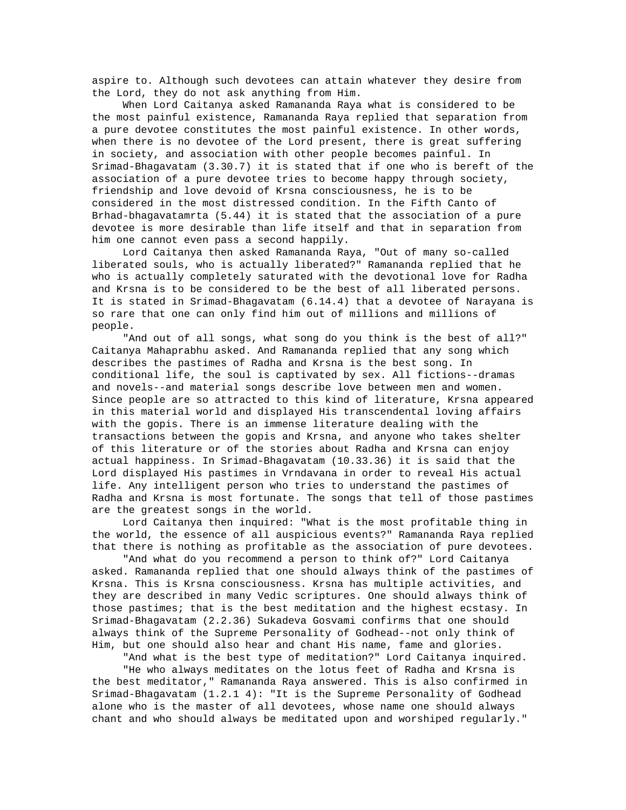aspire to. Although such devotees can attain whatever they desire from the Lord, they do not ask anything from Him.

 When Lord Caitanya asked Ramananda Raya what is considered to be the most painful existence, Ramananda Raya replied that separation from a pure devotee constitutes the most painful existence. In other words, when there is no devotee of the Lord present, there is great suffering in society, and association with other people becomes painful. In Srimad-Bhagavatam (3.30.7) it is stated that if one who is bereft of the association of a pure devotee tries to become happy through society, friendship and love devoid of Krsna consciousness, he is to be considered in the most distressed condition. In the Fifth Canto of Brhad-bhagavatamrta (5.44) it is stated that the association of a pure devotee is more desirable than life itself and that in separation from him one cannot even pass a second happily.

 Lord Caitanya then asked Ramananda Raya, "Out of many so-called liberated souls, who is actually liberated?" Ramananda replied that he who is actually completely saturated with the devotional love for Radha and Krsna is to be considered to be the best of all liberated persons. It is stated in Srimad-Bhagavatam (6.14.4) that a devotee of Narayana is so rare that one can only find him out of millions and millions of people.

 "And out of all songs, what song do you think is the best of all?" Caitanya Mahaprabhu asked. And Ramananda replied that any song which describes the pastimes of Radha and Krsna is the best song. In conditional life, the soul is captivated by sex. All fictions--dramas and novels--and material songs describe love between men and women. Since people are so attracted to this kind of literature, Krsna appeared in this material world and displayed His transcendental loving affairs with the gopis. There is an immense literature dealing with the transactions between the gopis and Krsna, and anyone who takes shelter of this literature or of the stories about Radha and Krsna can enjoy actual happiness. In Srimad-Bhagavatam (10.33.36) it is said that the Lord displayed His pastimes in Vrndavana in order to reveal His actual life. Any intelligent person who tries to understand the pastimes of Radha and Krsna is most fortunate. The songs that tell of those pastimes are the greatest songs in the world.

 Lord Caitanya then inquired: "What is the most profitable thing in the world, the essence of all auspicious events?" Ramananda Raya replied that there is nothing as profitable as the association of pure devotees.

 "And what do you recommend a person to think of?" Lord Caitanya asked. Ramananda replied that one should always think of the pastimes of Krsna. This is Krsna consciousness. Krsna has multiple activities, and they are described in many Vedic scriptures. One should always think of those pastimes; that is the best meditation and the highest ecstasy. In Srimad-Bhagavatam (2.2.36) Sukadeva Gosvami confirms that one should always think of the Supreme Personality of Godhead--not only think of Him, but one should also hear and chant His name, fame and glories.

 "And what is the best type of meditation?" Lord Caitanya inquired. "He who always meditates on the lotus feet of Radha and Krsna is the best meditator," Ramananda Raya answered. This is also confirmed in Srimad-Bhagavatam (1.2.1 4): "It is the Supreme Personality of Godhead alone who is the master of all devotees, whose name one should always chant and who should always be meditated upon and worshiped regularly."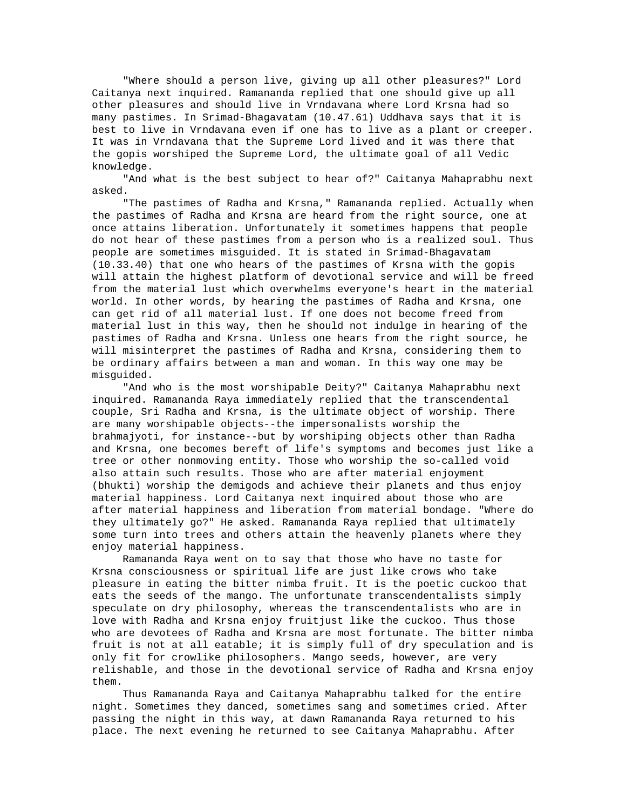"Where should a person live, giving up all other pleasures?" Lord Caitanya next inquired. Ramananda replied that one should give up all other pleasures and should live in Vrndavana where Lord Krsna had so many pastimes. In Srimad-Bhagavatam (10.47.61) Uddhava says that it is best to live in Vrndavana even if one has to live as a plant or creeper. It was in Vrndavana that the Supreme Lord lived and it was there that the gopis worshiped the Supreme Lord, the ultimate goal of all Vedic knowledge.

 "And what is the best subject to hear of?" Caitanya Mahaprabhu next asked.

 "The pastimes of Radha and Krsna," Ramananda replied. Actually when the pastimes of Radha and Krsna are heard from the right source, one at once attains liberation. Unfortunately it sometimes happens that people do not hear of these pastimes from a person who is a realized soul. Thus people are sometimes misguided. It is stated in Srimad-Bhagavatam (10.33.40) that one who hears of the pastimes of Krsna with the gopis will attain the highest platform of devotional service and will be freed from the material lust which overwhelms everyone's heart in the material world. In other words, by hearing the pastimes of Radha and Krsna, one can get rid of all material lust. If one does not become freed from material lust in this way, then he should not indulge in hearing of the pastimes of Radha and Krsna. Unless one hears from the right source, he will misinterpret the pastimes of Radha and Krsna, considering them to be ordinary affairs between a man and woman. In this way one may be misguided.

 "And who is the most worshipable Deity?" Caitanya Mahaprabhu next inquired. Ramananda Raya immediately replied that the transcendental couple, Sri Radha and Krsna, is the ultimate object of worship. There are many worshipable objects--the impersonalists worship the brahmajyoti, for instance--but by worshiping objects other than Radha and Krsna, one becomes bereft of life's symptoms and becomes just like a tree or other nonmoving entity. Those who worship the so-called void also attain such results. Those who are after material enjoyment (bhukti) worship the demigods and achieve their planets and thus enjoy material happiness. Lord Caitanya next inquired about those who are after material happiness and liberation from material bondage. "Where do they ultimately go?" He asked. Ramananda Raya replied that ultimately some turn into trees and others attain the heavenly planets where they enjoy material happiness.

 Ramananda Raya went on to say that those who have no taste for Krsna consciousness or spiritual life are just like crows who take pleasure in eating the bitter nimba fruit. It is the poetic cuckoo that eats the seeds of the mango. The unfortunate transcendentalists simply speculate on dry philosophy, whereas the transcendentalists who are in love with Radha and Krsna enjoy fruitjust like the cuckoo. Thus those who are devotees of Radha and Krsna are most fortunate. The bitter nimba fruit is not at all eatable; it is simply full of dry speculation and is only fit for crowlike philosophers. Mango seeds, however, are very relishable, and those in the devotional service of Radha and Krsna enjoy them.

 Thus Ramananda Raya and Caitanya Mahaprabhu talked for the entire night. Sometimes they danced, sometimes sang and sometimes cried. After passing the night in this way, at dawn Ramananda Raya returned to his place. The next evening he returned to see Caitanya Mahaprabhu. After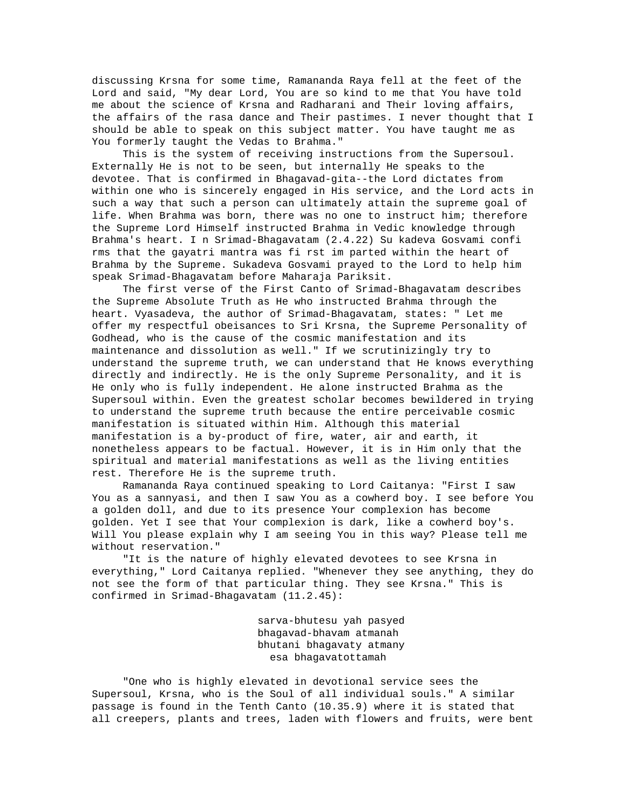discussing Krsna for some time, Ramananda Raya fell at the feet of the Lord and said, "My dear Lord, You are so kind to me that You have told me about the science of Krsna and Radharani and Their loving affairs, the affairs of the rasa dance and Their pastimes. I never thought that I should be able to speak on this subject matter. You have taught me as You formerly taught the Vedas to Brahma."

 This is the system of receiving instructions from the Supersoul. Externally He is not to be seen, but internally He speaks to the devotee. That is confirmed in Bhagavad-gita--the Lord dictates from within one who is sincerely engaged in His service, and the Lord acts in such a way that such a person can ultimately attain the supreme goal of life. When Brahma was born, there was no one to instruct him; therefore the Supreme Lord Himself instructed Brahma in Vedic knowledge through Brahma's heart. I n Srimad-Bhagavatam (2.4.22) Su kadeva Gosvami confi rms that the gayatri mantra was fi rst im parted within the heart of Brahma by the Supreme. Sukadeva Gosvami prayed to the Lord to help him speak Srimad-Bhagavatam before Maharaja Pariksit.

 The first verse of the First Canto of Srimad-Bhagavatam describes the Supreme Absolute Truth as He who instructed Brahma through the heart. Vyasadeva, the author of Srimad-Bhagavatam, states: " Let me offer my respectful obeisances to Sri Krsna, the Supreme Personality of Godhead, who is the cause of the cosmic manifestation and its maintenance and dissolution as well." If we scrutinizingly try to understand the supreme truth, we can understand that He knows everything directly and indirectly. He is the only Supreme Personality, and it is He only who is fully independent. He alone instructed Brahma as the Supersoul within. Even the greatest scholar becomes bewildered in trying to understand the supreme truth because the entire perceivable cosmic manifestation is situated within Him. Although this material manifestation is a by-product of fire, water, air and earth, it nonetheless appears to be factual. However, it is in Him only that the spiritual and material manifestations as well as the living entities rest. Therefore He is the supreme truth.

 Ramananda Raya continued speaking to Lord Caitanya: "First I saw You as a sannyasi, and then I saw You as a cowherd boy. I see before You a golden doll, and due to its presence Your complexion has become golden. Yet I see that Your complexion is dark, like a cowherd boy's. Will You please explain why I am seeing You in this way? Please tell me without reservation."

 "It is the nature of highly elevated devotees to see Krsna in everything," Lord Caitanya replied. "Whenever they see anything, they do not see the form of that particular thing. They see Krsna." This is confirmed in Srimad-Bhagavatam (11.2.45):

> sarva-bhutesu yah pasyed bhagavad-bhavam atmanah bhutani bhagavaty atmany esa bhagavatottamah

 "One who is highly elevated in devotional service sees the Supersoul, Krsna, who is the Soul of all individual souls." A similar passage is found in the Tenth Canto (10.35.9) where it is stated that all creepers, plants and trees, laden with flowers and fruits, were bent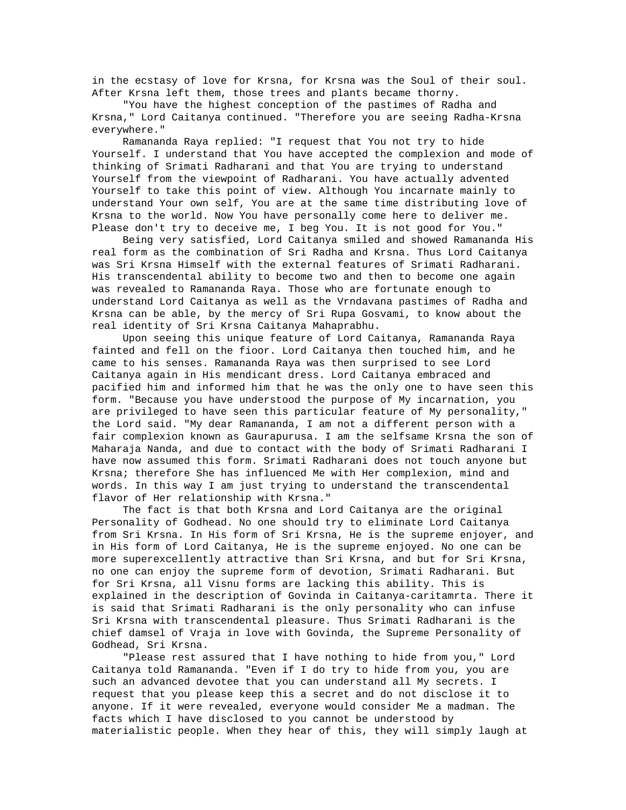in the ecstasy of love for Krsna, for Krsna was the Soul of their soul. After Krsna left them, those trees and plants became thorny.

 "You have the highest conception of the pastimes of Radha and Krsna," Lord Caitanya continued. "Therefore you are seeing Radha-Krsna everywhere."

 Ramananda Raya replied: "I request that You not try to hide Yourself. I understand that You have accepted the complexion and mode of thinking of Srimati Radharani and that You are trying to understand Yourself from the viewpoint of Radharani. You have actually advented Yourself to take this point of view. Although You incarnate mainly to understand Your own self, You are at the same time distributing love of Krsna to the world. Now You have personally come here to deliver me. Please don't try to deceive me, I beg You. It is not good for You."

 Being very satisfied, Lord Caitanya smiled and showed Ramananda His real form as the combination of Sri Radha and Krsna. Thus Lord Caitanya was Sri Krsna Himself with the external features of Srimati Radharani. His transcendental ability to become two and then to become one again was revealed to Ramananda Raya. Those who are fortunate enough to understand Lord Caitanya as well as the Vrndavana pastimes of Radha and Krsna can be able, by the mercy of Sri Rupa Gosvami, to know about the real identity of Sri Krsna Caitanya Mahaprabhu.

 Upon seeing this unique feature of Lord Caitanya, Ramananda Raya fainted and fell on the fioor. Lord Caitanya then touched him, and he came to his senses. Ramananda Raya was then surprised to see Lord Caitanya again in His mendicant dress. Lord Caitanya embraced and pacified him and informed him that he was the only one to have seen this form. "Because you have understood the purpose of My incarnation, you are privileged to have seen this particular feature of My personality," the Lord said. "My dear Ramananda, I am not a different person with a fair complexion known as Gaurapurusa. I am the selfsame Krsna the son of Maharaja Nanda, and due to contact with the body of Srimati Radharani I have now assumed this form. Srimati Radharani does not touch anyone but Krsna; therefore She has influenced Me with Her complexion, mind and words. In this way I am just trying to understand the transcendental flavor of Her relationship with Krsna."

 The fact is that both Krsna and Lord Caitanya are the original Personality of Godhead. No one should try to eliminate Lord Caitanya from Sri Krsna. In His form of Sri Krsna, He is the supreme enjoyer, and in His form of Lord Caitanya, He is the supreme enjoyed. No one can be more superexcellently attractive than Sri Krsna, and but for Sri Krsna, no one can enjoy the supreme form of devotion, Srimati Radharani. But for Sri Krsna, all Visnu forms are lacking this ability. This is explained in the description of Govinda in Caitanya-caritamrta. There it is said that Srimati Radharani is the only personality who can infuse Sri Krsna with transcendental pleasure. Thus Srimati Radharani is the chief damsel of Vraja in love with Govinda, the Supreme Personality of Godhead, Sri Krsna.

 "Please rest assured that I have nothing to hide from you," Lord Caitanya told Ramananda. "Even if I do try to hide from you, you are such an advanced devotee that you can understand all My secrets. I request that you please keep this a secret and do not disclose it to anyone. If it were revealed, everyone would consider Me a madman. The facts which I have disclosed to you cannot be understood by materialistic people. When they hear of this, they will simply laugh at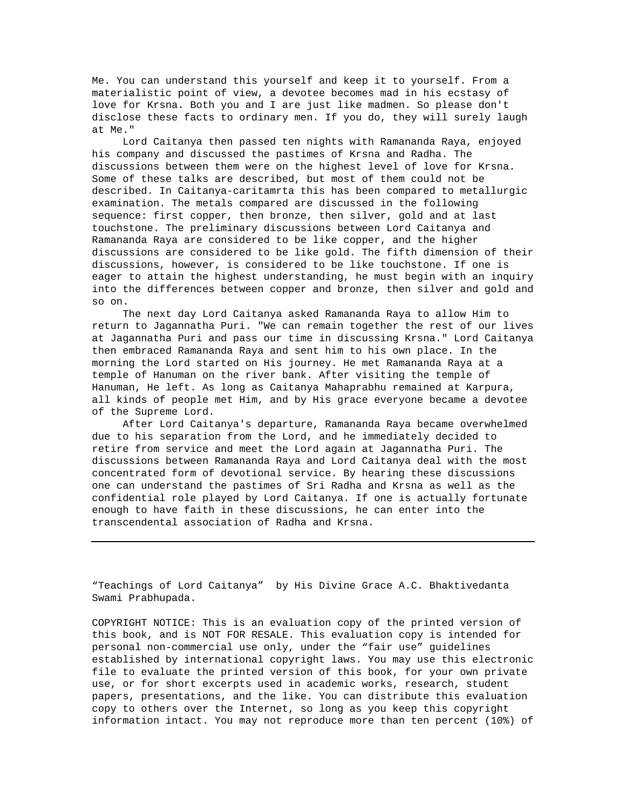Me. You can understand this yourself and keep it to yourself. From a materialistic point of view, a devotee becomes mad in his ecstasy of love for Krsna. Both you and I are just like madmen. So please don't disclose these facts to ordinary men. If you do, they will surely laugh at Me."

 Lord Caitanya then passed ten nights with Ramananda Raya, enjoyed his company and discussed the pastimes of Krsna and Radha. The discussions between them were on the highest level of love for Krsna. Some of these talks are described, but most of them could not be described. In Caitanya-caritamrta this has been compared to metallurgic examination. The metals compared are discussed in the following sequence: first copper, then bronze, then silver, gold and at last touchstone. The preliminary discussions between Lord Caitanya and Ramananda Raya are considered to be like copper, and the higher discussions are considered to be like gold. The fifth dimension of their discussions, however, is considered to be like touchstone. If one is eager to attain the highest understanding, he must begin with an inquiry into the differences between copper and bronze, then silver and gold and so on.

 The next day Lord Caitanya asked Ramananda Raya to allow Him to return to Jagannatha Puri. "We can remain together the rest of our lives at Jagannatha Puri and pass our time in discussing Krsna." Lord Caitanya then embraced Ramananda Raya and sent him to his own place. In the morning the Lord started on His journey. He met Ramananda Raya at a temple of Hanuman on the river bank. After visiting the temple of Hanuman, He left. As long as Caitanya Mahaprabhu remained at Karpura, all kinds of people met Him, and by His grace everyone became a devotee of the Supreme Lord.

 After Lord Caitanya's departure, Ramananda Raya became overwhelmed due to his separation from the Lord, and he immediately decided to retire from service and meet the Lord again at Jagannatha Puri. The discussions between Ramananda Raya and Lord Caitanya deal with the most concentrated form of devotional service. By hearing these discussions one can understand the pastimes of Sri Radha and Krsna as well as the confidential role played by Lord Caitanya. If one is actually fortunate enough to have faith in these discussions, he can enter into the transcendental association of Radha and Krsna.

"Teachings of Lord Caitanya" by His Divine Grace A.C. Bhaktivedanta Swami Prabhupada.

COPYRIGHT NOTICE: This is an evaluation copy of the printed version of this book, and is NOT FOR RESALE. This evaluation copy is intended for personal non-commercial use only, under the "fair use" guidelines established by international copyright laws. You may use this electronic file to evaluate the printed version of this book, for your own private use, or for short excerpts used in academic works, research, student papers, presentations, and the like. You can distribute this evaluation copy to others over the Internet, so long as you keep this copyright information intact. You may not reproduce more than ten percent (10%) of